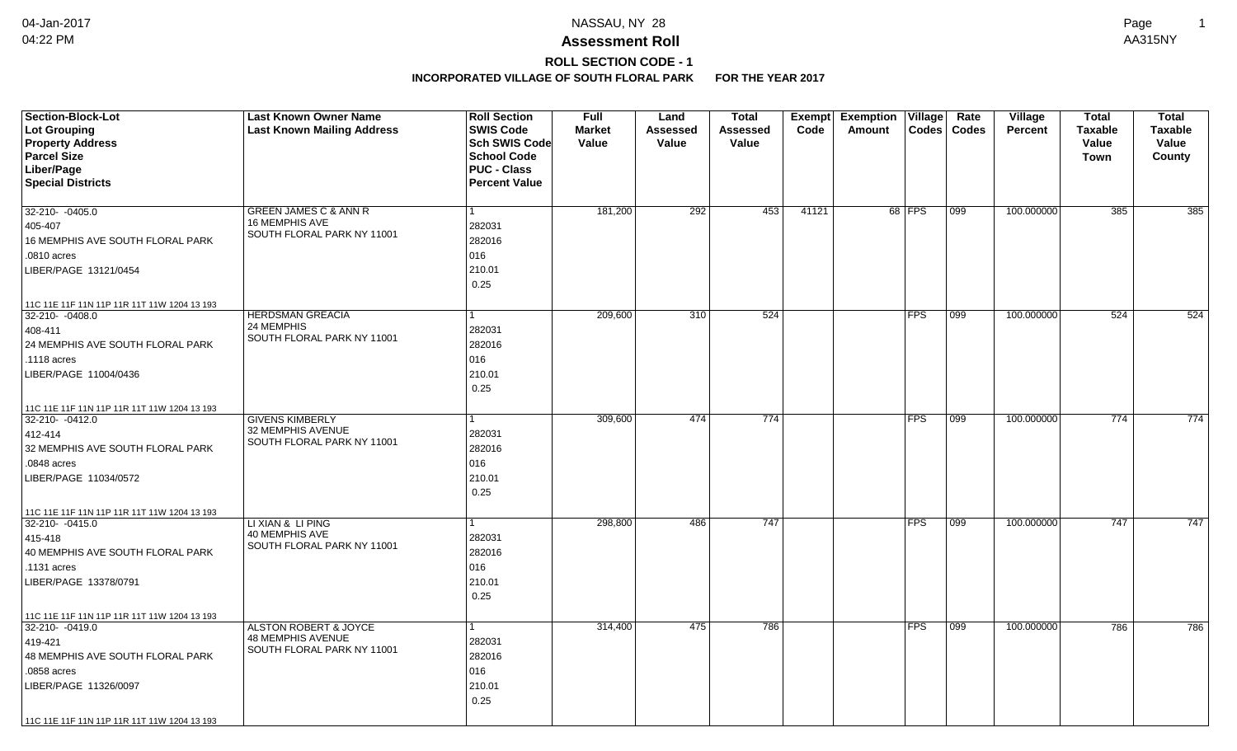# **ROLL SECTION CODE - 1**

| <b>Section-Block-Lot</b>                                       | <b>Last Known Owner Name</b>      | <b>Roll Section</b>  | <b>Full</b>   | Land     | <b>Total</b>    | <b>Exempt</b> | <b>Exemption</b><br>$\overline{\mathsf{V}}$ illage | Rate         | Village        | <b>Total</b>   | <b>Total</b> |
|----------------------------------------------------------------|-----------------------------------|----------------------|---------------|----------|-----------------|---------------|----------------------------------------------------|--------------|----------------|----------------|--------------|
| Lot Grouping                                                   | <b>Last Known Mailing Address</b> | <b>SWIS Code</b>     | <b>Market</b> | Assessed | <b>Assessed</b> | Code          | Codes<br>Amount                                    | <b>Codes</b> | <b>Percent</b> | <b>Taxable</b> | Taxable      |
| <b>Property Address</b>                                        |                                   | <b>Sch SWIS Code</b> | Value         | Value    | Value           |               |                                                    |              |                | Value          | Value        |
| <b>Parcel Size</b>                                             |                                   | <b>School Code</b>   |               |          |                 |               |                                                    |              |                | <b>Town</b>    | County       |
| Liber/Page                                                     |                                   | <b>PUC - Class</b>   |               |          |                 |               |                                                    |              |                |                |              |
| <b>Special Districts</b>                                       |                                   | <b>Percent Value</b> |               |          |                 |               |                                                    |              |                |                |              |
| 32-210- -0405.0                                                | GREEN JAMES C & ANN R             | 1                    | 181,200       | 292      | 453             | 41121         | 68   FPS                                           | 099          | 100.000000     | 385            | 385          |
| 405-407                                                        | <b>16 MEMPHIS AVE</b>             | 282031               |               |          |                 |               |                                                    |              |                |                |              |
| 16 MEMPHIS AVE SOUTH FLORAL PARK                               | SOUTH FLORAL PARK NY 11001        | 282016               |               |          |                 |               |                                                    |              |                |                |              |
| .0810 acres                                                    |                                   | 016                  |               |          |                 |               |                                                    |              |                |                |              |
| LIBER/PAGE 13121/0454                                          |                                   | 210.01               |               |          |                 |               |                                                    |              |                |                |              |
|                                                                |                                   | 0.25                 |               |          |                 |               |                                                    |              |                |                |              |
|                                                                |                                   |                      |               |          |                 |               |                                                    |              |                |                |              |
| 11C 11E 11F 11N 11P 11R 11T 11W 1204 13 193<br>32-210- -0408.0 | <b>HERDSMAN GREACIA</b>           | 1                    | 209,600       | 310      | 524             |               | <b>FPS</b>                                         | 099          | 100.000000     | 524            | 524          |
| 408-411                                                        | 24 MEMPHIS                        | 282031               |               |          |                 |               |                                                    |              |                |                |              |
| 24 MEMPHIS AVE SOUTH FLORAL PARK                               | SOUTH FLORAL PARK NY 11001        | 282016               |               |          |                 |               |                                                    |              |                |                |              |
| .1118 acres                                                    |                                   | 016                  |               |          |                 |               |                                                    |              |                |                |              |
| LIBER/PAGE 11004/0436                                          |                                   | 210.01               |               |          |                 |               |                                                    |              |                |                |              |
|                                                                |                                   | 0.25                 |               |          |                 |               |                                                    |              |                |                |              |
|                                                                |                                   |                      |               |          |                 |               |                                                    |              |                |                |              |
| 11C 11E 11F 11N 11P 11R 11T 11W 1204 13 193<br>32-210- -0412.0 | <b>GIVENS KIMBERLY</b>            |                      | 309,600       | 474      | 774             |               | <b>FPS</b>                                         | 099          | 100.000000     | 774            | 774          |
| 412-414                                                        | 32 MEMPHIS AVENUE                 | 282031               |               |          |                 |               |                                                    |              |                |                |              |
| 32 MEMPHIS AVE SOUTH FLORAL PARK                               | SOUTH FLORAL PARK NY 11001        | 282016               |               |          |                 |               |                                                    |              |                |                |              |
|                                                                |                                   | 016                  |               |          |                 |               |                                                    |              |                |                |              |
| .0848 acres                                                    |                                   |                      |               |          |                 |               |                                                    |              |                |                |              |
| LIBER/PAGE 11034/0572                                          |                                   | 210.01               |               |          |                 |               |                                                    |              |                |                |              |
|                                                                |                                   | 0.25                 |               |          |                 |               |                                                    |              |                |                |              |
| 11C 11E 11F 11N 11P 11R 11T 11W 1204 13 193<br>32-210- -0415.0 | LI XIAN & LI PING                 | 1                    | 298.800       | 486      | 747             |               | <b>FPS</b>                                         | 099          | 100.000000     | 747            | 747          |
|                                                                | 40 MEMPHIS AVE                    | 282031               |               |          |                 |               |                                                    |              |                |                |              |
| 415-418<br>40 MEMPHIS AVE SOUTH FLORAL PARK                    | SOUTH FLORAL PARK NY 11001        | 282016               |               |          |                 |               |                                                    |              |                |                |              |
|                                                                |                                   | 016                  |               |          |                 |               |                                                    |              |                |                |              |
| .1131 acres                                                    |                                   | 210.01               |               |          |                 |               |                                                    |              |                |                |              |
| LIBER/PAGE 13378/0791                                          |                                   | 0.25                 |               |          |                 |               |                                                    |              |                |                |              |
|                                                                |                                   |                      |               |          |                 |               |                                                    |              |                |                |              |
| 11C 11E 11F 11N 11P 11R 11T 11W 1204 13 193<br>32-210-0419.0   | ALSTON ROBERT & JOYCE             |                      | 314,400       | 475      | 786             |               | <b>FPS</b>                                         | 099          | 100.000000     | 786            | 786          |
|                                                                | <b>48 MEMPHIS AVENUE</b>          | 282031               |               |          |                 |               |                                                    |              |                |                |              |
| 419-421<br>48 MEMPHIS AVE SOUTH FLORAL PARK                    | SOUTH FLORAL PARK NY 11001        | 282016               |               |          |                 |               |                                                    |              |                |                |              |
|                                                                |                                   |                      |               |          |                 |               |                                                    |              |                |                |              |
| .0858 acres                                                    |                                   | 016                  |               |          |                 |               |                                                    |              |                |                |              |
| LIBER/PAGE 11326/0097                                          |                                   | 210.01               |               |          |                 |               |                                                    |              |                |                |              |
|                                                                |                                   | 0.25                 |               |          |                 |               |                                                    |              |                |                |              |
| 11C 11E 11F 11N 11P 11R 11T 11W 1204 13 193                    |                                   |                      |               |          |                 |               |                                                    |              |                |                |              |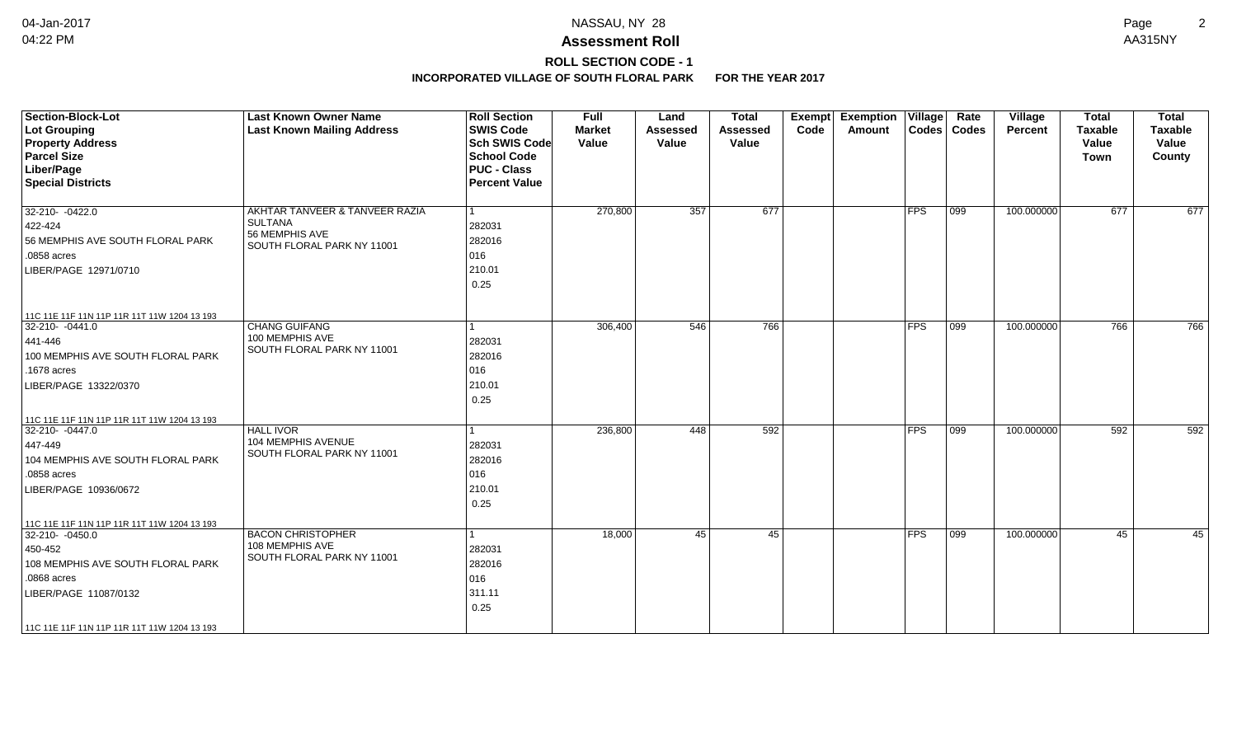**ROLL SECTION CODE - 1**

| <b>Section-Block-Lot</b>                                       | <b>Last Known Owner Name</b>                 | <b>Roll Section</b>  | Full          | Land            | <b>Total</b>    | Exempt | <b>Exemption Village</b> |            | Rate             | Village        | <b>Total</b>   | <b>Total</b>   |
|----------------------------------------------------------------|----------------------------------------------|----------------------|---------------|-----------------|-----------------|--------|--------------------------|------------|------------------|----------------|----------------|----------------|
| Lot Grouping                                                   | <b>Last Known Mailing Address</b>            | <b>SWIS Code</b>     | <b>Market</b> | <b>Assessed</b> | <b>Assessed</b> | Code   | Amount                   |            | Codes   Codes    | <b>Percent</b> | <b>Taxable</b> | <b>Taxable</b> |
| <b>Property Address</b>                                        |                                              | <b>Sch SWIS Code</b> | Value         | Value           | Value           |        |                          |            |                  |                | Value          | Value          |
| <b>Parcel Size</b>                                             |                                              | <b>School Code</b>   |               |                 |                 |        |                          |            |                  |                | <b>Town</b>    | County         |
| Liber/Page                                                     |                                              | <b>PUC - Class</b>   |               |                 |                 |        |                          |            |                  |                |                |                |
| <b>Special Districts</b>                                       |                                              | <b>Percent Value</b> |               |                 |                 |        |                          |            |                  |                |                |                |
| 32-210-0422.0                                                  | AKHTAR TANVEER & TANVEER RAZIA               |                      | 270,800       | 357             | 677             |        |                          | <b>FPS</b> | $ 099\rangle$    | 100.000000     | 677            | 677            |
| $ 422 - 424 $                                                  | <b>SULTANA</b>                               | 282031               |               |                 |                 |        |                          |            |                  |                |                |                |
| 56 MEMPHIS AVE SOUTH FLORAL PARK                               | 56 MEMPHIS AVE<br>SOUTH FLORAL PARK NY 11001 | 282016               |               |                 |                 |        |                          |            |                  |                |                |                |
| .0858 acres                                                    |                                              | 016                  |               |                 |                 |        |                          |            |                  |                |                |                |
| LIBER/PAGE 12971/0710                                          |                                              | 210.01               |               |                 |                 |        |                          |            |                  |                |                |                |
|                                                                |                                              | 0.25                 |               |                 |                 |        |                          |            |                  |                |                |                |
|                                                                |                                              |                      |               |                 |                 |        |                          |            |                  |                |                |                |
| 11C 11E 11F 11N 11P 11R 11T 11W 1204 13 193<br>32-210- -0441.0 | <b>CHANG GUIFANG</b>                         |                      | 306,400       | 546             | 766             |        |                          | <b>FPS</b> | $\overline{099}$ | 100.000000     | 766            | 766            |
|                                                                | 100 MEMPHIS AVE                              | 282031               |               |                 |                 |        |                          |            |                  |                |                |                |
| 441-446                                                        | SOUTH FLORAL PARK NY 11001                   |                      |               |                 |                 |        |                          |            |                  |                |                |                |
| 100 MEMPHIS AVE SOUTH FLORAL PARK                              |                                              | 282016               |               |                 |                 |        |                          |            |                  |                |                |                |
| .1678 acres                                                    |                                              | 016                  |               |                 |                 |        |                          |            |                  |                |                |                |
| LIBER/PAGE 13322/0370                                          |                                              | 210.01               |               |                 |                 |        |                          |            |                  |                |                |                |
|                                                                |                                              | 0.25                 |               |                 |                 |        |                          |            |                  |                |                |                |
| 11C 11E 11F 11N 11P 11R 11T 11W 1204 13 193                    |                                              |                      |               |                 |                 |        |                          |            |                  |                |                |                |
| 32-210- -0447.0                                                | <b>HALL IVOR</b>                             |                      | 236,800       | 448             | 592             |        |                          | <b>FPS</b> | $ 099\rangle$    | 100.000000     | 592            | 592            |
| 447-449                                                        | <b>104 MEMPHIS AVENUE</b>                    | 282031               |               |                 |                 |        |                          |            |                  |                |                |                |
| 104 MEMPHIS AVE SOUTH FLORAL PARK                              | SOUTH FLORAL PARK NY 11001                   | 282016               |               |                 |                 |        |                          |            |                  |                |                |                |
| .0858 acres                                                    |                                              | 016                  |               |                 |                 |        |                          |            |                  |                |                |                |
| LIBER/PAGE 10936/0672                                          |                                              | 210.01               |               |                 |                 |        |                          |            |                  |                |                |                |
|                                                                |                                              | 0.25                 |               |                 |                 |        |                          |            |                  |                |                |                |
| 11C 11E 11F 11N 11P 11R 11T 11W 1204 13 193                    |                                              |                      |               |                 |                 |        |                          |            |                  |                |                |                |
| 32-210- -0450.0                                                | <b>BACON CHRISTOPHER</b>                     |                      | 18,000        | 45              | 45              |        |                          | <b>FPS</b> | $ 099\rangle$    | 100.000000     | 45             | 45             |
| 450-452                                                        | 108 MEMPHIS AVE                              | 282031               |               |                 |                 |        |                          |            |                  |                |                |                |
| 108 MEMPHIS AVE SOUTH FLORAL PARK                              | SOUTH FLORAL PARK NY 11001                   | 282016               |               |                 |                 |        |                          |            |                  |                |                |                |
| .0868 acres                                                    |                                              | 016                  |               |                 |                 |        |                          |            |                  |                |                |                |
| LIBER/PAGE 11087/0132                                          |                                              | 311.11               |               |                 |                 |        |                          |            |                  |                |                |                |
|                                                                |                                              | 0.25                 |               |                 |                 |        |                          |            |                  |                |                |                |
| 11C 11E 11F 11N 11P 11R 11T 11W 1204 13 193                    |                                              |                      |               |                 |                 |        |                          |            |                  |                |                |                |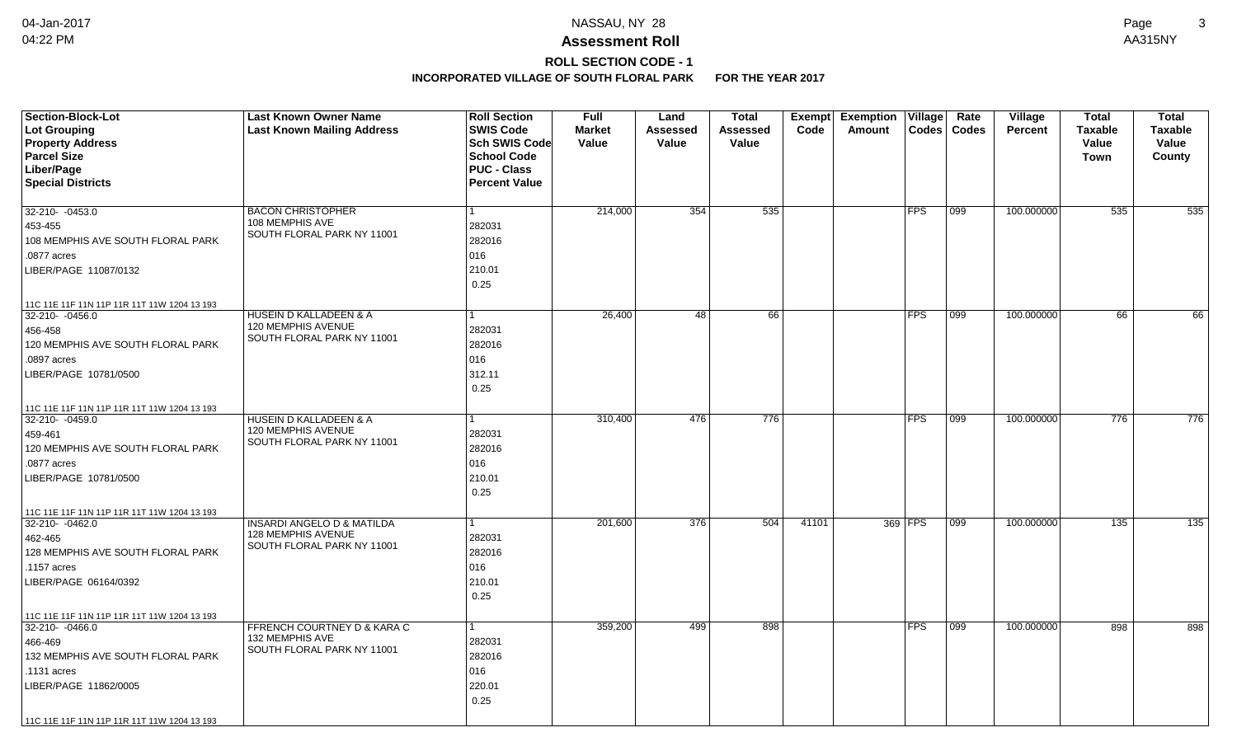# **ROLL SECTION CODE - 1**

| <b>Section-Block-Lot</b>                    | <b>Last Known Owner Name</b>                            | <b>Roll Section</b>  | <b>Full</b>   | Land            | <b>Total</b> |       | Exempt Exemption | $\overline{\mathsf{V}}$ illage | Rate          | Village        | <b>Total</b>   | <b>Total</b>     |
|---------------------------------------------|---------------------------------------------------------|----------------------|---------------|-----------------|--------------|-------|------------------|--------------------------------|---------------|----------------|----------------|------------------|
| Lot Grouping                                | <b>Last Known Mailing Address</b>                       | <b>SWIS Code</b>     | <b>Market</b> | <b>Assessed</b> | Assessed     | Code  | Amount           | <b>Codes</b>                   | <b>Codes</b>  | <b>Percent</b> | <b>Taxable</b> | Taxable          |
| <b>Property Address</b>                     |                                                         | Sch SWIS Code        | Value         | Value           | Value        |       |                  |                                |               |                | Value          | Value            |
| <b>Parcel Size</b>                          |                                                         | <b>School Code</b>   |               |                 |              |       |                  |                                |               |                | <b>Town</b>    | County           |
| Liber/Page                                  |                                                         | <b>PUC - Class</b>   |               |                 |              |       |                  |                                |               |                |                |                  |
| <b>Special Districts</b>                    |                                                         | <b>Percent Value</b> |               |                 |              |       |                  |                                |               |                |                |                  |
|                                             |                                                         | 1                    |               |                 |              |       |                  | <b>FPS</b>                     |               | 100.000000     |                |                  |
| 32-210- -0453.0                             | <b>BACON CHRISTOPHER</b><br>108 MEMPHIS AVE             |                      | 214,000       | 354             | 535          |       |                  |                                | 099           |                | 535            | 535              |
| 453-455                                     | SOUTH FLORAL PARK NY 11001                              | 282031               |               |                 |              |       |                  |                                |               |                |                |                  |
| 108 MEMPHIS AVE SOUTH FLORAL PARK           |                                                         | 282016               |               |                 |              |       |                  |                                |               |                |                |                  |
| .0877 acres                                 |                                                         | 016                  |               |                 |              |       |                  |                                |               |                |                |                  |
| LIBER/PAGE 11087/0132                       |                                                         | 210.01               |               |                 |              |       |                  |                                |               |                |                |                  |
|                                             |                                                         | 0.25                 |               |                 |              |       |                  |                                |               |                |                |                  |
| 11C 11E 11F 11N 11P 11R 11T 11W 1204 13 193 |                                                         |                      |               |                 |              |       |                  |                                |               |                |                |                  |
| 32-210- -0456.0                             | <b>HUSEIN D KALLADEEN &amp; A</b>                       | 1                    | 26,400        | 48              | 66           |       |                  | <b>FPS</b>                     | $ 099\rangle$ | 100.000000     | 66             | 66               |
| 456-458                                     | 120 MEMPHIS AVENUE<br>SOUTH FLORAL PARK NY 11001        | 282031               |               |                 |              |       |                  |                                |               |                |                |                  |
| 120 MEMPHIS AVE SOUTH FLORAL PARK           |                                                         | 282016               |               |                 |              |       |                  |                                |               |                |                |                  |
| .0897 acres                                 |                                                         | 016                  |               |                 |              |       |                  |                                |               |                |                |                  |
| LIBER/PAGE 10781/0500                       |                                                         | 312.11               |               |                 |              |       |                  |                                |               |                |                |                  |
|                                             |                                                         | 0.25                 |               |                 |              |       |                  |                                |               |                |                |                  |
| 11C 11E 11F 11N 11P 11R 11T 11W 1204 13 193 |                                                         |                      |               |                 |              |       |                  |                                |               |                |                |                  |
| 32-210- -0459.0                             | <b>HUSEIN D KALLADEEN &amp; A</b>                       |                      | 310,400       | 476             | 776          |       |                  | <b>FPS</b>                     | 099           | 100.000000     | 776            | 776              |
| 459-461                                     | 120 MEMPHIS AVENUE<br>SOUTH FLORAL PARK NY 11001        | 282031               |               |                 |              |       |                  |                                |               |                |                |                  |
| 120 MEMPHIS AVE SOUTH FLORAL PARK           |                                                         | 282016               |               |                 |              |       |                  |                                |               |                |                |                  |
| .0877 acres                                 |                                                         | 016                  |               |                 |              |       |                  |                                |               |                |                |                  |
| LIBER/PAGE 10781/0500                       |                                                         | 210.01               |               |                 |              |       |                  |                                |               |                |                |                  |
|                                             |                                                         | 0.25                 |               |                 |              |       |                  |                                |               |                |                |                  |
| 11C 11E 11F 11N 11P 11R 11T 11W 1204 13 193 |                                                         |                      |               |                 |              |       |                  |                                |               |                |                |                  |
| 32-210- - 0462.0                            | <b>INSARDI ANGELO D &amp; MATILDA</b>                   |                      | 201,600       | 376             | 504          | 41101 |                  | 369 FPS                        | 099           | 100.000000     | 135            | $\overline{135}$ |
| 462-465                                     | <b>128 MEMPHIS AVENUE</b><br>SOUTH FLORAL PARK NY 11001 | 282031               |               |                 |              |       |                  |                                |               |                |                |                  |
| 128 MEMPHIS AVE SOUTH FLORAL PARK           |                                                         | 282016               |               |                 |              |       |                  |                                |               |                |                |                  |
| .1157 acres                                 |                                                         | 016                  |               |                 |              |       |                  |                                |               |                |                |                  |
| LIBER/PAGE 06164/0392                       |                                                         | 210.01               |               |                 |              |       |                  |                                |               |                |                |                  |
|                                             |                                                         | 0.25                 |               |                 |              |       |                  |                                |               |                |                |                  |
| 11C 11E 11F 11N 11P 11R 11T 11W 1204 13 193 |                                                         |                      |               |                 |              |       |                  |                                |               |                |                |                  |
| 32-210- - 0466.0                            | FFRENCH COURTNEY D & KARA C                             | 1                    | 359,200       | 499             | 898          |       |                  | <b>FPS</b>                     | 099           | 100.000000     | 898            | 898              |
| 466-469                                     | 132 MEMPHIS AVE<br>SOUTH FLORAL PARK NY 11001           | 282031               |               |                 |              |       |                  |                                |               |                |                |                  |
| 132 MEMPHIS AVE SOUTH FLORAL PARK           |                                                         | 282016               |               |                 |              |       |                  |                                |               |                |                |                  |
| .1131 acres                                 |                                                         | 016                  |               |                 |              |       |                  |                                |               |                |                |                  |
| LIBER/PAGE 11862/0005                       |                                                         | 220.01               |               |                 |              |       |                  |                                |               |                |                |                  |
|                                             |                                                         | 0.25                 |               |                 |              |       |                  |                                |               |                |                |                  |
| 11C 11E 11F 11N 11P 11R 11T 11W 1204 13 193 |                                                         |                      |               |                 |              |       |                  |                                |               |                |                |                  |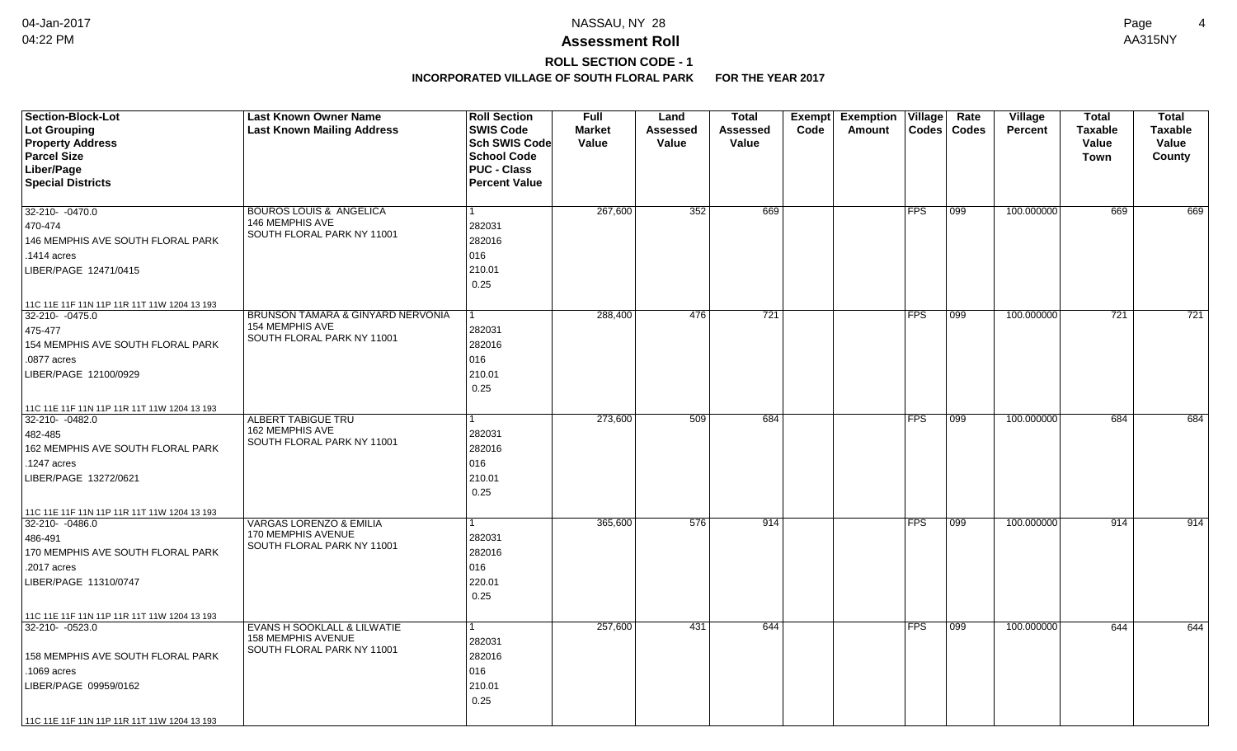# **ROLL SECTION CODE - 1**

| <b>Section-Block-Lot</b><br><b>Lot Grouping</b><br><b>Property Address</b><br><b>Parcel Size</b> | <b>Last Known Owner Name</b><br><b>Last Known Mailing Address</b> | <b>Roll Section</b><br><b>SWIS Code</b><br><b>Sch SWIS Code</b><br><b>School Code</b> | <b>Full</b><br><b>Market</b><br>Value | Land<br><b>Assessed</b><br>Value | Total<br><b>Assessed</b><br>Value | Exempt<br>Code | <b>Exemption Village</b><br>Amount | $\text{Codes}$ | Rate<br><b>Codes</b> | Village<br><b>Percent</b> | <b>Total</b><br><b>Taxable</b><br>Value<br>Town | <b>Total</b><br><b>Taxable</b><br>Value<br>County |
|--------------------------------------------------------------------------------------------------|-------------------------------------------------------------------|---------------------------------------------------------------------------------------|---------------------------------------|----------------------------------|-----------------------------------|----------------|------------------------------------|----------------|----------------------|---------------------------|-------------------------------------------------|---------------------------------------------------|
| Liber/Page                                                                                       |                                                                   | <b>PUC - Class</b>                                                                    |                                       |                                  |                                   |                |                                    |                |                      |                           |                                                 |                                                   |
| <b>Special Districts</b>                                                                         |                                                                   | <b>Percent Value</b>                                                                  |                                       |                                  |                                   |                |                                    |                |                      |                           |                                                 |                                                   |
| 32-210- -0470.0                                                                                  | <b>BOUROS LOUIS &amp; ANGELICA</b>                                |                                                                                       | 267,600                               | 352                              | 669                               |                |                                    | <b>FPS</b>     | 099                  | 100.000000                | 669                                             | 669                                               |
| 470-474                                                                                          | 146 MEMPHIS AVE                                                   | 282031                                                                                |                                       |                                  |                                   |                |                                    |                |                      |                           |                                                 |                                                   |
| 146 MEMPHIS AVE SOUTH FLORAL PARK                                                                | SOUTH FLORAL PARK NY 11001                                        | 282016                                                                                |                                       |                                  |                                   |                |                                    |                |                      |                           |                                                 |                                                   |
| .1414 acres                                                                                      |                                                                   | 016                                                                                   |                                       |                                  |                                   |                |                                    |                |                      |                           |                                                 |                                                   |
| LIBER/PAGE 12471/0415                                                                            |                                                                   | 210.01                                                                                |                                       |                                  |                                   |                |                                    |                |                      |                           |                                                 |                                                   |
|                                                                                                  |                                                                   | 0.25                                                                                  |                                       |                                  |                                   |                |                                    |                |                      |                           |                                                 |                                                   |
| 11C 11E 11F 11N 11P 11R 11T 11W 1204 13 193                                                      |                                                                   |                                                                                       |                                       |                                  |                                   |                |                                    |                |                      |                           |                                                 |                                                   |
| 32-210- -0475.0                                                                                  | BRUNSON TAMARA & GINYARD NERVONIA                                 |                                                                                       | 288,400                               | 476                              | 721                               |                |                                    | <b>FPS</b>     | 099                  | 100.000000                | $\overline{721}$                                | 721                                               |
| 475-477                                                                                          | 154 MEMPHIS AVE<br>SOUTH FLORAL PARK NY 11001                     | 282031                                                                                |                                       |                                  |                                   |                |                                    |                |                      |                           |                                                 |                                                   |
| 154 MEMPHIS AVE SOUTH FLORAL PARK                                                                |                                                                   | 282016                                                                                |                                       |                                  |                                   |                |                                    |                |                      |                           |                                                 |                                                   |
| .0877 acres                                                                                      |                                                                   | 016                                                                                   |                                       |                                  |                                   |                |                                    |                |                      |                           |                                                 |                                                   |
| LIBER/PAGE 12100/0929                                                                            |                                                                   | 210.01                                                                                |                                       |                                  |                                   |                |                                    |                |                      |                           |                                                 |                                                   |
|                                                                                                  |                                                                   | 0.25                                                                                  |                                       |                                  |                                   |                |                                    |                |                      |                           |                                                 |                                                   |
| 11C 11E 11F 11N 11P 11R 11T 11W 1204 13 193                                                      |                                                                   |                                                                                       |                                       |                                  |                                   |                |                                    |                |                      |                           |                                                 |                                                   |
| 32-210-0482.0                                                                                    | <b>ALBERT TABIGUE TRU</b><br>162 MEMPHIS AVE                      |                                                                                       | 273,600                               | 509                              | 684                               |                |                                    | <b>FPS</b>     | 099                  | 100.000000                | 684                                             | 684                                               |
| 482-485<br>162 MEMPHIS AVE SOUTH FLORAL PARK                                                     | SOUTH FLORAL PARK NY 11001                                        | 282031<br>282016                                                                      |                                       |                                  |                                   |                |                                    |                |                      |                           |                                                 |                                                   |
| 1247 acres                                                                                       |                                                                   | 016                                                                                   |                                       |                                  |                                   |                |                                    |                |                      |                           |                                                 |                                                   |
| LIBER/PAGE 13272/0621                                                                            |                                                                   | 210.01                                                                                |                                       |                                  |                                   |                |                                    |                |                      |                           |                                                 |                                                   |
|                                                                                                  |                                                                   | 0.25                                                                                  |                                       |                                  |                                   |                |                                    |                |                      |                           |                                                 |                                                   |
| 11C 11E 11F 11N 11P 11R 11T 11W 1204 13 193                                                      |                                                                   |                                                                                       |                                       |                                  |                                   |                |                                    |                |                      |                           |                                                 |                                                   |
| 32-210-0486.0                                                                                    | <b>VARGAS LORENZO &amp; EMILIA</b>                                | 1                                                                                     | 365,600                               | 576                              | 914                               |                |                                    | <b>FPS</b>     | 099                  | 100.000000                | 914                                             | 914                                               |
| 486-491                                                                                          | 170 MEMPHIS AVENUE                                                | 282031                                                                                |                                       |                                  |                                   |                |                                    |                |                      |                           |                                                 |                                                   |
| 170 MEMPHIS AVE SOUTH FLORAL PARK                                                                | SOUTH FLORAL PARK NY 11001                                        | 282016                                                                                |                                       |                                  |                                   |                |                                    |                |                      |                           |                                                 |                                                   |
| .2017 acres                                                                                      |                                                                   | 016                                                                                   |                                       |                                  |                                   |                |                                    |                |                      |                           |                                                 |                                                   |
| LIBER/PAGE 11310/0747                                                                            |                                                                   | 220.01                                                                                |                                       |                                  |                                   |                |                                    |                |                      |                           |                                                 |                                                   |
|                                                                                                  |                                                                   | 0.25                                                                                  |                                       |                                  |                                   |                |                                    |                |                      |                           |                                                 |                                                   |
| 11C 11E 11F 11N 11P 11R 11T 11W 1204 13 193                                                      |                                                                   |                                                                                       |                                       |                                  |                                   |                |                                    |                |                      |                           |                                                 |                                                   |
| 32-210-0523.0                                                                                    | EVANS H SOOKLALL & LILWATIE<br><b>158 MEMPHIS AVENUE</b>          | 1                                                                                     | 257,600                               | 431                              | 644                               |                |                                    | <b>FPS</b>     | 099                  | 100.000000                | 644                                             | 644                                               |
|                                                                                                  | SOUTH FLORAL PARK NY 11001                                        | 282031                                                                                |                                       |                                  |                                   |                |                                    |                |                      |                           |                                                 |                                                   |
| 158 MEMPHIS AVE SOUTH FLORAL PARK                                                                |                                                                   | 282016                                                                                |                                       |                                  |                                   |                |                                    |                |                      |                           |                                                 |                                                   |
| .1069 acres                                                                                      |                                                                   | 016                                                                                   |                                       |                                  |                                   |                |                                    |                |                      |                           |                                                 |                                                   |
| LIBER/PAGE 09959/0162                                                                            |                                                                   | 210.01                                                                                |                                       |                                  |                                   |                |                                    |                |                      |                           |                                                 |                                                   |
|                                                                                                  |                                                                   | 0.25                                                                                  |                                       |                                  |                                   |                |                                    |                |                      |                           |                                                 |                                                   |
| 11C 11E 11F 11N 11P 11R 11T 11W 1204 13 193                                                      |                                                                   |                                                                                       |                                       |                                  |                                   |                |                                    |                |                      |                           |                                                 |                                                   |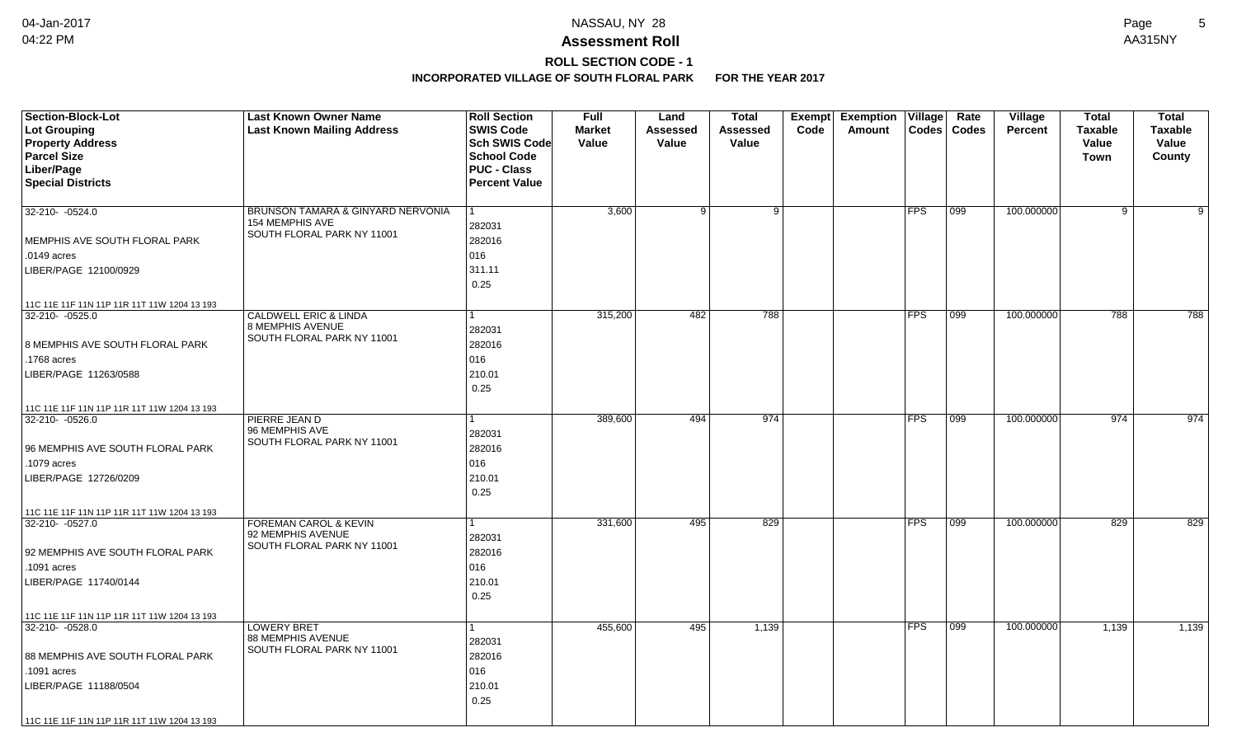# **ROLL SECTION CODE - 1**

| <b>Section-Block-Lot</b><br>Lot Grouping<br><b>Property Address</b><br><b>Parcel Size</b><br>Liber/Page<br><b>Special Districts</b> | <b>Last Known Owner Name</b><br><b>Last Known Mailing Address</b> | <b>Roll Section</b><br><b>SWIS Code</b><br>Sch SWIS Code<br><b>School Code</b><br><b>PUC - Class</b><br><b>Percent Value</b> | <b>Full</b><br><b>Market</b><br>Value | Land<br>Assessed<br>Value | <b>Total</b><br>Assessed<br>Value | Code | Exempt Exemption Village<br>Amount |            | Rate<br>Codes   Codes | <b>Village</b><br>Percent | Total<br><b>Taxable</b><br>Value<br>Town | <b>Total</b><br><b>Taxable</b><br>Value<br>County |
|-------------------------------------------------------------------------------------------------------------------------------------|-------------------------------------------------------------------|------------------------------------------------------------------------------------------------------------------------------|---------------------------------------|---------------------------|-----------------------------------|------|------------------------------------|------------|-----------------------|---------------------------|------------------------------------------|---------------------------------------------------|
| 32-210- - 0524.0                                                                                                                    | BRUNSON TAMARA & GINYARD NERVONIA                                 | $\mathbf{1}$                                                                                                                 | 3,600                                 | 9 <sup>1</sup>            | -9 I                              |      |                                    | <b>FPS</b> | 099                   | 100.000000                | 9                                        | 9                                                 |
|                                                                                                                                     | <b>154 MEMPHIS AVE</b><br>SOUTH FLORAL PARK NY 11001              | 282031                                                                                                                       |                                       |                           |                                   |      |                                    |            |                       |                           |                                          |                                                   |
| MEMPHIS AVE SOUTH FLORAL PARK                                                                                                       |                                                                   | 282016                                                                                                                       |                                       |                           |                                   |      |                                    |            |                       |                           |                                          |                                                   |
| .0149 acres                                                                                                                         |                                                                   | 016                                                                                                                          |                                       |                           |                                   |      |                                    |            |                       |                           |                                          |                                                   |
| LIBER/PAGE 12100/0929                                                                                                               |                                                                   | 311.11                                                                                                                       |                                       |                           |                                   |      |                                    |            |                       |                           |                                          |                                                   |
|                                                                                                                                     |                                                                   | 0.25                                                                                                                         |                                       |                           |                                   |      |                                    |            |                       |                           |                                          |                                                   |
| 11C 11E 11F 11N 11P 11R 11T 11W 1204 13 193                                                                                         |                                                                   |                                                                                                                              |                                       |                           |                                   |      |                                    |            |                       |                           |                                          |                                                   |
| 32-210- -0525.0                                                                                                                     | <b>CALDWELL ERIC &amp; LINDA</b>                                  | $\mathbf{1}$                                                                                                                 | 315,200                               | 482                       | 788                               |      |                                    | <b>FPS</b> | $ 099\rangle$         | 100.000000                | 788                                      | 788                                               |
|                                                                                                                                     | 8 MEMPHIS AVENUE<br>SOUTH FLORAL PARK NY 11001                    | 282031                                                                                                                       |                                       |                           |                                   |      |                                    |            |                       |                           |                                          |                                                   |
| 8 MEMPHIS AVE SOUTH FLORAL PARK                                                                                                     |                                                                   | 282016                                                                                                                       |                                       |                           |                                   |      |                                    |            |                       |                           |                                          |                                                   |
| .1768 acres                                                                                                                         |                                                                   | 016                                                                                                                          |                                       |                           |                                   |      |                                    |            |                       |                           |                                          |                                                   |
| LIBER/PAGE 11263/0588                                                                                                               |                                                                   | 210.01                                                                                                                       |                                       |                           |                                   |      |                                    |            |                       |                           |                                          |                                                   |
|                                                                                                                                     |                                                                   | 0.25                                                                                                                         |                                       |                           |                                   |      |                                    |            |                       |                           |                                          |                                                   |
| 11C 11E 11F 11N 11P 11R 11T 11W 1204 13 193                                                                                         |                                                                   |                                                                                                                              |                                       |                           |                                   |      |                                    |            |                       |                           |                                          |                                                   |
| 32-210-0526.0                                                                                                                       | PIERRE JEAN D                                                     | 1                                                                                                                            | 389,600                               | 494                       | 974                               |      |                                    | <b>FPS</b> | $ 099\rangle$         | 100.000000                | 974                                      | 974                                               |
|                                                                                                                                     | 96 MEMPHIS AVE<br>SOUTH FLORAL PARK NY 11001                      | 282031                                                                                                                       |                                       |                           |                                   |      |                                    |            |                       |                           |                                          |                                                   |
| 96 MEMPHIS AVE SOUTH FLORAL PARK                                                                                                    |                                                                   | 282016                                                                                                                       |                                       |                           |                                   |      |                                    |            |                       |                           |                                          |                                                   |
| .1079 acres                                                                                                                         |                                                                   | 016                                                                                                                          |                                       |                           |                                   |      |                                    |            |                       |                           |                                          |                                                   |
| LIBER/PAGE 12726/0209                                                                                                               |                                                                   | 210.01                                                                                                                       |                                       |                           |                                   |      |                                    |            |                       |                           |                                          |                                                   |
|                                                                                                                                     |                                                                   | 0.25                                                                                                                         |                                       |                           |                                   |      |                                    |            |                       |                           |                                          |                                                   |
| 11C 11E 11F 11N 11P 11R 11T 11W 1204 13 193                                                                                         |                                                                   |                                                                                                                              |                                       |                           |                                   |      |                                    |            |                       |                           |                                          |                                                   |
| 32-210- -0527.0                                                                                                                     | <b>FOREMAN CAROL &amp; KEVIN</b>                                  | 1                                                                                                                            | 331,600                               | 495                       | 829                               |      |                                    | <b>FPS</b> | $\overline{099}$      | 100.000000                | 829                                      | 829                                               |
|                                                                                                                                     | 92 MEMPHIS AVENUE<br>SOUTH FLORAL PARK NY 11001                   | 282031                                                                                                                       |                                       |                           |                                   |      |                                    |            |                       |                           |                                          |                                                   |
| 92 MEMPHIS AVE SOUTH FLORAL PARK                                                                                                    |                                                                   | 282016                                                                                                                       |                                       |                           |                                   |      |                                    |            |                       |                           |                                          |                                                   |
| .1091 acres                                                                                                                         |                                                                   | 016                                                                                                                          |                                       |                           |                                   |      |                                    |            |                       |                           |                                          |                                                   |
| LIBER/PAGE 11740/0144                                                                                                               |                                                                   | 210.01                                                                                                                       |                                       |                           |                                   |      |                                    |            |                       |                           |                                          |                                                   |
|                                                                                                                                     |                                                                   | 0.25                                                                                                                         |                                       |                           |                                   |      |                                    |            |                       |                           |                                          |                                                   |
| 11C 11E 11F 11N 11P 11R 11T 11W 1204 13 193                                                                                         |                                                                   |                                                                                                                              |                                       |                           |                                   |      |                                    |            |                       |                           |                                          |                                                   |
| 32-210-0528.0                                                                                                                       | <b>LOWERY BRET</b><br>88 MEMPHIS AVENUE                           | $\mathbf{1}$                                                                                                                 | 455,600                               | 495                       | 1,139                             |      |                                    | <b>FPS</b> | $ 099\rangle$         | 100.000000                | 1,139                                    | 1,139                                             |
|                                                                                                                                     | SOUTH FLORAL PARK NY 11001                                        | 282031                                                                                                                       |                                       |                           |                                   |      |                                    |            |                       |                           |                                          |                                                   |
| 88 MEMPHIS AVE SOUTH FLORAL PARK                                                                                                    |                                                                   | 282016                                                                                                                       |                                       |                           |                                   |      |                                    |            |                       |                           |                                          |                                                   |
| .1091 acres                                                                                                                         |                                                                   | 016                                                                                                                          |                                       |                           |                                   |      |                                    |            |                       |                           |                                          |                                                   |
| LIBER/PAGE 11188/0504                                                                                                               |                                                                   | 210.01                                                                                                                       |                                       |                           |                                   |      |                                    |            |                       |                           |                                          |                                                   |
|                                                                                                                                     |                                                                   | 0.25                                                                                                                         |                                       |                           |                                   |      |                                    |            |                       |                           |                                          |                                                   |
| 11C 11E 11F 11N 11P 11R 11T 11W 1204 13 193                                                                                         |                                                                   |                                                                                                                              |                                       |                           |                                   |      |                                    |            |                       |                           |                                          |                                                   |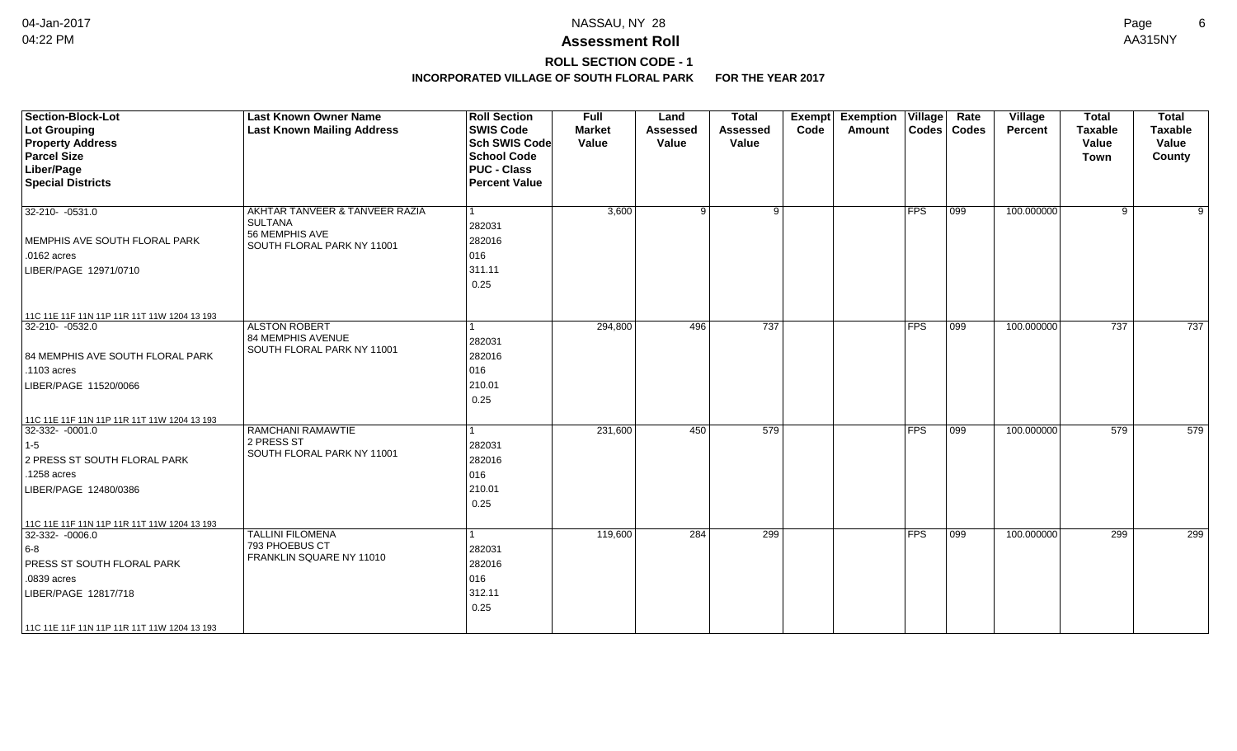## **ROLL SECTION CODE - 1**

| <b>Section-Block-Lot</b><br>Lot Grouping<br><b>Property Address</b><br><b>Parcel Size</b><br>Liber/Page<br><b>Special Districts</b>                     | <b>Last Known Owner Name</b><br><b>Last Known Mailing Address</b>                                | <b>Roll Section</b><br><b>SWIS Code</b><br><b>Sch SWIS Code</b><br><b>School Code</b><br><b>PUC - Class</b><br><b>Percent Value</b> | <b>Full</b><br><b>Market</b><br>Value | Land<br><b>Assessed</b><br>Value | <b>Total</b><br>Assessed<br>Value | <b>Exempt</b><br>Code | <b>Exemption Village</b><br>Amount |               | Rate<br>Codes   Codes | Village<br>Percent | <b>Total</b><br><b>Taxable</b><br>Value<br>Town | <b>Total</b><br><b>Taxable</b><br>Value<br>County |
|---------------------------------------------------------------------------------------------------------------------------------------------------------|--------------------------------------------------------------------------------------------------|-------------------------------------------------------------------------------------------------------------------------------------|---------------------------------------|----------------------------------|-----------------------------------|-----------------------|------------------------------------|---------------|-----------------------|--------------------|-------------------------------------------------|---------------------------------------------------|
| $32 - 210 - 0531.0$<br>MEMPHIS AVE SOUTH FLORAL PARK<br>.0162 acres<br>LIBER/PAGE 12971/0710<br>11C 11E 11F 11N 11P 11R 11T 11W 1204 13 193             | AKHTAR TANVEER & TANVEER RAZIA<br><b>SULTANA</b><br>56 MEMPHIS AVE<br>SOUTH FLORAL PARK NY 11001 | 282031<br>282016<br>016<br>311.11<br>0.25                                                                                           | 3,600                                 | 9                                | 9                                 |                       |                                    | FPS           | 099                   | 100.000000         | 9                                               | 9                                                 |
| $ 32-210-0532.0$<br>84 MEMPHIS AVE SOUTH FLORAL PARK<br>.1103 acres<br>LIBER/PAGE 11520/0066<br>11C 11E 11F 11N 11P 11R 11T 11W 1204 13 193             | <b>ALSTON ROBERT</b><br>84 MEMPHIS AVENUE<br>SOUTH FLORAL PARK NY 11001                          | 282031<br>282016<br>016<br>210.01<br>0.25                                                                                           | 294,800                               | 496                              | 737                               |                       |                                    | <b>FPS</b>    | $ 099\rangle$         | 100.000000         | 737                                             | 737                                               |
| 32-332-0001.0<br>$1-5$<br>2 PRESS ST SOUTH FLORAL PARK<br>.1258 acres<br>LIBER/PAGE 12480/0386<br>11C 11E 11F 11N 11P 11R 11T 11W 1204 13 193           | RAMCHANI RAMAWTIE<br>2 PRESS ST<br>SOUTH FLORAL PARK NY 11001                                    | 282031<br>282016<br>016<br>210.01<br>0.25                                                                                           | 231,600                               | 450                              | 579                               |                       |                                    | $ {\sf FPS} $ | 099                   | 100.000000         | 579                                             | 579                                               |
| 32-332- -0006.0<br>$ 6-8 $<br><b>PRESS ST SOUTH FLORAL PARK</b><br>.0839 acres<br>LIBER/PAGE 12817/718<br>  11C 11E 11F 11N 11P 11R 11T 11W 1204 13 193 | <b>TALLINI FILOMENA</b><br>793 PHOEBUS CT<br>FRANKLIN SQUARE NY 11010                            | 282031<br>282016<br>016<br>312.11<br>0.25                                                                                           | 119,600                               | 284                              | 299                               |                       |                                    | $ {\sf FPS} $ | 099                   | 100.000000         | 299                                             | 299                                               |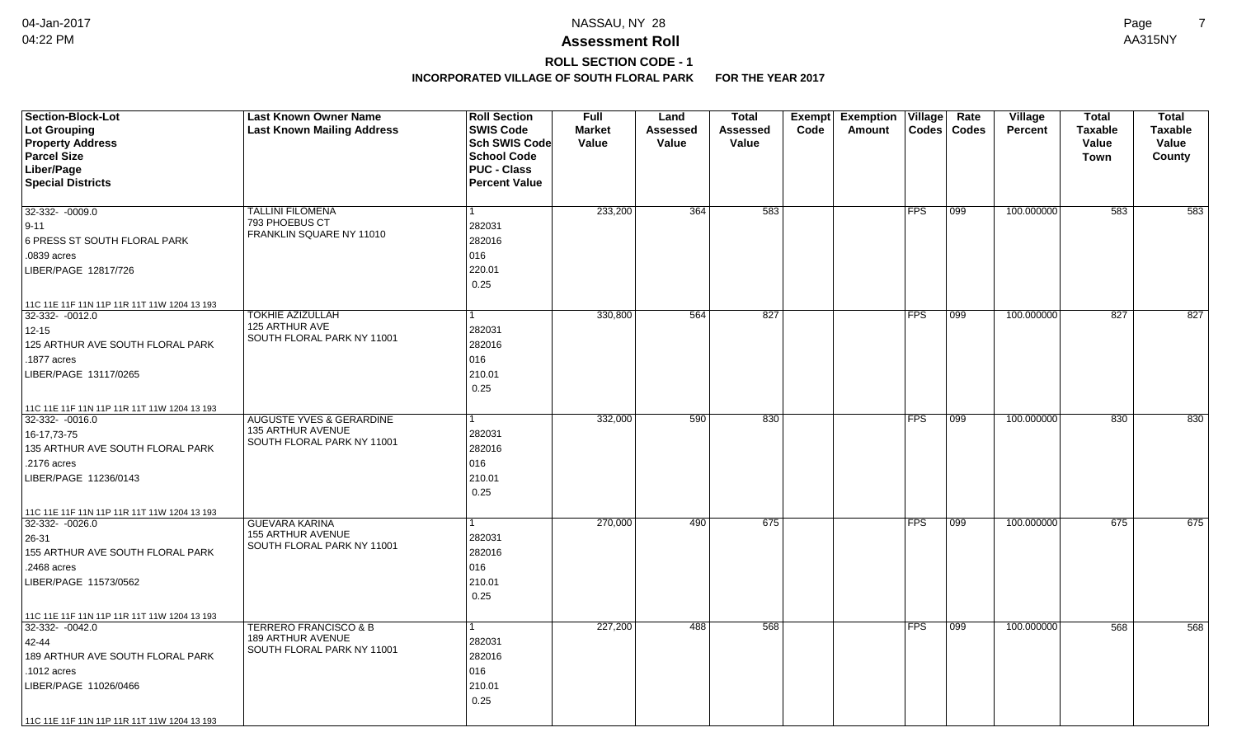## **ROLL SECTION CODE - 1**

| Lot Grouping<br><b>Last Known Mailing Address</b><br><b>SWIS Code</b><br><b>Market</b><br>Assessed<br><b>Assessed</b><br>Code<br>Amount<br><b>Codes</b><br><b>Codes</b><br><b>Percent</b> |                                  |
|-------------------------------------------------------------------------------------------------------------------------------------------------------------------------------------------|----------------------------------|
|                                                                                                                                                                                           | <b>Taxable</b><br><b>Taxable</b> |
| <b>Property Address</b><br><b>Sch SWIS Code</b><br>Value<br>Value<br>Value                                                                                                                | Value<br>Value                   |
| <b>Parcel Size</b><br><b>School Code</b>                                                                                                                                                  | County<br><b>Town</b>            |
| Liber/Page<br><b>PUC - Class</b>                                                                                                                                                          |                                  |
| <b>Special Districts</b><br><b>Percent Value</b>                                                                                                                                          |                                  |
| 233,200<br>364<br>583<br>100.000000                                                                                                                                                       | 583                              |
| 32-332- -0009.0<br><b>FPS</b><br>099<br><b>TALLINI FILOMENA</b><br>793 PHOEBUS CT                                                                                                         | 583                              |
| 282031<br>$9 - 11$<br>FRANKLIN SQUARE NY 11010                                                                                                                                            |                                  |
| 6 PRESS ST SOUTH FLORAL PARK<br>282016                                                                                                                                                    |                                  |
| 016<br>.0839 acres                                                                                                                                                                        |                                  |
| 220.01<br>LIBER/PAGE 12817/726                                                                                                                                                            |                                  |
| 0.25                                                                                                                                                                                      |                                  |
| 11C 11E 11F 11N 11P 11R 11T 11W 1204 13 193                                                                                                                                               |                                  |
| <b>TOKHIE AZIZULLAH</b><br>330,800<br>564<br>827<br>FPS<br>099<br>100.000000<br>32-332- -0012.0                                                                                           | 827<br>827                       |
| 125 ARTHUR AVE<br>282031<br>$12 - 15$<br>SOUTH FLORAL PARK NY 11001                                                                                                                       |                                  |
| 125 ARTHUR AVE SOUTH FLORAL PARK<br>282016                                                                                                                                                |                                  |
| 016<br>.1877 acres                                                                                                                                                                        |                                  |
| 210.01<br>LIBER/PAGE 13117/0265                                                                                                                                                           |                                  |
| 0.25                                                                                                                                                                                      |                                  |
| 11C 11E 11F 11N 11P 11R 11T 11W 1204 13 193                                                                                                                                               |                                  |
| <b>AUGUSTE YVES &amp; GERARDINE</b><br>332,000<br>590<br>830<br><b>FPS</b><br>100.000000<br>32-332-0016.0<br>099                                                                          | 830<br>830                       |
| 135 ARTHUR AVENUE<br>282031<br>16-17,73-75                                                                                                                                                |                                  |
| SOUTH FLORAL PARK NY 11001<br>282016<br>135 ARTHUR AVE SOUTH FLORAL PARK                                                                                                                  |                                  |
| 016<br>.2176 acres                                                                                                                                                                        |                                  |
| 210.01<br>LIBER/PAGE 11236/0143                                                                                                                                                           |                                  |
| 0.25                                                                                                                                                                                      |                                  |
| 11C 11E 11F 11N 11P 11R 11T 11W 1204 13 193                                                                                                                                               |                                  |
| <b>GUEVARA KARINA</b><br>270,000<br>490<br>675<br><b>FPS</b><br>099<br>100.000000<br>32-332- -0026.0<br>1                                                                                 | 675<br>675                       |
| <b>155 ARTHUR AVENUE</b><br>282031<br>26-31                                                                                                                                               |                                  |
| SOUTH FLORAL PARK NY 11001<br>155 ARTHUR AVE SOUTH FLORAL PARK<br>282016                                                                                                                  |                                  |
| 016<br>.2468 acres                                                                                                                                                                        |                                  |
| 210.01<br>LIBER/PAGE 11573/0562                                                                                                                                                           |                                  |
| 0.25                                                                                                                                                                                      |                                  |
| 11C 11E 11F 11N 11P 11R 11T 11W 1204 13 193                                                                                                                                               |                                  |
| <b>TERRERO FRANCISCO &amp; B</b><br>227,200<br>568<br><b>FPS</b><br>$32-332 - 0042.0$<br>488<br>099<br>100.000000<br>1                                                                    | 568<br>568                       |
| <b>189 ARTHUR AVENUE</b><br>282031<br>42-44                                                                                                                                               |                                  |
| SOUTH FLORAL PARK NY 11001<br>189 ARTHUR AVE SOUTH FLORAL PARK<br>282016                                                                                                                  |                                  |
| 016<br>.1012 acres                                                                                                                                                                        |                                  |
| 210.01<br>LIBER/PAGE 11026/0466                                                                                                                                                           |                                  |
| 0.25                                                                                                                                                                                      |                                  |
| 11C 11E 11F 11N 11P 11R 11T 11W 1204 13 193                                                                                                                                               |                                  |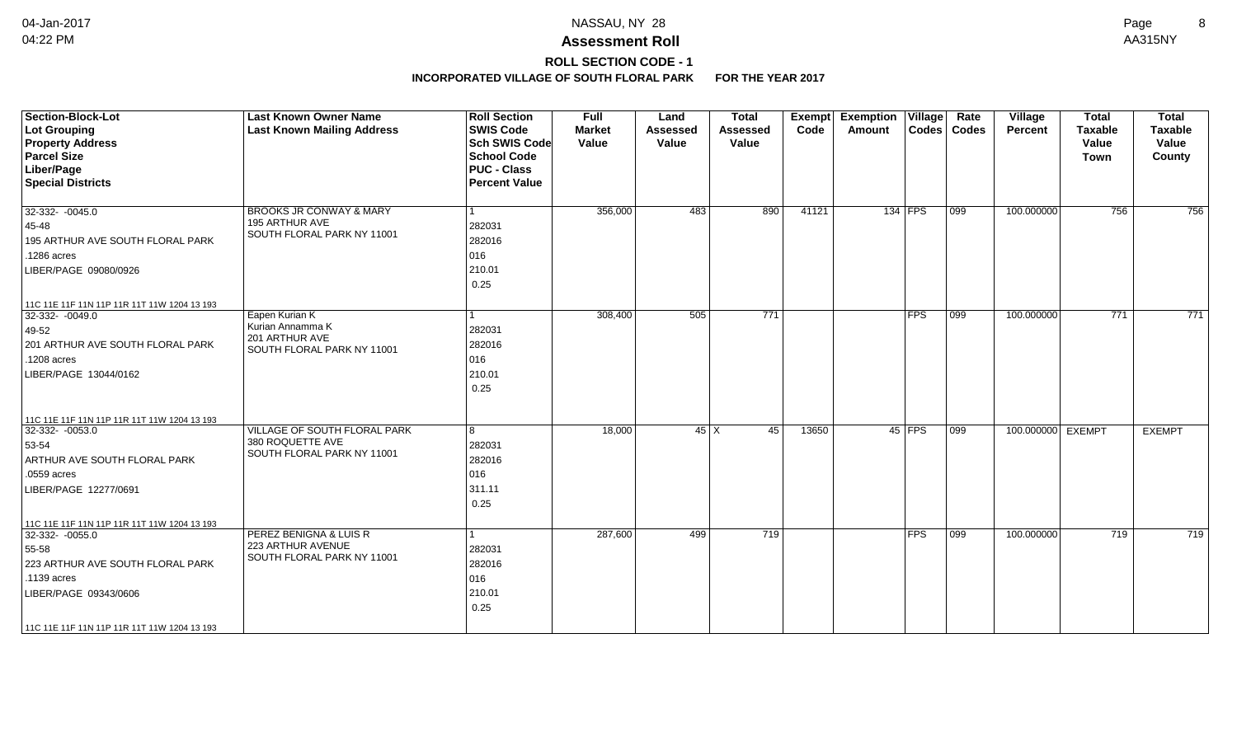## **ROLL SECTION CODE - 1**

| <b>Section-Block-Lot</b><br><b>Lot Grouping</b><br><b>Property Address</b><br><b>Parcel Size</b><br>Liber/Page<br><b>Special Districts</b>                                                     | <b>Last Known Owner Name</b><br><b>Last Known Mailing Address</b>                  | <b>Roll Section</b><br><b>SWIS Code</b><br><b>Sch SWIS Code</b><br><b>School Code</b><br><b>PUC - Class</b><br><b>Percent Value</b> | <b>Full</b><br><b>Market</b><br>Value | Land<br><b>Assessed</b><br>Value | <b>Total</b><br><b>Assessed</b><br>Value | <b>Exempt</b><br>Code | <b>Exemption Village</b><br>Amount |            | Rate<br>Codes   Codes | Village<br>Percent | <b>Total</b><br><b>Taxable</b><br>Value<br><b>Town</b> | <b>Total</b><br><b>Taxable</b><br>Value<br>County |
|------------------------------------------------------------------------------------------------------------------------------------------------------------------------------------------------|------------------------------------------------------------------------------------|-------------------------------------------------------------------------------------------------------------------------------------|---------------------------------------|----------------------------------|------------------------------------------|-----------------------|------------------------------------|------------|-----------------------|--------------------|--------------------------------------------------------|---------------------------------------------------|
| 32-332- -0045.0<br>45-48<br>195 ARTHUR AVE SOUTH FLORAL PARK<br>.1286 acres<br>LIBER/PAGE 09080/0926                                                                                           | <b>BROOKS JR CONWAY &amp; MARY</b><br>195 ARTHUR AVE<br>SOUTH FLORAL PARK NY 11001 | 1<br>282031<br>282016<br>016<br>210.01<br>0.25                                                                                      | 356,000                               | 483                              | 890                                      | 41121                 |                                    | $134$ FPS  | $ 099\rangle$         | 100.000000         | 756                                                    | 756                                               |
| 11C 11E 11E 11N 11P 11R 11T 11W 1204 13 193<br>32-332-0049.0<br>49-52<br>201 ARTHUR AVE SOUTH FLORAL PARK<br>.1208 acres<br>LIBER/PAGE 13044/0162                                              | Eapen Kurian K<br>Kurian Annamma K<br>201 ARTHUR AVE<br>SOUTH FLORAL PARK NY 11001 | 1<br>282031<br>282016<br>016<br>210.01<br>0.25                                                                                      | 308,400                               | 505                              | $\overline{771}$                         |                       |                                    | <b>FPS</b> | 099                   | 100.000000         | 771                                                    | 771                                               |
| 11C 11E 11F 11N 11P 11R 11T 11W 1204 13 193<br>32-332- -0053.0<br>53-54<br>ARTHUR AVE SOUTH FLORAL PARK<br>.0559 acres<br>LIBER/PAGE 12277/0691<br>11C 11E 11F 11N 11P 11R 11T 11W 1204 13 193 | VILLAGE OF SOUTH FLORAL PARK<br>380 ROQUETTE AVE<br>SOUTH FLORAL PARK NY 11001     | 8<br>282031<br>282016<br>016<br>311.11<br>0.25                                                                                      | 18,000                                | $45 \mid X$                      | 45                                       | 13650                 |                                    | $45$ FPS   | $\overline{099}$      | 100.000000 EXEMPT  |                                                        | <b>EXEMPT</b>                                     |
| 32-332- -0055.0<br>55-58<br>223 ARTHUR AVE SOUTH FLORAL PARK<br>.1139 acres<br>LIBER/PAGE 09343/0606<br>11C 11E 11F 11N 11P 11R 11T 11W 1204 13 193                                            | PEREZ BENIGNA & LUIS R<br>223 ARTHUR AVENUE<br>SOUTH FLORAL PARK NY 11001          | 282031<br>282016<br>016<br>210.01<br>0.25                                                                                           | 287,600                               | 499                              | 719                                      |                       |                                    | $ $ FPS    | $ 099\rangle$         | 100.000000         | 719                                                    | 719                                               |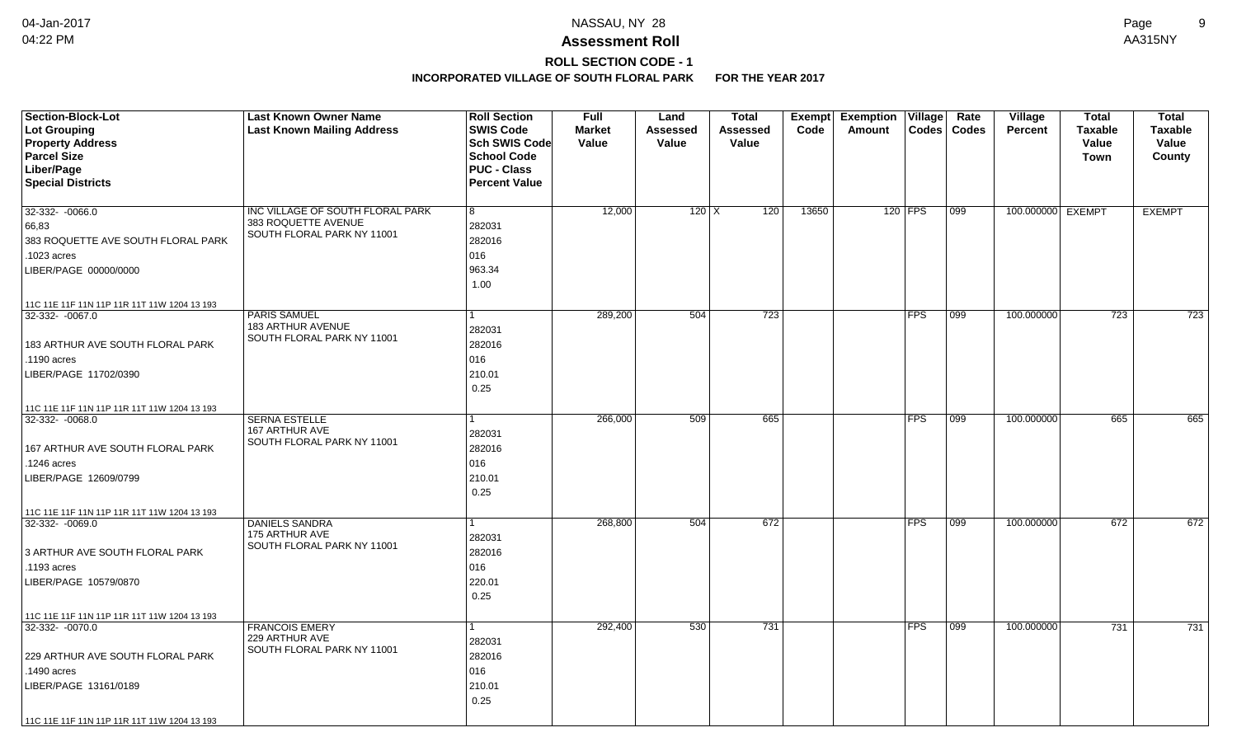# **ROLL SECTION CODE - 1**

| <b>Section-Block-Lot</b>                                       | <b>Last Known Owner Name</b>      | <b>Roll Section</b>  | <b>Full</b>   | Land            | <b>Total</b> |       | Exempt Exemption Village |            | Rate          | Village           | <b>Total</b>   | <b>Total</b>   |
|----------------------------------------------------------------|-----------------------------------|----------------------|---------------|-----------------|--------------|-------|--------------------------|------------|---------------|-------------------|----------------|----------------|
| Lot Grouping                                                   | <b>Last Known Mailing Address</b> | <b>SWIS Code</b>     | <b>Market</b> | <b>Assessed</b> | Assessed     | Code  | Amount                   |            | Codes   Codes | <b>Percent</b>    | <b>Taxable</b> | <b>Taxable</b> |
| <b>Property Address</b>                                        |                                   | Sch SWIS Code        | Value         | Value           | Value        |       |                          |            |               |                   | Value          | Value          |
| <b>Parcel Size</b>                                             |                                   | <b>School Code</b>   |               |                 |              |       |                          |            |               |                   | <b>Town</b>    | County         |
| Liber/Page                                                     |                                   | <b>PUC - Class</b>   |               |                 |              |       |                          |            |               |                   |                |                |
| <b>Special Districts</b>                                       |                                   | <b>Percent Value</b> |               |                 |              |       |                          |            |               |                   |                |                |
|                                                                |                                   |                      |               |                 |              |       |                          |            |               |                   |                |                |
| 32-332- -0066.0                                                | INC VILLAGE OF SOUTH FLORAL PARK  | 8                    | 12,000        | $120$ X         | 120          | 13650 |                          | 120 FPS    | $ 099\rangle$ | 100.000000 EXEMPT |                | <b>EXEMPT</b>  |
| 66,83                                                          | 383 ROQUETTE AVENUE               | 282031               |               |                 |              |       |                          |            |               |                   |                |                |
| 383 ROQUETTE AVE SOUTH FLORAL PARK                             | SOUTH FLORAL PARK NY 11001        | 282016               |               |                 |              |       |                          |            |               |                   |                |                |
| .1023 acres                                                    |                                   | 016                  |               |                 |              |       |                          |            |               |                   |                |                |
| LIBER/PAGE 00000/0000                                          |                                   | 963.34               |               |                 |              |       |                          |            |               |                   |                |                |
|                                                                |                                   | 1.00                 |               |                 |              |       |                          |            |               |                   |                |                |
|                                                                |                                   |                      |               |                 |              |       |                          |            |               |                   |                |                |
| 11C 11E 11F 11N 11P 11R 11T 11W 1204 13 193<br>32-332- -0067.0 | <b>PARIS SAMUEL</b>               |                      | 289,200       | 504             | 723          |       |                          | <b>FPS</b> | 099           | 100.000000        | 723            | 723            |
|                                                                | 183 ARTHUR AVENUE                 |                      |               |                 |              |       |                          |            |               |                   |                |                |
|                                                                | SOUTH FLORAL PARK NY 11001        | 282031               |               |                 |              |       |                          |            |               |                   |                |                |
| 183 ARTHUR AVE SOUTH FLORAL PARK                               |                                   | 282016               |               |                 |              |       |                          |            |               |                   |                |                |
| .1190 acres                                                    |                                   | 016                  |               |                 |              |       |                          |            |               |                   |                |                |
| LIBER/PAGE 11702/0390                                          |                                   | 210.01               |               |                 |              |       |                          |            |               |                   |                |                |
|                                                                |                                   | 0.25                 |               |                 |              |       |                          |            |               |                   |                |                |
| 11C 11E 11F 11N 11P 11R 11T 11W 1204 13 193                    |                                   |                      |               |                 |              |       |                          |            |               |                   |                |                |
| 32-332-0068.0                                                  | <b>SERNA ESTELLE</b>              |                      | 266,000       | 509             | 665          |       |                          | <b>FPS</b> | $ 099\rangle$ | 100.000000        | 665            | 665            |
|                                                                | 167 ARTHUR AVE                    | 282031               |               |                 |              |       |                          |            |               |                   |                |                |
| 167 ARTHUR AVE SOUTH FLORAL PARK                               | SOUTH FLORAL PARK NY 11001        | 282016               |               |                 |              |       |                          |            |               |                   |                |                |
| .1246 acres                                                    |                                   | 016                  |               |                 |              |       |                          |            |               |                   |                |                |
| LIBER/PAGE 12609/0799                                          |                                   | 210.01               |               |                 |              |       |                          |            |               |                   |                |                |
|                                                                |                                   | 0.25                 |               |                 |              |       |                          |            |               |                   |                |                |
| 11C 11E 11F 11N 11P 11R 11T 11W 1204 13 193                    |                                   |                      |               |                 |              |       |                          |            |               |                   |                |                |
| 32-332- -0069.0                                                | <b>DANIELS SANDRA</b>             |                      | 268,800       | 504             | 672          |       |                          | <b>FPS</b> | 099           | 100.000000        | 672            | 672            |
|                                                                | 175 ARTHUR AVE                    | 282031               |               |                 |              |       |                          |            |               |                   |                |                |
| 3 ARTHUR AVE SOUTH FLORAL PARK                                 | SOUTH FLORAL PARK NY 11001        | 282016               |               |                 |              |       |                          |            |               |                   |                |                |
| .1193 acres                                                    |                                   | 016                  |               |                 |              |       |                          |            |               |                   |                |                |
| LIBER/PAGE 10579/0870                                          |                                   | 220.01               |               |                 |              |       |                          |            |               |                   |                |                |
|                                                                |                                   | 0.25                 |               |                 |              |       |                          |            |               |                   |                |                |
|                                                                |                                   |                      |               |                 |              |       |                          |            |               |                   |                |                |
| 11C 11E 11F 11N 11P 11R 11T 11W 1204 13 193<br>32-332- -0070.0 | <b>FRANCOIS EMERY</b>             |                      | 292,400       | 530             | 731          |       |                          | <b>FPS</b> | 099           | 100.000000        | 731            | 731            |
|                                                                | 229 ARTHUR AVE                    |                      |               |                 |              |       |                          |            |               |                   |                |                |
|                                                                | SOUTH FLORAL PARK NY 11001        | 282031               |               |                 |              |       |                          |            |               |                   |                |                |
| 229 ARTHUR AVE SOUTH FLORAL PARK                               |                                   | 282016               |               |                 |              |       |                          |            |               |                   |                |                |
| .1490 acres                                                    |                                   | 016                  |               |                 |              |       |                          |            |               |                   |                |                |
| LIBER/PAGE 13161/0189                                          |                                   | 210.01               |               |                 |              |       |                          |            |               |                   |                |                |
|                                                                |                                   | 0.25                 |               |                 |              |       |                          |            |               |                   |                |                |
| 11C 11E 11F 11N 11P 11R 11T 11W 1204 13 193                    |                                   |                      |               |                 |              |       |                          |            |               |                   |                |                |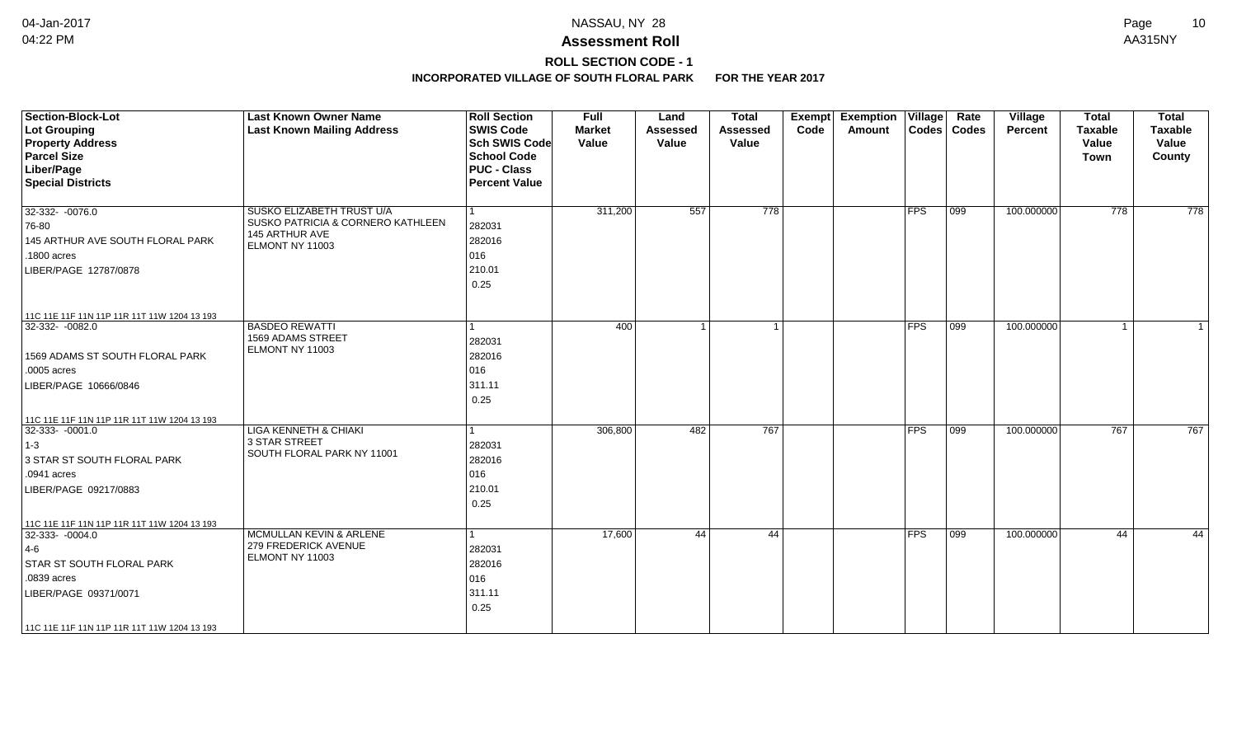## **ROLL SECTION CODE - 1**

| <b>Section-Block-Lot</b><br><b>Lot Grouping</b><br><b>Property Address</b><br><b>Parcel Size</b><br>Liber/Page<br><b>Special Districts</b>          | <b>Last Known Owner Name</b><br><b>Last Known Mailing Address</b>                                   | <b>Roll Section</b><br><b>SWIS Code</b><br><b>Sch SWIS Code</b><br><b>School Code</b><br><b>PUC - Class</b><br><b>Percent Value</b> | <b>Full</b><br><b>Market</b><br>Value | Land<br><b>Assessed</b><br>Value | <b>Total</b><br>Assessed<br>Value | Exempt<br>Code | <b>Exemption Village</b><br>Amount |               | Rate<br>Codes   Codes | <b>Village</b><br>Percent | <b>Total</b><br><b>Taxable</b><br>Value<br><b>Town</b> | <b>Total</b><br><b>Taxable</b><br>Value<br>County |
|-----------------------------------------------------------------------------------------------------------------------------------------------------|-----------------------------------------------------------------------------------------------------|-------------------------------------------------------------------------------------------------------------------------------------|---------------------------------------|----------------------------------|-----------------------------------|----------------|------------------------------------|---------------|-----------------------|---------------------------|--------------------------------------------------------|---------------------------------------------------|
| 32-332- -0076.0<br>76-80<br>145 ARTHUR AVE SOUTH FLORAL PARK<br>.1800 acres<br>LIBER/PAGE 12787/0878<br>11C 11E 11F 11N 11P 11R 11T 11W 1204 13 193 | SUSKO ELIZABETH TRUST U/A<br>SUSKO PATRICIA & CORNERO KATHLEEN<br>145 ARTHUR AVE<br>ELMONT NY 11003 | 282031<br>282016<br>016<br>210.01<br>0.25                                                                                           | 311,200                               | 557                              | 778                               |                |                                    | <b>FPS</b>    | $ 099\rangle$         | 100.000000                | 778                                                    | 778                                               |
| 32-332-0082.0<br>1569 ADAMS ST SOUTH FLORAL PARK<br>.0005 acres<br>LIBER/PAGE 10666/0846<br>11C 11E 11F 11N 11P 11R 11T 11W 1204 13 193             | <b>BASDEO REWATTI</b><br>1569 ADAMS STREET<br>ELMONT NY 11003                                       | 282031<br>282016<br>016<br>311.11<br>0.25                                                                                           | 400                                   |                                  | $\overline{1}$                    |                |                                    | <b>FPS</b>    | 099                   | 100.000000                | $\overline{1}$                                         |                                                   |
| 32-333- -0001.0<br>$1-3$<br>3 STAR ST SOUTH FLORAL PARK<br>.0941 acres<br>LIBER/PAGE 09217/0883<br>11C 11E 11F 11N 11P 11R 11T 11W 1204 13 193      | <b>LIGA KENNETH &amp; CHIAKI</b><br>3 STAR STREET<br>SOUTH FLORAL PARK NY 11001                     | 282031<br>282016<br>016<br>210.01<br>0.25                                                                                           | 306,800                               | 482                              | 767                               |                |                                    | $ {\sf FPS} $ | 099                   | 100.000000                | 767                                                    | 767                                               |
| 32-333- -0004.0<br>$4-6$<br><b>STAR ST SOUTH FLORAL PARK</b><br>.0839 acres<br>LIBER/PAGE 09371/0071<br>11C 11E 11F 11N 11P 11R 11T 11W 1204 13 193 | MCMULLAN KEVIN & ARLENE<br>279 FREDERICK AVENUE<br>ELMONT NY 11003                                  | 282031<br>282016<br>016<br>311.11<br>0.25                                                                                           | 17,600                                | 44                               | 44                                |                |                                    | $ {\sf FPS} $ | 099                   | 100.000000                | 44                                                     | 44                                                |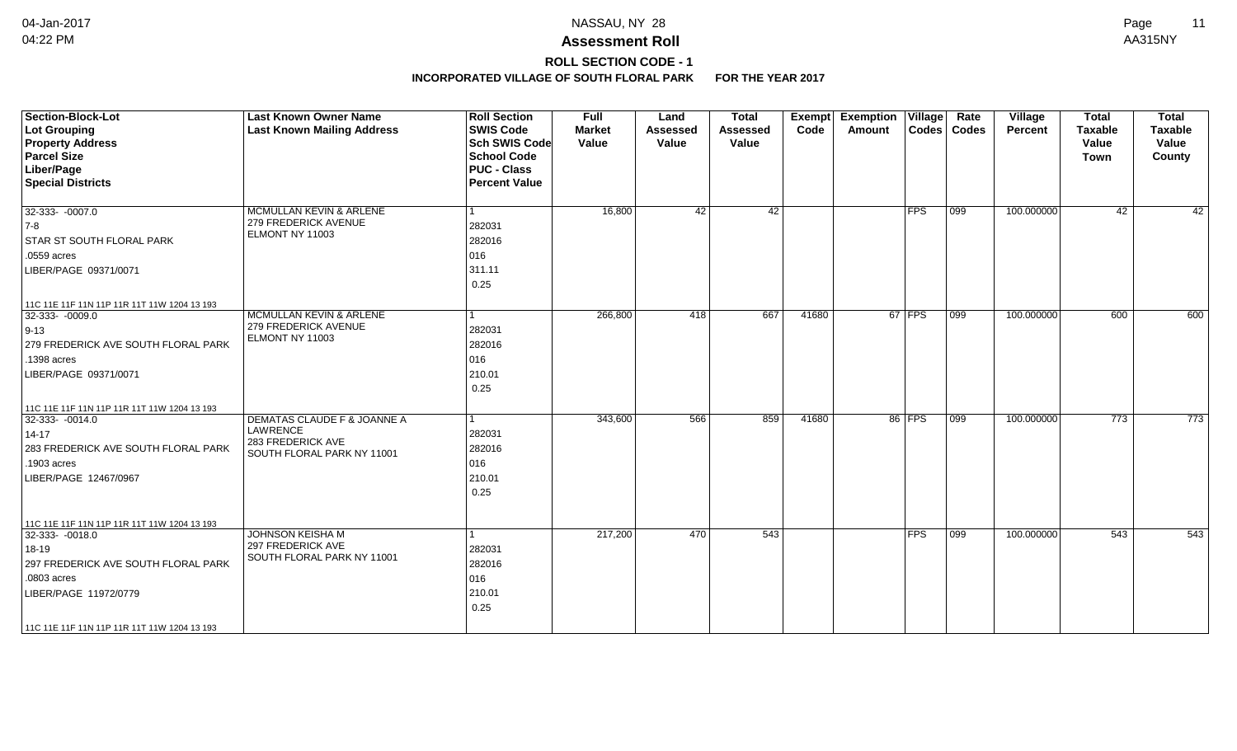# **ROLL SECTION CODE - 1**

| <b>Section-Block-Lot</b><br><b>Lot Grouping</b><br><b>Property Address</b><br><b>Parcel Size</b><br>Liber/Page<br><b>Special Districts</b>                                                               | <b>Last Known Owner Name</b><br><b>Last Known Mailing Address</b>                          | <b>Roll Section</b><br><b>SWIS Code</b><br><b>Sch SWIS Code</b><br><b>School Code</b><br><b>PUC - Class</b><br><b>Percent Value</b> | <b>Full</b><br><b>Market</b><br>Value | Land<br><b>Assessed</b><br>Value | <b>Total</b><br><b>Assessed</b><br>Value | Code  | <b>Exempt Exemption Village</b><br>Amount |               | Rate<br>Codes   Codes | Village<br>Percent | <b>Total</b><br><b>Taxable</b><br>Value<br><b>Town</b> | <b>Total</b><br><b>Taxable</b><br>Value<br>County |
|----------------------------------------------------------------------------------------------------------------------------------------------------------------------------------------------------------|--------------------------------------------------------------------------------------------|-------------------------------------------------------------------------------------------------------------------------------------|---------------------------------------|----------------------------------|------------------------------------------|-------|-------------------------------------------|---------------|-----------------------|--------------------|--------------------------------------------------------|---------------------------------------------------|
| 32-333- -0007.0<br>$ 7-8$<br><b>STAR ST SOUTH FLORAL PARK</b><br>.0559 acres<br>LIBER/PAGE 09371/0071                                                                                                    | MCMULLAN KEVIN & ARLENE<br>279 FREDERICK AVENUE<br>ELMONT NY 11003                         | 282031<br>282016<br>016<br>311.11<br>0.25                                                                                           | 16,800                                | 42                               | 42                                       |       |                                           | $ {\sf FPS} $ | $ 099\rangle$         | 100.000000         | 42                                                     | 42                                                |
| 11C 11E 11F 11N 11P 11R 11T 11W 1204 13 193<br>32-333- -0009.0<br>$ 9-13 $<br>279 FREDERICK AVE SOUTH FLORAL PARK<br>.1398 acres<br>LIBER/PAGE 09371/0071<br>11C 11E 11F 11N 11P 11R 11T 11W 1204 13 193 | <b>MCMULLAN KEVIN &amp; ARLENE</b><br>279 FREDERICK AVENUE<br>ELMONT NY 11003              | 1<br>282031<br>282016<br>016<br>210.01<br>0.25                                                                                      | 266,800                               | 418                              | 667                                      | 41680 |                                           | $67$ FPS      | $\overline{099}$      | 100.000000         | 600                                                    | 600                                               |
| 32-333- -0014.0<br>$14 - 17$<br>283 FREDERICK AVE SOUTH FLORAL PARK<br>.1903 acres<br>LIBER/PAGE 12467/0967                                                                                              | DEMATAS CLAUDE F & JOANNE A<br>LAWRENCE<br>283 FREDERICK AVE<br>SOUTH FLORAL PARK NY 11001 | 1<br>282031<br>282016<br>016<br>210.01<br>0.25                                                                                      | 343,600                               | 566                              | 859                                      | 41680 |                                           | 86 FPS        | $\overline{099}$      | 100.000000         | 773                                                    | 773                                               |
| 11C 11E 11F 11N 11P 11R 11T 11W 1204 13 193<br>32-333- -0018.0<br>18-19<br>297 FREDERICK AVE SOUTH FLORAL PARK<br>.0803 acres<br>LIBER/PAGE 11972/0779<br>11C 11E 11F 11N 11P 11R 11T 11W 1204 13 193    | JOHNSON KEISHA M<br>297 FREDERICK AVE<br>SOUTH FLORAL PARK NY 11001                        | 282031<br>282016<br>016<br>210.01<br>0.25                                                                                           | 217,200                               | 470                              | 543                                      |       |                                           | <b>FPS</b>    | 099                   | 100.000000         | 543                                                    | 543                                               |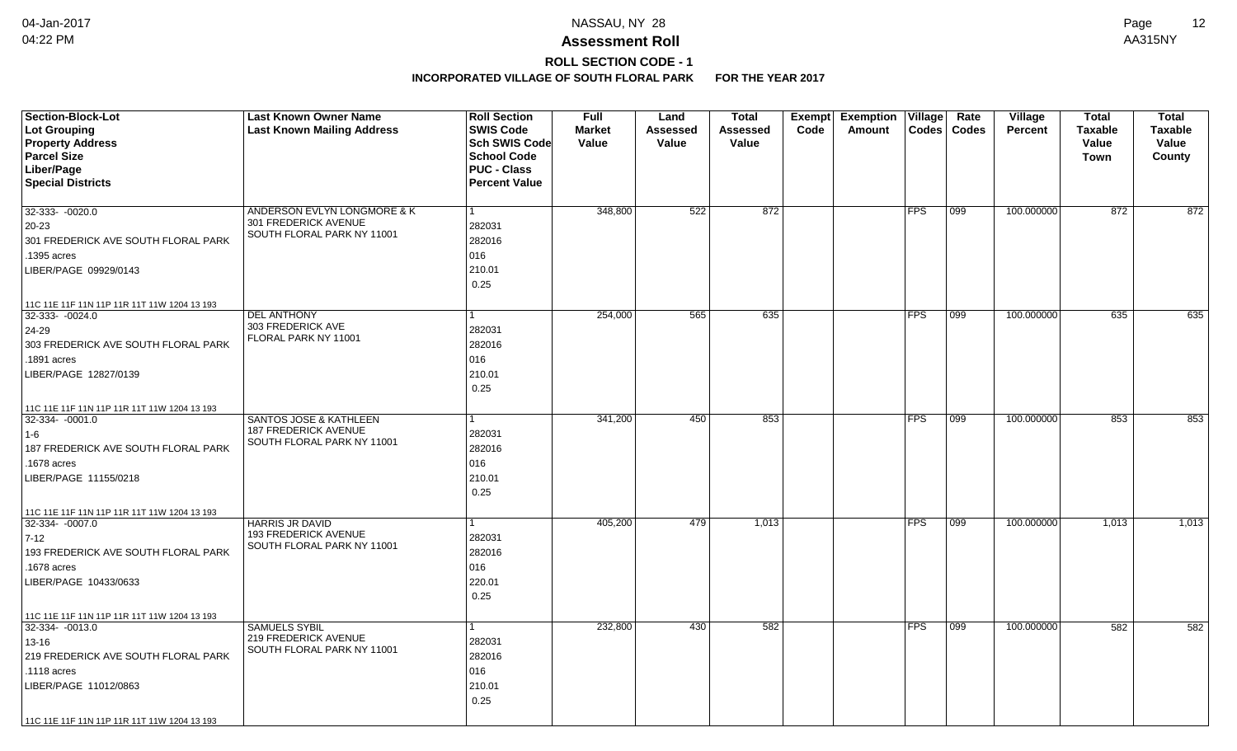## **ROLL SECTION CODE - 1**

| <b>Section-Block-Lot</b><br>Lot Grouping<br><b>Property Address</b><br><b>Parcel Size</b><br>Liber/Page<br><b>Special Districts</b>                                                                   | <b>Last Known Owner Name</b><br><b>Last Known Mailing Address</b>                              | <b>Roll Section</b><br><b>SWIS Code</b><br>Sch SWIS Code<br><b>School Code</b><br><b>PUC - Class</b><br><b>Percent Value</b> | Full<br><b>Market</b><br>Value | Land<br>Assessed<br>Value | <b>Total</b><br><b>Assessed</b><br>Value | Exempt<br>Code | <b>Exemption Village</b><br>Amount | $\text{Codes}$ | Rate<br><b>Codes</b> | <b>Village</b><br>Percent | <b>Total</b><br><b>Taxable</b><br>Value<br>Town | <b>Total</b><br><b>Taxable</b><br>Value<br>County |
|-------------------------------------------------------------------------------------------------------------------------------------------------------------------------------------------------------|------------------------------------------------------------------------------------------------|------------------------------------------------------------------------------------------------------------------------------|--------------------------------|---------------------------|------------------------------------------|----------------|------------------------------------|----------------|----------------------|---------------------------|-------------------------------------------------|---------------------------------------------------|
| $32-333 - 0020.0$<br>$20-23$<br>301 FREDERICK AVE SOUTH FLORAL PARK<br>1395 acres<br>LIBER/PAGE 09929/0143                                                                                            | ANDERSON EVLYN LONGMORE & K<br>301 FREDERICK AVENUE<br>SOUTH FLORAL PARK NY 11001              | 282031<br>282016<br>016<br>210.01<br>0.25                                                                                    | 348,800                        | 522                       | 872                                      |                |                                    | <b>FPS</b>     | 099                  | 100.000000                | 872                                             | 872                                               |
| 11C 11E 11F 11N 11P 11R 11T 11W 1204 13 193<br>32-333- -0024.0<br>24-29<br>303 FREDERICK AVE SOUTH FLORAL PARK<br>.1891 acres<br>LIBER/PAGE 12827/0139<br>11C 11E 11F 11N 11P 11R 11T 11W 1204 13 193 | <b>DEL ANTHONY</b><br>303 FREDERICK AVE<br>FLORAL PARK NY 11001                                | 282031<br>282016<br>016<br>210.01<br>0.25                                                                                    | 254,000                        | 565                       | 635                                      |                |                                    | <b>FPS</b>     | 099                  | 100.000000                | 635                                             | 635                                               |
| 32-334- -0001.0<br>$ 1-6 $<br>187 FREDERICK AVE SOUTH FLORAL PARK<br>.1678 acres<br>LIBER/PAGE 11155/0218<br>11C 11E 11F 11N 11P 11R 11T 11W 1204 13 193                                              | <b>SANTOS JOSE &amp; KATHLEEN</b><br><b>187 FREDERICK AVENUE</b><br>SOUTH FLORAL PARK NY 11001 | 282031<br>282016<br>016<br>210.01<br>0.25                                                                                    | 341,200                        | 450                       | 853                                      |                |                                    | FPS            | 099                  | 100.000000                | 853                                             | 853                                               |
| 32-334- -0007.0<br>$7-12$<br>193 FREDERICK AVE SOUTH FLORAL PARK<br>1678 acres<br>LIBER/PAGE 10433/0633<br>11C 11E 11F 11N 11P 11R 11T 11W 1204 13 193                                                | <b>HARRIS JR DAVID</b><br><b>193 FREDERICK AVENUE</b><br>SOUTH FLORAL PARK NY 11001            | 282031<br>282016<br>016<br>220.01<br>0.25                                                                                    | 405,200                        | 479                       | 1,013                                    |                |                                    | <b>FPS</b>     | 099                  | 100.000000                | 1,013                                           | 1,013                                             |
| 32-334-0013.0<br>13-16<br>219 FREDERICK AVE SOUTH FLORAL PARK<br>.1118 acres<br>LIBER/PAGE 11012/0863<br>11C 11E 11F 11N 11P 11R 11T 11W 1204 13 193                                                  | <b>SAMUELS SYBIL</b><br><b>219 FREDERICK AVENUE</b><br>SOUTH FLORAL PARK NY 11001              | 282031<br>282016<br>016<br>210.01<br>0.25                                                                                    | 232,800                        | 430                       | 582                                      |                |                                    | <b>FPS</b>     | 099                  | 100.000000                | 582                                             | 582                                               |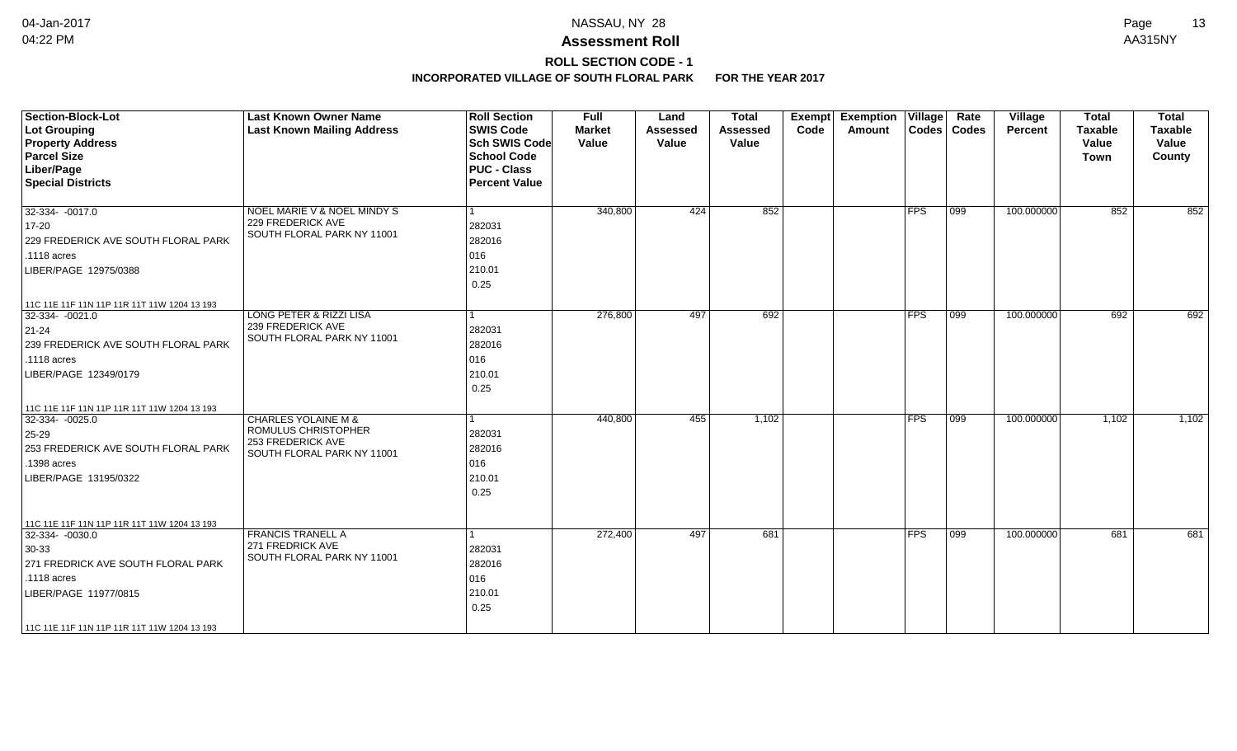# **ROLL SECTION CODE - 1**

| <b>Section-Block-Lot</b><br>Lot Grouping<br><b>Property Address</b><br><b>Parcel Size</b><br>Liber/Page<br><b>Special Districts</b>                          | <b>Last Known Owner Name</b><br><b>Last Known Mailing Address</b>                                        | <b>Roll Section</b><br><b>SWIS Code</b><br><b>Sch SWIS Code</b><br><b>School Code</b><br><b>PUC - Class</b><br><b>Percent Value</b> | <b>Full</b><br><b>Market</b><br>Value | Land<br><b>Assessed</b><br>Value | <b>Total</b><br><b>Assessed</b><br>Value | Exempt<br>Code | <b>Exemption Village</b><br>Amount |               | Rate<br>Codes   Codes | Village<br>Percent | <b>Total</b><br><b>Taxable</b><br>Value<br><b>Town</b> | <b>Total</b><br><b>Taxable</b><br>Value<br>County |
|--------------------------------------------------------------------------------------------------------------------------------------------------------------|----------------------------------------------------------------------------------------------------------|-------------------------------------------------------------------------------------------------------------------------------------|---------------------------------------|----------------------------------|------------------------------------------|----------------|------------------------------------|---------------|-----------------------|--------------------|--------------------------------------------------------|---------------------------------------------------|
| $32-334 - 0017.0$<br>$17 - 20$<br>229 FREDERICK AVE SOUTH FLORAL PARK<br>.1118 acres<br>LIBER/PAGE 12975/0388<br>11C 11E 11F 11N 11P 11R 11T 11W 1204 13 193 | <b>NOEL MARIE V &amp; NOEL MINDY S</b><br>229 FREDERICK AVE<br>SOUTH FLORAL PARK NY 11001                | 282031<br>282016<br>016<br>210.01<br>0.25                                                                                           | 340,800                               | 424                              | 852                                      |                |                                    | $ {\sf FPS} $ | $ 099\rangle$         | 100.000000         | 852                                                    | 852                                               |
| $ 32-334-0021.0$<br>$ 21-24$<br>239 FREDERICK AVE SOUTH FLORAL PARK<br>.1118 acres<br>LIBER/PAGE 12349/0179<br>11C 11E 11F 11N 11P 11R 11T 11W 1204 13 193   | <b>LONG PETER &amp; RIZZI LISA</b><br>239 FREDERICK AVE<br>SOUTH FLORAL PARK NY 11001                    | 282031<br>282016<br>016<br>210.01<br>0.25                                                                                           | 276,800                               | 497                              | 692                                      |                |                                    | <b>IFPS</b>   | $\overline{099}$      | 100.000000         | 692                                                    | 692                                               |
| $ 32-334-0025.0$<br>$ 25-29 $<br>253 FREDERICK AVE SOUTH FLORAL PARK<br>.1398 acres<br>LIBER/PAGE 13195/0322<br>11C 11E 11F 11N 11P 11R 11T 11W 1204 13 193  | <b>CHARLES YOLAINE M &amp;</b><br>ROMULUS CHRISTOPHER<br>253 FREDERICK AVE<br>SOUTH FLORAL PARK NY 11001 | 282031<br>282016<br>016<br>210.01<br>0.25                                                                                           | 440,800                               | 455                              | 1,102                                    |                |                                    | <b>FPS</b>    | $\overline{099}$      | 100.000000         | 1,102                                                  | 1,102                                             |
| 32-334-0030.0<br>$30-33$<br>271 FREDRICK AVE SOUTH FLORAL PARK<br>.1118 acres<br>LIBER/PAGE 11977/0815<br>  11C 11E 11F 11N 11P 11R 11T 11W 1204 13 193      | <b>FRANCIS TRANELL A</b><br>271 FREDRICK AVE<br>SOUTH FLORAL PARK NY 11001                               | 282031<br>282016<br>016<br>210.01<br>0.25                                                                                           | 272,400                               | 497                              | 681                                      |                |                                    | <b>FPS</b>    | 099                   | 100.000000         | 681                                                    | 681                                               |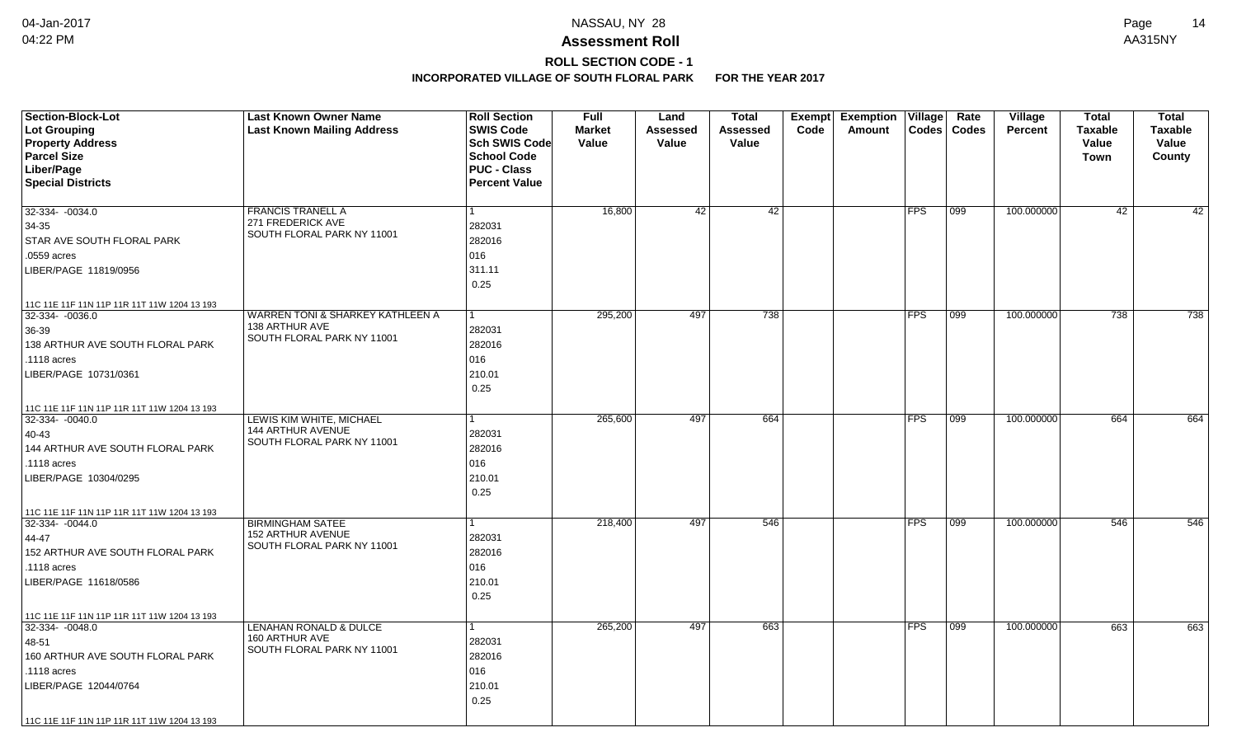# **ROLL SECTION CODE - 1**

| <b>Section-Block-Lot</b><br>Lot Grouping<br><b>Property Address</b><br><b>Parcel Size</b><br>Liber/Page<br><b>Special Districts</b>                                                                | <b>Last Known Owner Name</b><br><b>Last Known Mailing Address</b>                           | <b>Roll Section</b><br><b>SWIS Code</b><br><b>Sch SWIS Code</b><br><b>School Code</b><br><b>PUC - Class</b><br><b>Percent Value</b> | <b>Full</b><br><b>Market</b><br>Value | Land<br>Assessed<br>Value | <b>Total</b><br>Assessed<br>Value | Exempt<br>Code | Exemption   Village  <br>Amount | Codes      | Rate<br><b>Codes</b> | <b>Village</b><br><b>Percent</b> | <b>Total</b><br><b>Taxable</b><br>Value<br><b>Town</b> | <b>Total</b><br><b>Taxable</b><br>Value<br>County |
|----------------------------------------------------------------------------------------------------------------------------------------------------------------------------------------------------|---------------------------------------------------------------------------------------------|-------------------------------------------------------------------------------------------------------------------------------------|---------------------------------------|---------------------------|-----------------------------------|----------------|---------------------------------|------------|----------------------|----------------------------------|--------------------------------------------------------|---------------------------------------------------|
| 32-334- -0034.0<br>34-35<br>STAR AVE SOUTH FLORAL PARK<br>.0559 acres<br>LIBER/PAGE 11819/0956                                                                                                     | <b>FRANCIS TRANELL A</b><br>271 FREDERICK AVE<br>SOUTH FLORAL PARK NY 11001                 | 282031<br>282016<br>016<br>311.11<br>0.25                                                                                           | 16,800                                | 42                        | $\overline{42}$                   |                |                                 | <b>FPS</b> | 099                  | 100.000000                       | 42                                                     | $\overline{42}$                                   |
| 11C 11E 11F 11N 11P 11R 11T 11W 1204 13 193<br>32-334- -0036.0<br>36-39<br>138 ARTHUR AVE SOUTH FLORAL PARK<br>.1118 acres<br>LIBER/PAGE 10731/0361<br>11C 11E 11F 11N 11P 11R 11T 11W 1204 13 193 | <b>WARREN TONI &amp; SHARKEY KATHLEEN A</b><br>138 ARTHUR AVE<br>SOUTH FLORAL PARK NY 11001 | 1<br>282031<br>282016<br>016<br>210.01<br>0.25                                                                                      | 295,200                               | 497                       | 738                               |                |                                 | FPS        | 099                  | 100.000000                       | 738                                                    | 738                                               |
| 32-334- -0040.0<br>40-43<br>144 ARTHUR AVE SOUTH FLORAL PARK<br>.1118 acres<br>LIBER/PAGE 10304/0295                                                                                               | LEWIS KIM WHITE, MICHAEL<br>144 ARTHUR AVENUE<br>SOUTH FLORAL PARK NY 11001                 | 1<br>282031<br>282016<br>016<br>210.01<br>0.25                                                                                      | 265,600                               | 497                       | 664                               |                |                                 | FPS        | 099                  | 100.000000                       | 664                                                    | 664                                               |
| 11C 11E 11F 11N 11P 11R 11T 11W 1204 13 193<br>32-334-0044.0<br>44-47<br>152 ARTHUR AVE SOUTH FLORAL PARK<br>.1118 acres<br>LIBER/PAGE 11618/0586<br>11C 11E 11F 11N 11P 11R 11T 11W 1204 13 193   | <b>BIRMINGHAM SATEE</b><br>152 ARTHUR AVENUE<br>SOUTH FLORAL PARK NY 11001                  | 282031<br>282016<br>016<br>210.01<br>0.25                                                                                           | 218,400                               | 497                       | 546                               |                |                                 | <b>FPS</b> | 099                  | 100.000000                       | 546                                                    | 546                                               |
| 32-334-0048.0<br>48-51<br>160 ARTHUR AVE SOUTH FLORAL PARK<br>.1118 acres<br>LIBER/PAGE 12044/0764<br>11C 11E 11F 11N 11P 11R 11T 11W 1204 13 193                                                  | <b>LENAHAN RONALD &amp; DULCE</b><br>160 ARTHUR AVE<br>SOUTH FLORAL PARK NY 11001           | 282031<br>282016<br>016<br>210.01<br>0.25                                                                                           | 265,200                               | 497                       | 663                               |                |                                 | <b>FPS</b> | 099                  | 100.000000                       | 663                                                    | 663                                               |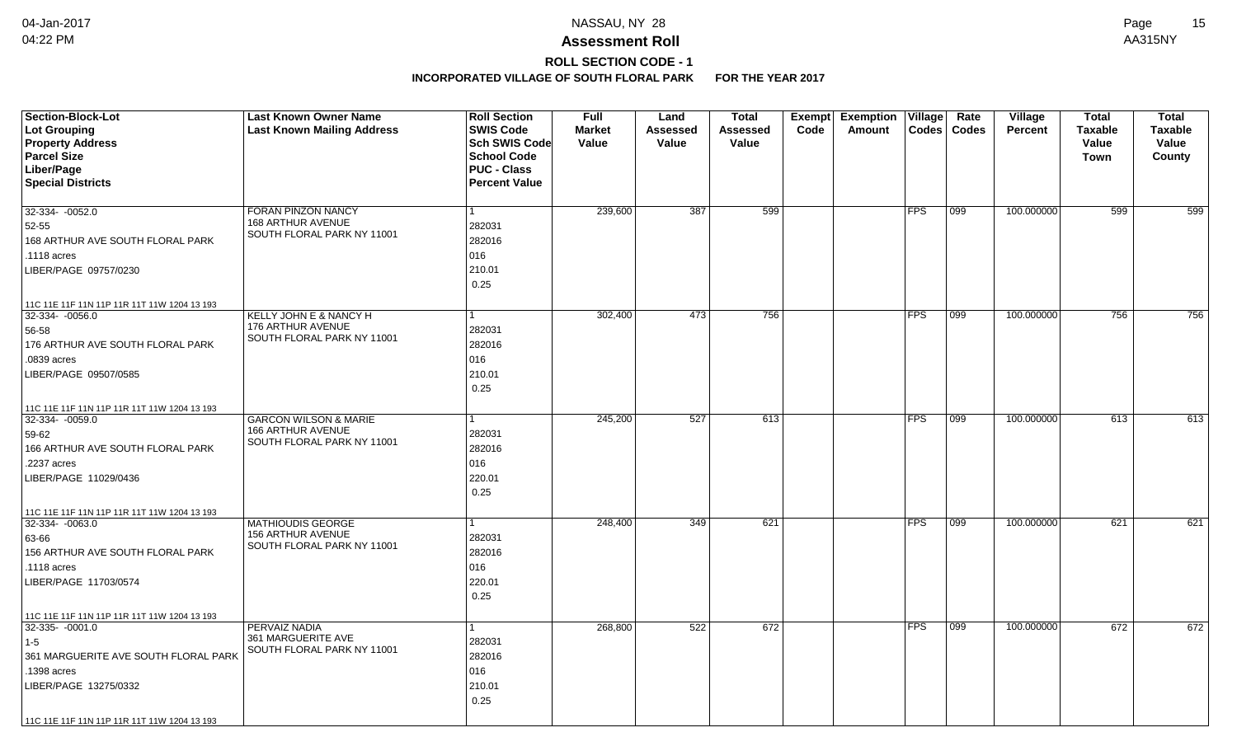# **ROLL SECTION CODE - 1**

| <b>Section-Block-Lot</b><br>Lot Grouping<br><b>Property Address</b> | <b>Last Known Owner Name</b><br><b>Last Known Mailing Address</b> | <b>Roll Section</b><br><b>SWIS Code</b><br><b>Sch SWIS Code</b> | <b>Full</b><br><b>Market</b><br>Value | Land<br>Assessed<br>Value | <b>Total</b><br><b>Assessed</b><br>Value | <b>Exempt</b><br>Code | <b>Exemption Village</b><br>Amount | <b>Codes</b> | Rate<br><b>Codes</b> | Village<br><b>Percent</b> | <b>Total</b><br><b>Taxable</b><br>Value | <b>Total</b><br><b>Taxable</b><br>Value |
|---------------------------------------------------------------------|-------------------------------------------------------------------|-----------------------------------------------------------------|---------------------------------------|---------------------------|------------------------------------------|-----------------------|------------------------------------|--------------|----------------------|---------------------------|-----------------------------------------|-----------------------------------------|
| <b>Parcel Size</b>                                                  |                                                                   | <b>School Code</b>                                              |                                       |                           |                                          |                       |                                    |              |                      |                           | <b>Town</b>                             | County                                  |
| Liber/Page                                                          |                                                                   | <b>PUC - Class</b>                                              |                                       |                           |                                          |                       |                                    |              |                      |                           |                                         |                                         |
| <b>Special Districts</b>                                            |                                                                   | <b>Percent Value</b>                                            |                                       |                           |                                          |                       |                                    |              |                      |                           |                                         |                                         |
| 32-334- -0052.0                                                     | <b>FORAN PINZON NANCY</b>                                         |                                                                 | 239,600                               | 387                       | 599                                      |                       |                                    | <b>FPS</b>   | 099                  | 100.000000                | 599                                     | 599                                     |
| 52-55                                                               | <b>168 ARTHUR AVENUE</b>                                          | 282031                                                          |                                       |                           |                                          |                       |                                    |              |                      |                           |                                         |                                         |
| 168 ARTHUR AVE SOUTH FLORAL PARK                                    | SOUTH FLORAL PARK NY 11001                                        | 282016                                                          |                                       |                           |                                          |                       |                                    |              |                      |                           |                                         |                                         |
| .1118 acres                                                         |                                                                   | 016                                                             |                                       |                           |                                          |                       |                                    |              |                      |                           |                                         |                                         |
| LIBER/PAGE 09757/0230                                               |                                                                   | 210.01                                                          |                                       |                           |                                          |                       |                                    |              |                      |                           |                                         |                                         |
|                                                                     |                                                                   | 0.25                                                            |                                       |                           |                                          |                       |                                    |              |                      |                           |                                         |                                         |
| 11C 11E 11F 11N 11P 11R 11T 11W 1204 13 193                         |                                                                   |                                                                 |                                       |                           |                                          |                       |                                    |              |                      |                           |                                         |                                         |
| $32-334 - 0056.0$                                                   | KELLY JOHN E & NANCY H                                            | 1                                                               | 302,400                               | 473                       | 756                                      |                       |                                    | <b>FPS</b>   | 099                  | 100.000000                | 756                                     | 756                                     |
| 56-58                                                               | 176 ARTHUR AVENUE<br>SOUTH FLORAL PARK NY 11001                   | 282031                                                          |                                       |                           |                                          |                       |                                    |              |                      |                           |                                         |                                         |
| 176 ARTHUR AVE SOUTH FLORAL PARK                                    |                                                                   | 282016                                                          |                                       |                           |                                          |                       |                                    |              |                      |                           |                                         |                                         |
| .0839 acres                                                         |                                                                   | 016                                                             |                                       |                           |                                          |                       |                                    |              |                      |                           |                                         |                                         |
| LIBER/PAGE 09507/0585                                               |                                                                   | 210.01                                                          |                                       |                           |                                          |                       |                                    |              |                      |                           |                                         |                                         |
|                                                                     |                                                                   | 0.25                                                            |                                       |                           |                                          |                       |                                    |              |                      |                           |                                         |                                         |
| 11C 11E 11F 11N 11P 11R 11T 11W 1204 13 193                         |                                                                   |                                                                 |                                       |                           |                                          |                       |                                    |              |                      |                           |                                         |                                         |
| 32-334-0059.0                                                       | <b>GARCON WILSON &amp; MARIE</b><br>166 ARTHUR AVENUE             |                                                                 | 245,200                               | 527                       | 613                                      |                       |                                    | <b>FPS</b>   | $ 099\rangle$        | 100.000000                | 613                                     | 613                                     |
| 59-62                                                               | SOUTH FLORAL PARK NY 11001                                        | 282031                                                          |                                       |                           |                                          |                       |                                    |              |                      |                           |                                         |                                         |
| 166 ARTHUR AVE SOUTH FLORAL PARK                                    |                                                                   | 282016                                                          |                                       |                           |                                          |                       |                                    |              |                      |                           |                                         |                                         |
| .2237 acres                                                         |                                                                   | 016                                                             |                                       |                           |                                          |                       |                                    |              |                      |                           |                                         |                                         |
| LIBER/PAGE 11029/0436                                               |                                                                   | 220.01                                                          |                                       |                           |                                          |                       |                                    |              |                      |                           |                                         |                                         |
|                                                                     |                                                                   | 0.25                                                            |                                       |                           |                                          |                       |                                    |              |                      |                           |                                         |                                         |
| 11C 11E 11F 11N 11P 11R 11T 11W 1204 13 193<br>$32 - 334 - 0063.0$  | <b>MATHIOUDIS GEORGE</b>                                          |                                                                 | 248,400                               | 349                       | 621                                      |                       |                                    | <b>FPS</b>   | 099                  | 100.000000                | 621                                     | 621                                     |
| 63-66                                                               | <b>156 ARTHUR AVENUE</b>                                          | 282031                                                          |                                       |                           |                                          |                       |                                    |              |                      |                           |                                         |                                         |
| 156 ARTHUR AVE SOUTH FLORAL PARK                                    | SOUTH FLORAL PARK NY 11001                                        | 282016                                                          |                                       |                           |                                          |                       |                                    |              |                      |                           |                                         |                                         |
| .1118 acres                                                         |                                                                   | 016                                                             |                                       |                           |                                          |                       |                                    |              |                      |                           |                                         |                                         |
| LIBER/PAGE 11703/0574                                               |                                                                   | 220.01                                                          |                                       |                           |                                          |                       |                                    |              |                      |                           |                                         |                                         |
|                                                                     |                                                                   | 0.25                                                            |                                       |                           |                                          |                       |                                    |              |                      |                           |                                         |                                         |
| 11C 11E 11F 11N 11P 11R 11T 11W 1204 13 193                         |                                                                   |                                                                 |                                       |                           |                                          |                       |                                    |              |                      |                           |                                         |                                         |
| $32-335 - 0001.0$                                                   | PERVAIZ NADIA                                                     |                                                                 | 268,800                               | 522                       | 672                                      |                       |                                    | <b>FPS</b>   | 099                  | 100.000000                | 672                                     | 672                                     |
| $1-5$                                                               | 361 MARGUERITE AVE                                                | 282031                                                          |                                       |                           |                                          |                       |                                    |              |                      |                           |                                         |                                         |
| 361 MARGUERITE AVE SOUTH FLORAL PARK                                | SOUTH FLORAL PARK NY 11001                                        | 282016                                                          |                                       |                           |                                          |                       |                                    |              |                      |                           |                                         |                                         |
| .1398 acres                                                         |                                                                   | 016                                                             |                                       |                           |                                          |                       |                                    |              |                      |                           |                                         |                                         |
| LIBER/PAGE 13275/0332                                               |                                                                   | 210.01                                                          |                                       |                           |                                          |                       |                                    |              |                      |                           |                                         |                                         |
|                                                                     |                                                                   | 0.25                                                            |                                       |                           |                                          |                       |                                    |              |                      |                           |                                         |                                         |
| 11C 11E 11F 11N 11P 11R 11T 11W 1204 13 193                         |                                                                   |                                                                 |                                       |                           |                                          |                       |                                    |              |                      |                           |                                         |                                         |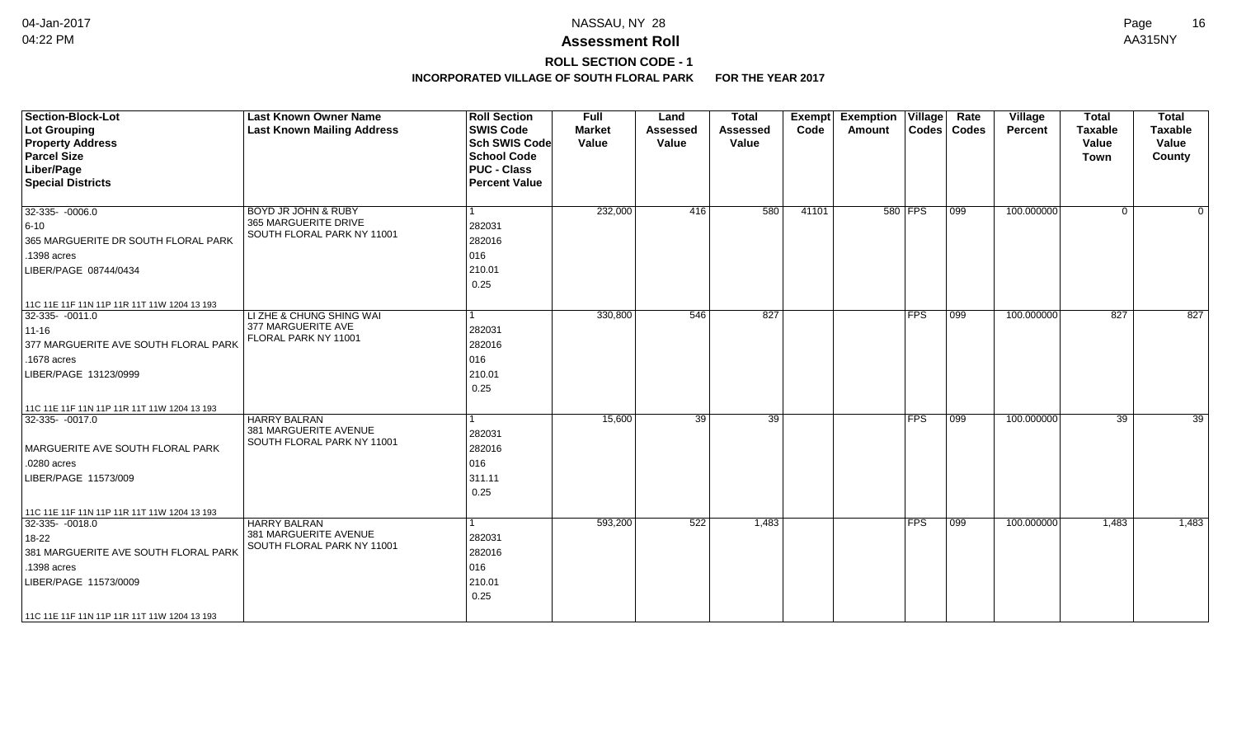## **ROLL SECTION CODE - 1**

| Section-Block-Lot<br>Lot Grouping                                | <b>Last Known Owner Name</b><br><b>Last Known Mailing Address</b> | <b>Roll Section</b><br><b>SWIS Code</b> | <b>Full</b><br><b>Market</b> | Land<br><b>Assessed</b> | <b>Total</b><br><b>Assessed</b> | Exempt<br>Code | <b>Exemption Village</b><br>Amount |            | Rate<br>Codes   Codes | Village<br>Percent | <b>Total</b><br><b>Taxable</b> | <b>Total</b><br><b>Taxable</b> |
|------------------------------------------------------------------|-------------------------------------------------------------------|-----------------------------------------|------------------------------|-------------------------|---------------------------------|----------------|------------------------------------|------------|-----------------------|--------------------|--------------------------------|--------------------------------|
| <b>Property Address</b>                                          |                                                                   | <b>Sch SWIS Code</b>                    | Value                        | Value                   | Value                           |                |                                    |            |                       |                    | Value                          | Value                          |
| <b>Parcel Size</b>                                               |                                                                   | <b>School Code</b>                      |                              |                         |                                 |                |                                    |            |                       |                    | <b>Town</b>                    | County                         |
| Liber/Page                                                       |                                                                   | <b>PUC - Class</b>                      |                              |                         |                                 |                |                                    |            |                       |                    |                                |                                |
| <b>Special Districts</b>                                         |                                                                   | <b>Percent Value</b>                    |                              |                         |                                 |                |                                    |            |                       |                    |                                |                                |
|                                                                  |                                                                   |                                         |                              |                         |                                 |                |                                    |            |                       |                    |                                |                                |
| $ 32-335-0006.0$                                                 | BOYD JR JOHN & RUBY                                               |                                         | 232,000                      | 416                     | 580                             | 41101          |                                    | 580 FPS    | $ 099\rangle$         | 100.000000         | $\overline{0}$                 | $\Omega$                       |
| $ 6 - 10 $                                                       | 365 MARGUERITE DRIVE                                              | 282031                                  |                              |                         |                                 |                |                                    |            |                       |                    |                                |                                |
| 365 MARGUERITE DR SOUTH FLORAL PARK                              | SOUTH FLORAL PARK NY 11001                                        | 282016                                  |                              |                         |                                 |                |                                    |            |                       |                    |                                |                                |
| 1398 acres                                                       |                                                                   | 016                                     |                              |                         |                                 |                |                                    |            |                       |                    |                                |                                |
| LIBER/PAGE 08744/0434                                            |                                                                   | 210.01                                  |                              |                         |                                 |                |                                    |            |                       |                    |                                |                                |
|                                                                  |                                                                   | 0.25                                    |                              |                         |                                 |                |                                    |            |                       |                    |                                |                                |
|                                                                  |                                                                   |                                         |                              |                         |                                 |                |                                    |            |                       |                    |                                |                                |
| 11C 11E 11F 11N 11P 11R 11T 11W 1204 13 193<br>$32-335 - 0011.0$ | LI ZHE & CHUNG SHING WAI                                          |                                         | 330,800                      | 546                     | 827                             |                |                                    | <b>FPS</b> | $\overline{)099}$     | 100.000000         | 827                            | 827                            |
| $11 - 16$                                                        | 377 MARGUERITE AVE                                                | 282031                                  |                              |                         |                                 |                |                                    |            |                       |                    |                                |                                |
| 377 MARGUERITE AVE SOUTH FLORAL PARK                             | FLORAL PARK NY 11001                                              | 282016                                  |                              |                         |                                 |                |                                    |            |                       |                    |                                |                                |
| .1678 acres                                                      |                                                                   | 016                                     |                              |                         |                                 |                |                                    |            |                       |                    |                                |                                |
|                                                                  |                                                                   | 210.01                                  |                              |                         |                                 |                |                                    |            |                       |                    |                                |                                |
| LIBER/PAGE 13123/0999                                            |                                                                   | 0.25                                    |                              |                         |                                 |                |                                    |            |                       |                    |                                |                                |
|                                                                  |                                                                   |                                         |                              |                         |                                 |                |                                    |            |                       |                    |                                |                                |
| 11C 11E 11F 11N 11P 11R 11T 11W 1204 13 193                      |                                                                   |                                         |                              |                         |                                 |                |                                    |            |                       |                    |                                |                                |
| $32-335 - 0017.0$                                                | <b>HARRY BALRAN</b><br>381 MARGUERITE AVENUE                      |                                         | 15,600                       | $\overline{39}$         | $\overline{39}$                 |                |                                    | <b>FPS</b> | $\overline{099}$      | 100.000000         | 39                             | $\overline{39}$                |
|                                                                  | SOUTH FLORAL PARK NY 11001                                        | 282031                                  |                              |                         |                                 |                |                                    |            |                       |                    |                                |                                |
| MARGUERITE AVE SOUTH FLORAL PARK                                 |                                                                   | 282016                                  |                              |                         |                                 |                |                                    |            |                       |                    |                                |                                |
| .0280 acres                                                      |                                                                   | 016                                     |                              |                         |                                 |                |                                    |            |                       |                    |                                |                                |
| LIBER/PAGE 11573/009                                             |                                                                   | 311.11                                  |                              |                         |                                 |                |                                    |            |                       |                    |                                |                                |
|                                                                  |                                                                   | 0.25                                    |                              |                         |                                 |                |                                    |            |                       |                    |                                |                                |
| 11C 11E 11F 11N 11P 11R 11T 11W 1204 13 193                      |                                                                   |                                         |                              |                         |                                 |                |                                    |            |                       |                    |                                |                                |
| 32-335-0018.0                                                    | <b>HARRY BALRAN</b>                                               |                                         | 593,200                      | 522                     | 1,483                           |                |                                    | <b>FPS</b> | $\overline{099}$      | 100.000000         | 1,483                          | 1,483                          |
| 18-22                                                            | 381 MARGUERITE AVENUE                                             | 282031                                  |                              |                         |                                 |                |                                    |            |                       |                    |                                |                                |
| 381 MARGUERITE AVE SOUTH FLORAL PARK                             | SOUTH FLORAL PARK NY 11001                                        | 282016                                  |                              |                         |                                 |                |                                    |            |                       |                    |                                |                                |
| 1398 acres                                                       |                                                                   | 016                                     |                              |                         |                                 |                |                                    |            |                       |                    |                                |                                |
| LIBER/PAGE 11573/0009                                            |                                                                   | 210.01                                  |                              |                         |                                 |                |                                    |            |                       |                    |                                |                                |
|                                                                  |                                                                   | 0.25                                    |                              |                         |                                 |                |                                    |            |                       |                    |                                |                                |
| 11C 11E 11F 11N 11P 11R 11T 11W 1204 13 193                      |                                                                   |                                         |                              |                         |                                 |                |                                    |            |                       |                    |                                |                                |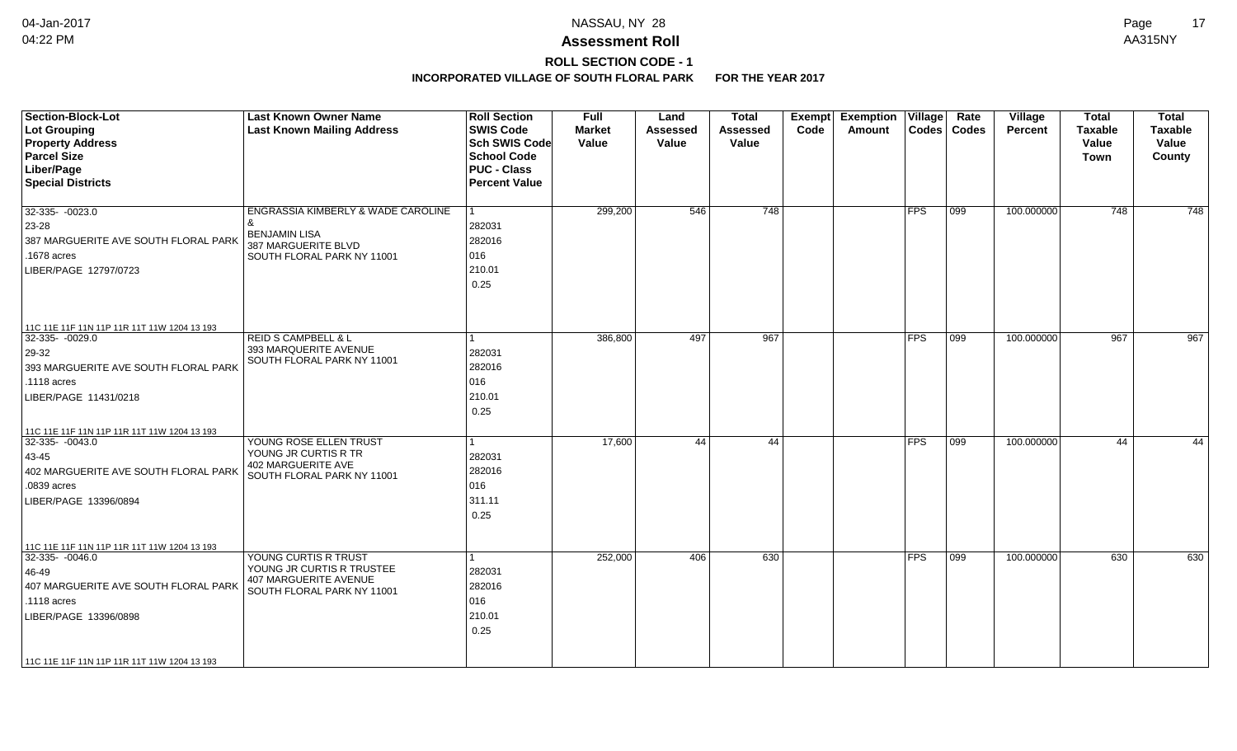# **ROLL SECTION CODE - 1**

| <b>Section-Block-Lot</b><br>Lot Grouping<br><b>Property Address</b><br><b>Parcel Size</b><br>Liber/Page<br><b>Special Districts</b>                                                                          | <b>Last Known Owner Name</b><br><b>Last Known Mailing Address</b>                                               | <b>Roll Section</b><br><b>SWIS Code</b><br><b>Sch SWIS Code</b><br><b>School Code</b><br><b>PUC - Class</b><br><b>Percent Value</b> | <b>Full</b><br><b>Market</b><br>Value | Land<br><b>Assessed</b><br>Value | <b>Total</b><br><b>Assessed</b><br>Value | Exempt<br>Code | Exemption   Village  <br>Amount | $\text{Codes}$          | Rate<br><b>Codes</b> | <b>Village</b><br><b>Percent</b> | <b>Total</b><br><b>Taxable</b><br>Value<br><b>Town</b> | <b>Total</b><br><b>Taxable</b><br>Value<br>County |
|--------------------------------------------------------------------------------------------------------------------------------------------------------------------------------------------------------------|-----------------------------------------------------------------------------------------------------------------|-------------------------------------------------------------------------------------------------------------------------------------|---------------------------------------|----------------------------------|------------------------------------------|----------------|---------------------------------|-------------------------|----------------------|----------------------------------|--------------------------------------------------------|---------------------------------------------------|
| $32-335 - 0023.0$<br>23-28<br>387 MARGUERITE AVE SOUTH FLORAL PARK<br>.1678 acres<br>LIBER/PAGE 12797/0723                                                                                                   | ENGRASSIA KIMBERLY & WADE CAROLINE<br><b>BENJAMIN LISA</b><br>387 MARGUERITE BLVD<br>SOUTH FLORAL PARK NY 11001 | 282031<br>282016<br>016<br>210.01<br>0.25                                                                                           | 299,200                               | 546                              | $\overline{748}$                         |                |                                 | <b>FPS</b>              | $ 099\rangle$        | 100.000000                       | $\overline{748}$                                       | $\overline{748}$                                  |
| 11C 11E 11F 11N 11P 11R 11T 11W 1204 13 193<br>$32-335 - 0029.0$<br>$ 29-32 $<br>393 MARGUERITE AVE SOUTH FLORAL PARK<br>.1118 acres<br>LIBER/PAGE 11431/0218<br>11C 11E 11F 11N 11P 11R 11T 11W 1204 13 193 | <b>REID S CAMPBELL &amp; L</b><br>393 MARQUERITE AVENUE<br>SOUTH FLORAL PARK NY 11001                           | 282031<br>282016<br>016<br>210.01<br>0.25                                                                                           | 386,800                               | 497                              | $\overline{967}$                         |                |                                 | $\overline{\text{FFS}}$ | 099                  | 100.000000                       | 967                                                    | 967                                               |
| $32-335 - 0043.0$<br>43-45<br>402 MARGUERITE AVE SOUTH FLORAL PARK<br>.0839 acres<br>LIBER/PAGE 13396/0894<br>11C 11E 11F 11N 11P 11R 11T 11W 1204 13 193                                                    | YOUNG ROSE ELLEN TRUST<br>YOUNG JR CURTIS R TR<br>402 MARGUERITE AVE<br>SOUTH FLORAL PARK NY 11001              | 282031<br>282016<br>016<br>311.11<br>0.25                                                                                           | 17,600                                | 44                               | 44                                       |                |                                 | <b>FPS</b>              | 099                  | 100.000000                       | 44                                                     | 44                                                |
| 32-335- -0046.0<br>46-49<br>407 MARGUERITE AVE SOUTH FLORAL PARK<br>.1118 acres<br>LIBER/PAGE 13396/0898<br>11C 11E 11F 11N 11P 11R 11T 11W 1204 13 193                                                      | YOUNG CURTIS R TRUST<br>YOUNG JR CURTIS R TRUSTEE<br>407 MARGUERITE AVENUE<br>SOUTH FLORAL PARK NY 11001        | 1<br>282031<br>282016<br>016<br>210.01<br>0.25                                                                                      | 252,000                               | 406                              | 630                                      |                |                                 | <b>FPS</b>              | 099                  | 100.000000                       | 630                                                    | 630                                               |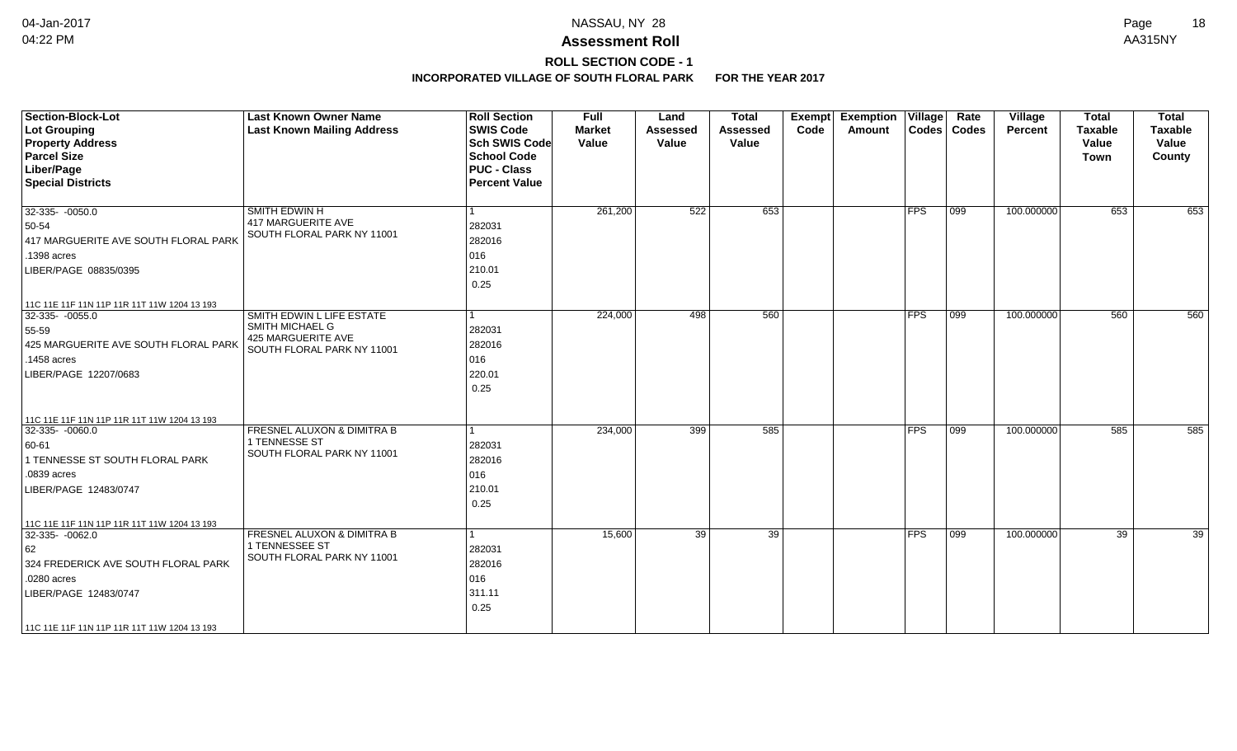## **ROLL SECTION CODE - 1**

| <b>Section-Block-Lot</b><br>Lot Grouping<br><b>Property Address</b><br><b>Parcel Size</b><br>Liber/Page<br><b>Special Districts</b>                                                                  | <b>Last Known Owner Name</b><br><b>Last Known Mailing Address</b>                                | <b>Roll Section</b><br><b>SWIS Code</b><br><b>Sch SWIS Code</b><br><b>School Code</b><br><b>PUC - Class</b><br><b>Percent Value</b> | <b>Full</b><br><b>Market</b><br>Value | Land<br><b>Assessed</b><br>Value | <b>Total</b><br><b>Assessed</b><br>Value | <b>Exempt</b><br>Code | <b>Exemption Village</b><br>Amount |               | Rate<br>Codes   Codes | Village<br>Percent | <b>Total</b><br><b>Taxable</b><br>Value<br><b>Town</b> | <b>Total</b><br><b>Taxable</b><br>Value<br>County |
|------------------------------------------------------------------------------------------------------------------------------------------------------------------------------------------------------|--------------------------------------------------------------------------------------------------|-------------------------------------------------------------------------------------------------------------------------------------|---------------------------------------|----------------------------------|------------------------------------------|-----------------------|------------------------------------|---------------|-----------------------|--------------------|--------------------------------------------------------|---------------------------------------------------|
| $32-335 - 0050.0$<br>50-54<br>417 MARGUERITE AVE SOUTH FLORAL PARK<br>.1398 acres<br>LIBER/PAGE 08835/0395                                                                                           | SMITH EDWIN H<br><b>417 MARGUERITE AVE</b><br>SOUTH FLORAL PARK NY 11001                         | l 1<br>282031<br>282016<br>016<br>210.01<br>0.25                                                                                    | 261,200                               | 522                              | 653                                      |                       |                                    | FPS           | $ 099\rangle$         | 100.000000         | 653                                                    | 653                                               |
| 11C 11E 11F 11N 11P 11R 11T 11W 1204 13 193<br>$32-335 - 0055.0$<br>55-59<br>425 MARGUERITE AVE SOUTH FLORAL PARK<br>.1458 acres<br>LIBER/PAGE 12207/0683                                            | SMITH EDWIN L LIFE ESTATE<br>SMITH MICHAEL G<br>425 MARGUERITE AVE<br>SOUTH FLORAL PARK NY 11001 | l 1<br>282031<br>282016<br>016<br>220.01<br>0.25                                                                                    | 224,000                               | 498                              | 560                                      |                       |                                    | FPS           | $\overline{099}$      | 100.000000         | 560                                                    | 560                                               |
| 11C 11E 11F 11N 11P 11R 11T 11W 1204 13 193<br>32-335- -0060.0<br>$ 60-61$<br>1 TENNESSE ST SOUTH FLORAL PARK<br>.0839 acres<br>LIBER/PAGE 12483/0747                                                | FRESNEL ALUXON & DIMITRA B<br>1 TENNESSE ST<br>SOUTH FLORAL PARK NY 11001                        | 1<br>282031<br>282016<br>016<br>210.01<br>0.25                                                                                      | 234,000                               | 399                              | 585                                      |                       |                                    | $ $ FPS       | 099                   | 100.000000         | 585                                                    | 585                                               |
| 11C 11E 11F 11N 11P 11R 11T 11W 1204 13 193<br>32-335- -0062.0<br>62<br>324 FREDERICK AVE SOUTH FLORAL PARK<br>.0280 acres<br>LIBER/PAGE 12483/0747<br>  11C 11E 11F 11N 11P 11R 11T 11W 1204 13 193 | FRESNEL ALUXON & DIMITRA B<br>1 TENNESSEE ST<br>SOUTH FLORAL PARK NY 11001                       | -1<br>282031<br>282016<br>016<br>311.11<br>0.25                                                                                     | 15,600                                | $\overline{39}$                  | 39                                       |                       |                                    | $ {\sf FPS} $ | $ 099\rangle$         | 100.000000         | 39                                                     | 39                                                |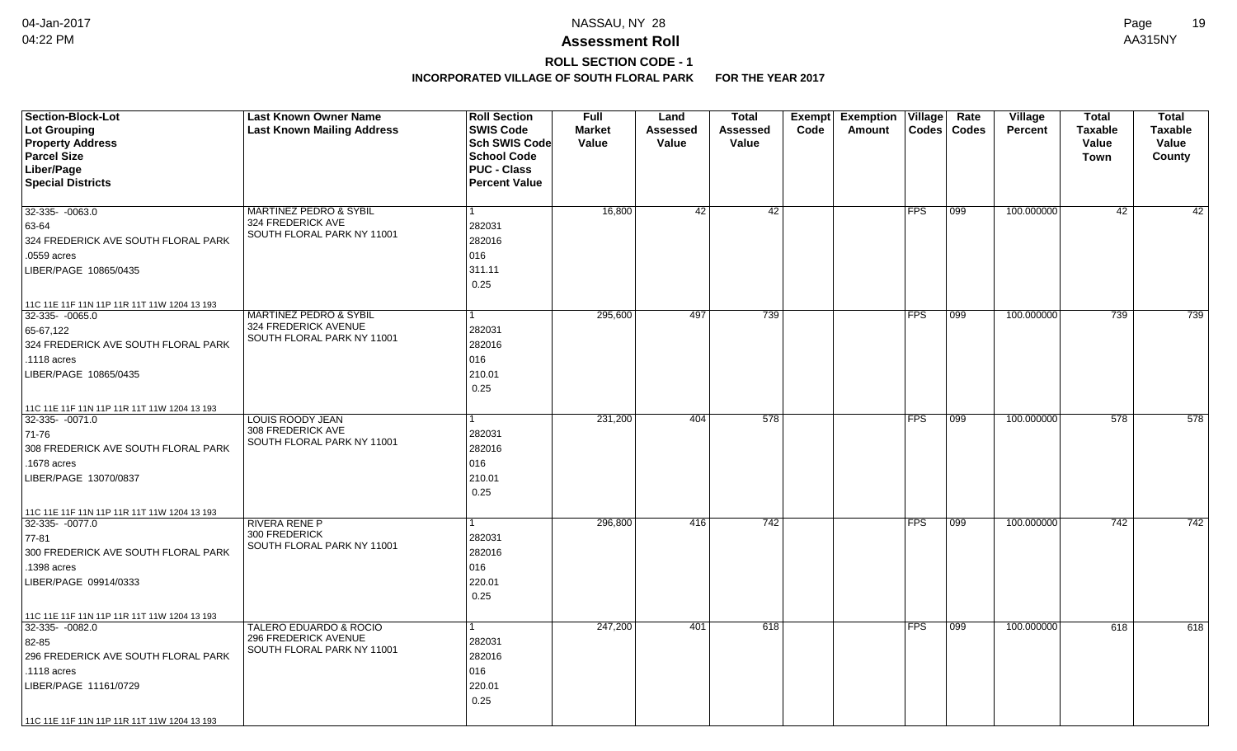# **ROLL SECTION CODE - 1**

| <b>Section-Block-Lot</b><br><b>Lot Grouping</b><br><b>Property Address</b> | <b>Last Known Owner Name</b><br><b>Last Known Mailing Address</b> | <b>Roll Section</b><br><b>SWIS Code</b><br>Sch SWIS Code | <b>Full</b><br><b>Market</b><br>Value | Land<br>Assessed<br>Value | Total<br>Assessed<br>Value | Exempt<br>Code | <b>Exemption</b><br>Amount | $\overline{\overline{\mathsf{V}}\mathsf{illage}}$<br><b>Codes</b> | Rate<br><b>Codes</b> | Village<br><b>Percent</b> | <b>Total</b><br><b>Taxable</b><br>Value | <b>Total</b><br>Taxable<br>Value |
|----------------------------------------------------------------------------|-------------------------------------------------------------------|----------------------------------------------------------|---------------------------------------|---------------------------|----------------------------|----------------|----------------------------|-------------------------------------------------------------------|----------------------|---------------------------|-----------------------------------------|----------------------------------|
| <b>Parcel Size</b>                                                         |                                                                   | <b>School Code</b>                                       |                                       |                           |                            |                |                            |                                                                   |                      |                           | <b>Town</b>                             | County                           |
| Liber/Page                                                                 |                                                                   | <b>PUC - Class</b>                                       |                                       |                           |                            |                |                            |                                                                   |                      |                           |                                         |                                  |
| <b>Special Districts</b>                                                   |                                                                   | <b>Percent Value</b>                                     |                                       |                           |                            |                |                            |                                                                   |                      |                           |                                         |                                  |
|                                                                            |                                                                   |                                                          |                                       |                           |                            |                |                            |                                                                   |                      |                           |                                         |                                  |
| 32-335- -0063.0                                                            | <b>MARTINEZ PEDRO &amp; SYBIL</b>                                 | $\mathbf{1}$                                             | 16,800                                | 42                        | 42                         |                |                            | FPS                                                               | 099                  | 100.000000                | 42                                      | 42                               |
| 63-64                                                                      | 324 FREDERICK AVE                                                 | 282031                                                   |                                       |                           |                            |                |                            |                                                                   |                      |                           |                                         |                                  |
| 324 FREDERICK AVE SOUTH FLORAL PARK                                        | SOUTH FLORAL PARK NY 11001                                        | 282016                                                   |                                       |                           |                            |                |                            |                                                                   |                      |                           |                                         |                                  |
| .0559 acres                                                                |                                                                   | 016                                                      |                                       |                           |                            |                |                            |                                                                   |                      |                           |                                         |                                  |
| LIBER/PAGE 10865/0435                                                      |                                                                   | 311.11                                                   |                                       |                           |                            |                |                            |                                                                   |                      |                           |                                         |                                  |
|                                                                            |                                                                   | 0.25                                                     |                                       |                           |                            |                |                            |                                                                   |                      |                           |                                         |                                  |
| 11C 11E 11F 11N 11P 11R 11T 11W 1204 13 193                                |                                                                   |                                                          |                                       |                           |                            |                |                            |                                                                   |                      |                           |                                         |                                  |
| $32-335 - 0065.0$                                                          | <b>MARTINEZ PEDRO &amp; SYBIL</b>                                 | $\mathbf{1}$                                             | 295,600                               | 497                       | 739                        |                |                            | FPS                                                               | 099                  | 100.000000                | 739                                     | 739                              |
| 65-67,122                                                                  | 324 FREDERICK AVENUE<br>SOUTH FLORAL PARK NY 11001                | 282031                                                   |                                       |                           |                            |                |                            |                                                                   |                      |                           |                                         |                                  |
| 324 FREDERICK AVE SOUTH FLORAL PARK                                        |                                                                   | 282016                                                   |                                       |                           |                            |                |                            |                                                                   |                      |                           |                                         |                                  |
| .1118 acres                                                                |                                                                   | 016                                                      |                                       |                           |                            |                |                            |                                                                   |                      |                           |                                         |                                  |
| LIBER/PAGE 10865/0435                                                      |                                                                   | 210.01                                                   |                                       |                           |                            |                |                            |                                                                   |                      |                           |                                         |                                  |
|                                                                            |                                                                   | 0.25                                                     |                                       |                           |                            |                |                            |                                                                   |                      |                           |                                         |                                  |
| 11C 11E 11F 11N 11P 11R 11T 11W 1204 13 193                                |                                                                   |                                                          |                                       |                           |                            |                |                            |                                                                   |                      |                           |                                         |                                  |
| 32-335- -0071.0                                                            | <b>LOUIS ROODY JEAN</b><br>308 FREDERICK AVE                      |                                                          | 231,200                               | 404                       | 578                        |                |                            | <b>FPS</b>                                                        | 099                  | 100.000000                | 578                                     | 578                              |
| 71-76                                                                      | SOUTH FLORAL PARK NY 11001                                        | 282031                                                   |                                       |                           |                            |                |                            |                                                                   |                      |                           |                                         |                                  |
| 308 FREDERICK AVE SOUTH FLORAL PARK                                        |                                                                   | 282016                                                   |                                       |                           |                            |                |                            |                                                                   |                      |                           |                                         |                                  |
| .1678 acres                                                                |                                                                   | 016                                                      |                                       |                           |                            |                |                            |                                                                   |                      |                           |                                         |                                  |
| LIBER/PAGE 13070/0837                                                      |                                                                   | 210.01                                                   |                                       |                           |                            |                |                            |                                                                   |                      |                           |                                         |                                  |
|                                                                            |                                                                   | 0.25                                                     |                                       |                           |                            |                |                            |                                                                   |                      |                           |                                         |                                  |
| 11C 11E 11F 11N 11P 11R 11T 11W 1204 13 193                                |                                                                   |                                                          |                                       |                           |                            |                |                            |                                                                   |                      |                           |                                         |                                  |
| 32-335- -0077.0                                                            | <b>RIVERA RENE P</b><br>300 FREDERICK                             | $\mathbf{1}$                                             | 296,800                               | 416                       | 742                        |                |                            | <b>FPS</b>                                                        | 099                  | 100.000000                | 742                                     | 742                              |
| 77-81                                                                      | SOUTH FLORAL PARK NY 11001                                        | 282031                                                   |                                       |                           |                            |                |                            |                                                                   |                      |                           |                                         |                                  |
| 300 FREDERICK AVE SOUTH FLORAL PARK                                        |                                                                   | 282016                                                   |                                       |                           |                            |                |                            |                                                                   |                      |                           |                                         |                                  |
| .1398 acres                                                                |                                                                   | 016                                                      |                                       |                           |                            |                |                            |                                                                   |                      |                           |                                         |                                  |
| LIBER/PAGE 09914/0333                                                      |                                                                   | 220.01                                                   |                                       |                           |                            |                |                            |                                                                   |                      |                           |                                         |                                  |
|                                                                            |                                                                   | 0.25                                                     |                                       |                           |                            |                |                            |                                                                   |                      |                           |                                         |                                  |
| 11C 11E 11F 11N 11P 11R 11T 11W 1204 13 193                                |                                                                   | $\mathbf{1}$                                             |                                       |                           | 618                        |                |                            |                                                                   |                      |                           |                                         |                                  |
| 32-335- -0082.0                                                            | <b>TALERO EDUARDO &amp; ROCIO</b><br>296 FREDERICK AVENUE         |                                                          | 247,200                               | 401                       |                            |                |                            | <b>FPS</b>                                                        | 099                  | 100.000000                | 618                                     | 618                              |
| 82-85<br>296 FREDERICK AVE SOUTH FLORAL PARK                               | SOUTH FLORAL PARK NY 11001                                        | 282031<br>282016                                         |                                       |                           |                            |                |                            |                                                                   |                      |                           |                                         |                                  |
|                                                                            |                                                                   | 016                                                      |                                       |                           |                            |                |                            |                                                                   |                      |                           |                                         |                                  |
| .1118 acres                                                                |                                                                   | 220.01                                                   |                                       |                           |                            |                |                            |                                                                   |                      |                           |                                         |                                  |
| LIBER/PAGE 11161/0729                                                      |                                                                   | 0.25                                                     |                                       |                           |                            |                |                            |                                                                   |                      |                           |                                         |                                  |
|                                                                            |                                                                   |                                                          |                                       |                           |                            |                |                            |                                                                   |                      |                           |                                         |                                  |
| 11C 11E 11F 11N 11P 11R 11T 11W 1204 13 193                                |                                                                   |                                                          |                                       |                           |                            |                |                            |                                                                   |                      |                           |                                         |                                  |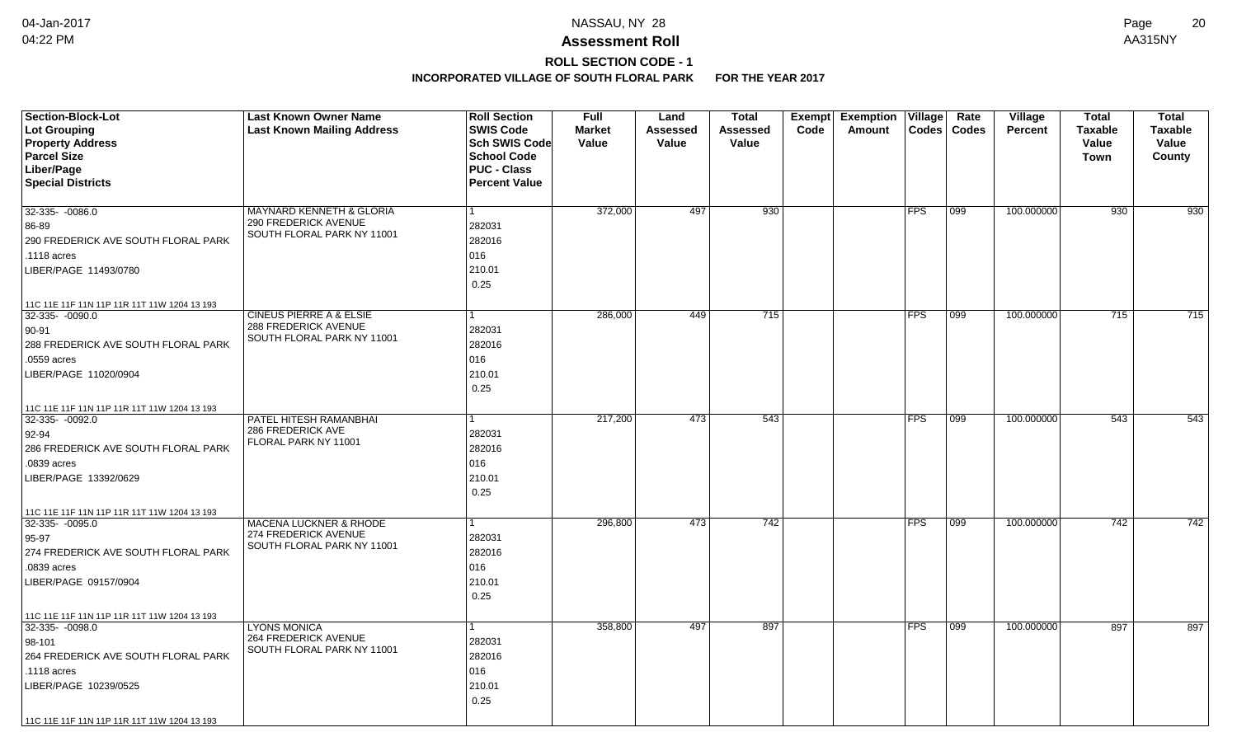# **ROLL SECTION CODE - 1**

| <b>Section-Block-Lot</b>                    | <b>Last Known Owner Name</b>                       | <b>Roll Section</b>  | <b>Full</b>   | Land     | <b>Total</b> |      | Exempt Exemption | $\overline{\mathsf{V}}$ illage | Rate  | Village        | <b>Total</b>   | <b>Total</b> |
|---------------------------------------------|----------------------------------------------------|----------------------|---------------|----------|--------------|------|------------------|--------------------------------|-------|----------------|----------------|--------------|
| Lot Grouping                                | <b>Last Known Mailing Address</b>                  | <b>SWIS Code</b>     | <b>Market</b> | Assessed | Assessed     | Code | Amount           | <b>Codes</b>                   | Codes | <b>Percent</b> | <b>Taxable</b> | Taxable      |
| <b>Property Address</b>                     |                                                    | Sch SWIS Code        | Value         | Value    | Value        |      |                  |                                |       |                | Value          | Value        |
| <b>Parcel Size</b>                          |                                                    | <b>School Code</b>   |               |          |              |      |                  |                                |       |                | <b>Town</b>    | County       |
| Liber/Page                                  |                                                    | <b>PUC - Class</b>   |               |          |              |      |                  |                                |       |                |                |              |
| <b>Special Districts</b>                    |                                                    | <b>Percent Value</b> |               |          |              |      |                  |                                |       |                |                |              |
| 32-335- -0086.0                             | MAYNARD KENNETH & GLORIA                           |                      | 372,000       | 497      | 930          |      |                  | <b>FPS</b>                     | 099   | 100.000000     | 930            | 930          |
| 86-89                                       | 290 FREDERICK AVENUE                               | 282031               |               |          |              |      |                  |                                |       |                |                |              |
|                                             | SOUTH FLORAL PARK NY 11001                         | 282016               |               |          |              |      |                  |                                |       |                |                |              |
| 290 FREDERICK AVE SOUTH FLORAL PARK         |                                                    |                      |               |          |              |      |                  |                                |       |                |                |              |
| .1118 acres                                 |                                                    | 016                  |               |          |              |      |                  |                                |       |                |                |              |
| LIBER/PAGE 11493/0780                       |                                                    | 210.01               |               |          |              |      |                  |                                |       |                |                |              |
|                                             |                                                    | 0.25                 |               |          |              |      |                  |                                |       |                |                |              |
| 11C 11E 11F 11N 11P 11R 11T 11W 1204 13 193 |                                                    |                      |               |          |              |      |                  |                                |       |                |                |              |
| $32-335 - 0090.0$                           | <b>CINEUS PIERRE A &amp; ELSIE</b>                 | 1                    | 286,000       | 449      | 715          |      |                  | <b>FPS</b>                     | 099   | 100.000000     | 715            | 715          |
| 90-91                                       | 288 FREDERICK AVENUE<br>SOUTH FLORAL PARK NY 11001 | 282031               |               |          |              |      |                  |                                |       |                |                |              |
| 288 FREDERICK AVE SOUTH FLORAL PARK         |                                                    | 282016               |               |          |              |      |                  |                                |       |                |                |              |
| .0559 acres                                 |                                                    | 016                  |               |          |              |      |                  |                                |       |                |                |              |
| LIBER/PAGE 11020/0904                       |                                                    | 210.01               |               |          |              |      |                  |                                |       |                |                |              |
|                                             |                                                    | 0.25                 |               |          |              |      |                  |                                |       |                |                |              |
| 11C 11E 11F 11N 11P 11R 11T 11W 1204 13 193 |                                                    |                      |               |          |              |      |                  |                                |       |                |                |              |
| 32-335- -0092.0                             | PATEL HITESH RAMANBHAI                             |                      | 217,200       | 473      | 543          |      |                  | <b>FPS</b>                     | 099   | 100.000000     | 543            | 543          |
| 92-94                                       | 286 FREDERICK AVE                                  | 282031               |               |          |              |      |                  |                                |       |                |                |              |
| 286 FREDERICK AVE SOUTH FLORAL PARK         | FLORAL PARK NY 11001                               | 282016               |               |          |              |      |                  |                                |       |                |                |              |
| .0839 acres                                 |                                                    | 016                  |               |          |              |      |                  |                                |       |                |                |              |
| LIBER/PAGE 13392/0629                       |                                                    | 210.01               |               |          |              |      |                  |                                |       |                |                |              |
|                                             |                                                    | 0.25                 |               |          |              |      |                  |                                |       |                |                |              |
| 11C 11E 11F 11N 11P 11R 11T 11W 1204 13 193 |                                                    |                      |               |          |              |      |                  |                                |       |                |                |              |
| 32-335- -0095.0                             | <b>MACENA LUCKNER &amp; RHODE</b>                  |                      | 296,800       | 473      | 742          |      |                  | <b>FPS</b>                     | 099   | 100.000000     | 742            | 742          |
| $95 - 97$                                   | 274 FREDERICK AVENUE                               | 282031               |               |          |              |      |                  |                                |       |                |                |              |
| 274 FREDERICK AVE SOUTH FLORAL PARK         | SOUTH FLORAL PARK NY 11001                         | 282016               |               |          |              |      |                  |                                |       |                |                |              |
| .0839 acres                                 |                                                    | 016                  |               |          |              |      |                  |                                |       |                |                |              |
| LIBER/PAGE 09157/0904                       |                                                    | 210.01               |               |          |              |      |                  |                                |       |                |                |              |
|                                             |                                                    | 0.25                 |               |          |              |      |                  |                                |       |                |                |              |
| 11C 11E 11F 11N 11P 11R 11T 11W 1204 13 193 |                                                    |                      |               |          |              |      |                  |                                |       |                |                |              |
| $32-335 - 0098.0$                           | <b>LYONS MONICA</b>                                |                      | 358,800       | 497      | 897          |      |                  | <b>FPS</b>                     | 099   | 100.000000     | 897            | 897          |
| 98-101                                      | 264 FREDERICK AVENUE                               | 282031               |               |          |              |      |                  |                                |       |                |                |              |
| 264 FREDERICK AVE SOUTH FLORAL PARK         | SOUTH FLORAL PARK NY 11001                         | 282016               |               |          |              |      |                  |                                |       |                |                |              |
| .1118 acres                                 |                                                    | 016                  |               |          |              |      |                  |                                |       |                |                |              |
| LIBER/PAGE 10239/0525                       |                                                    | 210.01               |               |          |              |      |                  |                                |       |                |                |              |
|                                             |                                                    | 0.25                 |               |          |              |      |                  |                                |       |                |                |              |
| 11C 11E 11F 11N 11P 11R 11T 11W 1204 13 193 |                                                    |                      |               |          |              |      |                  |                                |       |                |                |              |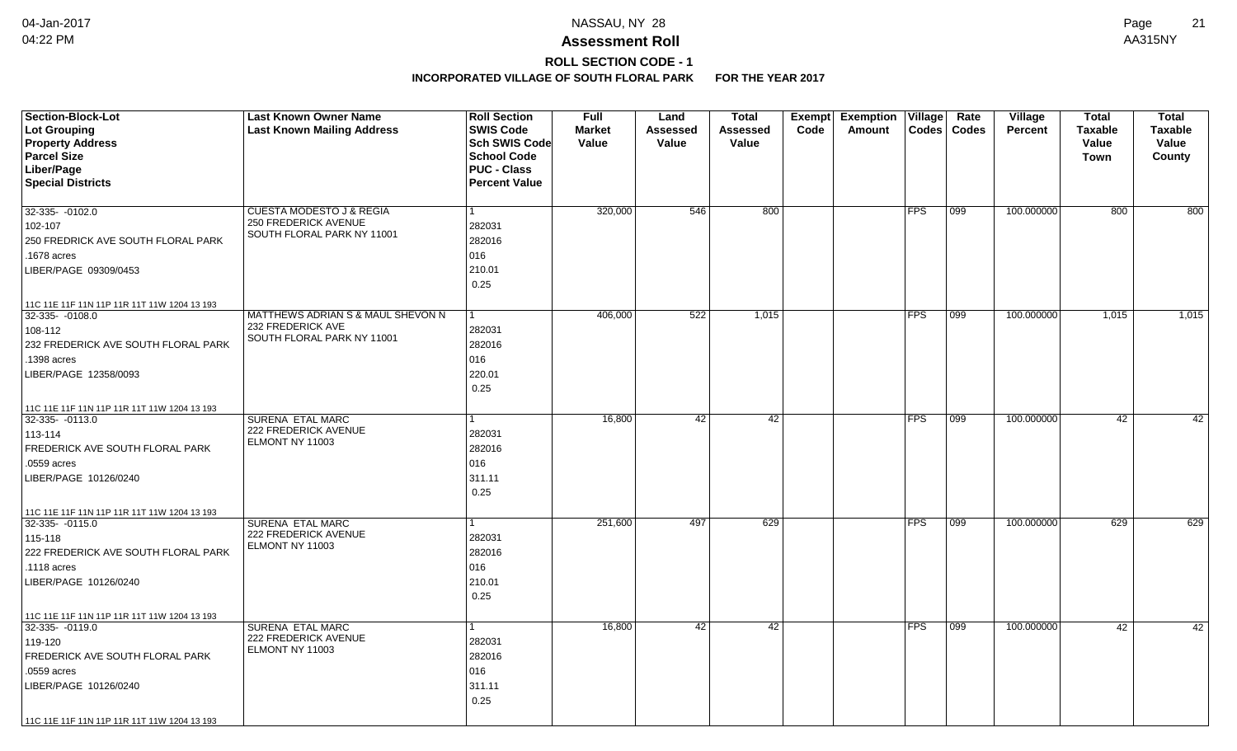# **ROLL SECTION CODE - 1**

| Lot Grouping<br><b>Last Known Mailing Address</b><br><b>SWIS Code</b><br><b>Market</b><br>Assessed<br>Code<br>Amount<br>Codes   Codes<br><b>Percent</b><br><b>Taxable</b><br><b>Taxable</b><br>Assessed<br><b>Property Address</b><br>Sch SWIS Code<br>Value<br>Value<br>Value<br>Value<br>Value<br><b>Parcel Size</b><br><b>School Code</b><br>County<br><b>Town</b><br>Liber/Page<br><b>PUC - Class</b><br><b>Special Districts</b><br><b>Percent Value</b><br>800<br>100.000000<br>32-335- -0102.0<br><b>CUESTA MODESTO J &amp; REGIA</b><br>320,000<br>546<br><b>FPS</b><br>099<br>800<br>800<br><b>250 FREDERICK AVENUE</b><br>282031<br>102-107<br>SOUTH FLORAL PARK NY 11001<br>282016<br>250 FREDRICK AVE SOUTH FLORAL PARK<br>016<br>.1678 acres<br>210.01<br>LIBER/PAGE 09309/0453<br>0.25<br>11C 11E 11F 11N 11P 11R 11T 11W 1204 13 193<br>MATTHEWS ADRIAN S & MAUL SHEVON N<br>522<br><b>FPS</b><br>$32-335 - 0108.0$<br>406,000<br>1,015<br>099<br>100.000000<br>1,015<br>1,015<br>232 FREDERICK AVE<br>282031<br>108-112<br>SOUTH FLORAL PARK NY 11001<br>232 FREDERICK AVE SOUTH FLORAL PARK<br>282016<br>016<br>.1398 acres<br>220.01<br>LIBER/PAGE 12358/0093<br>0.25<br>11C 11E 11F 11N 11P 11R 11T 11W 1204 13 193<br><b>SURENA ETAL MARC</b><br><b>FPS</b><br>100.000000<br>32-335-0113.0<br>16,800<br>42<br>42<br>$ 099\rangle$<br>42<br>42<br>222 FREDERICK AVENUE<br>282031<br>113-114<br>ELMONT NY 11003<br>FREDERICK AVE SOUTH FLORAL PARK<br>282016<br>.0559 acres<br>016<br>311.11<br>LIBER/PAGE 10126/0240<br>0.25 |
|-------------------------------------------------------------------------------------------------------------------------------------------------------------------------------------------------------------------------------------------------------------------------------------------------------------------------------------------------------------------------------------------------------------------------------------------------------------------------------------------------------------------------------------------------------------------------------------------------------------------------------------------------------------------------------------------------------------------------------------------------------------------------------------------------------------------------------------------------------------------------------------------------------------------------------------------------------------------------------------------------------------------------------------------------------------------------------------------------------------------------------------------------------------------------------------------------------------------------------------------------------------------------------------------------------------------------------------------------------------------------------------------------------------------------------------------------------------------------------------------------------------------------------------------------|
|                                                                                                                                                                                                                                                                                                                                                                                                                                                                                                                                                                                                                                                                                                                                                                                                                                                                                                                                                                                                                                                                                                                                                                                                                                                                                                                                                                                                                                                                                                                                                 |
|                                                                                                                                                                                                                                                                                                                                                                                                                                                                                                                                                                                                                                                                                                                                                                                                                                                                                                                                                                                                                                                                                                                                                                                                                                                                                                                                                                                                                                                                                                                                                 |
|                                                                                                                                                                                                                                                                                                                                                                                                                                                                                                                                                                                                                                                                                                                                                                                                                                                                                                                                                                                                                                                                                                                                                                                                                                                                                                                                                                                                                                                                                                                                                 |
|                                                                                                                                                                                                                                                                                                                                                                                                                                                                                                                                                                                                                                                                                                                                                                                                                                                                                                                                                                                                                                                                                                                                                                                                                                                                                                                                                                                                                                                                                                                                                 |
|                                                                                                                                                                                                                                                                                                                                                                                                                                                                                                                                                                                                                                                                                                                                                                                                                                                                                                                                                                                                                                                                                                                                                                                                                                                                                                                                                                                                                                                                                                                                                 |
|                                                                                                                                                                                                                                                                                                                                                                                                                                                                                                                                                                                                                                                                                                                                                                                                                                                                                                                                                                                                                                                                                                                                                                                                                                                                                                                                                                                                                                                                                                                                                 |
|                                                                                                                                                                                                                                                                                                                                                                                                                                                                                                                                                                                                                                                                                                                                                                                                                                                                                                                                                                                                                                                                                                                                                                                                                                                                                                                                                                                                                                                                                                                                                 |
|                                                                                                                                                                                                                                                                                                                                                                                                                                                                                                                                                                                                                                                                                                                                                                                                                                                                                                                                                                                                                                                                                                                                                                                                                                                                                                                                                                                                                                                                                                                                                 |
|                                                                                                                                                                                                                                                                                                                                                                                                                                                                                                                                                                                                                                                                                                                                                                                                                                                                                                                                                                                                                                                                                                                                                                                                                                                                                                                                                                                                                                                                                                                                                 |
|                                                                                                                                                                                                                                                                                                                                                                                                                                                                                                                                                                                                                                                                                                                                                                                                                                                                                                                                                                                                                                                                                                                                                                                                                                                                                                                                                                                                                                                                                                                                                 |
|                                                                                                                                                                                                                                                                                                                                                                                                                                                                                                                                                                                                                                                                                                                                                                                                                                                                                                                                                                                                                                                                                                                                                                                                                                                                                                                                                                                                                                                                                                                                                 |
|                                                                                                                                                                                                                                                                                                                                                                                                                                                                                                                                                                                                                                                                                                                                                                                                                                                                                                                                                                                                                                                                                                                                                                                                                                                                                                                                                                                                                                                                                                                                                 |
|                                                                                                                                                                                                                                                                                                                                                                                                                                                                                                                                                                                                                                                                                                                                                                                                                                                                                                                                                                                                                                                                                                                                                                                                                                                                                                                                                                                                                                                                                                                                                 |
|                                                                                                                                                                                                                                                                                                                                                                                                                                                                                                                                                                                                                                                                                                                                                                                                                                                                                                                                                                                                                                                                                                                                                                                                                                                                                                                                                                                                                                                                                                                                                 |
|                                                                                                                                                                                                                                                                                                                                                                                                                                                                                                                                                                                                                                                                                                                                                                                                                                                                                                                                                                                                                                                                                                                                                                                                                                                                                                                                                                                                                                                                                                                                                 |
|                                                                                                                                                                                                                                                                                                                                                                                                                                                                                                                                                                                                                                                                                                                                                                                                                                                                                                                                                                                                                                                                                                                                                                                                                                                                                                                                                                                                                                                                                                                                                 |
|                                                                                                                                                                                                                                                                                                                                                                                                                                                                                                                                                                                                                                                                                                                                                                                                                                                                                                                                                                                                                                                                                                                                                                                                                                                                                                                                                                                                                                                                                                                                                 |
|                                                                                                                                                                                                                                                                                                                                                                                                                                                                                                                                                                                                                                                                                                                                                                                                                                                                                                                                                                                                                                                                                                                                                                                                                                                                                                                                                                                                                                                                                                                                                 |
|                                                                                                                                                                                                                                                                                                                                                                                                                                                                                                                                                                                                                                                                                                                                                                                                                                                                                                                                                                                                                                                                                                                                                                                                                                                                                                                                                                                                                                                                                                                                                 |
|                                                                                                                                                                                                                                                                                                                                                                                                                                                                                                                                                                                                                                                                                                                                                                                                                                                                                                                                                                                                                                                                                                                                                                                                                                                                                                                                                                                                                                                                                                                                                 |
|                                                                                                                                                                                                                                                                                                                                                                                                                                                                                                                                                                                                                                                                                                                                                                                                                                                                                                                                                                                                                                                                                                                                                                                                                                                                                                                                                                                                                                                                                                                                                 |
|                                                                                                                                                                                                                                                                                                                                                                                                                                                                                                                                                                                                                                                                                                                                                                                                                                                                                                                                                                                                                                                                                                                                                                                                                                                                                                                                                                                                                                                                                                                                                 |
|                                                                                                                                                                                                                                                                                                                                                                                                                                                                                                                                                                                                                                                                                                                                                                                                                                                                                                                                                                                                                                                                                                                                                                                                                                                                                                                                                                                                                                                                                                                                                 |
|                                                                                                                                                                                                                                                                                                                                                                                                                                                                                                                                                                                                                                                                                                                                                                                                                                                                                                                                                                                                                                                                                                                                                                                                                                                                                                                                                                                                                                                                                                                                                 |
|                                                                                                                                                                                                                                                                                                                                                                                                                                                                                                                                                                                                                                                                                                                                                                                                                                                                                                                                                                                                                                                                                                                                                                                                                                                                                                                                                                                                                                                                                                                                                 |
|                                                                                                                                                                                                                                                                                                                                                                                                                                                                                                                                                                                                                                                                                                                                                                                                                                                                                                                                                                                                                                                                                                                                                                                                                                                                                                                                                                                                                                                                                                                                                 |
| 11C 11E 11F 11N 11P 11R 11T 11W 1204 13 193                                                                                                                                                                                                                                                                                                                                                                                                                                                                                                                                                                                                                                                                                                                                                                                                                                                                                                                                                                                                                                                                                                                                                                                                                                                                                                                                                                                                                                                                                                     |
| <b>SURENA ETAL MARC</b><br>629<br>100.000000<br>629<br>629<br>$32-335 - 0115.0$<br>251,600<br>497<br><b>FPS</b><br>099                                                                                                                                                                                                                                                                                                                                                                                                                                                                                                                                                                                                                                                                                                                                                                                                                                                                                                                                                                                                                                                                                                                                                                                                                                                                                                                                                                                                                          |
| <b>222 FREDERICK AVENUE</b><br>282031<br>115-118                                                                                                                                                                                                                                                                                                                                                                                                                                                                                                                                                                                                                                                                                                                                                                                                                                                                                                                                                                                                                                                                                                                                                                                                                                                                                                                                                                                                                                                                                                |
| ELMONT NY 11003<br>222 FREDERICK AVE SOUTH FLORAL PARK<br>282016                                                                                                                                                                                                                                                                                                                                                                                                                                                                                                                                                                                                                                                                                                                                                                                                                                                                                                                                                                                                                                                                                                                                                                                                                                                                                                                                                                                                                                                                                |
| 016<br>.1118 acres                                                                                                                                                                                                                                                                                                                                                                                                                                                                                                                                                                                                                                                                                                                                                                                                                                                                                                                                                                                                                                                                                                                                                                                                                                                                                                                                                                                                                                                                                                                              |
| 210.01<br>LIBER/PAGE 10126/0240                                                                                                                                                                                                                                                                                                                                                                                                                                                                                                                                                                                                                                                                                                                                                                                                                                                                                                                                                                                                                                                                                                                                                                                                                                                                                                                                                                                                                                                                                                                 |
| 0.25                                                                                                                                                                                                                                                                                                                                                                                                                                                                                                                                                                                                                                                                                                                                                                                                                                                                                                                                                                                                                                                                                                                                                                                                                                                                                                                                                                                                                                                                                                                                            |
| 11C 11E 11F 11N 11P 11R 11T 11W 1204 13 193                                                                                                                                                                                                                                                                                                                                                                                                                                                                                                                                                                                                                                                                                                                                                                                                                                                                                                                                                                                                                                                                                                                                                                                                                                                                                                                                                                                                                                                                                                     |
| SURENA ETAL MARC<br>16,800<br>42<br>42<br><b>FPS</b><br>099<br>100.000000<br>42<br>42<br>$32-335 - 0119.0$                                                                                                                                                                                                                                                                                                                                                                                                                                                                                                                                                                                                                                                                                                                                                                                                                                                                                                                                                                                                                                                                                                                                                                                                                                                                                                                                                                                                                                      |
| 222 FREDERICK AVENUE<br>282031<br>119-120                                                                                                                                                                                                                                                                                                                                                                                                                                                                                                                                                                                                                                                                                                                                                                                                                                                                                                                                                                                                                                                                                                                                                                                                                                                                                                                                                                                                                                                                                                       |
| ELMONT NY 11003<br>282016<br>FREDERICK AVE SOUTH FLORAL PARK                                                                                                                                                                                                                                                                                                                                                                                                                                                                                                                                                                                                                                                                                                                                                                                                                                                                                                                                                                                                                                                                                                                                                                                                                                                                                                                                                                                                                                                                                    |
| .0559 acres<br>016                                                                                                                                                                                                                                                                                                                                                                                                                                                                                                                                                                                                                                                                                                                                                                                                                                                                                                                                                                                                                                                                                                                                                                                                                                                                                                                                                                                                                                                                                                                              |
| 311.11<br>LIBER/PAGE 10126/0240                                                                                                                                                                                                                                                                                                                                                                                                                                                                                                                                                                                                                                                                                                                                                                                                                                                                                                                                                                                                                                                                                                                                                                                                                                                                                                                                                                                                                                                                                                                 |
| 0.25                                                                                                                                                                                                                                                                                                                                                                                                                                                                                                                                                                                                                                                                                                                                                                                                                                                                                                                                                                                                                                                                                                                                                                                                                                                                                                                                                                                                                                                                                                                                            |
| 11C 11E 11F 11N 11P 11R 11T 11W 1204 13 193                                                                                                                                                                                                                                                                                                                                                                                                                                                                                                                                                                                                                                                                                                                                                                                                                                                                                                                                                                                                                                                                                                                                                                                                                                                                                                                                                                                                                                                                                                     |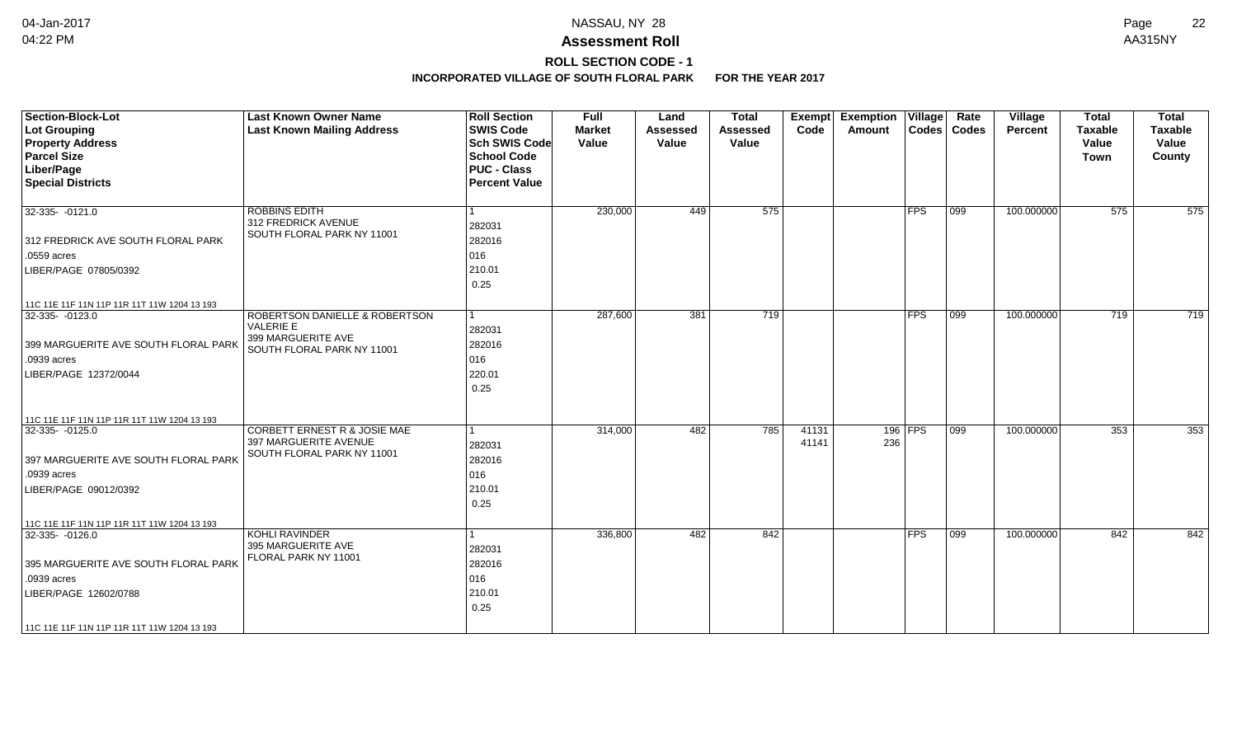## **ROLL SECTION CODE - 1**

| 575<br><b>ROBBINS EDITH</b><br>230,000<br>449<br>32-335- -0121.0<br>312 FREDRICK AVENUE<br>282031<br>SOUTH FLORAL PARK NY 11001                                                                                                                                                                      | $ {\sf FPS} $    | $ 099\rangle$    | 100.000000 | 575 | 575 |
|------------------------------------------------------------------------------------------------------------------------------------------------------------------------------------------------------------------------------------------------------------------------------------------------------|------------------|------------------|------------|-----|-----|
|                                                                                                                                                                                                                                                                                                      |                  |                  |            |     |     |
| 282016<br>312 FREDRICK AVE SOUTH FLORAL PARK                                                                                                                                                                                                                                                         |                  |                  |            |     |     |
| 016<br>.0559 acres<br>210.01<br>LIBER/PAGE 07805/0392<br>0.25                                                                                                                                                                                                                                        |                  |                  |            |     |     |
| 11C 11E 11F 11N 11P 11R 11T 11W 1204 13 193                                                                                                                                                                                                                                                          |                  |                  |            |     |     |
| 287,600<br>381<br>719<br>$32-335 - 0123.0$<br><b>ROBERTSON DANIELLE &amp; ROBERTSON</b><br>$\mathbf 1$<br>VALERIE E<br>282031<br>399 MARGUERITE AVE<br>282016<br>399 MARGUERITE AVE SOUTH FLORAL PARK<br>SOUTH FLORAL PARK NY 11001<br>016<br>.0939 acres<br>220.01<br>LIBER/PAGE 12372/0044<br>0.25 | <b>IFPS</b>      | $\overline{099}$ | 100.000000 | 719 | 719 |
| 11C 11E 11F 11N 11P 11R 11T 11W 1204 13 193                                                                                                                                                                                                                                                          |                  |                  |            |     |     |
| 32-335- -0125.0<br>CORBETT ERNEST R & JOSIE MAE<br>314,000<br>482<br>785<br>41131<br>1<br>397 MARGUERITE AVENUE<br>41141<br>282031<br>SOUTH FLORAL PARK NY 11001<br>282016<br>397 MARGUERITE AVE SOUTH FLORAL PARK<br>016<br>.0939 acres<br>210.01<br>LIBER/PAGE 09012/0392<br>0.25                  | $196$ FPS<br>236 | $ 099\rangle$    | 100.000000 | 353 | 353 |
| 11C 11E 11F 11N 11P 11R 11T 11W 1204 13 193                                                                                                                                                                                                                                                          |                  |                  |            |     |     |
| $32-335 - 0126.0$<br>KOHLI RAVINDER<br>482<br>842<br>336,800<br>395 MARGUERITE AVE<br>282031<br>FLORAL PARK NY 11001<br>282016<br>395 MARGUERITE AVE SOUTH FLORAL PARK<br>016<br>.0939 acres<br>210.01<br>LIBER/PAGE 12602/0788<br>0.25<br>11C 11E 11F 11N 11P 11R 11T 11W 1204 13 193               | <b>FPS</b>       | 099              | 100.000000 | 842 | 842 |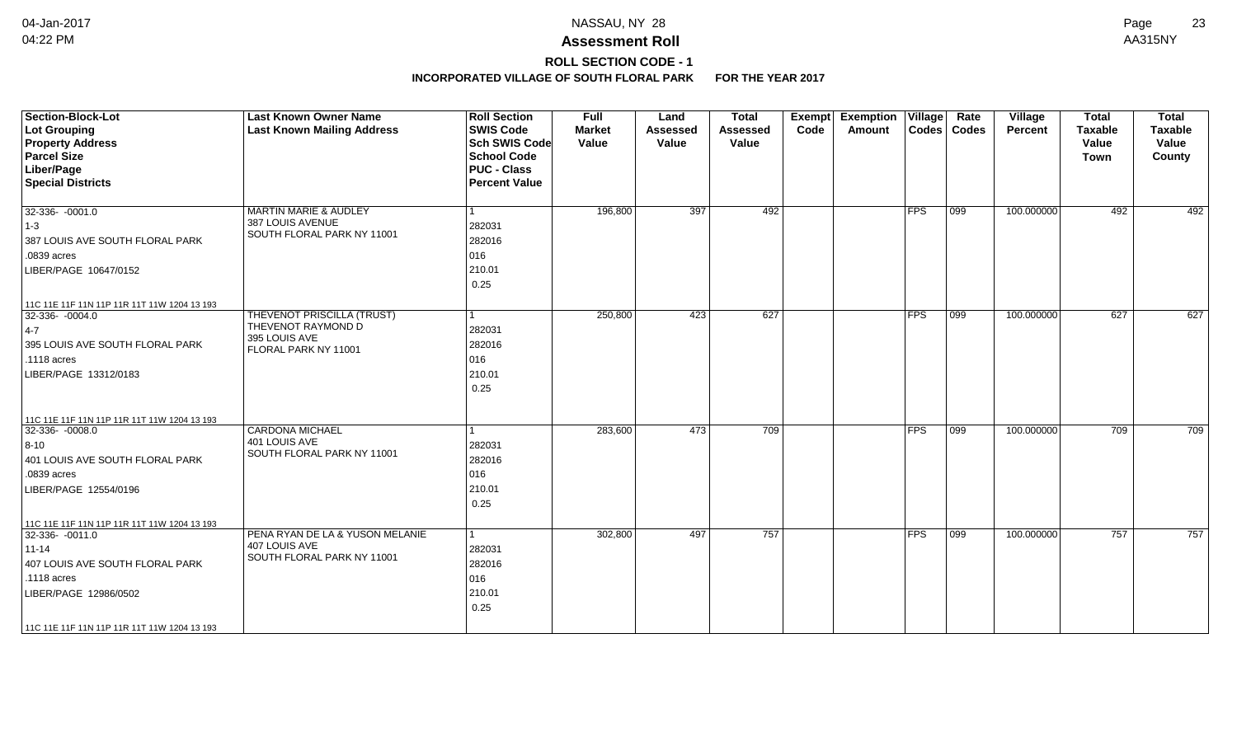# **ROLL SECTION CODE - 1**

| <b>Section-Block-Lot</b><br><b>Lot Grouping</b><br><b>Property Address</b><br><b>Parcel Size</b><br>Liber/Page<br><b>Special Districts</b>                                                         | <b>Last Known Owner Name</b><br><b>Last Known Mailing Address</b>                         | <b>Roll Section</b><br><b>SWIS Code</b><br><b>Sch SWIS Code</b><br><b>School Code</b><br><b>PUC - Class</b><br><b>Percent Value</b> | <b>Full</b><br><b>Market</b><br>Value | Land<br><b>Assessed</b><br>Value | <b>Total</b><br><b>Assessed</b><br>Value | <b>Exemption Village</b><br>Exempt<br>Code<br>Amount |               | Rate<br>Codes   Codes | Village<br><b>Percent</b> | <b>Total</b><br><b>Taxable</b><br>Value<br>Town | <b>Total</b><br><b>Taxable</b><br>Value<br>County |
|----------------------------------------------------------------------------------------------------------------------------------------------------------------------------------------------------|-------------------------------------------------------------------------------------------|-------------------------------------------------------------------------------------------------------------------------------------|---------------------------------------|----------------------------------|------------------------------------------|------------------------------------------------------|---------------|-----------------------|---------------------------|-------------------------------------------------|---------------------------------------------------|
| $32-336 - 0001.0$<br>$ 1-3 $<br>387 LOUIS AVE SOUTH FLORAL PARK<br>.0839 acres<br>LIBER/PAGE 10647/0152<br>11C 11E 11F 11N 11P 11R 11T 11W 1204 13 193                                             | <b>MARTIN MARIE &amp; AUDLEY</b><br>387 LOUIS AVENUE<br>SOUTH FLORAL PARK NY 11001        | 1<br>282031<br>282016<br>016<br>210.01<br>0.25                                                                                      | 196,800                               | 397                              | 492                                      |                                                      | <b>FPS</b>    | $ 099\rangle$         | 100.000000                | 492                                             | 492                                               |
| 32-336-0004.0<br>$ 4-7 $<br>395 LOUIS AVE SOUTH FLORAL PARK<br>$.1118$ acres<br>LIBER/PAGE 13312/0183                                                                                              | THEVENOT PRISCILLA (TRUST)<br>THEVENOT RAYMOND D<br>395 LOUIS AVE<br>FLORAL PARK NY 11001 | l 1<br>282031<br>282016<br>016<br>210.01<br>0.25                                                                                    | 250,800                               | 423                              | 627                                      |                                                      | <b>FPS</b>    | 099                   | 100.000000                | 627                                             | 627                                               |
| 11C 11E 11F 11N 11P 11R 11T 11W 1204 13 193<br>32-336- -0008.0<br>$8-10$<br>401 LOUIS AVE SOUTH FLORAL PARK<br>.0839 acres<br>LIBER/PAGE 12554/0196<br>11C 11E 11F 11N 11P 11R 11T 11W 1204 13 193 | <b>CARDONA MICHAEL</b><br>401 LOUIS AVE<br>SOUTH FLORAL PARK NY 11001                     | 1<br>282031<br>282016<br>016<br>210.01<br>0.25                                                                                      | 283,600                               | 473                              | 709                                      |                                                      | $ {\sf FPS} $ | 099                   | 100.000000                | 709                                             | 709                                               |
| 32-336- -0011.0<br>$11 - 14$<br>407 LOUIS AVE SOUTH FLORAL PARK<br>.1118 acres<br>LIBER/PAGE 12986/0502<br>11C 11E 11F 11N 11P 11R 11T 11W 1204 13 193                                             | PENA RYAN DE LA & YUSON MELANIE<br>407 LOUIS AVE<br>SOUTH FLORAL PARK NY 11001            | $\vert$ 1<br>282031<br>282016<br>016<br>210.01<br>0.25                                                                              | 302,800                               | 497                              | 757                                      |                                                      | $ {\sf FPS} $ | 099                   | 100.000000                | 757                                             | 757                                               |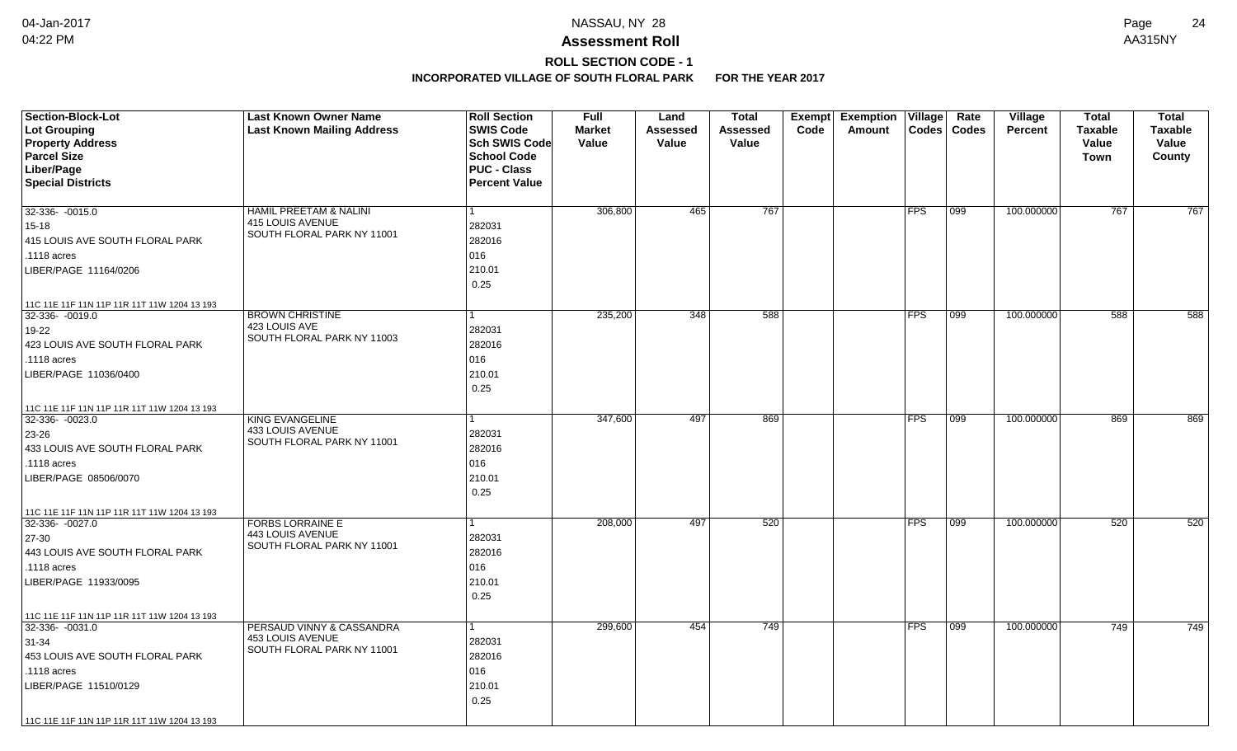# **ROLL SECTION CODE - 1**

| <b>Section-Block-Lot</b>                    | <b>Last Known Owner Name</b>                   | <b>Roll Section</b>  | <b>Full</b>   | Land     | <b>Total</b> |      | Exempt Exemption | $\overline{\mathsf{V}}$ illage | Rate         | Village        | <b>Total</b>   | <b>Total</b> |
|---------------------------------------------|------------------------------------------------|----------------------|---------------|----------|--------------|------|------------------|--------------------------------|--------------|----------------|----------------|--------------|
| Lot Grouping                                | <b>Last Known Mailing Address</b>              | <b>SWIS Code</b>     | <b>Market</b> | Assessed | Assessed     | Code | Amount           | Codes                          | <b>Codes</b> | <b>Percent</b> | <b>Taxable</b> | Taxable      |
| <b>Property Address</b>                     |                                                | Sch SWIS Code        | Value         | Value    | Value        |      |                  |                                |              |                | Value          | Value        |
| <b>Parcel Size</b>                          |                                                | <b>School Code</b>   |               |          |              |      |                  |                                |              |                | <b>Town</b>    | County       |
| Liber/Page                                  |                                                | <b>PUC - Class</b>   |               |          |              |      |                  |                                |              |                |                |              |
| <b>Special Districts</b>                    |                                                | <b>Percent Value</b> |               |          |              |      |                  |                                |              |                |                |              |
| 32-336- -0015.0                             | HAMIL PREETAM & NALINI                         | 1                    | 306,800       | 465      | 767          |      |                  | <b>FPS</b>                     | 099          | 100.000000     | 767            | 767          |
|                                             | 415 LOUIS AVENUE                               | 282031               |               |          |              |      |                  |                                |              |                |                |              |
| $15 - 18$                                   | SOUTH FLORAL PARK NY 11001                     | 282016               |               |          |              |      |                  |                                |              |                |                |              |
| 415 LOUIS AVE SOUTH FLORAL PARK             |                                                |                      |               |          |              |      |                  |                                |              |                |                |              |
| .1118 acres                                 |                                                | 016                  |               |          |              |      |                  |                                |              |                |                |              |
| LIBER/PAGE 11164/0206                       |                                                | 210.01               |               |          |              |      |                  |                                |              |                |                |              |
|                                             |                                                | 0.25                 |               |          |              |      |                  |                                |              |                |                |              |
| 11C 11E 11F 11N 11P 11R 11T 11W 1204 13 193 |                                                |                      |               |          |              |      |                  |                                |              |                |                |              |
| $32-336 - 0019.0$                           | <b>BROWN CHRISTINE</b>                         | 1                    | 235,200       | 348      | 588          |      |                  | <b>FPS</b>                     | 099          | 100.000000     | 588            | 588          |
| 19-22                                       | 423 LOUIS AVE<br>SOUTH FLORAL PARK NY 11003    | 282031               |               |          |              |      |                  |                                |              |                |                |              |
| 423 LOUIS AVE SOUTH FLORAL PARK             |                                                | 282016               |               |          |              |      |                  |                                |              |                |                |              |
| .1118 acres                                 |                                                | 016                  |               |          |              |      |                  |                                |              |                |                |              |
| LIBER/PAGE 11036/0400                       |                                                | 210.01               |               |          |              |      |                  |                                |              |                |                |              |
|                                             |                                                | 0.25                 |               |          |              |      |                  |                                |              |                |                |              |
| 11C 11E 11F 11N 11P 11R 11T 11W 1204 13 193 |                                                |                      |               |          |              |      |                  |                                |              |                |                |              |
| 32-336-0023.0                               | <b>KING EVANGELINE</b>                         |                      | 347,600       | 497      | 869          |      |                  | <b>FPS</b>                     | 099          | 100.000000     | 869            | 869          |
| 23-26                                       | 433 LOUIS AVENUE<br>SOUTH FLORAL PARK NY 11001 | 282031               |               |          |              |      |                  |                                |              |                |                |              |
| 433 LOUIS AVE SOUTH FLORAL PARK             |                                                | 282016               |               |          |              |      |                  |                                |              |                |                |              |
| .1118 acres                                 |                                                | 016                  |               |          |              |      |                  |                                |              |                |                |              |
| LIBER/PAGE 08506/0070                       |                                                | 210.01               |               |          |              |      |                  |                                |              |                |                |              |
|                                             |                                                | 0.25                 |               |          |              |      |                  |                                |              |                |                |              |
| 11C 11E 11F 11N 11P 11R 11T 11W 1204 13 193 |                                                |                      |               |          |              |      |                  |                                |              |                |                |              |
| 32-336-0027.0                               | <b>FORBS LORRAINE E</b>                        |                      | 208,000       | 497      | 520          |      |                  | <b>FPS</b>                     | 099          | 100.000000     | 520            | 520          |
| 27-30                                       | 443 LOUIS AVENUE<br>SOUTH FLORAL PARK NY 11001 | 282031               |               |          |              |      |                  |                                |              |                |                |              |
| 443 LOUIS AVE SOUTH FLORAL PARK             |                                                | 282016               |               |          |              |      |                  |                                |              |                |                |              |
| .1118 acres                                 |                                                | 016                  |               |          |              |      |                  |                                |              |                |                |              |
| LIBER/PAGE 11933/0095                       |                                                | 210.01               |               |          |              |      |                  |                                |              |                |                |              |
|                                             |                                                | 0.25                 |               |          |              |      |                  |                                |              |                |                |              |
| 11C 11E 11F 11N 11P 11R 11T 11W 1204 13 193 |                                                |                      |               |          |              |      |                  |                                |              |                |                |              |
| $32-336 - 0031.0$                           | PERSAUD VINNY & CASSANDRA                      |                      | 299,600       | 454      | 749          |      |                  | <b>FPS</b>                     | 099          | 100.000000     | 749            | 749          |
| 31-34                                       | 453 LOUIS AVENUE<br>SOUTH FLORAL PARK NY 11001 | 282031               |               |          |              |      |                  |                                |              |                |                |              |
| 453 LOUIS AVE SOUTH FLORAL PARK             |                                                | 282016               |               |          |              |      |                  |                                |              |                |                |              |
| .1118 acres                                 |                                                | 016                  |               |          |              |      |                  |                                |              |                |                |              |
| LIBER/PAGE 11510/0129                       |                                                | 210.01               |               |          |              |      |                  |                                |              |                |                |              |
|                                             |                                                | 0.25                 |               |          |              |      |                  |                                |              |                |                |              |
| 11C 11E 11F 11N 11P 11R 11T 11W 1204 13 193 |                                                |                      |               |          |              |      |                  |                                |              |                |                |              |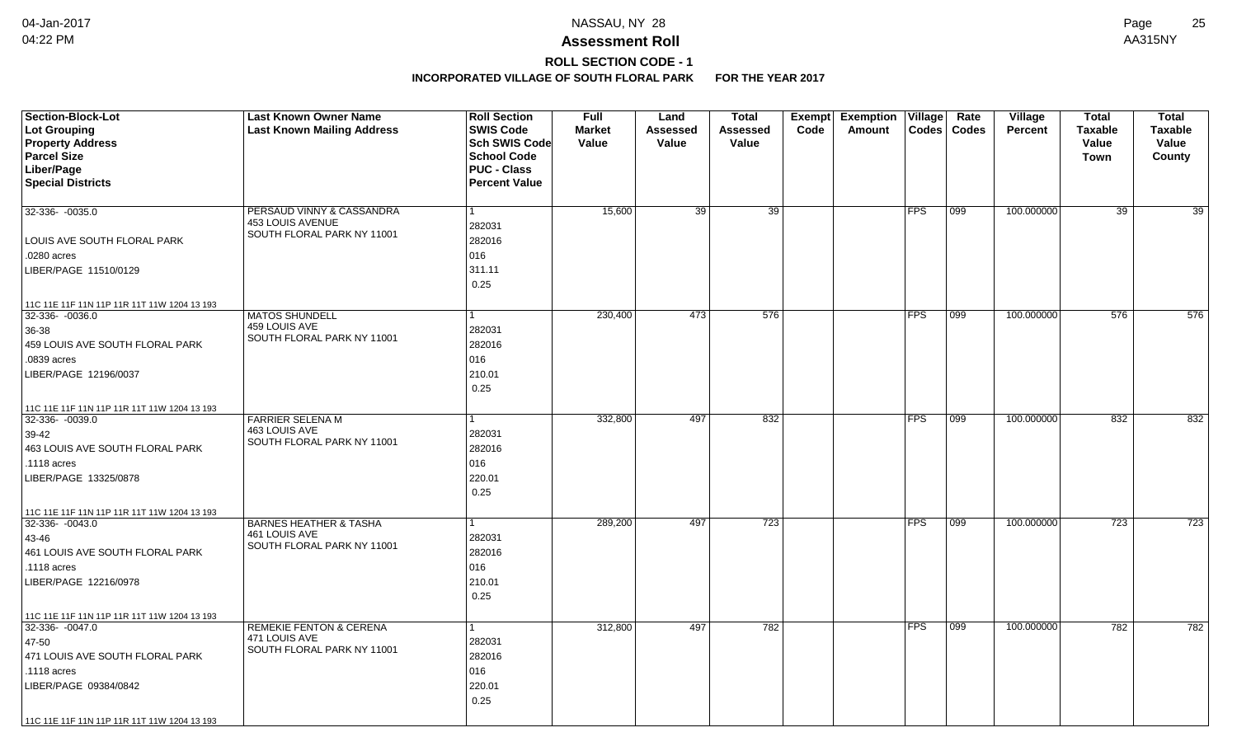# **ROLL SECTION CODE - 1**

| <b>Section-Block-Lot</b>                    | <b>Last Known Owner Name</b>                | <b>Roll Section</b>  | <b>Full</b>   | Land     | <b>Total</b>    | Exempt | <b>Exemption</b> | Village    | Rate          | Village        | <b>Total</b>    | <b>Total</b>    |
|---------------------------------------------|---------------------------------------------|----------------------|---------------|----------|-----------------|--------|------------------|------------|---------------|----------------|-----------------|-----------------|
| Lot Grouping                                | <b>Last Known Mailing Address</b>           | <b>SWIS Code</b>     | <b>Market</b> | Assessed | Assessed        | Code   | Amount           |            | Codes   Codes | <b>Percent</b> | <b>Taxable</b>  | <b>Taxable</b>  |
| <b>Property Address</b>                     |                                             | Sch SWIS Code        | Value         | Value    | Value           |        |                  |            |               |                | Value           | Value           |
| <b>Parcel Size</b>                          |                                             | <b>School Code</b>   |               |          |                 |        |                  |            |               |                | <b>Town</b>     | County          |
| Liber/Page                                  |                                             | <b>PUC - Class</b>   |               |          |                 |        |                  |            |               |                |                 |                 |
| <b>Special Districts</b>                    |                                             | <b>Percent Value</b> |               |          |                 |        |                  |            |               |                |                 |                 |
| 32-336- -0035.0                             | PERSAUD VINNY & CASSANDRA                   |                      | 15,600        | 39       | $\overline{39}$ |        |                  | <b>FPS</b> | 099           | 100.000000     | $\overline{39}$ | $\overline{39}$ |
|                                             | 453 LOUIS AVENUE                            | 282031               |               |          |                 |        |                  |            |               |                |                 |                 |
| LOUIS AVE SOUTH FLORAL PARK                 | SOUTH FLORAL PARK NY 11001                  | 282016               |               |          |                 |        |                  |            |               |                |                 |                 |
| .0280 acres                                 |                                             | 016                  |               |          |                 |        |                  |            |               |                |                 |                 |
| LIBER/PAGE 11510/0129                       |                                             | 311.11               |               |          |                 |        |                  |            |               |                |                 |                 |
|                                             |                                             | 0.25                 |               |          |                 |        |                  |            |               |                |                 |                 |
| 11C 11E 11F 11N 11P 11R 11T 11W 1204 13 193 |                                             |                      |               |          |                 |        |                  |            |               |                |                 |                 |
| 32-336- -0036.0                             | <b>MATOS SHUNDELL</b><br>459 LOUIS AVE      |                      | 230,400       | 473      | 576             |        |                  | <b>FPS</b> | 099           | 100.000000     | 576             | 576             |
| 36-38                                       | SOUTH FLORAL PARK NY 11001                  | 282031               |               |          |                 |        |                  |            |               |                |                 |                 |
| 459 LOUIS AVE SOUTH FLORAL PARK             |                                             | 282016               |               |          |                 |        |                  |            |               |                |                 |                 |
| .0839 acres                                 |                                             | 016                  |               |          |                 |        |                  |            |               |                |                 |                 |
| LIBER/PAGE 12196/0037                       |                                             | 210.01               |               |          |                 |        |                  |            |               |                |                 |                 |
|                                             |                                             | 0.25                 |               |          |                 |        |                  |            |               |                |                 |                 |
| 11C 11E 11F 11N 11P 11R 11T 11W 1204 13 193 |                                             |                      |               |          |                 |        |                  |            |               |                |                 |                 |
| 32-336-0039.0                               | <b>FARRIER SELENA M</b>                     |                      | 332,800       | 497      | 832             |        |                  | <b>FPS</b> | $ 099\rangle$ | 100.000000     | 832             | 832             |
| 39-42                                       | 463 LOUIS AVE<br>SOUTH FLORAL PARK NY 11001 | 282031               |               |          |                 |        |                  |            |               |                |                 |                 |
| 463 LOUIS AVE SOUTH FLORAL PARK             |                                             | 282016               |               |          |                 |        |                  |            |               |                |                 |                 |
| .1118 acres                                 |                                             | 016                  |               |          |                 |        |                  |            |               |                |                 |                 |
| LIBER/PAGE 13325/0878                       |                                             | 220.01               |               |          |                 |        |                  |            |               |                |                 |                 |
|                                             |                                             | 0.25                 |               |          |                 |        |                  |            |               |                |                 |                 |
| 11C 11E 11F 11N 11P 11R 11T 11W 1204 13 193 |                                             |                      |               |          |                 |        |                  |            |               |                |                 |                 |
| $32 - 336 - 0043.0$                         | <b>BARNES HEATHER &amp; TASHA</b>           |                      | 289,200       | 497      | 723             |        |                  | <b>FPS</b> | 099           | 100.000000     | 723             | 723             |
| 43-46                                       | 461 LOUIS AVE<br>SOUTH FLORAL PARK NY 11001 | 282031               |               |          |                 |        |                  |            |               |                |                 |                 |
| 461 LOUIS AVE SOUTH FLORAL PARK             |                                             | 282016               |               |          |                 |        |                  |            |               |                |                 |                 |
| .1118 acres                                 |                                             | 016                  |               |          |                 |        |                  |            |               |                |                 |                 |
| LIBER/PAGE 12216/0978                       |                                             | 210.01               |               |          |                 |        |                  |            |               |                |                 |                 |
|                                             |                                             | 0.25                 |               |          |                 |        |                  |            |               |                |                 |                 |
| 11C 11E 11F 11N 11P 11R 11T 11W 1204 13 193 |                                             |                      |               |          |                 |        |                  |            |               |                |                 |                 |
| $32-336 - 0047.0$                           | <b>REMEKIE FENTON &amp; CERENA</b>          |                      | 312,800       | 497      | 782             |        |                  | <b>FPS</b> | 099           | 100.000000     | 782             | 782             |
| 47-50                                       | 471 LOUIS AVE<br>SOUTH FLORAL PARK NY 11001 | 282031               |               |          |                 |        |                  |            |               |                |                 |                 |
| 471 LOUIS AVE SOUTH FLORAL PARK             |                                             | 282016               |               |          |                 |        |                  |            |               |                |                 |                 |
| .1118 acres                                 |                                             | 016                  |               |          |                 |        |                  |            |               |                |                 |                 |
| LIBER/PAGE 09384/0842                       |                                             | 220.01               |               |          |                 |        |                  |            |               |                |                 |                 |
|                                             |                                             | 0.25                 |               |          |                 |        |                  |            |               |                |                 |                 |
| 11C 11E 11F 11N 11P 11R 11T 11W 1204 13 193 |                                             |                      |               |          |                 |        |                  |            |               |                |                 |                 |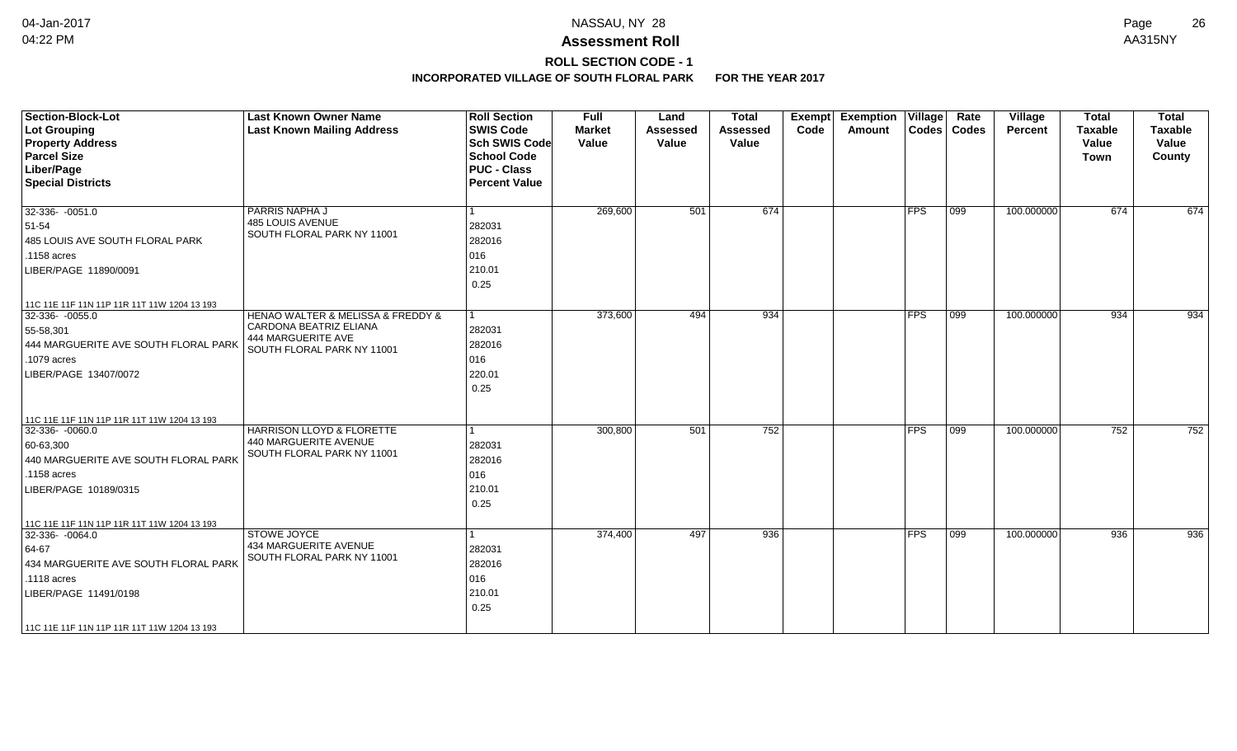# **ROLL SECTION CODE - 1**

| <b>Section-Block-Lot</b><br>Lot Grouping<br><b>Property Address</b><br><b>Parcel Size</b><br>Liber/Page<br><b>Special Districts</b>                                                                        | <b>Last Known Owner Name</b><br><b>Last Known Mailing Address</b>                                               | <b>Roll Section</b><br><b>SWIS Code</b><br><b>Sch SWIS Code</b><br><b>School Code</b><br><b>PUC - Class</b><br><b>Percent Value</b> | <b>Full</b><br><b>Market</b><br>Value | Land<br><b>Assessed</b><br>Value | <b>Total</b><br>Assessed<br>Value | Exempt<br>Code | <b>Exemption Village</b><br>Amount |               | Rate<br>Codes   Codes | Village<br><b>Percent</b> | <b>Total</b><br><b>Taxable</b><br>Value<br>Town | <b>Total</b><br><b>Taxable</b><br>Value<br>County |
|------------------------------------------------------------------------------------------------------------------------------------------------------------------------------------------------------------|-----------------------------------------------------------------------------------------------------------------|-------------------------------------------------------------------------------------------------------------------------------------|---------------------------------------|----------------------------------|-----------------------------------|----------------|------------------------------------|---------------|-----------------------|---------------------------|-------------------------------------------------|---------------------------------------------------|
| 32-336-0051.0<br>51-54<br>485 LOUIS AVE SOUTH FLORAL PARK<br>.1158 acres<br>LIBER/PAGE 11890/0091                                                                                                          | PARRIS NAPHA J<br>485 LOUIS AVENUE<br>SOUTH FLORAL PARK NY 11001                                                | 282031<br>282016<br>016<br>210.01<br>0.25                                                                                           | 269,600                               | 501                              | 674                               |                |                                    | <b>FPS</b>    | 099                   | 100.000000                | 674                                             | 674                                               |
| 11C 11E 11F 11N 11P 11R 11T 11W 1204 13 193<br>$32-336 - 0055.0$<br>55-58,301<br>444 MARGUERITE AVE SOUTH FLORAL PARK<br>.1079 acres<br>LIBER/PAGE 13407/0072                                              | HENAO WALTER & MELISSA & FREDDY &<br>CARDONA BEATRIZ ELIANA<br>444 MARGUERITE AVE<br>SOUTH FLORAL PARK NY 11001 | 282031<br>282016<br>016<br>220.01<br>0.25                                                                                           | 373,600                               | 494                              | 934                               |                |                                    | <b>FPS</b>    | 099                   | 100.000000                | 934                                             | 934                                               |
| 11C 11E 11F 11N 11P 11R 11T 11W 1204 13 193<br>32-336- -0060.0<br>60-63,300<br>440 MARGUERITE AVE SOUTH FLORAL PARK<br>.1158 acres<br>LIBER/PAGE 10189/0315<br>11C 11E 11F 11N 11P 11R 11T 11W 1204 13 193 | <b>HARRISON LLOYD &amp; FLORETTE</b><br>440 MARGUERITE AVENUE<br>SOUTH FLORAL PARK NY 11001                     | 282031<br>282016<br>016<br>210.01<br>0.25                                                                                           | 300,800                               | 501                              | 752                               |                |                                    | $ {\sf FPS} $ | 099                   | 100.000000                | 752                                             | 752                                               |
| $32-336 - 0064.0$<br>64-67<br>434 MARGUERITE AVE SOUTH FLORAL PARK<br>.1118 acres<br>LIBER/PAGE 11491/0198<br>  11C 11E 11F 11N 11P 11R 11T 11W 1204 13 193                                                | <b>STOWE JOYCE</b><br>434 MARGUERITE AVENUE<br>SOUTH FLORAL PARK NY 11001                                       | 282031<br>282016<br>016<br>210.01<br>0.25                                                                                           | 374,400                               | 497                              | 936                               |                |                                    | <b>FPS</b>    | 099                   | 100.000000                | 936                                             | 936                                               |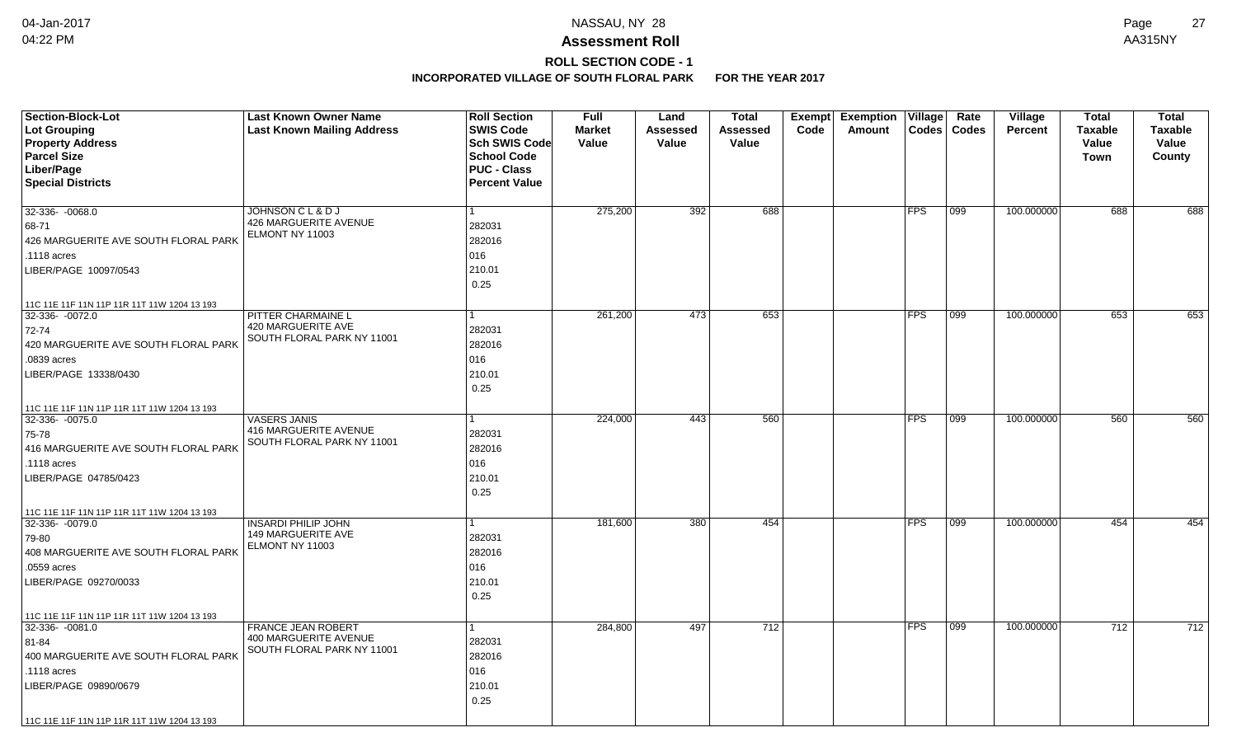# **ROLL SECTION CODE - 1**

| <b>Section-Block-Lot</b>                                         | <b>Last Known Owner Name</b>      | <b>Roll Section</b>  | <b>Full</b>   | Land            | <b>Total</b>    | Exempt | <b>Exemption</b> | Village        | Rate         | Village    | <b>Total</b>   | <b>Total</b>   |
|------------------------------------------------------------------|-----------------------------------|----------------------|---------------|-----------------|-----------------|--------|------------------|----------------|--------------|------------|----------------|----------------|
| Lot Grouping                                                     | <b>Last Known Mailing Address</b> | <b>SWIS Code</b>     | <b>Market</b> | <b>Assessed</b> | <b>Assessed</b> | Code   | Amount           | $\text{Codes}$ | <b>Codes</b> | Percent    | <b>Taxable</b> | <b>Taxable</b> |
| <b>Property Address</b>                                          |                                   | <b>Sch SWIS Code</b> | Value         | Value           | Value           |        |                  |                |              |            | Value          | Value          |
| <b>Parcel Size</b>                                               |                                   | <b>School Code</b>   |               |                 |                 |        |                  |                |              |            | Town           | County         |
| Liber/Page                                                       |                                   | <b>PUC - Class</b>   |               |                 |                 |        |                  |                |              |            |                |                |
| <b>Special Districts</b>                                         |                                   | <b>Percent Value</b> |               |                 |                 |        |                  |                |              |            |                |                |
|                                                                  |                                   |                      |               |                 |                 |        |                  |                |              |            |                |                |
| 32-336- - 0068.0                                                 | JOHNSON C L & D J                 | 1                    | 275,200       | 392             | 688             |        |                  | <b>FPS</b>     | 099          | 100.000000 | 688            | 688            |
| 68-71                                                            | 426 MARGUERITE AVENUE             | 282031               |               |                 |                 |        |                  |                |              |            |                |                |
| 426 MARGUERITE AVE SOUTH FLORAL PARK                             | ELMONT NY 11003                   | 282016               |               |                 |                 |        |                  |                |              |            |                |                |
| .1118 acres                                                      |                                   | 016                  |               |                 |                 |        |                  |                |              |            |                |                |
| LIBER/PAGE 10097/0543                                            |                                   | 210.01               |               |                 |                 |        |                  |                |              |            |                |                |
|                                                                  |                                   | 0.25                 |               |                 |                 |        |                  |                |              |            |                |                |
| 11C 11E 11F 11N 11P 11R 11T 11W 1204 13 193                      |                                   |                      |               |                 |                 |        |                  |                |              |            |                |                |
| 32-336- - 0072.0                                                 | PITTER CHARMAINE L                | 1                    | 261,200       | 473             | 653             |        |                  | <b>FPS</b>     | 099          | 100.000000 | 653            | 653            |
| 72-74                                                            | 420 MARGUERITE AVE                | 282031               |               |                 |                 |        |                  |                |              |            |                |                |
| 420 MARGUERITE AVE SOUTH FLORAL PARK                             | SOUTH FLORAL PARK NY 11001        | 282016               |               |                 |                 |        |                  |                |              |            |                |                |
| .0839 acres                                                      |                                   | 016                  |               |                 |                 |        |                  |                |              |            |                |                |
| LIBER/PAGE 13338/0430                                            |                                   | 210.01               |               |                 |                 |        |                  |                |              |            |                |                |
|                                                                  |                                   | 0.25                 |               |                 |                 |        |                  |                |              |            |                |                |
| 11C 11E 11F 11N 11P 11R 11T 11W 1204 13 193                      |                                   |                      |               |                 |                 |        |                  |                |              |            |                |                |
| 32-336- -0075.0                                                  | <b>VASERS JANIS</b>               |                      | 224,000       | 443             | 560             |        |                  | <b>FPS</b>     | 099          | 100.000000 | 560            | 560            |
| 75-78                                                            | 416 MARGUERITE AVENUE             | 282031               |               |                 |                 |        |                  |                |              |            |                |                |
| 416 MARGUERITE AVE SOUTH FLORAL PARK                             | SOUTH FLORAL PARK NY 11001        | 282016               |               |                 |                 |        |                  |                |              |            |                |                |
| .1118 acres                                                      |                                   | 016                  |               |                 |                 |        |                  |                |              |            |                |                |
| LIBER/PAGE 04785/0423                                            |                                   | 210.01               |               |                 |                 |        |                  |                |              |            |                |                |
|                                                                  |                                   | 0.25                 |               |                 |                 |        |                  |                |              |            |                |                |
|                                                                  |                                   |                      |               |                 |                 |        |                  |                |              |            |                |                |
| 11C 11E 11F 11N 11P 11R 11T 11W 1204 13 193<br>$32-336 - 0079.0$ | <b>INSARDI PHILIP JOHN</b>        | 1                    | 181,600       | 380             | 454             |        |                  | <b>FPS</b>     | 099          | 100.000000 | 454            | 454            |
| 79-80                                                            | 149 MARGUERITE AVE                | 282031               |               |                 |                 |        |                  |                |              |            |                |                |
| 408 MARGUERITE AVE SOUTH FLORAL PARK                             | ELMONT NY 11003                   | 282016               |               |                 |                 |        |                  |                |              |            |                |                |
| .0559 acres                                                      |                                   | 016                  |               |                 |                 |        |                  |                |              |            |                |                |
| LIBER/PAGE 09270/0033                                            |                                   | 210.01               |               |                 |                 |        |                  |                |              |            |                |                |
|                                                                  |                                   | 0.25                 |               |                 |                 |        |                  |                |              |            |                |                |
|                                                                  |                                   |                      |               |                 |                 |        |                  |                |              |            |                |                |
| 11C 11E 11F 11N 11P 11R 11T 11W 1204 13 193<br>32-336- -0081.0   | <b>FRANCE JEAN ROBERT</b>         | 1                    | 284,800       | 497             | 712             |        |                  | <b>FPS</b>     | 099          | 100.000000 | 712            | 712            |
|                                                                  | 400 MARGUERITE AVENUE             |                      |               |                 |                 |        |                  |                |              |            |                |                |
| 81-84                                                            | SOUTH FLORAL PARK NY 11001        | 282031               |               |                 |                 |        |                  |                |              |            |                |                |
| 400 MARGUERITE AVE SOUTH FLORAL PARK                             |                                   | 282016               |               |                 |                 |        |                  |                |              |            |                |                |
| .1118 acres                                                      |                                   | 016                  |               |                 |                 |        |                  |                |              |            |                |                |
| LIBER/PAGE 09890/0679                                            |                                   | 210.01               |               |                 |                 |        |                  |                |              |            |                |                |
|                                                                  |                                   | 0.25                 |               |                 |                 |        |                  |                |              |            |                |                |
| 11C 11E 11F 11N 11P 11R 11T 11W 1204 13 193                      |                                   |                      |               |                 |                 |        |                  |                |              |            |                |                |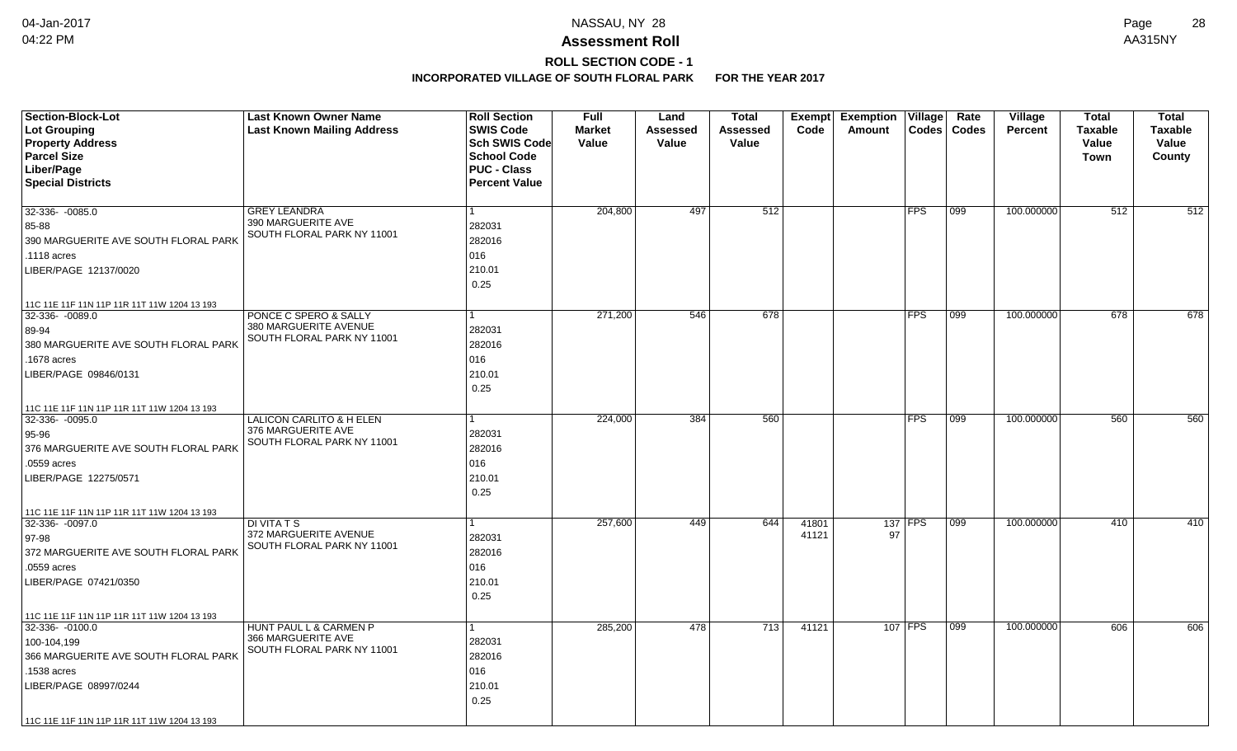# **ROLL SECTION CODE - 1**

| <b>Section-Block-Lot</b><br>Lot Grouping<br><b>Property Address</b><br><b>Parcel Size</b><br>Liber/Page<br><b>Special Districts</b>                                                                         | <b>Last Known Owner Name</b><br><b>Last Known Mailing Address</b>                       | <b>Roll Section</b><br><b>SWIS Code</b><br><b>Sch SWIS Code</b><br><b>School Code</b><br><b>PUC - Class</b><br><b>Percent Value</b> | <b>Full</b><br><b>Market</b><br>Value | Land<br>Assessed<br>Value | <b>Total</b><br>Assessed<br>Value | <b>Exempt</b><br>Code | <b>Exemption</b><br>Amount | $ $ Village<br>Codes | Rate<br>Codes | <b>Village</b><br><b>Percent</b> | <b>Total</b><br><b>Taxable</b><br>Value<br><b>Town</b> | <b>Total</b><br><b>Taxable</b><br>Value<br>County |
|-------------------------------------------------------------------------------------------------------------------------------------------------------------------------------------------------------------|-----------------------------------------------------------------------------------------|-------------------------------------------------------------------------------------------------------------------------------------|---------------------------------------|---------------------------|-----------------------------------|-----------------------|----------------------------|----------------------|---------------|----------------------------------|--------------------------------------------------------|---------------------------------------------------|
| 32-336- -0085.0<br>85-88<br>390 MARGUERITE AVE SOUTH FLORAL PARK<br>.1118 acres<br>LIBER/PAGE 12137/0020                                                                                                    | <b>GREY LEANDRA</b><br>390 MARGUERITE AVE<br>SOUTH FLORAL PARK NY 11001                 | 1<br>282031<br>282016<br>016<br>210.01<br>0.25                                                                                      | 204,800                               | 497                       | 512                               |                       |                            | <b>FPS</b>           | 099           | 100.000000                       | 512                                                    | 512                                               |
| 11C 11E 11F 11N 11P 11R 11T 11W 1204 13 193<br>32-336- -0089.0<br>89-94<br>380 MARGUERITE AVE SOUTH FLORAL PARK<br>.1678 acres<br>LIBER/PAGE 09846/0131                                                     | PONCE C SPERO & SALLY<br>380 MARGUERITE AVENUE<br>SOUTH FLORAL PARK NY 11001            | 1<br>282031<br>282016<br>016<br>210.01<br>0.25                                                                                      | 271,200                               | 546                       | 678                               |                       |                            | FPS                  | 099           | 100.000000                       | 678                                                    | 678                                               |
| 11C 11E 11F 11N 11P 11R 11T 11W 1204 13 193<br>32-336- -0095.0<br>$ 95 - 96$<br>376 MARGUERITE AVE SOUTH FLORAL PARK<br>.0559 acres<br>LIBER/PAGE 12275/0571<br>11C 11E 11F 11N 11P 11R 11T 11W 1204 13 193 | <b>LALICON CARLITO &amp; H ELEN</b><br>376 MARGUERITE AVE<br>SOUTH FLORAL PARK NY 11001 | 1<br>282031<br>282016<br>016<br>210.01<br>0.25                                                                                      | 224,000                               | 384                       | 560                               |                       |                            | FPS                  | 099           | 100.000000                       | 560                                                    | 560                                               |
| 32-336-0097.0<br>97-98<br>372 MARGUERITE AVE SOUTH FLORAL PARK<br>.0559 acres<br>LIBER/PAGE 07421/0350<br>11C 11E 11F 11N 11P 11R 11T 11W 1204 13 193                                                       | <b>DI VITA T S</b><br>372 MARGUERITE AVENUE<br>SOUTH FLORAL PARK NY 11001               | 282031<br>282016<br>016<br>210.01<br>0.25                                                                                           | 257,600                               | 449                       | 644                               | 41801<br>41121        | 97                         | 137 FPS              | 099           | 100.000000                       | 410                                                    | 410                                               |
| 32-336- -0100.0<br>100-104,199<br>366 MARGUERITE AVE SOUTH FLORAL PARK<br>.1538 acres<br>LIBER/PAGE 08997/0244<br>11C 11E 11F 11N 11P 11R 11T 11W 1204 13 193                                               | HUNT PAUL L & CARMEN P<br>366 MARGUERITE AVE<br>SOUTH FLORAL PARK NY 11001              | 1<br>282031<br>282016<br>016<br>210.01<br>0.25                                                                                      | 285,200                               | 478                       | 713                               | 41121                 |                            | 107 FPS              | 099           | 100.000000                       | 606                                                    | 606                                               |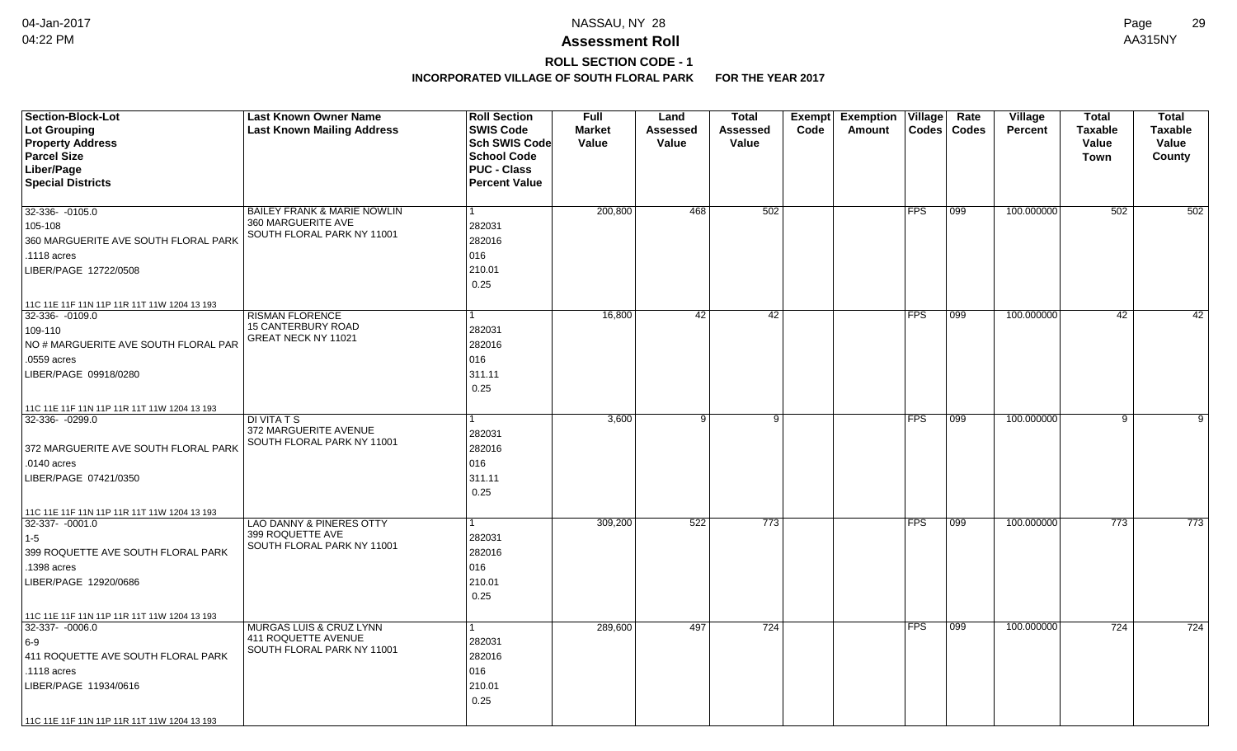# **ROLL SECTION CODE - 1**

| <b>Section-Block-Lot</b>                    | <b>Last Known Owner Name</b>                        | <b>Roll Section</b>  | <b>Full</b>   | Land            | <b>Total</b>    | Exempt | <b>Exemption</b> | $ $ Village    | Rate         | Village    | <b>Total</b>   | <b>Total</b>   |
|---------------------------------------------|-----------------------------------------------------|----------------------|---------------|-----------------|-----------------|--------|------------------|----------------|--------------|------------|----------------|----------------|
| Lot Grouping                                | <b>Last Known Mailing Address</b>                   | <b>SWIS Code</b>     | <b>Market</b> | <b>Assessed</b> | <b>Assessed</b> | Code   | Amount           | $\text{Codes}$ | <b>Codes</b> | Percent    | <b>Taxable</b> | <b>Taxable</b> |
| <b>Property Address</b>                     |                                                     | <b>Sch SWIS Code</b> | Value         | Value           | Value           |        |                  |                |              |            | Value          | Value          |
| <b>Parcel Size</b>                          |                                                     | <b>School Code</b>   |               |                 |                 |        |                  |                |              |            | <b>Town</b>    | County         |
| Liber/Page                                  |                                                     | <b>PUC - Class</b>   |               |                 |                 |        |                  |                |              |            |                |                |
| <b>Special Districts</b>                    |                                                     | <b>Percent Value</b> |               |                 |                 |        |                  |                |              |            |                |                |
|                                             |                                                     | 1                    |               |                 | 502             |        |                  | <b>FPS</b>     |              |            |                |                |
| 32-336- -0105.0                             | BAILEY FRANK & MARIE NOWLIN<br>360 MARGUERITE AVE   |                      | 200,800       | 468             |                 |        |                  |                | 099          | 100.000000 | 502            | 502            |
| 105-108                                     | SOUTH FLORAL PARK NY 11001                          | 282031               |               |                 |                 |        |                  |                |              |            |                |                |
| 360 MARGUERITE AVE SOUTH FLORAL PARK        |                                                     | 282016               |               |                 |                 |        |                  |                |              |            |                |                |
| .1118 acres                                 |                                                     | 016                  |               |                 |                 |        |                  |                |              |            |                |                |
| LIBER/PAGE 12722/0508                       |                                                     | 210.01               |               |                 |                 |        |                  |                |              |            |                |                |
|                                             |                                                     | 0.25                 |               |                 |                 |        |                  |                |              |            |                |                |
| 11C 11E 11F 11N 11P 11R 11T 11W 1204 13 193 |                                                     |                      |               |                 |                 |        |                  |                |              |            |                |                |
| 32-336- -0109.0                             | <b>RISMAN FLORENCE</b>                              | 1                    | 16,800        | 42              | 42              |        |                  | <b>FPS</b>     | 099          | 100.000000 | 42             | 42             |
| 109-110                                     | 15 CANTERBURY ROAD<br>GREAT NECK NY 11021           | 282031               |               |                 |                 |        |                  |                |              |            |                |                |
| NO # MARGUERITE AVE SOUTH FLORAL PAR        |                                                     | 282016               |               |                 |                 |        |                  |                |              |            |                |                |
| .0559 acres                                 |                                                     | 016                  |               |                 |                 |        |                  |                |              |            |                |                |
| LIBER/PAGE 09918/0280                       |                                                     | 311.11               |               |                 |                 |        |                  |                |              |            |                |                |
|                                             |                                                     | 0.25                 |               |                 |                 |        |                  |                |              |            |                |                |
| 11C 11E 11F 11N 11P 11R 11T 11W 1204 13 193 |                                                     |                      |               |                 |                 |        |                  |                |              |            |                |                |
| 32-336-0299.0                               | <b>DI VITA T S</b>                                  |                      | 3,600         | 9 <sup>1</sup>  | 9               |        |                  | <b>FPS</b>     | 099          | 100.000000 | 9              | 9              |
|                                             | 372 MARGUERITE AVENUE<br>SOUTH FLORAL PARK NY 11001 | 282031               |               |                 |                 |        |                  |                |              |            |                |                |
| 372 MARGUERITE AVE SOUTH FLORAL PARK        |                                                     | 282016               |               |                 |                 |        |                  |                |              |            |                |                |
| .0140 acres                                 |                                                     | 016                  |               |                 |                 |        |                  |                |              |            |                |                |
| LIBER/PAGE 07421/0350                       |                                                     | 311.11               |               |                 |                 |        |                  |                |              |            |                |                |
|                                             |                                                     | 0.25                 |               |                 |                 |        |                  |                |              |            |                |                |
| 11C 11E 11F 11N 11P 11R 11T 11W 1204 13 193 |                                                     |                      |               |                 |                 |        |                  |                |              |            |                |                |
| 32-337- -0001.0                             | <b>LAO DANNY &amp; PINERES OTTY</b>                 | 1                    | 309,200       | 522             | 773             |        |                  | <b>FPS</b>     | 099          | 100.000000 | 773            | 773            |
| 1-5                                         | 399 ROQUETTE AVE                                    | 282031               |               |                 |                 |        |                  |                |              |            |                |                |
| 399 ROQUETTE AVE SOUTH FLORAL PARK          | SOUTH FLORAL PARK NY 11001                          | 282016               |               |                 |                 |        |                  |                |              |            |                |                |
| .1398 acres                                 |                                                     | 016                  |               |                 |                 |        |                  |                |              |            |                |                |
| LIBER/PAGE 12920/0686                       |                                                     | 210.01               |               |                 |                 |        |                  |                |              |            |                |                |
|                                             |                                                     | 0.25                 |               |                 |                 |        |                  |                |              |            |                |                |
| 11C 11E 11F 11N 11P 11R 11T 11W 1204 13 193 |                                                     |                      |               |                 |                 |        |                  |                |              |            |                |                |
| 32-337-0006.0                               | <b>MURGAS LUIS &amp; CRUZ LYNN</b>                  | 1                    | 289,600       | 497             | 724             |        |                  | <b>FPS</b>     | 099          | 100.000000 | 724            | 724            |
| $6-9$                                       | 411 ROQUETTE AVENUE                                 | 282031               |               |                 |                 |        |                  |                |              |            |                |                |
| 411 ROQUETTE AVE SOUTH FLORAL PARK          | SOUTH FLORAL PARK NY 11001                          | 282016               |               |                 |                 |        |                  |                |              |            |                |                |
| .1118 acres                                 |                                                     | 016                  |               |                 |                 |        |                  |                |              |            |                |                |
| LIBER/PAGE 11934/0616                       |                                                     | 210.01               |               |                 |                 |        |                  |                |              |            |                |                |
|                                             |                                                     | 0.25                 |               |                 |                 |        |                  |                |              |            |                |                |
| 11C 11E 11F 11N 11P 11R 11T 11W 1204 13 193 |                                                     |                      |               |                 |                 |        |                  |                |              |            |                |                |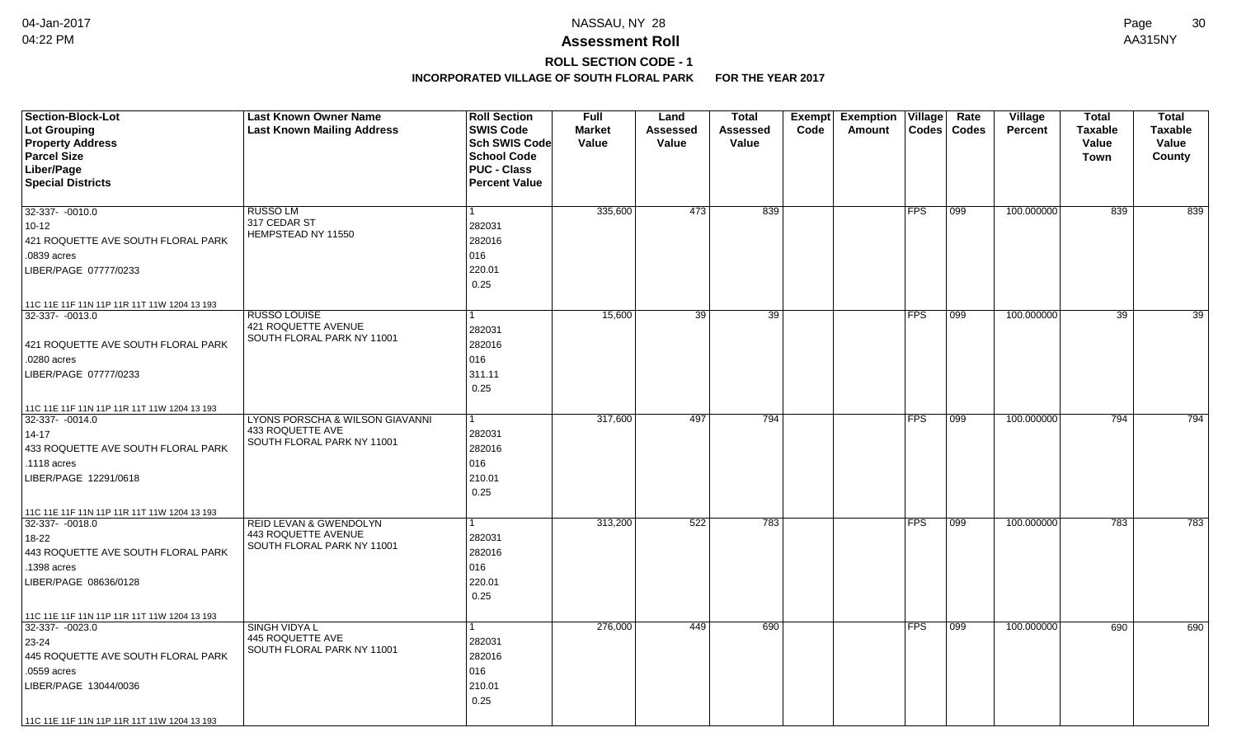## **ROLL SECTION CODE - 1**

| <b>Section-Block-Lot</b><br>Lot Grouping<br><b>Property Address</b><br><b>Parcel Size</b><br>Liber/Page<br><b>Special Districts</b>                         | <b>Last Known Owner Name</b><br><b>Last Known Mailing Address</b>                      | <b>Roll Section</b><br><b>SWIS Code</b><br><b>Sch SWIS Code</b><br><b>School Code</b><br><b>PUC - Class</b><br><b>Percent Value</b> | <b>Full</b><br><b>Market</b><br>Value | Land<br>Assessed<br>Value | <b>Total</b><br>Assessed<br>Value | Exempt<br>Code | <b>Exemption Village</b><br>Amount | Codes      | Rate<br>Codes | <b>Village</b><br><b>Percent</b> | <b>Total</b><br><b>Taxable</b><br>Value<br>Town | <b>Total</b><br><b>Taxable</b><br>Value<br>County |
|-------------------------------------------------------------------------------------------------------------------------------------------------------------|----------------------------------------------------------------------------------------|-------------------------------------------------------------------------------------------------------------------------------------|---------------------------------------|---------------------------|-----------------------------------|----------------|------------------------------------|------------|---------------|----------------------------------|-------------------------------------------------|---------------------------------------------------|
| 32-337- -0010.0<br>$10 - 12$<br>421 ROQUETTE AVE SOUTH FLORAL PARK<br>.0839 acres<br>LIBER/PAGE 07777/0233<br>11C 11E 11F 11N 11P 11R 11T 11W 1204 13 193   | <b>RUSSO LM</b><br>317 CEDAR ST<br>HEMPSTEAD NY 11550                                  | 1<br>282031<br>282016<br>016<br>220.01<br>0.25                                                                                      | 335,600                               | 473                       | 839                               |                |                                    | <b>FPS</b> | 099           | 100.000000                       | 839                                             | 839                                               |
| 32-337- -0013.0<br>421 ROQUETTE AVE SOUTH FLORAL PARK<br>.0280 acres<br>LIBER/PAGE 07777/0233<br>11C 11E 11F 11N 11P 11R 11T 11W 1204 13 193                | <b>RUSSO LOUISE</b><br>421 ROQUETTE AVENUE<br>SOUTH FLORAL PARK NY 11001               | 1<br>282031<br>282016<br>016<br>311.11<br>0.25                                                                                      | 15,600                                | 39                        | $\overline{39}$                   |                |                                    | FPS        | 099           | 100.000000                       | 39                                              | $\overline{39}$                                   |
| $32-337 - 0014.0$<br>$14 - 17$<br>433 ROQUETTE AVE SOUTH FLORAL PARK<br>.1118 acres<br>LIBER/PAGE 12291/0618<br>11C 11E 11F 11N 11P 11R 11T 11W 1204 13 193 | LYONS PORSCHA & WILSON GIAVANNI<br>433 ROQUETTE AVE<br>SOUTH FLORAL PARK NY 11001      | 1<br>282031<br>282016<br>016<br>210.01<br>0.25                                                                                      | 317,600                               | 497                       | 794                               |                |                                    | FPS        | 099           | 100.000000                       | 794                                             | 794                                               |
| $32 - 337 - 0018.0$<br>18-22<br>443 ROQUETTE AVE SOUTH FLORAL PARK<br>1398 acres<br>LIBER/PAGE 08636/0128<br>11C 11E 11F 11N 11P 11R 11T 11W 1204 13 193    | <b>REID LEVAN &amp; GWENDOLYN</b><br>443 ROQUETTE AVENUE<br>SOUTH FLORAL PARK NY 11001 | 282031<br>282016<br>016<br>220.01<br>0.25                                                                                           | 313,200                               | 522                       | 783                               |                |                                    | <b>FPS</b> | 099           | 100.000000                       | 783                                             | 783                                               |
| 32-337- -0023.0<br>23-24<br>445 ROQUETTE AVE SOUTH FLORAL PARK<br>.0559 acres<br>LIBER/PAGE 13044/0036<br>11C 11E 11F 11N 11P 11R 11T 11W 1204 13 193       | <b>SINGH VIDYA L</b><br>445 ROQUETTE AVE<br>SOUTH FLORAL PARK NY 11001                 | 282031<br>282016<br>016<br>210.01<br>0.25                                                                                           | 276,000                               | 449                       | 690                               |                |                                    | <b>FPS</b> | 099           | 100.000000                       | 690                                             | 690                                               |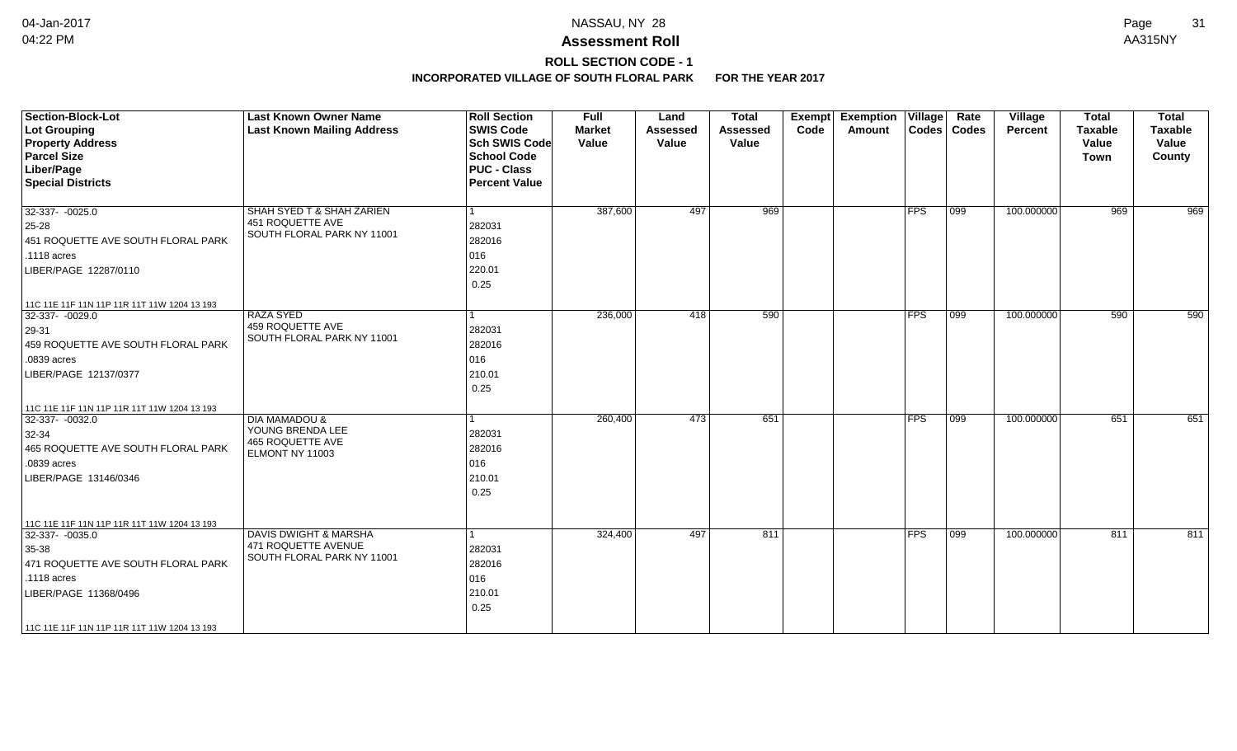## **ROLL SECTION CODE - 1**

| <b>Section-Block-Lot</b><br><b>Lot Grouping</b><br><b>Property Address</b><br><b>Parcel Size</b><br>Liber/Page<br><b>Special Districts</b>                                                           | <b>Last Known Owner Name</b><br><b>Last Known Mailing Address</b>                          | <b>Roll Section</b><br><b>SWIS Code</b><br><b>Sch SWIS Code</b><br><b>School Code</b><br><b>PUC - Class</b><br><b>Percent Value</b> | <b>Full</b><br><b>Market</b><br>Value | Land<br><b>Assessed</b><br>Value | <b>Total</b><br><b>Assessed</b><br>Value | <b>Exemption Village</b><br>Exempt<br>Code<br>Amount |               | Rate<br>Codes   Codes | Village<br><b>Percent</b> | <b>Total</b><br><b>Taxable</b><br>Value<br><b>Town</b> | <b>Total</b><br><b>Taxable</b><br>Value<br>County |
|------------------------------------------------------------------------------------------------------------------------------------------------------------------------------------------------------|--------------------------------------------------------------------------------------------|-------------------------------------------------------------------------------------------------------------------------------------|---------------------------------------|----------------------------------|------------------------------------------|------------------------------------------------------|---------------|-----------------------|---------------------------|--------------------------------------------------------|---------------------------------------------------|
| 32-337- - 0025.0<br>25-28<br>451 ROQUETTE AVE SOUTH FLORAL PARK<br>.1118 acres<br>LIBER/PAGE 12287/0110                                                                                              | SHAH SYED T & SHAH ZARIEN<br>451 ROQUETTE AVE<br>SOUTH FLORAL PARK NY 11001                | l 1<br>282031<br>282016<br>016<br>220.01<br>0.25                                                                                    | 387,600                               | 497                              | 969                                      |                                                      | <b>FPS</b>    | $ 099\rangle$         | 100.000000                | 969                                                    | 969                                               |
| 11C 11E 11F 11N 11P 11R 11T 11W 1204 13 193<br>32-337- -0029.0<br>29-31<br>459 ROQUETTE AVE SOUTH FLORAL PARK<br>.0839 acres<br>LIBER/PAGE 12137/0377<br>11C 11E 11F 11N 11P 11R 11T 11W 1204 13 193 | <b>RAZA SYED</b><br>459 ROQUETTE AVE<br>SOUTH FLORAL PARK NY 11001                         | $\vert$ 1<br>282031<br>282016<br>016<br>210.01<br>0.25                                                                              | 236,000                               | 418                              | 590                                      |                                                      | <b>FPS</b>    | 099                   | 100.000000                | 590                                                    | 590                                               |
| 32-337- -0032.0<br>32-34<br>465 ROQUETTE AVE SOUTH FLORAL PARK<br>.0839 acres<br>LIBER/PAGE 13146/0346<br>11C 11E 11F 11N 11P 11R 11T 11W 1204 13 193                                                | <b>DIA MAMADOU &amp;</b><br>YOUNG BRENDA LEE<br><b>465 ROQUETTE AVE</b><br>ELMONT NY 11003 | 1<br>282031<br>282016<br>016<br>210.01<br>0.25                                                                                      | 260,400                               | 473                              | 651                                      |                                                      | <b>FPS</b>    | 099                   | 100.000000                | 651                                                    | 651                                               |
| 32-337- -0035.0<br>35-38<br>471 ROQUETTE AVE SOUTH FLORAL PARK<br>.1118 acres<br>LIBER/PAGE 11368/0496<br>11C 11E 11F 11N 11P 11R 11T 11W 1204 13 193                                                | <b>DAVIS DWIGHT &amp; MARSHA</b><br>471 ROQUETTE AVENUE<br>SOUTH FLORAL PARK NY 11001      | 1<br>282031<br>282016<br>016<br>210.01<br>0.25                                                                                      | 324,400                               | 497                              | 811                                      |                                                      | $ {\sf FPS} $ | 099                   | 100.000000                | 811                                                    | 811                                               |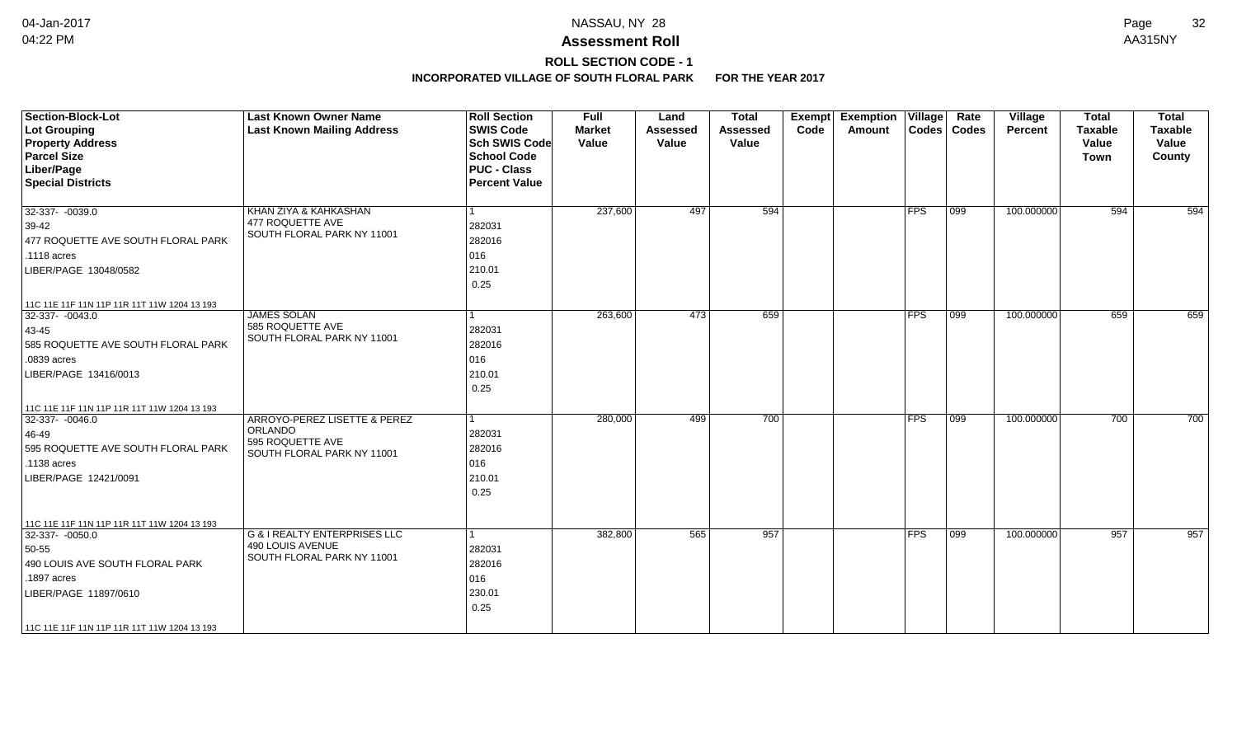# **ROLL SECTION CODE - 1**

| Section-Block-Lot<br>Lot Grouping<br><b>Property Address</b><br><b>Parcel Size</b><br>Liber/Page<br><b>Special Districts</b>                                  | <b>Last Known Owner Name</b><br><b>Last Known Mailing Address</b>                         | <b>Roll Section</b><br><b>SWIS Code</b><br><b>Sch SWIS Code</b><br><b>School Code</b><br><b>PUC - Class</b><br><b>Percent Value</b> | <b>Full</b><br><b>Market</b><br>Value | Land<br><b>Assessed</b><br>Value | <b>Total</b><br><b>Assessed</b><br>Value | <b>Exempt</b><br>Code | <b>Exemption Village</b><br>Amount |            | Rate<br>Codes   Codes | <b>Village</b><br>Percent | <b>Total</b><br><b>Taxable</b><br>Value<br><b>Town</b> | <b>Total</b><br>Taxable<br>Value<br>County |
|---------------------------------------------------------------------------------------------------------------------------------------------------------------|-------------------------------------------------------------------------------------------|-------------------------------------------------------------------------------------------------------------------------------------|---------------------------------------|----------------------------------|------------------------------------------|-----------------------|------------------------------------|------------|-----------------------|---------------------------|--------------------------------------------------------|--------------------------------------------|
| 32-337- -0039.0<br>$39-42$<br>477 ROQUETTE AVE SOUTH FLORAL PARK<br>.1118 acres<br>LIBER/PAGE 13048/0582<br>11C 11E 11F 11N 11P 11R 11T 11W 1204 13 193       | KHAN ZIYA & KAHKASHAN<br>477 ROQUETTE AVE<br>SOUTH FLORAL PARK NY 11001                   | l 1<br>282031<br>282016<br>016<br>210.01<br>0.25                                                                                    | 237,600                               | 497                              | 594                                      |                       |                                    | FPS        | $ 099\rangle$         | 100.000000                | 594                                                    | 594                                        |
| $32-337 - 0043.0$<br>$ 43 - 45 $<br>585 ROQUETTE AVE SOUTH FLORAL PARK<br>.0839 acres<br>LIBER/PAGE 13416/0013<br>11C 11E 11F 11N 11P 11R 11T 11W 1204 13 193 | <b>JAMES SOLAN</b><br>585 ROQUETTE AVE<br>SOUTH FLORAL PARK NY 11001                      | $\vert$ 1<br>282031<br>282016<br>016<br>210.01<br>0.25                                                                              | 263,600                               | 473                              | 659                                      |                       |                                    | <b>FPS</b> | $\overline{099}$      | 100.000000                | 659                                                    | 659                                        |
| 32-337- -0046.0<br>46-49<br>595 ROQUETTE AVE SOUTH FLORAL PARK<br>.1138 acres<br>LIBER/PAGE 12421/0091<br>11C 11E 11F 11N 11P 11R 11T 11W 1204 13 193         | ARROYO-PEREZ LISETTE & PEREZ<br>ORLANDO<br>595 ROQUETTE AVE<br>SOUTH FLORAL PARK NY 11001 | l 1<br>282031<br>282016<br>016<br>210.01<br>0.25                                                                                    | 280,000                               | 499                              | 700                                      |                       |                                    | <b>FPS</b> | 099                   | 100.000000                | 700                                                    | 700                                        |
| 32-337- -0050.0<br>50-55<br>490 LOUIS AVE SOUTH FLORAL PARK<br>.1897 acres<br>LIBER/PAGE 11897/0610<br>11C 11E 11F 11N 11P 11R 11T 11W 1204 13 193            | G & I REALTY ENTERPRISES LLC<br>490 LOUIS AVENUE<br>SOUTH FLORAL PARK NY 11001            | l 1<br>282031<br>282016<br>016<br>230.01<br>0.25                                                                                    | 382,800                               | 565                              | 957                                      |                       |                                    | $ $ FPS    | $ 099\rangle$         | 100.000000                | 957                                                    | 957                                        |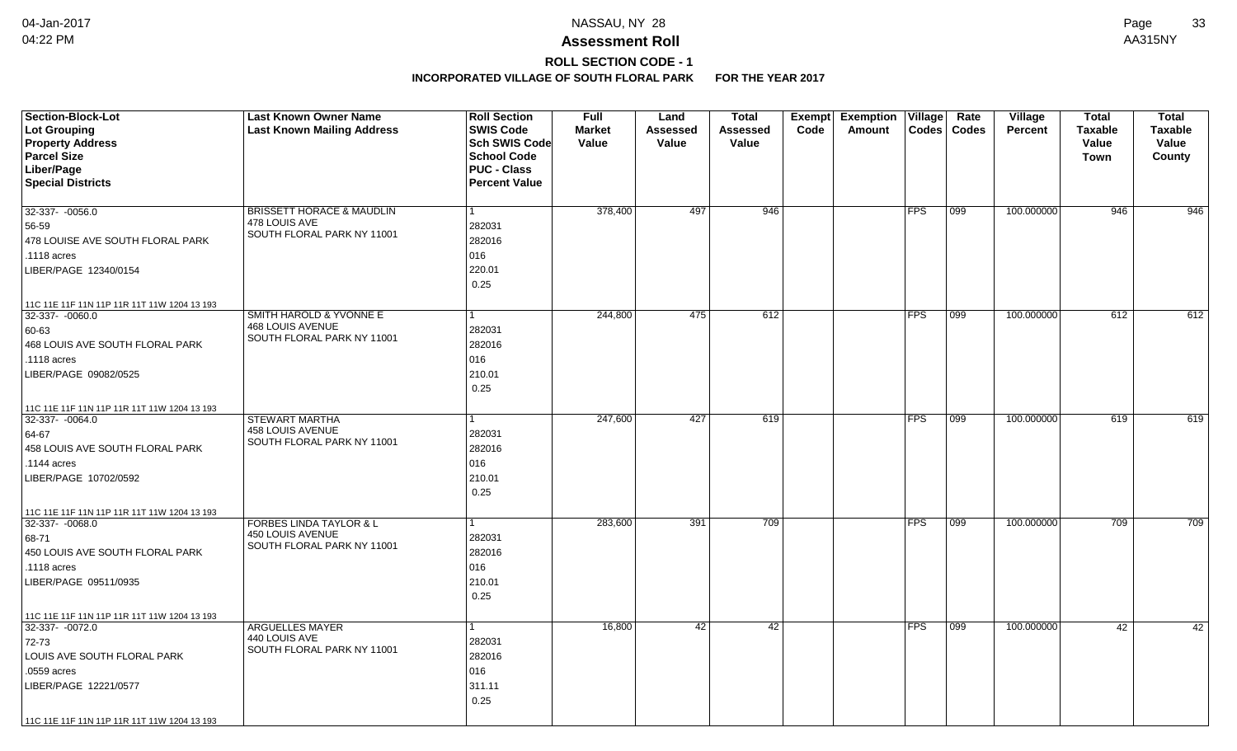# **ROLL SECTION CODE - 1**

| <b>Section-Block-Lot</b>                                       | <b>Last Known Owner Name</b>                   | <b>Roll Section</b>  | <b>Full</b>   | Land            | <b>Total</b> |      | Exempt Exemption | Village    | Rate          | Village        | <b>Total</b>   | <b>Total</b>   |
|----------------------------------------------------------------|------------------------------------------------|----------------------|---------------|-----------------|--------------|------|------------------|------------|---------------|----------------|----------------|----------------|
| Lot Grouping                                                   | <b>Last Known Mailing Address</b>              | <b>SWIS Code</b>     | <b>Market</b> | <b>Assessed</b> | Assessed     | Code | Amount           |            | Codes   Codes | <b>Percent</b> | <b>Taxable</b> | <b>Taxable</b> |
| <b>Property Address</b>                                        |                                                | Sch SWIS Code        | Value         | Value           | Value        |      |                  |            |               |                | Value          | Value          |
| <b>Parcel Size</b>                                             |                                                | <b>School Code</b>   |               |                 |              |      |                  |            |               |                | Town           | County         |
| Liber/Page                                                     |                                                | <b>PUC - Class</b>   |               |                 |              |      |                  |            |               |                |                |                |
| <b>Special Districts</b>                                       |                                                | <b>Percent Value</b> |               |                 |              |      |                  |            |               |                |                |                |
| 32-337- -0056.0                                                | <b>BRISSETT HORACE &amp; MAUDLIN</b>           |                      | 378,400       | 497             | 946          |      |                  | <b>FPS</b> | 099           | 100.000000     | 946            | 946            |
| 56-59                                                          | 478 LOUIS AVE                                  | 282031               |               |                 |              |      |                  |            |               |                |                |                |
| 478 LOUISE AVE SOUTH FLORAL PARK                               | SOUTH FLORAL PARK NY 11001                     | 282016               |               |                 |              |      |                  |            |               |                |                |                |
| .1118 acres                                                    |                                                | 016                  |               |                 |              |      |                  |            |               |                |                |                |
| LIBER/PAGE 12340/0154                                          |                                                | 220.01               |               |                 |              |      |                  |            |               |                |                |                |
|                                                                |                                                | 0.25                 |               |                 |              |      |                  |            |               |                |                |                |
| 11C 11E 11F 11N 11P 11R 11T 11W 1204 13 193                    |                                                |                      |               |                 |              |      |                  |            |               |                |                |                |
| 32-337- -0060.0                                                | <b>SMITH HAROLD &amp; YVONNE E</b>             |                      | 244,800       | 475             | 612          |      |                  | <b>FPS</b> | 099           | 100.000000     | 612            | 612            |
| 60-63                                                          | <b>468 LOUIS AVENUE</b>                        | 282031               |               |                 |              |      |                  |            |               |                |                |                |
| 468 LOUIS AVE SOUTH FLORAL PARK                                | SOUTH FLORAL PARK NY 11001                     | 282016               |               |                 |              |      |                  |            |               |                |                |                |
| .1118 acres                                                    |                                                | 016                  |               |                 |              |      |                  |            |               |                |                |                |
| LIBER/PAGE 09082/0525                                          |                                                | 210.01               |               |                 |              |      |                  |            |               |                |                |                |
|                                                                |                                                | 0.25                 |               |                 |              |      |                  |            |               |                |                |                |
|                                                                |                                                |                      |               |                 |              |      |                  |            |               |                |                |                |
| 11C 11E 11F 11N 11P 11R 11T 11W 1204 13 193<br>32-337- -0064.0 | <b>STEWART MARTHA</b>                          |                      | 247,600       | 427             | 619          |      |                  | <b>FPS</b> | $ 099\rangle$ | 100.000000     | 619            | 619            |
|                                                                | <b>458 LOUIS AVENUE</b>                        |                      |               |                 |              |      |                  |            |               |                |                |                |
| 64-67                                                          | SOUTH FLORAL PARK NY 11001                     | 282031               |               |                 |              |      |                  |            |               |                |                |                |
| 458 LOUIS AVE SOUTH FLORAL PARK                                |                                                | 282016               |               |                 |              |      |                  |            |               |                |                |                |
| .1144 acres                                                    |                                                | 016                  |               |                 |              |      |                  |            |               |                |                |                |
| LIBER/PAGE 10702/0592                                          |                                                | 210.01               |               |                 |              |      |                  |            |               |                |                |                |
|                                                                |                                                | 0.25                 |               |                 |              |      |                  |            |               |                |                |                |
| 11C 11E 11F 11N 11P 11R 11T 11W 1204 13 193                    |                                                |                      |               |                 |              |      |                  |            |               |                |                |                |
| 32-337-0068.0                                                  | <b>FORBES LINDA TAYLOR &amp; L</b>             |                      | 283,600       | 391             | 709          |      |                  | <b>FPS</b> | 099           | 100.000000     | 709            | 709            |
| 68-71                                                          | 450 LOUIS AVENUE<br>SOUTH FLORAL PARK NY 11001 | 282031               |               |                 |              |      |                  |            |               |                |                |                |
| 450 LOUIS AVE SOUTH FLORAL PARK                                |                                                | 282016               |               |                 |              |      |                  |            |               |                |                |                |
| .1118 acres                                                    |                                                | 016                  |               |                 |              |      |                  |            |               |                |                |                |
| LIBER/PAGE 09511/0935                                          |                                                | 210.01               |               |                 |              |      |                  |            |               |                |                |                |
|                                                                |                                                | 0.25                 |               |                 |              |      |                  |            |               |                |                |                |
| 11C 11E 11F 11N 11P 11R 11T 11W 1204 13 193                    |                                                |                      |               |                 |              |      |                  |            |               |                |                |                |
| 32-337- - 0072.0                                               | <b>ARGUELLES MAYER</b>                         |                      | 16,800        | 42              | 42           |      |                  | <b>FPS</b> | 099           | 100.000000     | 42             | 42             |
| 72-73                                                          | 440 LOUIS AVE<br>SOUTH FLORAL PARK NY 11001    | 282031               |               |                 |              |      |                  |            |               |                |                |                |
| LOUIS AVE SOUTH FLORAL PARK                                    |                                                | 282016               |               |                 |              |      |                  |            |               |                |                |                |
| .0559 acres                                                    |                                                | 016                  |               |                 |              |      |                  |            |               |                |                |                |
| LIBER/PAGE 12221/0577                                          |                                                | 311.11               |               |                 |              |      |                  |            |               |                |                |                |
|                                                                |                                                | 0.25                 |               |                 |              |      |                  |            |               |                |                |                |
| 11C 11E 11F 11N 11P 11R 11T 11W 1204 13 193                    |                                                |                      |               |                 |              |      |                  |            |               |                |                |                |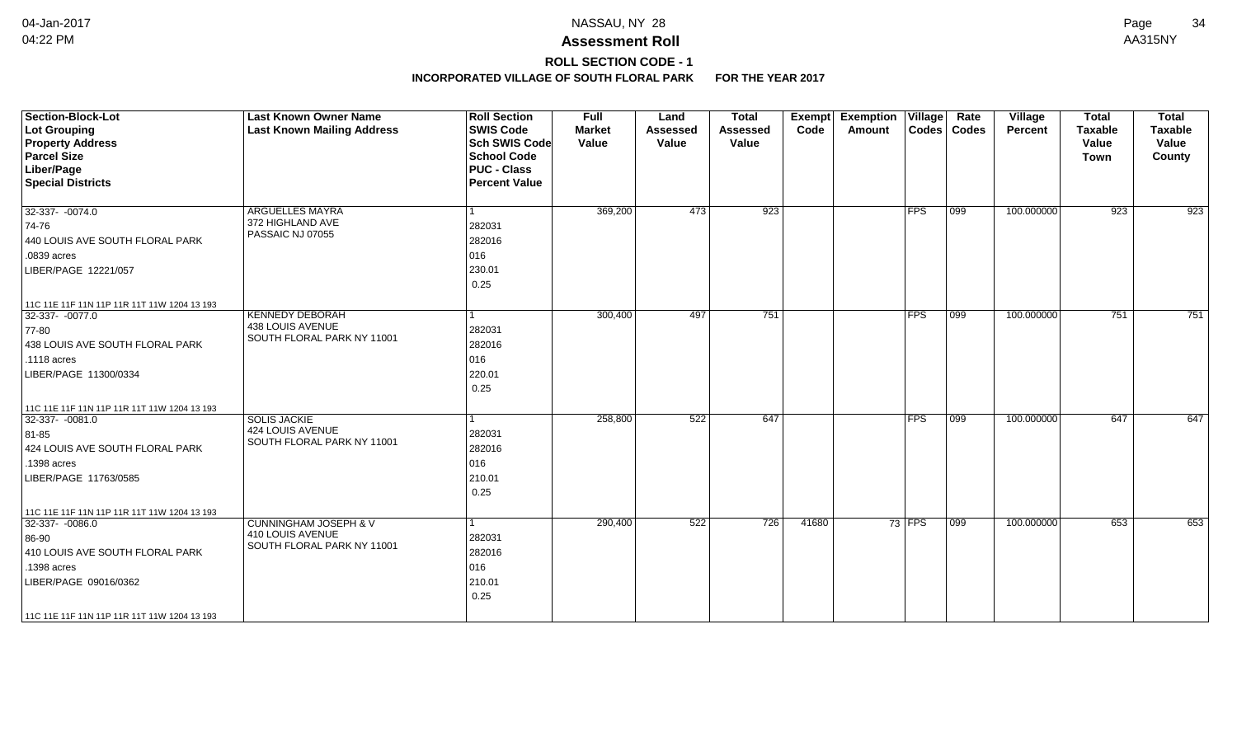## **ROLL SECTION CODE - 1**

| <b>Section-Block-Lot</b><br>Lot Grouping<br><b>Property Address</b><br><b>Parcel Size</b><br>Liber/Page<br><b>Special Districts</b>                                                             | <b>Last Known Owner Name</b><br><b>Last Known Mailing Address</b>                  | <b>Roll Section</b><br><b>SWIS Code</b><br><b>Sch SWIS Code</b><br><b>School Code</b><br><b>PUC - Class</b><br><b>Percent Value</b> | <b>Full</b><br><b>Market</b><br>Value | Land<br><b>Assessed</b><br>Value | <b>Total</b><br><b>Assessed</b><br>Value | <b>Exempt</b><br>Code | <b>Exemption Village</b><br>Amount |          | Rate<br>Codes   Codes | Village<br>Percent | <b>Total</b><br><b>Taxable</b><br>Value<br><b>Town</b> | <b>Total</b><br><b>Taxable</b><br>Value<br>County |
|-------------------------------------------------------------------------------------------------------------------------------------------------------------------------------------------------|------------------------------------------------------------------------------------|-------------------------------------------------------------------------------------------------------------------------------------|---------------------------------------|----------------------------------|------------------------------------------|-----------------------|------------------------------------|----------|-----------------------|--------------------|--------------------------------------------------------|---------------------------------------------------|
| $32-337 - 0074.0$<br>74-76<br>440 LOUIS AVE SOUTH FLORAL PARK<br>.0839 acres<br>LIBER/PAGE 12221/057                                                                                            | <b>ARGUELLES MAYRA</b><br>372 HIGHLAND AVE<br>PASSAIC NJ 07055                     | $\mathbf{1}$<br>282031<br>282016<br>016<br>230.01<br>0.25                                                                           | 369,200                               | 473                              | 923                                      |                       |                                    | FPS      | 099                   | 100.000000         | 923                                                    | 923                                               |
| 11C 11E 11F 11N 11P 11R 11T 11W 1204 13 193<br>32-337- -0077.0<br>$ 77-80$<br>438 LOUIS AVE SOUTH FLORAL PARK<br>.1118 acres<br>LIBER/PAGE 11300/0334                                           | <b>KENNEDY DEBORAH</b><br>438 LOUIS AVENUE<br>SOUTH FLORAL PARK NY 11001           | $\mathbf{1}$<br>282031<br>282016<br>016<br>220.01<br>0.25                                                                           | 300,400                               | 497                              | 751                                      |                       |                                    | FPS      | $\overline{099}$      | 100.000000         | 751                                                    | 751                                               |
| 11C 11E 11F 11N 11P 11R 11T 11W 1204 13 193<br>32-337-0081.0<br>81-85<br>424 LOUIS AVE SOUTH FLORAL PARK<br>.1398 acres<br>LIBER/PAGE 11763/0585<br>11C 11E 11F 11N 11P 11R 11T 11W 1204 13 193 | <b>SOLIS JACKIE</b><br><b>424 LOUIS AVENUE</b><br>SOUTH FLORAL PARK NY 11001       | $\mathbf{1}$<br>282031<br>282016<br>016<br>210.01<br>0.25                                                                           | 258,800                               | 522                              | 647                                      |                       |                                    | FPS      | 099                   | 100.000000         | 647                                                    | 647                                               |
| 32-337- -0086.0<br>86-90<br>410 LOUIS AVE SOUTH FLORAL PARK<br>.1398 acres<br>LIBER/PAGE 09016/0362<br>11C 11E 11F 11N 11P 11R 11T 11W 1204 13 193                                              | <b>CUNNINGHAM JOSEPH &amp; V</b><br>410 LOUIS AVENUE<br>SOUTH FLORAL PARK NY 11001 | 1<br>282031<br>282016<br>016<br>210.01<br>0.25                                                                                      | 290,400                               | 522                              | 726                                      | 41680                 |                                    | $73$ FPS | 099                   | 100.000000         | 653                                                    | 653                                               |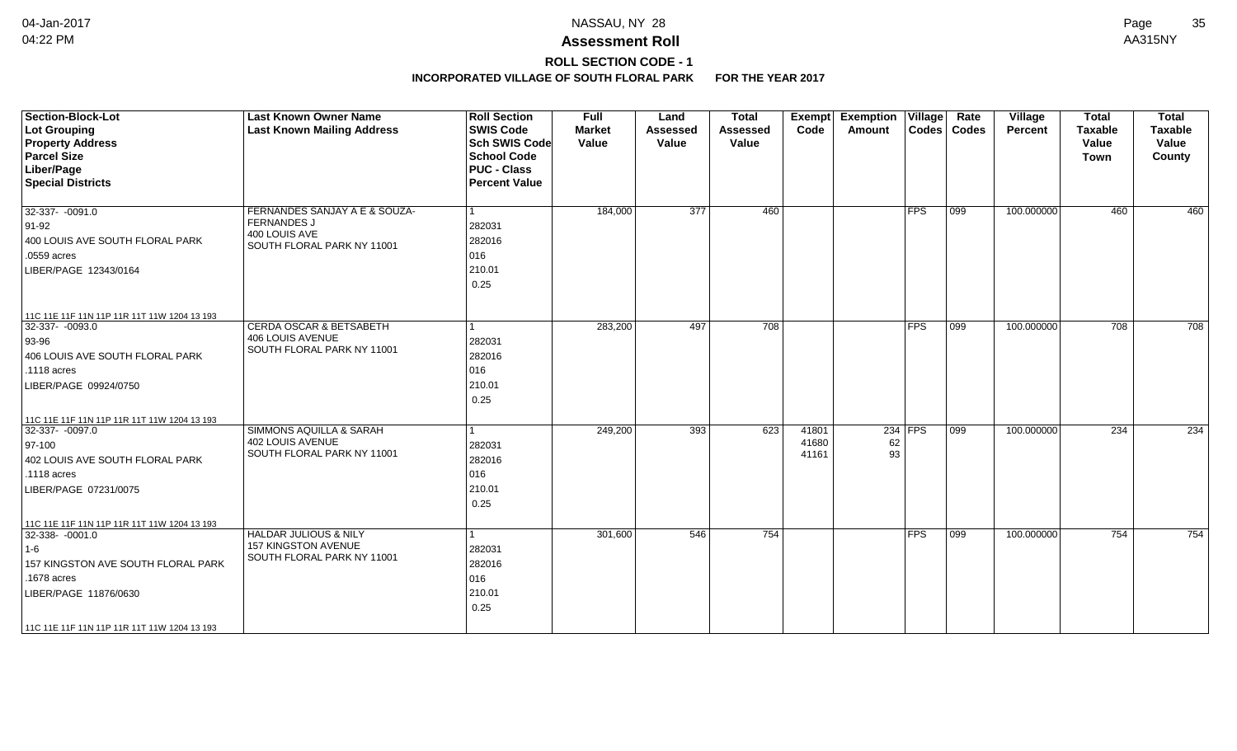## **ROLL SECTION CODE - 1**

| <b>Section-Block-Lot</b><br><b>Lot Grouping</b><br><b>Property Address</b><br><b>Parcel Size</b><br>Liber/Page<br><b>Special Districts</b>                                                        | <b>Last Known Owner Name</b><br><b>Last Known Mailing Address</b>                                  | <b>Roll Section</b><br><b>SWIS Code</b><br><b>Sch SWIS Code</b><br>School Code<br><b>PUC - Class</b><br><b>Percent Value</b> | <b>Full</b><br><b>Market</b><br>Value | Land<br><b>Assessed</b><br>Value | <b>Total</b><br><b>Assessed</b><br>Value | Exempt<br>Code          | <b>Exemption Village</b><br>Amount | Codes       | Rate<br><b>Codes</b> | Village<br>Percent | <b>Total</b><br><b>Taxable</b><br>Value<br><b>Town</b> | <b>Total</b><br><b>Taxable</b><br>Value<br>County |
|---------------------------------------------------------------------------------------------------------------------------------------------------------------------------------------------------|----------------------------------------------------------------------------------------------------|------------------------------------------------------------------------------------------------------------------------------|---------------------------------------|----------------------------------|------------------------------------------|-------------------------|------------------------------------|-------------|----------------------|--------------------|--------------------------------------------------------|---------------------------------------------------|
| $32-337 - 0091.0$<br>91-92<br>400 LOUIS AVE SOUTH FLORAL PARK<br>.0559 acres<br>LIBER/PAGE 12343/0164                                                                                             | FERNANDES SANJAY A E & SOUZA-<br><b>FERNANDES J</b><br>400 LOUIS AVE<br>SOUTH FLORAL PARK NY 11001 | 1<br>282031<br>282016<br>016<br>210.01<br>0.25                                                                               | 184,000                               | $\overline{377}$                 | 460                                      |                         |                                    | <b>FPS</b>  | 099                  | 100.000000         | 460                                                    | 460                                               |
| 11C 11E 11F 11N 11P 11R 11T 11W 1204 13 193<br>32-337- -0093.0<br>93-96<br>406 LOUIS AVE SOUTH FLORAL PARK<br>.1118 acres<br>LIBER/PAGE 09924/0750<br>11C 11E 11F 11N 11P 11R 11T 11W 1204 13 193 | <b>CERDA OSCAR &amp; BETSABETH</b><br><b>406 LOUIS AVENUE</b><br>SOUTH FLORAL PARK NY 11001        | 1<br>282031<br>282016<br>016<br>210.01<br>0.25                                                                               | 283,200                               | 497                              | 708                                      |                         |                                    | <b>FPS</b>  | $ 099\rangle$        | 100.000000         | 708                                                    | 708                                               |
| 32-337- -0097.0<br>$ 97-100 $<br>402 LOUIS AVE SOUTH FLORAL PARK<br>.1118 acres<br>LIBER/PAGE 07231/0075<br>11C 11E 11F 11N 11P 11R 11T 11W 1204 13 193                                           | SIMMONS AQUILLA & SARAH<br><b>402 LOUIS AVENUE</b><br>SOUTH FLORAL PARK NY 11001                   | 1<br>282031<br>282016<br>016<br>210.01<br>0.25                                                                               | 249,200                               | 393                              | 623                                      | 41801<br>41680<br>41161 | 62<br>93                           | $234$ FPS   | 099                  | 100.000000         | 234                                                    | 234                                               |
| 32-338-0001.0<br>$ 1-6 $<br>157 KINGSTON AVE SOUTH FLORAL PARK<br>.1678 acres<br>LIBER/PAGE 11876/0630<br>11C 11E 11F 11N 11P 11R 11T 11W 1204 13 193                                             | <b>HALDAR JULIOUS &amp; NILY</b><br>157 KINGSTON AVENUE<br>SOUTH FLORAL PARK NY 11001              | 1<br>282031<br>282016<br>016<br>210.01<br>0.25                                                                               | 301,600                               | 546                              | 754                                      |                         |                                    | <b>IFPS</b> | 099                  | 100.000000         | 754                                                    | 754                                               |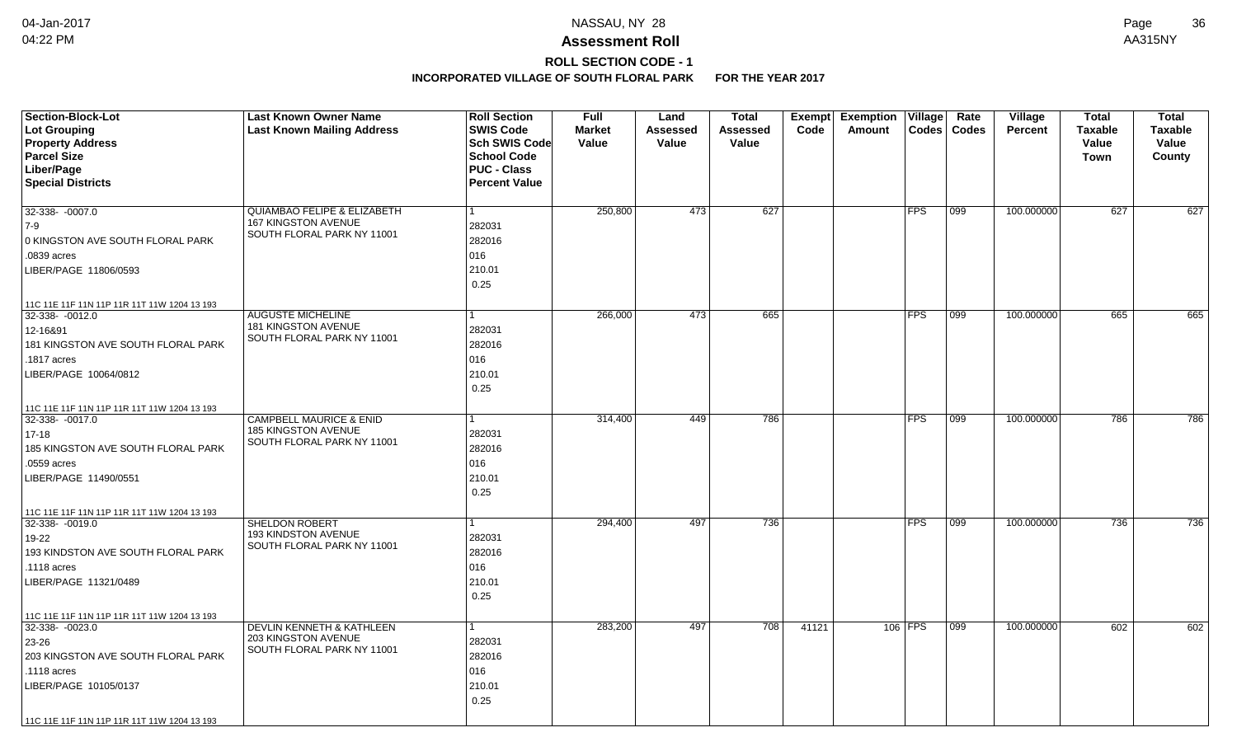# **ROLL SECTION CODE - 1**

| <b>Section-Block-Lot</b>                    | <b>Last Known Owner Name</b>                      | <b>Roll Section</b>  | <b>Full</b>   | Land     | <b>Total</b>    | Exempt | <b>Exemption Village</b> |              | Rate          | Village        | <b>Total</b>   | <b>Total</b>   |
|---------------------------------------------|---------------------------------------------------|----------------------|---------------|----------|-----------------|--------|--------------------------|--------------|---------------|----------------|----------------|----------------|
| Lot Grouping                                | <b>Last Known Mailing Address</b>                 | <b>SWIS Code</b>     | <b>Market</b> | Assessed | <b>Assessed</b> | Code   | Amount                   | <b>Codes</b> | <b>Codes</b>  | <b>Percent</b> | <b>Taxable</b> | <b>Taxable</b> |
| <b>Property Address</b>                     |                                                   | <b>Sch SWIS Code</b> | Value         | Value    | Value           |        |                          |              |               |                | Value          | Value          |
| <b>Parcel Size</b>                          |                                                   | <b>School Code</b>   |               |          |                 |        |                          |              |               |                | Town           | County         |
| Liber/Page                                  |                                                   | <b>PUC - Class</b>   |               |          |                 |        |                          |              |               |                |                |                |
| <b>Special Districts</b>                    |                                                   | <b>Percent Value</b> |               |          |                 |        |                          |              |               |                |                |                |
| 32-338- -0007.0                             | <b>QUIAMBAO FELIPE &amp; ELIZABETH</b>            |                      | 250,800       | 473      | 627             |        |                          | <b>FPS</b>   | 099           | 100.000000     | 627            | 627            |
| 7-9                                         | 167 KINGSTON AVENUE                               | 282031               |               |          |                 |        |                          |              |               |                |                |                |
| 0 KINGSTON AVE SOUTH FLORAL PARK            | SOUTH FLORAL PARK NY 11001                        | 282016               |               |          |                 |        |                          |              |               |                |                |                |
| .0839 acres                                 |                                                   | 016                  |               |          |                 |        |                          |              |               |                |                |                |
|                                             |                                                   | 210.01               |               |          |                 |        |                          |              |               |                |                |                |
| LIBER/PAGE 11806/0593                       |                                                   |                      |               |          |                 |        |                          |              |               |                |                |                |
|                                             |                                                   | 0.25                 |               |          |                 |        |                          |              |               |                |                |                |
| 11C 11E 11F 11N 11P 11R 11T 11W 1204 13 193 |                                                   |                      |               |          |                 |        |                          |              |               |                |                |                |
| $32-338 - 0012.0$                           | <b>AUGUSTE MICHELINE</b><br>181 KINGSTON AVENUE   | 1                    | 266,000       | 473      | 665             |        |                          | <b>FPS</b>   | 099           | 100.000000     | 665            | 665            |
| 12-16&91                                    | SOUTH FLORAL PARK NY 11001                        | 282031               |               |          |                 |        |                          |              |               |                |                |                |
| 181 KINGSTON AVE SOUTH FLORAL PARK          |                                                   | 282016               |               |          |                 |        |                          |              |               |                |                |                |
| .1817 acres                                 |                                                   | 016                  |               |          |                 |        |                          |              |               |                |                |                |
| LIBER/PAGE 10064/0812                       |                                                   | 210.01               |               |          |                 |        |                          |              |               |                |                |                |
|                                             |                                                   | 0.25                 |               |          |                 |        |                          |              |               |                |                |                |
| 11C 11E 11F 11N 11P 11R 11T 11W 1204 13 193 |                                                   |                      |               |          |                 |        |                          |              |               |                |                |                |
| 32-338-0017.0                               | <b>CAMPBELL MAURICE &amp; ENID</b>                |                      | 314,400       | 449      | 786             |        |                          | <b>FPS</b>   | $ 099\rangle$ | 100.000000     | 786            | 786            |
| $17 - 18$                                   | 185 KINGSTON AVENUE<br>SOUTH FLORAL PARK NY 11001 | 282031               |               |          |                 |        |                          |              |               |                |                |                |
| 185 KINGSTON AVE SOUTH FLORAL PARK          |                                                   | 282016               |               |          |                 |        |                          |              |               |                |                |                |
| .0559 acres                                 |                                                   | 016                  |               |          |                 |        |                          |              |               |                |                |                |
| LIBER/PAGE 11490/0551                       |                                                   | 210.01               |               |          |                 |        |                          |              |               |                |                |                |
|                                             |                                                   | 0.25                 |               |          |                 |        |                          |              |               |                |                |                |
| 11C 11E 11F 11N 11P 11R 11T 11W 1204 13 193 |                                                   |                      |               |          |                 |        |                          |              |               |                |                |                |
| $32 - 338 - 0019.0$                         | <b>SHELDON ROBERT</b>                             |                      | 294,400       | 497      | 736             |        |                          | <b>FPS</b>   | 099           | 100.000000     | 736            | 736            |
| 19-22                                       | <b>193 KINDSTON AVENUE</b>                        | 282031               |               |          |                 |        |                          |              |               |                |                |                |
| 193 KINDSTON AVE SOUTH FLORAL PARK          | SOUTH FLORAL PARK NY 11001                        | 282016               |               |          |                 |        |                          |              |               |                |                |                |
| .1118 acres                                 |                                                   | 016                  |               |          |                 |        |                          |              |               |                |                |                |
| LIBER/PAGE 11321/0489                       |                                                   | 210.01               |               |          |                 |        |                          |              |               |                |                |                |
|                                             |                                                   | 0.25                 |               |          |                 |        |                          |              |               |                |                |                |
| 11C 11E 11F 11N 11P 11R 11T 11W 1204 13 193 |                                                   |                      |               |          |                 |        |                          |              |               |                |                |                |
| $32-338 - 0023.0$                           | <b>DEVLIN KENNETH &amp; KATHLEEN</b>              | 1                    | 283,200       | 497      | 708             | 41121  |                          | 106 FPS      | 099           | 100.000000     | 602            | 602            |
| 23-26                                       | 203 KINGSTON AVENUE<br>SOUTH FLORAL PARK NY 11001 | 282031               |               |          |                 |        |                          |              |               |                |                |                |
| 203 KINGSTON AVE SOUTH FLORAL PARK          |                                                   | 282016               |               |          |                 |        |                          |              |               |                |                |                |
| .1118 acres                                 |                                                   | 016                  |               |          |                 |        |                          |              |               |                |                |                |
| LIBER/PAGE 10105/0137                       |                                                   | 210.01               |               |          |                 |        |                          |              |               |                |                |                |
|                                             |                                                   | 0.25                 |               |          |                 |        |                          |              |               |                |                |                |
| 11C 11E 11F 11N 11P 11R 11T 11W 1204 13 193 |                                                   |                      |               |          |                 |        |                          |              |               |                |                |                |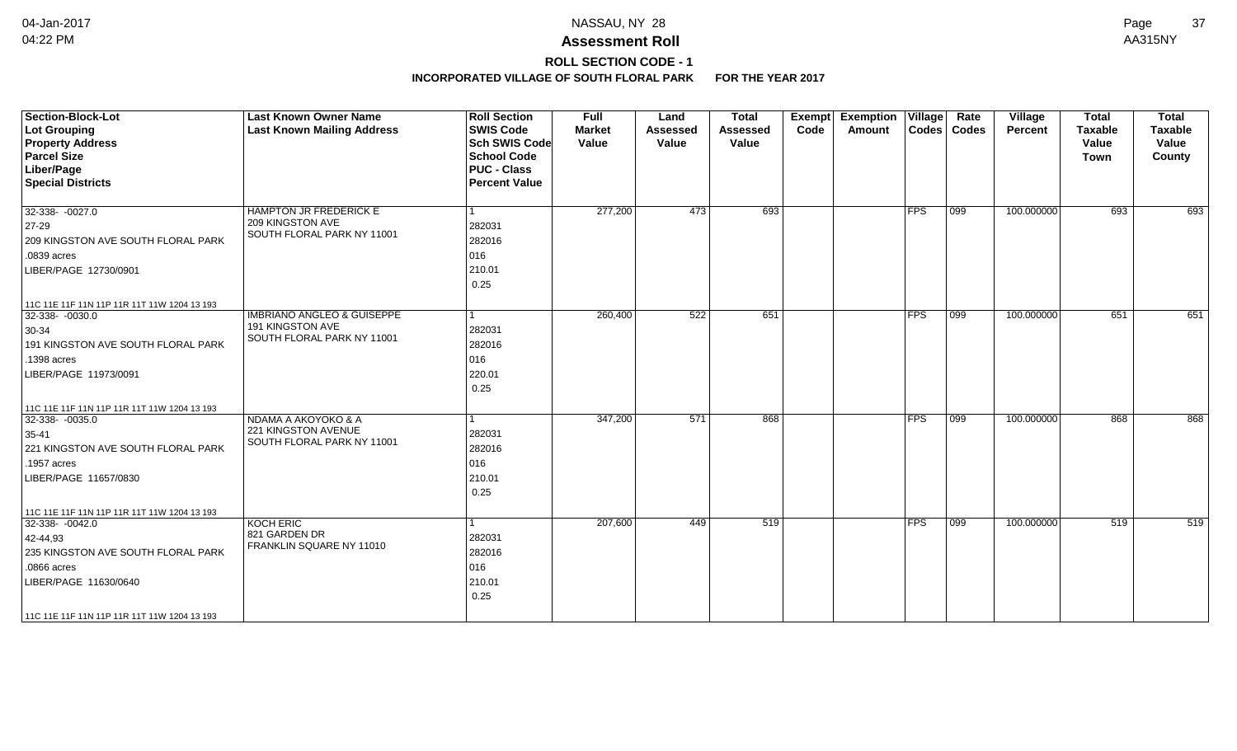# **ROLL SECTION CODE - 1**

| <b>Section-Block-Lot</b><br><b>Lot Grouping</b><br><b>Property Address</b><br><b>Parcel Size</b><br>Liber/Page<br><b>Special Districts</b>                                                            | <b>Last Known Owner Name</b><br><b>Last Known Mailing Address</b>                       | <b>Roll Section</b><br><b>SWIS Code</b><br><b>Sch SWIS Code</b><br><b>School Code</b><br><b>PUC - Class</b><br><b>Percent Value</b> | <b>Full</b><br><b>Market</b><br>Value | Land<br><b>Assessed</b><br>Value | <b>Total</b><br><b>Assessed</b><br>Value | <b>Exemption Village</b><br>Exempt<br>Code<br>Amount |            | Rate<br>Codes   Codes | Village<br>Percent | <b>Total</b><br><b>Taxable</b><br>Value<br>Town | <b>Total</b><br><b>Taxable</b><br>Value<br>County |
|-------------------------------------------------------------------------------------------------------------------------------------------------------------------------------------------------------|-----------------------------------------------------------------------------------------|-------------------------------------------------------------------------------------------------------------------------------------|---------------------------------------|----------------------------------|------------------------------------------|------------------------------------------------------|------------|-----------------------|--------------------|-------------------------------------------------|---------------------------------------------------|
| $32-338 - -0027.0$<br>27-29<br>209 KINGSTON AVE SOUTH FLORAL PARK<br>.0839 acres<br>LIBER/PAGE 12730/0901                                                                                             | HAMPTON JR FREDERICK E<br>209 KINGSTON AVE<br>SOUTH FLORAL PARK NY 11001                | 282031<br>282016<br>016<br>210.01<br>0.25                                                                                           | 277,200                               | 473                              | 693                                      |                                                      | FPS        | 099                   | 100.000000         | 693                                             | 693                                               |
| 11C 11E 11F 11N 11P 11R 11T 11W 1204 13 193<br>32-338- -0030.0<br>$30-34$<br>191 KINGSTON AVE SOUTH FLORAL PARK<br>.1398 acres<br>LIBER/PAGE 11973/0091                                               | <b>IMBRIANO ANGLEO &amp; GUISEPPE</b><br>191 KINGSTON AVE<br>SOUTH FLORAL PARK NY 11001 | 1<br>282031<br>282016<br>016<br>220.01<br>0.25                                                                                      | 260,400                               | 522                              | 651                                      |                                                      | <b>FPS</b> | $ 099\rangle$         | 100.000000         | 651                                             | 651                                               |
| 11C 11E 11F 11N 11P 11R 11T 11W 1204 13 193<br>32-338-0035.0<br>35-41<br>221 KINGSTON AVE SOUTH FLORAL PARK<br>.1957 acres<br>LIBER/PAGE 11657/0830                                                   | NDAMA A AKOYOKO & A<br>221 KINGSTON AVENUE<br>SOUTH FLORAL PARK NY 11001                | -1<br>282031<br>282016<br>016<br>210.01<br>0.25                                                                                     | 347,200                               | 571                              | 868                                      |                                                      | <b>FPS</b> | 099                   | 100.000000         | 868                                             | 868                                               |
| 11C 11E 11F 11N 11P 11R 11T 11W 1204 13 193<br>32-338-0042.0<br>42-44,93<br>235 KINGSTON AVE SOUTH FLORAL PARK<br>.0866 acres<br>LIBER/PAGE 11630/0640<br>11C 11E 11F 11N 11P 11R 11T 11W 1204 13 193 | <b>KOCH ERIC</b><br>821 GARDEN DR<br>FRANKLIN SQUARE NY 11010                           | 1<br>282031<br>282016<br>016<br>210.01<br>0.25                                                                                      | 207,600                               | 449                              | 519                                      |                                                      | <b>FPS</b> | 099                   | 100.000000         | 519                                             | 519                                               |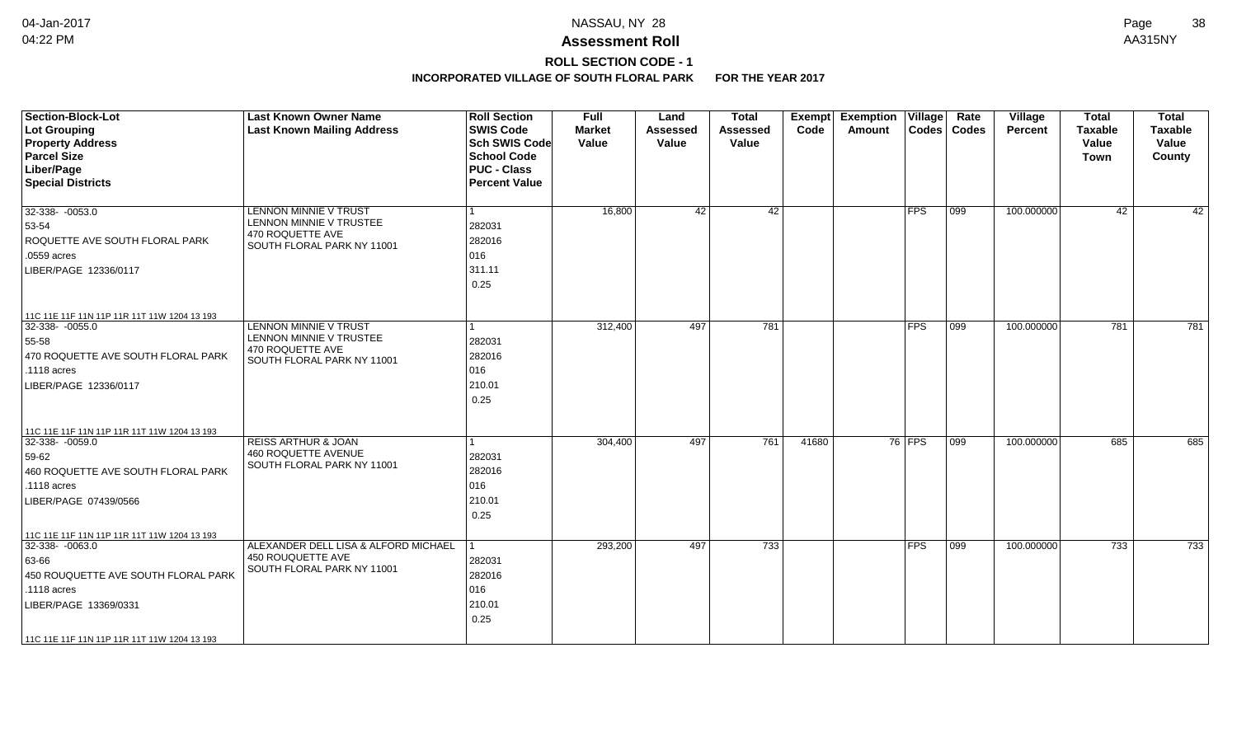## **ROLL SECTION CODE - 1**

| <b>Section-Block-Lot</b><br>Lot Grouping<br><b>Property Address</b><br><b>Parcel Size</b><br>Liber/Page<br><b>Special Districts</b>                                                                     | <b>Last Known Owner Name</b><br><b>Last Known Mailing Address</b>                                         | <b>Roll Section</b><br><b>SWIS Code</b><br>Sch SWIS Code<br><b>School Code</b><br><b>PUC - Class</b><br><b>Percent Value</b> | Full<br><b>Market</b><br>Value | Land<br><b>Assessed</b><br>Value | <b>Total</b><br><b>Assessed</b><br>Value | Exempt<br>Code | <b>Exemption Village</b><br>Amount | Codes       | Rate<br><b>Codes</b> | <b>Village</b><br><b>Percent</b> | <b>Total</b><br><b>Taxable</b><br>Value<br>Town | <b>Total</b><br><b>Taxable</b><br>Value<br>County |
|---------------------------------------------------------------------------------------------------------------------------------------------------------------------------------------------------------|-----------------------------------------------------------------------------------------------------------|------------------------------------------------------------------------------------------------------------------------------|--------------------------------|----------------------------------|------------------------------------------|----------------|------------------------------------|-------------|----------------------|----------------------------------|-------------------------------------------------|---------------------------------------------------|
| 32-338- -0053.0<br>53-54<br>ROQUETTE AVE SOUTH FLORAL PARK<br>.0559 acres<br>LIBER/PAGE 12336/0117                                                                                                      | <b>LENNON MINNIE V TRUST</b><br>LENNON MINNIE V TRUSTEE<br>470 ROQUETTE AVE<br>SOUTH FLORAL PARK NY 11001 | 282031<br>282016<br>016<br>311.11<br>0.25                                                                                    | 16.800                         | 42                               | 42                                       |                |                                    | <b>IFPS</b> | $ 099\rangle$        | 100.000000                       | 42                                              | 42                                                |
| 11C 11E 11F 11N 11P 11R 11T 11W 1204 13 193<br>32-338- -0055.0<br>55-58<br>470 ROQUETTE AVE SOUTH FLORAL PARK<br>.1118 acres<br>LIBER/PAGE 12336/0117                                                   | <b>LENNON MINNIE V TRUST</b><br>LENNON MINNIE V TRUSTEE<br>470 ROQUETTE AVE<br>SOUTH FLORAL PARK NY 11001 | 282031<br>282016<br>016<br>210.01<br>0.25                                                                                    | 312,400                        | 497                              | 781                                      |                |                                    | <b>FPS</b>  | $ 099\rangle$        | 100.000000                       | 781                                             | 781                                               |
| 11C 11E 11F 11N 11P 11R 11T 11W 1204 13 193<br>32-338- -0059.0<br>59-62<br>460 ROQUETTE AVE SOUTH FLORAL PARK<br>.1118 acres<br>LIBER/PAGE 07439/0566                                                   | <b>REISS ARTHUR &amp; JOAN</b><br>460 ROQUETTE AVENUE<br>SOUTH FLORAL PARK NY 11001                       | 282031<br>282016<br>016<br>210.01<br>0.25                                                                                    | 304,400                        | 497                              | 761                                      | 41680          |                                    | $76$ FPS    | $\overline{)099}$    | 100.000000                       | 685                                             | 685                                               |
| 11C 11E 11F 11N 11P 11R 11T 11W 1204 13 193<br>$32-338 - 0063.0$<br>63-66<br>450 ROUQUETTE AVE SOUTH FLORAL PARK<br>.1118 acres<br>LIBER/PAGE 13369/0331<br>11C 11E 11F 11N 11P 11R 11T 11W 1204 13 193 | ALEXANDER DELL LISA & ALFORD MICHAEL<br>450 ROUQUETTE AVE<br>SOUTH FLORAL PARK NY 11001                   | 282031<br>282016<br>016<br>210.01<br>0.25                                                                                    | 293,200                        | 497                              | $\overline{733}$                         |                |                                    | <b>FPS</b>  | $ 099\rangle$        | 100.000000                       | 733                                             | 733                                               |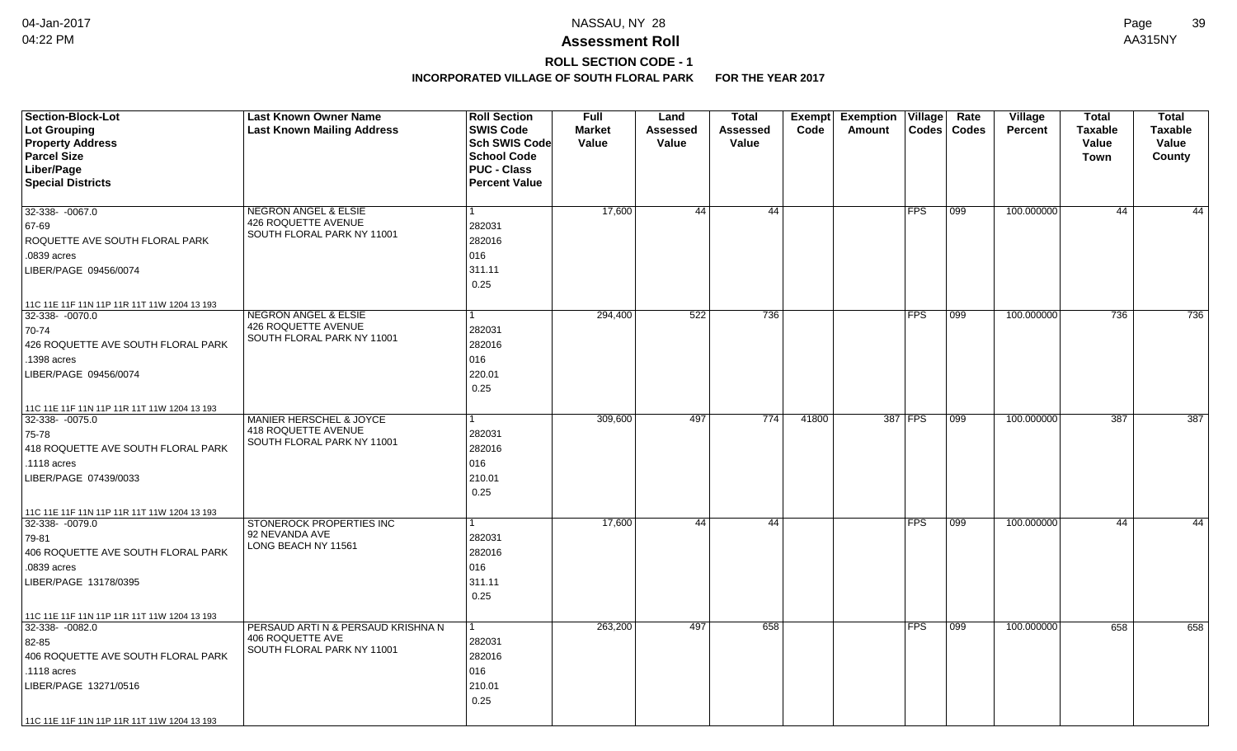# **ROLL SECTION CODE - 1**

| <b>Section-Block-Lot</b>                    | <b>Last Known Owner Name</b>                           | <b>Roll Section</b>  | <b>Full</b>   | Land     | <b>Total</b> | Exempt | <b>Exemption</b> | Village    | Rate          | Village        | <b>Total</b>   | <b>Total</b>   |
|---------------------------------------------|--------------------------------------------------------|----------------------|---------------|----------|--------------|--------|------------------|------------|---------------|----------------|----------------|----------------|
| Lot Grouping                                | <b>Last Known Mailing Address</b>                      | <b>SWIS Code</b>     | <b>Market</b> | Assessed | Assessed     | Code   | Amount           |            | Codes   Codes | <b>Percent</b> | <b>Taxable</b> | <b>Taxable</b> |
| <b>Property Address</b>                     |                                                        | <b>Sch SWIS Code</b> | Value         | Value    | Value        |        |                  |            |               |                | Value          | Value          |
| <b>Parcel Size</b>                          |                                                        | <b>School Code</b>   |               |          |              |        |                  |            |               |                | <b>Town</b>    | County         |
| Liber/Page                                  |                                                        | <b>PUC - Class</b>   |               |          |              |        |                  |            |               |                |                |                |
| <b>Special Districts</b>                    |                                                        | <b>Percent Value</b> |               |          |              |        |                  |            |               |                |                |                |
|                                             |                                                        |                      |               |          |              |        |                  |            |               |                |                |                |
| 32-338- -0067.0                             | <b>NEGRON ANGEL &amp; ELSIE</b><br>426 ROQUETTE AVENUE | $\mathbf{1}$         | 17,600        | 44       | 44           |        |                  | <b>FPS</b> | 099           | 100.000000     | 44             | 44             |
| 67-69                                       | SOUTH FLORAL PARK NY 11001                             | 282031               |               |          |              |        |                  |            |               |                |                |                |
| ROQUETTE AVE SOUTH FLORAL PARK              |                                                        | 282016               |               |          |              |        |                  |            |               |                |                |                |
| .0839 acres                                 |                                                        | 016                  |               |          |              |        |                  |            |               |                |                |                |
| LIBER/PAGE 09456/0074                       |                                                        | 311.11               |               |          |              |        |                  |            |               |                |                |                |
|                                             |                                                        | 0.25                 |               |          |              |        |                  |            |               |                |                |                |
| 11C 11E 11F 11N 11P 11R 11T 11W 1204 13 193 |                                                        |                      |               |          |              |        |                  |            |               |                |                |                |
| $32-338 - 0070.0$                           | <b>NEGRON ANGEL &amp; ELSIE</b>                        | $\mathbf{1}$         | 294,400       | 522      | 736          |        |                  | <b>FPS</b> | 099           | 100.000000     | 736            | 736            |
| 70-74                                       | 426 ROQUETTE AVENUE<br>SOUTH FLORAL PARK NY 11001      | 282031               |               |          |              |        |                  |            |               |                |                |                |
| 426 ROQUETTE AVE SOUTH FLORAL PARK          |                                                        | 282016               |               |          |              |        |                  |            |               |                |                |                |
| .1398 acres                                 |                                                        | 016                  |               |          |              |        |                  |            |               |                |                |                |
| LIBER/PAGE 09456/0074                       |                                                        | 220.01               |               |          |              |        |                  |            |               |                |                |                |
|                                             |                                                        | 0.25                 |               |          |              |        |                  |            |               |                |                |                |
| 11C 11E 11F 11N 11P 11R 11T 11W 1204 13 193 |                                                        |                      |               |          |              |        |                  |            |               |                |                |                |
| 32-338- -0075.0                             | <b>MANIER HERSCHEL &amp; JOYCE</b>                     | 1                    | 309,600       | 497      | 774          | 41800  |                  | 387 FPS    | 099           | 100.000000     | 387            | 387            |
| 75-78                                       | 418 ROQUETTE AVENUE                                    | 282031               |               |          |              |        |                  |            |               |                |                |                |
| 418 ROQUETTE AVE SOUTH FLORAL PARK          | SOUTH FLORAL PARK NY 11001                             | 282016               |               |          |              |        |                  |            |               |                |                |                |
| .1118 acres                                 |                                                        | 016                  |               |          |              |        |                  |            |               |                |                |                |
| LIBER/PAGE 07439/0033                       |                                                        | 210.01               |               |          |              |        |                  |            |               |                |                |                |
|                                             |                                                        | 0.25                 |               |          |              |        |                  |            |               |                |                |                |
| 11C 11E 11F 11N 11P 11R 11T 11W 1204 13 193 |                                                        |                      |               |          |              |        |                  |            |               |                |                |                |
| 32-338- -0079.0                             | STONEROCK PROPERTIES INC                               | 1                    | 17,600        | 44       | 44           |        |                  | <b>FPS</b> | 099           | 100.000000     | 44             | 44             |
| 79-81                                       | 92 NEVANDA AVE                                         | 282031               |               |          |              |        |                  |            |               |                |                |                |
| 406 ROQUETTE AVE SOUTH FLORAL PARK          | LONG BEACH NY 11561                                    | 282016               |               |          |              |        |                  |            |               |                |                |                |
| .0839 acres                                 |                                                        | 016                  |               |          |              |        |                  |            |               |                |                |                |
| LIBER/PAGE 13178/0395                       |                                                        | 311.11               |               |          |              |        |                  |            |               |                |                |                |
|                                             |                                                        | 0.25                 |               |          |              |        |                  |            |               |                |                |                |
| 11C 11E 11F 11N 11P 11R 11T 11W 1204 13 193 |                                                        |                      |               |          |              |        |                  |            |               |                |                |                |
| 32-338- - 0082.0                            | PERSAUD ARTI N & PERSAUD KRISHNA N                     | $\mathbf{1}$         | 263,200       | 497      | 658          |        |                  | <b>FPS</b> | 099           | 100.000000     | 658            | 658            |
| 82-85                                       | 406 ROQUETTE AVE                                       | 282031               |               |          |              |        |                  |            |               |                |                |                |
| 406 ROQUETTE AVE SOUTH FLORAL PARK          | SOUTH FLORAL PARK NY 11001                             | 282016               |               |          |              |        |                  |            |               |                |                |                |
| .1118 acres                                 |                                                        | 016                  |               |          |              |        |                  |            |               |                |                |                |
| LIBER/PAGE 13271/0516                       |                                                        | 210.01               |               |          |              |        |                  |            |               |                |                |                |
|                                             |                                                        | 0.25                 |               |          |              |        |                  |            |               |                |                |                |
| 11C 11E 11F 11N 11P 11R 11T 11W 1204 13 193 |                                                        |                      |               |          |              |        |                  |            |               |                |                |                |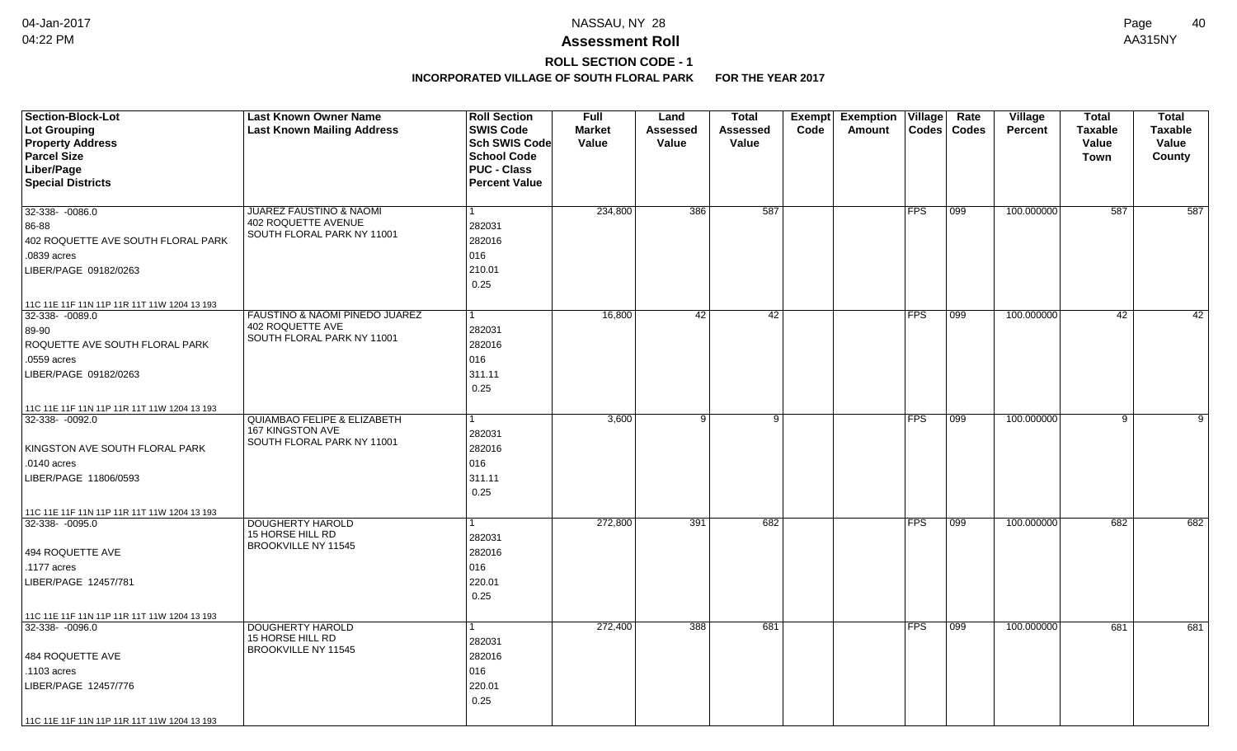## **ROLL SECTION CODE - 1**

| <b>Section-Block-Lot</b><br>Lot Grouping<br><b>Property Address</b><br><b>Parcel Size</b><br>Liber/Page<br><b>Special Districts</b>                                      | <b>Last Known Owner Name</b><br><b>Last Known Mailing Address</b>                               | <b>Roll Section</b><br><b>SWIS Code</b><br><b>Sch SWIS Code</b><br><b>School Code</b><br><b>PUC - Class</b><br><b>Percent Value</b> | <b>Full</b><br><b>Market</b><br>Value | Land<br>Assessed<br>Value | <b>Total</b><br>Assessed<br>Value | Exempt<br>Code | Exemption   Village  <br>Amount | Codes      | Rate<br><b>Codes</b> | <b>Village</b><br><b>Percent</b> | <b>Total</b><br><b>Taxable</b><br>Value<br><b>Town</b> | <b>Total</b><br><b>Taxable</b><br>Value<br>County |
|--------------------------------------------------------------------------------------------------------------------------------------------------------------------------|-------------------------------------------------------------------------------------------------|-------------------------------------------------------------------------------------------------------------------------------------|---------------------------------------|---------------------------|-----------------------------------|----------------|---------------------------------|------------|----------------------|----------------------------------|--------------------------------------------------------|---------------------------------------------------|
| 32-338- -0086.0<br>86-88<br>402 ROQUETTE AVE SOUTH FLORAL PARK<br>.0839 acres<br>LIBER/PAGE 09182/0263<br>11C 11E 11F 11N 11P 11R 11T 11W 1204 13 193                    | <b>JUAREZ FAUSTINO &amp; NAOMI</b><br>402 ROQUETTE AVENUE<br>SOUTH FLORAL PARK NY 11001         | 282031<br>282016<br>016<br>210.01<br>0.25                                                                                           | 234,800                               | 386                       | 587                               |                |                                 | <b>FPS</b> | 099                  | 100.000000                       | 587                                                    | 587                                               |
| 32-338- -0089.0<br>89-90<br>ROQUETTE AVE SOUTH FLORAL PARK<br>.0559 acres<br>LIBER/PAGE 09182/0263<br>11C 11E 11F 11N 11P 11R 11T 11W 1204 13 193                        | FAUSTINO & NAOMI PINEDO JUAREZ<br>402 ROQUETTE AVE<br>SOUTH FLORAL PARK NY 11001                | 1<br>282031<br>282016<br>016<br>311.11<br>0.25                                                                                      | 16,800                                | 42                        | 42                                |                |                                 | FPS        | 099                  | 100.000000                       | 42                                                     | 42                                                |
| 32-338-0092.0<br>KINGSTON AVE SOUTH FLORAL PARK<br>.0140 acres<br>LIBER/PAGE 11806/0593                                                                                  | <b>QUIAMBAO FELIPE &amp; ELIZABETH</b><br><b>167 KINGSTON AVE</b><br>SOUTH FLORAL PARK NY 11001 | 1<br>282031<br>282016<br>016<br>311.11<br>0.25                                                                                      | 3,600                                 | 9                         | ा                                 |                |                                 | FPS        | 099                  | 100.000000                       | $\overline{9}$                                         | 9                                                 |
| 11C 11E 11F 11N 11P 11R 11T 11W 1204 13 193<br>32-338- -0095.0<br>494 ROQUETTE AVE<br>.1177 acres<br>LIBER/PAGE 12457/781<br>11C 11E 11F 11N 11P 11R 11T 11W 1204 13 193 | <b>DOUGHERTY HAROLD</b><br>15 HORSE HILL RD<br>BROOKVILLE NY 11545                              | 282031<br>282016<br>016<br>220.01<br>0.25                                                                                           | 272,800                               | 391                       | 682                               |                |                                 | <b>FPS</b> | 099                  | 100.000000                       | 682                                                    | 682                                               |
| 32-338-0096.0<br>484 ROQUETTE AVE<br>.1103 acres<br>LIBER/PAGE 12457/776<br>11C 11E 11F 11N 11P 11R 11T 11W 1204 13 193                                                  | <b>DOUGHERTY HAROLD</b><br>15 HORSE HILL RD<br>BROOKVILLE NY 11545                              | 282031<br>282016<br>016<br>220.01<br>0.25                                                                                           | 272,400                               | 388                       | 681                               |                |                                 | <b>FPS</b> | 099                  | 100.000000                       | 681                                                    | 681                                               |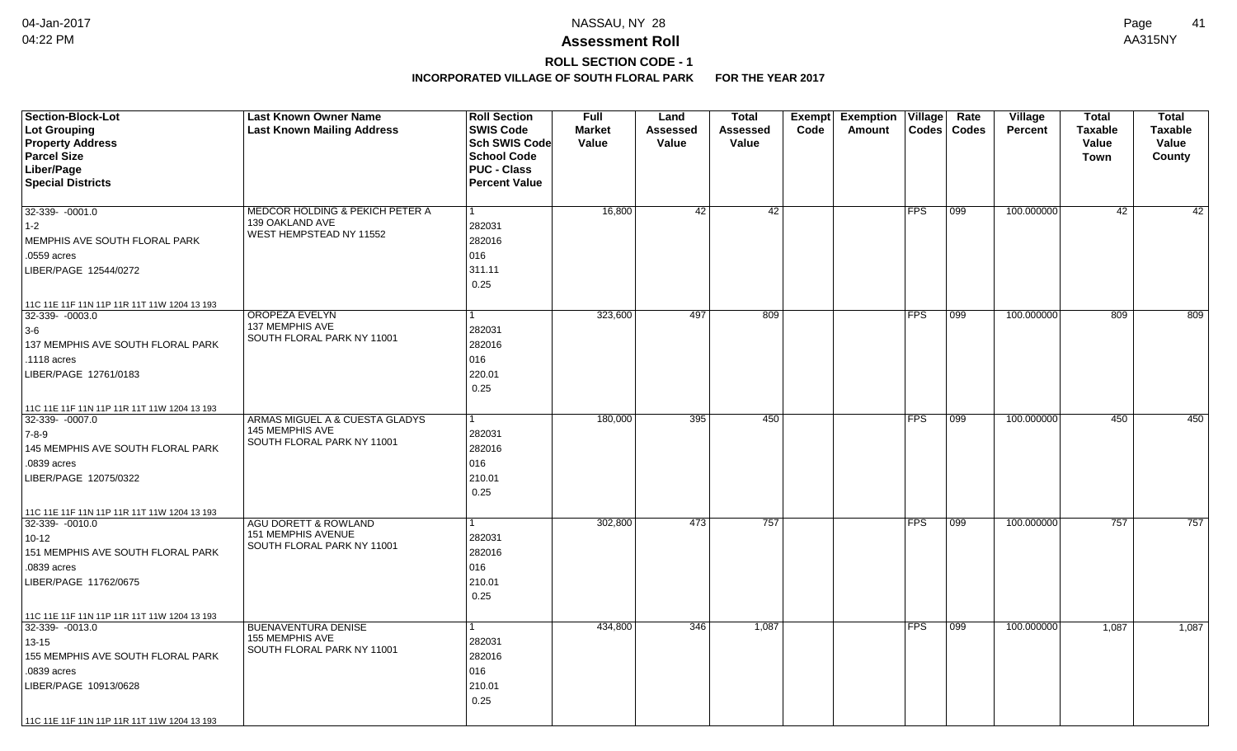# **ROLL SECTION CODE - 1**

| <b>Section-Block-Lot</b>                    | <b>Last Known Owner Name</b>                      | <b>Roll Section</b>  | <b>Full</b>   | Land            | <b>Total</b>    | Exempt | <b>Exemption Village</b> |              | Rate             | Village    | <b>Total</b>   | <b>Total</b>   |
|---------------------------------------------|---------------------------------------------------|----------------------|---------------|-----------------|-----------------|--------|--------------------------|--------------|------------------|------------|----------------|----------------|
| Lot Grouping                                | <b>Last Known Mailing Address</b>                 | <b>SWIS Code</b>     | <b>Market</b> | <b>Assessed</b> | <b>Assessed</b> | Code   | Amount                   | <b>Codes</b> | <b>Codes</b>     | Percent    | <b>Taxable</b> | <b>Taxable</b> |
| <b>Property Address</b>                     |                                                   | Sch SWIS Code        | Value         | Value           | Value           |        |                          |              |                  |            | Value          | Value          |
| <b>Parcel Size</b>                          |                                                   | <b>School Code</b>   |               |                 |                 |        |                          |              |                  |            | Town           | County         |
| Liber/Page                                  |                                                   | <b>PUC - Class</b>   |               |                 |                 |        |                          |              |                  |            |                |                |
| <b>Special Districts</b>                    |                                                   | <b>Percent Value</b> |               |                 |                 |        |                          |              |                  |            |                |                |
|                                             |                                                   |                      |               |                 |                 |        |                          |              |                  |            |                |                |
| $32-339 - 0001.0$                           | MEDCOR HOLDING & PEKICH PETER A                   | -1                   | 16,800        | 42              | 42              |        |                          | <b>FPS</b>   | 099              | 100.000000 | 42             | 42             |
| $1 - 2$                                     | 139 OAKLAND AVE<br>WEST HEMPSTEAD NY 11552        | 282031               |               |                 |                 |        |                          |              |                  |            |                |                |
| MEMPHIS AVE SOUTH FLORAL PARK               |                                                   | 282016               |               |                 |                 |        |                          |              |                  |            |                |                |
| .0559 acres                                 |                                                   | 016                  |               |                 |                 |        |                          |              |                  |            |                |                |
| LIBER/PAGE 12544/0272                       |                                                   | 311.11               |               |                 |                 |        |                          |              |                  |            |                |                |
|                                             |                                                   | 0.25                 |               |                 |                 |        |                          |              |                  |            |                |                |
| 11C 11E 11F 11N 11P 11R 11T 11W 1204 13 193 |                                                   |                      |               |                 |                 |        |                          |              |                  |            |                |                |
| $32-339 - 0003.0$                           | <b>OROPEZA EVELYN</b>                             |                      | 323,600       | 497             | 809             |        |                          | <b>FPS</b>   | 099              | 100.000000 | 809            | 809            |
| $3-6$                                       | 137 MEMPHIS AVE                                   | 282031               |               |                 |                 |        |                          |              |                  |            |                |                |
| 137 MEMPHIS AVE SOUTH FLORAL PARK           | SOUTH FLORAL PARK NY 11001                        | 282016               |               |                 |                 |        |                          |              |                  |            |                |                |
| .1118 acres                                 |                                                   | 016                  |               |                 |                 |        |                          |              |                  |            |                |                |
| LIBER/PAGE 12761/0183                       |                                                   | 220.01               |               |                 |                 |        |                          |              |                  |            |                |                |
|                                             |                                                   | 0.25                 |               |                 |                 |        |                          |              |                  |            |                |                |
|                                             |                                                   |                      |               |                 |                 |        |                          |              |                  |            |                |                |
| 11C 11E 11F 11N 11P 11R 11T 11W 1204 13 193 |                                                   |                      |               |                 |                 |        |                          |              |                  |            |                |                |
| 32-339-0007.0                               | ARMAS MIGUEL A & CUESTA GLADYS<br>145 MEMPHIS AVE |                      | 180,000       | 395             | 450             |        |                          | <b>FPS</b>   | $\overline{099}$ | 100.000000 | 450            | 450            |
| 7-8-9                                       | SOUTH FLORAL PARK NY 11001                        | 282031               |               |                 |                 |        |                          |              |                  |            |                |                |
| 145 MEMPHIS AVE SOUTH FLORAL PARK           |                                                   | 282016               |               |                 |                 |        |                          |              |                  |            |                |                |
| .0839 acres                                 |                                                   | 016                  |               |                 |                 |        |                          |              |                  |            |                |                |
| LIBER/PAGE 12075/0322                       |                                                   | 210.01               |               |                 |                 |        |                          |              |                  |            |                |                |
|                                             |                                                   | 0.25                 |               |                 |                 |        |                          |              |                  |            |                |                |
| 11C 11E 11F 11N 11P 11R 11T 11W 1204 13 193 |                                                   |                      |               |                 |                 |        |                          |              |                  |            |                |                |
| $32-339 - 0010.0$                           | <b>AGU DORETT &amp; ROWLAND</b>                   |                      | 302,800       | 473             | 757             |        |                          | <b>FPS</b>   | 099              | 100.000000 | 757            | 757            |
| $10 - 12$                                   | <b>151 MEMPHIS AVENUE</b>                         | 282031               |               |                 |                 |        |                          |              |                  |            |                |                |
| 151 MEMPHIS AVE SOUTH FLORAL PARK           | SOUTH FLORAL PARK NY 11001                        | 282016               |               |                 |                 |        |                          |              |                  |            |                |                |
| .0839 acres                                 |                                                   | 016                  |               |                 |                 |        |                          |              |                  |            |                |                |
| LIBER/PAGE 11762/0675                       |                                                   | 210.01               |               |                 |                 |        |                          |              |                  |            |                |                |
|                                             |                                                   | 0.25                 |               |                 |                 |        |                          |              |                  |            |                |                |
| 11C 11E 11F 11N 11P 11R 11T 11W 1204 13 193 |                                                   |                      |               |                 |                 |        |                          |              |                  |            |                |                |
| $32-339 - 0013.0$                           | <b>BUENAVENTURA DENISE</b>                        |                      | 434,800       | 346             | 1,087           |        |                          | <b>FPS</b>   | 099              | 100.000000 | 1,087          | 1,087          |
| $13 - 15$                                   | 155 MEMPHIS AVE                                   | 282031               |               |                 |                 |        |                          |              |                  |            |                |                |
| 155 MEMPHIS AVE SOUTH FLORAL PARK           | SOUTH FLORAL PARK NY 11001                        | 282016               |               |                 |                 |        |                          |              |                  |            |                |                |
| .0839 acres                                 |                                                   | 016                  |               |                 |                 |        |                          |              |                  |            |                |                |
| LIBER/PAGE 10913/0628                       |                                                   | 210.01               |               |                 |                 |        |                          |              |                  |            |                |                |
|                                             |                                                   | 0.25                 |               |                 |                 |        |                          |              |                  |            |                |                |
|                                             |                                                   |                      |               |                 |                 |        |                          |              |                  |            |                |                |
| 11C 11E 11F 11N 11P 11R 11T 11W 1204 13 193 |                                                   |                      |               |                 |                 |        |                          |              |                  |            |                |                |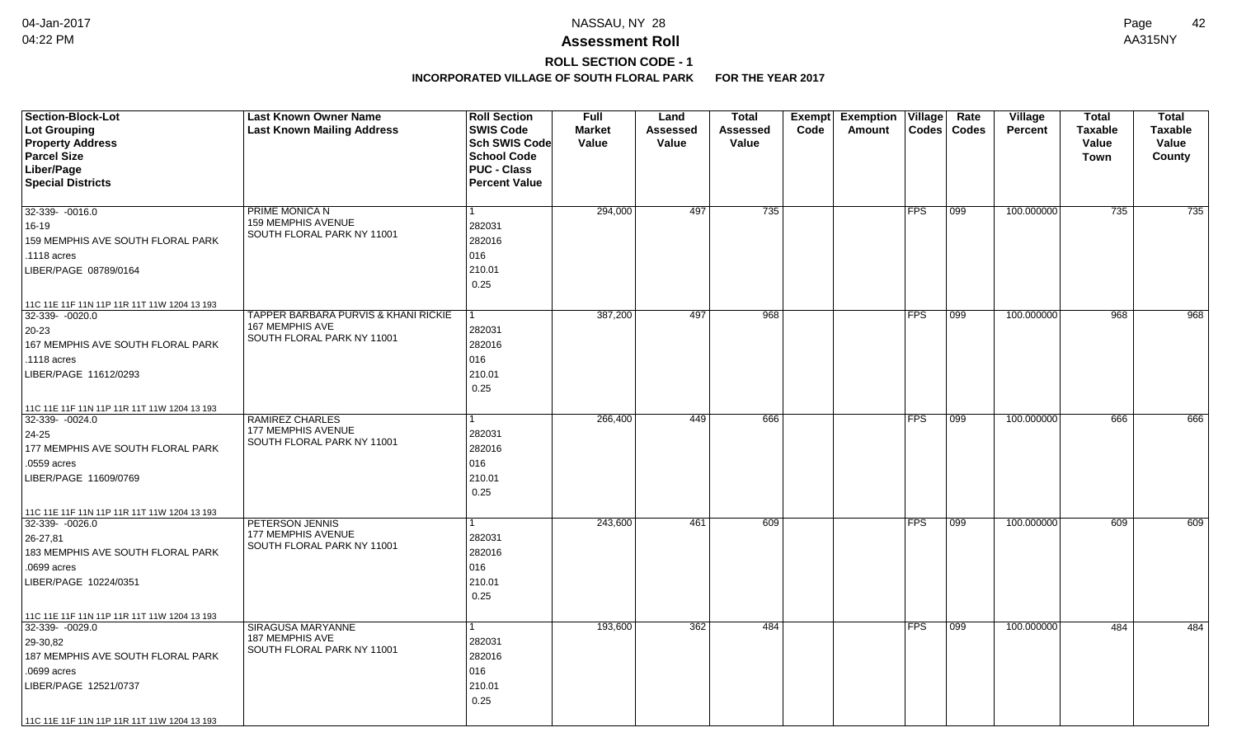## **ROLL SECTION CODE - 1**

| <b>Section-Block-Lot</b><br>Lot Grouping<br><b>Property Address</b><br><b>Parcel Size</b><br>Liber/Page<br><b>Special Districts</b> | <b>Last Known Owner Name</b><br><b>Last Known Mailing Address</b> | <b>Roll Section</b><br><b>SWIS Code</b><br><b>Sch SWIS Code</b><br><b>School Code</b><br><b>PUC - Class</b><br><b>Percent Value</b> | <b>Full</b><br><b>Market</b><br>Value | Land<br>Assessed<br>Value | <b>Total</b><br><b>Assessed</b><br>Value | Exempt<br>Code | <b>Exemption Village</b><br>Amount | <b>Codes</b> | Rate<br><b>Codes</b> | Village<br><b>Percent</b> | <b>Total</b><br><b>Taxable</b><br>Value<br>Town | <b>Total</b><br><b>Taxable</b><br>Value<br>County |
|-------------------------------------------------------------------------------------------------------------------------------------|-------------------------------------------------------------------|-------------------------------------------------------------------------------------------------------------------------------------|---------------------------------------|---------------------------|------------------------------------------|----------------|------------------------------------|--------------|----------------------|---------------------------|-------------------------------------------------|---------------------------------------------------|
| $32-339 - 0016.0$                                                                                                                   | PRIME MONICA N                                                    |                                                                                                                                     | 294,000                               | 497                       | 735                                      |                |                                    | <b>FPS</b>   | 099                  | 100.000000                | 735                                             | 735                                               |
| $16 - 19$                                                                                                                           | 159 MEMPHIS AVENUE                                                | 282031                                                                                                                              |                                       |                           |                                          |                |                                    |              |                      |                           |                                                 |                                                   |
| 159 MEMPHIS AVE SOUTH FLORAL PARK                                                                                                   | SOUTH FLORAL PARK NY 11001                                        | 282016                                                                                                                              |                                       |                           |                                          |                |                                    |              |                      |                           |                                                 |                                                   |
| .1118 acres                                                                                                                         |                                                                   | 016                                                                                                                                 |                                       |                           |                                          |                |                                    |              |                      |                           |                                                 |                                                   |
| LIBER/PAGE 08789/0164                                                                                                               |                                                                   | 210.01                                                                                                                              |                                       |                           |                                          |                |                                    |              |                      |                           |                                                 |                                                   |
|                                                                                                                                     |                                                                   | 0.25                                                                                                                                |                                       |                           |                                          |                |                                    |              |                      |                           |                                                 |                                                   |
| 11C 11E 11F 11N 11P 11R 11T 11W 1204 13 193                                                                                         |                                                                   |                                                                                                                                     |                                       |                           |                                          |                |                                    |              |                      |                           |                                                 |                                                   |
| 32-339- -0020.0                                                                                                                     | TAPPER BARBARA PURVIS & KHANI RICKIE                              |                                                                                                                                     | 387,200                               | 497                       | 968                                      |                |                                    | <b>FPS</b>   | 099                  | 100.000000                | 968                                             | 968                                               |
| 20-23                                                                                                                               | 167 MEMPHIS AVE<br>SOUTH FLORAL PARK NY 11001                     | 282031                                                                                                                              |                                       |                           |                                          |                |                                    |              |                      |                           |                                                 |                                                   |
| 167 MEMPHIS AVE SOUTH FLORAL PARK                                                                                                   |                                                                   | 282016                                                                                                                              |                                       |                           |                                          |                |                                    |              |                      |                           |                                                 |                                                   |
| .1118 acres                                                                                                                         |                                                                   | 016                                                                                                                                 |                                       |                           |                                          |                |                                    |              |                      |                           |                                                 |                                                   |
| LIBER/PAGE 11612/0293                                                                                                               |                                                                   | 210.01                                                                                                                              |                                       |                           |                                          |                |                                    |              |                      |                           |                                                 |                                                   |
|                                                                                                                                     |                                                                   | 0.25                                                                                                                                |                                       |                           |                                          |                |                                    |              |                      |                           |                                                 |                                                   |
| 11C 11E 11F 11N 11P 11R 11T 11W 1204 13 193                                                                                         |                                                                   |                                                                                                                                     |                                       |                           |                                          |                |                                    |              |                      |                           |                                                 |                                                   |
| 32-339-0024.0                                                                                                                       | <b>RAMIREZ CHARLES</b><br>177 MEMPHIS AVENUE                      |                                                                                                                                     | 266,400                               | 449                       | 666                                      |                |                                    | <b>FPS</b>   | $ 099\rangle$        | 100.000000                | 666                                             | 666                                               |
| 24-25                                                                                                                               | SOUTH FLORAL PARK NY 11001                                        | 282031                                                                                                                              |                                       |                           |                                          |                |                                    |              |                      |                           |                                                 |                                                   |
| 177 MEMPHIS AVE SOUTH FLORAL PARK<br>.0559 acres                                                                                    |                                                                   | 282016<br>016                                                                                                                       |                                       |                           |                                          |                |                                    |              |                      |                           |                                                 |                                                   |
|                                                                                                                                     |                                                                   | 210.01                                                                                                                              |                                       |                           |                                          |                |                                    |              |                      |                           |                                                 |                                                   |
| LIBER/PAGE 11609/0769                                                                                                               |                                                                   | 0.25                                                                                                                                |                                       |                           |                                          |                |                                    |              |                      |                           |                                                 |                                                   |
|                                                                                                                                     |                                                                   |                                                                                                                                     |                                       |                           |                                          |                |                                    |              |                      |                           |                                                 |                                                   |
| 11C 11E 11F 11N 11P 11R 11T 11W 1204 13 193<br>32-339-0026.0                                                                        | PETERSON JENNIS                                                   |                                                                                                                                     | 243,600                               | 461                       | 609                                      |                |                                    | <b>FPS</b>   | 099                  | 100.000000                | 609                                             | 609                                               |
| 26-27,81                                                                                                                            | <b>177 MEMPHIS AVENUE</b>                                         | 282031                                                                                                                              |                                       |                           |                                          |                |                                    |              |                      |                           |                                                 |                                                   |
| 183 MEMPHIS AVE SOUTH FLORAL PARK                                                                                                   | SOUTH FLORAL PARK NY 11001                                        | 282016                                                                                                                              |                                       |                           |                                          |                |                                    |              |                      |                           |                                                 |                                                   |
| .0699 acres                                                                                                                         |                                                                   | 016                                                                                                                                 |                                       |                           |                                          |                |                                    |              |                      |                           |                                                 |                                                   |
| LIBER/PAGE 10224/0351                                                                                                               |                                                                   | 210.01                                                                                                                              |                                       |                           |                                          |                |                                    |              |                      |                           |                                                 |                                                   |
|                                                                                                                                     |                                                                   | 0.25                                                                                                                                |                                       |                           |                                          |                |                                    |              |                      |                           |                                                 |                                                   |
| 11C 11E 11F 11N 11P 11R 11T 11W 1204 13 193                                                                                         |                                                                   |                                                                                                                                     |                                       |                           |                                          |                |                                    |              |                      |                           |                                                 |                                                   |
| $32-339 - 0029.0$                                                                                                                   | SIRAGUSA MARYANNE                                                 | 1                                                                                                                                   | 193,600                               | 362                       | 484                                      |                |                                    | <b>FPS</b>   | 099                  | 100.000000                | 484                                             | 484                                               |
| 29-30,82                                                                                                                            | 187 MEMPHIS AVE<br>SOUTH FLORAL PARK NY 11001                     | 282031                                                                                                                              |                                       |                           |                                          |                |                                    |              |                      |                           |                                                 |                                                   |
| 187 MEMPHIS AVE SOUTH FLORAL PARK                                                                                                   |                                                                   | 282016                                                                                                                              |                                       |                           |                                          |                |                                    |              |                      |                           |                                                 |                                                   |
| .0699 acres                                                                                                                         |                                                                   | 016                                                                                                                                 |                                       |                           |                                          |                |                                    |              |                      |                           |                                                 |                                                   |
| LIBER/PAGE 12521/0737                                                                                                               |                                                                   | 210.01                                                                                                                              |                                       |                           |                                          |                |                                    |              |                      |                           |                                                 |                                                   |
|                                                                                                                                     |                                                                   | 0.25                                                                                                                                |                                       |                           |                                          |                |                                    |              |                      |                           |                                                 |                                                   |
| 11C 11E 11F 11N 11P 11R 11T 11W 1204 13 193                                                                                         |                                                                   |                                                                                                                                     |                                       |                           |                                          |                |                                    |              |                      |                           |                                                 |                                                   |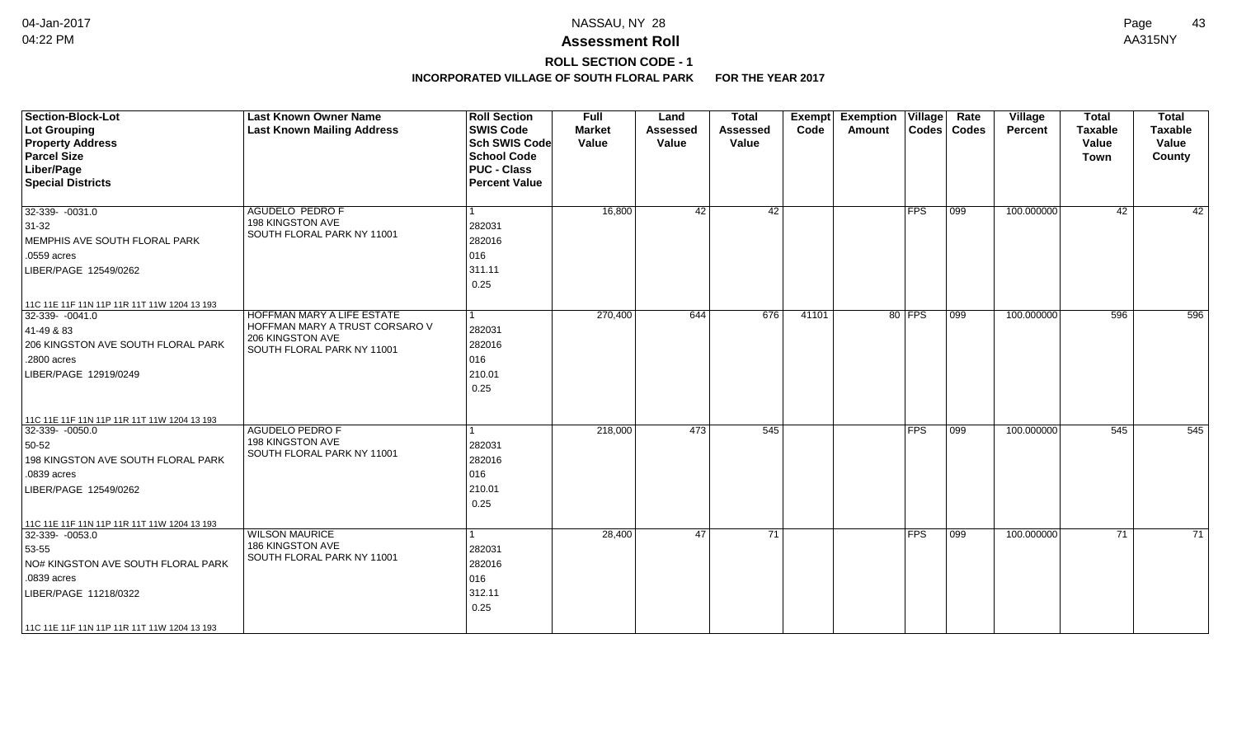# **ROLL SECTION CODE - 1**

| <b>Section-Block-Lot</b><br>Lot Grouping<br><b>Property Address</b><br><b>Parcel Size</b><br>Liber/Page<br><b>Special Districts</b>                                                                  | <b>Last Known Owner Name</b><br><b>Last Known Mailing Address</b>                                                     | <b>Roll Section</b><br><b>SWIS Code</b><br><b>Sch SWIS Code</b><br><b>School Code</b><br><b>PUC - Class</b><br><b>Percent Value</b> | <b>Full</b><br><b>Market</b><br>Value | Land<br><b>Assessed</b><br>Value | <b>Total</b><br><b>Assessed</b><br>Value | Exempt<br>Code | <b>Exemption Village</b><br>Amount |            | Rate<br>Codes   Codes | Village<br>Percent | <b>Total</b><br><b>Taxable</b><br>Value<br>Town | <b>Total</b><br><b>Taxable</b><br>Value<br>County |
|------------------------------------------------------------------------------------------------------------------------------------------------------------------------------------------------------|-----------------------------------------------------------------------------------------------------------------------|-------------------------------------------------------------------------------------------------------------------------------------|---------------------------------------|----------------------------------|------------------------------------------|----------------|------------------------------------|------------|-----------------------|--------------------|-------------------------------------------------|---------------------------------------------------|
| $32-339 - 0031.0$<br>$31-32$<br>MEMPHIS AVE SOUTH FLORAL PARK<br>.0559 acres<br>LIBER/PAGE 12549/0262                                                                                                | <b>AGUDELO PEDRO F</b><br>198 KINGSTON AVE<br>SOUTH FLORAL PARK NY 11001                                              | 282031<br>282016<br>016<br>311.11<br>0.25                                                                                           | 16,800                                | 42                               | 42                                       |                |                                    | <b>FPS</b> | 099                   | 100.000000         | 42                                              | 42                                                |
| 11C 11E 11F 11N 11P 11R 11T 11W 1204 13 193<br>$ 32-339-0041.0$<br>41-49 & 83<br>206 KINGSTON AVE SOUTH FLORAL PARK<br>.2800 acres<br>LIBER/PAGE 12919/0249                                          | <b>HOFFMAN MARY A LIFE ESTATE</b><br>HOFFMAN MARY A TRUST CORSARO V<br>206 KINGSTON AVE<br>SOUTH FLORAL PARK NY 11001 | 282031<br>282016<br>016<br>210.01<br>0.25                                                                                           | 270,400                               | 644                              | 676                                      | 41101          |                                    | 80 FPS     | 099                   | 100.000000         | 596                                             | 596                                               |
| 11C 11E 11F 11N 11P 11R 11T 11W 1204 13 193<br>32-339- -0050.0<br>50-52<br>198 KINGSTON AVE SOUTH FLORAL PARK<br>.0839 acres<br>LIBER/PAGE 12549/0262<br>11C 11E 11F 11N 11P 11R 11T 11W 1204 13 193 | <b>AGUDELO PEDRO F</b><br>198 KINGSTON AVE<br>SOUTH FLORAL PARK NY 11001                                              | 282031<br>282016<br>016<br>210.01<br>0.25                                                                                           | 218,000                               | 473                              | 545                                      |                |                                    | <b>FPS</b> | 099                   | 100.000000         | 545                                             | 545                                               |
| 32-339- -0053.0<br>53-55<br>NO# KINGSTON AVE SOUTH FLORAL PARK<br>.0839 acres<br>LIBER/PAGE 11218/0322<br>  11C 11E 11F 11N 11P 11R 11T 11W 1204 13 193                                              | <b>WILSON MAURICE</b><br>186 KINGSTON AVE<br>SOUTH FLORAL PARK NY 11001                                               | 282031<br>282016<br>016<br>312.11<br>0.25                                                                                           | 28,400                                | 47                               | 71                                       |                |                                    | <b>FPS</b> | 099                   | 100.000000         | 71                                              | $\overline{71}$                                   |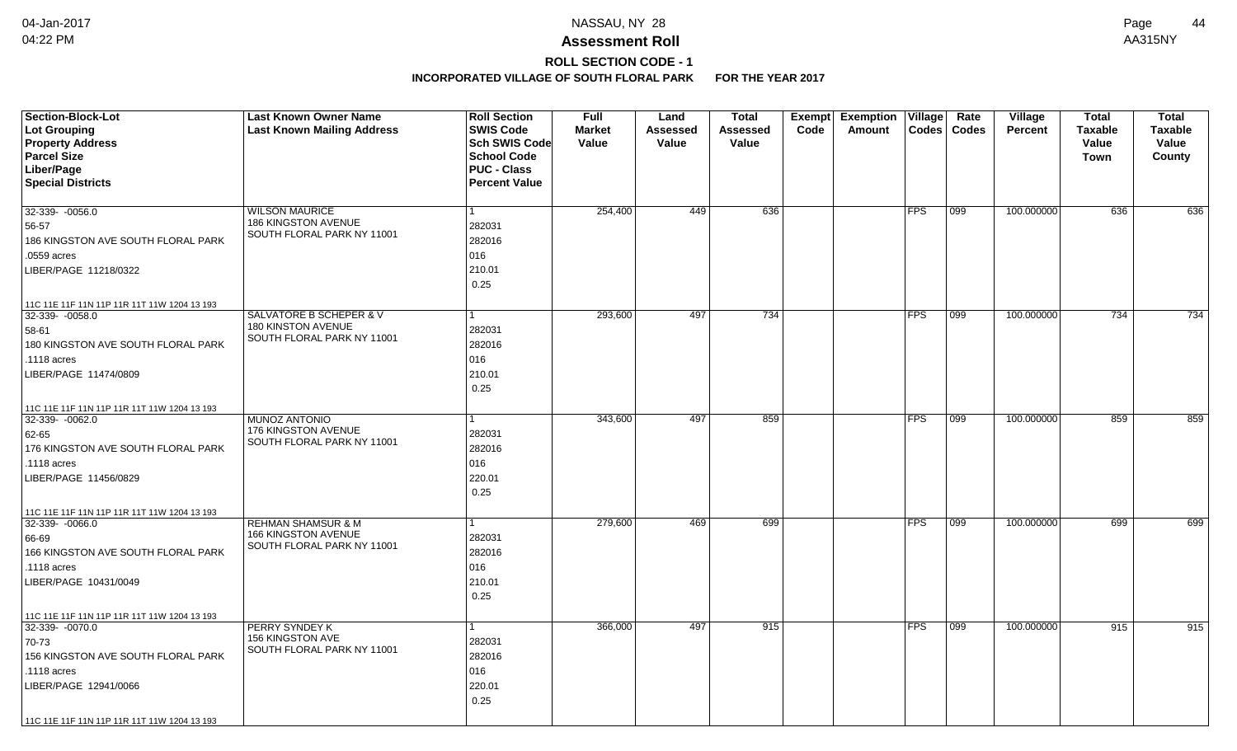# **ROLL SECTION CODE - 1**

| <b>Section-Block-Lot</b><br><b>Lot Grouping</b><br><b>Property Address</b> | <b>Last Known Owner Name</b><br><b>Last Known Mailing Address</b> | <b>Roll Section</b><br><b>SWIS Code</b><br>Sch SWIS Code<br><b>School Code</b> | <b>Full</b><br><b>Market</b><br>Value | Land<br>Assessed<br>Value | <b>Total</b><br>Assessed<br>Value | Exempt<br>Code | <b>Exemption</b><br>Amount | $\overline{\mathsf{V}}$ illage<br><b>Codes</b> | Rate<br><b>Codes</b> | Village<br><b>Percent</b> | <b>Total</b><br><b>Taxable</b><br>Value | <b>Total</b><br>Taxable<br>Value |
|----------------------------------------------------------------------------|-------------------------------------------------------------------|--------------------------------------------------------------------------------|---------------------------------------|---------------------------|-----------------------------------|----------------|----------------------------|------------------------------------------------|----------------------|---------------------------|-----------------------------------------|----------------------------------|
| <b>Parcel Size</b>                                                         |                                                                   | <b>PUC - Class</b>                                                             |                                       |                           |                                   |                |                            |                                                |                      |                           | <b>Town</b>                             | County                           |
| Liber/Page<br><b>Special Districts</b>                                     |                                                                   | <b>Percent Value</b>                                                           |                                       |                           |                                   |                |                            |                                                |                      |                           |                                         |                                  |
|                                                                            |                                                                   |                                                                                |                                       |                           |                                   |                |                            |                                                |                      |                           |                                         |                                  |
| 32-339- -0056.0                                                            | <b>WILSON MAURICE</b>                                             | $\mathbf{1}$                                                                   | 254,400                               | 449                       | 636                               |                |                            | FPS                                            | 099                  | 100.000000                | 636                                     | 636                              |
| 56-57                                                                      | 186 KINGSTON AVENUE                                               | 282031                                                                         |                                       |                           |                                   |                |                            |                                                |                      |                           |                                         |                                  |
| 186 KINGSTON AVE SOUTH FLORAL PARK                                         | SOUTH FLORAL PARK NY 11001                                        | 282016                                                                         |                                       |                           |                                   |                |                            |                                                |                      |                           |                                         |                                  |
| .0559 acres                                                                |                                                                   | 016                                                                            |                                       |                           |                                   |                |                            |                                                |                      |                           |                                         |                                  |
| LIBER/PAGE 11218/0322                                                      |                                                                   | 210.01                                                                         |                                       |                           |                                   |                |                            |                                                |                      |                           |                                         |                                  |
|                                                                            |                                                                   | 0.25                                                                           |                                       |                           |                                   |                |                            |                                                |                      |                           |                                         |                                  |
|                                                                            |                                                                   |                                                                                |                                       |                           |                                   |                |                            |                                                |                      |                           |                                         |                                  |
| 11C 11E 11F 11N 11P 11R 11T 11W 1204 13 193<br>$32-339 - 0058.0$           | SALVATORE B SCHEPER & V                                           | $\mathbf{1}$                                                                   | 293,600                               | 497                       | 734                               |                |                            | FPS                                            | 099                  | 100.000000                | 734                                     | 734                              |
| 58-61                                                                      | 180 KINSTON AVENUE                                                | 282031                                                                         |                                       |                           |                                   |                |                            |                                                |                      |                           |                                         |                                  |
| 180 KINGSTON AVE SOUTH FLORAL PARK                                         | SOUTH FLORAL PARK NY 11001                                        | 282016                                                                         |                                       |                           |                                   |                |                            |                                                |                      |                           |                                         |                                  |
| .1118 acres                                                                |                                                                   | 016                                                                            |                                       |                           |                                   |                |                            |                                                |                      |                           |                                         |                                  |
| LIBER/PAGE 11474/0809                                                      |                                                                   | 210.01                                                                         |                                       |                           |                                   |                |                            |                                                |                      |                           |                                         |                                  |
|                                                                            |                                                                   | 0.25                                                                           |                                       |                           |                                   |                |                            |                                                |                      |                           |                                         |                                  |
|                                                                            |                                                                   |                                                                                |                                       |                           |                                   |                |                            |                                                |                      |                           |                                         |                                  |
| 11C 11E 11F 11N 11P 11R 11T 11W 1204 13 193<br>32-339-0062.0               | <b>MUNOZ ANTONIO</b>                                              |                                                                                | 343,600                               | 497                       | 859                               |                |                            | <b>FPS</b>                                     | 099                  | 100.000000                | 859                                     | 859                              |
|                                                                            | 176 KINGSTON AVENUE                                               | 282031                                                                         |                                       |                           |                                   |                |                            |                                                |                      |                           |                                         |                                  |
| 62-65                                                                      | SOUTH FLORAL PARK NY 11001                                        |                                                                                |                                       |                           |                                   |                |                            |                                                |                      |                           |                                         |                                  |
| 176 KINGSTON AVE SOUTH FLORAL PARK                                         |                                                                   | 282016                                                                         |                                       |                           |                                   |                |                            |                                                |                      |                           |                                         |                                  |
| .1118 acres                                                                |                                                                   | 016                                                                            |                                       |                           |                                   |                |                            |                                                |                      |                           |                                         |                                  |
| LIBER/PAGE 11456/0829                                                      |                                                                   | 220.01                                                                         |                                       |                           |                                   |                |                            |                                                |                      |                           |                                         |                                  |
|                                                                            |                                                                   | 0.25                                                                           |                                       |                           |                                   |                |                            |                                                |                      |                           |                                         |                                  |
| 11C 11E 11F 11N 11P 11R 11T 11W 1204 13 193                                |                                                                   |                                                                                |                                       |                           |                                   |                |                            |                                                |                      |                           |                                         |                                  |
| 32-339- -0066.0                                                            | <b>REHMAN SHAMSUR &amp; M</b><br>166 KINGSTON AVENUE              | 1                                                                              | 279,600                               | 469                       | 699                               |                |                            | <b>FPS</b>                                     | 099                  | 100.000000                | 699                                     | 699                              |
| 66-69                                                                      | SOUTH FLORAL PARK NY 11001                                        | 282031                                                                         |                                       |                           |                                   |                |                            |                                                |                      |                           |                                         |                                  |
| 166 KINGSTON AVE SOUTH FLORAL PARK                                         |                                                                   | 282016                                                                         |                                       |                           |                                   |                |                            |                                                |                      |                           |                                         |                                  |
| .1118 acres                                                                |                                                                   | 016                                                                            |                                       |                           |                                   |                |                            |                                                |                      |                           |                                         |                                  |
| LIBER/PAGE 10431/0049                                                      |                                                                   | 210.01                                                                         |                                       |                           |                                   |                |                            |                                                |                      |                           |                                         |                                  |
|                                                                            |                                                                   | 0.25                                                                           |                                       |                           |                                   |                |                            |                                                |                      |                           |                                         |                                  |
| 11C 11E 11F 11N 11P 11R 11T 11W 1204 13 193                                |                                                                   |                                                                                |                                       |                           |                                   |                |                            |                                                |                      |                           |                                         |                                  |
| 32-339- - 0070.0                                                           | PERRY SYNDEY K                                                    | $\mathbf{1}$                                                                   | 366,000                               | 497                       | 915                               |                |                            | <b>FPS</b>                                     | 099                  | 100.000000                | 915                                     | 915                              |
| 70-73                                                                      | 156 KINGSTON AVE<br>SOUTH FLORAL PARK NY 11001                    | 282031                                                                         |                                       |                           |                                   |                |                            |                                                |                      |                           |                                         |                                  |
| 156 KINGSTON AVE SOUTH FLORAL PARK                                         |                                                                   | 282016                                                                         |                                       |                           |                                   |                |                            |                                                |                      |                           |                                         |                                  |
| .1118 acres                                                                |                                                                   | 016                                                                            |                                       |                           |                                   |                |                            |                                                |                      |                           |                                         |                                  |
| LIBER/PAGE 12941/0066                                                      |                                                                   | 220.01                                                                         |                                       |                           |                                   |                |                            |                                                |                      |                           |                                         |                                  |
|                                                                            |                                                                   | 0.25                                                                           |                                       |                           |                                   |                |                            |                                                |                      |                           |                                         |                                  |
| 11C 11E 11F 11N 11P 11R 11T 11W 1204 13 193                                |                                                                   |                                                                                |                                       |                           |                                   |                |                            |                                                |                      |                           |                                         |                                  |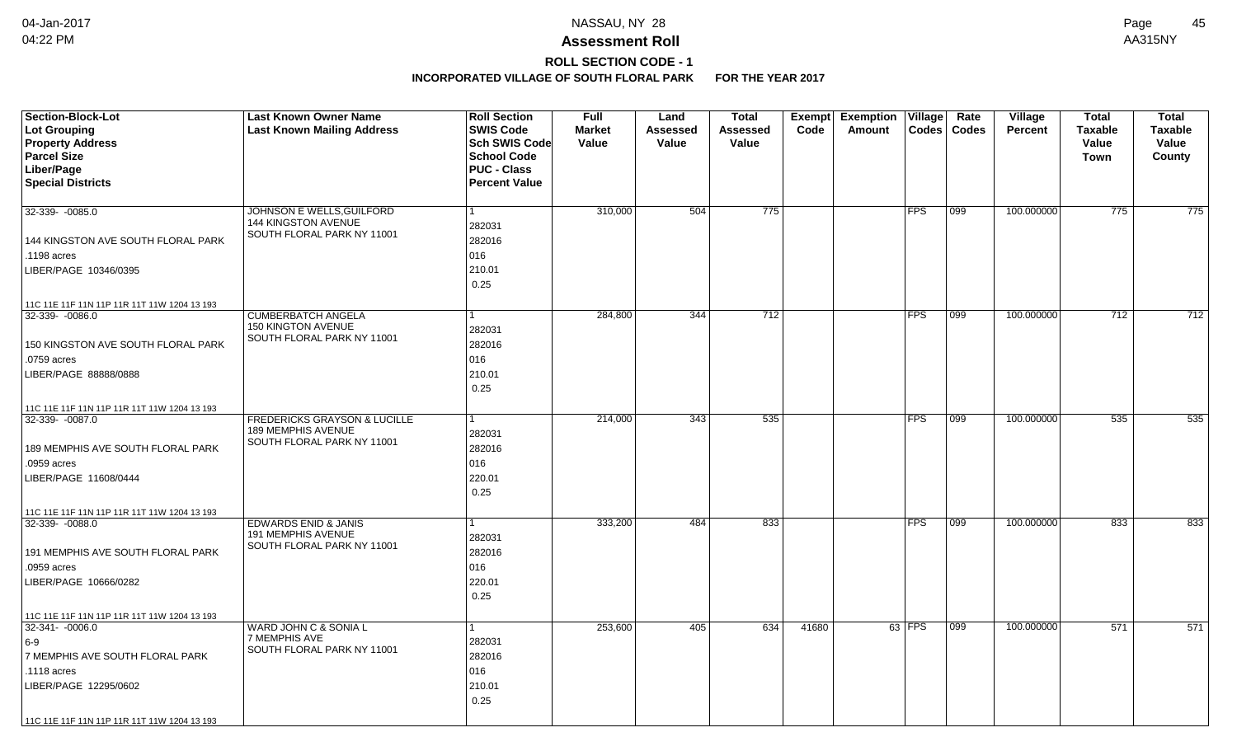# **ROLL SECTION CODE - 1**

| <b>Section-Block-Lot</b>                    | <b>Last Known Owner Name</b>                              | <b>Roll Section</b>  | <b>Full</b>   | Land            | <b>Total</b> | Exempt | <b>Exemption Village</b> |                       | Rate         | Village    | <b>Total</b>   | <b>Total</b>   |
|---------------------------------------------|-----------------------------------------------------------|----------------------|---------------|-----------------|--------------|--------|--------------------------|-----------------------|--------------|------------|----------------|----------------|
| Lot Grouping                                | <b>Last Known Mailing Address</b>                         | <b>SWIS Code</b>     | <b>Market</b> | <b>Assessed</b> | Assessed     | Code   | Amount                   | $\text{Codes}$        | <b>Codes</b> | Percent    | <b>Taxable</b> | <b>Taxable</b> |
| <b>Property Address</b>                     |                                                           | Sch SWIS Code        | Value         | Value           | Value        |        |                          |                       |              |            | Value          | Value          |
| <b>Parcel Size</b>                          |                                                           | <b>School Code</b>   |               |                 |              |        |                          |                       |              |            | <b>Town</b>    | County         |
| Liber/Page                                  |                                                           | <b>PUC - Class</b>   |               |                 |              |        |                          |                       |              |            |                |                |
| <b>Special Districts</b>                    |                                                           | <b>Percent Value</b> |               |                 |              |        |                          |                       |              |            |                |                |
| 32-339- -0085.0                             | JOHNSON E WELLS, GUILFORD                                 | -1                   | 310,000       | 504             | 775          |        |                          | $ {\sf FPS} $         | 099          | 100.000000 | 775            | 775            |
|                                             | <b>144 KINGSTON AVENUE</b>                                | 282031               |               |                 |              |        |                          |                       |              |            |                |                |
| 144 KINGSTON AVE SOUTH FLORAL PARK          | SOUTH FLORAL PARK NY 11001                                | 282016               |               |                 |              |        |                          |                       |              |            |                |                |
| .1198 acres                                 |                                                           | 016                  |               |                 |              |        |                          |                       |              |            |                |                |
| LIBER/PAGE 10346/0395                       |                                                           | 210.01               |               |                 |              |        |                          |                       |              |            |                |                |
|                                             |                                                           | 0.25                 |               |                 |              |        |                          |                       |              |            |                |                |
| 11C 11E 11F 11N 11P 11R 11T 11W 1204 13 193 |                                                           |                      |               |                 |              |        |                          |                       |              |            |                |                |
| $32-339 - 0086.0$                           | <b>CUMBERBATCH ANGELA</b>                                 | 1                    | 284,800       | 344             | 712          |        |                          | <b>FPS</b>            | 099          | 100.000000 | 712            | 712            |
|                                             | 150 KINGTON AVENUE<br>SOUTH FLORAL PARK NY 11001          | 282031               |               |                 |              |        |                          |                       |              |            |                |                |
| 150 KINGSTON AVE SOUTH FLORAL PARK          |                                                           | 282016               |               |                 |              |        |                          |                       |              |            |                |                |
| .0759 acres                                 |                                                           | 016                  |               |                 |              |        |                          |                       |              |            |                |                |
| LIBER/PAGE 88888/0888                       |                                                           | 210.01               |               |                 |              |        |                          |                       |              |            |                |                |
|                                             |                                                           | 0.25                 |               |                 |              |        |                          |                       |              |            |                |                |
| 11C 11E 11F 11N 11P 11R 11T 11W 1204 13 193 |                                                           |                      |               |                 |              |        |                          |                       |              |            |                |                |
| 32-339-0087.0                               | FREDERICKS GRAYSON & LUCILLE<br><b>189 MEMPHIS AVENUE</b> |                      | 214,000       | 343             | 535          |        |                          | <b>FPS</b>            | 099          | 100.000000 | 535            | 535            |
|                                             | SOUTH FLORAL PARK NY 11001                                | 282031               |               |                 |              |        |                          |                       |              |            |                |                |
| 189 MEMPHIS AVE SOUTH FLORAL PARK           |                                                           | 282016               |               |                 |              |        |                          |                       |              |            |                |                |
| .0959 acres                                 |                                                           | 016                  |               |                 |              |        |                          |                       |              |            |                |                |
| LIBER/PAGE 11608/0444                       |                                                           | 220.01               |               |                 |              |        |                          |                       |              |            |                |                |
|                                             |                                                           | 0.25                 |               |                 |              |        |                          |                       |              |            |                |                |
| 11C 11E 11F 11N 11P 11R 11T 11W 1204 13 193 |                                                           |                      |               |                 |              |        |                          |                       |              |            |                |                |
| 32-339-0088.0                               | <b>EDWARDS ENID &amp; JANIS</b><br>191 MEMPHIS AVENUE     |                      | 333,200       | 484             | 833          |        |                          | <b>FPS</b>            | 099          | 100.000000 | 833            | 833            |
|                                             | SOUTH FLORAL PARK NY 11001                                | 282031               |               |                 |              |        |                          |                       |              |            |                |                |
| 191 MEMPHIS AVE SOUTH FLORAL PARK           |                                                           | 282016               |               |                 |              |        |                          |                       |              |            |                |                |
| .0959 acres                                 |                                                           | 016                  |               |                 |              |        |                          |                       |              |            |                |                |
| LIBER/PAGE 10666/0282                       |                                                           | 220.01               |               |                 |              |        |                          |                       |              |            |                |                |
|                                             |                                                           | 0.25                 |               |                 |              |        |                          |                       |              |            |                |                |
| 11C 11E 11F 11N 11P 11R 11T 11W 1204 13 193 |                                                           |                      |               |                 |              |        |                          |                       |              |            |                |                |
| 32-341- -0006.0                             | <b>WARD JOHN C &amp; SONIA L</b>                          |                      | 253,600       | 405             | 634          | 41680  |                          | $63$ $\overline{FPS}$ | 099          | 100.000000 | 571            | 571            |
| $6-9$                                       | 7 MEMPHIS AVE<br>SOUTH FLORAL PARK NY 11001               | 282031               |               |                 |              |        |                          |                       |              |            |                |                |
| 7 MEMPHIS AVE SOUTH FLORAL PARK             |                                                           | 282016               |               |                 |              |        |                          |                       |              |            |                |                |
| .1118 acres                                 |                                                           | 016                  |               |                 |              |        |                          |                       |              |            |                |                |
| LIBER/PAGE 12295/0602                       |                                                           | 210.01               |               |                 |              |        |                          |                       |              |            |                |                |
|                                             |                                                           | 0.25                 |               |                 |              |        |                          |                       |              |            |                |                |
| 11C 11E 11F 11N 11P 11R 11T 11W 1204 13 193 |                                                           |                      |               |                 |              |        |                          |                       |              |            |                |                |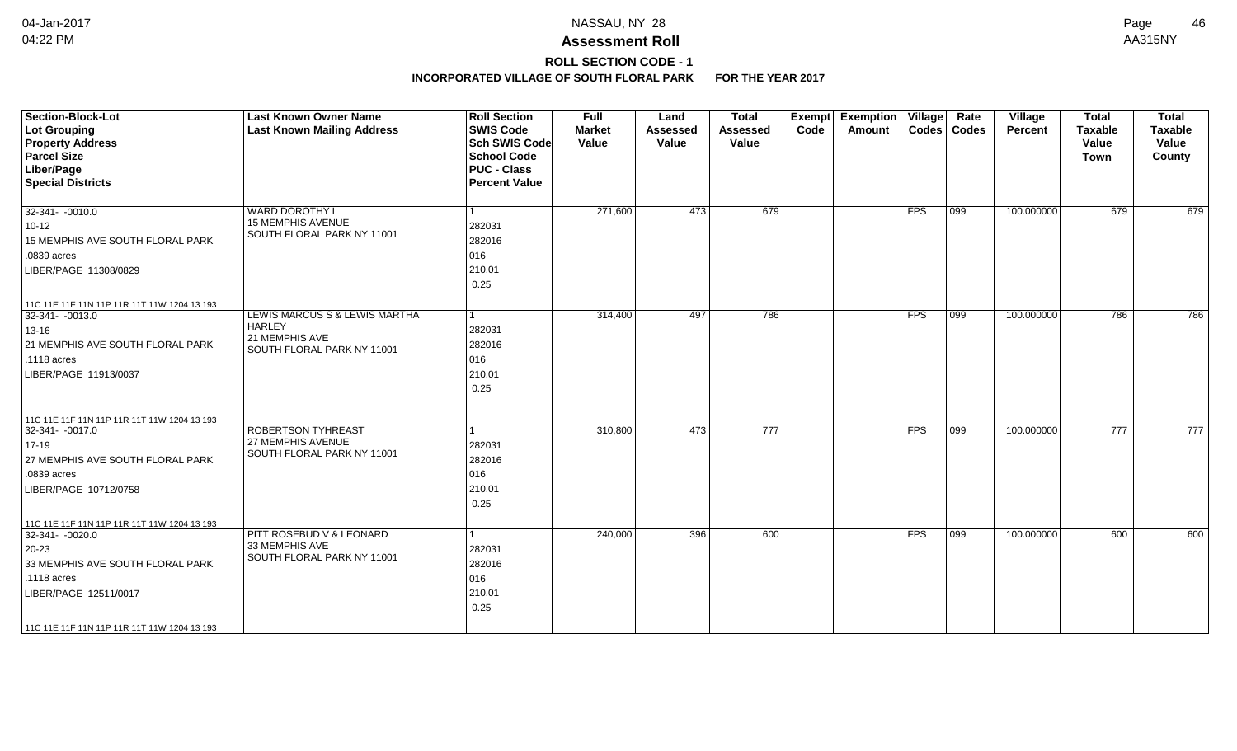# **ROLL SECTION CODE - 1**

| <b>Section-Block-Lot</b><br><b>Lot Grouping</b><br><b>Property Address</b><br><b>Parcel Size</b><br>Liber/Page<br><b>Special Districts</b>                                                       | <b>Last Known Owner Name</b><br><b>Last Known Mailing Address</b>                                         | <b>Roll Section</b><br><b>SWIS Code</b><br><b>Sch SWIS Code</b><br><b>School Code</b><br><b>PUC - Class</b><br><b>Percent Value</b> | <b>Full</b><br><b>Market</b><br>Value | Land<br><b>Assessed</b><br>Value | <b>Total</b><br><b>Assessed</b><br>Value | Exempt<br>Code | <b>Exemption Village</b><br>Amount |            | Rate<br>Codes   Codes | <b>Village</b><br>Percent | <b>Total</b><br><b>Taxable</b><br>Value<br><b>Town</b> | <b>Total</b><br><b>Taxable</b><br>Value<br>County |
|--------------------------------------------------------------------------------------------------------------------------------------------------------------------------------------------------|-----------------------------------------------------------------------------------------------------------|-------------------------------------------------------------------------------------------------------------------------------------|---------------------------------------|----------------------------------|------------------------------------------|----------------|------------------------------------|------------|-----------------------|---------------------------|--------------------------------------------------------|---------------------------------------------------|
| $32-341 - -0010.0$<br>$10 - 12$<br>15 MEMPHIS AVE SOUTH FLORAL PARK<br>.0839 acres<br>LIBER/PAGE 11308/0829<br>11C 11E 11F 11N 11P 11R 11T 11W 1204 13 193                                       | <b>WARD DOROTHY L</b><br><b>15 MEMPHIS AVENUE</b><br>SOUTH FLORAL PARK NY 11001                           | l 1<br>282031<br>282016<br>016<br>210.01<br>0.25                                                                                    | 271,600                               | 473                              | 679                                      |                |                                    | <b>FPS</b> | 099                   | 100.000000                | 679                                                    | 679                                               |
| $32-341 - 0013.0$<br>13-16<br>21 MEMPHIS AVE SOUTH FLORAL PARK<br>.1118 acres<br>LIBER/PAGE 11913/0037                                                                                           | <b>LEWIS MARCUS S &amp; LEWIS MARTHA</b><br><b>HARLEY</b><br>21 MEMPHIS AVE<br>SOUTH FLORAL PARK NY 11001 | $\vert$ 1<br>282031<br>282016<br>016<br>210.01<br>0.25                                                                              | 314,400                               | 497                              | 786                                      |                |                                    | <b>FPS</b> | $ 099\rangle$         | 100.000000                | 786                                                    | 786                                               |
| 11C 11E 11F 11N 11P 11R 11T 11W 1204 13 193<br>32-341- -0017.0<br>$17 - 19$<br>27 MEMPHIS AVE SOUTH FLORAL PARK<br>.0839 acres<br>LIBER/PAGE 10712/0758                                          | ROBERTSON TYHREAST<br>27 MEMPHIS AVENUE<br>SOUTH FLORAL PARK NY 11001                                     | 1<br>282031<br>282016<br>016<br>210.01<br>0.25                                                                                      | 310,800                               | 473                              | $\overline{777}$                         |                |                                    | <b>FPS</b> | $ 099\rangle$         | 100.000000                | 777                                                    | 777                                               |
| 11C 11E 11F 11N 11P 11R 11T 11W 1204 13 193<br>32-341-0020.0<br>20-23<br>33 MEMPHIS AVE SOUTH FLORAL PARK<br>.1118 acres<br>LIBER/PAGE 12511/0017<br>11C 11E 11F 11N 11P 11R 11T 11W 1204 13 193 | PITT ROSEBUD V & LEONARD<br>33 MEMPHIS AVE<br>SOUTH FLORAL PARK NY 11001                                  | $\mathbf{1}$<br>282031<br>282016<br>016<br>210.01<br>0.25                                                                           | 240,000                               | 396                              | 600                                      |                |                                    | <b>FPS</b> | 099                   | 100.000000                | 600                                                    | 600                                               |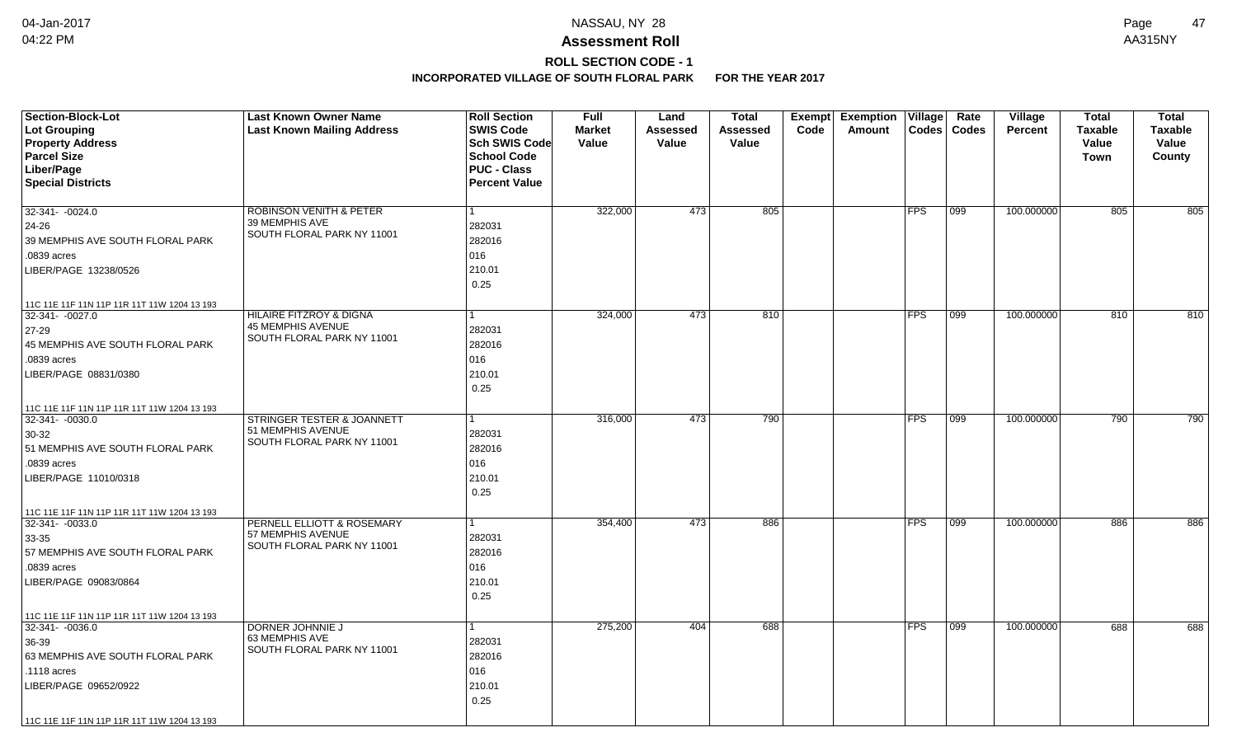# **ROLL SECTION CODE - 1**

| <b>Section-Block-Lot</b><br>Lot Grouping<br><b>Property Address</b><br><b>Parcel Size</b><br>Liber/Page<br><b>Special Districts</b>                                                                    | <b>Last Known Owner Name</b><br><b>Last Known Mailing Address</b>                            | <b>Roll Section</b><br><b>SWIS Code</b><br><b>Sch SWIS Code</b><br><b>School Code</b><br><b>PUC - Class</b><br><b>Percent Value</b> | <b>Full</b><br><b>Market</b><br>Value | Land<br>Assessed<br>Value | <b>Total</b><br>Assessed<br>Value | Exempt<br>Code | <b>Exemption Village</b><br>Amount | Codes      | Rate<br><b>Codes</b> | <b>Village</b><br><b>Percent</b> | <b>Total</b><br><b>Taxable</b><br>Value<br>Town | <b>Total</b><br><b>Taxable</b><br>Value<br>County |
|--------------------------------------------------------------------------------------------------------------------------------------------------------------------------------------------------------|----------------------------------------------------------------------------------------------|-------------------------------------------------------------------------------------------------------------------------------------|---------------------------------------|---------------------------|-----------------------------------|----------------|------------------------------------|------------|----------------------|----------------------------------|-------------------------------------------------|---------------------------------------------------|
| $32-341 - -0024.0$<br>24-26<br>39 MEMPHIS AVE SOUTH FLORAL PARK<br>.0839 acres<br>LIBER/PAGE 13238/0526                                                                                                | <b>ROBINSON VENITH &amp; PETER</b><br>39 MEMPHIS AVE<br>SOUTH FLORAL PARK NY 11001           | 282031<br>282016<br>016<br>210.01<br>0.25                                                                                           | 322,000                               | 473                       | 805                               |                |                                    | <b>FPS</b> | 099                  | 100.000000                       | 805                                             | 805                                               |
| 11C 11E 11F 11N 11P 11R 11T 11W 1204 13 193<br>32-341- -0027.0<br>27-29<br>45 MEMPHIS AVE SOUTH FLORAL PARK<br>.0839 acres<br>LIBER/PAGE 08831/0380<br>11C 11E 11F 11N 11P 11R 11T 11W 1204 13 193     | <b>HILAIRE FITZROY &amp; DIGNA</b><br><b>45 MEMPHIS AVENUE</b><br>SOUTH FLORAL PARK NY 11001 | 1<br>282031<br>282016<br>016<br>210.01<br>0.25                                                                                      | 324,000                               | 473                       | 810                               |                |                                    | FPS        | 099                  | 100.000000                       | 810                                             | 810                                               |
| 32-341- -0030.0<br>$30-32$<br>51 MEMPHIS AVE SOUTH FLORAL PARK<br>.0839 acres<br>LIBER/PAGE 11010/0318                                                                                                 | <b>STRINGER TESTER &amp; JOANNETT</b><br>51 MEMPHIS AVENUE<br>SOUTH FLORAL PARK NY 11001     | 1<br>282031<br>282016<br>016<br>210.01<br>0.25                                                                                      | 316,000                               | 473                       | 790                               |                |                                    | FPS        | 099                  | 100.000000                       | 790                                             | 790                                               |
| 11C 11E 11F 11N 11P 11R 11T 11W 1204 13 193<br>$32 - 341 - 0033.0$<br>33-35<br>57 MEMPHIS AVE SOUTH FLORAL PARK<br>.0839 acres<br>LIBER/PAGE 09083/0864<br>11C 11E 11F 11N 11P 11R 11T 11W 1204 13 193 | PERNELL ELLIOTT & ROSEMARY<br>57 MEMPHIS AVENUE<br>SOUTH FLORAL PARK NY 11001                | 282031<br>282016<br>016<br>210.01<br>0.25                                                                                           | 354,400                               | 473                       | 886                               |                |                                    | <b>FPS</b> | 099                  | 100.000000                       | 886                                             | 886                                               |
| 32-341-0036.0<br>36-39<br>63 MEMPHIS AVE SOUTH FLORAL PARK<br>.1118 acres<br>LIBER/PAGE 09652/0922<br>11C 11E 11F 11N 11P 11R 11T 11W 1204 13 193                                                      | DORNER JOHNNIE J<br>63 MEMPHIS AVE<br>SOUTH FLORAL PARK NY 11001                             | 282031<br>282016<br>016<br>210.01<br>0.25                                                                                           | 275,200                               | 404                       | 688                               |                |                                    | <b>FPS</b> | 099                  | 100.000000                       | 688                                             | 688                                               |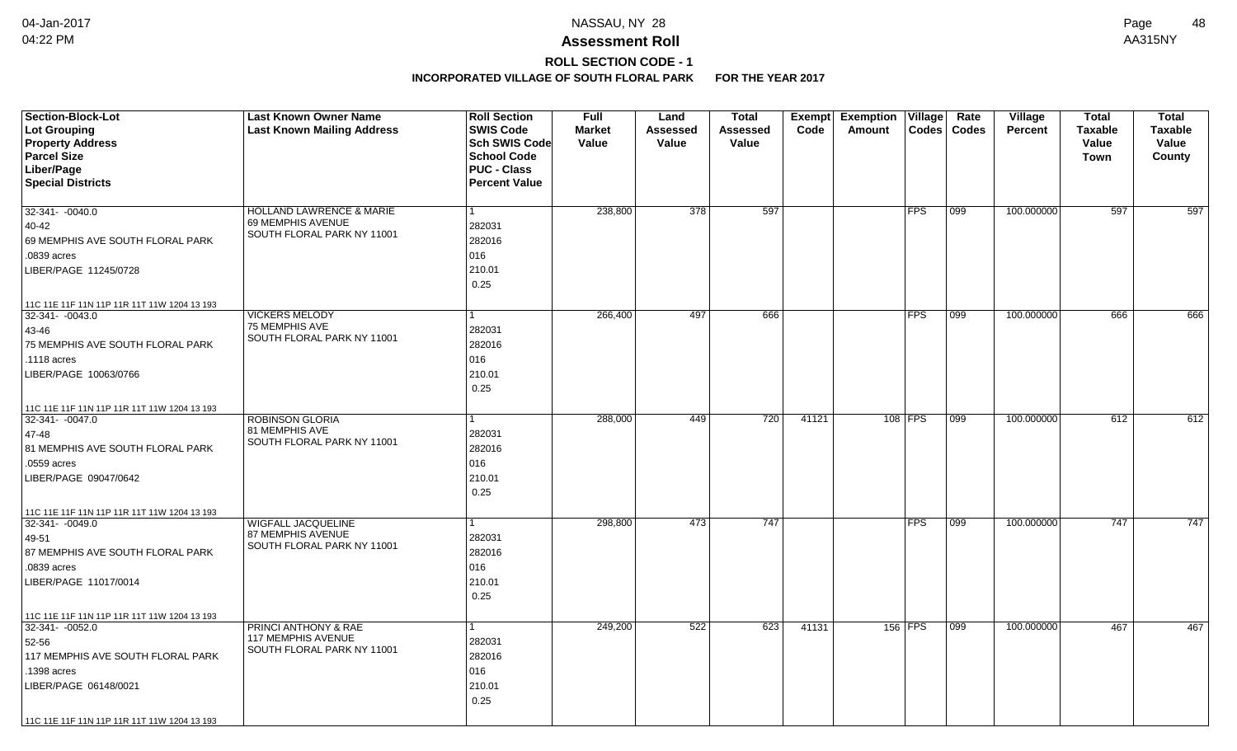# **ROLL SECTION CODE - 1**

| <b>Section-Block-Lot</b>                                          | <b>Last Known Owner Name</b>                     | <b>Roll Section</b>  | <b>Full</b>   | Land     | <b>Total</b> |       | Exempt Exemption | $\overline{\mathsf{V}}$ illage | Rate          | Village        | <b>Total</b>   | <b>Total</b> |
|-------------------------------------------------------------------|--------------------------------------------------|----------------------|---------------|----------|--------------|-------|------------------|--------------------------------|---------------|----------------|----------------|--------------|
| Lot Grouping                                                      | <b>Last Known Mailing Address</b>                | <b>SWIS Code</b>     | <b>Market</b> | Assessed | Assessed     | Code  | Amount           | <b>Codes</b>                   | <b>Codes</b>  | <b>Percent</b> | <b>Taxable</b> | Taxable      |
| <b>Property Address</b>                                           |                                                  | Sch SWIS Code        | Value         | Value    | Value        |       |                  |                                |               |                | Value          | Value        |
| <b>Parcel Size</b>                                                |                                                  | <b>School Code</b>   |               |          |              |       |                  |                                |               |                | <b>Town</b>    | County       |
| Liber/Page                                                        |                                                  | <b>PUC - Class</b>   |               |          |              |       |                  |                                |               |                |                |              |
| <b>Special Districts</b>                                          |                                                  | <b>Percent Value</b> |               |          |              |       |                  |                                |               |                |                |              |
| 32-341- -0040.0                                                   | <b>HOLLAND LAWRENCE &amp; MARIE</b>              |                      | 238,800       | 378      | 597          |       |                  | <b>FPS</b>                     | 099           | 100.000000     | 597            | 597          |
| 40-42                                                             | 69 MEMPHIS AVENUE                                | 282031               |               |          |              |       |                  |                                |               |                |                |              |
| 69 MEMPHIS AVE SOUTH FLORAL PARK                                  | SOUTH FLORAL PARK NY 11001                       | 282016               |               |          |              |       |                  |                                |               |                |                |              |
| .0839 acres                                                       |                                                  | 016                  |               |          |              |       |                  |                                |               |                |                |              |
| LIBER/PAGE 11245/0728                                             |                                                  | 210.01               |               |          |              |       |                  |                                |               |                |                |              |
|                                                                   |                                                  | 0.25                 |               |          |              |       |                  |                                |               |                |                |              |
|                                                                   |                                                  |                      |               |          |              |       |                  |                                |               |                |                |              |
| 11C 11E 11F 11N 11P 11R 11T 11W 1204 13 193<br>$32-341 - -0043.0$ | <b>VICKERS MELODY</b>                            | 1                    | 266,400       | 497      | 666          |       |                  | <b>FPS</b>                     | $ 099\rangle$ | 100.000000     | 666            | 666          |
| 43-46                                                             | 75 MEMPHIS AVE                                   | 282031               |               |          |              |       |                  |                                |               |                |                |              |
| 75 MEMPHIS AVE SOUTH FLORAL PARK                                  | SOUTH FLORAL PARK NY 11001                       | 282016               |               |          |              |       |                  |                                |               |                |                |              |
| .1118 acres                                                       |                                                  | 016                  |               |          |              |       |                  |                                |               |                |                |              |
| LIBER/PAGE 10063/0766                                             |                                                  | 210.01               |               |          |              |       |                  |                                |               |                |                |              |
|                                                                   |                                                  |                      |               |          |              |       |                  |                                |               |                |                |              |
|                                                                   |                                                  | 0.25                 |               |          |              |       |                  |                                |               |                |                |              |
| 11C 11E 11F 11N 11P 11R 11T 11W 1204 13 193                       |                                                  |                      |               |          |              |       |                  |                                |               |                |                |              |
| 32-341- -0047.0                                                   | <b>ROBINSON GLORIA</b><br>81 MEMPHIS AVE         |                      | 288,000       | 449      | 720          | 41121 |                  | 108 FPS                        | 099           | 100.000000     | 612            | 612          |
| 47-48                                                             | SOUTH FLORAL PARK NY 11001                       | 282031               |               |          |              |       |                  |                                |               |                |                |              |
| 81 MEMPHIS AVE SOUTH FLORAL PARK                                  |                                                  | 282016               |               |          |              |       |                  |                                |               |                |                |              |
| .0559 acres                                                       |                                                  | 016                  |               |          |              |       |                  |                                |               |                |                |              |
| LIBER/PAGE 09047/0642                                             |                                                  | 210.01               |               |          |              |       |                  |                                |               |                |                |              |
|                                                                   |                                                  | 0.25                 |               |          |              |       |                  |                                |               |                |                |              |
| 11C 11E 11F 11N 11P 11R 11T 11W 1204 13 193                       |                                                  |                      |               |          |              |       |                  |                                |               |                |                |              |
| 32-341- -0049.0                                                   | <b>WIGFALL JACQUELINE</b>                        |                      | 298,800       | 473      | 747          |       |                  | <b>FPS</b>                     | 099           | 100.000000     | 747            | 747          |
| 49-51                                                             | 87 MEMPHIS AVENUE<br>SOUTH FLORAL PARK NY 11001  | 282031               |               |          |              |       |                  |                                |               |                |                |              |
| 87 MEMPHIS AVE SOUTH FLORAL PARK                                  |                                                  | 282016               |               |          |              |       |                  |                                |               |                |                |              |
| .0839 acres                                                       |                                                  | 016                  |               |          |              |       |                  |                                |               |                |                |              |
| LIBER/PAGE 11017/0014                                             |                                                  | 210.01               |               |          |              |       |                  |                                |               |                |                |              |
|                                                                   |                                                  | 0.25                 |               |          |              |       |                  |                                |               |                |                |              |
| 11C 11E 11F 11N 11P 11R 11T 11W 1204 13 193                       |                                                  |                      |               |          |              |       |                  |                                |               |                |                |              |
| $32-341 - 0052.0$                                                 | <b>PRINCI ANTHONY &amp; RAE</b>                  |                      | 249,200       | 522      | 623          | 41131 |                  | 156 FPS                        | 099           | 100.000000     | 467            | 467          |
| 52-56                                                             | 117 MEMPHIS AVENUE<br>SOUTH FLORAL PARK NY 11001 | 282031               |               |          |              |       |                  |                                |               |                |                |              |
| 117 MEMPHIS AVE SOUTH FLORAL PARK                                 |                                                  | 282016               |               |          |              |       |                  |                                |               |                |                |              |
| .1398 acres                                                       |                                                  | 016                  |               |          |              |       |                  |                                |               |                |                |              |
| LIBER/PAGE 06148/0021                                             |                                                  | 210.01               |               |          |              |       |                  |                                |               |                |                |              |
|                                                                   |                                                  | 0.25                 |               |          |              |       |                  |                                |               |                |                |              |
| 11C 11E 11F 11N 11P 11R 11T 11W 1204 13 193                       |                                                  |                      |               |          |              |       |                  |                                |               |                |                |              |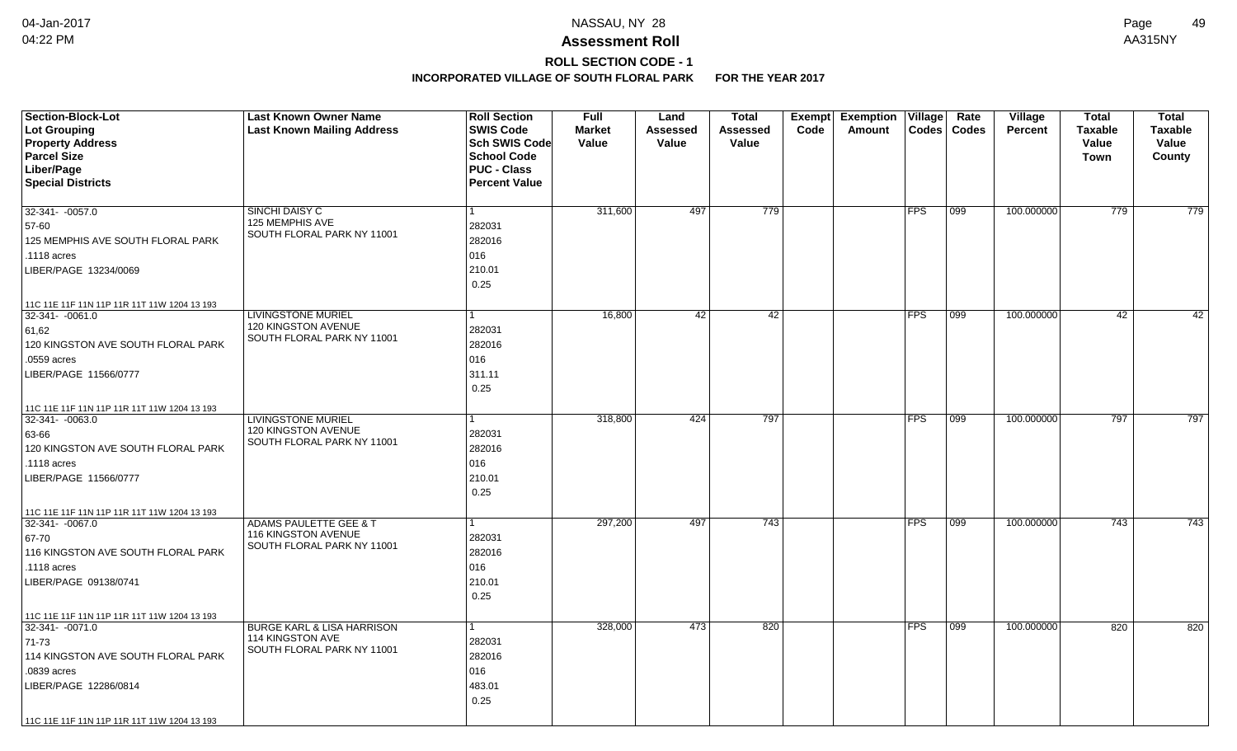# **ROLL SECTION CODE - 1**

| <b>Section-Block-Lot</b>                    | <b>Last Known Owner Name</b>                      | <b>Roll Section</b>  | <b>Full</b>   | Land            | <b>Total</b> |      | Exempt Exemption | $\overline{\mathsf{V}}$ illage | Rate          | Village        | <b>Total</b>   | <b>Total</b> |
|---------------------------------------------|---------------------------------------------------|----------------------|---------------|-----------------|--------------|------|------------------|--------------------------------|---------------|----------------|----------------|--------------|
| Lot Grouping                                | <b>Last Known Mailing Address</b>                 | <b>SWIS Code</b>     | <b>Market</b> | <b>Assessed</b> | Assessed     | Code | Amount           | <b>Codes</b>                   | <b>Codes</b>  | <b>Percent</b> | <b>Taxable</b> | Taxable      |
| <b>Property Address</b>                     |                                                   | Sch SWIS Code        | Value         | Value           | Value        |      |                  |                                |               |                | Value          | Value        |
| <b>Parcel Size</b>                          |                                                   | <b>School Code</b>   |               |                 |              |      |                  |                                |               |                | <b>Town</b>    | County       |
| Liber/Page                                  |                                                   | <b>PUC - Class</b>   |               |                 |              |      |                  |                                |               |                |                |              |
| <b>Special Districts</b>                    |                                                   | <b>Percent Value</b> |               |                 |              |      |                  |                                |               |                |                |              |
| 32-341- -0057.0                             | SINCHI DAISY C                                    | 1                    | 311,600       | 497             | 779          |      |                  | <b>FPS</b>                     | 099           | 100.000000     | 779            | 779          |
| 57-60                                       | 125 MEMPHIS AVE                                   | 282031               |               |                 |              |      |                  |                                |               |                |                |              |
| 125 MEMPHIS AVE SOUTH FLORAL PARK           | SOUTH FLORAL PARK NY 11001                        | 282016               |               |                 |              |      |                  |                                |               |                |                |              |
|                                             |                                                   | 016                  |               |                 |              |      |                  |                                |               |                |                |              |
| .1118 acres                                 |                                                   |                      |               |                 |              |      |                  |                                |               |                |                |              |
| LIBER/PAGE 13234/0069                       |                                                   | 210.01               |               |                 |              |      |                  |                                |               |                |                |              |
|                                             |                                                   | 0.25                 |               |                 |              |      |                  |                                |               |                |                |              |
| 11C 11E 11F 11N 11P 11R 11T 11W 1204 13 193 |                                                   |                      |               |                 |              |      |                  |                                |               |                |                |              |
| $32-341 - 0061.0$                           | <b>LIVINGSTONE MURIEL</b><br>120 KINGSTON AVENUE  | 1                    | 16,800        | 42              | 42           |      |                  | <b>FPS</b>                     | $ 099\rangle$ | 100.000000     | 42             | 42           |
| 61,62                                       | SOUTH FLORAL PARK NY 11001                        | 282031               |               |                 |              |      |                  |                                |               |                |                |              |
| 120 KINGSTON AVE SOUTH FLORAL PARK          |                                                   | 282016               |               |                 |              |      |                  |                                |               |                |                |              |
| .0559 acres                                 |                                                   | 016                  |               |                 |              |      |                  |                                |               |                |                |              |
| LIBER/PAGE 11566/0777                       |                                                   | 311.11               |               |                 |              |      |                  |                                |               |                |                |              |
|                                             |                                                   | 0.25                 |               |                 |              |      |                  |                                |               |                |                |              |
| 11C 11E 11F 11N 11P 11R 11T 11W 1204 13 193 |                                                   |                      |               |                 |              |      |                  |                                |               |                |                |              |
| $32-341 - -0063.0$                          | <b>LIVINGSTONE MURIEL</b>                         |                      | 318,800       | 424             | 797          |      |                  | <b>FPS</b>                     | 099           | 100.000000     | 797            | 797          |
| 63-66                                       | 120 KINGSTON AVENUE<br>SOUTH FLORAL PARK NY 11001 | 282031               |               |                 |              |      |                  |                                |               |                |                |              |
| 120 KINGSTON AVE SOUTH FLORAL PARK          |                                                   | 282016               |               |                 |              |      |                  |                                |               |                |                |              |
| .1118 acres                                 |                                                   | 016                  |               |                 |              |      |                  |                                |               |                |                |              |
| LIBER/PAGE 11566/0777                       |                                                   | 210.01               |               |                 |              |      |                  |                                |               |                |                |              |
|                                             |                                                   | 0.25                 |               |                 |              |      |                  |                                |               |                |                |              |
| 11C 11E 11F 11N 11P 11R 11T 11W 1204 13 193 |                                                   |                      |               |                 |              |      |                  |                                |               |                |                |              |
| 32-341- -0067.0                             | <b>ADAMS PAULETTE GEE &amp; T</b>                 |                      | 297,200       | 497             | 743          |      |                  | <b>FPS</b>                     | 099           | 100.000000     | 743            | 743          |
| 67-70                                       | 116 KINGSTON AVENUE<br>SOUTH FLORAL PARK NY 11001 | 282031               |               |                 |              |      |                  |                                |               |                |                |              |
| 116 KINGSTON AVE SOUTH FLORAL PARK          |                                                   | 282016               |               |                 |              |      |                  |                                |               |                |                |              |
| .1118 acres                                 |                                                   | 016                  |               |                 |              |      |                  |                                |               |                |                |              |
| LIBER/PAGE 09138/0741                       |                                                   | 210.01               |               |                 |              |      |                  |                                |               |                |                |              |
|                                             |                                                   | 0.25                 |               |                 |              |      |                  |                                |               |                |                |              |
| 11C 11E 11F 11N 11P 11R 11T 11W 1204 13 193 |                                                   |                      |               |                 |              |      |                  |                                |               |                |                |              |
| $32-341 - 0071.0$                           | <b>BURGE KARL &amp; LISA HARRISON</b>             | 1                    | 328,000       | 473             | 820          |      |                  | <b>FPS</b>                     | 099           | 100.000000     | 820            | 820          |
| 71-73                                       | 114 KINGSTON AVE<br>SOUTH FLORAL PARK NY 11001    | 282031               |               |                 |              |      |                  |                                |               |                |                |              |
| 114 KINGSTON AVE SOUTH FLORAL PARK          |                                                   | 282016               |               |                 |              |      |                  |                                |               |                |                |              |
| .0839 acres                                 |                                                   | 016                  |               |                 |              |      |                  |                                |               |                |                |              |
| LIBER/PAGE 12286/0814                       |                                                   | 483.01               |               |                 |              |      |                  |                                |               |                |                |              |
|                                             |                                                   | 0.25                 |               |                 |              |      |                  |                                |               |                |                |              |
| 11C 11E 11F 11N 11P 11R 11T 11W 1204 13 193 |                                                   |                      |               |                 |              |      |                  |                                |               |                |                |              |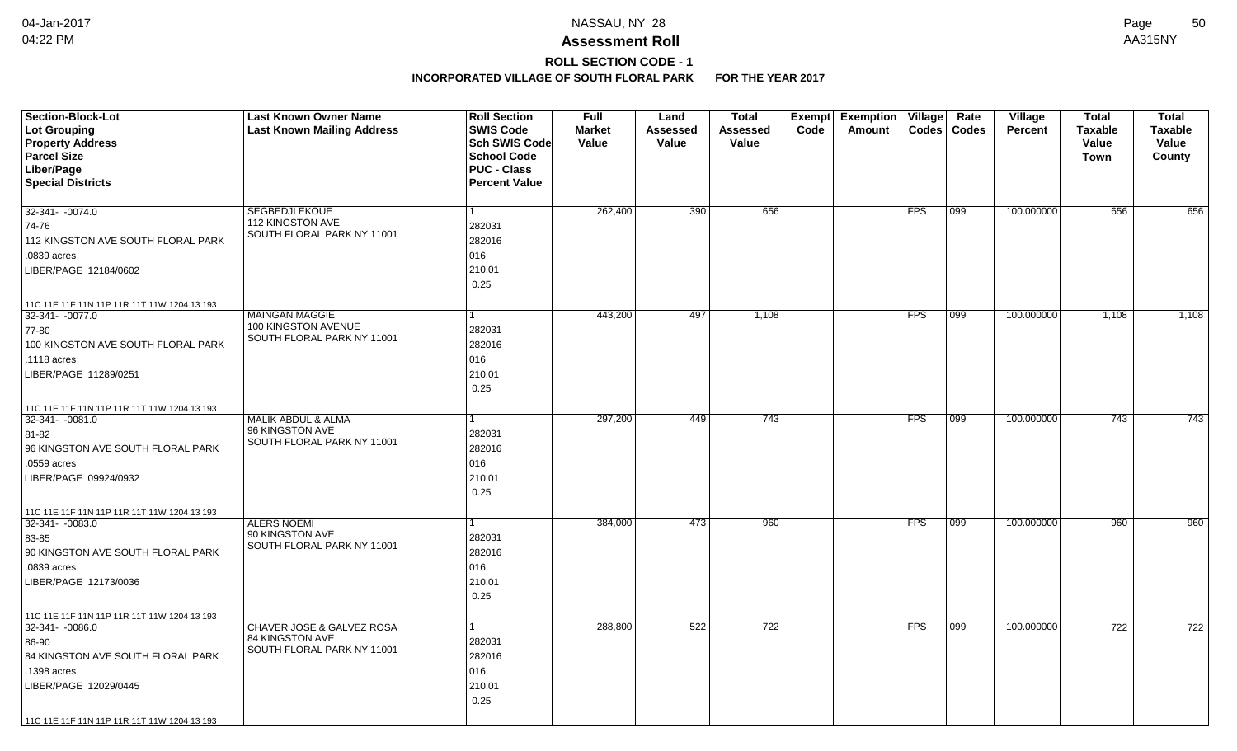## **ROLL SECTION CODE - 1**

| Section-Block-Lot                           | <b>Last Known Owner Name</b>                   | <b>Roll Section</b>   | <b>Full</b>   | Land            | <b>Total</b>    | Exempt | <b>Exemption Village</b> |              | Rate         | Village    | <b>Total</b>   | <b>Total</b>   |
|---------------------------------------------|------------------------------------------------|-----------------------|---------------|-----------------|-----------------|--------|--------------------------|--------------|--------------|------------|----------------|----------------|
| Lot Grouping                                | <b>Last Known Mailing Address</b>              | <b>SWIS Code</b>      | <b>Market</b> | <b>Assessed</b> | <b>Assessed</b> | Code   | Amount                   | <b>Codes</b> | <b>Codes</b> | Percent    | <b>Taxable</b> | <b>Taxable</b> |
| <b>Property Address</b>                     |                                                | <b>Sch SWIS Codel</b> | Value         | Value           | Value           |        |                          |              |              |            | Value          | Value          |
| <b>Parcel Size</b>                          |                                                | <b>School Code</b>    |               |                 |                 |        |                          |              |              |            | Town           | County         |
| Liber/Page                                  |                                                | <b>PUC - Class</b>    |               |                 |                 |        |                          |              |              |            |                |                |
| <b>Special Districts</b>                    |                                                | <b>Percent Value</b>  |               |                 |                 |        |                          |              |              |            |                |                |
|                                             |                                                |                       |               |                 |                 |        |                          |              |              |            |                |                |
| 32-341- -0074.0                             | <b>SEGBEDJI EKOUE</b>                          |                       | 262,400       | 390             | 656             |        |                          | <b>FPS</b>   | 099          | 100.000000 | 656            | 656            |
| 74-76                                       | 112 KINGSTON AVE<br>SOUTH FLORAL PARK NY 11001 | 282031                |               |                 |                 |        |                          |              |              |            |                |                |
| 112 KINGSTON AVE SOUTH FLORAL PARK          |                                                | 282016                |               |                 |                 |        |                          |              |              |            |                |                |
| .0839 acres                                 |                                                | 016                   |               |                 |                 |        |                          |              |              |            |                |                |
| LIBER/PAGE 12184/0602                       |                                                | 210.01                |               |                 |                 |        |                          |              |              |            |                |                |
|                                             |                                                | 0.25                  |               |                 |                 |        |                          |              |              |            |                |                |
| 11C 11E 11F 11N 11P 11R 11T 11W 1204 13 193 |                                                |                       |               |                 |                 |        |                          |              |              |            |                |                |
| 32-341- - 0077.0                            | <b>MAINGAN MAGGIE</b>                          |                       | 443,200       | 497             | 1,108           |        |                          | FPS          | 099          | 100.000000 | 1,108          | 1,108          |
| 77-80                                       | 100 KINGSTON AVENUE                            | 282031                |               |                 |                 |        |                          |              |              |            |                |                |
| 100 KINGSTON AVE SOUTH FLORAL PARK          | SOUTH FLORAL PARK NY 11001                     | 282016                |               |                 |                 |        |                          |              |              |            |                |                |
| .1118 acres                                 |                                                | 016                   |               |                 |                 |        |                          |              |              |            |                |                |
| LIBER/PAGE 11289/0251                       |                                                | 210.01                |               |                 |                 |        |                          |              |              |            |                |                |
|                                             |                                                | 0.25                  |               |                 |                 |        |                          |              |              |            |                |                |
| 11C 11E 11F 11N 11P 11R 11T 11W 1204 13 193 |                                                |                       |               |                 |                 |        |                          |              |              |            |                |                |
| $32-341 - -0081.0$                          | MALIK ABDUL & ALMA                             |                       | 297,200       | 449             | 743             |        |                          | <b>FPS</b>   | 099          | 100.000000 | 743            | 743            |
| 81-82                                       | 96 KINGSTON AVE                                | 282031                |               |                 |                 |        |                          |              |              |            |                |                |
| 96 KINGSTON AVE SOUTH FLORAL PARK           | SOUTH FLORAL PARK NY 11001                     | 282016                |               |                 |                 |        |                          |              |              |            |                |                |
| .0559 acres                                 |                                                | 016                   |               |                 |                 |        |                          |              |              |            |                |                |
| LIBER/PAGE 09924/0932                       |                                                | 210.01                |               |                 |                 |        |                          |              |              |            |                |                |
|                                             |                                                | 0.25                  |               |                 |                 |        |                          |              |              |            |                |                |
| 11C 11E 11F 11N 11P 11R 11T 11W 1204 13 193 |                                                |                       |               |                 |                 |        |                          |              |              |            |                |                |
| 32-341- -0083.0                             | <b>ALERS NOEMI</b>                             |                       | 384,000       | 473             | 960             |        |                          | <b>FPS</b>   | 099          | 100.000000 | 960            | 960            |
| 83-85                                       | 90 KINGSTON AVE                                | 282031                |               |                 |                 |        |                          |              |              |            |                |                |
| 90 KINGSTON AVE SOUTH FLORAL PARK           | SOUTH FLORAL PARK NY 11001                     | 282016                |               |                 |                 |        |                          |              |              |            |                |                |
| .0839 acres                                 |                                                | 016                   |               |                 |                 |        |                          |              |              |            |                |                |
| LIBER/PAGE 12173/0036                       |                                                | 210.01                |               |                 |                 |        |                          |              |              |            |                |                |
|                                             |                                                | 0.25                  |               |                 |                 |        |                          |              |              |            |                |                |
| 11C 11E 11F 11N 11P 11R 11T 11W 1204 13 193 |                                                |                       |               |                 |                 |        |                          |              |              |            |                |                |
| $32-341 - 0086.0$                           | CHAVER JOSE & GALVEZ ROSA                      |                       | 288,800       | 522             | 722             |        |                          | <b>FPS</b>   | 099          | 100.000000 | 722            | 722            |
| 86-90                                       | 84 KINGSTON AVE                                | 282031                |               |                 |                 |        |                          |              |              |            |                |                |
| 84 KINGSTON AVE SOUTH FLORAL PARK           | SOUTH FLORAL PARK NY 11001                     | 282016                |               |                 |                 |        |                          |              |              |            |                |                |
| .1398 acres                                 |                                                | 016                   |               |                 |                 |        |                          |              |              |            |                |                |
| LIBER/PAGE 12029/0445                       |                                                | 210.01                |               |                 |                 |        |                          |              |              |            |                |                |
|                                             |                                                | 0.25                  |               |                 |                 |        |                          |              |              |            |                |                |
| 11C 11E 11F 11N 11P 11R 11T 11W 1204 13 193 |                                                |                       |               |                 |                 |        |                          |              |              |            |                |                |
|                                             |                                                |                       |               |                 |                 |        |                          |              |              |            |                |                |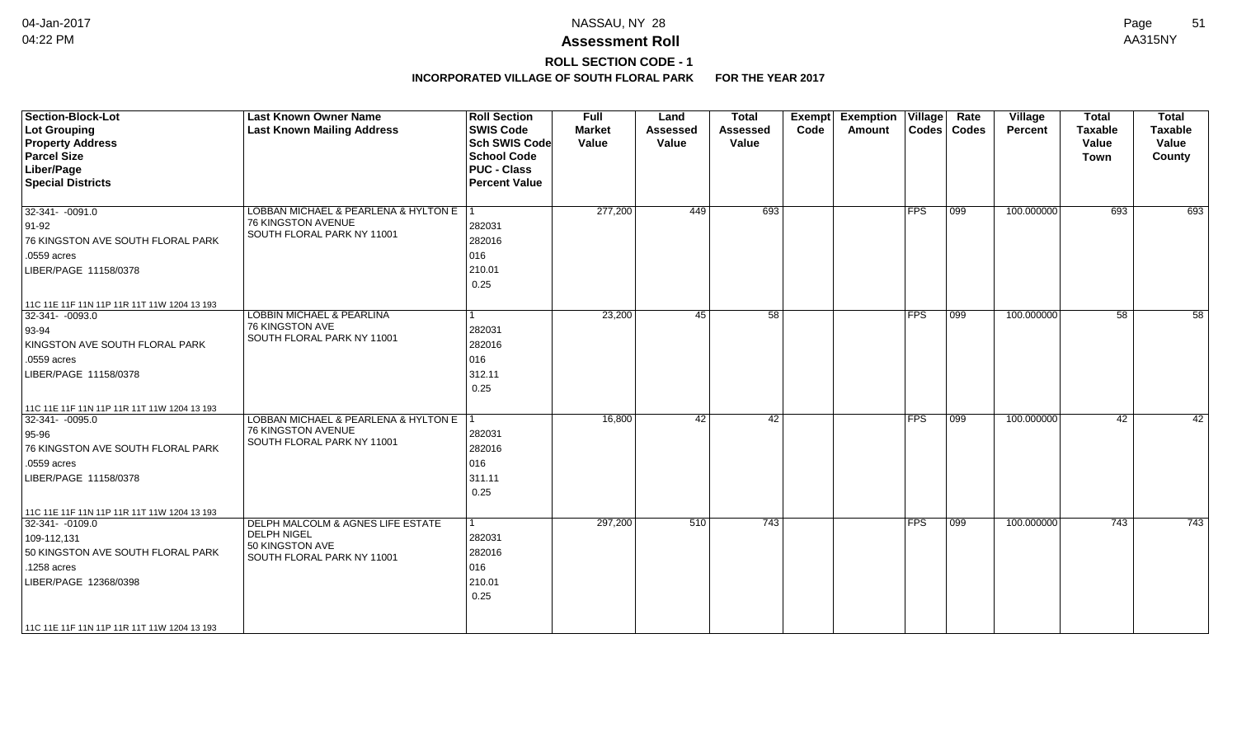# **ROLL SECTION CODE - 1**

| <b>Section-Block-Lot</b><br><b>Lot Grouping</b><br><b>Property Address</b><br><b>Parcel Size</b><br>Liber/Page<br><b>Special Districts</b>                 | <b>Last Known Owner Name</b><br><b>Last Known Mailing Address</b>                                        | <b>Roll Section</b><br><b>SWIS Code</b><br><b>Sch SWIS Code</b><br><b>School Code</b><br><b>PUC - Class</b><br><b>Percent Value</b> | <b>Full</b><br><b>Market</b><br>Value | Land<br><b>Assessed</b><br>Value | <b>Total</b><br><b>Assessed</b><br>Value | Exempt<br>Code | <b>Exemption Village</b><br>Amount |            | Rate<br>Codes   Codes | Village<br>Percent | <b>Total</b><br><b>Taxable</b><br>Value<br>Town | <b>Total</b><br><b>Taxable</b><br>Value<br>County |
|------------------------------------------------------------------------------------------------------------------------------------------------------------|----------------------------------------------------------------------------------------------------------|-------------------------------------------------------------------------------------------------------------------------------------|---------------------------------------|----------------------------------|------------------------------------------|----------------|------------------------------------|------------|-----------------------|--------------------|-------------------------------------------------|---------------------------------------------------|
| $32-341 - -0091.0$<br>$91-92$<br>76 KINGSTON AVE SOUTH FLORAL PARK                                                                                         | LOBBAN MICHAEL & PEARLENA & HYLTON E   1<br>76 KINGSTON AVENUE<br>SOUTH FLORAL PARK NY 11001             | 282031<br>282016                                                                                                                    | 277,200                               | 449                              | 693                                      |                |                                    | <b>FPS</b> | $ 099\rangle$         | 100.000000         | 693                                             | 693                                               |
| .0559 acres<br>LIBER/PAGE 11158/0378                                                                                                                       |                                                                                                          | 016<br>210.01<br>0.25                                                                                                               |                                       |                                  |                                          |                |                                    |            |                       |                    |                                                 |                                                   |
| 11C 11E 11F 11N 11P 11R 11T 11W 1204 13 193                                                                                                                |                                                                                                          |                                                                                                                                     |                                       |                                  |                                          |                |                                    |            |                       |                    |                                                 |                                                   |
| 32-341- -0093.0<br>$ 93 - 94$<br>KINGSTON AVE SOUTH FLORAL PARK<br>.0559 acres                                                                             | <b>LOBBIN MICHAEL &amp; PEARLINA</b><br>76 KINGSTON AVE<br>SOUTH FLORAL PARK NY 11001                    | l 1<br>282031<br>282016<br>016                                                                                                      | 23,200                                | 45                               | $\overline{58}$                          |                |                                    | <b>FPS</b> | $ 099\rangle$         | 100.000000         | 58                                              | 58                                                |
| LIBER/PAGE 11158/0378                                                                                                                                      |                                                                                                          | 312.11<br>0.25                                                                                                                      |                                       |                                  |                                          |                |                                    |            |                       |                    |                                                 |                                                   |
| 11C 11E 11F 11N 11P 11R 11T 11W 1204 13 193<br>32-341- -0095.0<br>$95-96$<br>76 KINGSTON AVE SOUTH FLORAL PARK<br>.0559 acres<br>LIBER/PAGE 11158/0378     | LOBBAN MICHAEL & PEARLENA & HYLTON E 1<br>76 KINGSTON AVENUE<br>SOUTH FLORAL PARK NY 11001               | 282031<br>282016<br>016<br>311.11<br>0.25                                                                                           | 16,800                                | 42                               | $\overline{42}$                          |                |                                    | <b>FPS</b> | 099                   | 100.000000         | 42                                              | 42                                                |
| 11C 11E 11F 11N 11P 11R 11T 11W 1204 13 193<br>32-341- -0109.0<br>109-112,131<br>50 KINGSTON AVE SOUTH FLORAL PARK<br>.1258 acres<br>LIBER/PAGE 12368/0398 | DELPH MALCOLM & AGNES LIFE ESTATE<br><b>DELPH NIGEL</b><br>50 KINGSTON AVE<br>SOUTH FLORAL PARK NY 11001 | $\vert$ 1<br>282031<br>282016<br>016<br>210.01<br>0.25                                                                              | 297,200                               | 510                              | $\overline{743}$                         |                |                                    | <b>FPS</b> | 099                   | 100.000000         | 743                                             | 743                                               |
| 11C 11E 11F 11N 11P 11R 11T 11W 1204 13 193                                                                                                                |                                                                                                          |                                                                                                                                     |                                       |                                  |                                          |                |                                    |            |                       |                    |                                                 |                                                   |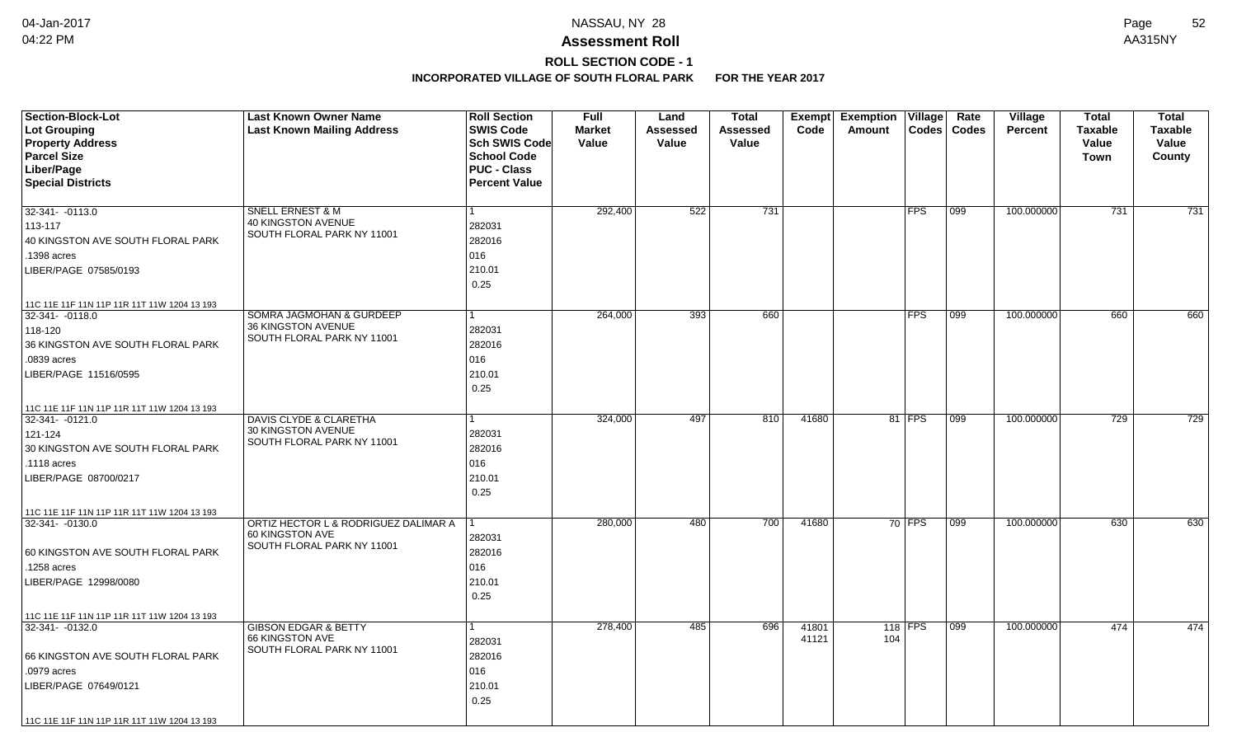# **ROLL SECTION CODE - 1**

| <b>Section-Block-Lot</b>                                       | <b>Last Known Owner Name</b>                       | <b>Roll Section</b>  | <b>Full</b>   | Land     | <b>Total</b>    | Exempt         | <b>Exemption Village</b> |            | Rate          | Village        | <b>Total</b>   | <b>Total</b>   |
|----------------------------------------------------------------|----------------------------------------------------|----------------------|---------------|----------|-----------------|----------------|--------------------------|------------|---------------|----------------|----------------|----------------|
| Lot Grouping                                                   | <b>Last Known Mailing Address</b>                  | <b>SWIS Code</b>     | <b>Market</b> | Assessed | <b>Assessed</b> | Code           | Amount                   |            | Codes   Codes | <b>Percent</b> | <b>Taxable</b> | <b>Taxable</b> |
| <b>Property Address</b>                                        |                                                    | <b>Sch SWIS Code</b> | Value         | Value    | Value           |                |                          |            |               |                | Value          | Value          |
| <b>Parcel Size</b>                                             |                                                    | <b>School Code</b>   |               |          |                 |                |                          |            |               |                | Town           | County         |
| Liber/Page                                                     |                                                    | <b>PUC - Class</b>   |               |          |                 |                |                          |            |               |                |                |                |
| <b>Special Districts</b>                                       |                                                    | <b>Percent Value</b> |               |          |                 |                |                          |            |               |                |                |                |
|                                                                |                                                    |                      |               |          |                 |                |                          |            |               |                |                |                |
| 32-341- -0113.0                                                | SNELL ERNEST & M                                   | 1.                   | 292,400       | 522      | 731             |                |                          | <b>FPS</b> | 099           | 100.000000     | 731            | 731            |
| 113-117                                                        | 40 KINGSTON AVENUE<br>SOUTH FLORAL PARK NY 11001   | 282031               |               |          |                 |                |                          |            |               |                |                |                |
| 40 KINGSTON AVE SOUTH FLORAL PARK                              |                                                    | 282016               |               |          |                 |                |                          |            |               |                |                |                |
| .1398 acres                                                    |                                                    | 016                  |               |          |                 |                |                          |            |               |                |                |                |
| LIBER/PAGE 07585/0193                                          |                                                    | 210.01               |               |          |                 |                |                          |            |               |                |                |                |
|                                                                |                                                    | 0.25                 |               |          |                 |                |                          |            |               |                |                |                |
| 11C 11E 11F 11N 11P 11R 11T 11W 1204 13 193                    |                                                    |                      |               |          |                 |                |                          |            |               |                |                |                |
| 32-341- - 0118.0                                               | <b>SOMRA JAGMOHAN &amp; GURDEEP</b>                | $\mathbf{1}$         | 264,000       | 393      | 660             |                |                          | <b>FPS</b> | 099           | 100.000000     | 660            | 660            |
| 118-120                                                        | 36 KINGSTON AVENUE                                 | 282031               |               |          |                 |                |                          |            |               |                |                |                |
| 36 KINGSTON AVE SOUTH FLORAL PARK                              | SOUTH FLORAL PARK NY 11001                         | 282016               |               |          |                 |                |                          |            |               |                |                |                |
| .0839 acres                                                    |                                                    | 016                  |               |          |                 |                |                          |            |               |                |                |                |
| LIBER/PAGE 11516/0595                                          |                                                    | 210.01               |               |          |                 |                |                          |            |               |                |                |                |
|                                                                |                                                    | 0.25                 |               |          |                 |                |                          |            |               |                |                |                |
| 11C 11E 11F 11N 11P 11R 11T 11W 1204 13 193                    |                                                    |                      |               |          |                 |                |                          |            |               |                |                |                |
| 32-341- -0121.0                                                | <b>DAVIS CLYDE &amp; CLARETHA</b>                  | 1                    | 324,000       | 497      | 810             | 41680          |                          | 81 FPS     | 099           | 100.000000     | 729            | 729            |
| 121-124                                                        | 30 KINGSTON AVENUE                                 | 282031               |               |          |                 |                |                          |            |               |                |                |                |
| 30 KINGSTON AVE SOUTH FLORAL PARK                              | SOUTH FLORAL PARK NY 11001                         | 282016               |               |          |                 |                |                          |            |               |                |                |                |
| .1118 acres                                                    |                                                    | 016                  |               |          |                 |                |                          |            |               |                |                |                |
| LIBER/PAGE 08700/0217                                          |                                                    | 210.01               |               |          |                 |                |                          |            |               |                |                |                |
|                                                                |                                                    | 0.25                 |               |          |                 |                |                          |            |               |                |                |                |
|                                                                |                                                    |                      |               |          |                 |                |                          |            |               |                |                |                |
| 11C 11E 11F 11N 11P 11R 11T 11W 1204 13 193<br>32-341- -0130.0 | ORTIZ HECTOR L & RODRIGUEZ DALIMAR A               | 1                    | 280,000       | 480      | 700             | 41680          |                          | $70$ FPS   | 099           | 100.000000     | 630            | 630            |
|                                                                | 60 KINGSTON AVE                                    | 282031               |               |          |                 |                |                          |            |               |                |                |                |
| 60 KINGSTON AVE SOUTH FLORAL PARK                              | SOUTH FLORAL PARK NY 11001                         | 282016               |               |          |                 |                |                          |            |               |                |                |                |
| .1258 acres                                                    |                                                    | 016                  |               |          |                 |                |                          |            |               |                |                |                |
| LIBER/PAGE 12998/0080                                          |                                                    | 210.01               |               |          |                 |                |                          |            |               |                |                |                |
|                                                                |                                                    | 0.25                 |               |          |                 |                |                          |            |               |                |                |                |
|                                                                |                                                    |                      |               |          |                 |                |                          |            |               |                |                |                |
| 11C 11E 11F 11N 11P 11R 11T 11W 1204 13 193                    |                                                    |                      |               |          |                 |                |                          |            |               |                |                |                |
| 32-341- -0132.0                                                | <b>GIBSON EDGAR &amp; BETTY</b><br>66 KINGSTON AVE | $\mathbf{1}$         | 278,400       | 485      | 696             | 41801<br>41121 | 104                      | 118 FPS    | 099           | 100.000000     | 474            | 474            |
|                                                                | SOUTH FLORAL PARK NY 11001                         | 282031               |               |          |                 |                |                          |            |               |                |                |                |
| 66 KINGSTON AVE SOUTH FLORAL PARK                              |                                                    | 282016               |               |          |                 |                |                          |            |               |                |                |                |
| .0979 acres                                                    |                                                    | 016                  |               |          |                 |                |                          |            |               |                |                |                |
| LIBER/PAGE 07649/0121                                          |                                                    | 210.01               |               |          |                 |                |                          |            |               |                |                |                |
|                                                                |                                                    | 0.25                 |               |          |                 |                |                          |            |               |                |                |                |
| 11C 11E 11F 11N 11P 11R 11T 11W 1204 13 193                    |                                                    |                      |               |          |                 |                |                          |            |               |                |                |                |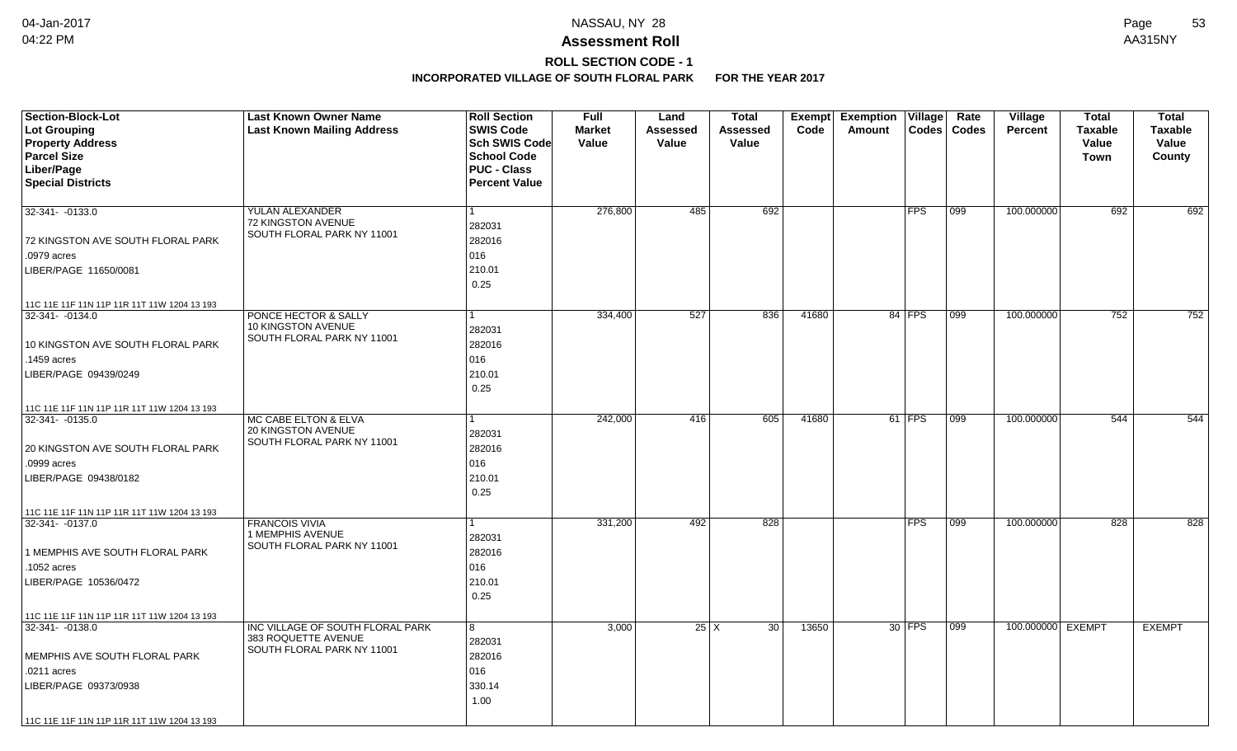## **ROLL SECTION CODE - 1**

| <b>Section-Block-Lot</b>                                       | <b>Last Known Owner Name</b>                            | <b>Roll Section</b>  | <b>Full</b>   | Land     | <b>Total</b>      | <b>Exempt</b> | <b>Exemption Village</b> | Rate         | Village           | <b>Total</b>   | <b>Total</b>   |
|----------------------------------------------------------------|---------------------------------------------------------|----------------------|---------------|----------|-------------------|---------------|--------------------------|--------------|-------------------|----------------|----------------|
| Lot Grouping                                                   | <b>Last Known Mailing Address</b>                       | <b>SWIS Code</b>     | <b>Market</b> | Assessed | <b>Assessed</b>   | Code          | Codes<br>Amount          | <b>Codes</b> | <b>Percent</b>    | <b>Taxable</b> | <b>Taxable</b> |
| <b>Property Address</b>                                        |                                                         | <b>Sch SWIS Code</b> | Value         | Value    | Value             |               |                          |              |                   | Value          | Value          |
| <b>Parcel Size</b>                                             |                                                         | <b>School Code</b>   |               |          |                   |               |                          |              |                   | <b>Town</b>    | County         |
| Liber/Page                                                     |                                                         | <b>PUC - Class</b>   |               |          |                   |               |                          |              |                   |                |                |
| <b>Special Districts</b>                                       |                                                         | <b>Percent Value</b> |               |          |                   |               |                          |              |                   |                |                |
|                                                                |                                                         |                      |               |          |                   |               |                          |              |                   |                |                |
| $32-341 - -0133.0$                                             | YULAN ALEXANDER                                         |                      | 276,800       | 485      | 692               |               | <b>FPS</b>               | 099          | 100.000000        | 692            | 692            |
|                                                                | 72 KINGSTON AVENUE<br>SOUTH FLORAL PARK NY 11001        | 282031               |               |          |                   |               |                          |              |                   |                |                |
| 72 KINGSTON AVE SOUTH FLORAL PARK                              |                                                         | 282016               |               |          |                   |               |                          |              |                   |                |                |
| .0979 acres                                                    |                                                         | 016                  |               |          |                   |               |                          |              |                   |                |                |
| LIBER/PAGE 11650/0081                                          |                                                         | 210.01               |               |          |                   |               |                          |              |                   |                |                |
|                                                                |                                                         | 0.25                 |               |          |                   |               |                          |              |                   |                |                |
| 11C 11E 11F 11N 11P 11R 11T 11W 1204 13 193                    |                                                         |                      |               |          |                   |               |                          |              |                   |                |                |
| 32-341-0134.0                                                  | PONCE HECTOR & SALLY                                    |                      | 334,400       | 527      | 836               | 41680         | 84 FPS                   | 099          | 100.000000        | 752            | 752            |
|                                                                | 10 KINGSTON AVENUE                                      | 282031               |               |          |                   |               |                          |              |                   |                |                |
| 10 KINGSTON AVE SOUTH FLORAL PARK                              | SOUTH FLORAL PARK NY 11001                              | 282016               |               |          |                   |               |                          |              |                   |                |                |
| .1459 acres                                                    |                                                         | 016                  |               |          |                   |               |                          |              |                   |                |                |
| LIBER/PAGE 09439/0249                                          |                                                         | 210.01               |               |          |                   |               |                          |              |                   |                |                |
|                                                                |                                                         | 0.25                 |               |          |                   |               |                          |              |                   |                |                |
| 11C 11E 11F 11N 11P 11R 11T 11W 1204 13 193                    |                                                         |                      |               |          |                   |               |                          |              |                   |                |                |
| 32-341-0135.0                                                  | MC CABE ELTON & ELVA                                    |                      | 242,000       | 416      | 605               | 41680         | $61$ FPS                 | 099          | 100.000000        | 544            | 544            |
|                                                                | 20 KINGSTON AVENUE                                      | 282031               |               |          |                   |               |                          |              |                   |                |                |
| 20 KINGSTON AVE SOUTH FLORAL PARK                              | SOUTH FLORAL PARK NY 11001                              | 282016               |               |          |                   |               |                          |              |                   |                |                |
| .0999 acres                                                    |                                                         | 016                  |               |          |                   |               |                          |              |                   |                |                |
| LIBER/PAGE 09438/0182                                          |                                                         | 210.01               |               |          |                   |               |                          |              |                   |                |                |
|                                                                |                                                         | 0.25                 |               |          |                   |               |                          |              |                   |                |                |
|                                                                |                                                         |                      |               |          |                   |               |                          |              |                   |                |                |
| 11C 11E 11F 11N 11P 11R 11T 11W 1204 13 193<br>32-341- -0137.0 | <b>FRANCOIS VIVIA</b>                                   | 1                    | 331,200       | 492      | 828               |               | <b>FPS</b>               | 099          | 100.000000        | 828            | 828            |
|                                                                | 1 MEMPHIS AVENUE                                        | 282031               |               |          |                   |               |                          |              |                   |                |                |
| 1 MEMPHIS AVE SOUTH FLORAL PARK                                | SOUTH FLORAL PARK NY 11001                              | 282016               |               |          |                   |               |                          |              |                   |                |                |
| .1052 acres                                                    |                                                         | 016                  |               |          |                   |               |                          |              |                   |                |                |
| LIBER/PAGE 10536/0472                                          |                                                         | 210.01               |               |          |                   |               |                          |              |                   |                |                |
|                                                                |                                                         | 0.25                 |               |          |                   |               |                          |              |                   |                |                |
|                                                                |                                                         |                      |               |          |                   |               |                          |              |                   |                |                |
| 11C 11E 11F 11N 11P 11R 11T 11W 1204 13 193                    |                                                         |                      |               |          |                   |               |                          |              |                   |                |                |
| 32-341-0138.0                                                  | INC VILLAGE OF SOUTH FLORAL PARK<br>383 ROQUETTE AVENUE | 8                    | 3,000         |          | $25 \mid X$<br>30 | 13650         | 30 FPS                   | 099          | 100.000000 EXEMPT |                | <b>EXEMPT</b>  |
|                                                                | SOUTH FLORAL PARK NY 11001                              | 282031               |               |          |                   |               |                          |              |                   |                |                |
| MEMPHIS AVE SOUTH FLORAL PARK                                  |                                                         | 282016               |               |          |                   |               |                          |              |                   |                |                |
| .0211 acres                                                    |                                                         | 016                  |               |          |                   |               |                          |              |                   |                |                |
| LIBER/PAGE 09373/0938                                          |                                                         | 330.14               |               |          |                   |               |                          |              |                   |                |                |
|                                                                |                                                         | 1.00                 |               |          |                   |               |                          |              |                   |                |                |
| 11C 11E 11F 11N 11P 11R 11T 11W 1204 13 193                    |                                                         |                      |               |          |                   |               |                          |              |                   |                |                |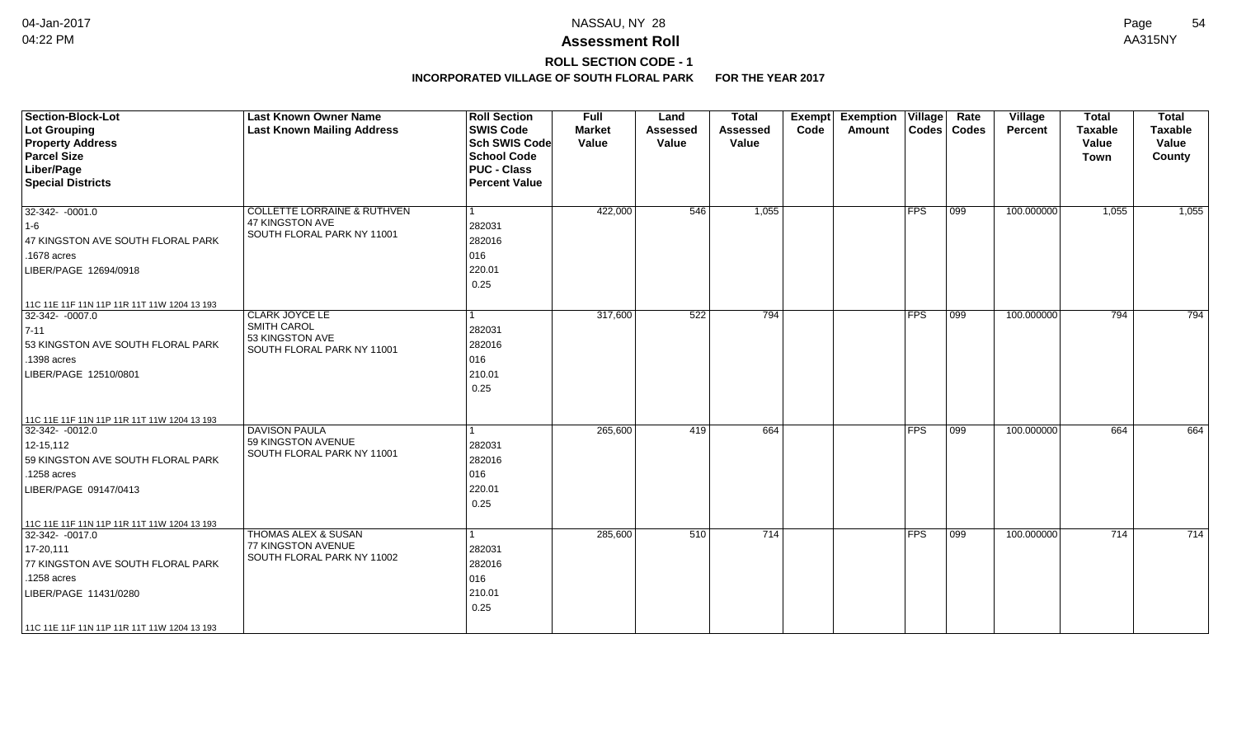# **ROLL SECTION CODE - 1**

| <b>Section-Block-Lot</b><br><b>Lot Grouping</b><br><b>Property Address</b><br><b>Parcel Size</b><br>Liber/Page<br><b>Special Districts</b>                                                                   | <b>Last Known Owner Name</b><br><b>Last Known Mailing Address</b>                       | <b>Roll Section</b><br><b>SWIS Code</b><br><b>Sch SWIS Code</b><br><b>School Code</b><br><b>PUC - Class</b><br><b>Percent Value</b> | <b>Full</b><br><b>Market</b><br>Value | Land<br><b>Assessed</b><br>Value | <b>Total</b><br><b>Assessed</b><br>Value | <b>Exemption Village</b><br>Exempt<br>Code<br>Amount |               | Rate<br>Codes   Codes | Village<br><b>Percent</b> | <b>Total</b><br><b>Taxable</b><br>Value<br>Town | <b>Total</b><br><b>Taxable</b><br>Value<br>County |
|--------------------------------------------------------------------------------------------------------------------------------------------------------------------------------------------------------------|-----------------------------------------------------------------------------------------|-------------------------------------------------------------------------------------------------------------------------------------|---------------------------------------|----------------------------------|------------------------------------------|------------------------------------------------------|---------------|-----------------------|---------------------------|-------------------------------------------------|---------------------------------------------------|
| $32-342 - 0001.0$<br>1-6<br>47 KINGSTON AVE SOUTH FLORAL PARK<br>.1678 acres<br>LIBER/PAGE 12694/0918                                                                                                        | <b>COLLETTE LORRAINE &amp; RUTHVEN</b><br>47 KINGSTON AVE<br>SOUTH FLORAL PARK NY 11001 | l 1<br>282031<br>282016<br>016<br>220.01<br>0.25                                                                                    | 422,000                               | 546                              | 1,055                                    |                                                      | <b>FPS</b>    | $ 099\rangle$         | 100.000000                | 1,055                                           | 1,055                                             |
| 11C 11E 11F 11N 11P 11R 11T 11W 1204 13 193<br>32-342- -0007.0<br>$7 - 11$<br>53 KINGSTON AVE SOUTH FLORAL PARK<br>.1398 acres<br>LIBER/PAGE 12510/0801                                                      | <b>CLARK JOYCE LE</b><br>SMITH CAROL<br>53 KINGSTON AVE<br>SOUTH FLORAL PARK NY 11001   | 1<br>282031<br>282016<br>016<br>210.01<br>0.25                                                                                      | 317,600                               | 522                              | 794                                      |                                                      | <b>FPS</b>    | 099                   | 100.000000                | 794                                             | 794                                               |
| 11C 11E 11F 11N 11P 11R 11T 11W 1204 13 193<br>32-342- -0012.0<br>$12 - 15, 112$<br>59 KINGSTON AVE SOUTH FLORAL PARK<br>.1258 acres<br>LIBER/PAGE 09147/0413                                                | <b>DAVISON PAULA</b><br>59 KINGSTON AVENUE<br>SOUTH FLORAL PARK NY 11001                | 1<br>282031<br>282016<br>016<br>220.01<br>0.25                                                                                      | 265,600                               | 419                              | 664                                      |                                                      | $ {\sf FPS} $ | 099                   | 100.000000                | 664                                             | 664                                               |
| 11C 11E 11F 11N 11P 11R 11T 11W 1204 13 193<br>32-342- -0017.0<br>$17 - 20, 111$<br>77 KINGSTON AVE SOUTH FLORAL PARK<br>.1258 acres<br>LIBER/PAGE 11431/0280<br>11C 11E 11F 11N 11P 11R 11T 11W 1204 13 193 | <b>THOMAS ALEX &amp; SUSAN</b><br>77 KINGSTON AVENUE<br>SOUTH FLORAL PARK NY 11002      | 1<br>282031<br>282016<br>016<br>210.01<br>0.25                                                                                      | 285,600                               | 510                              | 714                                      |                                                      | $ {\sf FPS} $ | 099                   | 100.000000                | 714                                             | 714                                               |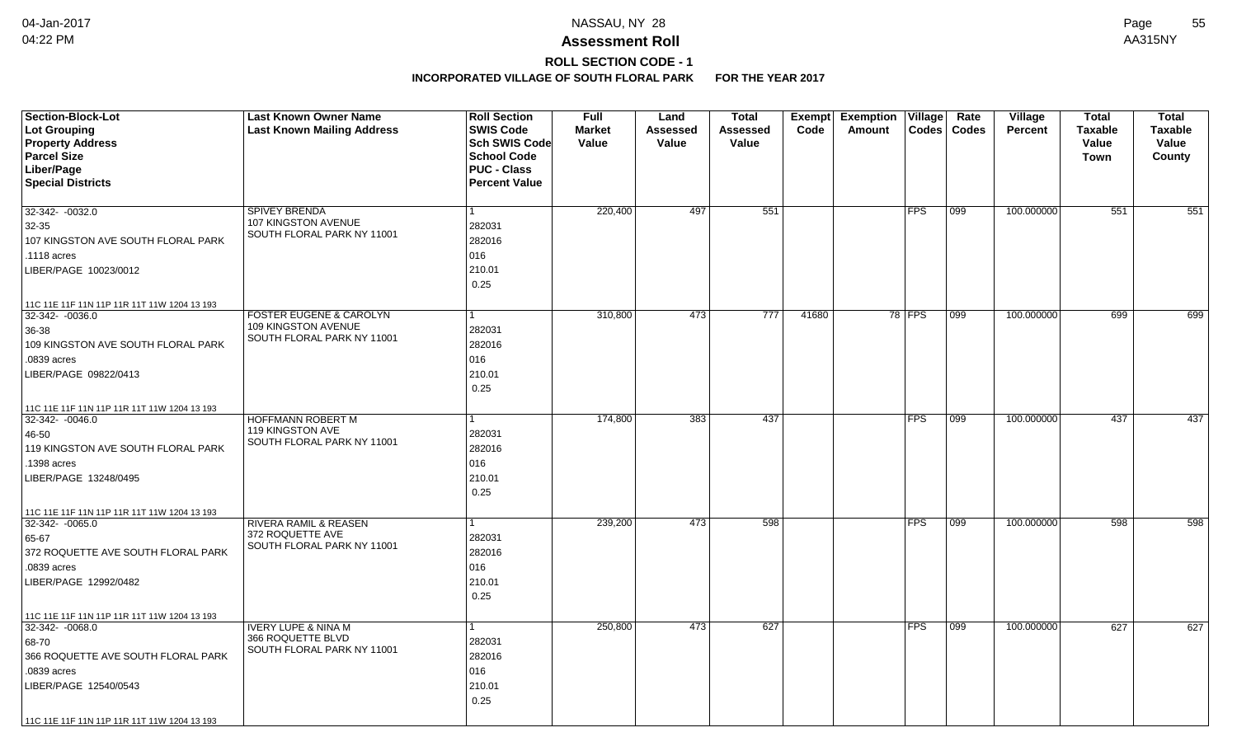# **ROLL SECTION CODE - 1**

| <b>Section-Block-Lot</b><br>Lot Grouping<br><b>Property Address</b><br><b>Parcel Size</b><br>Liber/Page<br><b>Special Districts</b>                       | <b>Last Known Owner Name</b><br><b>Last Known Mailing Address</b>                       | <b>Roll Section</b><br><b>SWIS Code</b><br><b>Sch SWIS Code</b><br><b>School Code</b><br><b>PUC - Class</b><br><b>Percent Value</b> | <b>Full</b><br><b>Market</b><br>Value | Land<br>Assessed<br>Value | <b>Total</b><br>Assessed<br>Value | Exempt<br>Code | <b>Exemption Village</b><br>Codes<br>Amount | Rate<br><b>Codes</b> | <b>Village</b><br><b>Percent</b> | <b>Total</b><br><b>Taxable</b><br>Value<br>Town | <b>Total</b><br><b>Taxable</b><br>Value<br>County |
|-----------------------------------------------------------------------------------------------------------------------------------------------------------|-----------------------------------------------------------------------------------------|-------------------------------------------------------------------------------------------------------------------------------------|---------------------------------------|---------------------------|-----------------------------------|----------------|---------------------------------------------|----------------------|----------------------------------|-------------------------------------------------|---------------------------------------------------|
| 32-342- -0032.0<br>$32 - 35$<br>107 KINGSTON AVE SOUTH FLORAL PARK<br>.1118 acres<br>LIBER/PAGE 10023/0012<br>11C 11E 11F 11N 11P 11R 11T 11W 1204 13 193 | <b>SPIVEY BRENDA</b><br>107 KINGSTON AVENUE<br>SOUTH FLORAL PARK NY 11001               | 282031<br>282016<br>016<br>210.01<br>0.25                                                                                           | 220,400                               | 497                       | 551                               |                | <b>FPS</b>                                  | 099                  | 100.000000                       | 551                                             | 551                                               |
| 32-342- -0036.0<br>36-38<br>109 KINGSTON AVE SOUTH FLORAL PARK<br>.0839 acres<br>LIBER/PAGE 09822/0413<br>11C 11E 11F 11N 11P 11R 11T 11W 1204 13 193     | <b>FOSTER EUGENE &amp; CAROLYN</b><br>109 KINGSTON AVENUE<br>SOUTH FLORAL PARK NY 11001 | 1<br>282031<br>282016<br>016<br>210.01<br>0.25                                                                                      | 310,800                               | 473                       | 777                               | 41680          | 78 FPS                                      | 099                  | 100.000000                       | 699                                             | 699                                               |
| 32-342- -0046.0<br>46-50<br>119 KINGSTON AVE SOUTH FLORAL PARK<br>1398 acres<br>LIBER/PAGE 13248/0495<br>11C 11E 11F 11N 11P 11R 11T 11W 1204 13 193      | <b>HOFFMANN ROBERT M</b><br>119 KINGSTON AVE<br>SOUTH FLORAL PARK NY 11001              | 282031<br>282016<br>016<br>210.01<br>0.25                                                                                           | 174,800                               | 383                       | 437                               |                | FPS                                         | 099                  | 100.000000                       | 437                                             | 437                                               |
| $32 - 342 - 0065.0$<br>65-67<br>372 ROQUETTE AVE SOUTH FLORAL PARK<br>.0839 acres<br>LIBER/PAGE 12992/0482<br>11C 11E 11F 11N 11P 11R 11T 11W 1204 13 193 | <b>RIVERA RAMIL &amp; REASEN</b><br>372 ROQUETTE AVE<br>SOUTH FLORAL PARK NY 11001      | 282031<br>282016<br>016<br>210.01<br>0.25                                                                                           | 239,200                               | 473                       | 598                               |                | <b>FPS</b>                                  | 099                  | 100.000000                       | 598                                             | 598                                               |
| 32-342-0068.0<br>68-70<br>366 ROQUETTE AVE SOUTH FLORAL PARK<br>.0839 acres<br>LIBER/PAGE 12540/0543<br>11C 11E 11F 11N 11P 11R 11T 11W 1204 13 193       | <b>IVERY LUPE &amp; NINA M</b><br>366 ROQUETTE BLVD<br>SOUTH FLORAL PARK NY 11001       | 282031<br>282016<br>016<br>210.01<br>0.25                                                                                           | 250,800                               | 473                       | 627                               |                | <b>FPS</b>                                  | 099                  | 100.000000                       | 627                                             | 627                                               |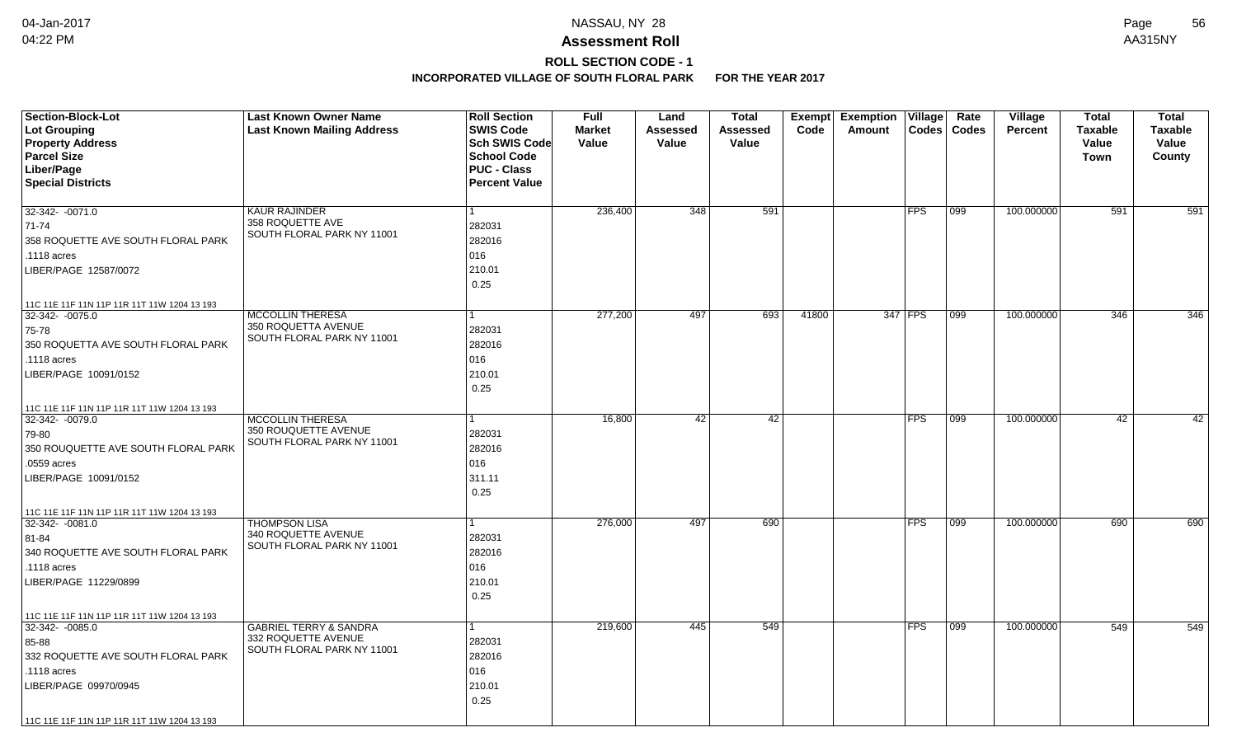# **ROLL SECTION CODE - 1**

| <b>Section-Block-Lot</b><br>Lot Grouping<br><b>Property Address</b><br><b>Parcel Size</b><br>Liber/Page<br><b>Special Districts</b>                                                                | <b>Last Known Owner Name</b><br><b>Last Known Mailing Address</b>                      | <b>Roll Section</b><br><b>SWIS Code</b><br>Sch SWIS Code<br><b>School Code</b><br><b>PUC - Class</b><br><b>Percent Value</b> | <b>Full</b><br><b>Market</b><br>Value | Land<br>Assessed<br>Value | <b>Total</b><br>Assessed<br>Value | Exempt<br>Code | <b>Exemption Village</b><br>Codes<br>Amount | Rate<br>Codes    | Village<br><b>Percent</b> | <b>Total</b><br><b>Taxable</b><br>Value<br>Town | <b>Total</b><br><b>Taxable</b><br>Value<br>County |
|----------------------------------------------------------------------------------------------------------------------------------------------------------------------------------------------------|----------------------------------------------------------------------------------------|------------------------------------------------------------------------------------------------------------------------------|---------------------------------------|---------------------------|-----------------------------------|----------------|---------------------------------------------|------------------|---------------------------|-------------------------------------------------|---------------------------------------------------|
| 32-342-0071.0<br>71-74<br>358 ROQUETTE AVE SOUTH FLORAL PARK<br>.1118 acres<br>LIBER/PAGE 12587/0072                                                                                               | <b>KAUR RAJINDER</b><br>358 ROQUETTE AVE<br>SOUTH FLORAL PARK NY 11001                 | 282031<br>282016<br>016<br>210.01<br>0.25                                                                                    | 236,400                               | 348                       | 591                               |                | <b>FPS</b>                                  | 099              | 100.000000                | 591                                             | 591                                               |
| 11C 11E 11F 11N 11P 11R 11T 11W 1204 13 193<br>32-342-0075.0<br>75-78<br>350 ROQUETTA AVE SOUTH FLORAL PARK<br>.1118 acres<br>LIBER/PAGE 10091/0152<br>11C 11E 11F 11N 11P 11R 11T 11W 1204 13 193 | <b>MCCOLLIN THERESA</b><br>350 ROQUETTA AVENUE<br>SOUTH FLORAL PARK NY 11001           | 282031<br>282016<br>016<br>210.01<br>0.25                                                                                    | 277,200                               | 497                       | 693                               | 41800          | 347 FPS                                     | 099              | 100.000000                | 346                                             | 346                                               |
| 32-342- -0079.0<br>79-80<br>350 ROUQUETTE AVE SOUTH FLORAL PARK<br>.0559 acres<br>LIBER/PAGE 10091/0152<br>11C 11E 11F 11N 11P 11R 11T 11W 1204 13 193                                             | <b>MCCOLLIN THERESA</b><br>350 ROUQUETTE AVENUE<br>SOUTH FLORAL PARK NY 11001          | 282031<br>282016<br>016<br>311.11<br>0.25                                                                                    | 16,800                                | 42                        | 42                                |                | FPS                                         | $\overline{099}$ | 100.000000                | 42                                              | 42                                                |
| 32-342- -0081.0<br>81-84<br>340 ROQUETTE AVE SOUTH FLORAL PARK<br>.1118 acres<br>LIBER/PAGE 11229/0899<br>11C 11E 11F 11N 11P 11R 11T 11W 1204 13 193                                              | <b>THOMPSON LISA</b><br>340 ROQUETTE AVENUE<br>SOUTH FLORAL PARK NY 11001              | 282031<br>282016<br>016<br>210.01<br>0.25                                                                                    | 276,000                               | 497                       | 690                               |                | <b>FPS</b>                                  | 099              | 100.000000                | 690                                             | 690                                               |
| 32-342- -0085.0<br>85-88<br>332 ROQUETTE AVE SOUTH FLORAL PARK<br>.1118 acres<br>LIBER/PAGE 09970/0945<br>11C 11E 11F 11N 11P 11R 11T 11W 1204 13 193                                              | <b>GABRIEL TERRY &amp; SANDRA</b><br>332 ROQUETTE AVENUE<br>SOUTH FLORAL PARK NY 11001 | 282031<br>282016<br>016<br>210.01<br>0.25                                                                                    | 219,600                               | 445                       | 549                               |                | <b>FPS</b>                                  | 099              | 100.000000                | 549                                             | 549                                               |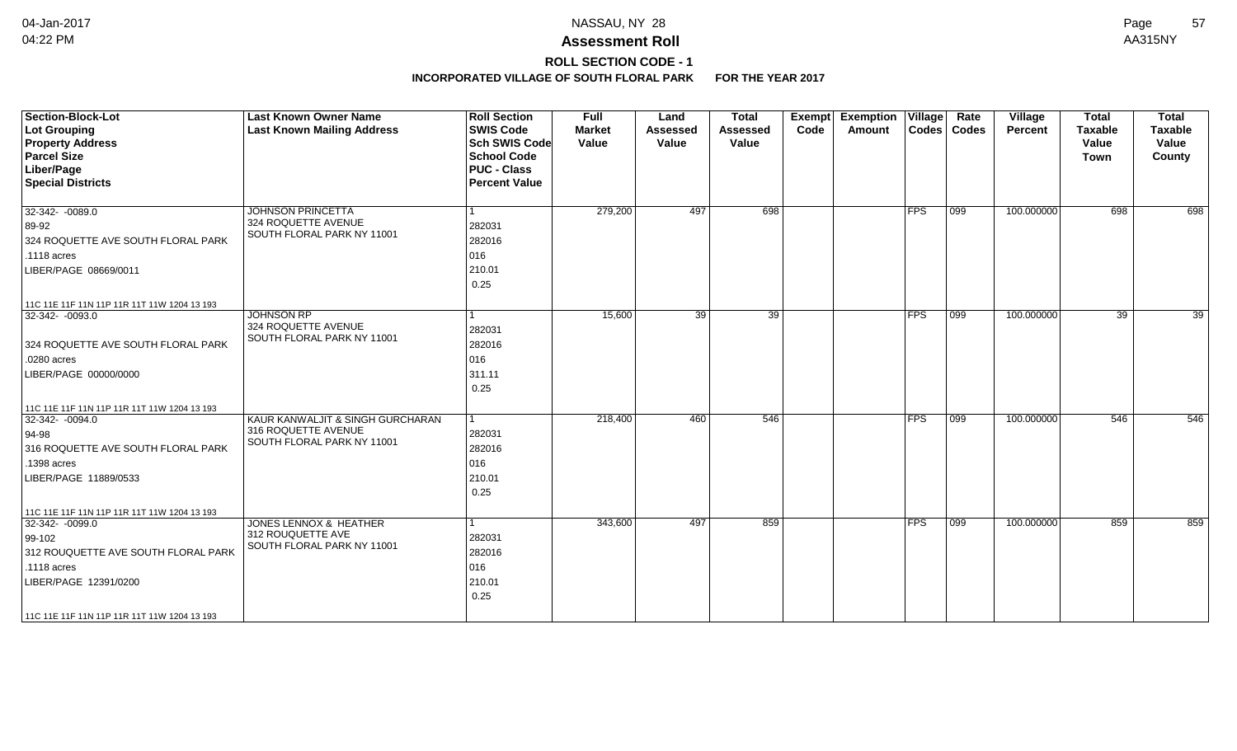## **ROLL SECTION CODE - 1**

| <b>Section-Block-Lot</b><br><b>Lot Grouping</b><br><b>Property Address</b><br><b>Parcel Size</b><br>Liber/Page<br><b>Special Districts</b>                                                             | <b>Last Known Owner Name</b><br><b>Last Known Mailing Address</b>                                | <b>Roll Section</b><br><b>SWIS Code</b><br><b>Sch SWIS Code</b><br><b>School Code</b><br><b>PUC - Class</b><br><b>Percent Value</b> | <b>Full</b><br><b>Market</b><br>Value | Land<br><b>Assessed</b><br>Value | <b>Total</b><br><b>Assessed</b><br>Value | Exempt<br>Code | <b>Exemption Village</b><br>Amount |             | Rate<br>Codes   Codes | Village<br>Percent | <b>Total</b><br><b>Taxable</b><br>Value<br><b>Town</b> | <b>Total</b><br><b>Taxable</b><br>Value<br>County |
|--------------------------------------------------------------------------------------------------------------------------------------------------------------------------------------------------------|--------------------------------------------------------------------------------------------------|-------------------------------------------------------------------------------------------------------------------------------------|---------------------------------------|----------------------------------|------------------------------------------|----------------|------------------------------------|-------------|-----------------------|--------------------|--------------------------------------------------------|---------------------------------------------------|
| $32-342 - 0089.0$<br>89-92<br>324 ROQUETTE AVE SOUTH FLORAL PARK<br>.1118 acres<br>LIBER/PAGE 08669/0011                                                                                               | <b>JOHNSON PRINCETTA</b><br>324 ROQUETTE AVENUE<br>SOUTH FLORAL PARK NY 11001                    | 282031<br>282016<br>016<br>210.01<br>0.25                                                                                           | 279,200                               | 497                              | 698                                      |                |                                    | <b>IFPS</b> | 099                   | 100.000000         | 698                                                    | 698                                               |
| 11C 11E 11F 11N 11P 11R 11T 11W 1204 13 193<br>32-342-0093.0<br>324 ROQUETTE AVE SOUTH FLORAL PARK<br>.0280 acres<br>LIBER/PAGE 00000/0000                                                             | <b>JOHNSON RP</b><br>324 ROQUETTE AVENUE<br>SOUTH FLORAL PARK NY 11001                           | 1<br>282031<br>282016<br>016<br>311.11<br>0.25                                                                                      | 15,600                                | 39                               | 39                                       |                |                                    | <b>FPS</b>  | 099                   | 100.000000         | 39                                                     | 39                                                |
| 11C 11E 11F 11N 11P 11R 11T 11W 1204 13 193<br>$32-342 - 0094.0$<br>94-98<br>316 ROQUETTE AVE SOUTH FLORAL PARK<br>.1398 acres<br>LIBER/PAGE 11889/0533<br>11C 11E 11F 11N 11P 11R 11T 11W 1204 13 193 | <b>KAUR KANWALJIT &amp; SINGH GURCHARAN</b><br>316 ROQUETTE AVENUE<br>SOUTH FLORAL PARK NY 11001 | 1<br>282031<br>282016<br>016<br>210.01<br>0.25                                                                                      | 218,400                               | 460                              | 546                                      |                |                                    | <b>FPS</b>  | $\overline{099}$      | 100.000000         | 546                                                    | 546                                               |
| 32-342-0099.0<br>99-102<br>312 ROUQUETTE AVE SOUTH FLORAL PARK<br>.1118 acres<br>LIBER/PAGE 12391/0200<br>11C 11E 11F 11N 11P 11R 11T 11W 1204 13 193                                                  | <b>JONES LENNOX &amp; HEATHER</b><br>312 ROUQUETTE AVE<br>SOUTH FLORAL PARK NY 11001             | 1<br>282031<br>282016<br>016<br>210.01<br>0.25                                                                                      | 343,600                               | 497                              | 859                                      |                |                                    | <b>IFPS</b> | $\overline{099}$      | 100.000000         | 859                                                    | 859                                               |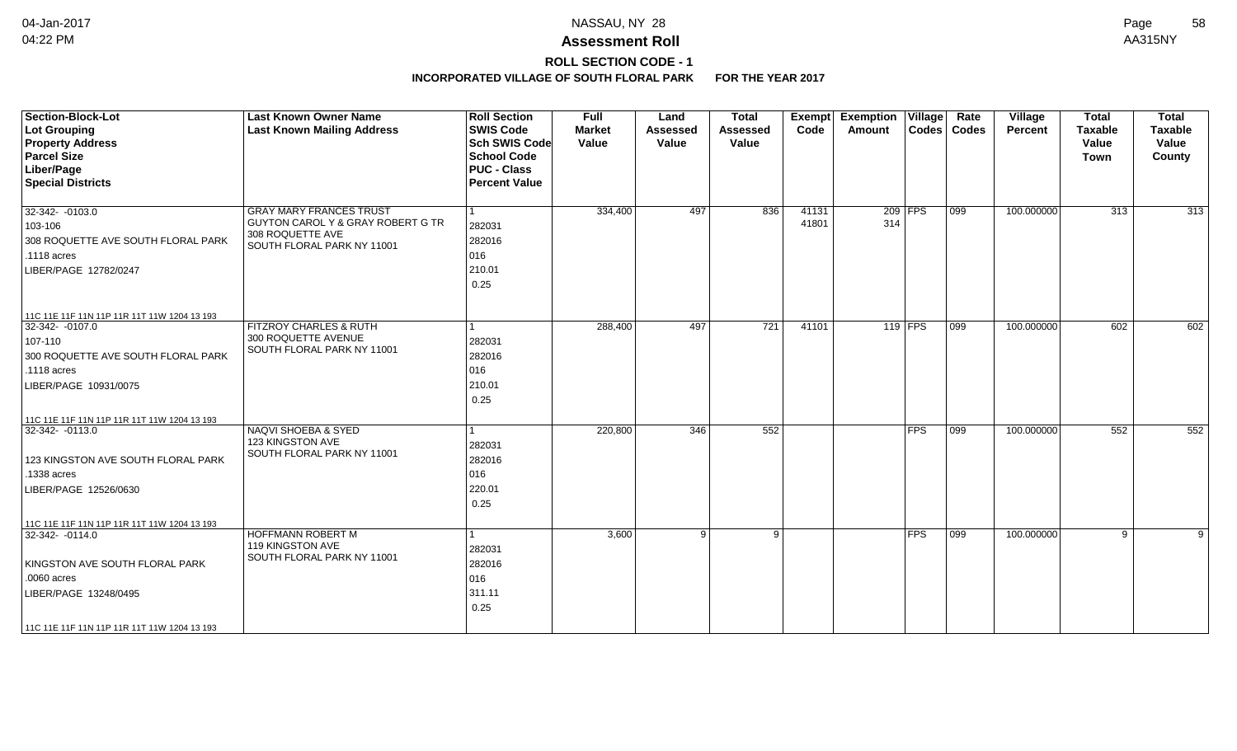## **ROLL SECTION CODE - 1**

| <b>Section-Block-Lot</b><br><b>Lot Grouping</b><br><b>Property Address</b><br><b>Parcel Size</b><br>Liber/Page<br><b>Special Districts</b>                                                               | <b>Last Known Owner Name</b><br><b>Last Known Mailing Address</b>                                                     | <b>Roll Section</b><br><b>SWIS Code</b><br><b>Sch SWIS Code</b><br><b>School Code</b><br><b>PUC - Class</b><br><b>Percent Value</b> | <b>Full</b><br><b>Market</b><br>Value | Land<br><b>Assessed</b><br>Value | <b>Total</b><br><b>Assessed</b><br>Value | Exempt<br>Code | <b>Exemption Village</b><br>Amount |               | Rate<br>Codes   Codes | Village<br>Percent | <b>Total</b><br><b>Taxable</b><br>Value<br>Town | <b>Total</b><br><b>Taxable</b><br>Value<br>County |
|----------------------------------------------------------------------------------------------------------------------------------------------------------------------------------------------------------|-----------------------------------------------------------------------------------------------------------------------|-------------------------------------------------------------------------------------------------------------------------------------|---------------------------------------|----------------------------------|------------------------------------------|----------------|------------------------------------|---------------|-----------------------|--------------------|-------------------------------------------------|---------------------------------------------------|
| 32-342-0103.0<br>103-106<br>308 ROQUETTE AVE SOUTH FLORAL PARK<br>$.1118$ acres<br>LIBER/PAGE 12782/0247                                                                                                 | <b>GRAY MARY FRANCES TRUST</b><br>GUYTON CAROL Y & GRAY ROBERT G TR<br>308 ROQUETTE AVE<br>SOUTH FLORAL PARK NY 11001 | $\vert$ 1<br>282031<br>282016<br>016<br>210.01<br>0.25                                                                              | 334,400                               | 497                              | 836                                      | 41131<br>41801 | 314                                | $209$ FPS     | 099                   | 100.000000         | 313                                             | 313                                               |
| 11C 11E 11F 11N 11P 11R 11T 11W 1204 13 193<br>$32-342 - 0107.0$<br>107-110<br>300 ROQUETTE AVE SOUTH FLORAL PARK<br>.1118 acres<br>LIBER/PAGE 10931/0075<br>11C 11E 11F 11N 11P 11R 11T 11W 1204 13 193 | FITZROY CHARLES & RUTH<br>300 ROQUETTE AVENUE<br>SOUTH FLORAL PARK NY 11001                                           | $\mathbf{1}$<br>282031<br>282016<br>016<br>210.01<br>0.25                                                                           | 288,400                               | 497                              | 721                                      | 41101          |                                    | $119$ FPS     | $\overline{099}$      | 100.000000         | 602                                             | 602                                               |
| 32-342-0113.0<br>123 KINGSTON AVE SOUTH FLORAL PARK<br>.1338 acres<br>LIBER/PAGE 12526/0630<br>11C 11E 11F 11N 11P 11R 11T 11W 1204 13 193                                                               | <b>NAQVI SHOEBA &amp; SYED</b><br>123 KINGSTON AVE<br>SOUTH FLORAL PARK NY 11001                                      | 1<br>282031<br>282016<br>016<br>220.01<br>0.25                                                                                      | 220,800                               | 346                              | 552                                      |                |                                    | $ {\sf FPS} $ | 099                   | 100.000000         | 552                                             | 552                                               |
| $32-342 - 0114.0$<br>KINGSTON AVE SOUTH FLORAL PARK<br>.0060 acres<br>LIBER/PAGE 13248/0495<br>11C 11E 11F 11N 11P 11R 11T 11W 1204 13 193                                                               | <b>HOFFMANN ROBERT M</b><br>119 KINGSTON AVE<br>SOUTH FLORAL PARK NY 11001                                            | -1<br>282031<br>282016<br>016<br>311.11<br>0.25                                                                                     | 3,600                                 | 9                                | 9                                        |                |                                    | $ {\sf FPS} $ | 099                   | 100.000000         | 9                                               | 9                                                 |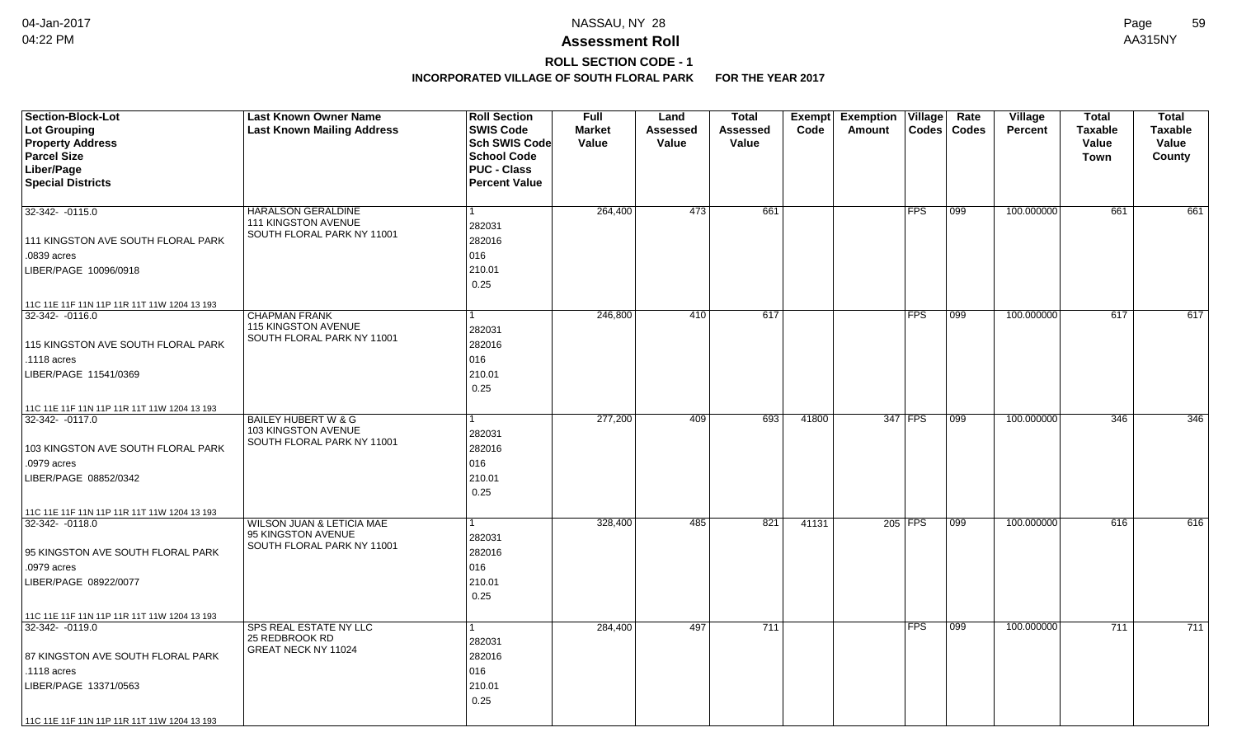# **ROLL SECTION CODE - 1**

| <b>Last Known Mailing Address</b><br><b>SWIS Code</b><br>Lot Grouping<br><b>Market</b><br>Assessed<br>Code<br>Codes   Codes<br><b>Percent</b><br><b>Taxable</b><br><b>Taxable</b><br>Assessed<br>Amount<br><b>Property Address</b><br>Sch SWIS Code<br>Value<br>Value<br>Value<br>Value<br>Value<br><b>Parcel Size</b><br><b>School Code</b><br>County<br><b>Town</b><br>Liber/Page<br><b>PUC - Class</b><br><b>Special Districts</b><br><b>Percent Value</b><br>661<br>100.000000<br><b>HARALSON GERALDINE</b><br>264,400<br>473<br><b>FPS</b><br>099<br>661<br>32-342- -0115.0<br>111 KINGSTON AVENUE<br>282031<br>SOUTH FLORAL PARK NY 11001<br>282016<br>111 KINGSTON AVE SOUTH FLORAL PARK<br>016<br>.0839 acres<br>210.01<br>LIBER/PAGE 10096/0918<br>0.25<br>11C 11E 11F 11N 11P 11R 11T 11W 1204 13 193<br>246,800<br>617<br><b>FPS</b><br>099<br>100.000000<br>617<br>32-342- -0116.0<br><b>CHAPMAN FRANK</b><br>410<br>115 KINGSTON AVENUE<br>282031<br>SOUTH FLORAL PARK NY 11001<br>115 KINGSTON AVE SOUTH FLORAL PARK<br>282016<br>016<br>.1118 acres<br>210.01<br>LIBER/PAGE 11541/0369<br>0.25<br>11C 11E 11F 11N 11P 11R 11T 11W 1204 13 193<br>277,200<br><b>BAILEY HUBERT W &amp; G</b><br>409<br>693<br>41800<br>347 FPS<br>100.000000<br>346<br>32-342-0117.0<br>  099<br>103 KINGSTON AVENUE<br>282031<br>SOUTH FLORAL PARK NY 11001<br>282016<br>103 KINGSTON AVE SOUTH FLORAL PARK<br>016<br>.0979 acres<br>210.01<br>LIBER/PAGE 08852/0342<br>0.25<br>11C 11E 11F 11N 11P 11R 11T 11W 1204 13 193<br>WILSON JUAN & LETICIA MAE<br>328,400<br>485<br>821<br>41131<br>205 FPS<br>099<br>100.000000<br>616<br>32-342- -0118.0<br>95 KINGSTON AVENUE | <b>Section-Block-Lot</b> | <b>Last Known Owner Name</b> | <b>Roll Section</b> | <b>Full</b> | Land | <b>Total</b> | Exempt | <b>Exemption</b> | Village | Rate | Village | <b>Total</b> | <b>Total</b> |
|--------------------------------------------------------------------------------------------------------------------------------------------------------------------------------------------------------------------------------------------------------------------------------------------------------------------------------------------------------------------------------------------------------------------------------------------------------------------------------------------------------------------------------------------------------------------------------------------------------------------------------------------------------------------------------------------------------------------------------------------------------------------------------------------------------------------------------------------------------------------------------------------------------------------------------------------------------------------------------------------------------------------------------------------------------------------------------------------------------------------------------------------------------------------------------------------------------------------------------------------------------------------------------------------------------------------------------------------------------------------------------------------------------------------------------------------------------------------------------------------------------------------------------------------------------------------------------------------------------------------------------------------------------------------------|--------------------------|------------------------------|---------------------|-------------|------|--------------|--------|------------------|---------|------|---------|--------------|--------------|
| 661<br>617<br>346<br>616                                                                                                                                                                                                                                                                                                                                                                                                                                                                                                                                                                                                                                                                                                                                                                                                                                                                                                                                                                                                                                                                                                                                                                                                                                                                                                                                                                                                                                                                                                                                                                                                                                                 |                          |                              |                     |             |      |              |        |                  |         |      |         |              |              |
|                                                                                                                                                                                                                                                                                                                                                                                                                                                                                                                                                                                                                                                                                                                                                                                                                                                                                                                                                                                                                                                                                                                                                                                                                                                                                                                                                                                                                                                                                                                                                                                                                                                                          |                          |                              |                     |             |      |              |        |                  |         |      |         |              |              |
|                                                                                                                                                                                                                                                                                                                                                                                                                                                                                                                                                                                                                                                                                                                                                                                                                                                                                                                                                                                                                                                                                                                                                                                                                                                                                                                                                                                                                                                                                                                                                                                                                                                                          |                          |                              |                     |             |      |              |        |                  |         |      |         |              |              |
|                                                                                                                                                                                                                                                                                                                                                                                                                                                                                                                                                                                                                                                                                                                                                                                                                                                                                                                                                                                                                                                                                                                                                                                                                                                                                                                                                                                                                                                                                                                                                                                                                                                                          |                          |                              |                     |             |      |              |        |                  |         |      |         |              |              |
|                                                                                                                                                                                                                                                                                                                                                                                                                                                                                                                                                                                                                                                                                                                                                                                                                                                                                                                                                                                                                                                                                                                                                                                                                                                                                                                                                                                                                                                                                                                                                                                                                                                                          |                          |                              |                     |             |      |              |        |                  |         |      |         |              |              |
|                                                                                                                                                                                                                                                                                                                                                                                                                                                                                                                                                                                                                                                                                                                                                                                                                                                                                                                                                                                                                                                                                                                                                                                                                                                                                                                                                                                                                                                                                                                                                                                                                                                                          |                          |                              |                     |             |      |              |        |                  |         |      |         |              |              |
|                                                                                                                                                                                                                                                                                                                                                                                                                                                                                                                                                                                                                                                                                                                                                                                                                                                                                                                                                                                                                                                                                                                                                                                                                                                                                                                                                                                                                                                                                                                                                                                                                                                                          |                          |                              |                     |             |      |              |        |                  |         |      |         |              |              |
|                                                                                                                                                                                                                                                                                                                                                                                                                                                                                                                                                                                                                                                                                                                                                                                                                                                                                                                                                                                                                                                                                                                                                                                                                                                                                                                                                                                                                                                                                                                                                                                                                                                                          |                          |                              |                     |             |      |              |        |                  |         |      |         |              |              |
|                                                                                                                                                                                                                                                                                                                                                                                                                                                                                                                                                                                                                                                                                                                                                                                                                                                                                                                                                                                                                                                                                                                                                                                                                                                                                                                                                                                                                                                                                                                                                                                                                                                                          |                          |                              |                     |             |      |              |        |                  |         |      |         |              |              |
|                                                                                                                                                                                                                                                                                                                                                                                                                                                                                                                                                                                                                                                                                                                                                                                                                                                                                                                                                                                                                                                                                                                                                                                                                                                                                                                                                                                                                                                                                                                                                                                                                                                                          |                          |                              |                     |             |      |              |        |                  |         |      |         |              |              |
|                                                                                                                                                                                                                                                                                                                                                                                                                                                                                                                                                                                                                                                                                                                                                                                                                                                                                                                                                                                                                                                                                                                                                                                                                                                                                                                                                                                                                                                                                                                                                                                                                                                                          |                          |                              |                     |             |      |              |        |                  |         |      |         |              |              |
|                                                                                                                                                                                                                                                                                                                                                                                                                                                                                                                                                                                                                                                                                                                                                                                                                                                                                                                                                                                                                                                                                                                                                                                                                                                                                                                                                                                                                                                                                                                                                                                                                                                                          |                          |                              |                     |             |      |              |        |                  |         |      |         |              |              |
|                                                                                                                                                                                                                                                                                                                                                                                                                                                                                                                                                                                                                                                                                                                                                                                                                                                                                                                                                                                                                                                                                                                                                                                                                                                                                                                                                                                                                                                                                                                                                                                                                                                                          |                          |                              |                     |             |      |              |        |                  |         |      |         |              |              |
|                                                                                                                                                                                                                                                                                                                                                                                                                                                                                                                                                                                                                                                                                                                                                                                                                                                                                                                                                                                                                                                                                                                                                                                                                                                                                                                                                                                                                                                                                                                                                                                                                                                                          |                          |                              |                     |             |      |              |        |                  |         |      |         |              |              |
|                                                                                                                                                                                                                                                                                                                                                                                                                                                                                                                                                                                                                                                                                                                                                                                                                                                                                                                                                                                                                                                                                                                                                                                                                                                                                                                                                                                                                                                                                                                                                                                                                                                                          |                          |                              |                     |             |      |              |        |                  |         |      |         |              |              |
|                                                                                                                                                                                                                                                                                                                                                                                                                                                                                                                                                                                                                                                                                                                                                                                                                                                                                                                                                                                                                                                                                                                                                                                                                                                                                                                                                                                                                                                                                                                                                                                                                                                                          |                          |                              |                     |             |      |              |        |                  |         |      |         |              |              |
|                                                                                                                                                                                                                                                                                                                                                                                                                                                                                                                                                                                                                                                                                                                                                                                                                                                                                                                                                                                                                                                                                                                                                                                                                                                                                                                                                                                                                                                                                                                                                                                                                                                                          |                          |                              |                     |             |      |              |        |                  |         |      |         |              |              |
|                                                                                                                                                                                                                                                                                                                                                                                                                                                                                                                                                                                                                                                                                                                                                                                                                                                                                                                                                                                                                                                                                                                                                                                                                                                                                                                                                                                                                                                                                                                                                                                                                                                                          |                          |                              |                     |             |      |              |        |                  |         |      |         |              |              |
|                                                                                                                                                                                                                                                                                                                                                                                                                                                                                                                                                                                                                                                                                                                                                                                                                                                                                                                                                                                                                                                                                                                                                                                                                                                                                                                                                                                                                                                                                                                                                                                                                                                                          |                          |                              |                     |             |      |              |        |                  |         |      |         |              |              |
|                                                                                                                                                                                                                                                                                                                                                                                                                                                                                                                                                                                                                                                                                                                                                                                                                                                                                                                                                                                                                                                                                                                                                                                                                                                                                                                                                                                                                                                                                                                                                                                                                                                                          |                          |                              |                     |             |      |              |        |                  |         |      |         |              |              |
|                                                                                                                                                                                                                                                                                                                                                                                                                                                                                                                                                                                                                                                                                                                                                                                                                                                                                                                                                                                                                                                                                                                                                                                                                                                                                                                                                                                                                                                                                                                                                                                                                                                                          |                          |                              |                     |             |      |              |        |                  |         |      |         |              |              |
|                                                                                                                                                                                                                                                                                                                                                                                                                                                                                                                                                                                                                                                                                                                                                                                                                                                                                                                                                                                                                                                                                                                                                                                                                                                                                                                                                                                                                                                                                                                                                                                                                                                                          |                          |                              |                     |             |      |              |        |                  |         |      |         |              |              |
|                                                                                                                                                                                                                                                                                                                                                                                                                                                                                                                                                                                                                                                                                                                                                                                                                                                                                                                                                                                                                                                                                                                                                                                                                                                                                                                                                                                                                                                                                                                                                                                                                                                                          |                          |                              |                     |             |      |              |        |                  |         |      |         |              |              |
|                                                                                                                                                                                                                                                                                                                                                                                                                                                                                                                                                                                                                                                                                                                                                                                                                                                                                                                                                                                                                                                                                                                                                                                                                                                                                                                                                                                                                                                                                                                                                                                                                                                                          |                          |                              |                     |             |      |              |        |                  |         |      |         |              |              |
|                                                                                                                                                                                                                                                                                                                                                                                                                                                                                                                                                                                                                                                                                                                                                                                                                                                                                                                                                                                                                                                                                                                                                                                                                                                                                                                                                                                                                                                                                                                                                                                                                                                                          |                          |                              |                     |             |      |              |        |                  |         |      |         |              |              |
|                                                                                                                                                                                                                                                                                                                                                                                                                                                                                                                                                                                                                                                                                                                                                                                                                                                                                                                                                                                                                                                                                                                                                                                                                                                                                                                                                                                                                                                                                                                                                                                                                                                                          |                          |                              |                     |             |      |              |        |                  |         |      |         |              |              |
|                                                                                                                                                                                                                                                                                                                                                                                                                                                                                                                                                                                                                                                                                                                                                                                                                                                                                                                                                                                                                                                                                                                                                                                                                                                                                                                                                                                                                                                                                                                                                                                                                                                                          |                          |                              |                     |             |      |              |        |                  |         |      |         |              |              |
|                                                                                                                                                                                                                                                                                                                                                                                                                                                                                                                                                                                                                                                                                                                                                                                                                                                                                                                                                                                                                                                                                                                                                                                                                                                                                                                                                                                                                                                                                                                                                                                                                                                                          |                          |                              |                     |             |      |              |        |                  |         |      |         |              |              |
| SOUTH FLORAL PARK NY 11001                                                                                                                                                                                                                                                                                                                                                                                                                                                                                                                                                                                                                                                                                                                                                                                                                                                                                                                                                                                                                                                                                                                                                                                                                                                                                                                                                                                                                                                                                                                                                                                                                                               |                          |                              | 282031              |             |      |              |        |                  |         |      |         |              |              |
| 95 KINGSTON AVE SOUTH FLORAL PARK<br>282016                                                                                                                                                                                                                                                                                                                                                                                                                                                                                                                                                                                                                                                                                                                                                                                                                                                                                                                                                                                                                                                                                                                                                                                                                                                                                                                                                                                                                                                                                                                                                                                                                              |                          |                              |                     |             |      |              |        |                  |         |      |         |              |              |
| 016<br>.0979 acres                                                                                                                                                                                                                                                                                                                                                                                                                                                                                                                                                                                                                                                                                                                                                                                                                                                                                                                                                                                                                                                                                                                                                                                                                                                                                                                                                                                                                                                                                                                                                                                                                                                       |                          |                              |                     |             |      |              |        |                  |         |      |         |              |              |
| 210.01<br>LIBER/PAGE 08922/0077                                                                                                                                                                                                                                                                                                                                                                                                                                                                                                                                                                                                                                                                                                                                                                                                                                                                                                                                                                                                                                                                                                                                                                                                                                                                                                                                                                                                                                                                                                                                                                                                                                          |                          |                              |                     |             |      |              |        |                  |         |      |         |              |              |
| 0.25                                                                                                                                                                                                                                                                                                                                                                                                                                                                                                                                                                                                                                                                                                                                                                                                                                                                                                                                                                                                                                                                                                                                                                                                                                                                                                                                                                                                                                                                                                                                                                                                                                                                     |                          |                              |                     |             |      |              |        |                  |         |      |         |              |              |
| 11C 11E 11F 11N 11P 11R 11T 11W 1204 13 193                                                                                                                                                                                                                                                                                                                                                                                                                                                                                                                                                                                                                                                                                                                                                                                                                                                                                                                                                                                                                                                                                                                                                                                                                                                                                                                                                                                                                                                                                                                                                                                                                              |                          |                              |                     |             |      |              |        |                  |         |      |         |              |              |
| SPS REAL ESTATE NY LLC<br>711<br><b>FPS</b><br>711<br>711<br>284,400<br>497<br>  099<br>100.000000<br>32-342-0119.0                                                                                                                                                                                                                                                                                                                                                                                                                                                                                                                                                                                                                                                                                                                                                                                                                                                                                                                                                                                                                                                                                                                                                                                                                                                                                                                                                                                                                                                                                                                                                      |                          |                              |                     |             |      |              |        |                  |         |      |         |              |              |
| 25 REDBROOK RD<br>282031<br>GREAT NECK NY 11024                                                                                                                                                                                                                                                                                                                                                                                                                                                                                                                                                                                                                                                                                                                                                                                                                                                                                                                                                                                                                                                                                                                                                                                                                                                                                                                                                                                                                                                                                                                                                                                                                          |                          |                              |                     |             |      |              |        |                  |         |      |         |              |              |
| 87 KINGSTON AVE SOUTH FLORAL PARK<br>282016                                                                                                                                                                                                                                                                                                                                                                                                                                                                                                                                                                                                                                                                                                                                                                                                                                                                                                                                                                                                                                                                                                                                                                                                                                                                                                                                                                                                                                                                                                                                                                                                                              |                          |                              |                     |             |      |              |        |                  |         |      |         |              |              |
| 016<br>.1118 acres                                                                                                                                                                                                                                                                                                                                                                                                                                                                                                                                                                                                                                                                                                                                                                                                                                                                                                                                                                                                                                                                                                                                                                                                                                                                                                                                                                                                                                                                                                                                                                                                                                                       |                          |                              |                     |             |      |              |        |                  |         |      |         |              |              |
| 210.01<br>LIBER/PAGE 13371/0563                                                                                                                                                                                                                                                                                                                                                                                                                                                                                                                                                                                                                                                                                                                                                                                                                                                                                                                                                                                                                                                                                                                                                                                                                                                                                                                                                                                                                                                                                                                                                                                                                                          |                          |                              |                     |             |      |              |        |                  |         |      |         |              |              |
| 0.25                                                                                                                                                                                                                                                                                                                                                                                                                                                                                                                                                                                                                                                                                                                                                                                                                                                                                                                                                                                                                                                                                                                                                                                                                                                                                                                                                                                                                                                                                                                                                                                                                                                                     |                          |                              |                     |             |      |              |        |                  |         |      |         |              |              |
| 11C 11E 11F 11N 11P 11R 11T 11W 1204 13 193                                                                                                                                                                                                                                                                                                                                                                                                                                                                                                                                                                                                                                                                                                                                                                                                                                                                                                                                                                                                                                                                                                                                                                                                                                                                                                                                                                                                                                                                                                                                                                                                                              |                          |                              |                     |             |      |              |        |                  |         |      |         |              |              |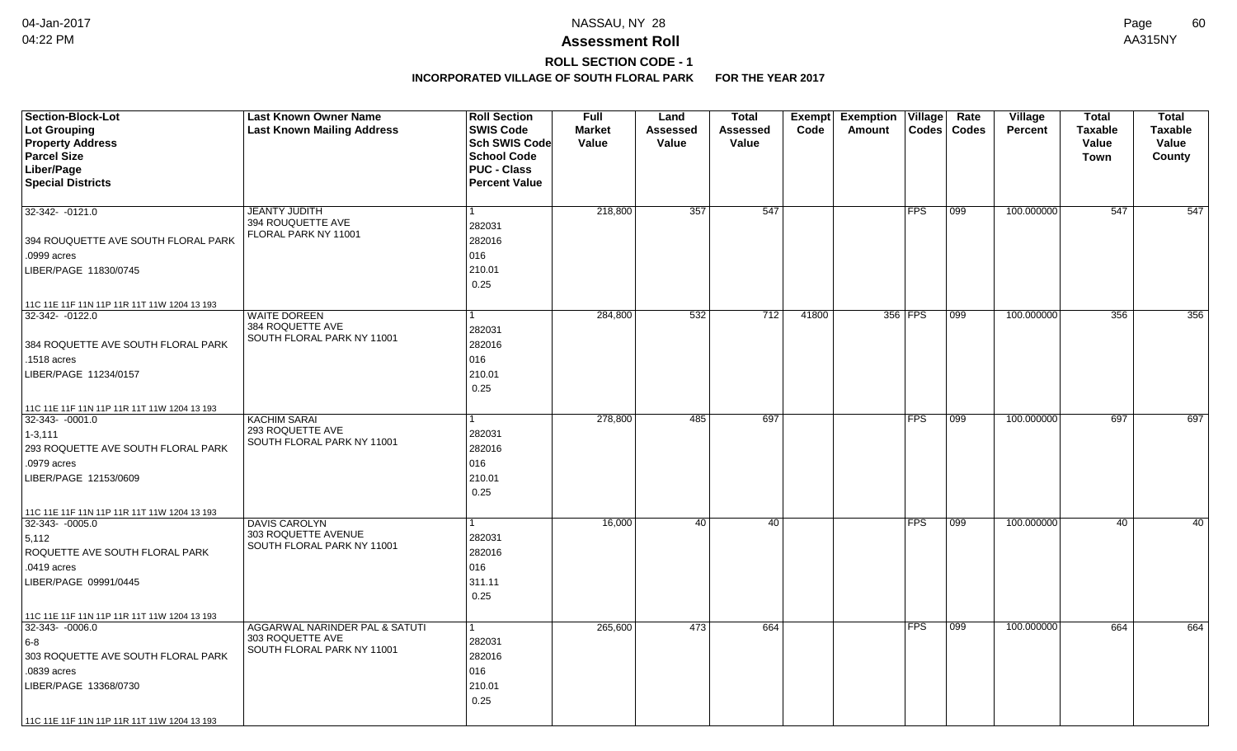# **ROLL SECTION CODE - 1**

| <b>Section-Block-Lot</b><br>Lot Grouping<br><b>Property Address</b><br><b>Parcel Size</b><br>Liber/Page<br><b>Special Districts</b>                                                                       | <b>Last Known Owner Name</b><br><b>Last Known Mailing Address</b>                | <b>Roll Section</b><br><b>SWIS Code</b><br><b>Sch SWIS Code</b><br><b>School Code</b><br><b>PUC - Class</b><br><b>Percent Value</b> | <b>Full</b><br><b>Market</b><br>Value | Land<br>Assessed<br>Value | <b>Total</b><br>Assessed<br>Value | Exempt<br>Code | <b>Exemption Village</b><br>Codes<br>Amount | Rate<br><b>Codes</b> | <b>Village</b><br><b>Percent</b> | <b>Total</b><br><b>Taxable</b><br>Value<br><b>Town</b> | <b>Total</b><br><b>Taxable</b><br>Value<br>County |
|-----------------------------------------------------------------------------------------------------------------------------------------------------------------------------------------------------------|----------------------------------------------------------------------------------|-------------------------------------------------------------------------------------------------------------------------------------|---------------------------------------|---------------------------|-----------------------------------|----------------|---------------------------------------------|----------------------|----------------------------------|--------------------------------------------------------|---------------------------------------------------|
| 32-342- -0121.0<br>394 ROUQUETTE AVE SOUTH FLORAL PARK<br>.0999 acres                                                                                                                                     | <b>JEANTY JUDITH</b><br>394 ROUQUETTE AVE<br>FLORAL PARK NY 11001                | 1<br>282031<br>282016<br>016                                                                                                        | 218,800                               | 357                       | 547                               |                | <b>FPS</b>                                  | 099                  | 100.000000                       | 547                                                    | 547                                               |
| LIBER/PAGE 11830/0745<br>11C 11E 11F 11N 11P 11R 11T 11W 1204 13 193                                                                                                                                      |                                                                                  | 210.01<br>0.25                                                                                                                      |                                       |                           |                                   |                |                                             |                      |                                  |                                                        |                                                   |
| 32-342-0122.0<br>384 ROQUETTE AVE SOUTH FLORAL PARK<br>.1518 acres<br>LIBER/PAGE 11234/0157                                                                                                               | <b>WAITE DOREEN</b><br>384 ROQUETTE AVE<br>SOUTH FLORAL PARK NY 11001            | 1<br>282031<br>282016<br>016<br>210.01<br>0.25                                                                                      | 284,800                               | 532                       | 712                               | 41800          | 356 FPS                                     | 099                  | 100.000000                       | 356                                                    | 356                                               |
| 11C 11E 11F 11N 11P 11R 11T 11W 1204 13 193<br>32-343-0001.0<br>$1 - 3, 111$<br>293 ROQUETTE AVE SOUTH FLORAL PARK<br>.0979 acres<br>LIBER/PAGE 12153/0609<br>11C 11E 11F 11N 11P 11R 11T 11W 1204 13 193 | <b>KACHIM SARAI</b><br>293 ROQUETTE AVE<br>SOUTH FLORAL PARK NY 11001            | 1<br>282031<br>282016<br>016<br>210.01<br>0.25                                                                                      | 278,800                               | 485                       | 697                               |                | FPS                                         | 099                  | 100.000000                       | 697                                                    | 697                                               |
| $32 - 343 - 0005.0$<br>5,112<br>ROQUETTE AVE SOUTH FLORAL PARK<br>.0419 acres<br>LIBER/PAGE 09991/0445<br>11C 11E 11F 11N 11P 11R 11T 11W 1204 13 193                                                     | <b>DAVIS CAROLYN</b><br>303 ROQUETTE AVENUE<br>SOUTH FLORAL PARK NY 11001        | 282031<br>282016<br>016<br>311.11<br>0.25                                                                                           | 16,000                                | 40                        | 40                                |                | <b>FPS</b>                                  | 099                  | 100.000000                       | 40                                                     | 40                                                |
| 32-343-0006.0<br>$6-8$<br>303 ROQUETTE AVE SOUTH FLORAL PARK<br>.0839 acres<br>LIBER/PAGE 13368/0730<br>11C 11E 11F 11N 11P 11R 11T 11W 1204 13 193                                                       | AGGARWAL NARINDER PAL & SATUTI<br>303 ROQUETTE AVE<br>SOUTH FLORAL PARK NY 11001 | 1<br>282031<br>282016<br>016<br>210.01<br>0.25                                                                                      | 265,600                               | 473                       | 664                               |                | <b>FPS</b>                                  | 099                  | 100.000000                       | 664                                                    | 664                                               |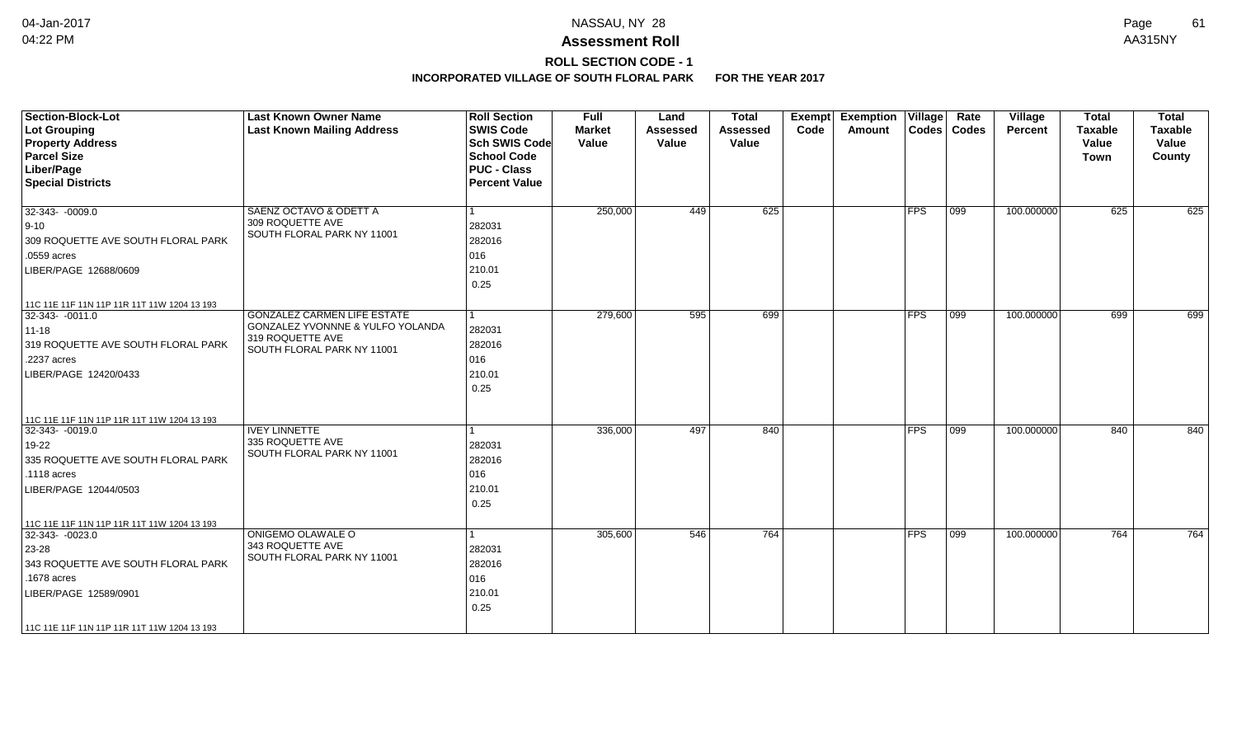# **ROLL SECTION CODE - 1**

| <b>Section-Block-Lot</b><br>Lot Grouping<br><b>Property Address</b><br><b>Parcel Size</b><br>Liber/Page<br><b>Special Districts</b>                                                                      | <b>Last Known Owner Name</b><br><b>Last Known Mailing Address</b>                                                        | <b>Roll Section</b><br><b>SWIS Code</b><br><b>Sch SWIS Code</b><br><b>School Code</b><br><b>PUC - Class</b><br><b>Percent Value</b> | <b>Full</b><br><b>Market</b><br>Value | Land<br><b>Assessed</b><br>Value | <b>Total</b><br><b>Assessed</b><br>Value | Exempt<br>Code | <b>Exemption Village</b><br>Amount |            | Rate<br>Codes   Codes | Village<br>Percent | <b>Total</b><br><b>Taxable</b><br>Value<br>Town | <b>Total</b><br><b>Taxable</b><br>Value<br>County |
|----------------------------------------------------------------------------------------------------------------------------------------------------------------------------------------------------------|--------------------------------------------------------------------------------------------------------------------------|-------------------------------------------------------------------------------------------------------------------------------------|---------------------------------------|----------------------------------|------------------------------------------|----------------|------------------------------------|------------|-----------------------|--------------------|-------------------------------------------------|---------------------------------------------------|
| $32-343 - 0009.0$<br>$ 9 - 10 $<br>309 ROQUETTE AVE SOUTH FLORAL PARK<br>.0559 acres<br>LIBER/PAGE 12688/0609                                                                                            | SAENZ OCTAVO & ODETT A<br>309 ROQUETTE AVE<br>SOUTH FLORAL PARK NY 11001                                                 | 282031<br>282016<br>016<br>210.01<br>0.25                                                                                           | 250,000                               | 449                              | 625                                      |                |                                    | <b>FPS</b> | 099                   | 100.000000         | 625                                             | 625                                               |
| 11C 11E 11F 11N 11P 11R 11T 11W 1204 13 193<br>$ 32-343-0011.0$<br>$11 - 18$<br>319 ROQUETTE AVE SOUTH FLORAL PARK<br>.2237 acres<br>LIBER/PAGE 12420/0433                                               | <b>GONZALEZ CARMEN LIFE ESTATE</b><br>GONZALEZ YVONNNE & YULFO YOLANDA<br>319 ROQUETTE AVE<br>SOUTH FLORAL PARK NY 11001 | 282031<br>282016<br>016<br>210.01<br>0.25                                                                                           | 279,600                               | 595                              | 699                                      |                |                                    | <b>FPS</b> | 099                   | 100.000000         | 699                                             | 699                                               |
| 11C 11E 11F 11N 11P 11R 11T 11W 1204 13 193<br>32-343- -0019.0<br>19-22<br>335 ROQUETTE AVE SOUTH FLORAL PARK<br>.1118 acres<br>LIBER/PAGE 12044/0503                                                    | <b>IVEY LINNETTE</b><br>335 ROQUETTE AVE<br>SOUTH FLORAL PARK NY 11001                                                   | 282031<br>282016<br>016<br>210.01<br>0.25                                                                                           | 336,000                               | 497                              | 840                                      |                |                                    | <b>FPS</b> | 099                   | 100.000000         | 840                                             | 840                                               |
| 11C 11E 11F 11N 11P 11R 11T 11W 1204 13 193<br>$32-343 - 0023.0$<br>23-28<br>343 ROQUETTE AVE SOUTH FLORAL PARK<br>.1678 acres<br>LIBER/PAGE 12589/0901<br>  11C 11E 11F 11N 11P 11R 11T 11W 1204 13 193 | ONIGEMO OLAWALE O<br>343 ROQUETTE AVE<br>SOUTH FLORAL PARK NY 11001                                                      | 282031<br>282016<br>016<br>210.01<br>0.25                                                                                           | 305,600                               | 546                              | 764                                      |                |                                    | <b>FPS</b> | 099                   | 100.000000         | 764                                             | 764                                               |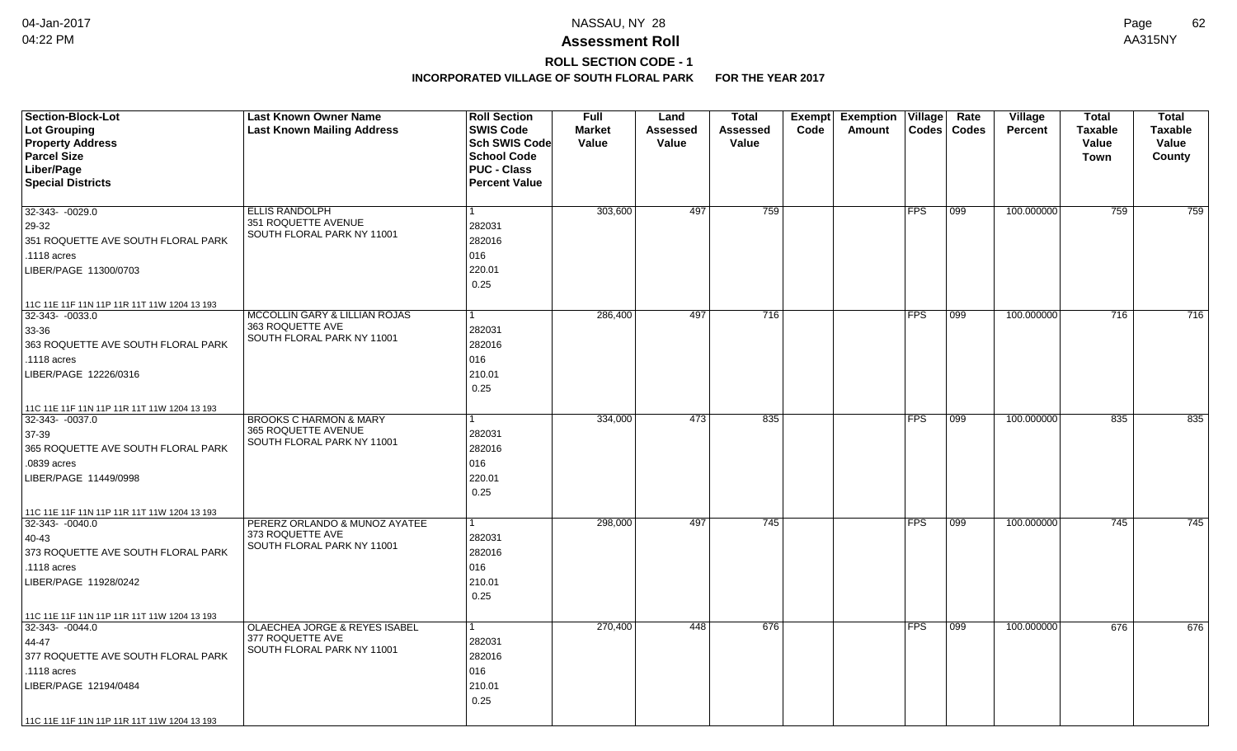## **ROLL SECTION CODE - 1**

| <b>Section-Block-Lot</b><br>Lot Grouping<br><b>Property Address</b><br><b>Parcel Size</b><br>Liber/Page<br><b>Special Districts</b>                                                                  | <b>Last Known Owner Name</b><br><b>Last Known Mailing Address</b>                      | <b>Roll Section</b><br><b>SWIS Code</b><br>Sch SWIS Code<br><b>School Code</b><br><b>PUC - Class</b><br><b>Percent Value</b> | <b>Full</b><br><b>Market</b><br>Value | Land<br>Assessed<br>Value | <b>Total</b><br><b>Assessed</b><br>Value | Code | Exempt Exemption<br>Amount | $ $ Village $ $ | Rate<br>Codes   Codes | Village<br><b>Percent</b> | Total<br><b>Taxable</b><br>Value<br>Town | <b>Total</b><br><b>Taxable</b><br>Value<br>County |
|------------------------------------------------------------------------------------------------------------------------------------------------------------------------------------------------------|----------------------------------------------------------------------------------------|------------------------------------------------------------------------------------------------------------------------------|---------------------------------------|---------------------------|------------------------------------------|------|----------------------------|-----------------|-----------------------|---------------------------|------------------------------------------|---------------------------------------------------|
| 32-343- -0029.0<br>29-32<br>351 ROQUETTE AVE SOUTH FLORAL PARK<br>.1118 acres<br>LIBER/PAGE 11300/0703                                                                                               | <b>ELLIS RANDOLPH</b><br>351 ROQUETTE AVENUE<br>SOUTH FLORAL PARK NY 11001             | 282031<br>282016<br>016<br>220.01<br>0.25                                                                                    | 303,600                               | 497                       | 759                                      |      |                            | <b>FPS</b>      | 099                   | 100.000000                | 759                                      | 759                                               |
| 11C 11E 11F 11N 11P 11R 11T 11W 1204 13 193<br>32-343-0033.0<br>33-36<br>363 ROQUETTE AVE SOUTH FLORAL PARK<br>.1118 acres<br>LIBER/PAGE 12226/0316                                                  | MCCOLLIN GARY & LILLIAN ROJAS<br>363 ROQUETTE AVE<br>SOUTH FLORAL PARK NY 11001        | 282031<br>282016<br>016<br>210.01<br>0.25                                                                                    | 286,400                               | 497                       | 716                                      |      |                            | <b>FPS</b>      | 099                   | 100.000000                | 716                                      | 716                                               |
| 11C 11E 11F 11N 11P 11R 11T 11W 1204 13 193<br>32-343- -0037.0<br>37-39<br>365 ROQUETTE AVE SOUTH FLORAL PARK<br>.0839 acres<br>LIBER/PAGE 11449/0998<br>11C 11E 11F 11N 11P 11R 11T 11W 1204 13 193 | <b>BROOKS C HARMON &amp; MARY</b><br>365 ROQUETTE AVENUE<br>SOUTH FLORAL PARK NY 11001 | 282031<br>282016<br>016<br>220.01<br>0.25                                                                                    | 334,000                               | 473                       | 835                                      |      |                            | <b>FPS</b>      | 099                   | 100.000000                | 835                                      | 835                                               |
| $32 - 343 - 0040.0$<br>40-43<br>373 ROQUETTE AVE SOUTH FLORAL PARK<br>.1118 acres<br>LIBER/PAGE 11928/0242<br>11C 11E 11F 11N 11P 11R 11T 11W 1204 13 193                                            | PERERZ ORLANDO & MUNOZ AYATEE<br>373 ROQUETTE AVE<br>SOUTH FLORAL PARK NY 11001        | 282031<br>282016<br>016<br>210.01<br>0.25                                                                                    | 298,000                               | 497                       | 745                                      |      |                            | <b>FPS</b>      | 099                   | 100.000000                | 745                                      | 745                                               |
| $32-343 - 0044.0$<br>44-47<br>377 ROQUETTE AVE SOUTH FLORAL PARK<br>.1118 acres<br>LIBER/PAGE 12194/0484<br>11C 11E 11F 11N 11P 11R 11T 11W 1204 13 193                                              | OLAECHEA JORGE & REYES ISABEL<br>377 ROQUETTE AVE<br>SOUTH FLORAL PARK NY 11001        | 282031<br>282016<br>016<br>210.01<br>0.25                                                                                    | 270,400                               | 448                       | 676                                      |      |                            | <b>FPS</b>      | 099                   | 100.000000                | 676                                      | 676                                               |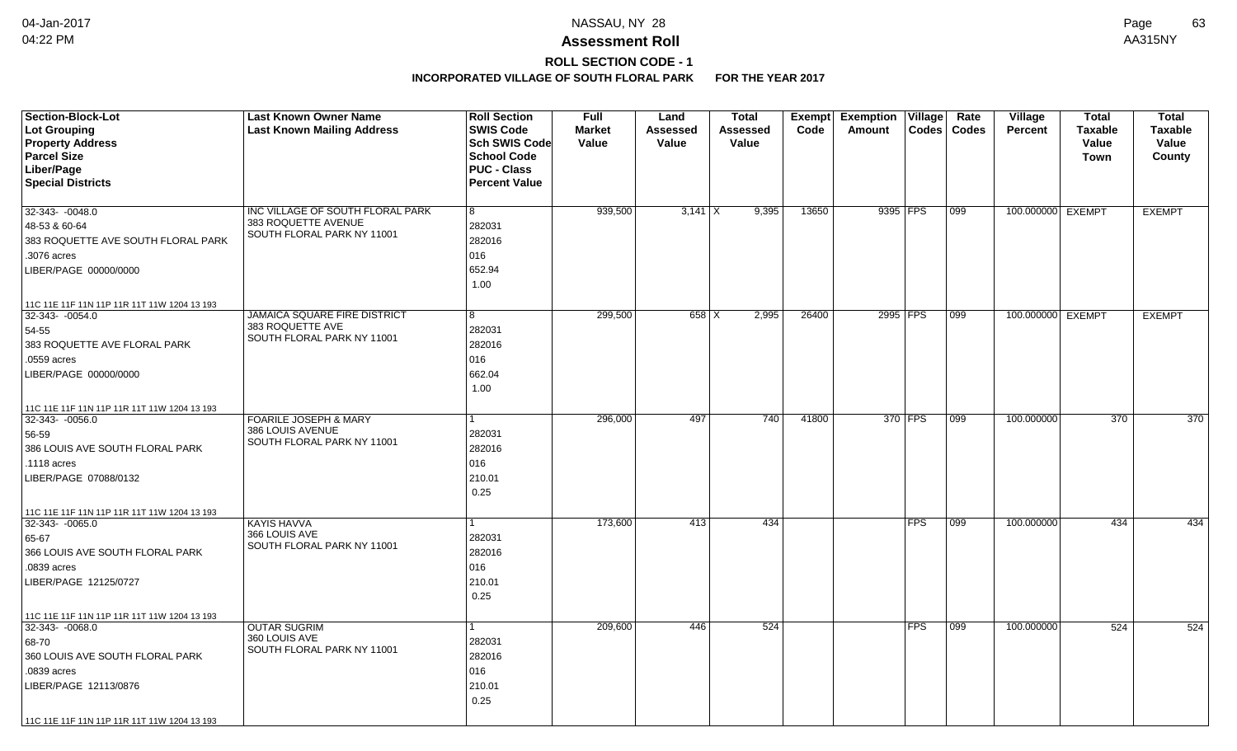# **ROLL SECTION CODE - 1**

| <b>Section-Block-Lot</b><br>Lot Grouping<br><b>Property Address</b><br><b>Parcel Size</b><br>Liber/Page<br><b>Special Districts</b> | <b>Last Known Owner Name</b><br><b>Last Known Mailing Address</b> | <b>Roll Section</b><br><b>SWIS Code</b><br>Sch SWIS Code<br><b>School Code</b><br><b>PUC - Class</b><br><b>Percent Value</b> | <b>Full</b><br><b>Market</b><br>Value | Land<br>Assessed<br>Value | <b>Total</b><br>Assessed<br>Value |       | Code  | Exempt Exemption<br><b>Amount</b> | Village    | Rate<br>Codes   Codes | Village<br><b>Percent</b> | <b>Total</b><br><b>Taxable</b><br>Value<br><b>Town</b> | <b>Total</b><br><b>Taxable</b><br>Value<br>County |
|-------------------------------------------------------------------------------------------------------------------------------------|-------------------------------------------------------------------|------------------------------------------------------------------------------------------------------------------------------|---------------------------------------|---------------------------|-----------------------------------|-------|-------|-----------------------------------|------------|-----------------------|---------------------------|--------------------------------------------------------|---------------------------------------------------|
| $32-343 - 0048.0$                                                                                                                   | INC VILLAGE OF SOUTH FLORAL PARK                                  | 8                                                                                                                            | 939,500                               | $3,141$ X                 |                                   | 9,395 | 13650 | 9395 FPS                          |            | 099                   | 100.000000 EXEMPT         |                                                        | <b>EXEMPT</b>                                     |
| 48-53 & 60-64                                                                                                                       | 383 ROQUETTE AVENUE<br>SOUTH FLORAL PARK NY 11001                 | 282031                                                                                                                       |                                       |                           |                                   |       |       |                                   |            |                       |                           |                                                        |                                                   |
| 383 ROQUETTE AVE SOUTH FLORAL PARK                                                                                                  |                                                                   | 282016                                                                                                                       |                                       |                           |                                   |       |       |                                   |            |                       |                           |                                                        |                                                   |
| .3076 acres                                                                                                                         |                                                                   | 016                                                                                                                          |                                       |                           |                                   |       |       |                                   |            |                       |                           |                                                        |                                                   |
| LIBER/PAGE 00000/0000                                                                                                               |                                                                   | 652.94                                                                                                                       |                                       |                           |                                   |       |       |                                   |            |                       |                           |                                                        |                                                   |
|                                                                                                                                     |                                                                   | 1.00                                                                                                                         |                                       |                           |                                   |       |       |                                   |            |                       |                           |                                                        |                                                   |
| 11C 11E 11F 11N 11P 11R 11T 11W 1204 13 193                                                                                         |                                                                   |                                                                                                                              |                                       |                           |                                   |       |       |                                   |            |                       |                           |                                                        |                                                   |
| 32-343-0054.0                                                                                                                       | <b>JAMAICA SQUARE FIRE DISTRICT</b>                               | 8                                                                                                                            | 299,500                               | $658$ $\times$            |                                   | 2,995 | 26400 | 2995 FPS                          |            | 099                   | 100.000000 EXEMPT         |                                                        | <b>EXEMPT</b>                                     |
| 54-55                                                                                                                               | 383 ROQUETTE AVE<br>SOUTH FLORAL PARK NY 11001                    | 282031                                                                                                                       |                                       |                           |                                   |       |       |                                   |            |                       |                           |                                                        |                                                   |
| 383 ROQUETTE AVE FLORAL PARK                                                                                                        |                                                                   | 282016                                                                                                                       |                                       |                           |                                   |       |       |                                   |            |                       |                           |                                                        |                                                   |
| .0559 acres                                                                                                                         |                                                                   | 016                                                                                                                          |                                       |                           |                                   |       |       |                                   |            |                       |                           |                                                        |                                                   |
| LIBER/PAGE 00000/0000                                                                                                               |                                                                   | 662.04                                                                                                                       |                                       |                           |                                   |       |       |                                   |            |                       |                           |                                                        |                                                   |
|                                                                                                                                     |                                                                   | 1.00                                                                                                                         |                                       |                           |                                   |       |       |                                   |            |                       |                           |                                                        |                                                   |
| 11C 11E 11F 11N 11P 11R 11T 11W 1204 13 193                                                                                         |                                                                   |                                                                                                                              |                                       |                           |                                   |       |       |                                   |            |                       |                           |                                                        |                                                   |
| 32-343- -0056.0                                                                                                                     | <b>FOARILE JOSEPH &amp; MARY</b>                                  |                                                                                                                              | 296,000                               | 497                       |                                   | 740   | 41800 |                                   | 370 FPS    | 099                   | 100.000000                | $\overline{370}$                                       | $\overline{370}$                                  |
| 56-59                                                                                                                               | 386 LOUIS AVENUE                                                  | 282031                                                                                                                       |                                       |                           |                                   |       |       |                                   |            |                       |                           |                                                        |                                                   |
| 386 LOUIS AVE SOUTH FLORAL PARK                                                                                                     | SOUTH FLORAL PARK NY 11001                                        | 282016                                                                                                                       |                                       |                           |                                   |       |       |                                   |            |                       |                           |                                                        |                                                   |
| .1118 acres                                                                                                                         |                                                                   | 016                                                                                                                          |                                       |                           |                                   |       |       |                                   |            |                       |                           |                                                        |                                                   |
| LIBER/PAGE 07088/0132                                                                                                               |                                                                   | 210.01                                                                                                                       |                                       |                           |                                   |       |       |                                   |            |                       |                           |                                                        |                                                   |
|                                                                                                                                     |                                                                   | 0.25                                                                                                                         |                                       |                           |                                   |       |       |                                   |            |                       |                           |                                                        |                                                   |
| 11C 11E 11F 11N 11P 11R 11T 11W 1204 13 193                                                                                         |                                                                   |                                                                                                                              |                                       |                           |                                   |       |       |                                   |            |                       |                           |                                                        |                                                   |
| $32-343 - 0065.0$                                                                                                                   | <b>KAYIS HAVVA</b>                                                |                                                                                                                              | 173,600                               | 413                       |                                   | 434   |       |                                   | <b>FPS</b> | 099                   | 100.000000                | 434                                                    | 434                                               |
| 65-67                                                                                                                               | 366 LOUIS AVE<br>SOUTH FLORAL PARK NY 11001                       | 282031                                                                                                                       |                                       |                           |                                   |       |       |                                   |            |                       |                           |                                                        |                                                   |
| 366 LOUIS AVE SOUTH FLORAL PARK                                                                                                     |                                                                   | 282016                                                                                                                       |                                       |                           |                                   |       |       |                                   |            |                       |                           |                                                        |                                                   |
| .0839 acres                                                                                                                         |                                                                   | 016                                                                                                                          |                                       |                           |                                   |       |       |                                   |            |                       |                           |                                                        |                                                   |
| LIBER/PAGE 12125/0727                                                                                                               |                                                                   | 210.01                                                                                                                       |                                       |                           |                                   |       |       |                                   |            |                       |                           |                                                        |                                                   |
|                                                                                                                                     |                                                                   | 0.25                                                                                                                         |                                       |                           |                                   |       |       |                                   |            |                       |                           |                                                        |                                                   |
| 11C 11E 11F 11N 11P 11R 11T 11W 1204 13 193                                                                                         |                                                                   |                                                                                                                              |                                       |                           |                                   |       |       |                                   |            |                       |                           |                                                        |                                                   |
| $32-343 - 0068.0$                                                                                                                   | <b>OUTAR SUGRIM</b>                                               |                                                                                                                              | 209,600                               | 446                       |                                   | 524   |       |                                   | <b>FPS</b> | 099                   | 100.000000                | 524                                                    | 524                                               |
| 68-70                                                                                                                               | 360 LOUIS AVE<br>SOUTH FLORAL PARK NY 11001                       | 282031                                                                                                                       |                                       |                           |                                   |       |       |                                   |            |                       |                           |                                                        |                                                   |
| 360 LOUIS AVE SOUTH FLORAL PARK                                                                                                     |                                                                   | 282016                                                                                                                       |                                       |                           |                                   |       |       |                                   |            |                       |                           |                                                        |                                                   |
| .0839 acres                                                                                                                         |                                                                   | 016                                                                                                                          |                                       |                           |                                   |       |       |                                   |            |                       |                           |                                                        |                                                   |
| LIBER/PAGE 12113/0876                                                                                                               |                                                                   | 210.01                                                                                                                       |                                       |                           |                                   |       |       |                                   |            |                       |                           |                                                        |                                                   |
|                                                                                                                                     |                                                                   | 0.25                                                                                                                         |                                       |                           |                                   |       |       |                                   |            |                       |                           |                                                        |                                                   |
| 11C 11E 11F 11N 11P 11R 11T 11W 1204 13 193                                                                                         |                                                                   |                                                                                                                              |                                       |                           |                                   |       |       |                                   |            |                       |                           |                                                        |                                                   |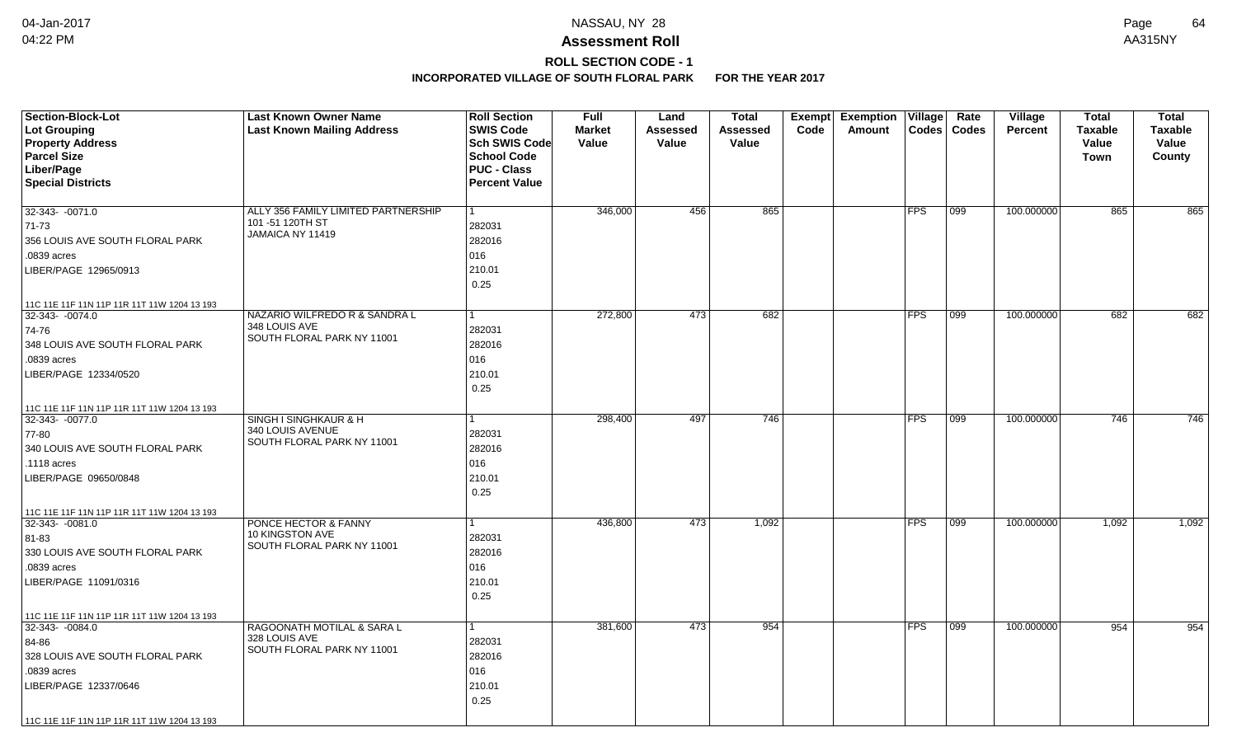# **ROLL SECTION CODE - 1**

| <b>Section-Block-Lot</b><br><b>Lot Grouping</b><br><b>Property Address</b> | <b>Last Known Owner Name</b><br><b>Last Known Mailing Address</b> | <b>Roll Section</b><br><b>SWIS Code</b><br><b>Sch SWIS Code</b> | <b>Full</b><br><b>Market</b><br>Value | Land<br><b>Assessed</b><br>Value | Total<br><b>Assessed</b><br>Value | Exempt<br>Code | <b>Exemption Village</b><br>Amount | $\text{Codes}$ | Rate<br><b>Codes</b> | Village<br><b>Percent</b> | <b>Total</b><br><b>Taxable</b><br>Value | <b>Total</b><br><b>Taxable</b><br>Value |
|----------------------------------------------------------------------------|-------------------------------------------------------------------|-----------------------------------------------------------------|---------------------------------------|----------------------------------|-----------------------------------|----------------|------------------------------------|----------------|----------------------|---------------------------|-----------------------------------------|-----------------------------------------|
| <b>Parcel Size</b>                                                         |                                                                   | <b>School Code</b>                                              |                                       |                                  |                                   |                |                                    |                |                      |                           | Town                                    | County                                  |
| Liber/Page                                                                 |                                                                   | <b>PUC - Class</b>                                              |                                       |                                  |                                   |                |                                    |                |                      |                           |                                         |                                         |
| <b>Special Districts</b>                                                   |                                                                   | <b>Percent Value</b>                                            |                                       |                                  |                                   |                |                                    |                |                      |                           |                                         |                                         |
| 32-343- -0071.0                                                            | ALLY 356 FAMILY LIMITED PARTNERSHIP                               |                                                                 | 346,000                               | 456                              | 865                               |                |                                    | <b>FPS</b>     | 099                  | 100.000000                | 865                                     | 865                                     |
| 71-73                                                                      | 101-51 120TH ST                                                   | 282031                                                          |                                       |                                  |                                   |                |                                    |                |                      |                           |                                         |                                         |
| 356 LOUIS AVE SOUTH FLORAL PARK                                            | JAMAICA NY 11419                                                  | 282016                                                          |                                       |                                  |                                   |                |                                    |                |                      |                           |                                         |                                         |
| .0839 acres                                                                |                                                                   | 016                                                             |                                       |                                  |                                   |                |                                    |                |                      |                           |                                         |                                         |
| LIBER/PAGE 12965/0913                                                      |                                                                   | 210.01                                                          |                                       |                                  |                                   |                |                                    |                |                      |                           |                                         |                                         |
|                                                                            |                                                                   | 0.25                                                            |                                       |                                  |                                   |                |                                    |                |                      |                           |                                         |                                         |
| 11C 11E 11F 11N 11P 11R 11T 11W 1204 13 193                                |                                                                   |                                                                 |                                       |                                  |                                   |                |                                    |                |                      |                           |                                         |                                         |
| 32-343- -0074.0                                                            | NAZARIO WILFREDO R & SANDRA L                                     | 1                                                               | 272,800                               | 473                              | 682                               |                |                                    | <b>FPS</b>     | 099                  | 100.000000                | 682                                     | 682                                     |
| 74-76                                                                      | 348 LOUIS AVE<br>SOUTH FLORAL PARK NY 11001                       | 282031                                                          |                                       |                                  |                                   |                |                                    |                |                      |                           |                                         |                                         |
| 348 LOUIS AVE SOUTH FLORAL PARK                                            |                                                                   | 282016                                                          |                                       |                                  |                                   |                |                                    |                |                      |                           |                                         |                                         |
| .0839 acres                                                                |                                                                   | 016                                                             |                                       |                                  |                                   |                |                                    |                |                      |                           |                                         |                                         |
| LIBER/PAGE 12334/0520                                                      |                                                                   | 210.01                                                          |                                       |                                  |                                   |                |                                    |                |                      |                           |                                         |                                         |
|                                                                            |                                                                   | 0.25                                                            |                                       |                                  |                                   |                |                                    |                |                      |                           |                                         |                                         |
| 11C 11E 11F 11N 11P 11R 11T 11W 1204 13 193                                |                                                                   |                                                                 |                                       |                                  |                                   |                |                                    |                |                      |                           |                                         |                                         |
| 32-343-0077.0                                                              | SINGH I SINGHKAUR & H<br>340 LOUIS AVENUE                         |                                                                 | 298,400                               | 497                              | 746                               |                |                                    | <b>FPS</b>     | 099                  | 100.000000                | 746                                     | 746                                     |
| 77-80                                                                      | SOUTH FLORAL PARK NY 11001                                        | 282031                                                          |                                       |                                  |                                   |                |                                    |                |                      |                           |                                         |                                         |
| 340 LOUIS AVE SOUTH FLORAL PARK                                            |                                                                   | 282016                                                          |                                       |                                  |                                   |                |                                    |                |                      |                           |                                         |                                         |
| .1118 acres                                                                |                                                                   | 016                                                             |                                       |                                  |                                   |                |                                    |                |                      |                           |                                         |                                         |
| LIBER/PAGE 09650/0848                                                      |                                                                   | 210.01                                                          |                                       |                                  |                                   |                |                                    |                |                      |                           |                                         |                                         |
|                                                                            |                                                                   | 0.25                                                            |                                       |                                  |                                   |                |                                    |                |                      |                           |                                         |                                         |
| 11C 11E 11F 11N 11P 11R 11T 11W 1204 13 193                                |                                                                   |                                                                 |                                       |                                  |                                   |                |                                    |                |                      |                           |                                         |                                         |
| 32-343-0081.0                                                              | PONCE HECTOR & FANNY<br>10 KINGSTON AVE                           | 1                                                               | 436,800                               | 473                              | 1,092                             |                |                                    | <b>FPS</b>     | 099                  | 100.000000                | 1,092                                   | 1,092                                   |
| 81-83                                                                      | SOUTH FLORAL PARK NY 11001                                        | 282031<br>282016                                                |                                       |                                  |                                   |                |                                    |                |                      |                           |                                         |                                         |
| 330 LOUIS AVE SOUTH FLORAL PARK                                            |                                                                   | 016                                                             |                                       |                                  |                                   |                |                                    |                |                      |                           |                                         |                                         |
| .0839 acres<br>LIBER/PAGE 11091/0316                                       |                                                                   | 210.01                                                          |                                       |                                  |                                   |                |                                    |                |                      |                           |                                         |                                         |
|                                                                            |                                                                   | 0.25                                                            |                                       |                                  |                                   |                |                                    |                |                      |                           |                                         |                                         |
|                                                                            |                                                                   |                                                                 |                                       |                                  |                                   |                |                                    |                |                      |                           |                                         |                                         |
| 11C 11E 11F 11N 11P 11R 11T 11W 1204 13 193<br>32-343- -0084.0             | RAGOONATH MOTILAL & SARA L                                        | 1                                                               | 381,600                               | 473                              | 954                               |                |                                    | <b>FPS</b>     | 099                  | 100.000000                | 954                                     | 954                                     |
| 84-86                                                                      | 328 LOUIS AVE                                                     | 282031                                                          |                                       |                                  |                                   |                |                                    |                |                      |                           |                                         |                                         |
| 328 LOUIS AVE SOUTH FLORAL PARK                                            | SOUTH FLORAL PARK NY 11001                                        | 282016                                                          |                                       |                                  |                                   |                |                                    |                |                      |                           |                                         |                                         |
| .0839 acres                                                                |                                                                   | 016                                                             |                                       |                                  |                                   |                |                                    |                |                      |                           |                                         |                                         |
| LIBER/PAGE 12337/0646                                                      |                                                                   | 210.01                                                          |                                       |                                  |                                   |                |                                    |                |                      |                           |                                         |                                         |
|                                                                            |                                                                   | 0.25                                                            |                                       |                                  |                                   |                |                                    |                |                      |                           |                                         |                                         |
| 11C 11E 11F 11N 11P 11R 11T 11W 1204 13 193                                |                                                                   |                                                                 |                                       |                                  |                                   |                |                                    |                |                      |                           |                                         |                                         |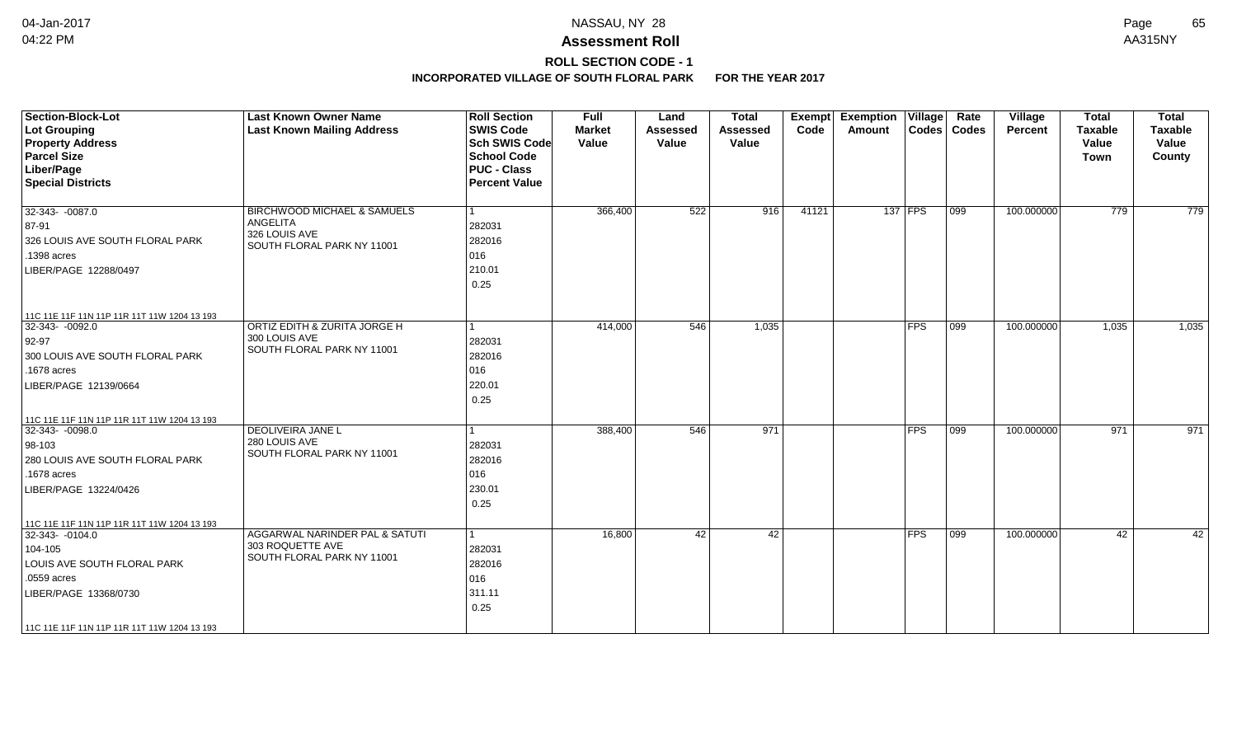# **ROLL SECTION CODE - 1**

| <b>Section-Block-Lot</b><br>Lot Grouping<br><b>Property Address</b><br><b>Parcel Size</b><br>Liber/Page<br><b>Special Districts</b>                                                                   | <b>Last Known Owner Name</b><br><b>Last Known Mailing Address</b>                                 | <b>Roll Section</b><br><b>SWIS Code</b><br><b>Sch SWIS Code</b><br><b>School Code</b><br><b>PUC - Class</b><br><b>Percent Value</b> | <b>Full</b><br><b>Market</b><br>Value | Land<br><b>Assessed</b><br>Value | <b>Total</b><br><b>Assessed</b><br>Value | <b>Exempt</b><br>Code | Exemption   Village  <br>Amount |               | Rate<br>Codes   Codes | Village<br><b>Percent</b> | <b>Total</b><br><b>Taxable</b><br>Value<br><b>Town</b> | <b>Total</b><br><b>Taxable</b><br>Value<br>County |
|-------------------------------------------------------------------------------------------------------------------------------------------------------------------------------------------------------|---------------------------------------------------------------------------------------------------|-------------------------------------------------------------------------------------------------------------------------------------|---------------------------------------|----------------------------------|------------------------------------------|-----------------------|---------------------------------|---------------|-----------------------|---------------------------|--------------------------------------------------------|---------------------------------------------------|
| 32-343-0087.0<br>87-91<br>326 LOUIS AVE SOUTH FLORAL PARK<br>.1398 acres<br>LIBER/PAGE 12288/0497                                                                                                     | <b>BIRCHWOOD MICHAEL &amp; SAMUELS</b><br>ANGELITA<br>326 LOUIS AVE<br>SOUTH FLORAL PARK NY 11001 | 1<br>282031<br>282016<br>016<br>210.01<br>0.25                                                                                      | 366,400                               | 522                              | 916                                      | 41121                 |                                 | 137 FPS       | $ 099\rangle$         | 100.000000                | 779                                                    | 779                                               |
| 11C 11E 11F 11N 11P 11R 11T 11W 1204 13 193<br>$32-343 - 0092.0$<br>$92-97$<br>300 LOUIS AVE SOUTH FLORAL PARK<br>.1678 acres<br>LIBER/PAGE 12139/0664<br>11C 11E 11F 11N 11P 11R 11T 11W 1204 13 193 | ORTIZ EDITH & ZURITA JORGE H<br>300 LOUIS AVE<br>SOUTH FLORAL PARK NY 11001                       | $\mathbf{1}$<br>282031<br>282016<br>016<br>220.01<br>0.25                                                                           | 414,000                               | 546                              | 1,035                                    |                       |                                 | FPS           | $ 099\rangle$         | 100.000000                | 1,035                                                  | 1,035                                             |
| 32-343- -0098.0<br>$ 98 - 103 $<br>280 LOUIS AVE SOUTH FLORAL PARK<br>.1678 acres<br>LIBER/PAGE 13224/0426<br>11C 11E 11F 11N 11P 11R 11T 11W 1204 13 193                                             | DEOLIVEIRA JANE L<br>280 LOUIS AVE<br>SOUTH FLORAL PARK NY 11001                                  | 1<br>282031<br>282016<br>016<br>230.01<br>0.25                                                                                      | 388,400                               | 546                              | 971                                      |                       |                                 | $ {\sf FPS} $ | 099                   | 100.000000                | 971                                                    | 971                                               |
| 32-343- -0104.0<br>104-105<br>LOUIS AVE SOUTH FLORAL PARK<br>.0559 acres<br>LIBER/PAGE 13368/0730<br>  11C 11E 11F 11N 11P 11R 11T 11W 1204 13 193                                                    | AGGARWAL NARINDER PAL & SATUTI<br>303 ROQUETTE AVE<br>SOUTH FLORAL PARK NY 11001                  | $\vert$ 1<br>282031<br>282016<br>016<br>311.11<br>0.25                                                                              | 16,800                                | 42                               | 42                                       |                       |                                 | $ {\sf FPS} $ | $ 099\rangle$         | 100.000000                | 42                                                     | 42                                                |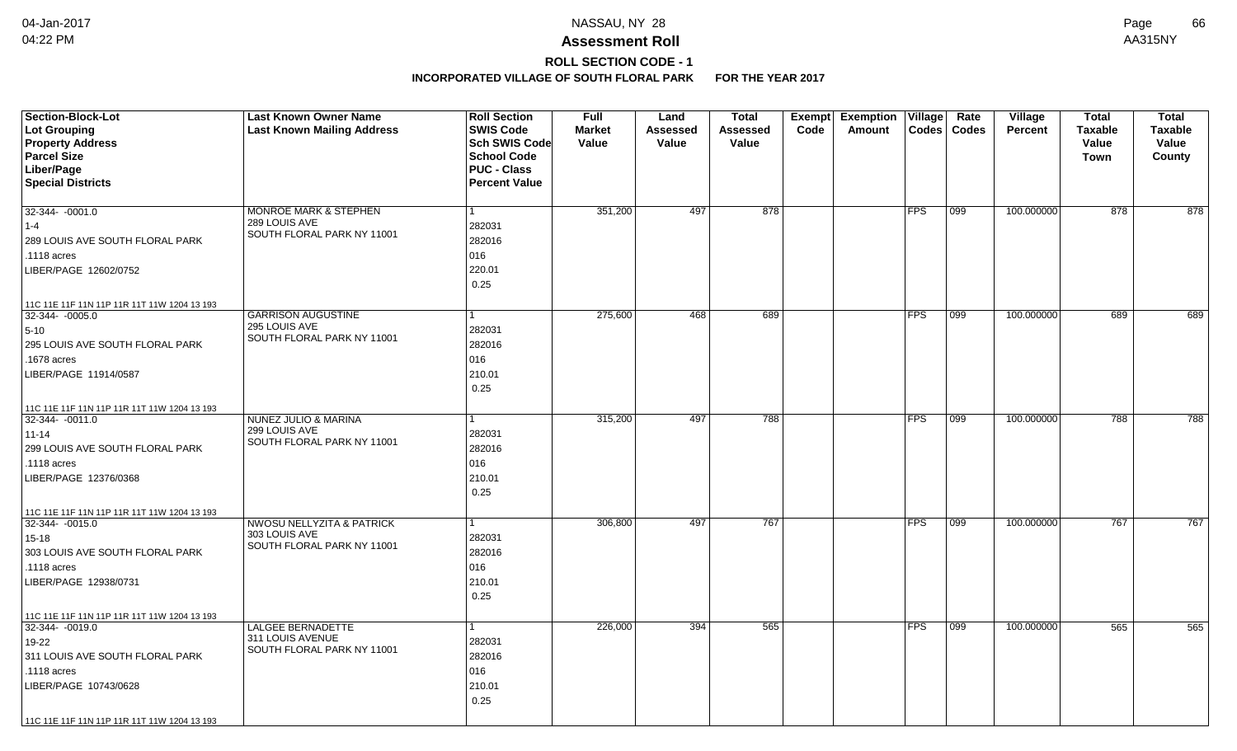# **ROLL SECTION CODE - 1**

| <b>Section-Block-Lot</b><br>Lot Grouping<br><b>Property Address</b><br><b>Parcel Size</b><br>Liber/Page<br><b>Special Districts</b>                                                                   | <b>Last Known Owner Name</b><br><b>Last Known Mailing Address</b>                   | <b>Roll Section</b><br><b>SWIS Code</b><br>Sch SWIS Code<br><b>School Code</b><br><b>PUC - Class</b><br><b>Percent Value</b> | <b>Full</b><br><b>Market</b><br>Value | Land<br>Assessed<br>Value | <b>Total</b><br>Assessed<br>Value | Code | Exempt Exemption<br>Amount | Village    | Rate<br>Codes   Codes | Village<br><b>Percent</b> | <b>Total</b><br><b>Taxable</b><br>Value<br>Town | <b>Total</b><br><b>Taxable</b><br>Value<br>County |
|-------------------------------------------------------------------------------------------------------------------------------------------------------------------------------------------------------|-------------------------------------------------------------------------------------|------------------------------------------------------------------------------------------------------------------------------|---------------------------------------|---------------------------|-----------------------------------|------|----------------------------|------------|-----------------------|---------------------------|-------------------------------------------------|---------------------------------------------------|
| $32-344 - 0001.0$<br>$1 - 4$<br>289 LOUIS AVE SOUTH FLORAL PARK<br>.1118 acres<br>LIBER/PAGE 12602/0752                                                                                               | <b>MONROE MARK &amp; STEPHEN</b><br>289 LOUIS AVE<br>SOUTH FLORAL PARK NY 11001     | 282031<br>282016<br>016<br>220.01<br>0.25                                                                                    | 351,200                               | 497                       | 878                               |      |                            | <b>FPS</b> | 099                   | 100.000000                | 878                                             | 878                                               |
| 11C 11E 11F 11N 11P 11R 11T 11W 1204 13 193<br>32-344- -0005.0<br>$5 - 10$<br>295 LOUIS AVE SOUTH FLORAL PARK<br>.1678 acres<br>LIBER/PAGE 11914/0587                                                 | <b>GARRISON AUGUSTINE</b><br>295 LOUIS AVE<br>SOUTH FLORAL PARK NY 11001            | 282031<br>282016<br>016<br>210.01<br>0.25                                                                                    | 275,600                               | 468                       | 689                               |      |                            | <b>FPS</b> | 099                   | 100.000000                | 689                                             | 689                                               |
| 11C 11E 11F 11N 11P 11R 11T 11W 1204 13 193<br>32-344- -0011.0<br>$11 - 14$<br>299 LOUIS AVE SOUTH FLORAL PARK<br>.1118 acres<br>LIBER/PAGE 12376/0368<br>11C 11E 11F 11N 11P 11R 11T 11W 1204 13 193 | NUNEZ JULIO & MARINA<br>299 LOUIS AVE<br>SOUTH FLORAL PARK NY 11001                 | 282031<br>282016<br>016<br>210.01<br>0.25                                                                                    | 315,200                               | 497                       | 788                               |      |                            | <b>FPS</b> | 099                   | 100.000000                | 788                                             | 788                                               |
| 32-344- -0015.0<br>$15 - 18$<br>303 LOUIS AVE SOUTH FLORAL PARK<br>.1118 acres<br>LIBER/PAGE 12938/0731<br>11C 11E 11F 11N 11P 11R 11T 11W 1204 13 193                                                | <b>NWOSU NELLYZITA &amp; PATRICK</b><br>303 LOUIS AVE<br>SOUTH FLORAL PARK NY 11001 | 282031<br>282016<br>016<br>210.01<br>0.25                                                                                    | 306,800                               | 497                       | 767                               |      |                            | <b>FPS</b> | $\overline{099}$      | 100.000000                | 767                                             | 767                                               |
| 32-344- -0019.0<br>19-22<br>311 LOUIS AVE SOUTH FLORAL PARK<br>.1118 acres<br>LIBER/PAGE 10743/0628<br>11C 11E 11F 11N 11P 11R 11T 11W 1204 13 193                                                    | <b>LALGEE BERNADETTE</b><br>311 LOUIS AVENUE<br>SOUTH FLORAL PARK NY 11001          | 282031<br>282016<br>016<br>210.01<br>0.25                                                                                    | 226,000                               | 394                       | 565                               |      |                            | <b>FPS</b> | 099                   | 100.000000                | 565                                             | 565                                               |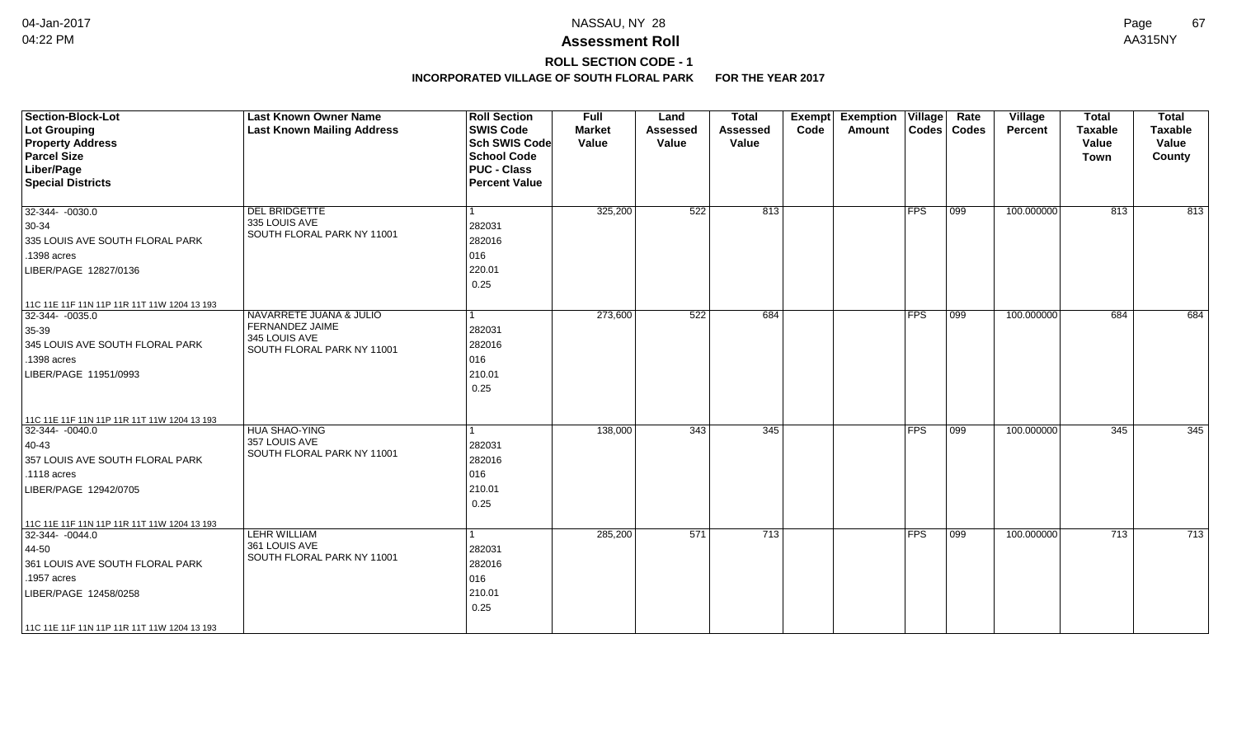# **ROLL SECTION CODE - 1**

| <b>Section-Block-Lot</b><br>Lot Grouping<br><b>Property Address</b><br><b>Parcel Size</b><br>Liber/Page<br><b>Special Districts</b>                                                               | <b>Last Known Owner Name</b><br><b>Last Known Mailing Address</b>                         | <b>Roll Section</b><br><b>SWIS Code</b><br><b>Sch SWIS Code</b><br><b>School Code</b><br><b>PUC - Class</b><br><b>Percent Value</b> | <b>Full</b><br><b>Market</b><br>Value | Land<br><b>Assessed</b><br>Value | <b>Total</b><br><b>Assessed</b><br>Value | Exempt<br>Code | <b>Exemption Village</b><br>Amount |               | Rate<br>Codes   Codes | <b>Village</b><br><b>Percent</b> | <b>Total</b><br><b>Taxable</b><br>Value<br><b>Town</b> | <b>Total</b><br><b>Taxable</b><br>Value<br>County |
|---------------------------------------------------------------------------------------------------------------------------------------------------------------------------------------------------|-------------------------------------------------------------------------------------------|-------------------------------------------------------------------------------------------------------------------------------------|---------------------------------------|----------------------------------|------------------------------------------|----------------|------------------------------------|---------------|-----------------------|----------------------------------|--------------------------------------------------------|---------------------------------------------------|
| 32-344- -0030.0<br>$30-34$<br>335 LOUIS AVE SOUTH FLORAL PARK<br>.1398 acres<br>LIBER/PAGE 12827/0136                                                                                             | <b>DEL BRIDGETTE</b><br>335 LOUIS AVE<br>SOUTH FLORAL PARK NY 11001                       | $\vert$ 1<br>282031<br>282016<br>016<br>220.01<br>0.25                                                                              | 325,200                               | 522                              | 813                                      |                |                                    | FPS           | $ 099\rangle$         | 100.000000                       | 813                                                    | 813                                               |
| 11C 11E 11F 11N 11P 11R 11T 11W 1204 13 193<br>32-344- -0035.0<br>$35 - 39$<br>345 LOUIS AVE SOUTH FLORAL PARK<br>.1398 acres<br>LIBER/PAGE 11951/0993                                            | NAVARRETE JUANA & JULIO<br>FERNANDEZ JAIME<br>345 LOUIS AVE<br>SOUTH FLORAL PARK NY 11001 | l 1<br>282031<br>282016<br>016<br>210.01<br>0.25                                                                                    | 273,600                               | 522                              | 684                                      |                |                                    | FPS           | $\overline{099}$      | 100.000000                       | 684                                                    | 684                                               |
| 11C 11E 11F 11N 11P 11R 11T 11W 1204 13 193<br>32-344- -0040.0<br>$ 40-43$<br>357 LOUIS AVE SOUTH FLORAL PARK<br>.1118 acres<br>LIBER/PAGE 12942/0705                                             | HUA SHAO-YING<br>357 LOUIS AVE<br>SOUTH FLORAL PARK NY 11001                              | 1<br>282031<br>282016<br>016<br>210.01<br>0.25                                                                                      | 138,000                               | 343                              | 345                                      |                |                                    | $ {\sf FPS} $ | 099                   | 100.000000                       | 345                                                    | 345                                               |
| 11C 11E 11F 11N 11P 11R 11T 11W 1204 13 193<br>32-344-0044.0<br>44-50<br>361 LOUIS AVE SOUTH FLORAL PARK<br>.1957 acres<br>LIBER/PAGE 12458/0258<br>  11C 11E 11F 11N 11P 11R 11T 11W 1204 13 193 | <b>LEHR WILLIAM</b><br>361 LOUIS AVE<br>SOUTH FLORAL PARK NY 11001                        | -1<br>282031<br>282016<br>016<br>210.01<br>0.25                                                                                     | 285,200                               | 571                              | $\overline{713}$                         |                |                                    | $ {\sf FPS} $ | $ 099\rangle$         | 100.000000                       | 713                                                    | 713                                               |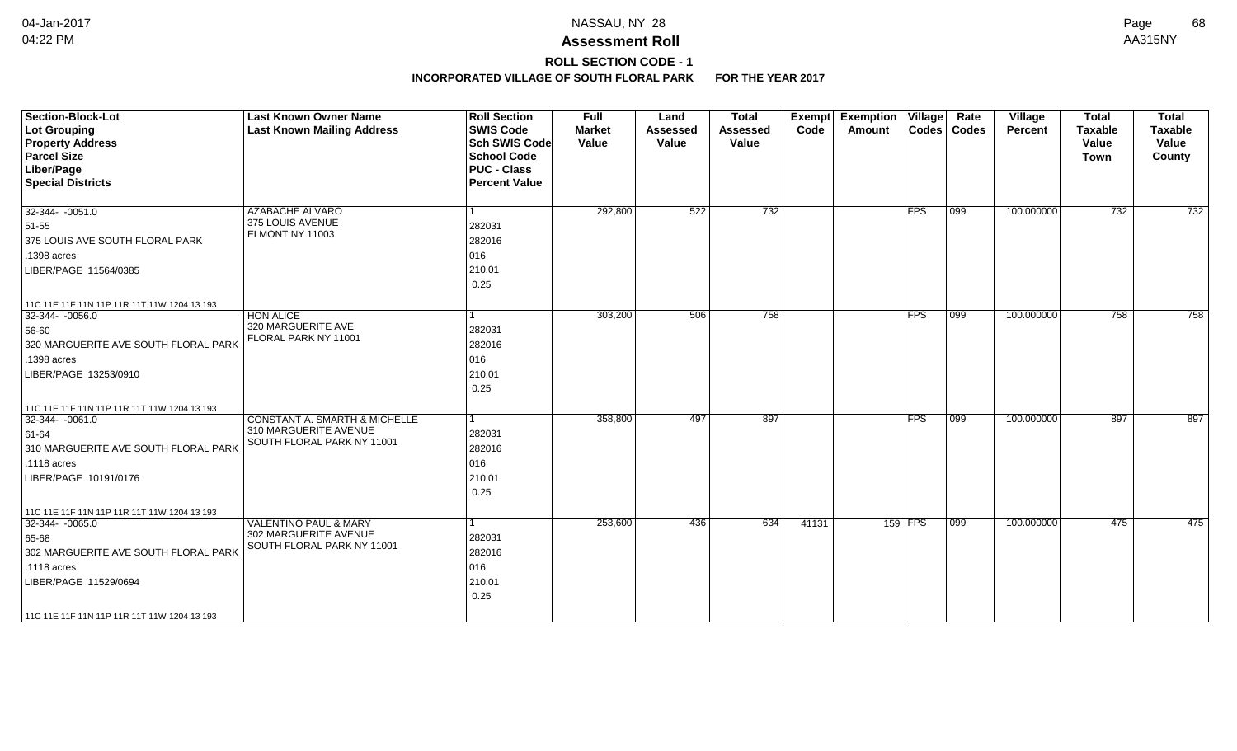## **ROLL SECTION CODE - 1**

| <b>Section-Block-Lot</b><br><b>Lot Grouping</b><br><b>Property Address</b><br><b>Parcel Size</b><br>Liber/Page<br><b>Special Districts</b> | <b>Last Known Owner Name</b><br><b>Last Known Mailing Address</b> | <b>Roll Section</b><br><b>SWIS Code</b><br><b>Sch SWIS Code</b><br><b>School Code</b><br><b>PUC - Class</b><br><b>Percent Value</b> | <b>Full</b><br><b>Market</b><br>Value | Land<br><b>Assessed</b><br>Value | <b>Total</b><br><b>Assessed</b><br>Value | Exempt<br>Code | <b>Exemption Village</b><br>Amount |            | Rate<br>Codes   Codes | Village<br>Percent | <b>Total</b><br><b>Taxable</b><br>Value<br><b>Town</b> | <b>Total</b><br><b>Taxable</b><br>Value<br>County |
|--------------------------------------------------------------------------------------------------------------------------------------------|-------------------------------------------------------------------|-------------------------------------------------------------------------------------------------------------------------------------|---------------------------------------|----------------------------------|------------------------------------------|----------------|------------------------------------|------------|-----------------------|--------------------|--------------------------------------------------------|---------------------------------------------------|
| $32-344 - 0051.0$<br>51-55                                                                                                                 | <b>AZABACHE ALVARO</b><br>375 LOUIS AVENUE                        | 282031                                                                                                                              | 292,800                               | 522                              | 732                                      |                |                                    | <b>FPS</b> | $ 099\rangle$         | 100.000000         | 732                                                    | 732                                               |
| 375 LOUIS AVE SOUTH FLORAL PARK                                                                                                            | ELMONT NY 11003                                                   | 282016                                                                                                                              |                                       |                                  |                                          |                |                                    |            |                       |                    |                                                        |                                                   |
| .1398 acres                                                                                                                                |                                                                   | 016                                                                                                                                 |                                       |                                  |                                          |                |                                    |            |                       |                    |                                                        |                                                   |
| LIBER/PAGE 11564/0385                                                                                                                      |                                                                   | 210.01<br>0.25                                                                                                                      |                                       |                                  |                                          |                |                                    |            |                       |                    |                                                        |                                                   |
| 11C 11E 11F 11N 11P 11R 11T 11W 1204 13 193                                                                                                |                                                                   |                                                                                                                                     |                                       |                                  |                                          |                |                                    |            |                       |                    |                                                        |                                                   |
| 32-344- -0056.0                                                                                                                            | <b>HON ALICE</b><br>320 MARGUERITE AVE                            |                                                                                                                                     | 303,200                               | 506                              | 758                                      |                |                                    | <b>FPS</b> | 099                   | 100.000000         | 758                                                    | 758                                               |
| 56-60                                                                                                                                      | FLORAL PARK NY 11001                                              | 282031                                                                                                                              |                                       |                                  |                                          |                |                                    |            |                       |                    |                                                        |                                                   |
| 320 MARGUERITE AVE SOUTH FLORAL PARK                                                                                                       |                                                                   | 282016                                                                                                                              |                                       |                                  |                                          |                |                                    |            |                       |                    |                                                        |                                                   |
| .1398 acres                                                                                                                                |                                                                   | 016                                                                                                                                 |                                       |                                  |                                          |                |                                    |            |                       |                    |                                                        |                                                   |
| LIBER/PAGE 13253/0910                                                                                                                      |                                                                   | 210.01<br>0.25                                                                                                                      |                                       |                                  |                                          |                |                                    |            |                       |                    |                                                        |                                                   |
| 11C 11E 11F 11N 11P 11R 11T 11W 1204 13 193                                                                                                |                                                                   |                                                                                                                                     |                                       |                                  |                                          |                |                                    |            |                       |                    |                                                        |                                                   |
| $32-344 - 0061.0$                                                                                                                          | <b>CONSTANT A. SMARTH &amp; MICHELLE</b>                          | 1                                                                                                                                   | 358,800                               | 497                              | 897                                      |                |                                    | <b>FPS</b> | $\overline{099}$      | 100.000000         | 897                                                    | 897                                               |
| 61-64                                                                                                                                      | 310 MARGUERITE AVENUE                                             | 282031                                                                                                                              |                                       |                                  |                                          |                |                                    |            |                       |                    |                                                        |                                                   |
| 310 MARGUERITE AVE SOUTH FLORAL PARK                                                                                                       | SOUTH FLORAL PARK NY 11001                                        | 282016                                                                                                                              |                                       |                                  |                                          |                |                                    |            |                       |                    |                                                        |                                                   |
| .1118 acres                                                                                                                                |                                                                   | 016                                                                                                                                 |                                       |                                  |                                          |                |                                    |            |                       |                    |                                                        |                                                   |
| LIBER/PAGE 10191/0176                                                                                                                      |                                                                   | 210.01                                                                                                                              |                                       |                                  |                                          |                |                                    |            |                       |                    |                                                        |                                                   |
|                                                                                                                                            |                                                                   | 0.25                                                                                                                                |                                       |                                  |                                          |                |                                    |            |                       |                    |                                                        |                                                   |
| 11C 11E 11F 11N 11P 11R 11T 11W 1204 13 193                                                                                                |                                                                   |                                                                                                                                     |                                       |                                  |                                          |                |                                    |            |                       |                    |                                                        |                                                   |
| $ 32-344-0065.0$                                                                                                                           | <b>VALENTINO PAUL &amp; MARY</b>                                  | 1                                                                                                                                   | 253,600                               | 436                              | 634                                      | 41131          |                                    | 159 FPS    | $\overline{099}$      | 100.000000         | 475                                                    | 475                                               |
| 65-68                                                                                                                                      | 302 MARGUERITE AVENUE                                             | 282031                                                                                                                              |                                       |                                  |                                          |                |                                    |            |                       |                    |                                                        |                                                   |
| 302 MARGUERITE AVE SOUTH FLORAL PARK                                                                                                       | SOUTH FLORAL PARK NY 11001                                        | 282016                                                                                                                              |                                       |                                  |                                          |                |                                    |            |                       |                    |                                                        |                                                   |
| .1118 acres                                                                                                                                |                                                                   | 016                                                                                                                                 |                                       |                                  |                                          |                |                                    |            |                       |                    |                                                        |                                                   |
| LIBER/PAGE 11529/0694                                                                                                                      |                                                                   | 210.01<br>0.25                                                                                                                      |                                       |                                  |                                          |                |                                    |            |                       |                    |                                                        |                                                   |
| 11C 11E 11F 11N 11P 11R 11T 11W 1204 13 193                                                                                                |                                                                   |                                                                                                                                     |                                       |                                  |                                          |                |                                    |            |                       |                    |                                                        |                                                   |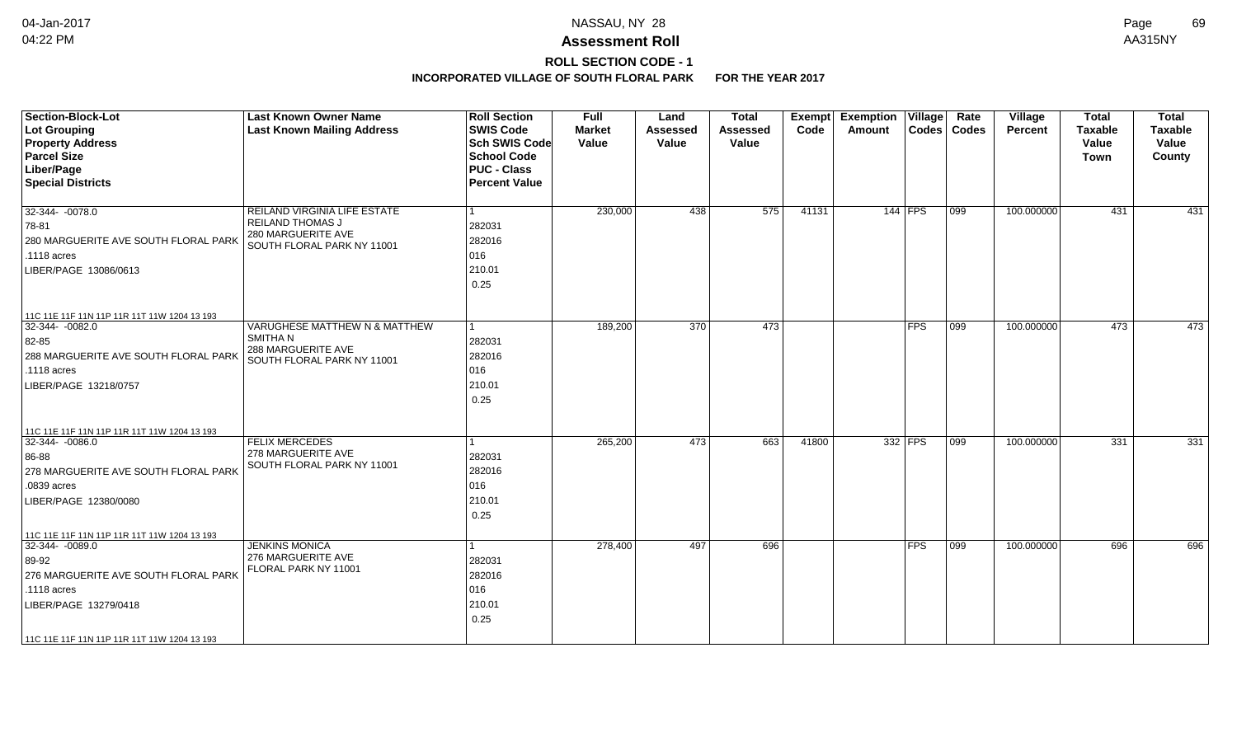## **ROLL SECTION CODE - 1**

| <b>Section-Block-Lot</b><br>Lot Grouping<br><b>Property Address</b><br><b>Parcel Size</b><br>Liber/Page<br><b>Special Districts</b>                                                                    | <b>Last Known Owner Name</b><br><b>Last Known Mailing Address</b>                                    | <b>Roll Section</b><br><b>SWIS Code</b><br>Sch SWIS Code<br>School Code<br><b>PUC - Class</b><br><b>Percent Value</b> | <b>Full</b><br><b>Market</b><br>Value | Land<br><b>Assessed</b><br>Value | <b>Total</b><br>Assessed<br>Value | Exempt<br>Code | <b>Exemption Village</b><br><b>Amount</b> | $\text{Codes}$          | Rate<br>Codes | Village<br><b>Percent</b> | <b>Total</b><br><b>Taxable</b><br>Value<br>Town | <b>Total</b><br><b>Taxable</b><br>Value<br>County |
|--------------------------------------------------------------------------------------------------------------------------------------------------------------------------------------------------------|------------------------------------------------------------------------------------------------------|-----------------------------------------------------------------------------------------------------------------------|---------------------------------------|----------------------------------|-----------------------------------|----------------|-------------------------------------------|-------------------------|---------------|---------------------------|-------------------------------------------------|---------------------------------------------------|
| 32-344- -0078.0<br>78-81<br>280 MARGUERITE AVE SOUTH FLORAL PARK<br>.1118 acres<br>LIBER/PAGE 13086/0613                                                                                               | REILAND VIRGINIA LIFE ESTATE<br>REILAND THOMAS J<br>280 MARGUERITE AVE<br>SOUTH FLORAL PARK NY 11001 | l 1<br>282031<br>282016<br>016<br>210.01<br>0.25                                                                      | 230,000                               | 438                              | 575                               | 41131          |                                           | $144$ FPS               | 099           | 100.000000                | 431                                             | 431                                               |
| 11C 11E 11F 11N 11P 11R 11T 11W 1204 13 193<br>32-344- -0082.0<br>82-85<br>288 MARGUERITE AVE SOUTH FLORAL PARK<br>.1118 acres<br>LIBER/PAGE 13218/0757                                                | VARUGHESE MATTHEW N & MATTHEW<br><b>SMITHAN</b><br>288 MARGUERITE AVE<br>SOUTH FLORAL PARK NY 11001  | $\vert$ 1<br>282031<br>282016<br>016<br>210.01<br>0.25                                                                | 189,200                               | 370                              | 473                               |                |                                           | <b>FPS</b>              | 099           | 100.000000                | 473                                             | 473                                               |
| 11C 11E 11F 11N 11P 11R 11T 11W 1204 13 193<br>$32-344 - 0086.0$<br>86-88<br>278 MARGUERITE AVE SOUTH FLORAL PARK<br>.0839 acres<br>LIBER/PAGE 12380/0080                                              | <b>FELIX MERCEDES</b><br>278 MARGUERITE AVE<br>SOUTH FLORAL PARK NY 11001                            | 1<br>282031<br>282016<br>016<br>210.01<br>0.25                                                                        | 265,200                               | 473                              | 663                               | 41800          |                                           | 332 FPS                 | 099           | 100.000000                | 331                                             | 331                                               |
| 11C 11E 11F 11N 11P 11R 11T 11W 1204 13 193<br>32-344- -0089.0<br>89-92<br>276 MARGUERITE AVE SOUTH FLORAL PARK<br>.1118 acres<br>LIBER/PAGE 13279/0418<br>11C 11E 11F 11N 11P 11R 11T 11W 1204 13 193 | <b>JENKINS MONICA</b><br>276 MARGUERITE AVE<br>FLORAL PARK NY 11001                                  | 1<br>282031<br>282016<br>016<br>210.01<br>0.25                                                                        | 278,400                               | 497                              | 696                               |                |                                           | $\overline{\text{FFS}}$ | 099           | 100.000000                | 696                                             | 696                                               |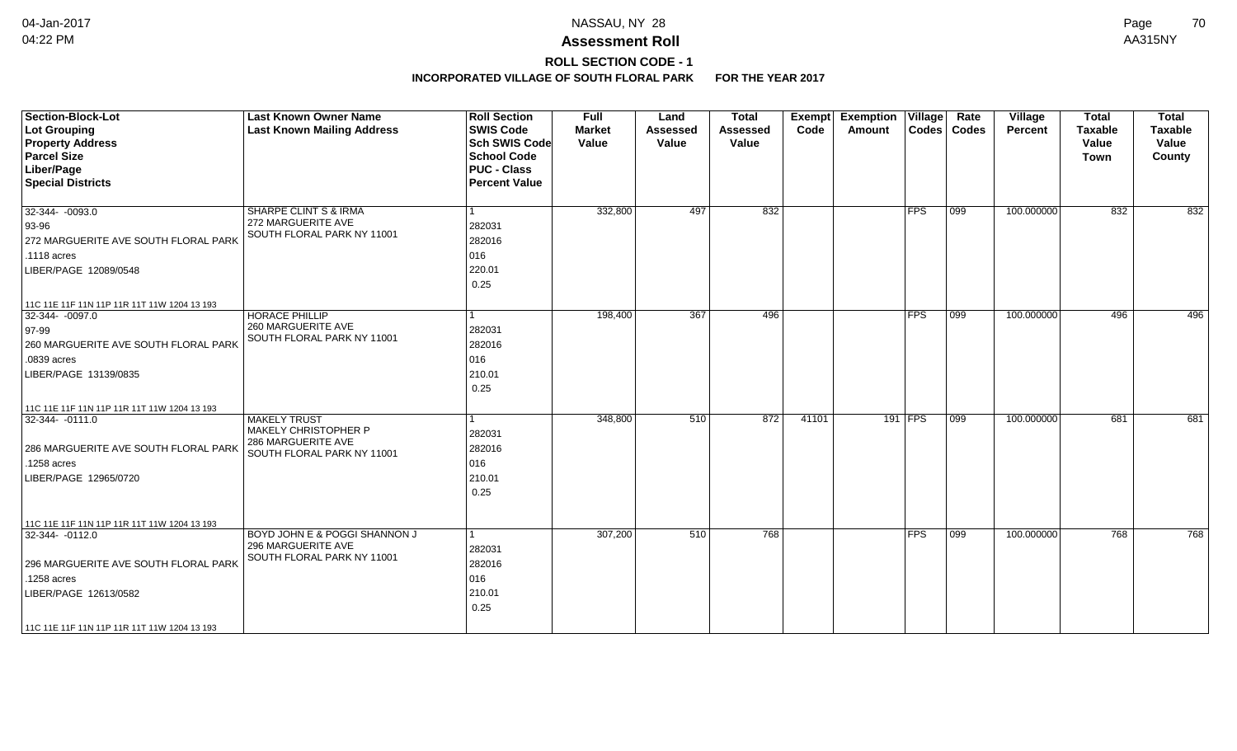## **ROLL SECTION CODE - 1**

| <b>Section-Block-Lot</b><br><b>Lot Grouping</b><br><b>Property Address</b><br><b>Parcel Size</b><br>Liber/Page<br><b>Special Districts</b> | <b>Last Known Owner Name</b><br><b>Last Known Mailing Address</b> | <b>Roll Section</b><br><b>SWIS Code</b><br><b>Sch SWIS Code</b><br><b>School Code</b><br><b>PUC - Class</b><br><b>Percent Value</b> | <b>Full</b><br><b>Market</b><br>Value | Land<br><b>Assessed</b><br>Value | <b>Total</b><br><b>Assessed</b><br>Value | Exempt<br>Code | <b>Exemption Village</b><br>Amount |               | Rate<br>Codes   Codes | Village<br>Percent | <b>Total</b><br><b>Taxable</b><br>Value<br>Town | <b>Total</b><br><b>Taxable</b><br>Value<br>County |
|--------------------------------------------------------------------------------------------------------------------------------------------|-------------------------------------------------------------------|-------------------------------------------------------------------------------------------------------------------------------------|---------------------------------------|----------------------------------|------------------------------------------|----------------|------------------------------------|---------------|-----------------------|--------------------|-------------------------------------------------|---------------------------------------------------|
| $32-344 - 0093.0$                                                                                                                          | <b>SHARPE CLINT S &amp; IRMA</b>                                  | $\vert$ 1                                                                                                                           | 332,800                               | 497                              | 832                                      |                |                                    | <b>FPS</b>    | $ 099\rangle$         | 100.000000         | 832                                             | 832                                               |
| 93-96<br>272 MARGUERITE AVE SOUTH FLORAL PARK                                                                                              | 272 MARGUERITE AVE<br>SOUTH FLORAL PARK NY 11001                  | 282031<br>282016                                                                                                                    |                                       |                                  |                                          |                |                                    |               |                       |                    |                                                 |                                                   |
| $.1118$ acres                                                                                                                              |                                                                   | 016                                                                                                                                 |                                       |                                  |                                          |                |                                    |               |                       |                    |                                                 |                                                   |
| LIBER/PAGE 12089/0548                                                                                                                      |                                                                   | 220.01                                                                                                                              |                                       |                                  |                                          |                |                                    |               |                       |                    |                                                 |                                                   |
|                                                                                                                                            |                                                                   | 0.25                                                                                                                                |                                       |                                  |                                          |                |                                    |               |                       |                    |                                                 |                                                   |
| 11C 11E 11F 11N 11P 11R 11T 11W 1204 13 193                                                                                                |                                                                   |                                                                                                                                     |                                       |                                  |                                          |                |                                    |               |                       |                    |                                                 |                                                   |
| $32-344 - 0097.0$                                                                                                                          | <b>HORACE PHILLIP</b>                                             | $\vert$ 1                                                                                                                           | 198,400                               | 367                              | 496                                      |                |                                    | FPS           | 099                   | 100.000000         | 496                                             | 496                                               |
| $ 97-99 $                                                                                                                                  | 260 MARGUERITE AVE<br>SOUTH FLORAL PARK NY 11001                  | 282031                                                                                                                              |                                       |                                  |                                          |                |                                    |               |                       |                    |                                                 |                                                   |
| 260 MARGUERITE AVE SOUTH FLORAL PARK                                                                                                       |                                                                   | 282016                                                                                                                              |                                       |                                  |                                          |                |                                    |               |                       |                    |                                                 |                                                   |
| .0839 acres                                                                                                                                |                                                                   | 016                                                                                                                                 |                                       |                                  |                                          |                |                                    |               |                       |                    |                                                 |                                                   |
| LIBER/PAGE 13139/0835                                                                                                                      |                                                                   | 210.01                                                                                                                              |                                       |                                  |                                          |                |                                    |               |                       |                    |                                                 |                                                   |
|                                                                                                                                            |                                                                   | 0.25                                                                                                                                |                                       |                                  |                                          |                |                                    |               |                       |                    |                                                 |                                                   |
| 11C 11E 11F 11N 11P 11R 11T 11W 1204 13 193                                                                                                |                                                                   |                                                                                                                                     |                                       |                                  |                                          |                |                                    |               |                       |                    |                                                 |                                                   |
| 32-344-0111.0                                                                                                                              | <b>MAKELY TRUST</b>                                               | 1                                                                                                                                   | 348,800                               | 510                              | 872                                      | 41101          |                                    | 191 FPS       | 099                   | 100.000000         | 681                                             | 681                                               |
|                                                                                                                                            | MAKELY CHRISTOPHER P<br>286 MARGUERITE AVE                        | 282031                                                                                                                              |                                       |                                  |                                          |                |                                    |               |                       |                    |                                                 |                                                   |
| 286 MARGUERITE AVE SOUTH FLORAL PARK                                                                                                       | SOUTH FLORAL PARK NY 11001                                        | 282016                                                                                                                              |                                       |                                  |                                          |                |                                    |               |                       |                    |                                                 |                                                   |
| .1258 acres                                                                                                                                |                                                                   | 016                                                                                                                                 |                                       |                                  |                                          |                |                                    |               |                       |                    |                                                 |                                                   |
| LIBER/PAGE 12965/0720                                                                                                                      |                                                                   | 210.01                                                                                                                              |                                       |                                  |                                          |                |                                    |               |                       |                    |                                                 |                                                   |
|                                                                                                                                            |                                                                   | 0.25                                                                                                                                |                                       |                                  |                                          |                |                                    |               |                       |                    |                                                 |                                                   |
|                                                                                                                                            |                                                                   |                                                                                                                                     |                                       |                                  |                                          |                |                                    |               |                       |                    |                                                 |                                                   |
| 11C 11E 11F 11N 11P 11R 11T 11W 1204 13 193                                                                                                |                                                                   |                                                                                                                                     |                                       |                                  |                                          |                |                                    |               |                       |                    |                                                 |                                                   |
| 32-344-0112.0                                                                                                                              | BOYD JOHN E & POGGI SHANNON J<br>296 MARGUERITE AVE               | $\vert$ 1                                                                                                                           | 307,200                               | 510                              | 768                                      |                |                                    | $ {\sf FPS} $ | 099                   | 100.000000         | 768                                             | 768                                               |
|                                                                                                                                            | SOUTH FLORAL PARK NY 11001                                        | 282031                                                                                                                              |                                       |                                  |                                          |                |                                    |               |                       |                    |                                                 |                                                   |
| 296 MARGUERITE AVE SOUTH FLORAL PARK                                                                                                       |                                                                   | 282016                                                                                                                              |                                       |                                  |                                          |                |                                    |               |                       |                    |                                                 |                                                   |
| .1258 acres                                                                                                                                |                                                                   | 016                                                                                                                                 |                                       |                                  |                                          |                |                                    |               |                       |                    |                                                 |                                                   |
| LIBER/PAGE 12613/0582                                                                                                                      |                                                                   | 210.01                                                                                                                              |                                       |                                  |                                          |                |                                    |               |                       |                    |                                                 |                                                   |
|                                                                                                                                            |                                                                   | 0.25                                                                                                                                |                                       |                                  |                                          |                |                                    |               |                       |                    |                                                 |                                                   |
| 11C 11E 11F 11N 11P 11R 11T 11W 1204 13 193                                                                                                |                                                                   |                                                                                                                                     |                                       |                                  |                                          |                |                                    |               |                       |                    |                                                 |                                                   |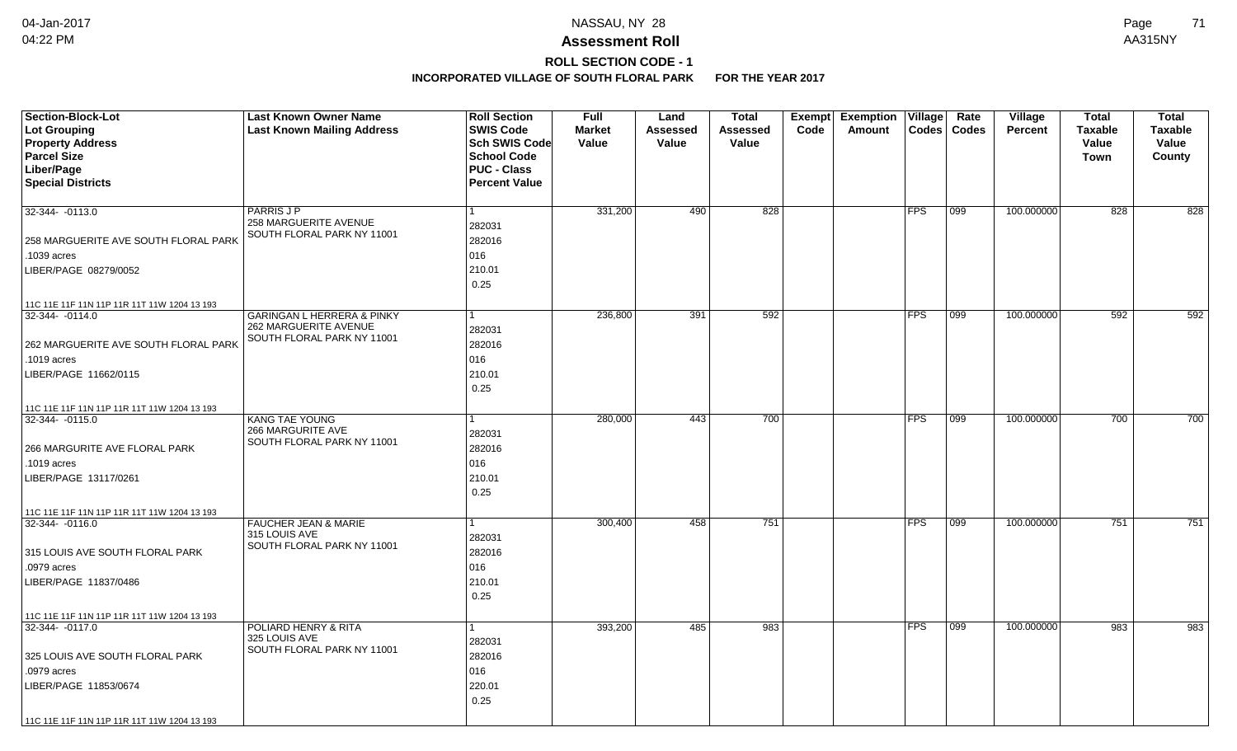# **ROLL SECTION CODE - 1**

| <b>Section-Block-Lot</b>                    | <b>Last Known Owner Name</b>                        | <b>Roll Section</b>  | <b>Full</b>   | Land     | <b>Total</b>    | <b>Exempt</b> | <b>Exemption Village</b> |              | Rate         | Village        | <b>Total</b>   | <b>Total</b>   |
|---------------------------------------------|-----------------------------------------------------|----------------------|---------------|----------|-----------------|---------------|--------------------------|--------------|--------------|----------------|----------------|----------------|
| Lot Grouping                                | <b>Last Known Mailing Address</b>                   | <b>SWIS Code</b>     | <b>Market</b> | Assessed | <b>Assessed</b> | Code          | Amount                   | <b>Codes</b> | <b>Codes</b> | <b>Percent</b> | <b>Taxable</b> | <b>Taxable</b> |
| <b>Property Address</b>                     |                                                     | <b>Sch SWIS Code</b> | Value         | Value    | Value           |               |                          |              |              |                | Value          | Value          |
| <b>Parcel Size</b>                          |                                                     | <b>School Code</b>   |               |          |                 |               |                          |              |              |                | <b>Town</b>    | County         |
| Liber/Page                                  |                                                     | <b>PUC - Class</b>   |               |          |                 |               |                          |              |              |                |                |                |
| <b>Special Districts</b>                    |                                                     | <b>Percent Value</b> |               |          |                 |               |                          |              |              |                |                |                |
|                                             |                                                     |                      |               |          |                 |               |                          |              |              |                |                |                |
| 32-344- -0113.0                             | <b>PARRIS J P</b>                                   |                      | 331,200       | 490      | 828             |               |                          | <b>FPS</b>   | 099          | 100.000000     | 828            | 828            |
|                                             | 258 MARGUERITE AVENUE<br>SOUTH FLORAL PARK NY 11001 | 282031               |               |          |                 |               |                          |              |              |                |                |                |
| 258 MARGUERITE AVE SOUTH FLORAL PARK        |                                                     | 282016               |               |          |                 |               |                          |              |              |                |                |                |
| .1039 acres                                 |                                                     | 016                  |               |          |                 |               |                          |              |              |                |                |                |
| LIBER/PAGE 08279/0052                       |                                                     | 210.01               |               |          |                 |               |                          |              |              |                |                |                |
|                                             |                                                     | 0.25                 |               |          |                 |               |                          |              |              |                |                |                |
| 11C 11E 11F 11N 11P 11R 11T 11W 1204 13 193 |                                                     |                      |               |          |                 |               |                          |              |              |                |                |                |
| 32-344-0114.0                               | <b>GARINGAN L HERRERA &amp; PINKY</b>               |                      | 236,800       | 391      | 592             |               |                          | <b>FPS</b>   | 099          | 100.000000     | 592            | 592            |
|                                             | 262 MARGUERITE AVENUE                               | 282031               |               |          |                 |               |                          |              |              |                |                |                |
| 262 MARGUERITE AVE SOUTH FLORAL PARK        | SOUTH FLORAL PARK NY 11001                          | 282016               |               |          |                 |               |                          |              |              |                |                |                |
| .1019 acres                                 |                                                     | 016                  |               |          |                 |               |                          |              |              |                |                |                |
| LIBER/PAGE 11662/0115                       |                                                     | 210.01               |               |          |                 |               |                          |              |              |                |                |                |
|                                             |                                                     | 0.25                 |               |          |                 |               |                          |              |              |                |                |                |
| 11C 11E 11F 11N 11P 11R 11T 11W 1204 13 193 |                                                     |                      |               |          |                 |               |                          |              |              |                |                |                |
| 32-344- -0115.0                             | <b>KANG TAE YOUNG</b>                               |                      | 280,000       | 443      | 700             |               |                          | <b>FPS</b>   | 099          | 100.000000     | 700            | 700            |
|                                             | 266 MARGURITE AVE                                   | 282031               |               |          |                 |               |                          |              |              |                |                |                |
| 266 MARGURITE AVE FLORAL PARK               | SOUTH FLORAL PARK NY 11001                          | 282016               |               |          |                 |               |                          |              |              |                |                |                |
| .1019 acres                                 |                                                     | 016                  |               |          |                 |               |                          |              |              |                |                |                |
| LIBER/PAGE 13117/0261                       |                                                     | 210.01               |               |          |                 |               |                          |              |              |                |                |                |
|                                             |                                                     | 0.25                 |               |          |                 |               |                          |              |              |                |                |                |
| 11C 11E 11F 11N 11P 11R 11T 11W 1204 13 193 |                                                     |                      |               |          |                 |               |                          |              |              |                |                |                |
| 32-344- -0116.0                             | <b>FAUCHER JEAN &amp; MARIE</b>                     |                      | 300,400       | 458      | 751             |               |                          | <b>FPS</b>   | 099          | 100.000000     | 751            | 751            |
|                                             | 315 LOUIS AVE                                       | 282031               |               |          |                 |               |                          |              |              |                |                |                |
| 315 LOUIS AVE SOUTH FLORAL PARK             | SOUTH FLORAL PARK NY 11001                          | 282016               |               |          |                 |               |                          |              |              |                |                |                |
| .0979 acres                                 |                                                     | 016                  |               |          |                 |               |                          |              |              |                |                |                |
| LIBER/PAGE 11837/0486                       |                                                     | 210.01               |               |          |                 |               |                          |              |              |                |                |                |
|                                             |                                                     | 0.25                 |               |          |                 |               |                          |              |              |                |                |                |
| 11C 11E 11F 11N 11P 11R 11T 11W 1204 13 193 |                                                     |                      |               |          |                 |               |                          |              |              |                |                |                |
| 32-344-0117.0                               | POLIARD HENRY & RITA                                |                      | 393,200       | 485      | 983             |               |                          | <b>FPS</b>   | 099          | 100.000000     | 983            | 983            |
|                                             | 325 LOUIS AVE<br>SOUTH FLORAL PARK NY 11001         | 282031               |               |          |                 |               |                          |              |              |                |                |                |
| 325 LOUIS AVE SOUTH FLORAL PARK             |                                                     | 282016               |               |          |                 |               |                          |              |              |                |                |                |
| .0979 acres                                 |                                                     | 016                  |               |          |                 |               |                          |              |              |                |                |                |
| LIBER/PAGE 11853/0674                       |                                                     | 220.01               |               |          |                 |               |                          |              |              |                |                |                |
|                                             |                                                     | 0.25                 |               |          |                 |               |                          |              |              |                |                |                |
| 11C 11E 11F 11N 11P 11R 11T 11W 1204 13 193 |                                                     |                      |               |          |                 |               |                          |              |              |                |                |                |
|                                             |                                                     |                      |               |          |                 |               |                          |              |              |                |                |                |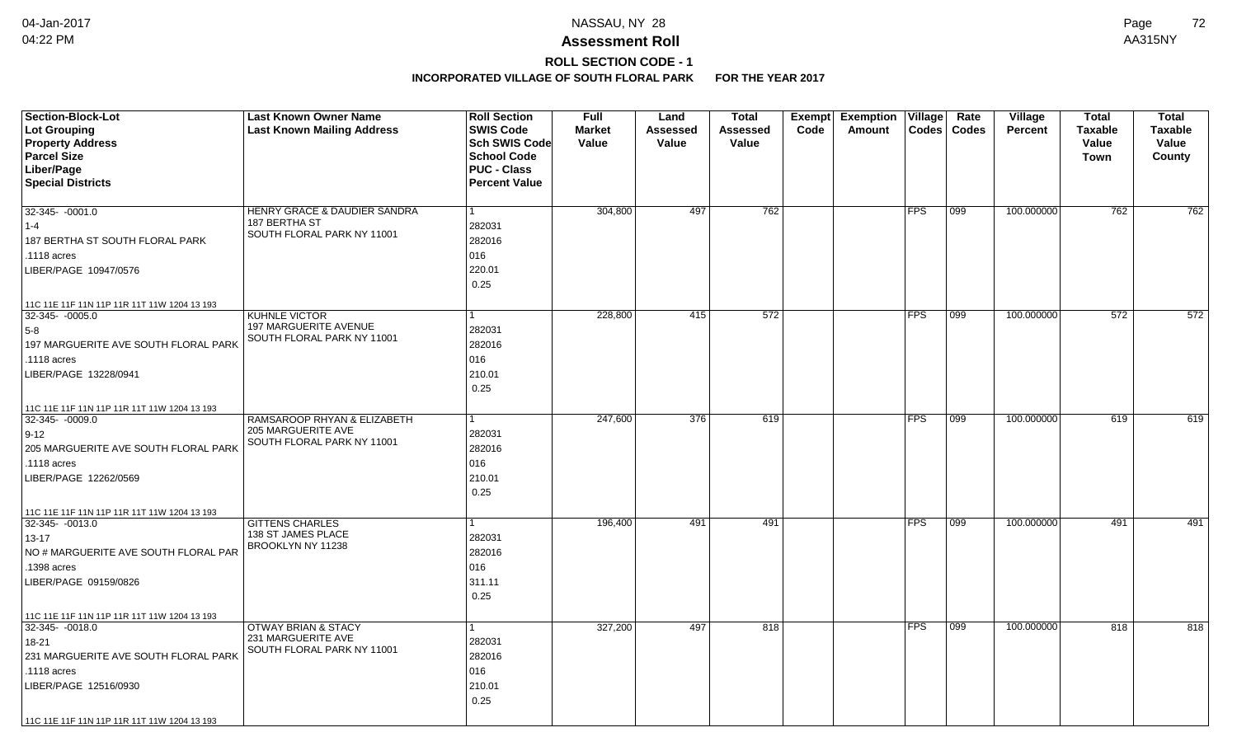# **ROLL SECTION CODE - 1**

| <b>Section-Block-Lot</b><br>Lot Grouping<br><b>Property Address</b><br><b>Parcel Size</b><br>Liber/Page<br><b>Special Districts</b> | <b>Last Known Owner Name</b><br><b>Last Known Mailing Address</b> | <b>Roll Section</b><br><b>SWIS Code</b><br><b>Sch SWIS Code</b><br><b>School Code</b><br><b>PUC - Class</b><br><b>Percent Value</b> | <b>Full</b><br><b>Market</b><br>Value | Land<br><b>Assessed</b><br>Value | <b>Total</b><br>Assessed<br>Value | <b>Exempt</b><br>Code | <b>Exemption Village</b><br>Amount | <b>Codes</b>  | Rate<br><b>Codes</b> | Village<br><b>Percent</b> | Total<br><b>Taxable</b><br>Value<br><b>Town</b> | <b>Total</b><br>Taxable<br>Value<br>County |
|-------------------------------------------------------------------------------------------------------------------------------------|-------------------------------------------------------------------|-------------------------------------------------------------------------------------------------------------------------------------|---------------------------------------|----------------------------------|-----------------------------------|-----------------------|------------------------------------|---------------|----------------------|---------------------------|-------------------------------------------------|--------------------------------------------|
| $32-345 - 0001.0$                                                                                                                   | <b>HENRY GRACE &amp; DAUDIER SANDRA</b>                           | 1                                                                                                                                   | 304,800                               | 497                              | 762                               |                       |                                    | FPS           | 099                  | 100.000000                | 762                                             | 762                                        |
| $1 - 4$                                                                                                                             | 187 BERTHA ST                                                     | 282031                                                                                                                              |                                       |                                  |                                   |                       |                                    |               |                      |                           |                                                 |                                            |
| 187 BERTHA ST SOUTH FLORAL PARK                                                                                                     | SOUTH FLORAL PARK NY 11001                                        | 282016                                                                                                                              |                                       |                                  |                                   |                       |                                    |               |                      |                           |                                                 |                                            |
| .1118 acres                                                                                                                         |                                                                   | 016                                                                                                                                 |                                       |                                  |                                   |                       |                                    |               |                      |                           |                                                 |                                            |
| LIBER/PAGE 10947/0576                                                                                                               |                                                                   | 220.01                                                                                                                              |                                       |                                  |                                   |                       |                                    |               |                      |                           |                                                 |                                            |
|                                                                                                                                     |                                                                   | 0.25                                                                                                                                |                                       |                                  |                                   |                       |                                    |               |                      |                           |                                                 |                                            |
| 11C 11E 11F 11N 11P 11R 11T 11W 1204 13 193                                                                                         |                                                                   |                                                                                                                                     |                                       |                                  |                                   |                       |                                    |               |                      |                           |                                                 |                                            |
| 32-345-0005.0                                                                                                                       | KUHNLE VICTOR                                                     |                                                                                                                                     | 228,800                               | 415                              | 572                               |                       |                                    | FPS           | $ 099\rangle$        | 100.000000                | 572                                             | 572                                        |
| $5-8$                                                                                                                               | 197 MARGUERITE AVENUE<br>SOUTH FLORAL PARK NY 11001               | 282031                                                                                                                              |                                       |                                  |                                   |                       |                                    |               |                      |                           |                                                 |                                            |
| 197 MARGUERITE AVE SOUTH FLORAL PARK                                                                                                |                                                                   | 282016                                                                                                                              |                                       |                                  |                                   |                       |                                    |               |                      |                           |                                                 |                                            |
| .1118 acres                                                                                                                         |                                                                   | 016                                                                                                                                 |                                       |                                  |                                   |                       |                                    |               |                      |                           |                                                 |                                            |
| LIBER/PAGE 13228/0941                                                                                                               |                                                                   | 210.01                                                                                                                              |                                       |                                  |                                   |                       |                                    |               |                      |                           |                                                 |                                            |
|                                                                                                                                     |                                                                   | 0.25                                                                                                                                |                                       |                                  |                                   |                       |                                    |               |                      |                           |                                                 |                                            |
| 11C 11E 11F 11N 11P 11R 11T 11W 1204 13 193                                                                                         |                                                                   |                                                                                                                                     |                                       |                                  |                                   |                       |                                    |               |                      |                           |                                                 |                                            |
| 32-345-0009.0                                                                                                                       | RAMSAROOP RHYAN & ELIZABETH                                       |                                                                                                                                     | 247,600                               | 376                              | 619                               |                       |                                    | <b>FPS</b>    | 099                  | 100.000000                | 619                                             | 619                                        |
| $ 9-12 $                                                                                                                            | 205 MARGUERITE AVE<br>SOUTH FLORAL PARK NY 11001                  | 282031                                                                                                                              |                                       |                                  |                                   |                       |                                    |               |                      |                           |                                                 |                                            |
| 205 MARGUERITE AVE SOUTH FLORAL PARK                                                                                                |                                                                   | 282016                                                                                                                              |                                       |                                  |                                   |                       |                                    |               |                      |                           |                                                 |                                            |
| .1118 acres                                                                                                                         |                                                                   | 016                                                                                                                                 |                                       |                                  |                                   |                       |                                    |               |                      |                           |                                                 |                                            |
| LIBER/PAGE 12262/0569                                                                                                               |                                                                   | 210.01                                                                                                                              |                                       |                                  |                                   |                       |                                    |               |                      |                           |                                                 |                                            |
|                                                                                                                                     |                                                                   | 0.25                                                                                                                                |                                       |                                  |                                   |                       |                                    |               |                      |                           |                                                 |                                            |
| 11C 11E 11F 11N 11P 11R 11T 11W 1204 13 193                                                                                         |                                                                   |                                                                                                                                     |                                       |                                  |                                   |                       |                                    |               |                      |                           |                                                 |                                            |
| 32-345-0013.0                                                                                                                       | <b>GITTENS CHARLES</b>                                            | 1                                                                                                                                   | 196,400                               | 491                              | 491                               |                       |                                    | $ {\sf FPS} $ | 099                  | 100.000000                | 491                                             | 491                                        |
| $13 - 17$                                                                                                                           | 138 ST JAMES PLACE<br>BROOKLYN NY 11238                           | 282031                                                                                                                              |                                       |                                  |                                   |                       |                                    |               |                      |                           |                                                 |                                            |
| NO # MARGUERITE AVE SOUTH FLORAL PAR                                                                                                |                                                                   | 282016                                                                                                                              |                                       |                                  |                                   |                       |                                    |               |                      |                           |                                                 |                                            |
| .1398 acres                                                                                                                         |                                                                   | 016                                                                                                                                 |                                       |                                  |                                   |                       |                                    |               |                      |                           |                                                 |                                            |
| LIBER/PAGE 09159/0826                                                                                                               |                                                                   | 311.11                                                                                                                              |                                       |                                  |                                   |                       |                                    |               |                      |                           |                                                 |                                            |
|                                                                                                                                     |                                                                   | 0.25                                                                                                                                |                                       |                                  |                                   |                       |                                    |               |                      |                           |                                                 |                                            |
| 11C 11E 11F 11N 11P 11R 11T 11W 1204 13 193                                                                                         |                                                                   |                                                                                                                                     |                                       |                                  |                                   |                       |                                    |               |                      |                           |                                                 |                                            |
| $32 - 345 - 0018.0$                                                                                                                 | <b>OTWAY BRIAN &amp; STACY</b>                                    | 1                                                                                                                                   | 327,200                               | 497                              | 818                               |                       |                                    | <b>FPS</b>    | 099                  | 100.000000                | 818                                             | 818                                        |
| 18-21                                                                                                                               | 231 MARGUERITE AVE<br>SOUTH FLORAL PARK NY 11001                  | 282031                                                                                                                              |                                       |                                  |                                   |                       |                                    |               |                      |                           |                                                 |                                            |
| 231 MARGUERITE AVE SOUTH FLORAL PARK                                                                                                |                                                                   | 282016                                                                                                                              |                                       |                                  |                                   |                       |                                    |               |                      |                           |                                                 |                                            |
| .1118 acres                                                                                                                         |                                                                   | 016                                                                                                                                 |                                       |                                  |                                   |                       |                                    |               |                      |                           |                                                 |                                            |
| LIBER/PAGE 12516/0930                                                                                                               |                                                                   | 210.01                                                                                                                              |                                       |                                  |                                   |                       |                                    |               |                      |                           |                                                 |                                            |
|                                                                                                                                     |                                                                   | 0.25                                                                                                                                |                                       |                                  |                                   |                       |                                    |               |                      |                           |                                                 |                                            |
| 11C 11E 11F 11N 11P 11R 11T 11W 1204 13 193                                                                                         |                                                                   |                                                                                                                                     |                                       |                                  |                                   |                       |                                    |               |                      |                           |                                                 |                                            |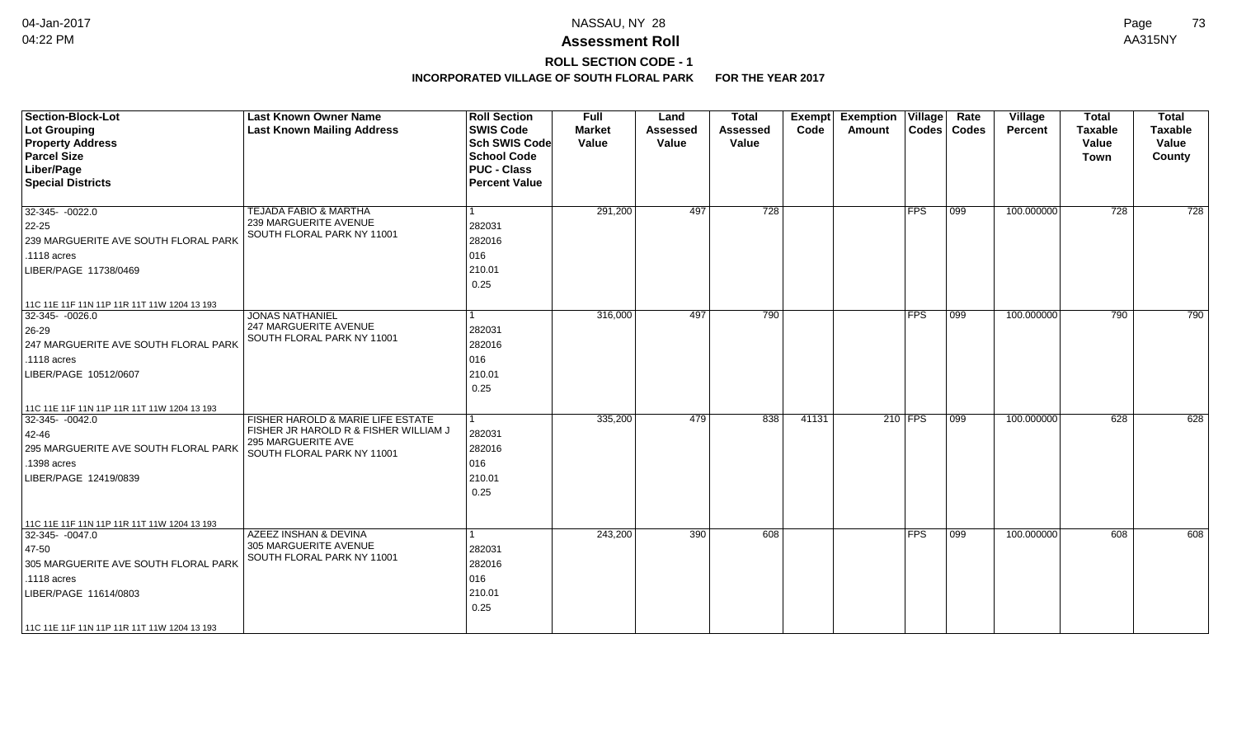# **ROLL SECTION CODE - 1**

| <b>Section-Block-Lot</b><br>Lot Grouping<br><b>Property Address</b><br><b>Parcel Size</b><br>Liber/Page<br><b>Special Districts</b>                                                                      | <b>Last Known Owner Name</b><br><b>Last Known Mailing Address</b>                                                              | <b>Roll Section</b><br><b>SWIS Code</b><br><b>Sch SWIS Code</b><br><b>School Code</b><br><b>PUC - Class</b><br><b>Percent Value</b> | <b>Full</b><br><b>Market</b><br>Value | Land<br><b>Assessed</b><br>Value | <b>Total</b><br><b>Assessed</b><br>Value | Exempt<br>Code | <b>Exemption Village</b><br>Amount |            | Rate<br>Codes   Codes | Village<br>Percent | <b>Total</b><br><b>Taxable</b><br>Value<br>Town | <b>Total</b><br><b>Taxable</b><br>Value<br>County |
|----------------------------------------------------------------------------------------------------------------------------------------------------------------------------------------------------------|--------------------------------------------------------------------------------------------------------------------------------|-------------------------------------------------------------------------------------------------------------------------------------|---------------------------------------|----------------------------------|------------------------------------------|----------------|------------------------------------|------------|-----------------------|--------------------|-------------------------------------------------|---------------------------------------------------|
| $32-345 - 0022.0$<br>$22 - 25$<br>239 MARGUERITE AVE SOUTH FLORAL PARK<br>.1118 acres<br>LIBER/PAGE 11738/0469                                                                                           | <b>TEJADA FABIO &amp; MARTHA</b><br>239 MARGUERITE AVENUE<br>SOUTH FLORAL PARK NY 11001                                        | 282031<br>282016<br>016<br>210.01<br>0.25                                                                                           | 291,200                               | 497                              | 728                                      |                |                                    | <b>FPS</b> | 099                   | 100.000000         | 728                                             | 728                                               |
| 11C 11E 11F 11N 11P 11R 11T 11W 1204 13 193<br>32-345-0026.0<br>$26 - 29$<br>247 MARGUERITE AVE SOUTH FLORAL PARK<br>.1118 acres<br>LIBER/PAGE 10512/0607<br>11C 11E 11F 11N 11P 11R 11T 11W 1204 13 193 | <b>JONAS NATHANIEL</b><br>247 MARGUERITE AVENUE<br>SOUTH FLORAL PARK NY 11001                                                  | 282031<br>282016<br>016<br>210.01<br>0.25                                                                                           | 316,000                               | 497                              | 790                                      |                |                                    | <b>FPS</b> | 099                   | 100.000000         | 790                                             | 790                                               |
| $32 - 345 - 0042.0$<br>42-46<br>295 MARGUERITE AVE SOUTH FLORAL PARK<br>.1398 acres<br>LIBER/PAGE 12419/0839<br>11C 11E 11F 11N 11P 11R 11T 11W 1204 13 193                                              | FISHER HAROLD & MARIE LIFE ESTATE<br>FISHER JR HAROLD R & FISHER WILLIAM J<br>295 MARGUERITE AVE<br>SOUTH FLORAL PARK NY 11001 | 282031<br>282016<br>016<br>210.01<br>0.25                                                                                           | 335,200                               | 479                              | 838                                      | 41131          |                                    | 210 FPS    | 099                   | 100.000000         | 628                                             | 628                                               |
| $32-345 - 0047.0$<br>$ 47-50$<br>305 MARGUERITE AVE SOUTH FLORAL PARK<br>.1118 acres<br>LIBER/PAGE 11614/0803<br>  11C 11E 11F 11N 11P 11R 11T 11W 1204 13 193                                           | AZEEZ INSHAN & DEVINA<br>305 MARGUERITE AVENUE<br>SOUTH FLORAL PARK NY 11001                                                   | 282031<br>282016<br>016<br>210.01<br>0.25                                                                                           | 243,200                               | 390                              | 608                                      |                |                                    | <b>FPS</b> | 099                   | 100.000000         | 608                                             | 608                                               |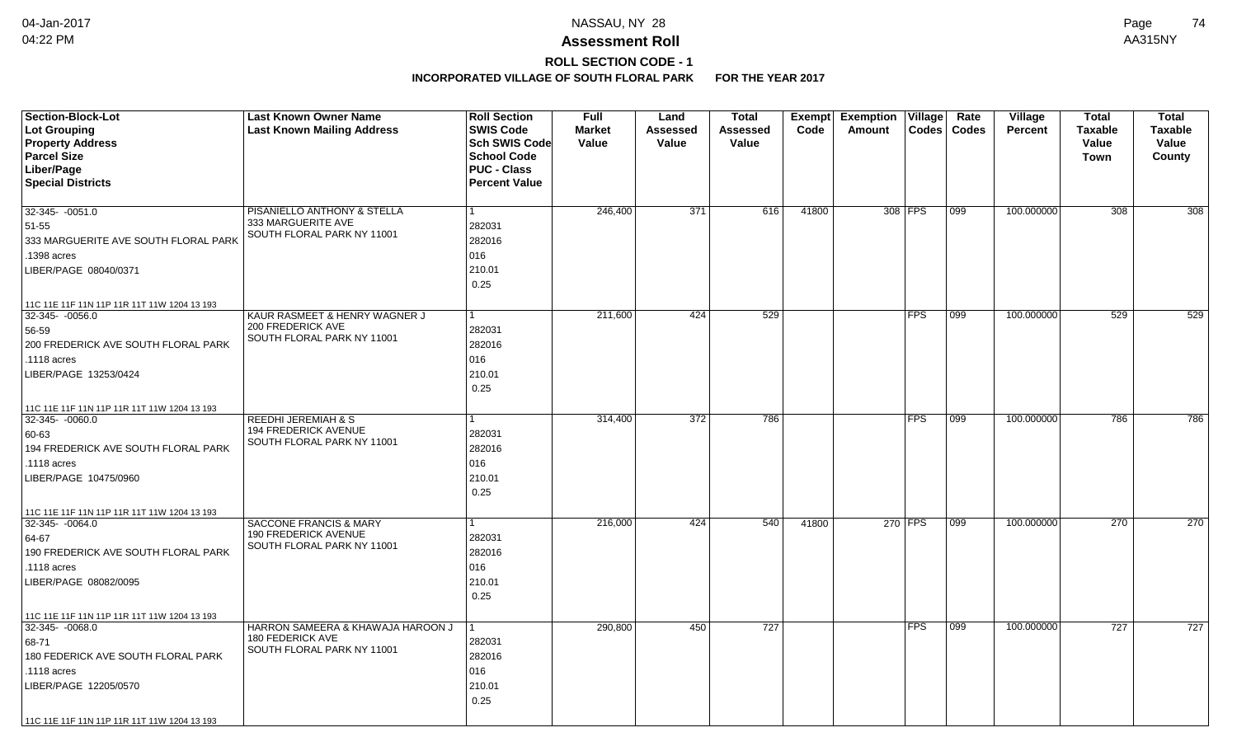# **ROLL SECTION CODE - 1**

| <b>SWIS Code</b><br>Lot Grouping<br><b>Last Known Mailing Address</b><br><b>Market</b><br><b>Assessed</b><br>Code<br>Amount<br>$\text{Codes}$<br>Codes<br><b>Percent</b><br><b>Taxable</b><br><b>Taxable</b><br><b>Assessed</b><br><b>Property Address</b><br><b>Sch SWIS Code</b><br>Value<br>Value<br>Value<br>Value<br>Value<br><b>Parcel Size</b><br><b>School Code</b><br>County<br>Town<br>Liber/Page<br><b>PUC - Class</b><br><b>Special Districts</b><br><b>Percent Value</b><br>100.000000<br>$\overline{308}$<br>$32-345 - 0051.0$<br>PISANIELLO ANTHONY & STELLA<br>246,400<br>371<br>616<br>41800<br>308 FPS<br>308<br>099<br>333 MARGUERITE AVE<br>51-55<br>282031<br>SOUTH FLORAL PARK NY 11001<br>333 MARGUERITE AVE SOUTH FLORAL PARK<br>282016<br>.1398 acres<br>016<br>210.01<br>LIBER/PAGE 08040/0371<br>0.25<br>11C 11E 11F 11N 11P 11R 11T 11W 1204 13 193<br><b>FPS</b><br>$32-345 - 0056.0$<br>KAUR RASMEET & HENRY WAGNER J<br>211,600<br>424<br>529<br>099<br>100.000000<br>529<br>529<br>$\mathbf{1}$<br>200 FREDERICK AVE<br>282031<br>56-59<br>SOUTH FLORAL PARK NY 11001<br>200 FREDERICK AVE SOUTH FLORAL PARK<br>282016<br>016<br>.1118 acres<br>210.01<br>LIBER/PAGE 13253/0424<br>0.25<br>11C 11E 11F 11N 11P 11R 11T 11W 1204 13 193<br><b>REEDHI JEREMIAH &amp; S</b><br>314,400<br>372<br>786<br><b>FPS</b><br>100.000000<br>786<br>32-345-0060.0<br>099<br><b>194 FREDERICK AVENUE</b><br>282031<br>60-63<br>SOUTH FLORAL PARK NY 11001<br>194 FREDERICK AVE SOUTH FLORAL PARK<br>282016<br>016<br>.1118 acres<br>210.01<br>LIBER/PAGE 10475/0960<br>0.25<br>11C 11E 11F 11N 11P 11R 11T 11W 1204 13 193<br>SACCONE FRANCIS & MARY<br>270 FPS<br>100.000000<br>270<br>216,000<br>424<br>540<br>41800<br>099<br>32-345-0064.0<br>1<br>190 FREDERICK AVENUE<br>282031<br>64-67<br>SOUTH FLORAL PARK NY 11001<br>190 FREDERICK AVE SOUTH FLORAL PARK<br>282016<br>016<br>.1118 acres<br>210.01<br>LIBER/PAGE 08082/0095 | <b>Section-Block-Lot</b> | <b>Last Known Owner Name</b> | <b>Roll Section</b> | <b>Full</b> | Land | Total | <b>Exempt</b> | <b>Exemption Village</b> | Rate | Village | <b>Total</b> | <b>Total</b> |
|-----------------------------------------------------------------------------------------------------------------------------------------------------------------------------------------------------------------------------------------------------------------------------------------------------------------------------------------------------------------------------------------------------------------------------------------------------------------------------------------------------------------------------------------------------------------------------------------------------------------------------------------------------------------------------------------------------------------------------------------------------------------------------------------------------------------------------------------------------------------------------------------------------------------------------------------------------------------------------------------------------------------------------------------------------------------------------------------------------------------------------------------------------------------------------------------------------------------------------------------------------------------------------------------------------------------------------------------------------------------------------------------------------------------------------------------------------------------------------------------------------------------------------------------------------------------------------------------------------------------------------------------------------------------------------------------------------------------------------------------------------------------------------------------------------------------------------------------------------------------------------------------------------------------------------------------------------------|--------------------------|------------------------------|---------------------|-------------|------|-------|---------------|--------------------------|------|---------|--------------|--------------|
|                                                                                                                                                                                                                                                                                                                                                                                                                                                                                                                                                                                                                                                                                                                                                                                                                                                                                                                                                                                                                                                                                                                                                                                                                                                                                                                                                                                                                                                                                                                                                                                                                                                                                                                                                                                                                                                                                                                                                           |                          |                              |                     |             |      |       |               |                          |      |         |              |              |
|                                                                                                                                                                                                                                                                                                                                                                                                                                                                                                                                                                                                                                                                                                                                                                                                                                                                                                                                                                                                                                                                                                                                                                                                                                                                                                                                                                                                                                                                                                                                                                                                                                                                                                                                                                                                                                                                                                                                                           |                          |                              |                     |             |      |       |               |                          |      |         |              |              |
|                                                                                                                                                                                                                                                                                                                                                                                                                                                                                                                                                                                                                                                                                                                                                                                                                                                                                                                                                                                                                                                                                                                                                                                                                                                                                                                                                                                                                                                                                                                                                                                                                                                                                                                                                                                                                                                                                                                                                           |                          |                              |                     |             |      |       |               |                          |      |         |              |              |
|                                                                                                                                                                                                                                                                                                                                                                                                                                                                                                                                                                                                                                                                                                                                                                                                                                                                                                                                                                                                                                                                                                                                                                                                                                                                                                                                                                                                                                                                                                                                                                                                                                                                                                                                                                                                                                                                                                                                                           |                          |                              |                     |             |      |       |               |                          |      |         |              |              |
|                                                                                                                                                                                                                                                                                                                                                                                                                                                                                                                                                                                                                                                                                                                                                                                                                                                                                                                                                                                                                                                                                                                                                                                                                                                                                                                                                                                                                                                                                                                                                                                                                                                                                                                                                                                                                                                                                                                                                           |                          |                              |                     |             |      |       |               |                          |      |         |              |              |
|                                                                                                                                                                                                                                                                                                                                                                                                                                                                                                                                                                                                                                                                                                                                                                                                                                                                                                                                                                                                                                                                                                                                                                                                                                                                                                                                                                                                                                                                                                                                                                                                                                                                                                                                                                                                                                                                                                                                                           |                          |                              |                     |             |      |       |               |                          |      |         |              |              |
|                                                                                                                                                                                                                                                                                                                                                                                                                                                                                                                                                                                                                                                                                                                                                                                                                                                                                                                                                                                                                                                                                                                                                                                                                                                                                                                                                                                                                                                                                                                                                                                                                                                                                                                                                                                                                                                                                                                                                           |                          |                              |                     |             |      |       |               |                          |      |         |              |              |
|                                                                                                                                                                                                                                                                                                                                                                                                                                                                                                                                                                                                                                                                                                                                                                                                                                                                                                                                                                                                                                                                                                                                                                                                                                                                                                                                                                                                                                                                                                                                                                                                                                                                                                                                                                                                                                                                                                                                                           |                          |                              |                     |             |      |       |               |                          |      |         |              |              |
|                                                                                                                                                                                                                                                                                                                                                                                                                                                                                                                                                                                                                                                                                                                                                                                                                                                                                                                                                                                                                                                                                                                                                                                                                                                                                                                                                                                                                                                                                                                                                                                                                                                                                                                                                                                                                                                                                                                                                           |                          |                              |                     |             |      |       |               |                          |      |         |              |              |
|                                                                                                                                                                                                                                                                                                                                                                                                                                                                                                                                                                                                                                                                                                                                                                                                                                                                                                                                                                                                                                                                                                                                                                                                                                                                                                                                                                                                                                                                                                                                                                                                                                                                                                                                                                                                                                                                                                                                                           |                          |                              |                     |             |      |       |               |                          |      |         |              |              |
|                                                                                                                                                                                                                                                                                                                                                                                                                                                                                                                                                                                                                                                                                                                                                                                                                                                                                                                                                                                                                                                                                                                                                                                                                                                                                                                                                                                                                                                                                                                                                                                                                                                                                                                                                                                                                                                                                                                                                           |                          |                              |                     |             |      |       |               |                          |      |         |              |              |
|                                                                                                                                                                                                                                                                                                                                                                                                                                                                                                                                                                                                                                                                                                                                                                                                                                                                                                                                                                                                                                                                                                                                                                                                                                                                                                                                                                                                                                                                                                                                                                                                                                                                                                                                                                                                                                                                                                                                                           |                          |                              |                     |             |      |       |               |                          |      |         |              |              |
|                                                                                                                                                                                                                                                                                                                                                                                                                                                                                                                                                                                                                                                                                                                                                                                                                                                                                                                                                                                                                                                                                                                                                                                                                                                                                                                                                                                                                                                                                                                                                                                                                                                                                                                                                                                                                                                                                                                                                           |                          |                              |                     |             |      |       |               |                          |      |         |              |              |
|                                                                                                                                                                                                                                                                                                                                                                                                                                                                                                                                                                                                                                                                                                                                                                                                                                                                                                                                                                                                                                                                                                                                                                                                                                                                                                                                                                                                                                                                                                                                                                                                                                                                                                                                                                                                                                                                                                                                                           |                          |                              |                     |             |      |       |               |                          |      |         |              |              |
|                                                                                                                                                                                                                                                                                                                                                                                                                                                                                                                                                                                                                                                                                                                                                                                                                                                                                                                                                                                                                                                                                                                                                                                                                                                                                                                                                                                                                                                                                                                                                                                                                                                                                                                                                                                                                                                                                                                                                           |                          |                              |                     |             |      |       |               |                          |      |         |              |              |
|                                                                                                                                                                                                                                                                                                                                                                                                                                                                                                                                                                                                                                                                                                                                                                                                                                                                                                                                                                                                                                                                                                                                                                                                                                                                                                                                                                                                                                                                                                                                                                                                                                                                                                                                                                                                                                                                                                                                                           |                          |                              |                     |             |      |       |               |                          |      |         |              |              |
|                                                                                                                                                                                                                                                                                                                                                                                                                                                                                                                                                                                                                                                                                                                                                                                                                                                                                                                                                                                                                                                                                                                                                                                                                                                                                                                                                                                                                                                                                                                                                                                                                                                                                                                                                                                                                                                                                                                                                           |                          |                              |                     |             |      |       |               |                          |      |         |              |              |
|                                                                                                                                                                                                                                                                                                                                                                                                                                                                                                                                                                                                                                                                                                                                                                                                                                                                                                                                                                                                                                                                                                                                                                                                                                                                                                                                                                                                                                                                                                                                                                                                                                                                                                                                                                                                                                                                                                                                                           |                          |                              |                     |             |      |       |               |                          |      |         |              |              |
|                                                                                                                                                                                                                                                                                                                                                                                                                                                                                                                                                                                                                                                                                                                                                                                                                                                                                                                                                                                                                                                                                                                                                                                                                                                                                                                                                                                                                                                                                                                                                                                                                                                                                                                                                                                                                                                                                                                                                           |                          |                              |                     |             |      |       |               |                          |      |         |              |              |
|                                                                                                                                                                                                                                                                                                                                                                                                                                                                                                                                                                                                                                                                                                                                                                                                                                                                                                                                                                                                                                                                                                                                                                                                                                                                                                                                                                                                                                                                                                                                                                                                                                                                                                                                                                                                                                                                                                                                                           |                          |                              |                     |             |      |       |               |                          |      |         |              |              |
|                                                                                                                                                                                                                                                                                                                                                                                                                                                                                                                                                                                                                                                                                                                                                                                                                                                                                                                                                                                                                                                                                                                                                                                                                                                                                                                                                                                                                                                                                                                                                                                                                                                                                                                                                                                                                                                                                                                                                           |                          |                              |                     |             |      |       |               |                          |      |         |              | 786          |
|                                                                                                                                                                                                                                                                                                                                                                                                                                                                                                                                                                                                                                                                                                                                                                                                                                                                                                                                                                                                                                                                                                                                                                                                                                                                                                                                                                                                                                                                                                                                                                                                                                                                                                                                                                                                                                                                                                                                                           |                          |                              |                     |             |      |       |               |                          |      |         |              |              |
|                                                                                                                                                                                                                                                                                                                                                                                                                                                                                                                                                                                                                                                                                                                                                                                                                                                                                                                                                                                                                                                                                                                                                                                                                                                                                                                                                                                                                                                                                                                                                                                                                                                                                                                                                                                                                                                                                                                                                           |                          |                              |                     |             |      |       |               |                          |      |         |              |              |
|                                                                                                                                                                                                                                                                                                                                                                                                                                                                                                                                                                                                                                                                                                                                                                                                                                                                                                                                                                                                                                                                                                                                                                                                                                                                                                                                                                                                                                                                                                                                                                                                                                                                                                                                                                                                                                                                                                                                                           |                          |                              |                     |             |      |       |               |                          |      |         |              |              |
|                                                                                                                                                                                                                                                                                                                                                                                                                                                                                                                                                                                                                                                                                                                                                                                                                                                                                                                                                                                                                                                                                                                                                                                                                                                                                                                                                                                                                                                                                                                                                                                                                                                                                                                                                                                                                                                                                                                                                           |                          |                              |                     |             |      |       |               |                          |      |         |              |              |
|                                                                                                                                                                                                                                                                                                                                                                                                                                                                                                                                                                                                                                                                                                                                                                                                                                                                                                                                                                                                                                                                                                                                                                                                                                                                                                                                                                                                                                                                                                                                                                                                                                                                                                                                                                                                                                                                                                                                                           |                          |                              |                     |             |      |       |               |                          |      |         |              |              |
|                                                                                                                                                                                                                                                                                                                                                                                                                                                                                                                                                                                                                                                                                                                                                                                                                                                                                                                                                                                                                                                                                                                                                                                                                                                                                                                                                                                                                                                                                                                                                                                                                                                                                                                                                                                                                                                                                                                                                           |                          |                              |                     |             |      |       |               |                          |      |         |              |              |
|                                                                                                                                                                                                                                                                                                                                                                                                                                                                                                                                                                                                                                                                                                                                                                                                                                                                                                                                                                                                                                                                                                                                                                                                                                                                                                                                                                                                                                                                                                                                                                                                                                                                                                                                                                                                                                                                                                                                                           |                          |                              |                     |             |      |       |               |                          |      |         |              | 270          |
|                                                                                                                                                                                                                                                                                                                                                                                                                                                                                                                                                                                                                                                                                                                                                                                                                                                                                                                                                                                                                                                                                                                                                                                                                                                                                                                                                                                                                                                                                                                                                                                                                                                                                                                                                                                                                                                                                                                                                           |                          |                              |                     |             |      |       |               |                          |      |         |              |              |
|                                                                                                                                                                                                                                                                                                                                                                                                                                                                                                                                                                                                                                                                                                                                                                                                                                                                                                                                                                                                                                                                                                                                                                                                                                                                                                                                                                                                                                                                                                                                                                                                                                                                                                                                                                                                                                                                                                                                                           |                          |                              |                     |             |      |       |               |                          |      |         |              |              |
|                                                                                                                                                                                                                                                                                                                                                                                                                                                                                                                                                                                                                                                                                                                                                                                                                                                                                                                                                                                                                                                                                                                                                                                                                                                                                                                                                                                                                                                                                                                                                                                                                                                                                                                                                                                                                                                                                                                                                           |                          |                              |                     |             |      |       |               |                          |      |         |              |              |
|                                                                                                                                                                                                                                                                                                                                                                                                                                                                                                                                                                                                                                                                                                                                                                                                                                                                                                                                                                                                                                                                                                                                                                                                                                                                                                                                                                                                                                                                                                                                                                                                                                                                                                                                                                                                                                                                                                                                                           |                          |                              |                     |             |      |       |               |                          |      |         |              |              |
| 0.25                                                                                                                                                                                                                                                                                                                                                                                                                                                                                                                                                                                                                                                                                                                                                                                                                                                                                                                                                                                                                                                                                                                                                                                                                                                                                                                                                                                                                                                                                                                                                                                                                                                                                                                                                                                                                                                                                                                                                      |                          |                              |                     |             |      |       |               |                          |      |         |              |              |
| 11C 11E 11F 11N 11P 11R 11T 11W 1204 13 193                                                                                                                                                                                                                                                                                                                                                                                                                                                                                                                                                                                                                                                                                                                                                                                                                                                                                                                                                                                                                                                                                                                                                                                                                                                                                                                                                                                                                                                                                                                                                                                                                                                                                                                                                                                                                                                                                                               |                          |                              |                     |             |      |       |               |                          |      |         |              |              |
| HARRON SAMEERA & KHAWAJA HAROON J<br>290,800<br>450<br>727<br><b>FPS</b><br>099<br>100.000000<br>727<br>$32-345 - 0068.0$                                                                                                                                                                                                                                                                                                                                                                                                                                                                                                                                                                                                                                                                                                                                                                                                                                                                                                                                                                                                                                                                                                                                                                                                                                                                                                                                                                                                                                                                                                                                                                                                                                                                                                                                                                                                                                 |                          |                              |                     |             |      |       |               |                          |      |         |              | 727          |
| 180 FEDERICK AVE<br>282031<br>68-71                                                                                                                                                                                                                                                                                                                                                                                                                                                                                                                                                                                                                                                                                                                                                                                                                                                                                                                                                                                                                                                                                                                                                                                                                                                                                                                                                                                                                                                                                                                                                                                                                                                                                                                                                                                                                                                                                                                       |                          |                              |                     |             |      |       |               |                          |      |         |              |              |
| SOUTH FLORAL PARK NY 11001<br>180 FEDERICK AVE SOUTH FLORAL PARK<br>282016                                                                                                                                                                                                                                                                                                                                                                                                                                                                                                                                                                                                                                                                                                                                                                                                                                                                                                                                                                                                                                                                                                                                                                                                                                                                                                                                                                                                                                                                                                                                                                                                                                                                                                                                                                                                                                                                                |                          |                              |                     |             |      |       |               |                          |      |         |              |              |
| 016<br>.1118 acres                                                                                                                                                                                                                                                                                                                                                                                                                                                                                                                                                                                                                                                                                                                                                                                                                                                                                                                                                                                                                                                                                                                                                                                                                                                                                                                                                                                                                                                                                                                                                                                                                                                                                                                                                                                                                                                                                                                                        |                          |                              |                     |             |      |       |               |                          |      |         |              |              |
| 210.01<br>LIBER/PAGE 12205/0570                                                                                                                                                                                                                                                                                                                                                                                                                                                                                                                                                                                                                                                                                                                                                                                                                                                                                                                                                                                                                                                                                                                                                                                                                                                                                                                                                                                                                                                                                                                                                                                                                                                                                                                                                                                                                                                                                                                           |                          |                              |                     |             |      |       |               |                          |      |         |              |              |
| 0.25                                                                                                                                                                                                                                                                                                                                                                                                                                                                                                                                                                                                                                                                                                                                                                                                                                                                                                                                                                                                                                                                                                                                                                                                                                                                                                                                                                                                                                                                                                                                                                                                                                                                                                                                                                                                                                                                                                                                                      |                          |                              |                     |             |      |       |               |                          |      |         |              |              |
| 11C 11E 11F 11N 11P 11R 11T 11W 1204 13 193                                                                                                                                                                                                                                                                                                                                                                                                                                                                                                                                                                                                                                                                                                                                                                                                                                                                                                                                                                                                                                                                                                                                                                                                                                                                                                                                                                                                                                                                                                                                                                                                                                                                                                                                                                                                                                                                                                               |                          |                              |                     |             |      |       |               |                          |      |         |              |              |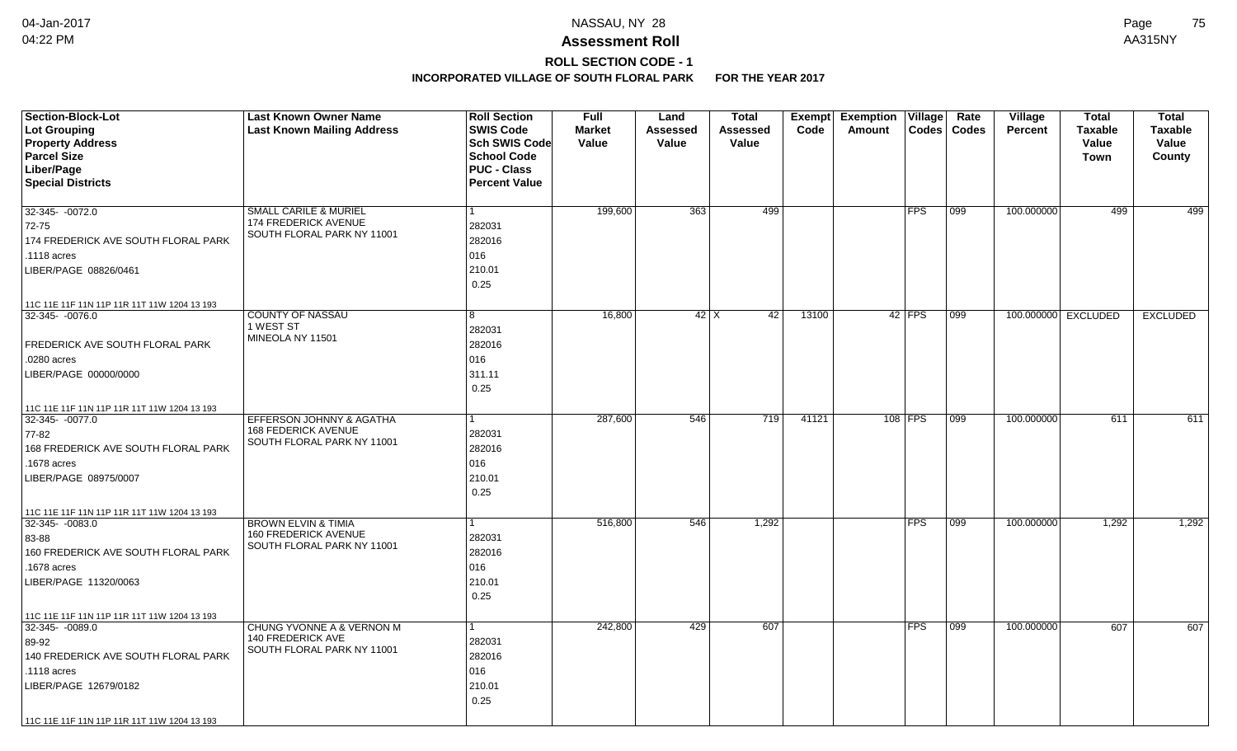# **ROLL SECTION CODE - 1**

| <b>Section-Block-Lot</b>                                           | <b>Last Known Owner Name</b>                              | <b>Roll Section</b>  | <b>Full</b>   | Land            | Total               | Exempt | <b>Exemption</b> | Village        | Rate         | Village        | <b>Total</b>        | <b>Total</b>    |
|--------------------------------------------------------------------|-----------------------------------------------------------|----------------------|---------------|-----------------|---------------------|--------|------------------|----------------|--------------|----------------|---------------------|-----------------|
| Lot Grouping                                                       | <b>Last Known Mailing Address</b>                         | <b>SWIS Code</b>     | <b>Market</b> | <b>Assessed</b> | <b>Assessed</b>     | Code   | Amount           | $\text{Codes}$ | <b>Codes</b> | <b>Percent</b> | <b>Taxable</b>      | <b>Taxable</b>  |
| <b>Property Address</b>                                            |                                                           | Sch SWIS Code        | Value         | Value           | Value               |        |                  |                |              |                | Value               | Value           |
| <b>Parcel Size</b>                                                 |                                                           | <b>School Code</b>   |               |                 |                     |        |                  |                |              |                | Town                | County          |
| Liber/Page                                                         |                                                           | <b>PUC - Class</b>   |               |                 |                     |        |                  |                |              |                |                     |                 |
| <b>Special Districts</b>                                           |                                                           | <b>Percent Value</b> |               |                 |                     |        |                  |                |              |                |                     |                 |
|                                                                    |                                                           |                      |               |                 |                     |        |                  |                |              |                |                     |                 |
| 32-345- -0072.0                                                    | SMALL CARILE & MURIEL                                     | 1                    | 199,600       | 363             | 499                 |        |                  | <b>FPS</b>     | 099          | 100.000000     | 499                 | 499             |
| 72-75                                                              | <b>174 FREDERICK AVENUE</b><br>SOUTH FLORAL PARK NY 11001 | 282031               |               |                 |                     |        |                  |                |              |                |                     |                 |
| 174 FREDERICK AVE SOUTH FLORAL PARK                                |                                                           | 282016               |               |                 |                     |        |                  |                |              |                |                     |                 |
| .1118 acres                                                        |                                                           | 016                  |               |                 |                     |        |                  |                |              |                |                     |                 |
| LIBER/PAGE 08826/0461                                              |                                                           | 210.01               |               |                 |                     |        |                  |                |              |                |                     |                 |
|                                                                    |                                                           | 0.25                 |               |                 |                     |        |                  |                |              |                |                     |                 |
| 11C 11E 11F 11N 11P 11R 11T 11W 1204 13 193                        |                                                           |                      |               |                 |                     |        |                  |                |              |                |                     |                 |
| $32-345 - 0076.0$                                                  | <b>COUNTY OF NASSAU</b>                                   | 8                    | 16,800        |                 | $42$ $\times$<br>42 | 13100  |                  | $42$ FPS       | 099          |                | 100.000000 EXCLUDED | <b>EXCLUDED</b> |
|                                                                    | 1 WEST ST                                                 | 282031               |               |                 |                     |        |                  |                |              |                |                     |                 |
| FREDERICK AVE SOUTH FLORAL PARK                                    | MINEOLA NY 11501                                          | 282016               |               |                 |                     |        |                  |                |              |                |                     |                 |
| .0280 acres                                                        |                                                           | 016                  |               |                 |                     |        |                  |                |              |                |                     |                 |
| LIBER/PAGE 00000/0000                                              |                                                           | 311.11               |               |                 |                     |        |                  |                |              |                |                     |                 |
|                                                                    |                                                           | 0.25                 |               |                 |                     |        |                  |                |              |                |                     |                 |
| 11C 11E 11F 11N 11P 11R 11T 11W 1204 13 193                        |                                                           |                      |               |                 |                     |        |                  |                |              |                |                     |                 |
| 32-345-0077.0                                                      | EFFERSON JOHNNY & AGATHA                                  |                      | 287,600       | 546             | 719                 | 41121  |                  | 108 FPS        | 099          | 100.000000     | 611                 | 611             |
| 77-82                                                              | <b>168 FEDERICK AVENUE</b>                                | 282031               |               |                 |                     |        |                  |                |              |                |                     |                 |
| 168 FREDERICK AVE SOUTH FLORAL PARK                                | SOUTH FLORAL PARK NY 11001                                | 282016               |               |                 |                     |        |                  |                |              |                |                     |                 |
| 1678 acres                                                         |                                                           | 016                  |               |                 |                     |        |                  |                |              |                |                     |                 |
| LIBER/PAGE 08975/0007                                              |                                                           | 210.01               |               |                 |                     |        |                  |                |              |                |                     |                 |
|                                                                    |                                                           | 0.25                 |               |                 |                     |        |                  |                |              |                |                     |                 |
|                                                                    |                                                           |                      |               |                 |                     |        |                  |                |              |                |                     |                 |
| 11C 11E 11F 11N 11P 11R 11T 11W 1204 13 193<br>$32 - 345 - 0083.0$ | <b>BROWN ELVIN &amp; TIMIA</b>                            |                      | 516,800       | 546             | 1,292               |        |                  | <b>FPS</b>     | 099          | 100.000000     | 1,292               | 1,292           |
| 83-88                                                              | 160 FREDERICK AVENUE                                      | 282031               |               |                 |                     |        |                  |                |              |                |                     |                 |
| 160 FREDERICK AVE SOUTH FLORAL PARK                                | SOUTH FLORAL PARK NY 11001                                | 282016               |               |                 |                     |        |                  |                |              |                |                     |                 |
| 1678 acres                                                         |                                                           | 016                  |               |                 |                     |        |                  |                |              |                |                     |                 |
| LIBER/PAGE 11320/0063                                              |                                                           | 210.01               |               |                 |                     |        |                  |                |              |                |                     |                 |
|                                                                    |                                                           | 0.25                 |               |                 |                     |        |                  |                |              |                |                     |                 |
|                                                                    |                                                           |                      |               |                 |                     |        |                  |                |              |                |                     |                 |
| 11C 11E 11F 11N 11P 11R 11T 11W 1204 13 193<br>32-345- -0089.0     | CHUNG YVONNE A & VERNON M                                 |                      | 242,800       | 429             | 607                 |        |                  | <b>FPS</b>     | 099          | 100.000000     | 607                 | 607             |
| 89-92                                                              | <b>140 FREDERICK AVE</b>                                  | 282031               |               |                 |                     |        |                  |                |              |                |                     |                 |
| 140 FREDERICK AVE SOUTH FLORAL PARK                                | SOUTH FLORAL PARK NY 11001                                | 282016               |               |                 |                     |        |                  |                |              |                |                     |                 |
| .1118 acres                                                        |                                                           |                      |               |                 |                     |        |                  |                |              |                |                     |                 |
|                                                                    |                                                           | 016                  |               |                 |                     |        |                  |                |              |                |                     |                 |
| LIBER/PAGE 12679/0182                                              |                                                           | 210.01<br>0.25       |               |                 |                     |        |                  |                |              |                |                     |                 |
|                                                                    |                                                           |                      |               |                 |                     |        |                  |                |              |                |                     |                 |
| 11C 11E 11F 11N 11P 11R 11T 11W 1204 13 193                        |                                                           |                      |               |                 |                     |        |                  |                |              |                |                     |                 |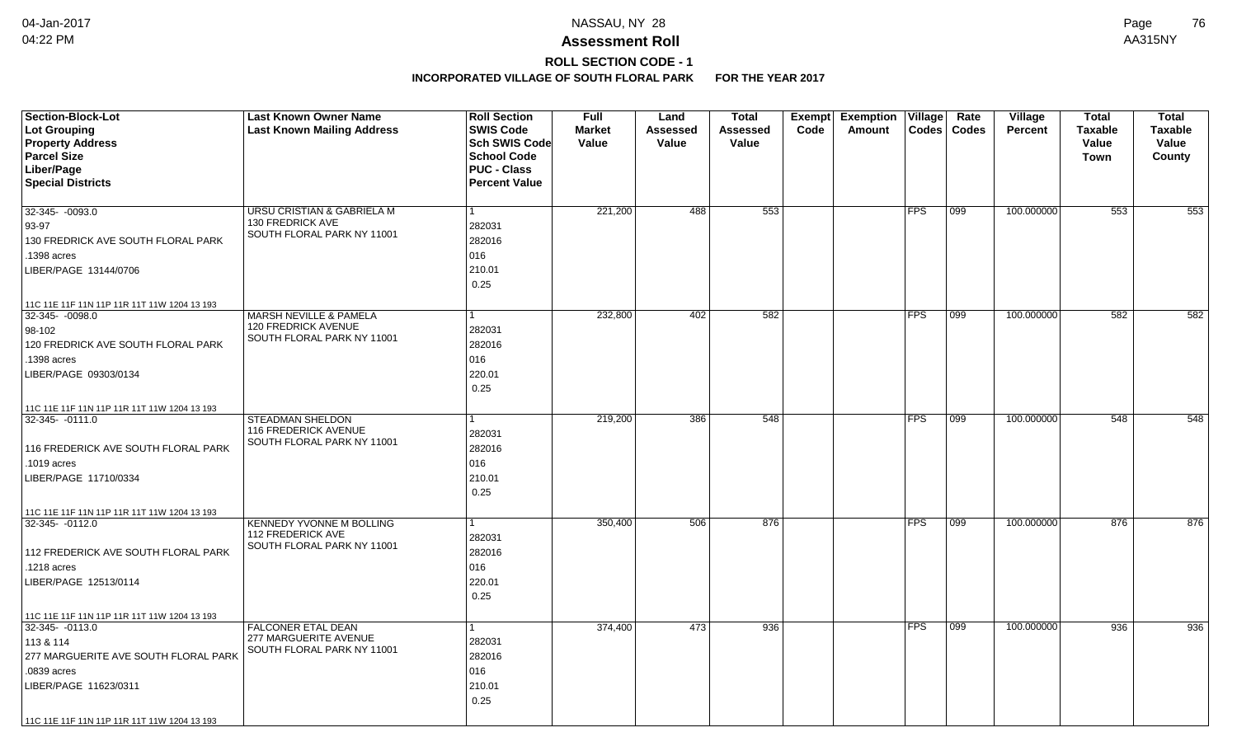# **ROLL SECTION CODE - 1**

| <b>Section-Block-Lot</b><br>Lot Grouping<br><b>Property Address</b><br><b>Parcel Size</b><br>Liber/Page<br><b>Special Districts</b>                                                                        | <b>Last Known Owner Name</b><br><b>Last Known Mailing Address</b>                         | <b>Roll Section</b><br><b>SWIS Code</b><br>Sch SWIS Code<br><b>School Code</b><br><b>PUC - Class</b><br><b>Percent Value</b> | <b>Full</b><br><b>Market</b><br>Value | Land<br>Assessed<br>Value | <b>Total</b><br>Assessed<br>Value | Exempt<br>Code | <b>Exemption</b><br>Amount | Village    | Rate<br>Codes   Codes | Village<br><b>Percent</b> | <b>Total</b><br><b>Taxable</b><br>Value<br>Town | <b>Total</b><br><b>Taxable</b><br>Value<br>County |
|------------------------------------------------------------------------------------------------------------------------------------------------------------------------------------------------------------|-------------------------------------------------------------------------------------------|------------------------------------------------------------------------------------------------------------------------------|---------------------------------------|---------------------------|-----------------------------------|----------------|----------------------------|------------|-----------------------|---------------------------|-------------------------------------------------|---------------------------------------------------|
| 32-345- -0093.0<br>93-97<br>130 FREDRICK AVE SOUTH FLORAL PARK<br>.1398 acres<br>LIBER/PAGE 13144/0706                                                                                                     | URSU CRISTIAN & GABRIELA M<br><b>130 FREDRICK AVE</b><br>SOUTH FLORAL PARK NY 11001       | 282031<br>282016<br>016<br>210.01                                                                                            | 221,200                               | 488                       | 553                               |                |                            | <b>FPS</b> | 099                   | 100.000000                | 553                                             | 553                                               |
| 11C 11E 11F 11N 11P 11R 11T 11W 1204 13 193<br>32-345- -0098.0<br>98-102                                                                                                                                   | <b>MARSH NEVILLE &amp; PAMELA</b><br>120 FREDRICK AVENUE<br>SOUTH FLORAL PARK NY 11001    | 0.25<br>282031                                                                                                               | 232,800                               | 402                       | 582                               |                |                            | <b>FPS</b> | 099                   | 100.000000                | 582                                             | 582                                               |
| 120 FREDRICK AVE SOUTH FLORAL PARK<br>.1398 acres<br>LIBER/PAGE 09303/0134                                                                                                                                 |                                                                                           | 282016<br>016<br>220.01<br>0.25                                                                                              |                                       |                           |                                   |                |                            |            |                       |                           |                                                 |                                                   |
| 11C 11E 11F 11N 11P 11R 11T 11W 1204 13 193<br>32-345-0111.0<br>116 FREDERICK AVE SOUTH FLORAL PARK<br>.1019 acres<br>LIBER/PAGE 11710/0334                                                                | <b>STEADMAN SHELDON</b><br>116 FREDERICK AVENUE<br>SOUTH FLORAL PARK NY 11001             | 282031<br>282016<br>016<br>210.01<br>0.25                                                                                    | 219,200                               | 386                       | 548                               |                |                            | <b>FPS</b> | 099                   | 100.000000                | 548                                             | 548                                               |
| 11C 11E 11F 11N 11P 11R 11T 11W 1204 13 193<br>32-345-0112.0<br>112 FREDERICK AVE SOUTH FLORAL PARK<br>.1218 acres<br>LIBER/PAGE 12513/0114                                                                | <b>KENNEDY YVONNE M BOLLING</b><br><b>112 FREDERICK AVE</b><br>SOUTH FLORAL PARK NY 11001 | 282031<br>282016<br>016<br>220.01<br>0.25                                                                                    | 350,400                               | 506                       | 876                               |                |                            | <b>FPS</b> | 099                   | 100.000000                | 876                                             | 876                                               |
| 11C 11E 11F 11N 11P 11R 11T 11W 1204 13 193<br>32-345- -0113.0<br>113 & 114<br>277 MARGUERITE AVE SOUTH FLORAL PARK<br>.0839 acres<br>LIBER/PAGE 11623/0311<br>11C 11E 11F 11N 11P 11R 11T 11W 1204 13 193 | <b>FALCONER ETAL DEAN</b><br>277 MARGUERITE AVENUE<br>SOUTH FLORAL PARK NY 11001          | 282031<br>282016<br>016<br>210.01<br>0.25                                                                                    | 374,400                               | 473                       | 936                               |                |                            | <b>FPS</b> | 099                   | 100.000000                | 936                                             | 936                                               |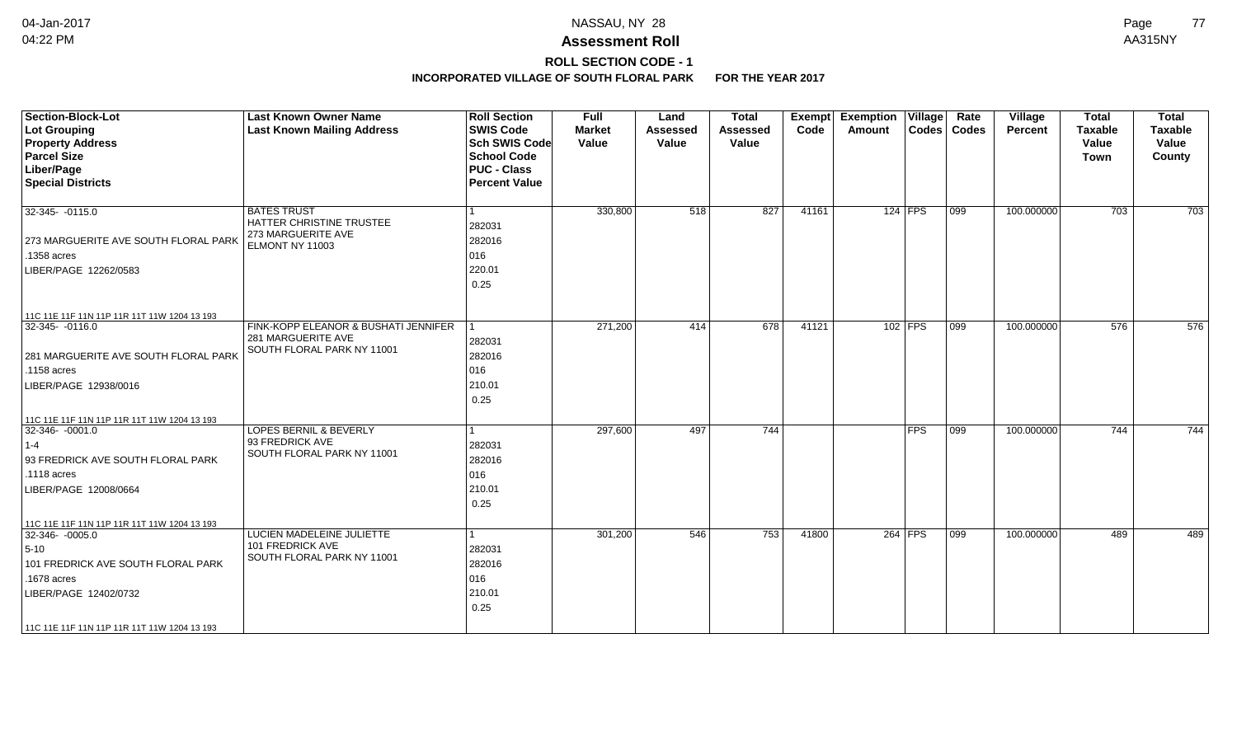# **ROLL SECTION CODE - 1**

| Section-Block-Lot<br>Lot Grouping<br><b>Property Address</b><br><b>Parcel Size</b><br>Liber/Page<br><b>Special Districts</b>                                                                  | <b>Last Known Owner Name</b><br><b>Last Known Mailing Address</b>                        | <b>Roll Section</b><br><b>SWIS Code</b><br><b>Sch SWIS Code</b><br><b>School Code</b><br><b>PUC - Class</b><br><b>Percent Value</b> | <b>Full</b><br><b>Market</b><br>Value | Land<br><b>Assessed</b><br>Value | <b>Total</b><br><b>Assessed</b><br>Value | Exempt<br>Code | <b>Exemption Village</b><br>Amount |           | Rate<br>Codes   Codes | Village<br><b>Percent</b> | <b>Total</b><br><b>Taxable</b><br>Value<br><b>Town</b> | <b>Total</b><br><b>Taxable</b><br>Value<br>County |
|-----------------------------------------------------------------------------------------------------------------------------------------------------------------------------------------------|------------------------------------------------------------------------------------------|-------------------------------------------------------------------------------------------------------------------------------------|---------------------------------------|----------------------------------|------------------------------------------|----------------|------------------------------------|-----------|-----------------------|---------------------------|--------------------------------------------------------|---------------------------------------------------|
| 32-345-0115.0<br>273 MARGUERITE AVE SOUTH FLORAL PARK<br>.1358 acres<br>LIBER/PAGE 12262/0583                                                                                                 | <b>BATES TRUST</b><br>HATTER CHRISTINE TRUSTEE<br>273 MARGUERITE AVE<br>ELMONT NY 11003  | l 1<br>282031<br>282016<br>016<br>220.01<br>0.25                                                                                    | 330,800                               | 518                              | 827                                      | 41161          |                                    | $124$ FPS | $ 099\rangle$         | 100.000000                | 703                                                    | 703                                               |
| 11C 11E 11F 11N 11P 11R 11T 11W 1204 13 193<br>32-345- -0116.0<br>281 MARGUERITE AVE SOUTH FLORAL PARK<br>.1158 acres<br>LIBER/PAGE 12938/0016<br>11C 11E 11F 11N 11P 11R 11T 11W 1204 13 193 | FINK-KOPP ELEANOR & BUSHATI JENNIFER<br>281 MARGUERITE AVE<br>SOUTH FLORAL PARK NY 11001 | $\vert$ 1<br>282031<br>282016<br>016<br>210.01<br>0.25                                                                              | 271,200                               | 414                              | 678                                      | 41121          |                                    | 102 FPS   | $ 099\rangle$         | 100.000000                | 576                                                    | 576                                               |
| 32-346- -0001.0<br>$ 1-4$<br>93 FREDRICK AVE SOUTH FLORAL PARK<br>.1118 acres<br>LIBER/PAGE 12008/0664<br>11C 11E 11F 11N 11P 11R 11T 11W 1204 13 193                                         | LOPES BERNIL & BEVERLY<br>93 FREDRICK AVE<br>SOUTH FLORAL PARK NY 11001                  | $\overline{1}$<br>282031<br>282016<br>016<br>210.01<br>0.25                                                                         | 297,600                               | 497                              | 744                                      |                |                                    | $ $ FPS   | 099                   | 100.000000                | 744                                                    | 744                                               |
| $32-346 - 0005.0$<br>$5 - 10$<br>101 FREDRICK AVE SOUTH FLORAL PARK<br>.1678 acres<br>LIBER/PAGE 12402/0732<br>  11C 11E 11F 11N 11P 11R 11T 11W 1204 13 193                                  | LUCIEN MADELEINE JULIETTE<br>101 FREDRICK AVE<br>SOUTH FLORAL PARK NY 11001              | $\vert$ 1<br>282031<br>282016<br>016<br>210.01<br>0.25                                                                              | 301,200                               | 546                              | 753                                      | 41800          |                                    | 264 FPS   | $\overline{099}$      | 100.000000                | 489                                                    | 489                                               |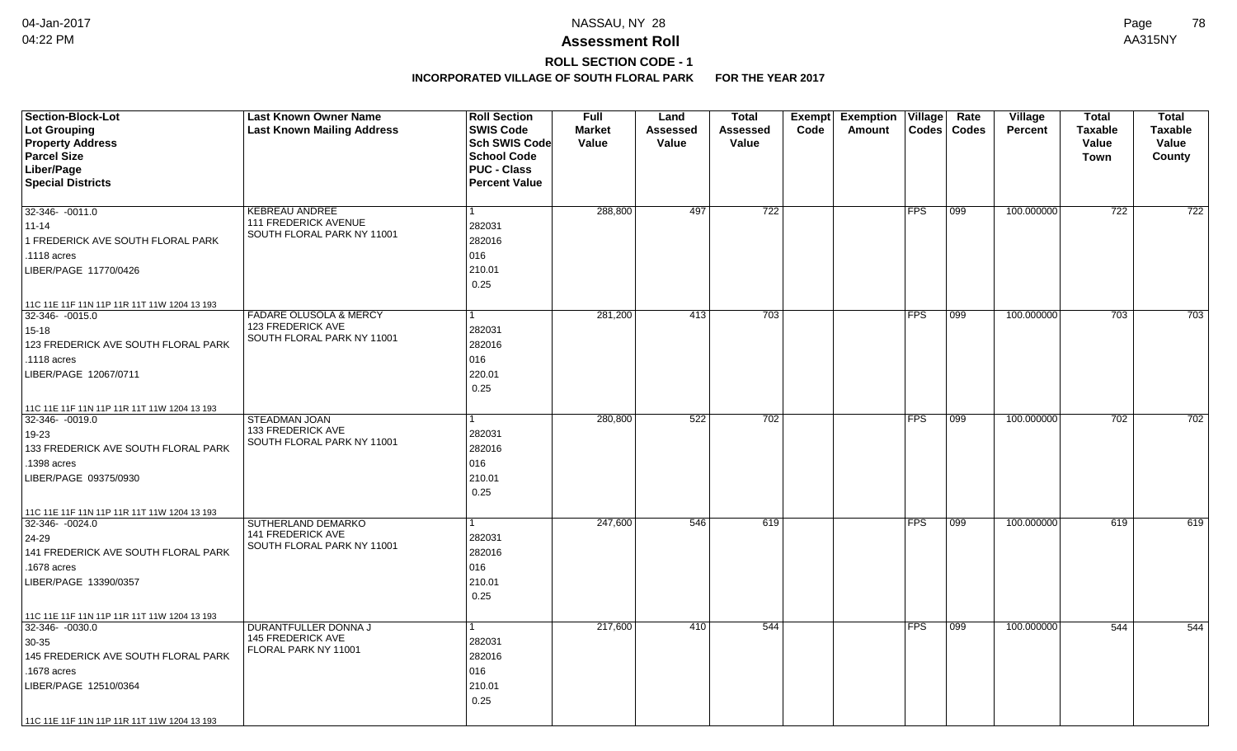# **ROLL SECTION CODE - 1**

| <b>Section-Block-Lot</b><br>Lot Grouping<br><b>Property Address</b><br><b>Parcel Size</b><br>Liber/Page<br><b>Special Districts</b>                                                                     | <b>Last Known Owner Name</b><br><b>Last Known Mailing Address</b>                    | <b>Roll Section</b><br><b>SWIS Code</b><br><b>Sch SWIS Code</b><br><b>School Code</b><br><b>PUC - Class</b><br><b>Percent Value</b> | <b>Full</b><br><b>Market</b><br>Value | Land<br>Assessed<br>Value | <b>Total</b><br>Assessed<br>Value | <b>Exempt</b><br>Code | <b>Exemption Village</b><br>Amount | Codes      | Rate<br>Codes    | <b>Village</b><br><b>Percent</b> | <b>Total</b><br><b>Taxable</b><br>Value<br><b>Town</b> | <b>Total</b><br><b>Taxable</b><br>Value<br>County |
|---------------------------------------------------------------------------------------------------------------------------------------------------------------------------------------------------------|--------------------------------------------------------------------------------------|-------------------------------------------------------------------------------------------------------------------------------------|---------------------------------------|---------------------------|-----------------------------------|-----------------------|------------------------------------|------------|------------------|----------------------------------|--------------------------------------------------------|---------------------------------------------------|
| $32-346 - 0011.0$<br>$11 - 14$<br>1 FREDERICK AVE SOUTH FLORAL PARK<br>.1118 acres<br>LIBER/PAGE 11770/0426                                                                                             | <b>KEBREAU ANDREE</b><br>111 FREDERICK AVENUE<br>SOUTH FLORAL PARK NY 11001          | 282031<br>282016<br>016<br>210.01<br>0.25                                                                                           | 288,800                               | 497                       | 722                               |                       |                                    | <b>FPS</b> | 099              | 100.000000                       | 722                                                    | $\overline{722}$                                  |
| 11C 11E 11F 11N 11P 11R 11T 11W 1204 13 193<br>32-346-0015.0<br>$15 - 18$<br>123 FREDERICK AVE SOUTH FLORAL PARK<br>.1118 acres<br>LIBER/PAGE 12067/0711<br>11C 11E 11F 11N 11P 11R 11T 11W 1204 13 193 | <b>FADARE OLUSOLA &amp; MERCY</b><br>123 FREDERICK AVE<br>SOUTH FLORAL PARK NY 11001 | 1<br>282031<br>282016<br>016<br>220.01<br>0.25                                                                                      | 281,200                               | 413                       | 703                               |                       |                                    | FPS        | 099              | 100.000000                       | 703                                                    | 703                                               |
| 32-346- -0019.0<br>19-23<br>133 FREDERICK AVE SOUTH FLORAL PARK<br>1398 acres<br>LIBER/PAGE 09375/0930<br>11C 11E 11F 11N 11P 11R 11T 11W 1204 13 193                                                   | <b>STEADMAN JOAN</b><br>133 FREDERICK AVE<br>SOUTH FLORAL PARK NY 11001              | 1<br>282031<br>282016<br>016<br>210.01<br>0.25                                                                                      | 280,800                               | 522                       | 702                               |                       |                                    | FPS        | 099              | 100.000000                       | 702                                                    | 702                                               |
| 32-346-0024.0<br>24-29<br>141 FREDERICK AVE SOUTH FLORAL PARK<br>1678 acres<br>LIBER/PAGE 13390/0357<br>11C 11E 11F 11N 11P 11R 11T 11W 1204 13 193                                                     | SUTHERLAND DEMARKO<br>141 FREDERICK AVE<br>SOUTH FLORAL PARK NY 11001                | 1<br>282031<br>282016<br>016<br>210.01<br>0.25                                                                                      | 247,600                               | 546                       | 619                               |                       |                                    | <b>FPS</b> | $ 099\rangle$    | 100.000000                       | 619                                                    | 619                                               |
| 32-346- -0030.0<br>$30-35$<br>145 FREDERICK AVE SOUTH FLORAL PARK<br>.1678 acres<br>LIBER/PAGE 12510/0364<br>11C 11E 11F 11N 11P 11R 11T 11W 1204 13 193                                                | DURANTFULLER DONNA J<br><b>145 FREDERICK AVE</b><br>FLORAL PARK NY 11001             | 1<br>282031<br>282016<br>016<br>210.01<br>0.25                                                                                      | 217,600                               | 410                       | 544                               |                       |                                    | <b>FPS</b> | $\overline{099}$ | 100.000000                       | 544                                                    | 544                                               |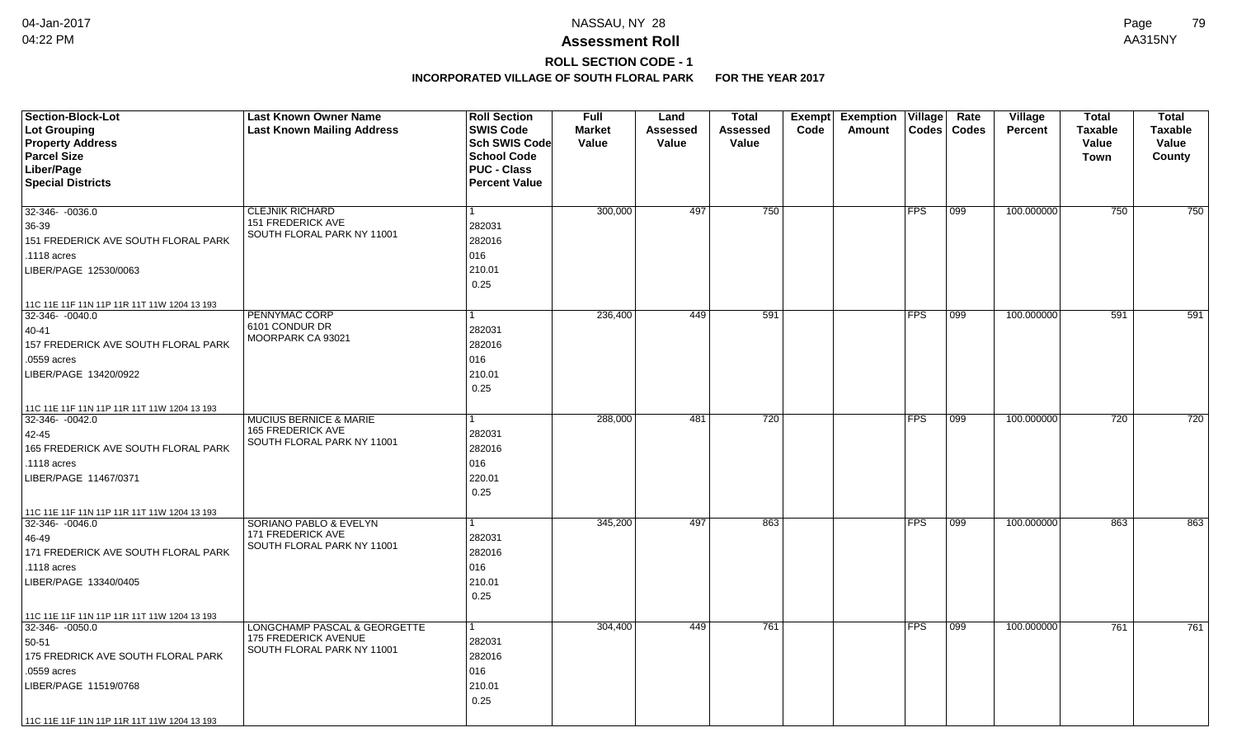# **ROLL SECTION CODE - 1**

| <b>Last Known Mailing Address</b><br><b>SWIS Code</b><br><b>Market</b><br>Lot Grouping<br>Assessed<br>Code<br>Amount<br>Codes   Codes<br><b>Percent</b><br><b>Taxable</b><br><b>Taxable</b><br>Assessed<br><b>Property Address</b><br>Sch SWIS Code<br>Value<br>Value<br>Value<br>Value<br>Value<br><b>Parcel Size</b><br><b>School Code</b><br>County<br>Town<br>Liber/Page<br><b>PUC - Class</b><br><b>Special Districts</b><br><b>Percent Value</b><br>750<br>100.000000<br>750<br>32-346- -0036.0<br><b>CLEJNIK RICHARD</b><br>300,000<br>497<br><b>FPS</b><br>099<br>750<br><b>151 FREDERICK AVE</b><br>282031<br>36-39<br>SOUTH FLORAL PARK NY 11001<br>151 FREDERICK AVE SOUTH FLORAL PARK<br>282016<br>016<br>.1118 acres | <b>Section-Block-Lot</b> | <b>Last Known Owner Name</b> | <b>Roll Section</b> | <b>Full</b> | Land | <b>Total</b> | Exempt Exemption | Village | Rate | Village | <b>Total</b> | <b>Total</b> |
|-----------------------------------------------------------------------------------------------------------------------------------------------------------------------------------------------------------------------------------------------------------------------------------------------------------------------------------------------------------------------------------------------------------------------------------------------------------------------------------------------------------------------------------------------------------------------------------------------------------------------------------------------------------------------------------------------------------------------------------|--------------------------|------------------------------|---------------------|-------------|------|--------------|------------------|---------|------|---------|--------------|--------------|
|                                                                                                                                                                                                                                                                                                                                                                                                                                                                                                                                                                                                                                                                                                                                   |                          |                              |                     |             |      |              |                  |         |      |         |              |              |
|                                                                                                                                                                                                                                                                                                                                                                                                                                                                                                                                                                                                                                                                                                                                   |                          |                              |                     |             |      |              |                  |         |      |         |              |              |
|                                                                                                                                                                                                                                                                                                                                                                                                                                                                                                                                                                                                                                                                                                                                   |                          |                              |                     |             |      |              |                  |         |      |         |              |              |
|                                                                                                                                                                                                                                                                                                                                                                                                                                                                                                                                                                                                                                                                                                                                   |                          |                              |                     |             |      |              |                  |         |      |         |              |              |
|                                                                                                                                                                                                                                                                                                                                                                                                                                                                                                                                                                                                                                                                                                                                   |                          |                              |                     |             |      |              |                  |         |      |         |              |              |
|                                                                                                                                                                                                                                                                                                                                                                                                                                                                                                                                                                                                                                                                                                                                   |                          |                              |                     |             |      |              |                  |         |      |         |              |              |
|                                                                                                                                                                                                                                                                                                                                                                                                                                                                                                                                                                                                                                                                                                                                   |                          |                              |                     |             |      |              |                  |         |      |         |              |              |
|                                                                                                                                                                                                                                                                                                                                                                                                                                                                                                                                                                                                                                                                                                                                   |                          |                              |                     |             |      |              |                  |         |      |         |              |              |
|                                                                                                                                                                                                                                                                                                                                                                                                                                                                                                                                                                                                                                                                                                                                   |                          |                              |                     |             |      |              |                  |         |      |         |              |              |
|                                                                                                                                                                                                                                                                                                                                                                                                                                                                                                                                                                                                                                                                                                                                   |                          |                              |                     |             |      |              |                  |         |      |         |              |              |
| 210.01<br>LIBER/PAGE 12530/0063                                                                                                                                                                                                                                                                                                                                                                                                                                                                                                                                                                                                                                                                                                   |                          |                              |                     |             |      |              |                  |         |      |         |              |              |
| 0.25                                                                                                                                                                                                                                                                                                                                                                                                                                                                                                                                                                                                                                                                                                                              |                          |                              |                     |             |      |              |                  |         |      |         |              |              |
| 11C 11E 11F 11N 11P 11R 11T 11W 1204 13 193                                                                                                                                                                                                                                                                                                                                                                                                                                                                                                                                                                                                                                                                                       |                          |                              |                     |             |      |              |                  |         |      |         |              |              |
| PENNYMAC CORP<br>236,400<br>449<br>591<br><b>FPS</b><br>099<br>100.000000<br>591<br>32-346-0040.0                                                                                                                                                                                                                                                                                                                                                                                                                                                                                                                                                                                                                                 |                          |                              |                     |             |      |              |                  |         |      |         |              | 591          |
| 6101 CONDUR DR<br>282031<br>40-41<br>MOORPARK CA 93021                                                                                                                                                                                                                                                                                                                                                                                                                                                                                                                                                                                                                                                                            |                          |                              |                     |             |      |              |                  |         |      |         |              |              |
| 157 FREDERICK AVE SOUTH FLORAL PARK<br>282016                                                                                                                                                                                                                                                                                                                                                                                                                                                                                                                                                                                                                                                                                     |                          |                              |                     |             |      |              |                  |         |      |         |              |              |
| 016<br>.0559 acres                                                                                                                                                                                                                                                                                                                                                                                                                                                                                                                                                                                                                                                                                                                |                          |                              |                     |             |      |              |                  |         |      |         |              |              |
| 210.01<br>LIBER/PAGE 13420/0922                                                                                                                                                                                                                                                                                                                                                                                                                                                                                                                                                                                                                                                                                                   |                          |                              |                     |             |      |              |                  |         |      |         |              |              |
| 0.25                                                                                                                                                                                                                                                                                                                                                                                                                                                                                                                                                                                                                                                                                                                              |                          |                              |                     |             |      |              |                  |         |      |         |              |              |
| 11C 11E 11F 11N 11P 11R 11T 11W 1204 13 193                                                                                                                                                                                                                                                                                                                                                                                                                                                                                                                                                                                                                                                                                       |                          |                              |                     |             |      |              |                  |         |      |         |              |              |
| 720<br>288,000<br><b>FPS</b><br>100.000000<br>720<br>32-346-0042.0<br>MUCIUS BERNICE & MARIE<br>481<br>$ 099\rangle$                                                                                                                                                                                                                                                                                                                                                                                                                                                                                                                                                                                                              |                          |                              |                     |             |      |              |                  |         |      |         |              | 720          |
| <b>165 FREDERICK AVE</b><br>42-45<br>282031                                                                                                                                                                                                                                                                                                                                                                                                                                                                                                                                                                                                                                                                                       |                          |                              |                     |             |      |              |                  |         |      |         |              |              |
| SOUTH FLORAL PARK NY 11001<br>282016<br>165 FREDERICK AVE SOUTH FLORAL PARK                                                                                                                                                                                                                                                                                                                                                                                                                                                                                                                                                                                                                                                       |                          |                              |                     |             |      |              |                  |         |      |         |              |              |
| 016<br>.1118 acres                                                                                                                                                                                                                                                                                                                                                                                                                                                                                                                                                                                                                                                                                                                |                          |                              |                     |             |      |              |                  |         |      |         |              |              |
| 220.01<br>LIBER/PAGE 11467/0371                                                                                                                                                                                                                                                                                                                                                                                                                                                                                                                                                                                                                                                                                                   |                          |                              |                     |             |      |              |                  |         |      |         |              |              |
| 0.25                                                                                                                                                                                                                                                                                                                                                                                                                                                                                                                                                                                                                                                                                                                              |                          |                              |                     |             |      |              |                  |         |      |         |              |              |
| 11C 11E 11F 11N 11P 11R 11T 11W 1204 13 193                                                                                                                                                                                                                                                                                                                                                                                                                                                                                                                                                                                                                                                                                       |                          |                              |                     |             |      |              |                  |         |      |         |              |              |
| <b>SORIANO PABLO &amp; EVELYN</b><br>345,200<br>497<br>863<br><b>FPS</b><br>099<br>100.000000<br>863<br>32-346-0046.0                                                                                                                                                                                                                                                                                                                                                                                                                                                                                                                                                                                                             |                          |                              |                     |             |      |              |                  |         |      |         |              | 863          |
| 171 FREDERICK AVE<br>282031<br>46-49                                                                                                                                                                                                                                                                                                                                                                                                                                                                                                                                                                                                                                                                                              |                          |                              |                     |             |      |              |                  |         |      |         |              |              |
| SOUTH FLORAL PARK NY 11001<br>171 FREDERICK AVE SOUTH FLORAL PARK<br>282016                                                                                                                                                                                                                                                                                                                                                                                                                                                                                                                                                                                                                                                       |                          |                              |                     |             |      |              |                  |         |      |         |              |              |
| 016<br>.1118 acres                                                                                                                                                                                                                                                                                                                                                                                                                                                                                                                                                                                                                                                                                                                |                          |                              |                     |             |      |              |                  |         |      |         |              |              |
| 210.01<br>LIBER/PAGE 13340/0405                                                                                                                                                                                                                                                                                                                                                                                                                                                                                                                                                                                                                                                                                                   |                          |                              |                     |             |      |              |                  |         |      |         |              |              |
| 0.25                                                                                                                                                                                                                                                                                                                                                                                                                                                                                                                                                                                                                                                                                                                              |                          |                              |                     |             |      |              |                  |         |      |         |              |              |
| 11C 11E 11F 11N 11P 11R 11T 11W 1204 13 193                                                                                                                                                                                                                                                                                                                                                                                                                                                                                                                                                                                                                                                                                       |                          |                              |                     |             |      |              |                  |         |      |         |              |              |
| LONGCHAMP PASCAL & GEORGETTE<br>761<br>$32-346 - 0050.0$<br>304,400<br>449<br><b>FPS</b><br>  099<br>100.000000<br>761<br>1                                                                                                                                                                                                                                                                                                                                                                                                                                                                                                                                                                                                       |                          |                              |                     |             |      |              |                  |         |      |         |              | 761          |
| <b>175 FREDERICK AVENUE</b><br>282031<br>50-51                                                                                                                                                                                                                                                                                                                                                                                                                                                                                                                                                                                                                                                                                    |                          |                              |                     |             |      |              |                  |         |      |         |              |              |
| SOUTH FLORAL PARK NY 11001<br>175 FREDRICK AVE SOUTH FLORAL PARK<br>282016                                                                                                                                                                                                                                                                                                                                                                                                                                                                                                                                                                                                                                                        |                          |                              |                     |             |      |              |                  |         |      |         |              |              |
| 016<br>.0559 acres                                                                                                                                                                                                                                                                                                                                                                                                                                                                                                                                                                                                                                                                                                                |                          |                              |                     |             |      |              |                  |         |      |         |              |              |
| 210.01<br>LIBER/PAGE 11519/0768                                                                                                                                                                                                                                                                                                                                                                                                                                                                                                                                                                                                                                                                                                   |                          |                              |                     |             |      |              |                  |         |      |         |              |              |
| 0.25                                                                                                                                                                                                                                                                                                                                                                                                                                                                                                                                                                                                                                                                                                                              |                          |                              |                     |             |      |              |                  |         |      |         |              |              |
| 11C 11E 11F 11N 11P 11R 11T 11W 1204 13 193                                                                                                                                                                                                                                                                                                                                                                                                                                                                                                                                                                                                                                                                                       |                          |                              |                     |             |      |              |                  |         |      |         |              |              |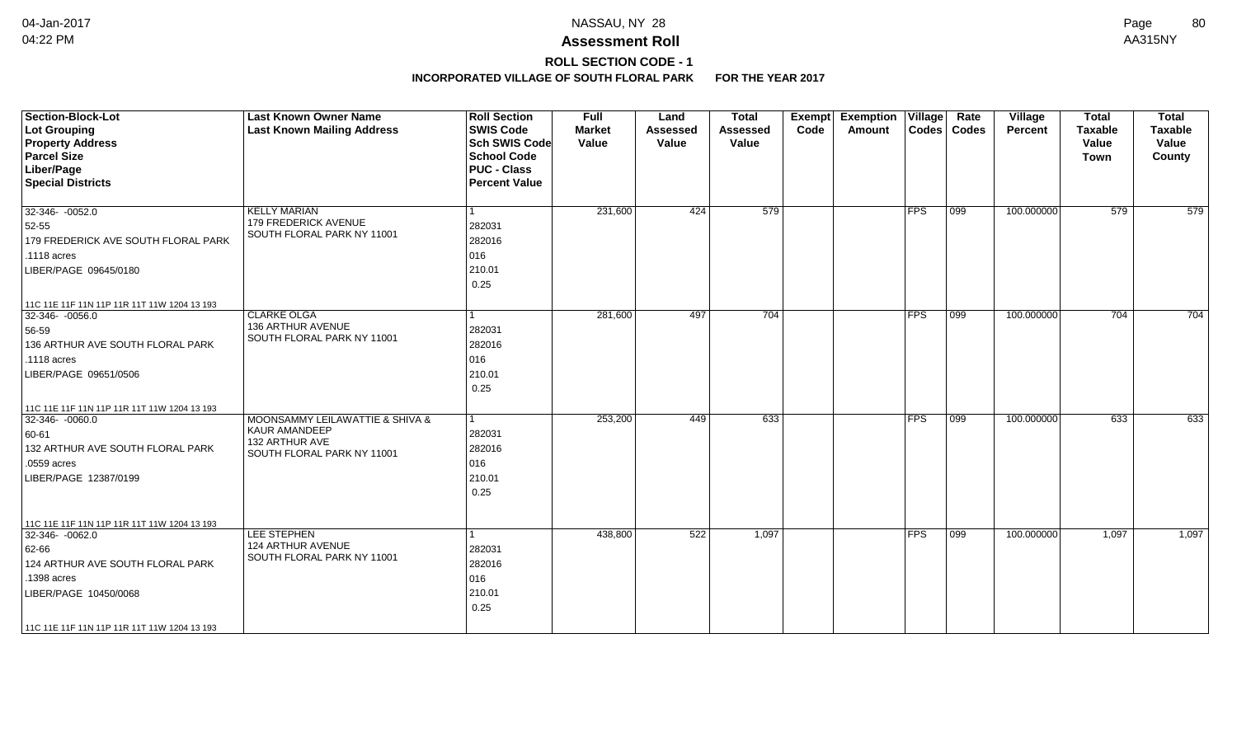## **ROLL SECTION CODE - 1**

| <b>Section-Block-Lot</b><br><b>Lot Grouping</b><br><b>Property Address</b><br><b>Parcel Size</b><br>Liber/Page<br><b>Special Districts</b>                                                       | <b>Last Known Owner Name</b><br><b>Last Known Mailing Address</b>                                               | <b>Roll Section</b><br><b>SWIS Code</b><br><b>Sch SWIS Code</b><br><b>School Code</b><br><b>PUC - Class</b><br><b>Percent Value</b> | <b>Full</b><br><b>Market</b><br>Value | Land<br><b>Assessed</b><br>Value | <b>Total</b><br><b>Assessed</b><br>Value | Exempt<br>Code | <b>Exemption Village</b><br>Amount |            | Rate<br>Codes   Codes | Village<br>Percent | <b>Total</b><br><b>Taxable</b><br>Value<br><b>Town</b> | <b>Total</b><br><b>Taxable</b><br>Value<br>County |
|--------------------------------------------------------------------------------------------------------------------------------------------------------------------------------------------------|-----------------------------------------------------------------------------------------------------------------|-------------------------------------------------------------------------------------------------------------------------------------|---------------------------------------|----------------------------------|------------------------------------------|----------------|------------------------------------|------------|-----------------------|--------------------|--------------------------------------------------------|---------------------------------------------------|
| 32-346-0052.0<br>52-55<br>179 FREDERICK AVE SOUTH FLORAL PARK<br>.1118 acres<br>LIBER/PAGE 09645/0180                                                                                            | <b>KELLY MARIAN</b><br>179 FREDERICK AVENUE<br>SOUTH FLORAL PARK NY 11001                                       | 282031<br>282016<br>016<br>210.01<br>0.25                                                                                           | 231,600                               | 424                              | 579                                      |                |                                    | <b>FPS</b> | 099                   | 100.000000         | 579                                                    | 579                                               |
| 11C 11E 11F 11N 11P 11R 11T 11W 1204 13 193<br>32-346-0056.0<br>56-59<br>136 ARTHUR AVE SOUTH FLORAL PARK<br>$.1118$ acres<br>LIBER/PAGE 09651/0506                                              | <b>CLARKE OLGA</b><br>136 ARTHUR AVENUE<br>SOUTH FLORAL PARK NY 11001                                           | $\overline{1}$<br>282031<br>282016<br>016<br>210.01<br>0.25                                                                         | 281,600                               | 497                              | $\overline{704}$                         |                |                                    | <b>FPS</b> | $ 099\rangle$         | 100.000000         | 704                                                    | 704                                               |
| 11C 11E 11F 11N 11P 11R 11T 11W 1204 13 193<br>$32-346 - 0060.0$<br>60-61<br>132 ARTHUR AVE SOUTH FLORAL PARK<br>.0559 acres<br>LIBER/PAGE 12387/0199                                            | <b>MOONSAMMY LEILAWATTIE &amp; SHIVA &amp;</b><br>KAUR AMANDEEP<br>132 ARTHUR AVE<br>SOUTH FLORAL PARK NY 11001 | $\overline{1}$<br>282031<br>282016<br>016<br>210.01<br>0.25                                                                         | 253,200                               | 449                              | 633                                      |                |                                    | <b>FPS</b> | $ 099\rangle$         | 100.000000         | 633                                                    | 633                                               |
| 11C 11E 11F 11N 11P 11R 11T 11W 1204 13 193<br>32-346-0062.0<br>62-66<br>124 ARTHUR AVE SOUTH FLORAL PARK<br>.1398 acres<br>LIBER/PAGE 10450/0068<br>11C 11E 11F 11N 11P 11R 11T 11W 1204 13 193 | LEE STEPHEN<br>124 ARTHUR AVENUE<br>SOUTH FLORAL PARK NY 11001                                                  | 282031<br>282016<br>016<br>210.01<br>0.25                                                                                           | 438,800                               | 522                              | 1,097                                    |                |                                    | FPS        | 099                   | 100.000000         | 1,097                                                  | 1,097                                             |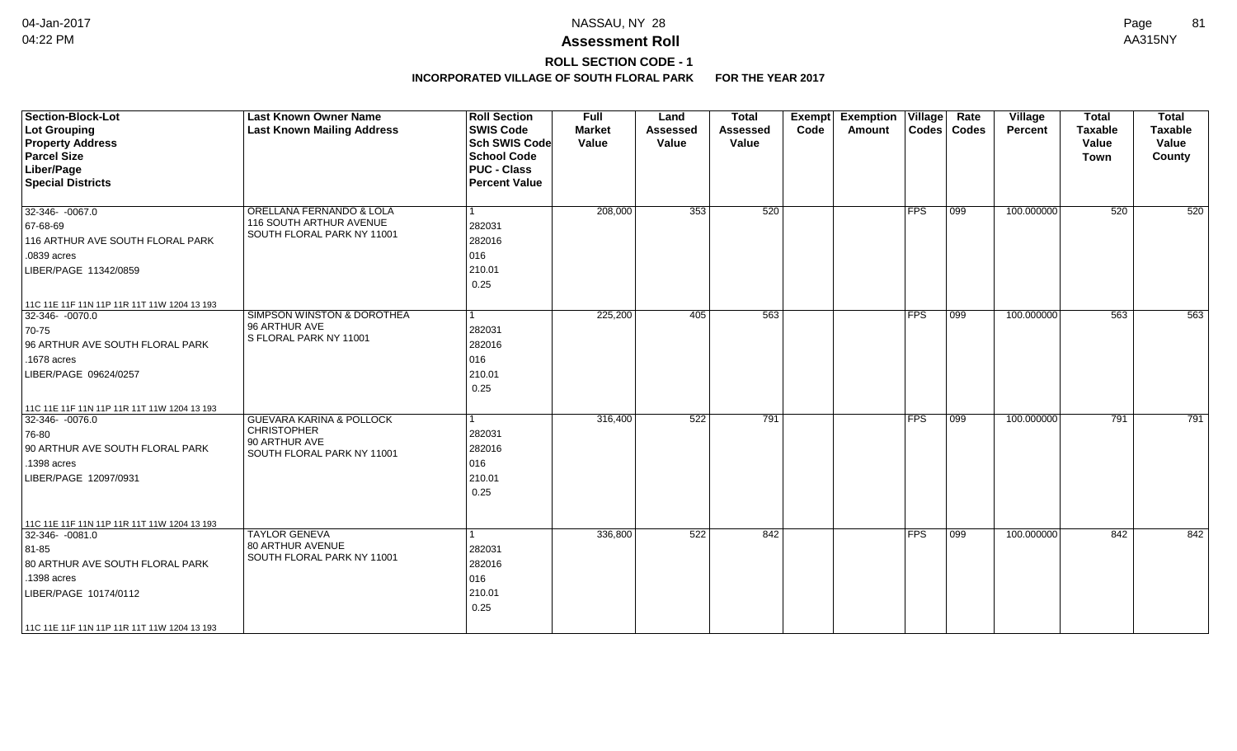## **ROLL SECTION CODE - 1**

| <b>Section-Block-Lot</b><br><b>Lot Grouping</b><br><b>Property Address</b><br><b>Parcel Size</b><br>Liber/Page<br><b>Special Districts</b>                                                      | <b>Last Known Owner Name</b><br><b>Last Known Mailing Address</b>                                        | <b>Roll Section</b><br><b>SWIS Code</b><br><b>Sch SWIS Code</b><br><b>School Code</b><br><b>PUC - Class</b><br><b>Percent Value</b> | <b>Full</b><br><b>Market</b><br>Value | Land<br><b>Assessed</b><br>Value | <b>Total</b><br><b>Assessed</b><br>Value | <b>Exemption Village</b><br>Exempt<br>Code<br>Amount |               | Rate<br>Codes   Codes | Village<br><b>Percent</b> | <b>Total</b><br><b>Taxable</b><br>Value<br>Town | <b>Total</b><br><b>Taxable</b><br>Value<br>County |
|-------------------------------------------------------------------------------------------------------------------------------------------------------------------------------------------------|----------------------------------------------------------------------------------------------------------|-------------------------------------------------------------------------------------------------------------------------------------|---------------------------------------|----------------------------------|------------------------------------------|------------------------------------------------------|---------------|-----------------------|---------------------------|-------------------------------------------------|---------------------------------------------------|
| 32-346- -0067.0<br>67-68-69<br>116 ARTHUR AVE SOUTH FLORAL PARK<br>.0839 acres<br>LIBER/PAGE 11342/0859                                                                                         | ORELLANA FERNANDO & LOLA<br>116 SOUTH ARTHUR AVENUE<br>SOUTH FLORAL PARK NY 11001                        | 1<br>282031<br>282016<br>016<br>210.01<br>0.25                                                                                      | 208,000                               | 353                              | 520                                      |                                                      | <b>FPS</b>    | $ 099\rangle$         | 100.000000                | 520                                             | 520                                               |
| 11C 11E 11F 11N 11P 11R 11T 11W 1204 13 193<br>32-346- -0070.0<br>70-75<br>96 ARTHUR AVE SOUTH FLORAL PARK<br>.1678 acres<br>LIBER/PAGE 09624/0257                                              | <b>SIMPSON WINSTON &amp; DOROTHEA</b><br>96 ARTHUR AVE<br>S FLORAL PARK NY 11001                         | l 1<br>282031<br>282016<br>016<br>210.01<br>0.25                                                                                    | 225,200                               | 405                              | 563                                      |                                                      | <b>FPS</b>    | $ 099\rangle$         | 100.000000                | 563                                             | 563                                               |
| 11C 11E 11F 11N 11P 11R 11T 11W 1204 13 193<br>32-346-0076.0<br>76-80<br>90 ARTHUR AVE SOUTH FLORAL PARK<br>.1398 acres<br>LIBER/PAGE 12097/0931                                                | <b>GUEVARA KARINA &amp; POLLOCK</b><br><b>CHRISTOPHER</b><br>90 ARTHUR AVE<br>SOUTH FLORAL PARK NY 11001 | 1<br>282031<br>282016<br>016<br>210.01<br>0.25                                                                                      | 316,400                               | 522                              | 791                                      |                                                      | <b>FPS</b>    | 099                   | 100.000000                | 791                                             | 791                                               |
| 11C 11E 11F 11N 11P 11R 11T 11W 1204 13 193<br>32-346-0081.0<br>81-85<br>80 ARTHUR AVE SOUTH FLORAL PARK<br>.1398 acres<br>LIBER/PAGE 10174/0112<br>11C 11E 11F 11N 11P 11R 11T 11W 1204 13 193 | <b>TAYLOR GENEVA</b><br>80 ARTHUR AVENUE<br>SOUTH FLORAL PARK NY 11001                                   | 1<br>282031<br>282016<br>016<br>210.01<br>0.25                                                                                      | 336,800                               | 522                              | 842                                      |                                                      | $ {\sf FPS} $ | 099                   | 100.000000                | 842                                             | 842                                               |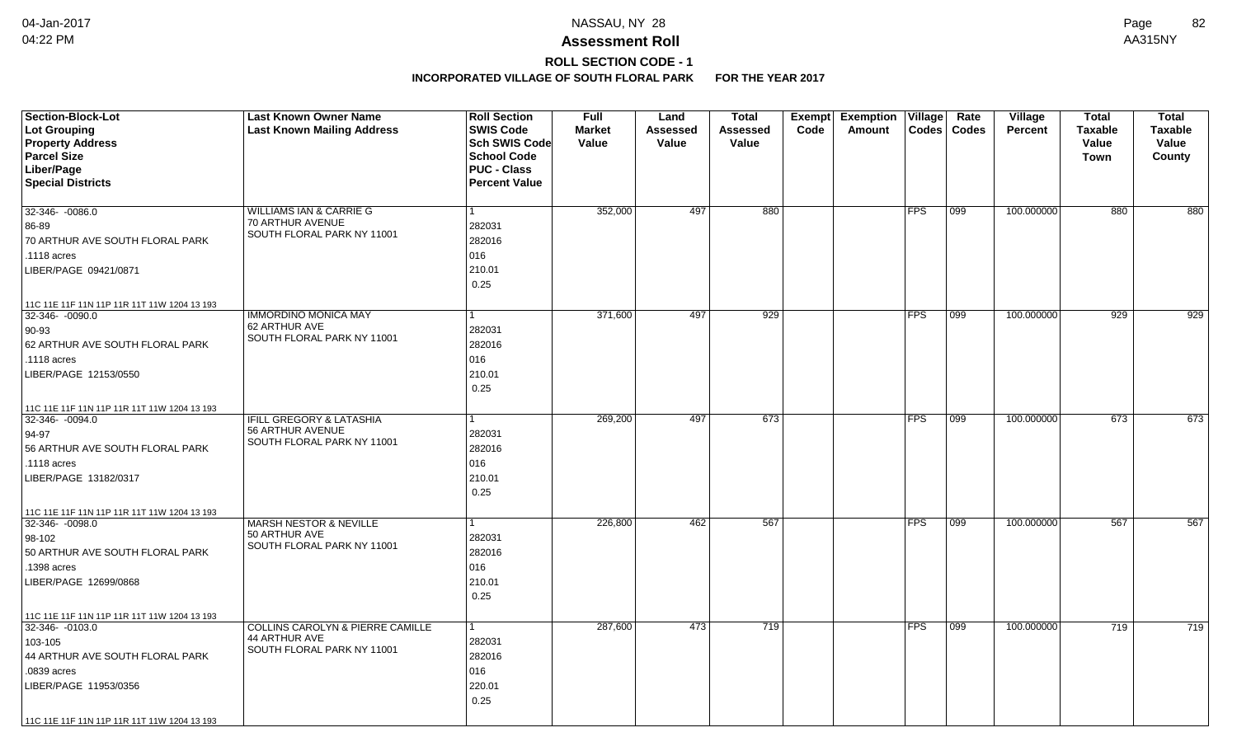# **ROLL SECTION CODE - 1**

| <b>Section-Block-Lot</b>                    | <b>Last Known Owner Name</b>                | <b>Roll Section</b>  | <b>Full</b>   | Land            | <b>Total</b>    | Exempt | <b>Exemption Village</b> |                | Rate  | Village        | <b>Total</b>   | <b>Total</b>   |
|---------------------------------------------|---------------------------------------------|----------------------|---------------|-----------------|-----------------|--------|--------------------------|----------------|-------|----------------|----------------|----------------|
| Lot Grouping                                | <b>Last Known Mailing Address</b>           | <b>SWIS Code</b>     | <b>Market</b> | <b>Assessed</b> | <b>Assessed</b> | Code   | Amount                   | $\text{Codes}$ | Codes | <b>Percent</b> | <b>Taxable</b> | <b>Taxable</b> |
| <b>Property Address</b>                     |                                             | <b>Sch SWIS Code</b> | Value         | Value           | Value           |        |                          |                |       |                | Value          | Value          |
| <b>Parcel Size</b>                          |                                             | <b>School Code</b>   |               |                 |                 |        |                          |                |       |                | Town           | County         |
| Liber/Page                                  |                                             | <b>PUC - Class</b>   |               |                 |                 |        |                          |                |       |                |                |                |
| <b>Special Districts</b>                    |                                             | <b>Percent Value</b> |               |                 |                 |        |                          |                |       |                |                |                |
| $32-346 - 0086.0$                           | <b>WILLIAMS IAN &amp; CARRIE G</b>          |                      | 352,000       | 497             | 880             |        |                          | <b>FPS</b>     | 099   | 100.000000     | 880            | 880            |
|                                             | 70 ARTHUR AVENUE                            | 282031               |               |                 |                 |        |                          |                |       |                |                |                |
| 86-89                                       | SOUTH FLORAL PARK NY 11001                  |                      |               |                 |                 |        |                          |                |       |                |                |                |
| 70 ARTHUR AVE SOUTH FLORAL PARK             |                                             | 282016               |               |                 |                 |        |                          |                |       |                |                |                |
| .1118 acres                                 |                                             | 016                  |               |                 |                 |        |                          |                |       |                |                |                |
| LIBER/PAGE 09421/0871                       |                                             | 210.01               |               |                 |                 |        |                          |                |       |                |                |                |
|                                             |                                             | 0.25                 |               |                 |                 |        |                          |                |       |                |                |                |
| 11C 11E 11F 11N 11P 11R 11T 11W 1204 13 193 |                                             |                      |               |                 |                 |        |                          |                |       |                |                |                |
| $32-346 - 0090.0$                           | <b>IMMORDINO MONICA MAY</b>                 | 1                    | 371,600       | 497             | 929             |        |                          | <b>FPS</b>     | 099   | 100.000000     | 929            | 929            |
| $90-93$                                     | 62 ARTHUR AVE<br>SOUTH FLORAL PARK NY 11001 | 282031               |               |                 |                 |        |                          |                |       |                |                |                |
| 62 ARTHUR AVE SOUTH FLORAL PARK             |                                             | 282016               |               |                 |                 |        |                          |                |       |                |                |                |
| .1118 acres                                 |                                             | 016                  |               |                 |                 |        |                          |                |       |                |                |                |
| LIBER/PAGE 12153/0550                       |                                             | 210.01               |               |                 |                 |        |                          |                |       |                |                |                |
|                                             |                                             | 0.25                 |               |                 |                 |        |                          |                |       |                |                |                |
| 11C 11E 11F 11N 11P 11R 11T 11W 1204 13 193 |                                             |                      |               |                 |                 |        |                          |                |       |                |                |                |
| 32-346-0094.0                               | <b>IFILL GREGORY &amp; LATASHIA</b>         |                      | 269,200       | 497             | 673             |        |                          | <b>FPS</b>     | 099   | 100.000000     | 673            | 673            |
| $94-97$                                     | 56 ARTHUR AVENUE                            | 282031               |               |                 |                 |        |                          |                |       |                |                |                |
| 56 ARTHUR AVE SOUTH FLORAL PARK             | SOUTH FLORAL PARK NY 11001                  | 282016               |               |                 |                 |        |                          |                |       |                |                |                |
| .1118 acres                                 |                                             | 016                  |               |                 |                 |        |                          |                |       |                |                |                |
| LIBER/PAGE 13182/0317                       |                                             | 210.01               |               |                 |                 |        |                          |                |       |                |                |                |
|                                             |                                             | 0.25                 |               |                 |                 |        |                          |                |       |                |                |                |
| 11C 11E 11F 11N 11P 11R 11T 11W 1204 13 193 |                                             |                      |               |                 |                 |        |                          |                |       |                |                |                |
| 32-346-0098.0                               | <b>MARSH NESTOR &amp; NEVILLE</b>           | 1                    | 226,800       | 462             | 567             |        |                          | <b>FPS</b>     | 099   | 100.000000     | 567            | 567            |
| 98-102                                      | 50 ARTHUR AVE                               | 282031               |               |                 |                 |        |                          |                |       |                |                |                |
| 50 ARTHUR AVE SOUTH FLORAL PARK             | SOUTH FLORAL PARK NY 11001                  | 282016               |               |                 |                 |        |                          |                |       |                |                |                |
| .1398 acres                                 |                                             | 016                  |               |                 |                 |        |                          |                |       |                |                |                |
| LIBER/PAGE 12699/0868                       |                                             | 210.01               |               |                 |                 |        |                          |                |       |                |                |                |
|                                             |                                             | 0.25                 |               |                 |                 |        |                          |                |       |                |                |                |
| 11C 11E 11F 11N 11P 11R 11T 11W 1204 13 193 |                                             |                      |               |                 |                 |        |                          |                |       |                |                |                |
| 32-346-0103.0                               | <b>COLLINS CAROLYN &amp; PIERRE CAMILLE</b> | 1                    | 287,600       | 473             | 719             |        |                          | <b>FPS</b>     | 099   | 100.000000     | 719            | 719            |
| 103-105                                     | 44 ARTHUR AVE                               | 282031               |               |                 |                 |        |                          |                |       |                |                |                |
| 44 ARTHUR AVE SOUTH FLORAL PARK             | SOUTH FLORAL PARK NY 11001                  | 282016               |               |                 |                 |        |                          |                |       |                |                |                |
| .0839 acres                                 |                                             | 016                  |               |                 |                 |        |                          |                |       |                |                |                |
| LIBER/PAGE 11953/0356                       |                                             | 220.01               |               |                 |                 |        |                          |                |       |                |                |                |
|                                             |                                             | 0.25                 |               |                 |                 |        |                          |                |       |                |                |                |
| 11C 11E 11F 11N 11P 11R 11T 11W 1204 13 193 |                                             |                      |               |                 |                 |        |                          |                |       |                |                |                |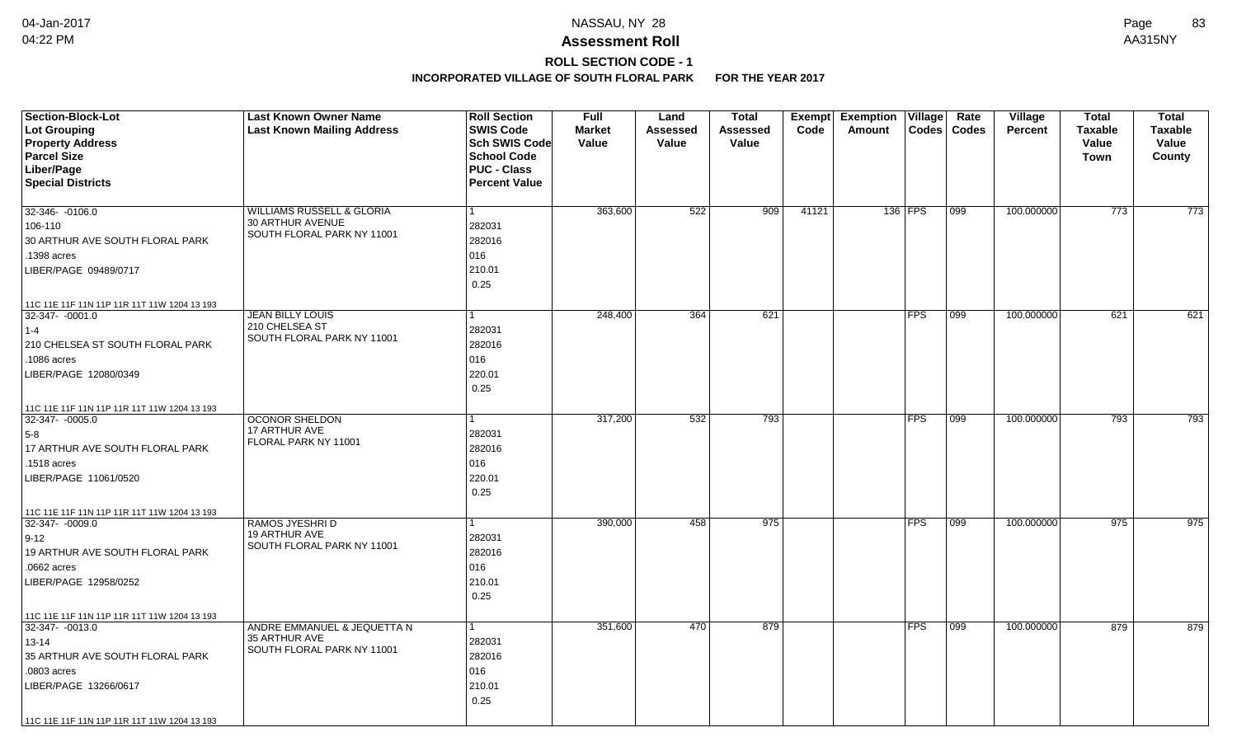# **ROLL SECTION CODE - 1**

| <b>Section-Block-Lot</b>                    | <b>Last Known Owner Name</b>              | <b>Roll Section</b>  | <b>Full</b>   | Land            | <b>Total</b> |       | Exempt Exemption | $\overline{\mathsf{V}}$ illage | Rate          | Village        | <b>Total</b>   | <b>Total</b> |
|---------------------------------------------|-------------------------------------------|----------------------|---------------|-----------------|--------------|-------|------------------|--------------------------------|---------------|----------------|----------------|--------------|
| Lot Grouping                                | <b>Last Known Mailing Address</b>         | <b>SWIS Code</b>     | <b>Market</b> | <b>Assessed</b> | Assessed     | Code  | Amount           | <b>Codes</b>                   | <b>Codes</b>  | <b>Percent</b> | <b>Taxable</b> | Taxable      |
| <b>Property Address</b>                     |                                           | Sch SWIS Code        | Value         | Value           | Value        |       |                  |                                |               |                | Value          | Value        |
| <b>Parcel Size</b>                          |                                           | <b>School Code</b>   |               |                 |              |       |                  |                                |               |                | <b>Town</b>    | County       |
| Liber/Page                                  |                                           | <b>PUC - Class</b>   |               |                 |              |       |                  |                                |               |                |                |              |
| <b>Special Districts</b>                    |                                           | <b>Percent Value</b> |               |                 |              |       |                  |                                |               |                |                |              |
| 32-346- -0106.0                             | <b>WILLIAMS RUSSELL &amp; GLORIA</b>      |                      | 363,600       | 522             | 909          | 41121 |                  | 136 FPS                        | 099           | 100.000000     | 773            | 773          |
| 106-110                                     | 30 ARTHUR AVENUE                          | 282031               |               |                 |              |       |                  |                                |               |                |                |              |
| 30 ARTHUR AVE SOUTH FLORAL PARK             | SOUTH FLORAL PARK NY 11001                | 282016               |               |                 |              |       |                  |                                |               |                |                |              |
| .1398 acres                                 |                                           | 016                  |               |                 |              |       |                  |                                |               |                |                |              |
| LIBER/PAGE 09489/0717                       |                                           | 210.01               |               |                 |              |       |                  |                                |               |                |                |              |
|                                             |                                           | 0.25                 |               |                 |              |       |                  |                                |               |                |                |              |
|                                             |                                           |                      |               |                 |              |       |                  |                                |               |                |                |              |
| 11C 11E 11F 11N 11P 11R 11T 11W 1204 13 193 |                                           |                      |               |                 |              |       |                  |                                |               |                |                |              |
| 32-347- -0001.0                             | <b>JEAN BILLY LOUIS</b><br>210 CHELSEA ST | 1                    | 248,400       | 364             | 621          |       |                  | <b>FPS</b>                     | $ 099\rangle$ | 100.000000     | 621            | 621          |
| $1 - 4$                                     | SOUTH FLORAL PARK NY 11001                | 282031               |               |                 |              |       |                  |                                |               |                |                |              |
| 210 CHELSEA ST SOUTH FLORAL PARK            |                                           | 282016               |               |                 |              |       |                  |                                |               |                |                |              |
| .1086 acres                                 |                                           | 016                  |               |                 |              |       |                  |                                |               |                |                |              |
| LIBER/PAGE 12080/0349                       |                                           | 220.01               |               |                 |              |       |                  |                                |               |                |                |              |
|                                             |                                           | 0.25                 |               |                 |              |       |                  |                                |               |                |                |              |
| 11C 11E 11F 11N 11P 11R 11T 11W 1204 13 193 |                                           |                      |               |                 |              |       |                  |                                |               |                |                |              |
| 32-347- -0005.0                             | <b>OCONOR SHELDON</b>                     |                      | 317,200       | 532             | 793          |       |                  | <b>FPS</b>                     | 099           | 100.000000     | 793            | 793          |
| $5-8$                                       | 17 ARTHUR AVE                             | 282031               |               |                 |              |       |                  |                                |               |                |                |              |
| 17 ARTHUR AVE SOUTH FLORAL PARK             | FLORAL PARK NY 11001                      | 282016               |               |                 |              |       |                  |                                |               |                |                |              |
| .1518 acres                                 |                                           | 016                  |               |                 |              |       |                  |                                |               |                |                |              |
| LIBER/PAGE 11061/0520                       |                                           | 220.01               |               |                 |              |       |                  |                                |               |                |                |              |
|                                             |                                           | 0.25                 |               |                 |              |       |                  |                                |               |                |                |              |
| 11C 11E 11F 11N 11P 11R 11T 11W 1204 13 193 |                                           |                      |               |                 |              |       |                  |                                |               |                |                |              |
| 32-347- -0009.0                             | RAMOS JYESHRI D                           |                      | 390,000       | 458             | 975          |       |                  | <b>FPS</b>                     | 099           | 100.000000     | 975            | 975          |
| $9 - 12$                                    | 19 ARTHUR AVE                             | 282031               |               |                 |              |       |                  |                                |               |                |                |              |
| 19 ARTHUR AVE SOUTH FLORAL PARK             | SOUTH FLORAL PARK NY 11001                | 282016               |               |                 |              |       |                  |                                |               |                |                |              |
| .0662 acres                                 |                                           | 016                  |               |                 |              |       |                  |                                |               |                |                |              |
| LIBER/PAGE 12958/0252                       |                                           | 210.01               |               |                 |              |       |                  |                                |               |                |                |              |
|                                             |                                           | 0.25                 |               |                 |              |       |                  |                                |               |                |                |              |
| 11C 11E 11F 11N 11P 11R 11T 11W 1204 13 193 |                                           |                      |               |                 |              |       |                  |                                |               |                |                |              |
| 32-347- - 0013.0                            | ANDRE EMMANUEL & JEQUETTA N               |                      | 351,600       | 470             | 879          |       |                  | <b>FPS</b>                     | 099           | 100.000000     | 879            | 879          |
| 13-14                                       | 35 ARTHUR AVE                             | 282031               |               |                 |              |       |                  |                                |               |                |                |              |
| 35 ARTHUR AVE SOUTH FLORAL PARK             | SOUTH FLORAL PARK NY 11001                | 282016               |               |                 |              |       |                  |                                |               |                |                |              |
| .0803 acres                                 |                                           | 016                  |               |                 |              |       |                  |                                |               |                |                |              |
| LIBER/PAGE 13266/0617                       |                                           | 210.01               |               |                 |              |       |                  |                                |               |                |                |              |
|                                             |                                           | 0.25                 |               |                 |              |       |                  |                                |               |                |                |              |
| 11C 11E 11F 11N 11P 11R 11T 11W 1204 13 193 |                                           |                      |               |                 |              |       |                  |                                |               |                |                |              |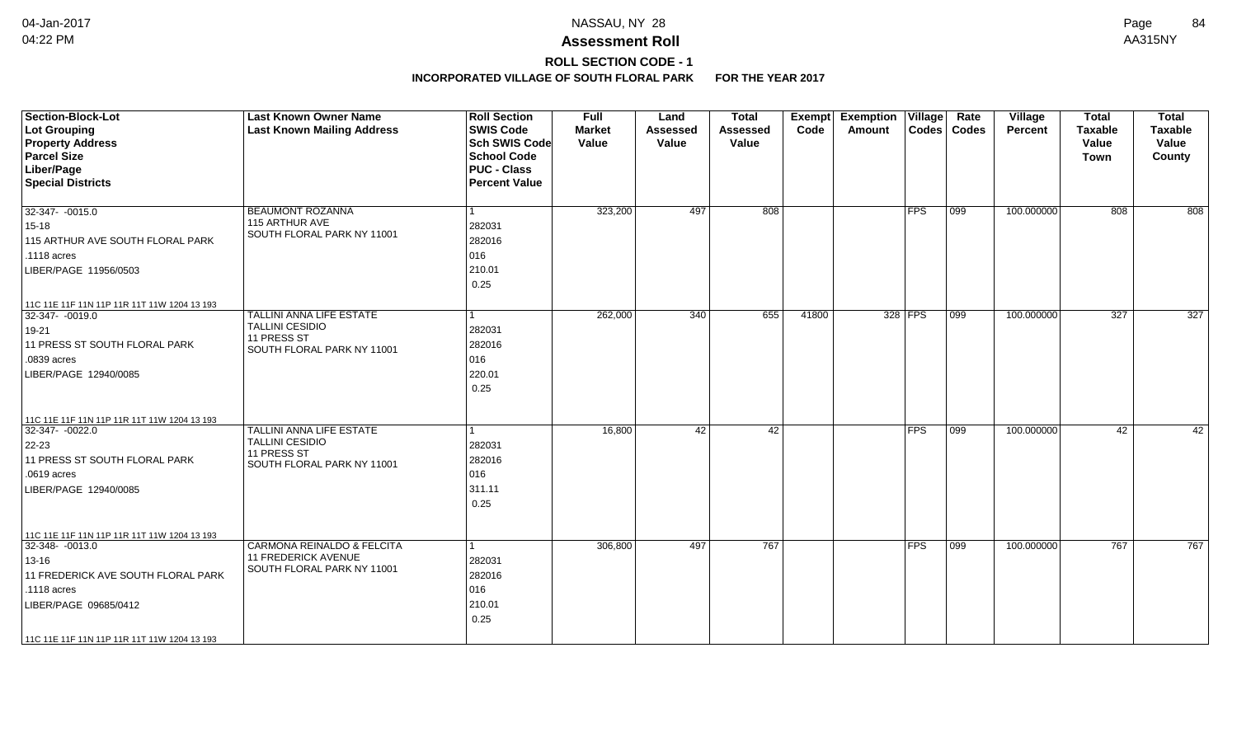## **ROLL SECTION CODE - 1**

| <b>Section-Block-Lot</b><br>Lot Grouping<br><b>Property Address</b><br><b>Parcel Size</b><br>Liber/Page<br><b>Special Districts</b> | <b>Last Known Owner Name</b><br><b>Last Known Mailing Address</b> | <b>Roll Section</b><br><b>SWIS Code</b><br>Sch SWIS Code<br><b>School Code</b><br><b>PUC - Class</b><br><b>Percent Value</b> | <b>Full</b><br><b>Market</b><br>Value | Land<br><b>Assessed</b><br>Value | <b>Total</b><br>Assessed<br>Value | Exempt<br>Code | <b>Exemption Village</b><br>Amount |                | Rate<br>Codes   Codes | Village<br><b>Percent</b> | <b>Total</b><br><b>Taxable</b><br>Value<br>Town | <b>Total</b><br><b>Taxable</b><br>Value<br>County |
|-------------------------------------------------------------------------------------------------------------------------------------|-------------------------------------------------------------------|------------------------------------------------------------------------------------------------------------------------------|---------------------------------------|----------------------------------|-----------------------------------|----------------|------------------------------------|----------------|-----------------------|---------------------------|-------------------------------------------------|---------------------------------------------------|
| 32-347- -0015.0                                                                                                                     | <b>BEAUMONT ROZANNA</b>                                           | l 1                                                                                                                          | 323,200                               | 497                              | 808                               |                |                                    | FPS            | $\overline{099}$      | 100.000000                | 808                                             | 808                                               |
| $15 - 18$                                                                                                                           | 115 ARTHUR AVE<br>SOUTH FLORAL PARK NY 11001                      | 282031                                                                                                                       |                                       |                                  |                                   |                |                                    |                |                       |                           |                                                 |                                                   |
| 115 ARTHUR AVE SOUTH FLORAL PARK                                                                                                    |                                                                   | 282016                                                                                                                       |                                       |                                  |                                   |                |                                    |                |                       |                           |                                                 |                                                   |
| .1118 acres                                                                                                                         |                                                                   | 016                                                                                                                          |                                       |                                  |                                   |                |                                    |                |                       |                           |                                                 |                                                   |
| LIBER/PAGE 11956/0503                                                                                                               |                                                                   | 210.01                                                                                                                       |                                       |                                  |                                   |                |                                    |                |                       |                           |                                                 |                                                   |
|                                                                                                                                     |                                                                   | 0.25                                                                                                                         |                                       |                                  |                                   |                |                                    |                |                       |                           |                                                 |                                                   |
| 11C 11E 11F 11N 11P 11R 11T 11W 1204 13 193                                                                                         |                                                                   |                                                                                                                              |                                       |                                  |                                   |                |                                    |                |                       |                           |                                                 |                                                   |
| 32-347-0019.0                                                                                                                       | <b>TALLINI ANNA LIFE ESTATE</b>                                   | 1                                                                                                                            | 262,000                               | $\overline{340}$                 | 655                               | 41800          |                                    | 328 FPS        | 099                   | 100.000000                | $\overline{327}$                                | $\overline{327}$                                  |
| 19-21                                                                                                                               | TALLINI CESIDIO                                                   | 282031                                                                                                                       |                                       |                                  |                                   |                |                                    |                |                       |                           |                                                 |                                                   |
| 11 PRESS ST SOUTH FLORAL PARK                                                                                                       | 11 PRESS ST<br>SOUTH FLORAL PARK NY 11001                         | 282016                                                                                                                       |                                       |                                  |                                   |                |                                    |                |                       |                           |                                                 |                                                   |
| .0839 acres                                                                                                                         |                                                                   | 016                                                                                                                          |                                       |                                  |                                   |                |                                    |                |                       |                           |                                                 |                                                   |
| LIBER/PAGE 12940/0085                                                                                                               |                                                                   | 220.01                                                                                                                       |                                       |                                  |                                   |                |                                    |                |                       |                           |                                                 |                                                   |
|                                                                                                                                     |                                                                   | 0.25                                                                                                                         |                                       |                                  |                                   |                |                                    |                |                       |                           |                                                 |                                                   |
| 11C 11E 11F 11N 11P 11R 11T 11W 1204 13 193                                                                                         |                                                                   |                                                                                                                              |                                       |                                  |                                   |                |                                    |                |                       |                           |                                                 |                                                   |
| 32-347- -0022.0                                                                                                                     | TALLINI ANNA LIFE ESTATE                                          | $\mathbf{1}$                                                                                                                 | 16,800                                | 42                               | 42                                |                |                                    | $ {\sf{FPS}} $ | $ 099\rangle$         | 100.000000                | 42                                              | 42                                                |
| 22-23                                                                                                                               | TALLINI CESIDIO<br>11 PRESS ST                                    | 282031                                                                                                                       |                                       |                                  |                                   |                |                                    |                |                       |                           |                                                 |                                                   |
| 11 PRESS ST SOUTH FLORAL PARK                                                                                                       | SOUTH FLORAL PARK NY 11001                                        | 282016                                                                                                                       |                                       |                                  |                                   |                |                                    |                |                       |                           |                                                 |                                                   |
| .0619 acres                                                                                                                         |                                                                   | 016                                                                                                                          |                                       |                                  |                                   |                |                                    |                |                       |                           |                                                 |                                                   |
| LIBER/PAGE 12940/0085                                                                                                               |                                                                   | 311.11                                                                                                                       |                                       |                                  |                                   |                |                                    |                |                       |                           |                                                 |                                                   |
|                                                                                                                                     |                                                                   | 0.25                                                                                                                         |                                       |                                  |                                   |                |                                    |                |                       |                           |                                                 |                                                   |
| 11C 11E 11F 11N 11P 11R 11T 11W 1204 13 193                                                                                         |                                                                   |                                                                                                                              |                                       |                                  |                                   |                |                                    |                |                       |                           |                                                 |                                                   |
| 32-348- -0013.0                                                                                                                     | CARMONA REINALDO & FELCITA                                        | $\overline{1}$                                                                                                               | 306,800                               | 497                              | 767                               |                |                                    | <b>FPS</b>     | 099                   | 100.000000                | 767                                             | 767                                               |
| $13 - 16$                                                                                                                           | <b>11 FREDERICK AVENUE</b><br>SOUTH FLORAL PARK NY 11001          | 282031                                                                                                                       |                                       |                                  |                                   |                |                                    |                |                       |                           |                                                 |                                                   |
| 11 FREDERICK AVE SOUTH FLORAL PARK                                                                                                  |                                                                   | 282016                                                                                                                       |                                       |                                  |                                   |                |                                    |                |                       |                           |                                                 |                                                   |
| .1118 acres                                                                                                                         |                                                                   | 016                                                                                                                          |                                       |                                  |                                   |                |                                    |                |                       |                           |                                                 |                                                   |
| LIBER/PAGE 09685/0412                                                                                                               |                                                                   | 210.01                                                                                                                       |                                       |                                  |                                   |                |                                    |                |                       |                           |                                                 |                                                   |
|                                                                                                                                     |                                                                   | 0.25                                                                                                                         |                                       |                                  |                                   |                |                                    |                |                       |                           |                                                 |                                                   |
| 11C 11E 11F 11N 11P 11R 11T 11W 1204 13 193                                                                                         |                                                                   |                                                                                                                              |                                       |                                  |                                   |                |                                    |                |                       |                           |                                                 |                                                   |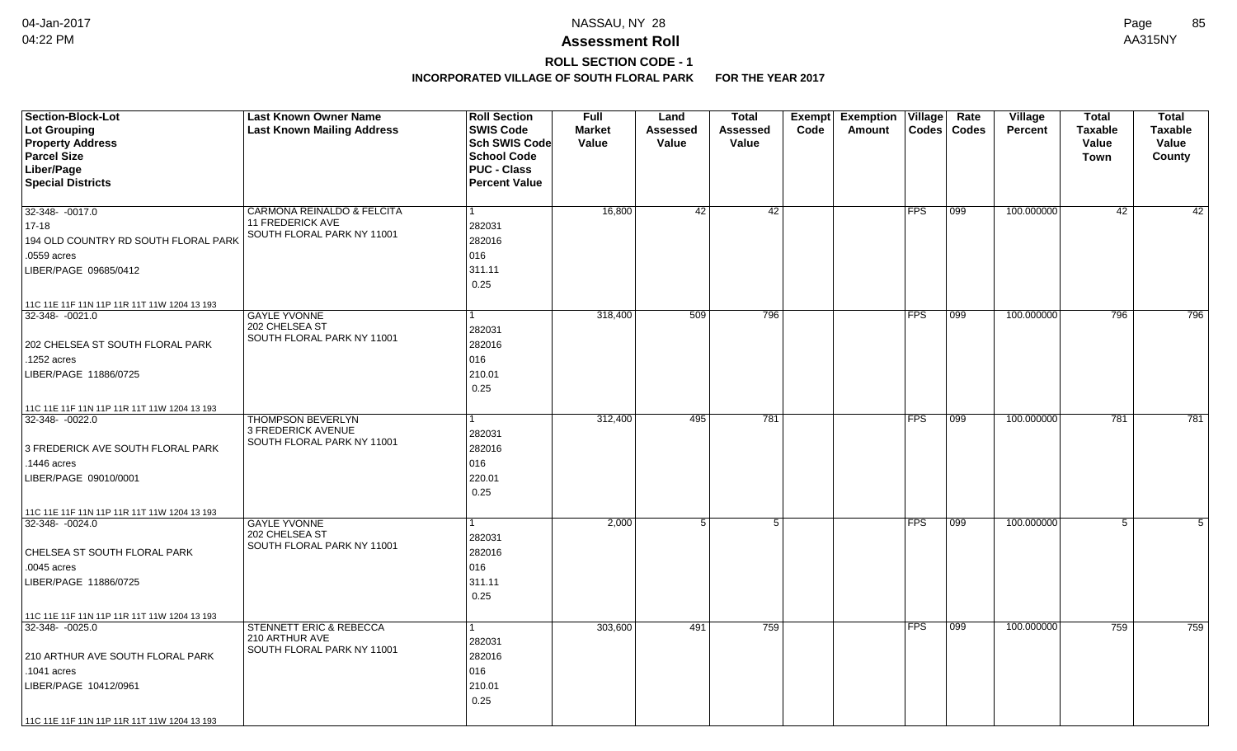# **ROLL SECTION CODE - 1**

| <b>Section-Block-Lot</b><br><b>Lot Grouping</b><br><b>Property Address</b><br><b>Parcel Size</b> | <b>Last Known Owner Name</b><br><b>Last Known Mailing Address</b> | <b>Roll Section</b><br><b>SWIS Code</b><br><b>Sch SWIS Code</b><br><b>School Code</b> | <b>Full</b><br><b>Market</b><br>Value | Land<br><b>Assessed</b><br>Value | <b>Total</b><br>Assessed<br>Value | Exempt<br>Code | <b>Exemption</b><br>Amount | Village    | Rate<br>Codes   Codes | Village<br><b>Percent</b> | <b>Total</b><br><b>Taxable</b><br>Value | <b>Total</b><br><b>Taxable</b><br>Value |
|--------------------------------------------------------------------------------------------------|-------------------------------------------------------------------|---------------------------------------------------------------------------------------|---------------------------------------|----------------------------------|-----------------------------------|----------------|----------------------------|------------|-----------------------|---------------------------|-----------------------------------------|-----------------------------------------|
|                                                                                                  |                                                                   |                                                                                       |                                       |                                  |                                   |                |                            |            |                       |                           | Town                                    | County                                  |
| Liber/Page                                                                                       |                                                                   | <b>PUC - Class</b>                                                                    |                                       |                                  |                                   |                |                            |            |                       |                           |                                         |                                         |
| <b>Special Districts</b>                                                                         |                                                                   | <b>Percent Value</b>                                                                  |                                       |                                  |                                   |                |                            |            |                       |                           |                                         |                                         |
| 32-348- -0017.0                                                                                  | CARMONA REINALDO & FELCITA                                        | 1                                                                                     | 16,800                                | 42                               | 42                                |                |                            | <b>FPS</b> | 099                   | 100.000000                | 42                                      | 42                                      |
| $17 - 18$                                                                                        | <b>11 FREDERICK AVE</b>                                           | 282031                                                                                |                                       |                                  |                                   |                |                            |            |                       |                           |                                         |                                         |
| 194 OLD COUNTRY RD SOUTH FLORAL PARK                                                             | SOUTH FLORAL PARK NY 11001                                        | 282016                                                                                |                                       |                                  |                                   |                |                            |            |                       |                           |                                         |                                         |
| .0559 acres                                                                                      |                                                                   | 016                                                                                   |                                       |                                  |                                   |                |                            |            |                       |                           |                                         |                                         |
| LIBER/PAGE 09685/0412                                                                            |                                                                   | 311.11                                                                                |                                       |                                  |                                   |                |                            |            |                       |                           |                                         |                                         |
|                                                                                                  |                                                                   | 0.25                                                                                  |                                       |                                  |                                   |                |                            |            |                       |                           |                                         |                                         |
| 11C 11E 11F 11N 11P 11R 11T 11W 1204 13 193                                                      |                                                                   |                                                                                       |                                       |                                  |                                   |                |                            |            |                       |                           |                                         |                                         |
| 32-348-0021.0                                                                                    | <b>GAYLE YVONNE</b>                                               |                                                                                       | 318,400                               | 509                              | 796                               |                |                            | <b>FPS</b> | 099                   | 100.000000                | 796                                     | 796                                     |
|                                                                                                  | 202 CHELSEA ST<br>SOUTH FLORAL PARK NY 11001                      | 282031                                                                                |                                       |                                  |                                   |                |                            |            |                       |                           |                                         |                                         |
| 202 CHELSEA ST SOUTH FLORAL PARK                                                                 |                                                                   | 282016                                                                                |                                       |                                  |                                   |                |                            |            |                       |                           |                                         |                                         |
| .1252 acres                                                                                      |                                                                   | 016                                                                                   |                                       |                                  |                                   |                |                            |            |                       |                           |                                         |                                         |
| LIBER/PAGE 11886/0725                                                                            |                                                                   | 210.01                                                                                |                                       |                                  |                                   |                |                            |            |                       |                           |                                         |                                         |
|                                                                                                  |                                                                   | 0.25                                                                                  |                                       |                                  |                                   |                |                            |            |                       |                           |                                         |                                         |
| 11C 11E 11F 11N 11P 11R 11T 11W 1204 13 193                                                      |                                                                   |                                                                                       |                                       |                                  |                                   |                |                            |            |                       |                           |                                         |                                         |
| 32-348-0022.0                                                                                    | <b>THOMPSON BEVERLYN</b>                                          |                                                                                       | 312,400                               | 495                              | 781                               |                |                            | <b>FPS</b> | 099                   | 100.000000                | 781                                     | 781                                     |
|                                                                                                  | 3 FREDERICK AVENUE<br>SOUTH FLORAL PARK NY 11001                  | 282031                                                                                |                                       |                                  |                                   |                |                            |            |                       |                           |                                         |                                         |
| 3 FREDERICK AVE SOUTH FLORAL PARK                                                                |                                                                   | 282016                                                                                |                                       |                                  |                                   |                |                            |            |                       |                           |                                         |                                         |
| .1446 acres                                                                                      |                                                                   | 016                                                                                   |                                       |                                  |                                   |                |                            |            |                       |                           |                                         |                                         |
| LIBER/PAGE 09010/0001                                                                            |                                                                   | 220.01                                                                                |                                       |                                  |                                   |                |                            |            |                       |                           |                                         |                                         |
|                                                                                                  |                                                                   | 0.25                                                                                  |                                       |                                  |                                   |                |                            |            |                       |                           |                                         |                                         |
| 11C 11E 11F 11N 11P 11R 11T 11W 1204 13 193                                                      |                                                                   |                                                                                       |                                       |                                  |                                   |                |                            |            |                       |                           |                                         |                                         |
| 32-348-0024.0                                                                                    | <b>GAYLE YVONNE</b><br>202 CHELSEA ST                             |                                                                                       | 2,000                                 | 5 <sup>1</sup>                   | 5                                 |                |                            | <b>FPS</b> | 099                   | 100.000000                | $\overline{5}$                          | 5                                       |
|                                                                                                  | SOUTH FLORAL PARK NY 11001                                        | 282031                                                                                |                                       |                                  |                                   |                |                            |            |                       |                           |                                         |                                         |
| CHELSEA ST SOUTH FLORAL PARK                                                                     |                                                                   | 282016                                                                                |                                       |                                  |                                   |                |                            |            |                       |                           |                                         |                                         |
| .0045 acres                                                                                      |                                                                   | 016                                                                                   |                                       |                                  |                                   |                |                            |            |                       |                           |                                         |                                         |
| LIBER/PAGE 11886/0725                                                                            |                                                                   | 311.11                                                                                |                                       |                                  |                                   |                |                            |            |                       |                           |                                         |                                         |
|                                                                                                  |                                                                   | 0.25                                                                                  |                                       |                                  |                                   |                |                            |            |                       |                           |                                         |                                         |
| 11C 11E 11F 11N 11P 11R 11T 11W 1204 13 193                                                      |                                                                   |                                                                                       |                                       |                                  |                                   |                |                            |            |                       |                           |                                         |                                         |
| 32-348-0025.0                                                                                    | STENNETT ERIC & REBECCA<br>210 ARTHUR AVE                         |                                                                                       | 303,600                               | 491                              | 759                               |                |                            | <b>FPS</b> | 099                   | 100.000000                | 759                                     | 759                                     |
|                                                                                                  | SOUTH FLORAL PARK NY 11001                                        | 282031                                                                                |                                       |                                  |                                   |                |                            |            |                       |                           |                                         |                                         |
| 210 ARTHUR AVE SOUTH FLORAL PARK                                                                 |                                                                   | 282016                                                                                |                                       |                                  |                                   |                |                            |            |                       |                           |                                         |                                         |
| .1041 acres                                                                                      |                                                                   | 016                                                                                   |                                       |                                  |                                   |                |                            |            |                       |                           |                                         |                                         |
| LIBER/PAGE 10412/0961                                                                            |                                                                   | 210.01                                                                                |                                       |                                  |                                   |                |                            |            |                       |                           |                                         |                                         |
|                                                                                                  |                                                                   | 0.25                                                                                  |                                       |                                  |                                   |                |                            |            |                       |                           |                                         |                                         |
| 11C 11E 11F 11N 11P 11R 11T 11W 1204 13 193                                                      |                                                                   |                                                                                       |                                       |                                  |                                   |                |                            |            |                       |                           |                                         |                                         |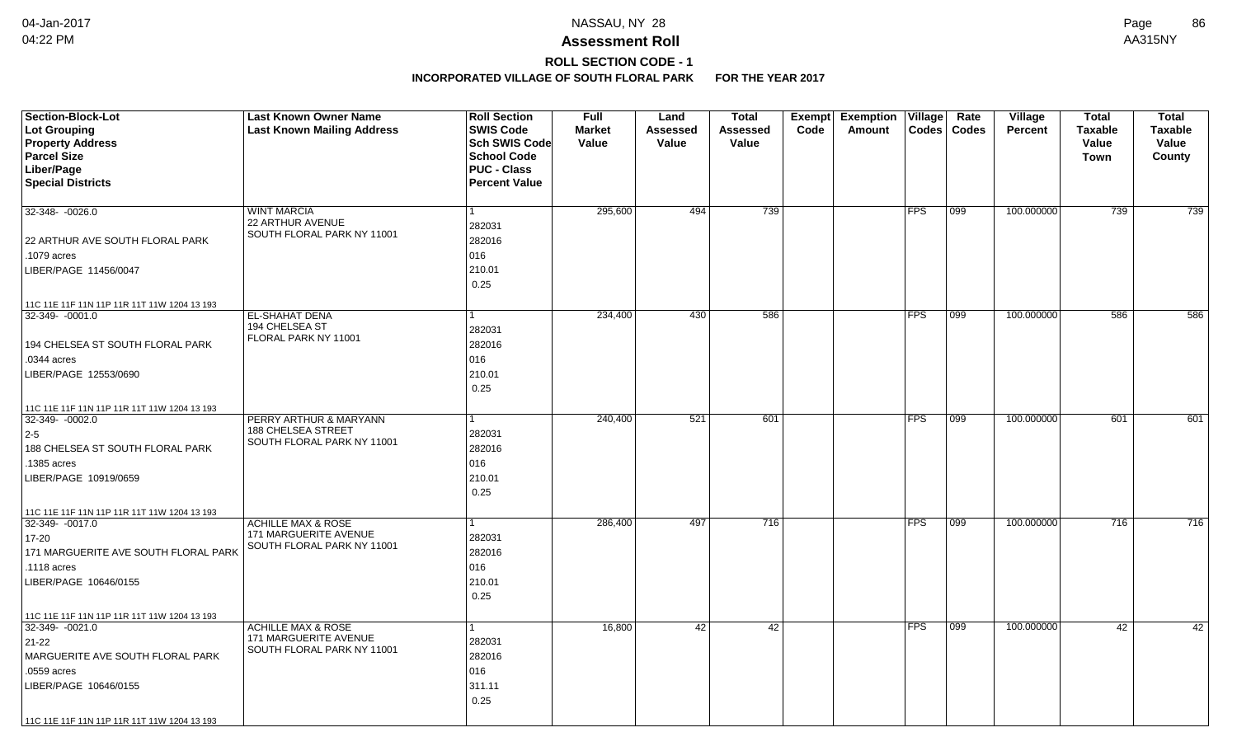# **ROLL SECTION CODE - 1**

| <b>Section-Block-Lot</b>                    | <b>Last Known Owner Name</b>                                  | <b>Roll Section</b>  | <b>Full</b>   | Land     | <b>Total</b> | Exempt | <b>Exemption</b> | Village    | Rate          | Village        | <b>Total</b>   | <b>Total</b>   |
|---------------------------------------------|---------------------------------------------------------------|----------------------|---------------|----------|--------------|--------|------------------|------------|---------------|----------------|----------------|----------------|
| Lot Grouping                                | <b>Last Known Mailing Address</b>                             | <b>SWIS Code</b>     | <b>Market</b> | Assessed | Assessed     | Code   | Amount           |            | Codes   Codes | <b>Percent</b> | <b>Taxable</b> | <b>Taxable</b> |
| <b>Property Address</b>                     |                                                               | Sch SWIS Code        | Value         | Value    | Value        |        |                  |            |               |                | Value          | Value          |
| <b>Parcel Size</b>                          |                                                               | <b>School Code</b>   |               |          |              |        |                  |            |               |                | Town           | County         |
| Liber/Page                                  |                                                               | <b>PUC - Class</b>   |               |          |              |        |                  |            |               |                |                |                |
| <b>Special Districts</b>                    |                                                               | <b>Percent Value</b> |               |          |              |        |                  |            |               |                |                |                |
| 32-348-0026.0                               | <b>WINT MARCIA</b>                                            |                      | 295,600       | 494      | 739          |        |                  | <b>FPS</b> | 099           | 100.000000     | 739            | 739            |
|                                             | 22 ARTHUR AVENUE                                              | 282031               |               |          |              |        |                  |            |               |                |                |                |
| 22 ARTHUR AVE SOUTH FLORAL PARK             | SOUTH FLORAL PARK NY 11001                                    | 282016               |               |          |              |        |                  |            |               |                |                |                |
| .1079 acres                                 |                                                               | 016                  |               |          |              |        |                  |            |               |                |                |                |
| LIBER/PAGE 11456/0047                       |                                                               | 210.01               |               |          |              |        |                  |            |               |                |                |                |
|                                             |                                                               | 0.25                 |               |          |              |        |                  |            |               |                |                |                |
| 11C 11E 11F 11N 11P 11R 11T 11W 1204 13 193 |                                                               |                      |               |          |              |        |                  |            |               |                |                |                |
| 32-349- -0001.0                             | EL-SHAHAT DENA                                                |                      | 234,400       | 430      | 586          |        |                  | <b>FPS</b> | 099           | 100.000000     | 586            | 586            |
|                                             | 194 CHELSEA ST                                                | 282031               |               |          |              |        |                  |            |               |                |                |                |
| 194 CHELSEA ST SOUTH FLORAL PARK            | FLORAL PARK NY 11001                                          | 282016               |               |          |              |        |                  |            |               |                |                |                |
| .0344 acres                                 |                                                               | 016                  |               |          |              |        |                  |            |               |                |                |                |
| LIBER/PAGE 12553/0690                       |                                                               | 210.01               |               |          |              |        |                  |            |               |                |                |                |
|                                             |                                                               | 0.25                 |               |          |              |        |                  |            |               |                |                |                |
| 11C 11E 11F 11N 11P 11R 11T 11W 1204 13 193 |                                                               |                      |               |          |              |        |                  |            |               |                |                |                |
| 32-349-0002.0                               | PERRY ARTHUR & MARYANN<br>188 CHELSEA STREET                  |                      | 240,400       | 521      | 601          |        |                  | <b>FPS</b> | $ 099\rangle$ | 100.000000     | 601            | 601            |
| $2-5$                                       | SOUTH FLORAL PARK NY 11001                                    | 282031               |               |          |              |        |                  |            |               |                |                |                |
| 188 CHELSEA ST SOUTH FLORAL PARK            |                                                               | 282016               |               |          |              |        |                  |            |               |                |                |                |
| .1385 acres                                 |                                                               | 016                  |               |          |              |        |                  |            |               |                |                |                |
| LIBER/PAGE 10919/0659                       |                                                               | 210.01               |               |          |              |        |                  |            |               |                |                |                |
|                                             |                                                               | 0.25                 |               |          |              |        |                  |            |               |                |                |                |
| 11C 11E 11F 11N 11P 11R 11T 11W 1204 13 193 |                                                               |                      |               |          |              |        |                  |            |               |                |                |                |
| 32-349- -0017.0                             | <b>ACHILLE MAX &amp; ROSE</b><br><b>171 MARGUERITE AVENUE</b> |                      | 286,400       | 497      | 716          |        |                  | <b>FPS</b> | 099           | 100.000000     | 716            | 716            |
| $17 - 20$                                   | SOUTH FLORAL PARK NY 11001                                    | 282031               |               |          |              |        |                  |            |               |                |                |                |
| 171 MARGUERITE AVE SOUTH FLORAL PARK        |                                                               | 282016               |               |          |              |        |                  |            |               |                |                |                |
| .1118 acres                                 |                                                               | 016                  |               |          |              |        |                  |            |               |                |                |                |
| LIBER/PAGE 10646/0155                       |                                                               | 210.01               |               |          |              |        |                  |            |               |                |                |                |
|                                             |                                                               | 0.25                 |               |          |              |        |                  |            |               |                |                |                |
| 11C 11E 11F 11N 11P 11R 11T 11W 1204 13 193 |                                                               |                      |               |          |              |        |                  |            |               |                |                |                |
| 32-349-0021.0                               | <b>ACHILLE MAX &amp; ROSE</b>                                 |                      | 16,800        | 42       | 42           |        |                  | <b>FPS</b> | 099           | 100.000000     | 42             | 42             |
| $21-22$                                     | 171 MARGUERITE AVENUE<br>SOUTH FLORAL PARK NY 11001           | 282031               |               |          |              |        |                  |            |               |                |                |                |
| MARGUERITE AVE SOUTH FLORAL PARK            |                                                               | 282016               |               |          |              |        |                  |            |               |                |                |                |
| .0559 acres                                 |                                                               | 016                  |               |          |              |        |                  |            |               |                |                |                |
| LIBER/PAGE 10646/0155                       |                                                               | 311.11               |               |          |              |        |                  |            |               |                |                |                |
|                                             |                                                               | 0.25                 |               |          |              |        |                  |            |               |                |                |                |
| 11C 11E 11F 11N 11P 11R 11T 11W 1204 13 193 |                                                               |                      |               |          |              |        |                  |            |               |                |                |                |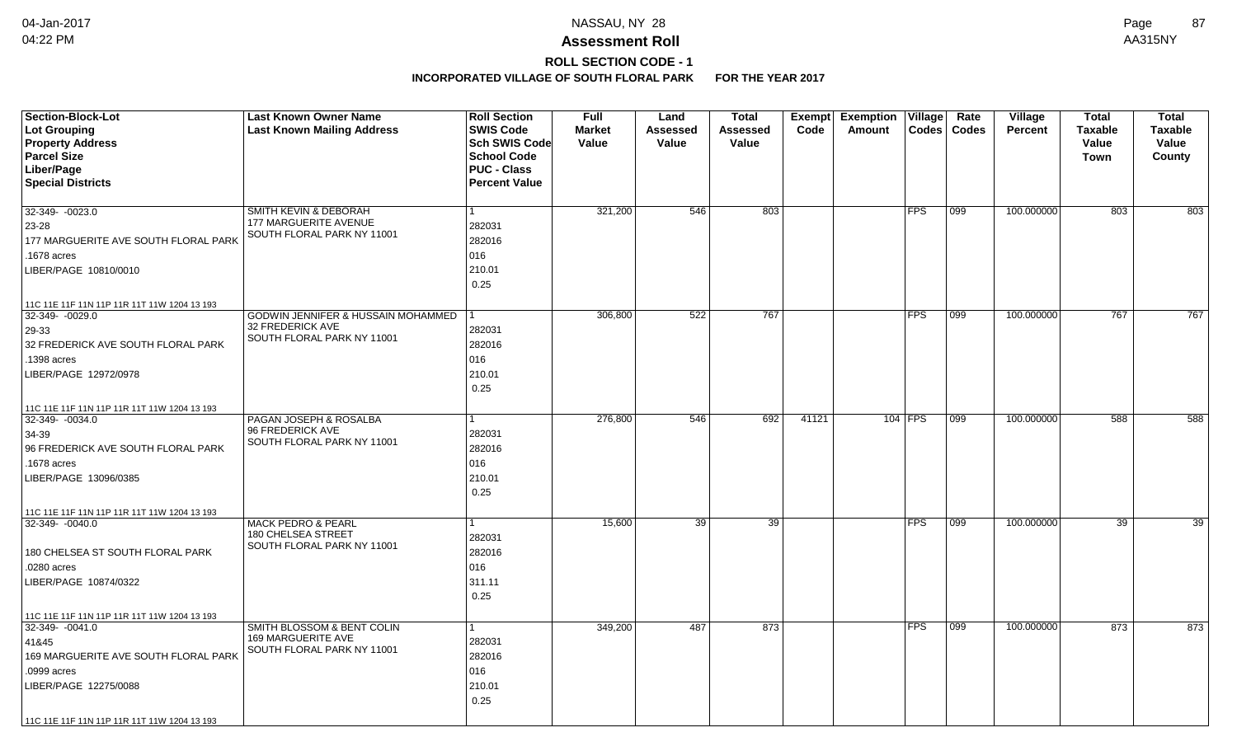# **ROLL SECTION CODE - 1**

| <b>Section-Block-Lot</b>                    | <b>Last Known Owner Name</b>                     | <b>Roll Section</b>                        | <b>Full</b>   | Land            | Total           | Exempt | <b>Exemption Village</b> |            | Rate  | Village        | <b>Total</b>   | <b>Total</b>   |
|---------------------------------------------|--------------------------------------------------|--------------------------------------------|---------------|-----------------|-----------------|--------|--------------------------|------------|-------|----------------|----------------|----------------|
| <b>Lot Grouping</b>                         | <b>Last Known Mailing Address</b>                | <b>SWIS Code</b>                           | <b>Market</b> | <b>Assessed</b> | <b>Assessed</b> | Code   | Amount                   | Codes      | Codes | <b>Percent</b> | <b>Taxable</b> | <b>Taxable</b> |
| <b>Property Address</b>                     |                                                  | <b>Sch SWIS Code</b>                       | Value         | Value           | Value           |        |                          |            |       |                | Value          | Value          |
| <b>Parcel Size</b>                          |                                                  | <b>School Code</b>                         |               |                 |                 |        |                          |            |       |                | Town           | County         |
| Liber/Page<br><b>Special Districts</b>      |                                                  | <b>PUC - Class</b><br><b>Percent Value</b> |               |                 |                 |        |                          |            |       |                |                |                |
|                                             |                                                  |                                            |               |                 |                 |        |                          |            |       |                |                |                |
| 32-349- -0023.0                             | SMITH KEVIN & DEBORAH                            |                                            | 321,200       | 546             | 803             |        |                          | <b>FPS</b> | 099   | 100.000000     | 803            | 803            |
| 23-28                                       | 177 MARGUERITE AVENUE                            | 282031                                     |               |                 |                 |        |                          |            |       |                |                |                |
| 177 MARGUERITE AVE SOUTH FLORAL PARK        | SOUTH FLORAL PARK NY 11001                       | 282016                                     |               |                 |                 |        |                          |            |       |                |                |                |
| .1678 acres                                 |                                                  | 016                                        |               |                 |                 |        |                          |            |       |                |                |                |
| LIBER/PAGE 10810/0010                       |                                                  | 210.01                                     |               |                 |                 |        |                          |            |       |                |                |                |
|                                             |                                                  | 0.25                                       |               |                 |                 |        |                          |            |       |                |                |                |
| 11C 11E 11F 11N 11P 11R 11T 11W 1204 13 193 |                                                  |                                            |               |                 |                 |        |                          |            |       |                |                |                |
| 32-349- -0029.0                             | GODWIN JENNIFER & HUSSAIN MOHAMMED               |                                            | 306,800       | 522             | 767             |        |                          | <b>FPS</b> | 099   | 100.000000     | 767            | 767            |
| 29-33                                       | 32 FREDERICK AVE                                 | 282031                                     |               |                 |                 |        |                          |            |       |                |                |                |
| 32 FREDERICK AVE SOUTH FLORAL PARK          | SOUTH FLORAL PARK NY 11001                       | 282016                                     |               |                 |                 |        |                          |            |       |                |                |                |
| .1398 acres                                 |                                                  | 016                                        |               |                 |                 |        |                          |            |       |                |                |                |
| LIBER/PAGE 12972/0978                       |                                                  | 210.01                                     |               |                 |                 |        |                          |            |       |                |                |                |
|                                             |                                                  | 0.25                                       |               |                 |                 |        |                          |            |       |                |                |                |
| 11C 11E 11F 11N 11P 11R 11T 11W 1204 13 193 |                                                  |                                            |               |                 |                 |        |                          |            |       |                |                |                |
| 32-349-0034.0                               | PAGAN JOSEPH & ROSALBA                           |                                            | 276,800       | 546             | 692             | 41121  |                          | $104$ FPS  | 099   | 100.000000     | 588            | 588            |
| 34-39                                       | 96 FREDERICK AVE<br>SOUTH FLORAL PARK NY 11001   | 282031                                     |               |                 |                 |        |                          |            |       |                |                |                |
| 96 FREDERICK AVE SOUTH FLORAL PARK          |                                                  | 282016                                     |               |                 |                 |        |                          |            |       |                |                |                |
| .1678 acres                                 |                                                  | 016                                        |               |                 |                 |        |                          |            |       |                |                |                |
| LIBER/PAGE 13096/0385                       |                                                  | 210.01                                     |               |                 |                 |        |                          |            |       |                |                |                |
|                                             |                                                  | 0.25                                       |               |                 |                 |        |                          |            |       |                |                |                |
| 11C 11E 11F 11N 11P 11R 11T 11W 1204 13 193 |                                                  |                                            |               |                 |                 |        |                          |            |       |                |                |                |
| 32-349-0040.0                               | <b>MACK PEDRO &amp; PEARL</b>                    |                                            | 15,600        | 39              | 39              |        |                          | <b>FPS</b> | 099   | 100.000000     | 39             | 39             |
|                                             | 180 CHELSEA STREET<br>SOUTH FLORAL PARK NY 11001 | 282031                                     |               |                 |                 |        |                          |            |       |                |                |                |
| 180 CHELSEA ST SOUTH FLORAL PARK            |                                                  | 282016                                     |               |                 |                 |        |                          |            |       |                |                |                |
| .0280 acres                                 |                                                  | 016                                        |               |                 |                 |        |                          |            |       |                |                |                |
| LIBER/PAGE 10874/0322                       |                                                  | 311.11                                     |               |                 |                 |        |                          |            |       |                |                |                |
|                                             |                                                  | 0.25                                       |               |                 |                 |        |                          |            |       |                |                |                |
| 11C 11E 11F 11N 11P 11R 11T 11W 1204 13 193 |                                                  |                                            |               |                 |                 |        |                          |            |       |                |                |                |
| 32-349-0041.0                               | SMITH BLOSSOM & BENT COLIN                       |                                            | 349,200       | 487             | 873             |        |                          | <b>FPS</b> | 099   | 100.000000     | 873            | 873            |
| 41&45                                       | 169 MARGUERITE AVE<br>SOUTH FLORAL PARK NY 11001 | 282031                                     |               |                 |                 |        |                          |            |       |                |                |                |
| 169 MARGUERITE AVE SOUTH FLORAL PARK        |                                                  | 282016                                     |               |                 |                 |        |                          |            |       |                |                |                |
| .0999 acres                                 |                                                  | 016                                        |               |                 |                 |        |                          |            |       |                |                |                |
| LIBER/PAGE 12275/0088                       |                                                  | 210.01                                     |               |                 |                 |        |                          |            |       |                |                |                |
|                                             |                                                  | 0.25                                       |               |                 |                 |        |                          |            |       |                |                |                |
| 11C 11E 11F 11N 11P 11R 11T 11W 1204 13 193 |                                                  |                                            |               |                 |                 |        |                          |            |       |                |                |                |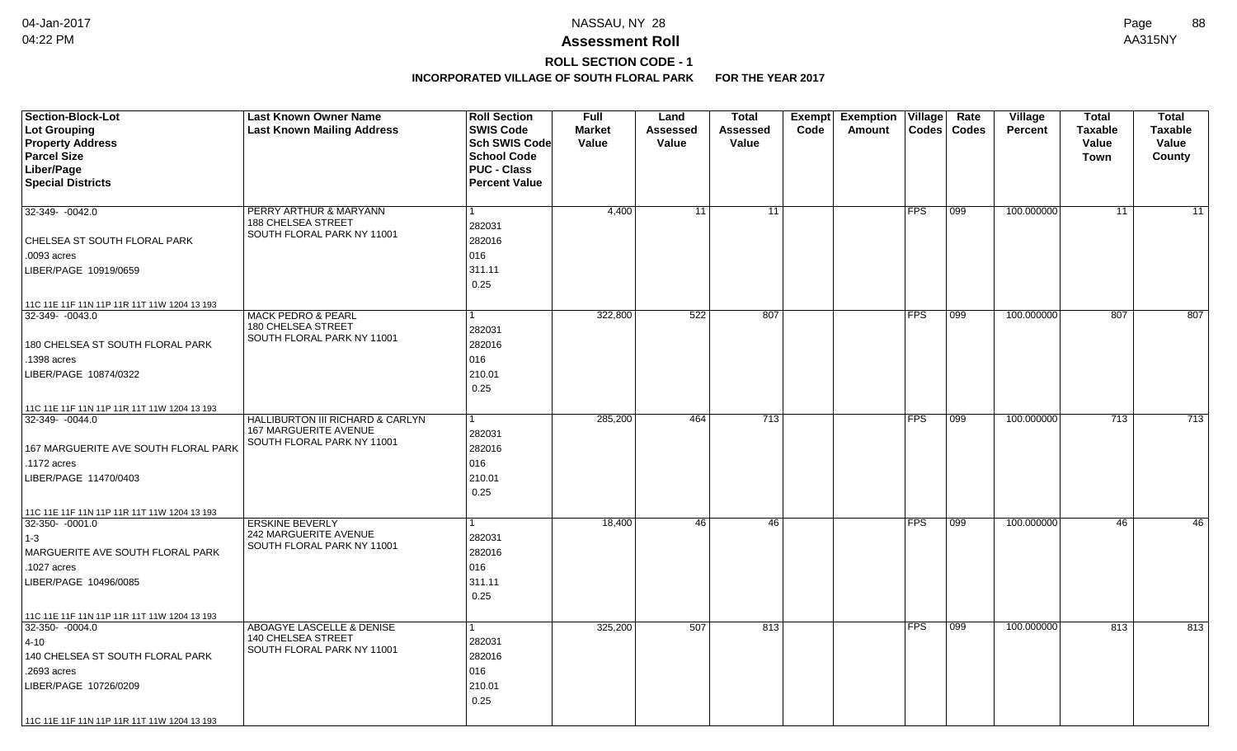# **ROLL SECTION CODE - 1**

| <b>Section-Block-Lot</b>                    | <b>Last Known Owner Name</b>                                     | <b>Roll Section</b>  | <b>Full</b>   | Land     | <b>Total</b>     | Exempt | <b>Exemption</b> | Village    | Rate          | Village        | <b>Total</b>   | <b>Total</b>    |
|---------------------------------------------|------------------------------------------------------------------|----------------------|---------------|----------|------------------|--------|------------------|------------|---------------|----------------|----------------|-----------------|
| Lot Grouping                                | <b>Last Known Mailing Address</b>                                | <b>SWIS Code</b>     | <b>Market</b> | Assessed | Assessed         | Code   | Amount           |            | Codes   Codes | <b>Percent</b> | <b>Taxable</b> | <b>Taxable</b>  |
| <b>Property Address</b>                     |                                                                  | Sch SWIS Code        | Value         | Value    | Value            |        |                  |            |               |                | Value          | Value           |
| <b>Parcel Size</b>                          |                                                                  | <b>School Code</b>   |               |          |                  |        |                  |            |               |                | Town           | County          |
| Liber/Page                                  |                                                                  | <b>PUC - Class</b>   |               |          |                  |        |                  |            |               |                |                |                 |
| <b>Special Districts</b>                    |                                                                  | <b>Percent Value</b> |               |          |                  |        |                  |            |               |                |                |                 |
| 32-349-0042.0                               | PERRY ARTHUR & MARYANN                                           |                      | 4,400         | 11       | 11               |        |                  | <b>FPS</b> | 099           | 100.000000     | 11             | $\overline{11}$ |
|                                             | <b>188 CHELSEA STREET</b>                                        | 282031               |               |          |                  |        |                  |            |               |                |                |                 |
| CHELSEA ST SOUTH FLORAL PARK                | SOUTH FLORAL PARK NY 11001                                       | 282016               |               |          |                  |        |                  |            |               |                |                |                 |
| .0093 acres                                 |                                                                  | 016                  |               |          |                  |        |                  |            |               |                |                |                 |
| LIBER/PAGE 10919/0659                       |                                                                  | 311.11               |               |          |                  |        |                  |            |               |                |                |                 |
|                                             |                                                                  | 0.25                 |               |          |                  |        |                  |            |               |                |                |                 |
| 11C 11E 11F 11N 11P 11R 11T 11W 1204 13 193 |                                                                  |                      |               |          |                  |        |                  |            |               |                |                |                 |
| 32-349-0043.0                               | <b>MACK PEDRO &amp; PEARL</b>                                    |                      | 322,800       | 522      | 807              |        |                  | <b>FPS</b> | 099           | 100.000000     | 807            | 807             |
|                                             | 180 CHELSEA STREET<br>SOUTH FLORAL PARK NY 11001                 | 282031               |               |          |                  |        |                  |            |               |                |                |                 |
| 180 CHELSEA ST SOUTH FLORAL PARK            |                                                                  | 282016               |               |          |                  |        |                  |            |               |                |                |                 |
| .1398 acres                                 |                                                                  | 016                  |               |          |                  |        |                  |            |               |                |                |                 |
| LIBER/PAGE 10874/0322                       |                                                                  | 210.01               |               |          |                  |        |                  |            |               |                |                |                 |
|                                             |                                                                  | 0.25                 |               |          |                  |        |                  |            |               |                |                |                 |
| 11C 11E 11F 11N 11P 11R 11T 11W 1204 13 193 |                                                                  |                      |               |          |                  |        |                  |            |               |                |                |                 |
| 32-349-0044.0                               | HALLIBURTON III RICHARD & CARLYN<br><b>167 MARGUERITE AVENUE</b> |                      | 285,200       | 464      | $\overline{713}$ |        |                  | <b>FPS</b> | $ 099\rangle$ | 100.000000     | 713            | 713             |
|                                             | SOUTH FLORAL PARK NY 11001                                       | 282031               |               |          |                  |        |                  |            |               |                |                |                 |
| 167 MARGUERITE AVE SOUTH FLORAL PARK        |                                                                  | 282016               |               |          |                  |        |                  |            |               |                |                |                 |
| .1172 acres                                 |                                                                  | 016                  |               |          |                  |        |                  |            |               |                |                |                 |
| LIBER/PAGE 11470/0403                       |                                                                  | 210.01               |               |          |                  |        |                  |            |               |                |                |                 |
|                                             |                                                                  | 0.25                 |               |          |                  |        |                  |            |               |                |                |                 |
| 11C 11E 11F 11N 11P 11R 11T 11W 1204 13 193 |                                                                  |                      |               |          |                  |        |                  |            |               |                |                |                 |
| $32-350 - 0001.0$                           | <b>ERSKINE BEVERLY</b>                                           |                      | 18,400        | 46       | 46               |        |                  | <b>FPS</b> | 099           | 100.000000     | 46             | 46              |
| $ 1-3 $                                     | <b>242 MARGUERITE AVENUE</b><br>SOUTH FLORAL PARK NY 11001       | 282031               |               |          |                  |        |                  |            |               |                |                |                 |
| MARGUERITE AVE SOUTH FLORAL PARK            |                                                                  | 282016               |               |          |                  |        |                  |            |               |                |                |                 |
| .1027 acres                                 |                                                                  | 016                  |               |          |                  |        |                  |            |               |                |                |                 |
| LIBER/PAGE 10496/0085                       |                                                                  | 311.11               |               |          |                  |        |                  |            |               |                |                |                 |
|                                             |                                                                  | 0.25                 |               |          |                  |        |                  |            |               |                |                |                 |
| 11C 11E 11F 11N 11P 11R 11T 11W 1204 13 193 |                                                                  |                      |               |          |                  |        |                  |            |               |                |                |                 |
| $32-350 - 0004.0$                           | ABOAGYE LASCELLE & DENISE                                        |                      | 325,200       | 507      | 813              |        |                  | <b>FPS</b> | 099           | 100.000000     | 813            | 813             |
| $ 4 - 10 $                                  | 140 CHELSEA STREET<br>SOUTH FLORAL PARK NY 11001                 | 282031               |               |          |                  |        |                  |            |               |                |                |                 |
| 140 CHELSEA ST SOUTH FLORAL PARK            |                                                                  | 282016               |               |          |                  |        |                  |            |               |                |                |                 |
| .2693 acres                                 |                                                                  | 016                  |               |          |                  |        |                  |            |               |                |                |                 |
| LIBER/PAGE 10726/0209                       |                                                                  | 210.01               |               |          |                  |        |                  |            |               |                |                |                 |
|                                             |                                                                  | 0.25                 |               |          |                  |        |                  |            |               |                |                |                 |
| 11C 11E 11F 11N 11P 11R 11T 11W 1204 13 193 |                                                                  |                      |               |          |                  |        |                  |            |               |                |                |                 |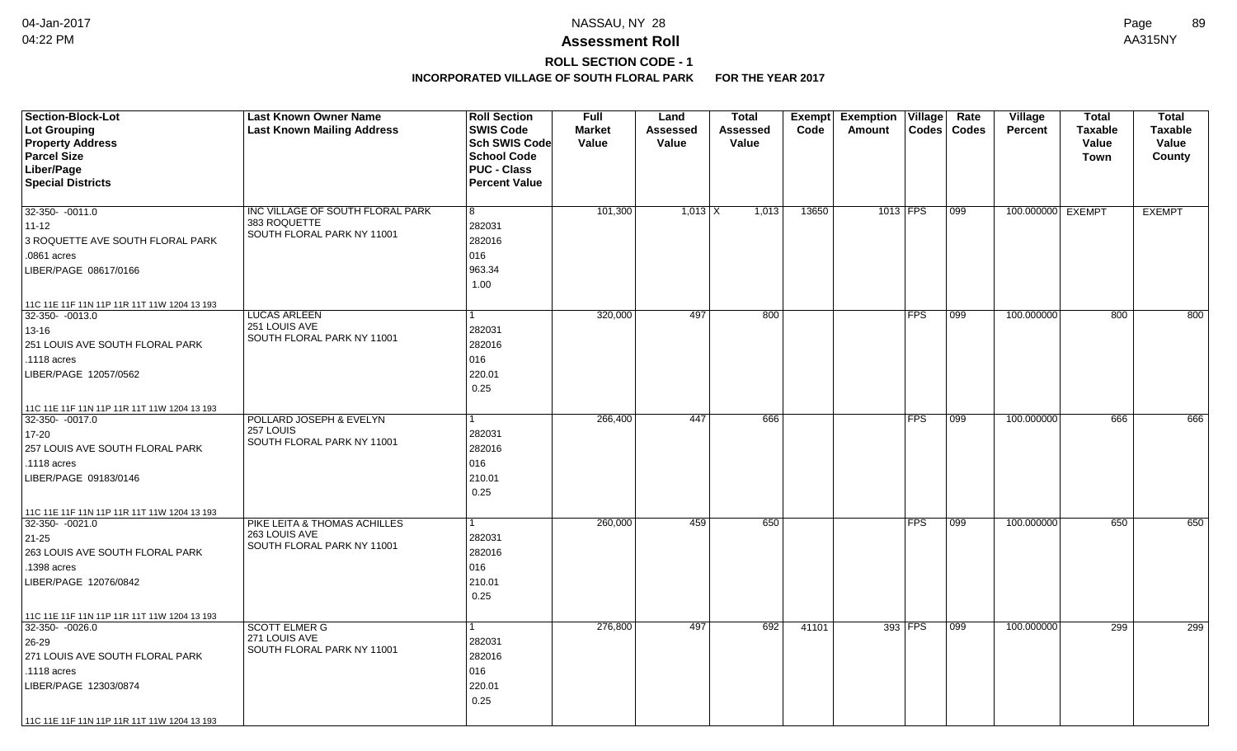# **ROLL SECTION CODE - 1**

| <b>Section-Block-Lot</b>                    | <b>Last Known Owner Name</b>                  | <b>Roll Section</b>  | <b>Full</b>   | Land      | <b>Total</b> | Exempt | <b>Exemption Village</b> | Rate             | Village           | <b>Total</b>   | <b>Total</b>   |
|---------------------------------------------|-----------------------------------------------|----------------------|---------------|-----------|--------------|--------|--------------------------|------------------|-------------------|----------------|----------------|
| <b>Lot Grouping</b>                         | <b>Last Known Mailing Address</b>             | <b>SWIS Code</b>     | <b>Market</b> | Assessed  | Assessed     | Code   | Amount<br><b>Codes</b>   | Codes            | <b>Percent</b>    | <b>Taxable</b> | <b>Taxable</b> |
| <b>Property Address</b>                     |                                               | Sch SWIS Code        | Value         | Value     | Value        |        |                          |                  |                   | Value          | Value          |
| <b>Parcel Size</b>                          |                                               | <b>School Code</b>   |               |           |              |        |                          |                  |                   | Town           | County         |
| Liber/Page                                  |                                               | <b>PUC - Class</b>   |               |           |              |        |                          |                  |                   |                |                |
| <b>Special Districts</b>                    |                                               | <b>Percent Value</b> |               |           |              |        |                          |                  |                   |                |                |
| 32-350- -0011.0                             | INC VILLAGE OF SOUTH FLORAL PARK              | 8                    | 101,300       | $1,013$ X | 1,013        | 13650  | 1013 FPS                 | $\overline{099}$ | 100.000000 EXEMPT |                | <b>EXEMPT</b>  |
| $11 - 12$                                   | 383 ROQUETTE                                  | 282031               |               |           |              |        |                          |                  |                   |                |                |
| 3 ROQUETTE AVE SOUTH FLORAL PARK            | SOUTH FLORAL PARK NY 11001                    | 282016               |               |           |              |        |                          |                  |                   |                |                |
| .0861 acres                                 |                                               | 016                  |               |           |              |        |                          |                  |                   |                |                |
| LIBER/PAGE 08617/0166                       |                                               | 963.34               |               |           |              |        |                          |                  |                   |                |                |
|                                             |                                               | 1.00                 |               |           |              |        |                          |                  |                   |                |                |
| 11C 11E 11F 11N 11P 11R 11T 11W 1204 13 193 |                                               |                      |               |           |              |        |                          |                  |                   |                |                |
| 32-350- - 0013.0                            | <b>LUCAS ARLEEN</b>                           | $\mathbf{1}$         | 320,000       | 497       | 800          |        | <b>FPS</b>               | 099              | 100.000000        | 800            | 800            |
| $13 - 16$                                   | 251 LOUIS AVE<br>SOUTH FLORAL PARK NY 11001   | 282031               |               |           |              |        |                          |                  |                   |                |                |
| 251 LOUIS AVE SOUTH FLORAL PARK             |                                               | 282016               |               |           |              |        |                          |                  |                   |                |                |
| .1118 acres                                 |                                               | 016                  |               |           |              |        |                          |                  |                   |                |                |
| LIBER/PAGE 12057/0562                       |                                               | 220.01               |               |           |              |        |                          |                  |                   |                |                |
|                                             |                                               | 0.25                 |               |           |              |        |                          |                  |                   |                |                |
| 11C 11E 11F 11N 11P 11R 11T 11W 1204 13 193 |                                               |                      |               |           |              |        |                          |                  |                   |                |                |
| 32-350- -0017.0                             | POLLARD JOSEPH & EVELYN<br>257 LOUIS          |                      | 266,400       | 447       | 666          |        | <b>FPS</b>               | $ 099\rangle$    | 100.000000        | 666            | 666            |
| 17-20                                       | SOUTH FLORAL PARK NY 11001                    | 282031               |               |           |              |        |                          |                  |                   |                |                |
| 257 LOUIS AVE SOUTH FLORAL PARK             |                                               | 282016               |               |           |              |        |                          |                  |                   |                |                |
| .1118 acres                                 |                                               | 016                  |               |           |              |        |                          |                  |                   |                |                |
| LIBER/PAGE 09183/0146                       |                                               | 210.01               |               |           |              |        |                          |                  |                   |                |                |
|                                             |                                               | 0.25                 |               |           |              |        |                          |                  |                   |                |                |
| 11C 11E 11F 11N 11P 11R 11T 11W 1204 13 193 |                                               |                      |               |           |              |        |                          |                  |                   |                |                |
| $32-350 - 0021.0$                           | PIKE LEITA & THOMAS ACHILLES<br>263 LOUIS AVE | $\mathbf{1}$         | 260,000       | 459       | 650          |        | <b>FPS</b>               | 099              | 100.000000        | 650            | 650            |
| $21 - 25$                                   | SOUTH FLORAL PARK NY 11001                    | 282031               |               |           |              |        |                          |                  |                   |                |                |
| 263 LOUIS AVE SOUTH FLORAL PARK             |                                               | 282016               |               |           |              |        |                          |                  |                   |                |                |
| .1398 acres                                 |                                               | 016                  |               |           |              |        |                          |                  |                   |                |                |
| LIBER/PAGE 12076/0842                       |                                               | 210.01               |               |           |              |        |                          |                  |                   |                |                |
|                                             |                                               | 0.25                 |               |           |              |        |                          |                  |                   |                |                |
| 11C 11E 11F 11N 11P 11R 11T 11W 1204 13 193 |                                               |                      |               |           |              |        |                          |                  |                   |                |                |
| 32-350- -0026.0                             | <b>SCOTT ELMER G</b><br>271 LOUIS AVE         | $\mathbf{1}$         | 276,800       | 497       | 692          | 41101  | 393 FPS                  | 099              | 100.000000        | 299            | 299            |
| 26-29                                       | SOUTH FLORAL PARK NY 11001                    | 282031               |               |           |              |        |                          |                  |                   |                |                |
| 271 LOUIS AVE SOUTH FLORAL PARK             |                                               | 282016               |               |           |              |        |                          |                  |                   |                |                |
| .1118 acres                                 |                                               | 016                  |               |           |              |        |                          |                  |                   |                |                |
| LIBER/PAGE 12303/0874                       |                                               | 220.01               |               |           |              |        |                          |                  |                   |                |                |
|                                             |                                               | 0.25                 |               |           |              |        |                          |                  |                   |                |                |
| 11C 11E 11F 11N 11P 11R 11T 11W 1204 13 193 |                                               |                      |               |           |              |        |                          |                  |                   |                |                |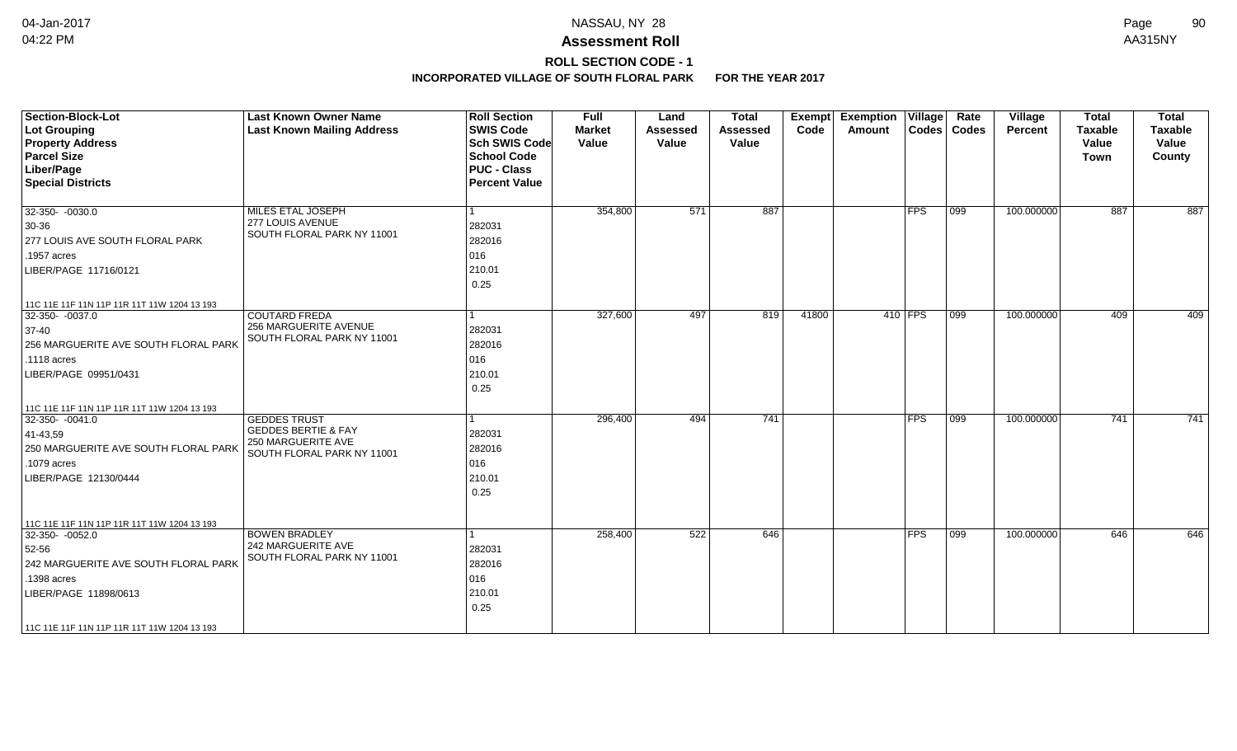# **ROLL SECTION CODE - 1**

| <b>Section-Block-Lot</b><br>Lot Grouping<br><b>Property Address</b><br><b>Parcel Size</b><br>Liber/Page<br><b>Special Districts</b>                                                                    | <b>Last Known Owner Name</b><br><b>Last Known Mailing Address</b>                                         | <b>Roll Section</b><br><b>SWIS Code</b><br><b>Sch SWIS Code</b><br><b>School Code</b><br><b>PUC - Class</b><br><b>Percent Value</b> | <b>Full</b><br><b>Market</b><br>Value | Land<br><b>Assessed</b><br>Value | <b>Total</b><br><b>Assessed</b><br>Value | Exempt<br>Code | <b>Exemption Village</b><br>Amount |            | Rate<br>Codes   Codes | Village<br>Percent | <b>Total</b><br><b>Taxable</b><br>Value<br>Town | <b>Total</b><br><b>Taxable</b><br>Value<br>County |
|--------------------------------------------------------------------------------------------------------------------------------------------------------------------------------------------------------|-----------------------------------------------------------------------------------------------------------|-------------------------------------------------------------------------------------------------------------------------------------|---------------------------------------|----------------------------------|------------------------------------------|----------------|------------------------------------|------------|-----------------------|--------------------|-------------------------------------------------|---------------------------------------------------|
| $32-350 - 0030.0$<br>30-36<br>277 LOUIS AVE SOUTH FLORAL PARK<br>.1957 acres<br>LIBER/PAGE 11716/0121                                                                                                  | MILES ETAL JOSEPH<br>277 LOUIS AVENUE<br>SOUTH FLORAL PARK NY 11001                                       | 282031<br>282016<br>016<br>210.01<br>0.25                                                                                           | 354,800                               | 571                              | 887                                      |                |                                    | <b>FPS</b> | 099                   | 100.000000         | 887                                             | 887                                               |
| 11C 11E 11F 11N 11P 11R 11T 11W 1204 13 193<br>32-350-0037.0<br>$37-40$<br>256 MARGUERITE AVE SOUTH FLORAL PARK<br>.1118 acres<br>LIBER/PAGE 09951/0431<br>11C 11E 11F 11N 11P 11R 11T 11W 1204 13 193 | <b>COUTARD FREDA</b><br>256 MARGUERITE AVENUE<br>SOUTH FLORAL PARK NY 11001                               | 282031<br>282016<br>016<br>210.01<br>0.25                                                                                           | 327,600                               | 497                              | 819                                      | 41800          |                                    | 410 FPS    | 099                   | 100.000000         | 409                                             | 409                                               |
| 32-350- -0041.0<br>41-43,59<br>250 MARGUERITE AVE SOUTH FLORAL PARK<br>.1079 acres<br>LIBER/PAGE 12130/0444<br>11C 11E 11F 11N 11P 11R 11T 11W 1204 13 193                                             | <b>GEDDES TRUST</b><br><b>GEDDES BERTIE &amp; FAY</b><br>250 MARGUERITE AVE<br>SOUTH FLORAL PARK NY 11001 | 282031<br>282016<br>016<br>210.01<br>0.25                                                                                           | 296,400                               | 494                              | 741                                      |                |                                    | <b>FPS</b> | 099                   | 100.000000         | 741                                             | 741                                               |
| 32-350-0052.0<br>52-56<br>242 MARGUERITE AVE SOUTH FLORAL PARK<br>.1398 acres<br>LIBER/PAGE 11898/0613<br>  11C 11E 11F 11N 11P 11R 11T 11W 1204 13 193                                                | <b>BOWEN BRADLEY</b><br>242 MARGUERITE AVE<br>SOUTH FLORAL PARK NY 11001                                  | 282031<br>282016<br>016<br>210.01<br>0.25                                                                                           | 258,400                               | 522                              | 646                                      |                |                                    | <b>FPS</b> | 099                   | 100.000000         | 646                                             | 646                                               |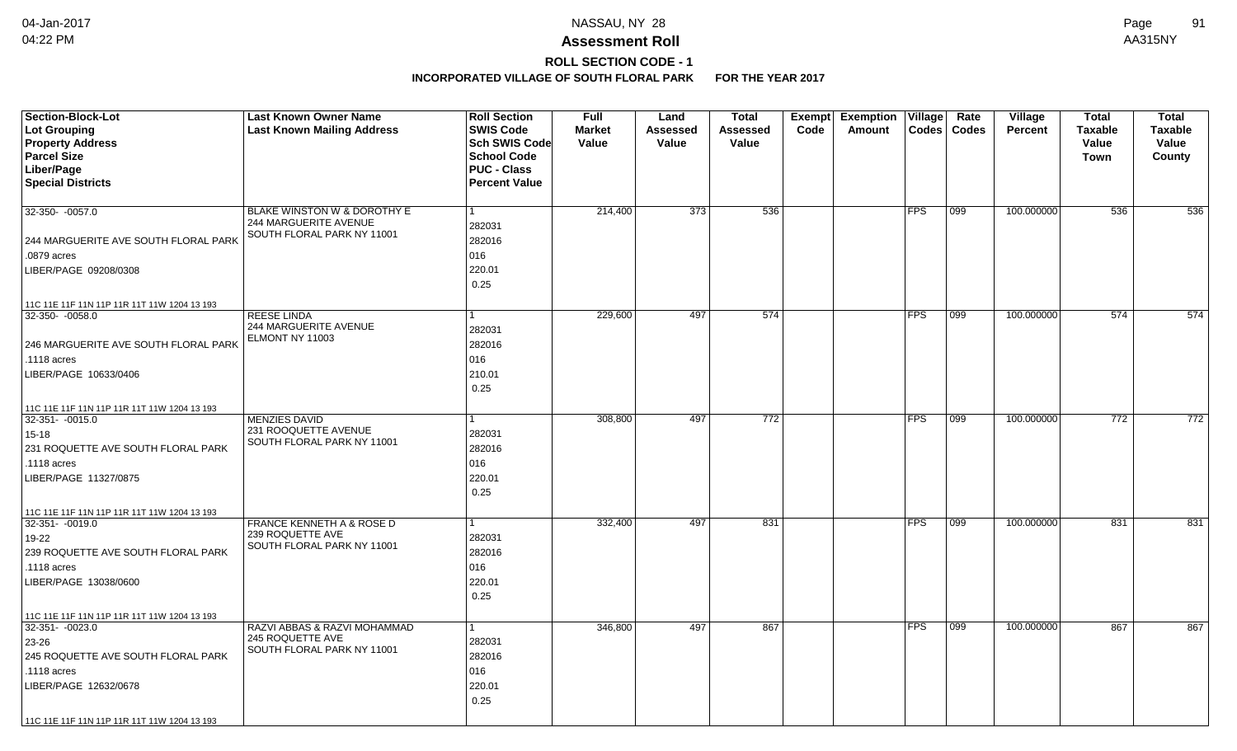## **ROLL SECTION CODE - 1**

| <b>Section-Block-Lot</b><br>Lot Grouping<br><b>Property Address</b><br><b>Parcel Size</b><br>Liber/Page<br><b>Special Districts</b>                       | <b>Last Known Owner Name</b><br><b>Last Known Mailing Address</b>                  | <b>Roll Section</b><br><b>SWIS Code</b><br><b>Sch SWIS Code</b><br><b>School Code</b><br><b>PUC - Class</b><br><b>Percent Value</b> | <b>Full</b><br><b>Market</b><br>Value | Land<br><b>Assessed</b><br>Value | Total<br>Assessed<br>Value | <b>Exempt</b><br>Code | <b>Exemption Village</b><br>Amount | $\text{Codes}$ | Rate<br><b>Codes</b> | Village<br><b>Percent</b> | Total<br><b>Taxable</b><br>Value<br><b>Town</b> | <b>Total</b><br><b>Taxable</b><br>Value<br>County |
|-----------------------------------------------------------------------------------------------------------------------------------------------------------|------------------------------------------------------------------------------------|-------------------------------------------------------------------------------------------------------------------------------------|---------------------------------------|----------------------------------|----------------------------|-----------------------|------------------------------------|----------------|----------------------|---------------------------|-------------------------------------------------|---------------------------------------------------|
|                                                                                                                                                           |                                                                                    |                                                                                                                                     |                                       |                                  |                            |                       |                                    |                |                      |                           |                                                 |                                                   |
| 32-350- -0057.0<br>244 MARGUERITE AVE SOUTH FLORAL PARK<br>.0879 acres<br>LIBER/PAGE 09208/0308                                                           | BLAKE WINSTON W & DOROTHY E<br>244 MARGUERITE AVENUE<br>SOUTH FLORAL PARK NY 11001 | 1<br>282031<br>282016<br>016<br>220.01<br>0.25                                                                                      | 214,400                               | 373                              | 536                        |                       |                                    | FPS            | 099                  | 100.000000                | 536                                             | 536                                               |
| 11C 11E 11F 11N 11P 11R 11T 11W 1204 13 193                                                                                                               |                                                                                    |                                                                                                                                     |                                       |                                  |                            |                       |                                    |                |                      |                           |                                                 |                                                   |
| 32-350- -0058.0<br>246 MARGUERITE AVE SOUTH FLORAL PARK<br>.1118 acres<br>LIBER/PAGE 10633/0406                                                           | <b>REESE LINDA</b><br>244 MARGUERITE AVENUE<br>ELMONT NY 11003                     | 1<br>282031<br>282016<br>016<br>210.01<br>0.25                                                                                      | 229,600                               | 497                              | 574                        |                       |                                    | FPS            | $ 099\rangle$        | 100.000000                | 574                                             | 574                                               |
| 11C 11E 11F 11N 11P 11R 11T 11W 1204 13 193                                                                                                               |                                                                                    |                                                                                                                                     |                                       |                                  |                            |                       |                                    |                |                      |                           |                                                 |                                                   |
| 32-351-0015.0<br>$15 - 18$<br>231 ROQUETTE AVE SOUTH FLORAL PARK<br>.1118 acres<br>LIBER/PAGE 11327/0875                                                  | <b>MENZIES DAVID</b><br>231 ROOQUETTE AVENUE<br>SOUTH FLORAL PARK NY 11001         | 282031<br>282016<br>016<br>220.01<br>0.25                                                                                           | 308,800                               | 497                              | 772                        |                       |                                    | <b>FPS</b>     | 099                  | 100.000000                | 772                                             | 772                                               |
| 11C 11E 11F 11N 11P 11R 11T 11W 1204 13 193                                                                                                               |                                                                                    |                                                                                                                                     |                                       |                                  |                            |                       |                                    |                |                      |                           |                                                 |                                                   |
| 32-351- -0019.0<br>19-22<br>239 ROQUETTE AVE SOUTH FLORAL PARK<br>.1118 acres<br>LIBER/PAGE 13038/0600                                                    | FRANCE KENNETH A & ROSE D<br>239 ROQUETTE AVE<br>SOUTH FLORAL PARK NY 11001        | 1<br>282031<br>282016<br>016<br>220.01<br>0.25                                                                                      | 332,400                               | 497                              | 831                        |                       |                                    | $ {\sf FPS} $  | 099                  | 100.000000                | 831                                             | 831                                               |
| 11C 11E 11F 11N 11P 11R 11T 11W 1204 13 193                                                                                                               |                                                                                    |                                                                                                                                     |                                       |                                  |                            |                       |                                    |                |                      |                           |                                                 |                                                   |
| $32 - 351 - 0023.0$<br>23-26<br>245 ROQUETTE AVE SOUTH FLORAL PARK<br>.1118 acres<br>LIBER/PAGE 12632/0678<br>11C 11E 11F 11N 11P 11R 11T 11W 1204 13 193 | RAZVI ABBAS & RAZVI MOHAMMAD<br>245 ROQUETTE AVE<br>SOUTH FLORAL PARK NY 11001     | 1<br>282031<br>282016<br>016<br>220.01<br>0.25                                                                                      | 346,800                               | 497                              | 867                        |                       |                                    | <b>FPS</b>     | 099                  | 100.000000                | 867                                             | 867                                               |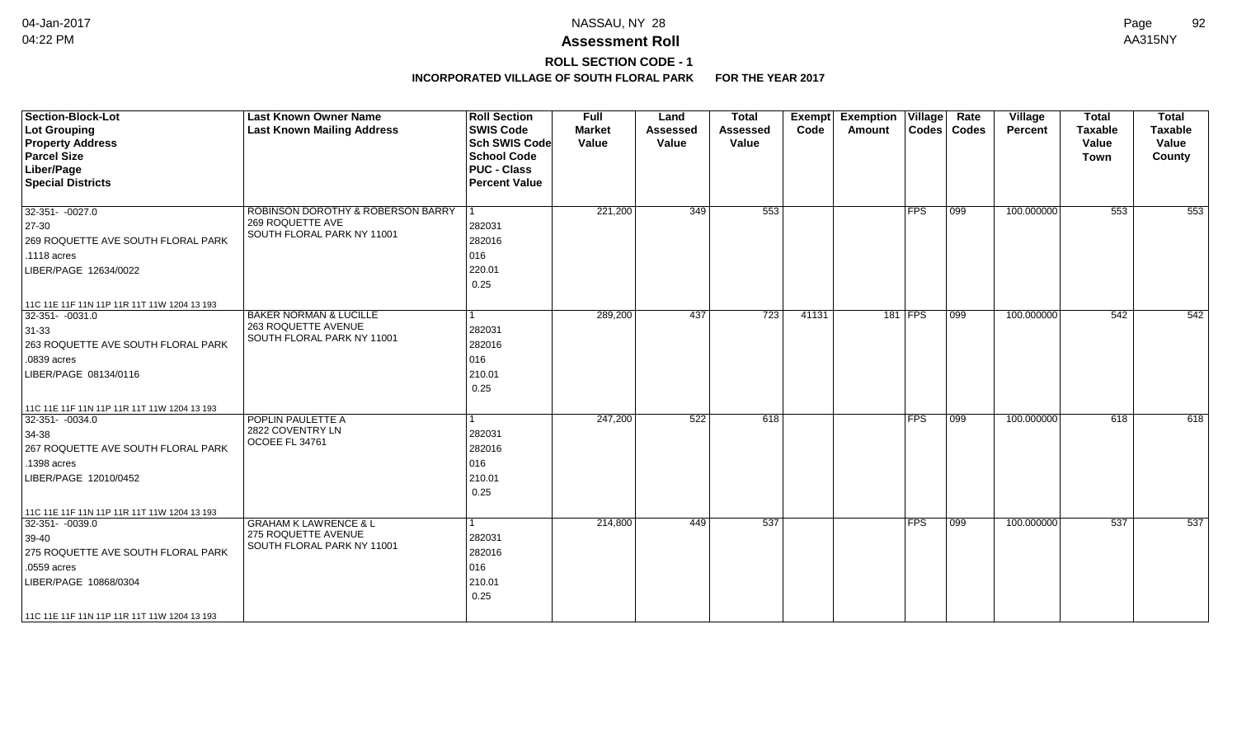## **ROLL SECTION CODE - 1**

| <b>Section-Block-Lot</b><br>Lot Grouping<br><b>Property Address</b><br><b>Parcel Size</b><br>Liber/Page<br><b>Special Districts</b>                                                                      | <b>Last Known Owner Name</b><br><b>Last Known Mailing Address</b>                      | <b>Roll Section</b><br><b>SWIS Code</b><br><b>Sch SWIS Code</b><br><b>School Code</b><br><b>PUC - Class</b><br><b>Percent Value</b> | <b>Full</b><br><b>Market</b><br>Value | Land<br><b>Assessed</b><br>Value | <b>Total</b><br>Assessed<br>Value | Exempt<br>Code | <b>Exemption Village</b><br>Amount |            | Rate<br>Codes   Codes | Village<br>Percent | <b>Total</b><br><b>Taxable</b><br>Value<br>Town | <b>Total</b><br><b>Taxable</b><br>Value<br>County |
|----------------------------------------------------------------------------------------------------------------------------------------------------------------------------------------------------------|----------------------------------------------------------------------------------------|-------------------------------------------------------------------------------------------------------------------------------------|---------------------------------------|----------------------------------|-----------------------------------|----------------|------------------------------------|------------|-----------------------|--------------------|-------------------------------------------------|---------------------------------------------------|
| $32-351 - -0027.0$<br>$ 27-30 $<br>269 ROQUETTE AVE SOUTH FLORAL PARK<br>.1118 acres<br>LIBER/PAGE 12634/0022                                                                                            | ROBINSON DOROTHY & ROBERSON BARRY<br>269 ROQUETTE AVE<br>SOUTH FLORAL PARK NY 11001    | 282031<br>282016<br>016<br>220.01<br>0.25                                                                                           | 221,200                               | 349                              | 553                               |                |                                    | FPS        | 099                   | 100.000000         | 553                                             | 553                                               |
| 11C 11E 11F 11N 11P 11R 11T 11W 1204 13 193<br>$32-351 - -0031.0$<br>$ 31-33 $<br>263 ROQUETTE AVE SOUTH FLORAL PARK<br>.0839 acres<br>LIBER/PAGE 08134/0116                                             | <b>BAKER NORMAN &amp; LUCILLE</b><br>263 ROQUETTE AVENUE<br>SOUTH FLORAL PARK NY 11001 | 282031<br>282016<br>016<br>210.01<br>0.25                                                                                           | 289,200                               | 437                              | 723                               | 41131          |                                    | 181 FPS    | $ 099\rangle$         | 100.000000         | 542                                             | 542                                               |
| 11C 11E 11F 11N 11P 11R 11T 11W 1204 13 193<br>$32 - 351 - 0034.0$<br>34-38<br>267 ROQUETTE AVE SOUTH FLORAL PARK<br>.1398 acres<br>LIBER/PAGE 12010/0452<br>11C 11E 11F 11N 11P 11R 11T 11W 1204 13 193 | POPLIN PAULETTE A<br>2822 COVENTRY LN<br>OCOEE FL 34761                                | 282031<br>282016<br>016<br>210.01<br>0.25                                                                                           | 247,200                               | 522                              | 618                               |                |                                    | <b>FPS</b> | 099                   | 100.000000         | 618                                             | 618                                               |
| $32-351 - 0039.0$<br>$ 39-40\rangle$<br>275 ROQUETTE AVE SOUTH FLORAL PARK<br>.0559 acres<br>LIBER/PAGE 10868/0304<br>11C 11E 11F 11N 11P 11R 11T 11W 1204 13 193                                        | <b>GRAHAM K LAWRENCE &amp; L</b><br>275 ROQUETTE AVENUE<br>SOUTH FLORAL PARK NY 11001  | 282031<br>282016<br>016<br>210.01<br>0.25                                                                                           | 214,800                               | 449                              | 537                               |                |                                    | <b>FPS</b> | 099                   | 100.000000         | 537                                             | 537                                               |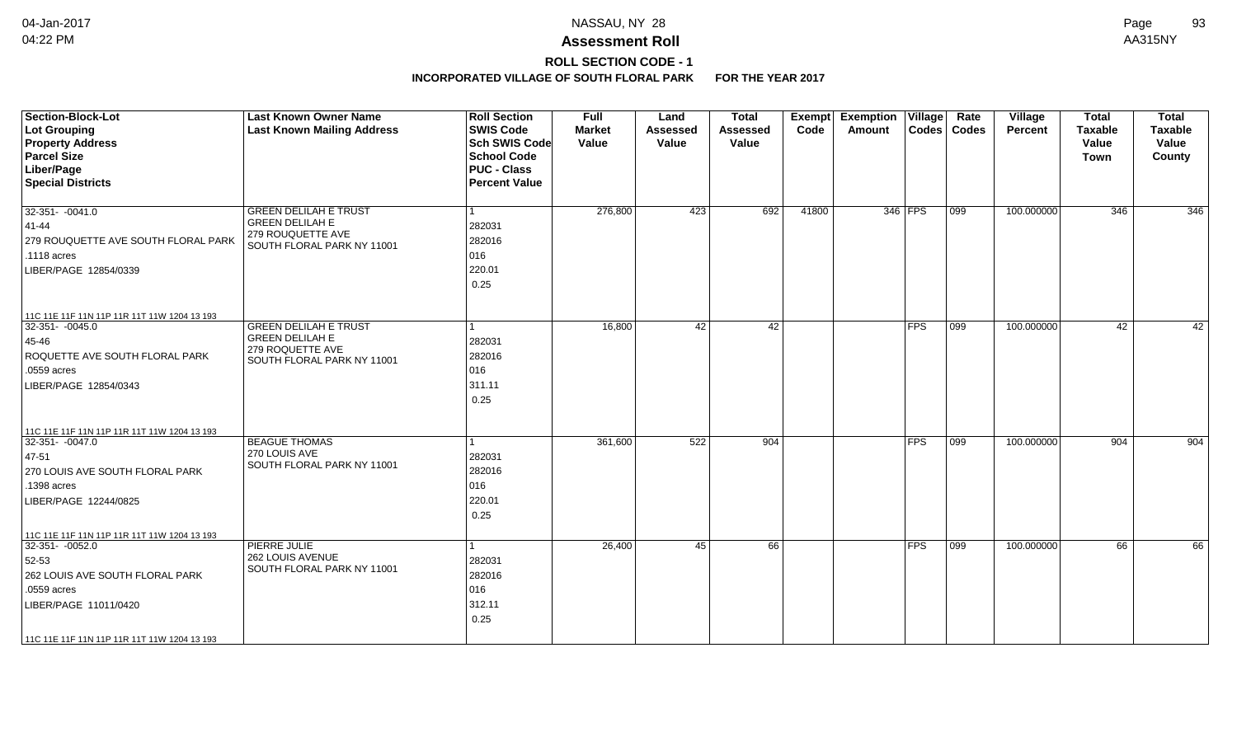## **ROLL SECTION CODE - 1**

| <b>Section-Block-Lot</b><br>Lot Grouping<br><b>Property Address</b><br><b>Parcel Size</b><br>Liber/Page<br><b>Special Districts</b>                                                                 | <b>Last Known Owner Name</b><br><b>Last Known Mailing Address</b>                                         | <b>Roll Section</b><br><b>SWIS Code</b><br>Sch SWIS Code<br>School Code<br><b>PUC - Class</b><br><b>Percent Value</b> | <b>Full</b><br><b>Market</b><br>Value | Land<br><b>Assessed</b><br>Value | <b>Total</b><br><b>Assessed</b><br>Value | Exempt<br>Code | <b>Exemption Village</b><br>Amount |                         | Rate<br>Codes   Codes | Village<br><b>Percent</b> | <b>Total</b><br><b>Taxable</b><br>Value<br><b>Town</b> | <b>Total</b><br><b>Taxable</b><br>Value<br>County |
|-----------------------------------------------------------------------------------------------------------------------------------------------------------------------------------------------------|-----------------------------------------------------------------------------------------------------------|-----------------------------------------------------------------------------------------------------------------------|---------------------------------------|----------------------------------|------------------------------------------|----------------|------------------------------------|-------------------------|-----------------------|---------------------------|--------------------------------------------------------|---------------------------------------------------|
| $32-351 - -0041.0$<br>41-44<br>279 ROUQUETTE AVE SOUTH FLORAL PARK<br>.1118 acres<br>LIBER/PAGE 12854/0339                                                                                          | <b>GREEN DELILAH E TRUST</b><br><b>GREEN DELILAH E</b><br>279 ROUQUETTE AVE<br>SOUTH FLORAL PARK NY 11001 | 282031<br>282016<br>016<br>220.01<br>0.25                                                                             | 276,800                               | 423                              | 692                                      | 41800          |                                    | 346 FPS                 | 099                   | 100.000000                | 346                                                    | 346                                               |
| 11C 11E 11F 11N 11P 11R 11T 11W 1204 13 193<br>32-351- -0045.0<br>45-46<br>ROQUETTE AVE SOUTH FLORAL PARK<br>.0559 acres<br>LIBER/PAGE 12854/0343                                                   | <b>GREEN DELILAH E TRUST</b><br><b>GREEN DELILAH E</b><br>279 ROQUETTE AVE<br>SOUTH FLORAL PARK NY 11001  | 282031<br>282016<br>016<br>311.11<br>0.25                                                                             | 16,800                                | 42                               | 42                                       |                |                                    | <b>FPS</b>              | 099                   | 100.000000                | 42                                                     | 42                                                |
| 11C 11E 11F 11N 11P 11R 11T 11W 1204 13 193<br>$32-351 - 0047.0$<br>47-51<br>270 LOUIS AVE SOUTH FLORAL PARK<br>.1398 acres<br>LIBER/PAGE 12244/0825                                                | <b>BEAGUE THOMAS</b><br>270 LOUIS AVE<br>SOUTH FLORAL PARK NY 11001                                       | 282031<br>282016<br>016<br>220.01<br>0.25                                                                             | 361,600                               | 522                              | 904                                      |                |                                    | $\overline{\text{FFS}}$ | 099                   | 100.000000                | 904                                                    | 904                                               |
| 11C 11E 11F 11N 11P 11R 11T 11W 1204 13 193<br>$32-351 - 0052.0$<br>52-53<br>262 LOUIS AVE SOUTH FLORAL PARK<br>.0559 acres<br>LIBER/PAGE 11011/0420<br>11C 11E 11F 11N 11P 11R 11T 11W 1204 13 193 | <b>PIERRE JULIE</b><br>262 LOUIS AVENUE<br>SOUTH FLORAL PARK NY 11001                                     | 282031<br>282016<br>016<br>312.11<br>0.25                                                                             | 26,400                                | 45                               | 66                                       |                |                                    | <b>FPS</b>              | 099                   | 100.000000                | 66                                                     | 66                                                |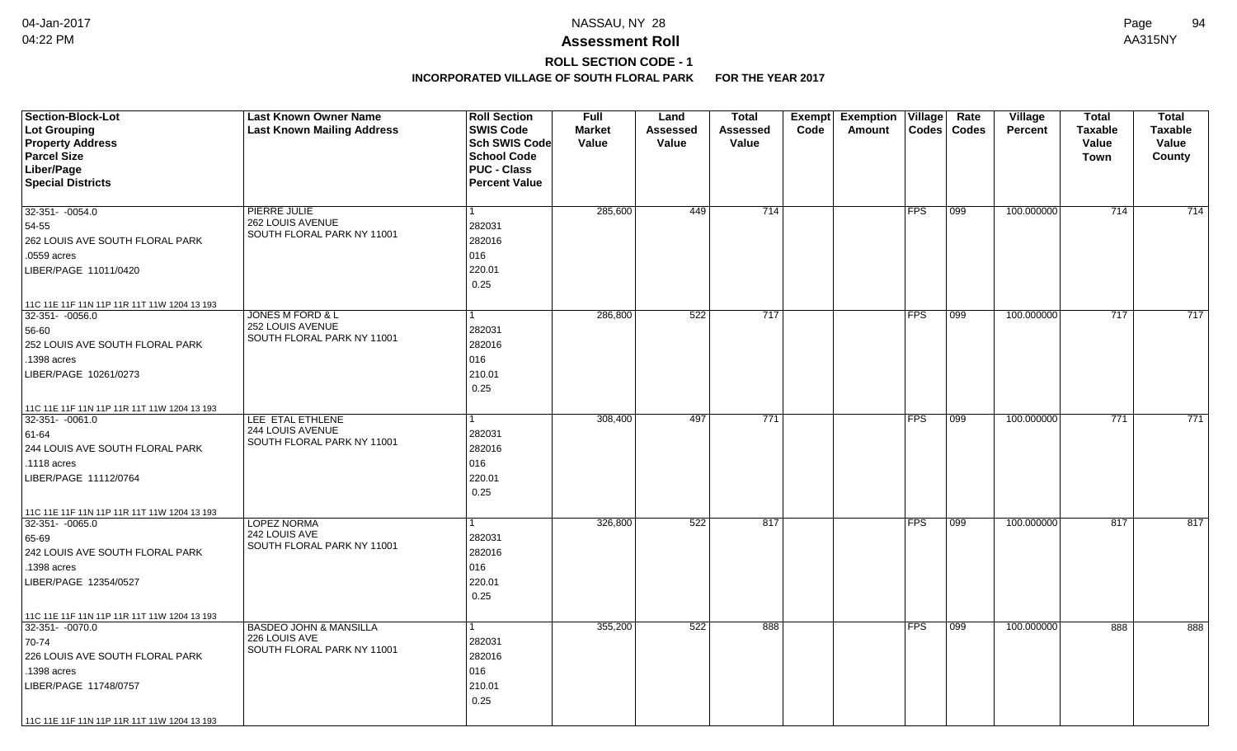# **ROLL SECTION CODE - 1**

| <b>Section-Block-Lot</b><br>Lot Grouping<br><b>Property Address</b><br><b>Parcel Size</b><br>Liber/Page<br><b>Special Districts</b>                                                              | <b>Last Known Owner Name</b><br><b>Last Known Mailing Address</b>                | <b>Roll Section</b><br><b>SWIS Code</b><br><b>Sch SWIS Code</b><br><b>School Code</b><br><b>PUC - Class</b><br><b>Percent Value</b> | <b>Full</b><br><b>Market</b><br>Value | Land<br>Assessed<br>Value | <b>Total</b><br>Assessed<br>Value | Exempt<br>Code | <b>Exemption Village</b><br>Amount | Codes      | Rate<br><b>Codes</b> | <b>Village</b><br><b>Percent</b> | <b>Total</b><br><b>Taxable</b><br><b>Value</b><br><b>Town</b> | <b>Total</b><br><b>Taxable</b><br>Value<br>County |
|--------------------------------------------------------------------------------------------------------------------------------------------------------------------------------------------------|----------------------------------------------------------------------------------|-------------------------------------------------------------------------------------------------------------------------------------|---------------------------------------|---------------------------|-----------------------------------|----------------|------------------------------------|------------|----------------------|----------------------------------|---------------------------------------------------------------|---------------------------------------------------|
| $32-351 - -0054.0$<br>54-55<br>262 LOUIS AVE SOUTH FLORAL PARK<br>.0559 acres<br>LIBER/PAGE 11011/0420                                                                                           | PIERRE JULIE<br>262 LOUIS AVENUE<br>SOUTH FLORAL PARK NY 11001                   | 1<br>282031<br>282016<br>016<br>220.01<br>0.25                                                                                      | 285,600                               | 449                       | 714                               |                |                                    | <b>FPS</b> | 099                  | 100.000000                       | 714                                                           | 714                                               |
| 11C 11E 11F 11N 11P 11R 11T 11W 1204 13 193<br>$32-351 - -0056.0$<br>56-60<br>252 LOUIS AVE SOUTH FLORAL PARK<br>.1398 acres<br>LIBER/PAGE 10261/0273                                            | JONES M FORD & L<br>252 LOUIS AVENUE<br>SOUTH FLORAL PARK NY 11001               | 1<br>282031<br>282016<br>016<br>210.01<br>0.25                                                                                      | 286,800                               | 522                       | 717                               |                |                                    | <b>FPS</b> | 099                  | 100.000000                       | 717                                                           | 717                                               |
| 11C 11E 11F 11N 11P 11R 11T 11W 1204 13 193<br>$32-351 - -0061.0$<br>61-64<br>244 LOUIS AVE SOUTH FLORAL PARK<br>.1118 acres<br>LIBER/PAGE 11112/0764                                            | LEE ETAL ETHLENE<br>244 LOUIS AVENUE<br>SOUTH FLORAL PARK NY 11001               | 1<br>282031<br>282016<br>016<br>220.01<br>0.25                                                                                      | 308,400                               | 497                       | $\overline{771}$                  |                |                                    | FPS        | 099                  | 100.000000                       | 771                                                           | $\overline{771}$                                  |
| 11C 11E 11F 11N 11P 11R 11T 11W 1204 13 193<br>32-351- -0065.0<br>65-69<br>242 LOUIS AVE SOUTH FLORAL PARK<br>1398 acres<br>LIBER/PAGE 12354/0527<br>11C 11E 11F 11N 11P 11R 11T 11W 1204 13 193 | <b>LOPEZ NORMA</b><br>242 LOUIS AVE<br>SOUTH FLORAL PARK NY 11001                | 1<br>282031<br>282016<br>016<br>220.01<br>0.25                                                                                      | 326,800                               | 522                       | 817                               |                |                                    | <b>FPS</b> | $ 099\rangle$        | 100.000000                       | 817                                                           | 817                                               |
| 32-351- -0070.0<br>70-74<br>226 LOUIS AVE SOUTH FLORAL PARK<br>.1398 acres<br>LIBER/PAGE 11748/0757<br>11C 11E 11F 11N 11P 11R 11T 11W 1204 13 193                                               | <b>BASDEO JOHN &amp; MANSILLA</b><br>226 LOUIS AVE<br>SOUTH FLORAL PARK NY 11001 | 1<br>282031<br>282016<br>016<br>210.01<br>0.25                                                                                      | 355,200                               | 522                       | 888                               |                |                                    | FPS        | $\overline{099}$     | 100.000000                       | 888                                                           | 888                                               |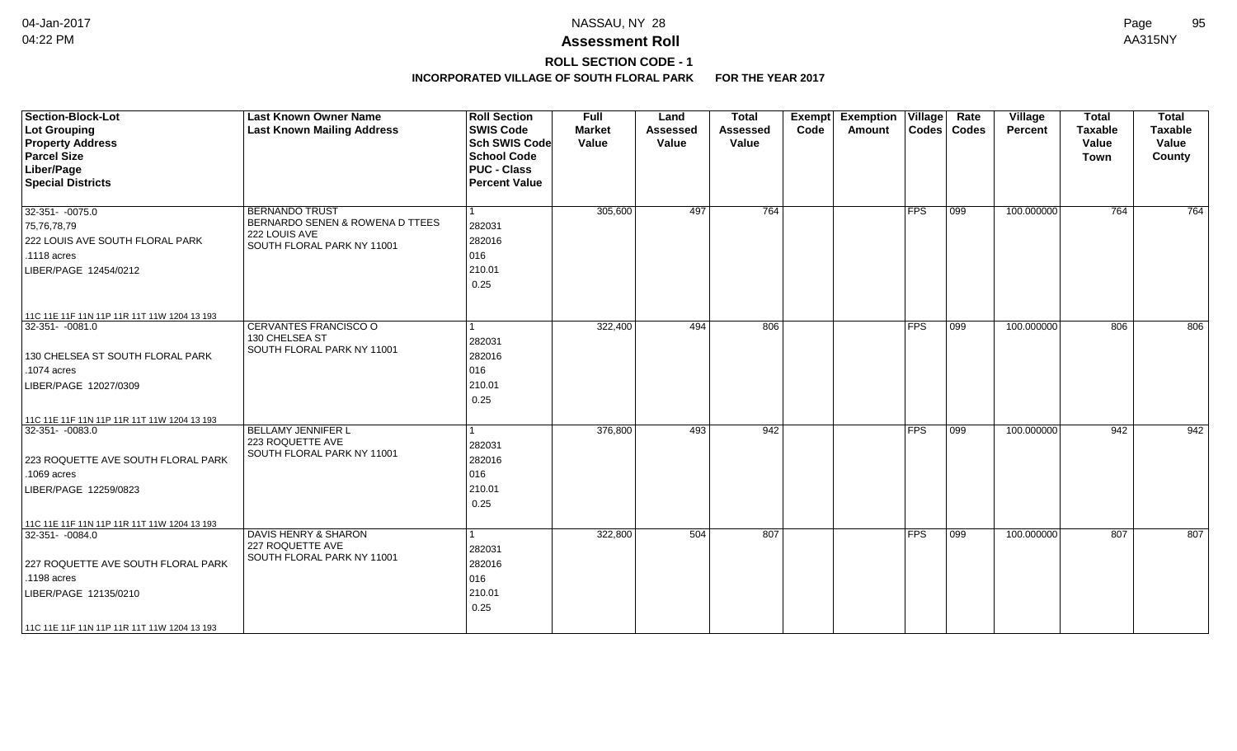## **ROLL SECTION CODE - 1**

| <b>Section-Block-Lot</b><br><b>Lot Grouping</b><br><b>Property Address</b><br><b>Parcel Size</b><br>Liber/Page<br><b>Special Districts</b> | <b>Last Known Owner Name</b><br><b>Last Known Mailing Address</b> | <b>Roll Section</b><br><b>SWIS Code</b><br><b>Sch SWIS Code</b><br><b>School Code</b><br><b>PUC - Class</b><br><b>Percent Value</b> | <b>Full</b><br><b>Market</b><br>Value | Land<br><b>Assessed</b><br>Value | <b>Total</b><br>Assessed<br>Value | <b>Exempt</b><br>Code | Exemption $ V$ illage $ $<br>Amount | $\text{Codes}$ | Rate<br><b>Codes</b> | Village<br>Percent | <b>Total</b><br><b>Taxable</b><br>Value<br>Town | <b>Total</b><br><b>Taxable</b><br>Value<br>County |
|--------------------------------------------------------------------------------------------------------------------------------------------|-------------------------------------------------------------------|-------------------------------------------------------------------------------------------------------------------------------------|---------------------------------------|----------------------------------|-----------------------------------|-----------------------|-------------------------------------|----------------|----------------------|--------------------|-------------------------------------------------|---------------------------------------------------|
| $32-351 - -0075.0$                                                                                                                         | <b>BERNANDO TRUST</b><br>BERNARDO SENEN & ROWENA D TTEES          | l 1                                                                                                                                 | 305,600                               | 497                              | 764                               |                       |                                     | <b>FPS</b>     | $\overline{099}$     | 100.000000         | $\overline{764}$                                | $\overline{764}$                                  |
| 75,76,78,79<br>222 LOUIS AVE SOUTH FLORAL PARK                                                                                             | 222 LOUIS AVE                                                     | 282031<br>282016                                                                                                                    |                                       |                                  |                                   |                       |                                     |                |                      |                    |                                                 |                                                   |
| $.1118$ acres                                                                                                                              | SOUTH FLORAL PARK NY 11001                                        | 016                                                                                                                                 |                                       |                                  |                                   |                       |                                     |                |                      |                    |                                                 |                                                   |
| LIBER/PAGE 12454/0212                                                                                                                      |                                                                   | 210.01                                                                                                                              |                                       |                                  |                                   |                       |                                     |                |                      |                    |                                                 |                                                   |
|                                                                                                                                            |                                                                   | 0.25                                                                                                                                |                                       |                                  |                                   |                       |                                     |                |                      |                    |                                                 |                                                   |
| 11C 11E 11F 11N 11P 11R 11T 11W 1204 13 193                                                                                                |                                                                   |                                                                                                                                     |                                       |                                  |                                   |                       |                                     |                |                      |                    |                                                 |                                                   |
| 32-351- -0081.0                                                                                                                            | CERVANTES FRANCISCO O<br>130 CHELSEA ST                           | $\mathbf{1}$                                                                                                                        | 322,400                               | 494                              | 806                               |                       |                                     | $ {\sf FPS} $  | $ 099\rangle$        | 100.000000         | 806                                             | 806                                               |
|                                                                                                                                            | SOUTH FLORAL PARK NY 11001                                        | 282031                                                                                                                              |                                       |                                  |                                   |                       |                                     |                |                      |                    |                                                 |                                                   |
| 130 CHELSEA ST SOUTH FLORAL PARK<br>.1074 acres                                                                                            |                                                                   | 282016<br>016                                                                                                                       |                                       |                                  |                                   |                       |                                     |                |                      |                    |                                                 |                                                   |
| LIBER/PAGE 12027/0309                                                                                                                      |                                                                   | 210.01                                                                                                                              |                                       |                                  |                                   |                       |                                     |                |                      |                    |                                                 |                                                   |
|                                                                                                                                            |                                                                   | 0.25                                                                                                                                |                                       |                                  |                                   |                       |                                     |                |                      |                    |                                                 |                                                   |
| 11C 11E 11F 11N 11P 11R 11T 11W 1204 13 193                                                                                                |                                                                   |                                                                                                                                     |                                       |                                  |                                   |                       |                                     |                |                      |                    |                                                 |                                                   |
| 32-351- -0083.0                                                                                                                            | BELLAMY JENNIFER L                                                | 1                                                                                                                                   | 376,800                               | 493                              | 942                               |                       |                                     | $ {\sf FPS} $  | 099                  | 100.000000         | 942                                             | 942                                               |
|                                                                                                                                            | 223 ROQUETTE AVE                                                  | 282031                                                                                                                              |                                       |                                  |                                   |                       |                                     |                |                      |                    |                                                 |                                                   |
| 223 ROQUETTE AVE SOUTH FLORAL PARK                                                                                                         | SOUTH FLORAL PARK NY 11001                                        | 282016                                                                                                                              |                                       |                                  |                                   |                       |                                     |                |                      |                    |                                                 |                                                   |
| .1069 acres                                                                                                                                |                                                                   | 016                                                                                                                                 |                                       |                                  |                                   |                       |                                     |                |                      |                    |                                                 |                                                   |
| LIBER/PAGE 12259/0823                                                                                                                      |                                                                   | 210.01                                                                                                                              |                                       |                                  |                                   |                       |                                     |                |                      |                    |                                                 |                                                   |
|                                                                                                                                            |                                                                   | 0.25                                                                                                                                |                                       |                                  |                                   |                       |                                     |                |                      |                    |                                                 |                                                   |
| 11C 11E 11F 11N 11P 11R 11T 11W 1204 13 193                                                                                                |                                                                   |                                                                                                                                     |                                       |                                  |                                   |                       |                                     |                |                      |                    |                                                 |                                                   |
| 32-351-0084.0                                                                                                                              | <b>DAVIS HENRY &amp; SHARON</b><br>227 ROQUETTE AVE               | $\mathbf{1}$                                                                                                                        | 322,800                               | 504                              | 807                               |                       |                                     | $ $ FPS        | 099                  | 100.000000         | 807                                             | 807                                               |
| 227 ROQUETTE AVE SOUTH FLORAL PARK                                                                                                         | SOUTH FLORAL PARK NY 11001                                        | 282031<br>282016                                                                                                                    |                                       |                                  |                                   |                       |                                     |                |                      |                    |                                                 |                                                   |
| .1198 acres                                                                                                                                |                                                                   | 016                                                                                                                                 |                                       |                                  |                                   |                       |                                     |                |                      |                    |                                                 |                                                   |
| LIBER/PAGE 12135/0210                                                                                                                      |                                                                   | 210.01                                                                                                                              |                                       |                                  |                                   |                       |                                     |                |                      |                    |                                                 |                                                   |
|                                                                                                                                            |                                                                   | 0.25                                                                                                                                |                                       |                                  |                                   |                       |                                     |                |                      |                    |                                                 |                                                   |
| 11C 11E 11F 11N 11P 11R 11T 11W 1204 13 193                                                                                                |                                                                   |                                                                                                                                     |                                       |                                  |                                   |                       |                                     |                |                      |                    |                                                 |                                                   |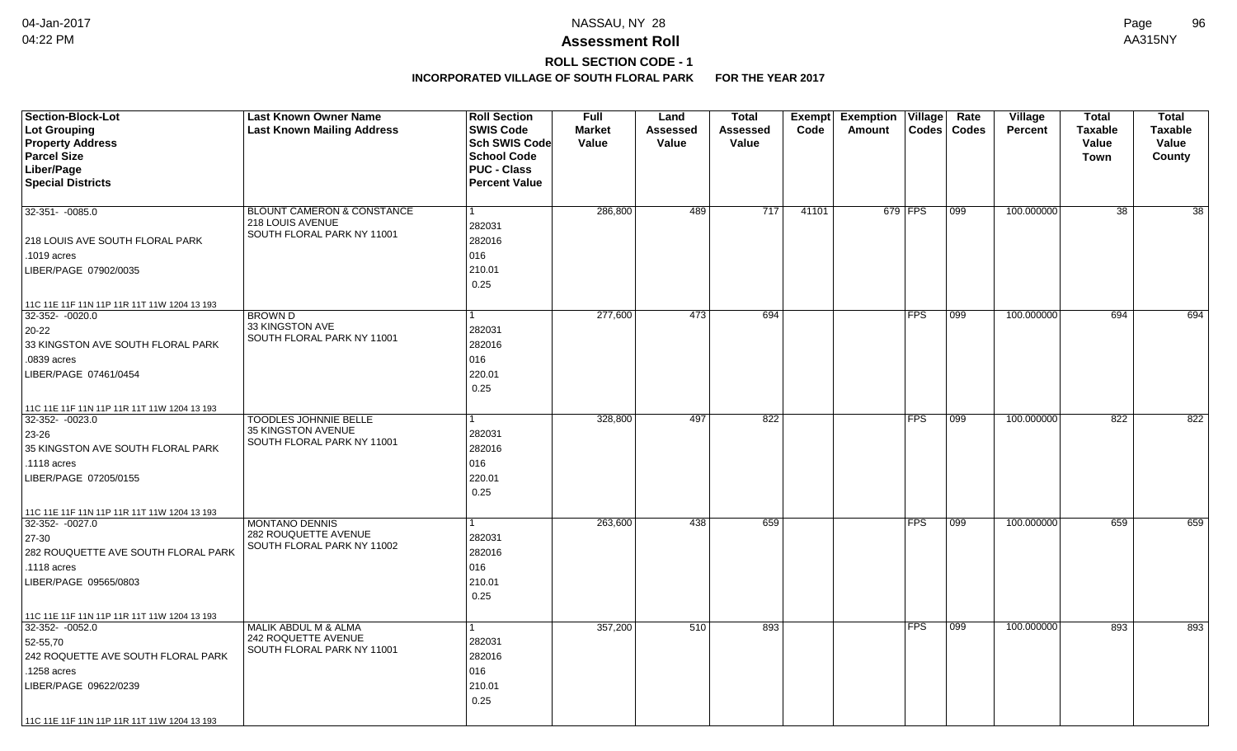## **ROLL SECTION CODE - 1**

| <b>Section-Block-Lot</b>                    | <b>Last Known Owner Name</b>                       | <b>Roll Section</b>  | <b>Full</b>   | Land            | <b>Total</b>    | <b>Exempt</b> | <b>Exemption Village</b> |              | Rate             | Village    | <b>Total</b>    | <b>Total</b>    |
|---------------------------------------------|----------------------------------------------------|----------------------|---------------|-----------------|-----------------|---------------|--------------------------|--------------|------------------|------------|-----------------|-----------------|
| Lot Grouping                                | <b>Last Known Mailing Address</b>                  | <b>SWIS Code</b>     | <b>Market</b> | <b>Assessed</b> | <b>Assessed</b> | Code          | Amount                   | <b>Codes</b> | <b>Codes</b>     | Percent    | <b>Taxable</b>  | <b>Taxable</b>  |
| <b>Property Address</b>                     |                                                    | Sch SWIS Code        | Value         | Value           | Value           |               |                          |              |                  |            | Value           | Value           |
| <b>Parcel Size</b>                          |                                                    | <b>School Code</b>   |               |                 |                 |               |                          |              |                  |            | Town            | County          |
| Liber/Page                                  |                                                    | <b>PUC - Class</b>   |               |                 |                 |               |                          |              |                  |            |                 |                 |
| <b>Special Districts</b>                    |                                                    | <b>Percent Value</b> |               |                 |                 |               |                          |              |                  |            |                 |                 |
| 32-351- -0085.0                             | <b>BLOUNT CAMERON &amp; CONSTANCE</b>              |                      | 286,800       | 489             | 717             | 41101         |                          | 679 FPS      | 099              | 100.000000 | $\overline{38}$ | $\overline{38}$ |
|                                             | 218 LOUIS AVENUE                                   | 282031               |               |                 |                 |               |                          |              |                  |            |                 |                 |
| 218 LOUIS AVE SOUTH FLORAL PARK             | SOUTH FLORAL PARK NY 11001                         | 282016               |               |                 |                 |               |                          |              |                  |            |                 |                 |
| .1019 acres                                 |                                                    | 016                  |               |                 |                 |               |                          |              |                  |            |                 |                 |
| LIBER/PAGE 07902/0035                       |                                                    | 210.01               |               |                 |                 |               |                          |              |                  |            |                 |                 |
|                                             |                                                    | 0.25                 |               |                 |                 |               |                          |              |                  |            |                 |                 |
| 11C 11E 11F 11N 11P 11R 11T 11W 1204 13 193 |                                                    |                      |               |                 |                 |               |                          |              |                  |            |                 |                 |
| $32-352 - 0020.0$                           | <b>BROWN D</b>                                     |                      | 277,600       | 473             | 694             |               |                          | <b>FPS</b>   | 099              | 100.000000 | 694             | 694             |
| $20 - 22$                                   | 33 KINGSTON AVE<br>SOUTH FLORAL PARK NY 11001      | 282031               |               |                 |                 |               |                          |              |                  |            |                 |                 |
| 33 KINGSTON AVE SOUTH FLORAL PARK           |                                                    | 282016               |               |                 |                 |               |                          |              |                  |            |                 |                 |
| .0839 acres                                 |                                                    | 016                  |               |                 |                 |               |                          |              |                  |            |                 |                 |
| LIBER/PAGE 07461/0454                       |                                                    | 220.01               |               |                 |                 |               |                          |              |                  |            |                 |                 |
|                                             |                                                    | 0.25                 |               |                 |                 |               |                          |              |                  |            |                 |                 |
| 11C 11E 11F 11N 11P 11R 11T 11W 1204 13 193 |                                                    |                      |               |                 |                 |               |                          |              |                  |            |                 |                 |
| 32-352-0023.0                               | <b>TOODLES JOHNNIE BELLE</b><br>35 KINGSTON AVENUE |                      | 328,800       | 497             | 822             |               |                          | <b>FPS</b>   | $\overline{099}$ | 100.000000 | 822             | 822             |
| 23-26                                       | SOUTH FLORAL PARK NY 11001                         | 282031               |               |                 |                 |               |                          |              |                  |            |                 |                 |
| 35 KINGSTON AVE SOUTH FLORAL PARK           |                                                    | 282016               |               |                 |                 |               |                          |              |                  |            |                 |                 |
| .1118 acres                                 |                                                    | 016                  |               |                 |                 |               |                          |              |                  |            |                 |                 |
| LIBER/PAGE 07205/0155                       |                                                    | 220.01               |               |                 |                 |               |                          |              |                  |            |                 |                 |
|                                             |                                                    | 0.25                 |               |                 |                 |               |                          |              |                  |            |                 |                 |
| 11C 11E 11F 11N 11P 11R 11T 11W 1204 13 193 |                                                    |                      |               |                 |                 |               |                          |              |                  |            |                 |                 |
| 32-352-0027.0                               | <b>MONTANO DENNIS</b>                              |                      | 263,600       | 438             | 659             |               |                          | <b>FPS</b>   | 099              | 100.000000 | 659             | 659             |
| 27-30                                       | 282 ROUQUETTE AVENUE<br>SOUTH FLORAL PARK NY 11002 | 282031               |               |                 |                 |               |                          |              |                  |            |                 |                 |
| 282 ROUQUETTE AVE SOUTH FLORAL PARK         |                                                    | 282016               |               |                 |                 |               |                          |              |                  |            |                 |                 |
| .1118 acres                                 |                                                    | 016                  |               |                 |                 |               |                          |              |                  |            |                 |                 |
| LIBER/PAGE 09565/0803                       |                                                    | 210.01               |               |                 |                 |               |                          |              |                  |            |                 |                 |
|                                             |                                                    | 0.25                 |               |                 |                 |               |                          |              |                  |            |                 |                 |
| 11C 11E 11F 11N 11P 11R 11T 11W 1204 13 193 |                                                    |                      |               |                 |                 |               |                          |              |                  |            |                 |                 |
| $32-352 - 0052.0$                           | MALIK ABDUL M & ALMA                               |                      | 357,200       | 510             | 893             |               |                          | <b>FPS</b>   | 099              | 100.000000 | 893             | 893             |
| 52-55,70                                    | 242 ROQUETTE AVENUE<br>SOUTH FLORAL PARK NY 11001  | 282031               |               |                 |                 |               |                          |              |                  |            |                 |                 |
| 242 ROQUETTE AVE SOUTH FLORAL PARK          |                                                    | 282016               |               |                 |                 |               |                          |              |                  |            |                 |                 |
| .1258 acres                                 |                                                    | 016                  |               |                 |                 |               |                          |              |                  |            |                 |                 |
| LIBER/PAGE 09622/0239                       |                                                    | 210.01               |               |                 |                 |               |                          |              |                  |            |                 |                 |
|                                             |                                                    | 0.25                 |               |                 |                 |               |                          |              |                  |            |                 |                 |
| 11C 11E 11F 11N 11P 11R 11T 11W 1204 13 193 |                                                    |                      |               |                 |                 |               |                          |              |                  |            |                 |                 |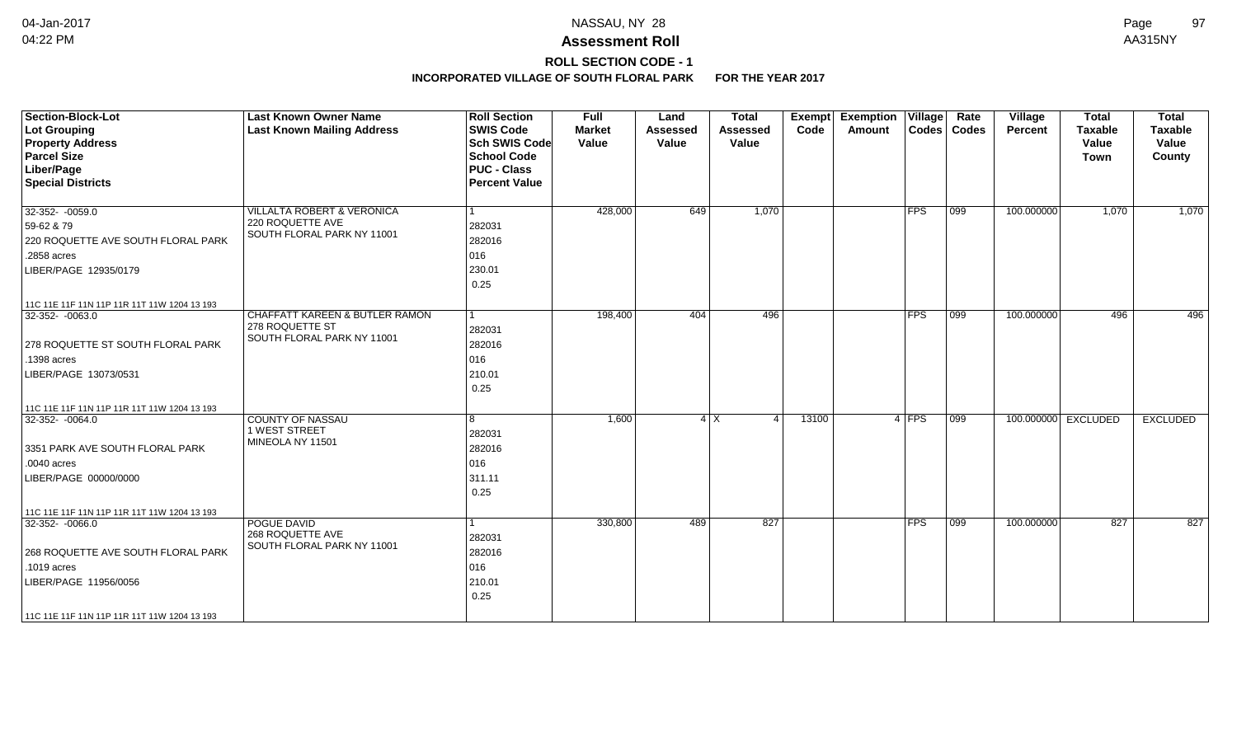# **ROLL SECTION CODE - 1**

| <b>Section-Block-Lot</b><br>Lot Grouping<br><b>Property Address</b><br><b>Parcel Size</b><br>Liber/Page<br><b>Special Districts</b>                                                          | <b>Last Known Owner Name</b><br><b>Last Known Mailing Address</b>                          | <b>Roll Section</b><br><b>SWIS Code</b><br><b>Sch SWIS Code</b><br><b>School Code</b><br><b>PUC - Class</b><br><b>Percent Value</b> | Full<br><b>Market</b><br>Value | Land<br><b>Assessed</b><br>Value | <b>Total</b><br><b>Assessed</b><br>Value | Exempt<br>Code | <b>Exemption Village</b><br>Amount |             | Rate<br>Codes   Codes | Village<br>Percent | <b>Total</b><br><b>Taxable</b><br>Value<br><b>Town</b> | <b>Total</b><br><b>Taxable</b><br>Value<br>County |
|----------------------------------------------------------------------------------------------------------------------------------------------------------------------------------------------|--------------------------------------------------------------------------------------------|-------------------------------------------------------------------------------------------------------------------------------------|--------------------------------|----------------------------------|------------------------------------------|----------------|------------------------------------|-------------|-----------------------|--------------------|--------------------------------------------------------|---------------------------------------------------|
| 32-352-0059.0<br>59-62 & 79<br>220 ROQUETTE AVE SOUTH FLORAL PARK<br>.2858 acres<br>LIBER/PAGE 12935/0179                                                                                    | <b>VILLALTA ROBERT &amp; VERONICA</b><br>220 ROQUETTE AVE<br>SOUTH FLORAL PARK NY 11001    | 282031<br>282016<br>016<br>230.01<br>0.25                                                                                           | 428,000                        | 649                              | 1,070                                    |                |                                    | <b>FPS</b>  | $ 099\rangle$         | 100.000000         | 1,070                                                  | 1,070                                             |
| 11C 11E 11F 11N 11P 11R 11T 11W 1204 13 193<br>$32-352 - 0063.0$<br>278 ROQUETTE ST SOUTH FLORAL PARK<br>.1398 acres<br>LIBER/PAGE 13073/0531<br>11C 11E 11F 11N 11P 11R 11T 11W 1204 13 193 | <b>CHAFFATT KAREEN &amp; BUTLER RAMON</b><br>278 ROQUETTE ST<br>SOUTH FLORAL PARK NY 11001 | 282031<br>282016<br>016<br>210.01<br>0.25                                                                                           | 198,400                        | 404                              | 496                                      |                |                                    | <b>FPS</b>  | $ 099\rangle$         | 100.000000         | 496                                                    | 496                                               |
| $32-352 - 0064.0$<br>3351 PARK AVE SOUTH FLORAL PARK<br>$.0040$ acres<br>LIBER/PAGE 00000/0000<br>11C 11E 11F 11N 11P 11R 11T 11W 1204 13 193                                                | <b>COUNTY OF NASSAU</b><br>1 WEST STREET<br>MINEOLA NY 11501                               | 8<br>282031<br>282016<br>016<br>311.11<br>0.25                                                                                      | 1,600                          |                                  | $4$ X<br>$\boldsymbol{\varDelta}$        | 13100          |                                    | 4 FPS       | $\overline{099}$      |                    | 100.000000 EXCLUDED                                    | <b>EXCLUDED</b>                                   |
| $32-352 - 0066.0$<br>268 ROQUETTE AVE SOUTH FLORAL PARK<br>.1019 acres<br>LIBER/PAGE 11956/0056<br>11C 11E 11F 11N 11P 11R 11T 11W 1204 13 193                                               | POGUE DAVID<br>268 ROQUETTE AVE<br>SOUTH FLORAL PARK NY 11001                              | 282031<br>282016<br>016<br>210.01<br>0.25                                                                                           | 330,800                        | 489                              | 827                                      |                |                                    | <b>IFPS</b> | $\overline{099}$      | 100.000000         | 827                                                    | 827                                               |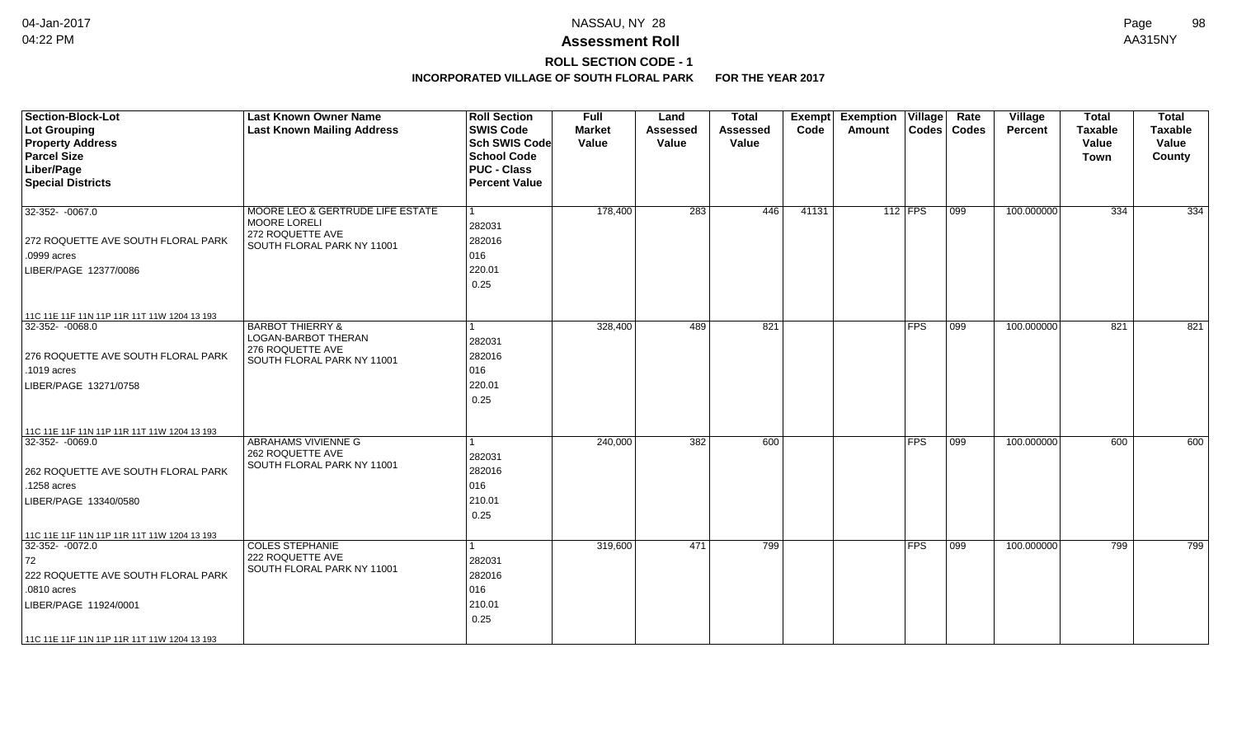# **ROLL SECTION CODE - 1**

| <b>Section-Block-Lot</b><br>Lot Grouping<br><b>Property Address</b><br><b>Parcel Size</b><br>Liber/Page<br><b>Special Districts</b>                                                             | <b>Last Known Owner Name</b><br><b>Last Known Mailing Address</b>                                         | <b>Roll Section</b><br><b>SWIS Code</b><br>Sch SWIS Code<br><b>School Code</b><br><b>PUC - Class</b><br><b>Percent Value</b> | <b>Full</b><br><b>Market</b><br>Value | Land<br><b>Assessed</b><br>Value | <b>Total</b><br><b>Assessed</b><br>Value | Exempt<br>Code | <b>Exemption Village</b><br><b>Amount</b> |            | Rate<br>Codes   Codes | Village<br><b>Percent</b> | <b>Total</b><br><b>Taxable</b><br>Value<br>Town | <b>Total</b><br><b>Taxable</b><br>Value<br>County |
|-------------------------------------------------------------------------------------------------------------------------------------------------------------------------------------------------|-----------------------------------------------------------------------------------------------------------|------------------------------------------------------------------------------------------------------------------------------|---------------------------------------|----------------------------------|------------------------------------------|----------------|-------------------------------------------|------------|-----------------------|---------------------------|-------------------------------------------------|---------------------------------------------------|
| 32-352- -0067.0<br>272 ROQUETTE AVE SOUTH FLORAL PARK<br>.0999 acres<br>LIBER/PAGE 12377/0086                                                                                                   | MOORE LEO & GERTRUDE LIFE ESTATE<br><b>MOORE LORELI</b><br>272 ROQUETTE AVE<br>SOUTH FLORAL PARK NY 11001 | 282031<br>282016<br>016<br>220.01<br>0.25                                                                                    | 178,400                               | 283                              | 446                                      | 41131          |                                           | $112$ FPS  | 099                   | 100.000000                | 334                                             | 334                                               |
| 11C 11E 11F 11N 11P 11R 11T 11W 1204 13 193<br>32-352- -0068.0<br>276 ROQUETTE AVE SOUTH FLORAL PARK<br>.1019 acres<br>LIBER/PAGE 13271/0758                                                    | <b>BARBOT THIERRY &amp;</b><br>LOGAN-BARBOT THERAN<br>276 ROQUETTE AVE<br>SOUTH FLORAL PARK NY 11001      | 282031<br>282016<br>016<br>220.01<br>0.25                                                                                    | 328,400                               | 489                              | 821                                      |                |                                           | <b>FPS</b> | 099                   | 100.000000                | 821                                             | 821                                               |
| 11C 11E 11F 11N 11P 11R 11T 11W 1204 13 193<br>32-352-0069.0<br>262 ROQUETTE AVE SOUTH FLORAL PARK<br>.1258 acres<br>LIBER/PAGE 13340/0580                                                      | <b>ABRAHAMS VIVIENNE G</b><br>262 ROQUETTE AVE<br>SOUTH FLORAL PARK NY 11001                              | 282031<br>282016<br>016<br>210.01<br>0.25                                                                                    | 240,000                               | 382                              | 600                                      |                |                                           | <b>FPS</b> | 099                   | 100.000000                | 600                                             | 600                                               |
| 11C 11E 11F 11N 11P 11R 11T 11W 1204 13 193<br>32-352-0072.0<br>72<br>222 ROQUETTE AVE SOUTH FLORAL PARK<br>.0810 acres<br>LIBER/PAGE 11924/0001<br>11C 11E 11F 11N 11P 11R 11T 11W 1204 13 193 | <b>COLES STEPHANIE</b><br>222 ROQUETTE AVE<br>SOUTH FLORAL PARK NY 11001                                  | 282031<br>282016<br>016<br>210.01<br>0.25                                                                                    | 319,600                               | 471                              | 799                                      |                |                                           | <b>FPS</b> | 099                   | 100.000000                | 799                                             | 799                                               |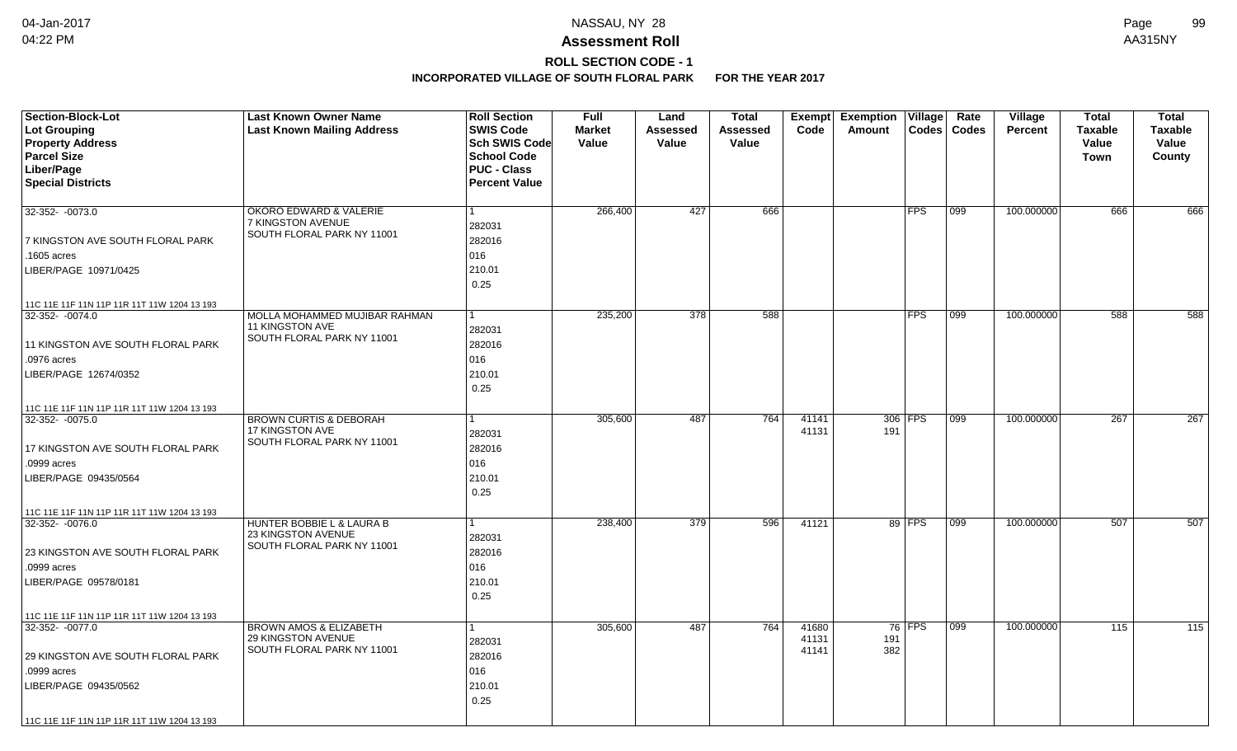## **ROLL SECTION CODE - 1**

| <b>Section-Block-Lot</b>                    | <b>Last Known Owner Name</b>                            | <b>Roll Section</b>  | <b>Full</b>   | Land     | <b>Total</b> | Exempt | <b>Exemption</b> | Village    | Rate          | Village        | <b>Total</b>   | <b>Total</b>     |
|---------------------------------------------|---------------------------------------------------------|----------------------|---------------|----------|--------------|--------|------------------|------------|---------------|----------------|----------------|------------------|
| Lot Grouping                                | <b>Last Known Mailing Address</b>                       | <b>SWIS Code</b>     | <b>Market</b> | Assessed | Assessed     | Code   | Amount           |            | Codes   Codes | <b>Percent</b> | <b>Taxable</b> | <b>Taxable</b>   |
| <b>Property Address</b>                     |                                                         | Sch SWIS Code        | Value         | Value    | Value        |        |                  |            |               |                | Value          | Value            |
| <b>Parcel Size</b>                          |                                                         | <b>School Code</b>   |               |          |              |        |                  |            |               |                | Town           | County           |
| Liber/Page                                  |                                                         | <b>PUC - Class</b>   |               |          |              |        |                  |            |               |                |                |                  |
| <b>Special Districts</b>                    |                                                         | <b>Percent Value</b> |               |          |              |        |                  |            |               |                |                |                  |
| 32-352- -0073.0                             | <b>OKORO EDWARD &amp; VALERIE</b>                       |                      | 266,400       | 427      | 666          |        |                  | <b>FPS</b> | 099           | 100.000000     | 666            | 666              |
|                                             | 7 KINGSTON AVENUE                                       |                      |               |          |              |        |                  |            |               |                |                |                  |
|                                             | SOUTH FLORAL PARK NY 11001                              | 282031               |               |          |              |        |                  |            |               |                |                |                  |
| 7 KINGSTON AVE SOUTH FLORAL PARK            |                                                         | 282016               |               |          |              |        |                  |            |               |                |                |                  |
| .1605 acres                                 |                                                         | 016                  |               |          |              |        |                  |            |               |                |                |                  |
| LIBER/PAGE 10971/0425                       |                                                         | 210.01               |               |          |              |        |                  |            |               |                |                |                  |
|                                             |                                                         | 0.25                 |               |          |              |        |                  |            |               |                |                |                  |
| 11C 11E 11F 11N 11P 11R 11T 11W 1204 13 193 |                                                         |                      |               |          |              |        |                  |            |               |                |                |                  |
| 32-352- -0074.0                             | MOLLA MOHAMMED MUJIBAR RAHMAN                           |                      | 235,200       | 378      | 588          |        |                  | <b>FPS</b> | 099           | 100.000000     | 588            | 588              |
|                                             | 11 KINGSTON AVE<br>SOUTH FLORAL PARK NY 11001           | 282031               |               |          |              |        |                  |            |               |                |                |                  |
| 11 KINGSTON AVE SOUTH FLORAL PARK           |                                                         | 282016               |               |          |              |        |                  |            |               |                |                |                  |
| .0976 acres                                 |                                                         | 016                  |               |          |              |        |                  |            |               |                |                |                  |
| LIBER/PAGE 12674/0352                       |                                                         | 210.01               |               |          |              |        |                  |            |               |                |                |                  |
|                                             |                                                         | 0.25                 |               |          |              |        |                  |            |               |                |                |                  |
| 11C 11E 11F 11N 11P 11R 11T 11W 1204 13 193 |                                                         |                      |               |          |              |        |                  |            |               |                |                |                  |
| 32-352-0075.0                               | <b>BROWN CURTIS &amp; DEBORAH</b>                       |                      | 305,600       | 487      | 764          | 41141  |                  | 306 FPS    | $ 099\rangle$ | 100.000000     | 267            | $\overline{267}$ |
|                                             | 17 KINGSTON AVE<br>SOUTH FLORAL PARK NY 11001           | 282031               |               |          |              | 41131  | 191              |            |               |                |                |                  |
| 17 KINGSTON AVE SOUTH FLORAL PARK           |                                                         | 282016               |               |          |              |        |                  |            |               |                |                |                  |
| .0999 acres                                 |                                                         | 016                  |               |          |              |        |                  |            |               |                |                |                  |
| LIBER/PAGE 09435/0564                       |                                                         | 210.01               |               |          |              |        |                  |            |               |                |                |                  |
|                                             |                                                         | 0.25                 |               |          |              |        |                  |            |               |                |                |                  |
| 11C 11E 11F 11N 11P 11R 11T 11W 1204 13 193 |                                                         |                      |               |          |              |        |                  |            |               |                |                |                  |
| 32-352- -0076.0                             | HUNTER BOBBIE L & LAURA B                               |                      | 238,400       | 379      | 596          | 41121  |                  | 89 FPS     | 099           | 100.000000     | 507            | 507              |
|                                             | <b>23 KINGSTON AVENUE</b><br>SOUTH FLORAL PARK NY 11001 | 282031               |               |          |              |        |                  |            |               |                |                |                  |
| 23 KINGSTON AVE SOUTH FLORAL PARK           |                                                         | 282016               |               |          |              |        |                  |            |               |                |                |                  |
| .0999 acres                                 |                                                         | 016                  |               |          |              |        |                  |            |               |                |                |                  |
| LIBER/PAGE 09578/0181                       |                                                         | 210.01               |               |          |              |        |                  |            |               |                |                |                  |
|                                             |                                                         | 0.25                 |               |          |              |        |                  |            |               |                |                |                  |
| 11C 11E 11F 11N 11P 11R 11T 11W 1204 13 193 |                                                         |                      |               |          |              |        |                  |            |               |                |                |                  |
| 32-352- -0077.0                             | <b>BROWN AMOS &amp; ELIZABETH</b>                       |                      | 305,600       | 487      | 764          | 41680  |                  | 76 FPS     | 099           | 100.000000     | 115            | 115              |
|                                             | 29 KINGSTON AVENUE<br>SOUTH FLORAL PARK NY 11001        | 282031               |               |          |              | 41131  | 191              |            |               |                |                |                  |
| 29 KINGSTON AVE SOUTH FLORAL PARK           |                                                         | 282016               |               |          |              | 41141  | 382              |            |               |                |                |                  |
| .0999 acres                                 |                                                         | 016                  |               |          |              |        |                  |            |               |                |                |                  |
| LIBER/PAGE 09435/0562                       |                                                         | 210.01               |               |          |              |        |                  |            |               |                |                |                  |
|                                             |                                                         | 0.25                 |               |          |              |        |                  |            |               |                |                |                  |
| 11C 11E 11F 11N 11P 11R 11T 11W 1204 13 193 |                                                         |                      |               |          |              |        |                  |            |               |                |                |                  |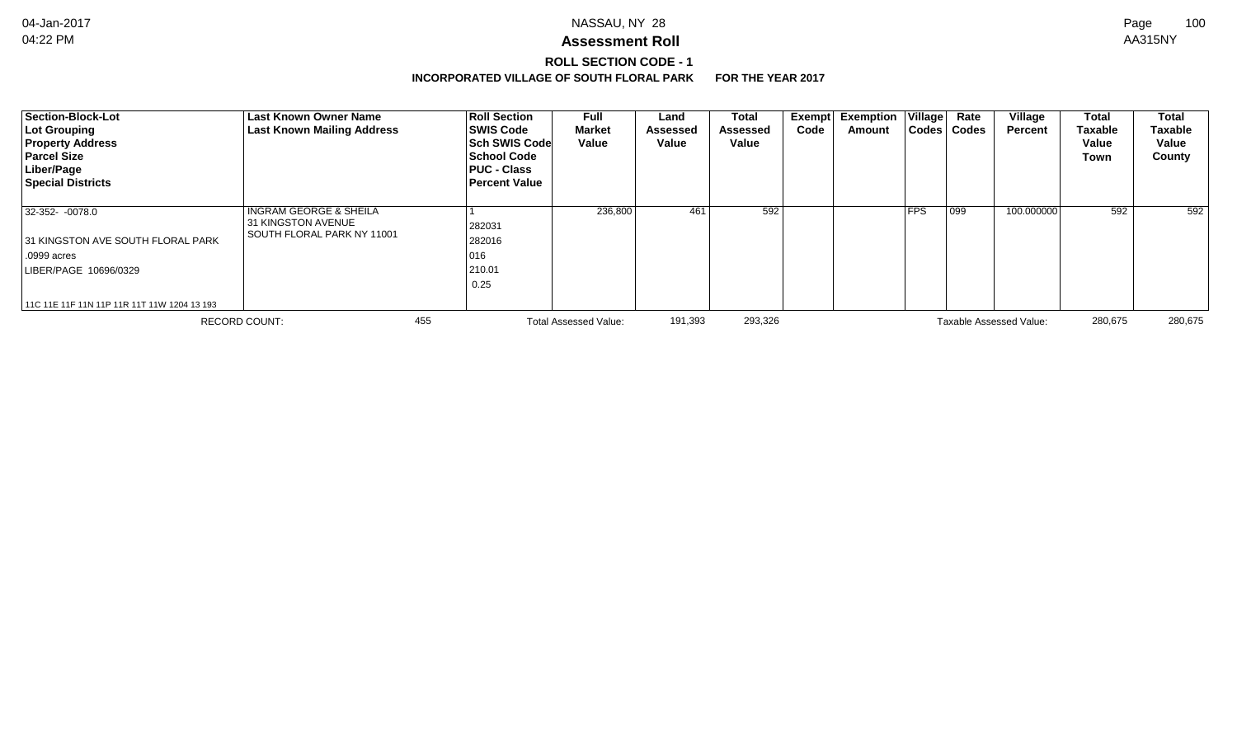# **ROLL SECTION CODE - 1**

| Section-Block-Lot<br>Lot Grouping<br><b>Property Address</b><br><b>Parcel Size</b><br>Liber/Page<br><b>Special Districts</b> | Last Known Owner Name<br><b>Last Known Mailing Address</b>                                   | <b>Roll Section</b><br><b>SWIS Code</b><br><b>Sch SWIS Code</b><br>School Code<br><b>PUC - Class</b><br><b>Percent Value</b> | Full<br><b>Market</b><br>Value | Land<br><b>Assessed</b><br>Value | <b>Total</b><br><b>Assessed</b><br>Value | Code | Exempt Exemption<br>Amount | $ $ Village $ $<br><b>Codes</b> | Rate<br><b>Codes</b> | Village<br>Percent      | <b>Total</b><br><b>Taxable</b><br>Value<br>Town | <b>Total</b><br><b>Taxable</b><br>Value<br>County |
|------------------------------------------------------------------------------------------------------------------------------|----------------------------------------------------------------------------------------------|------------------------------------------------------------------------------------------------------------------------------|--------------------------------|----------------------------------|------------------------------------------|------|----------------------------|---------------------------------|----------------------|-------------------------|-------------------------------------------------|---------------------------------------------------|
| 32-352- -0078.0<br>31 KINGSTON AVE SOUTH FLORAL PARK<br>.0999 acres<br>LIBER/PAGE 10696/0329                                 | <b>INGRAM GEORGE &amp; SHEILA</b><br><b>31 KINGSTON AVENUE</b><br>SOUTH FLORAL PARK NY 11001 | 282031<br>282016<br>016<br>210.01<br>0.25                                                                                    | 236,800                        | 461                              | 592                                      |      |                            | <b>FPS</b>                      | $^{\prime}$ 099      | 100.000000              | 592                                             | 592                                               |
| 11C 11E 11F 11N 11P 11R 11T 11W 1204 13 193                                                                                  |                                                                                              |                                                                                                                              |                                |                                  |                                          |      |                            |                                 |                      |                         |                                                 |                                                   |
|                                                                                                                              | <b>RECORD COUNT:</b>                                                                         | 455                                                                                                                          | <b>Total Assessed Value:</b>   | 191,393                          | 293,326                                  |      |                            |                                 |                      | Taxable Assessed Value: | 280,675                                         | 280,675                                           |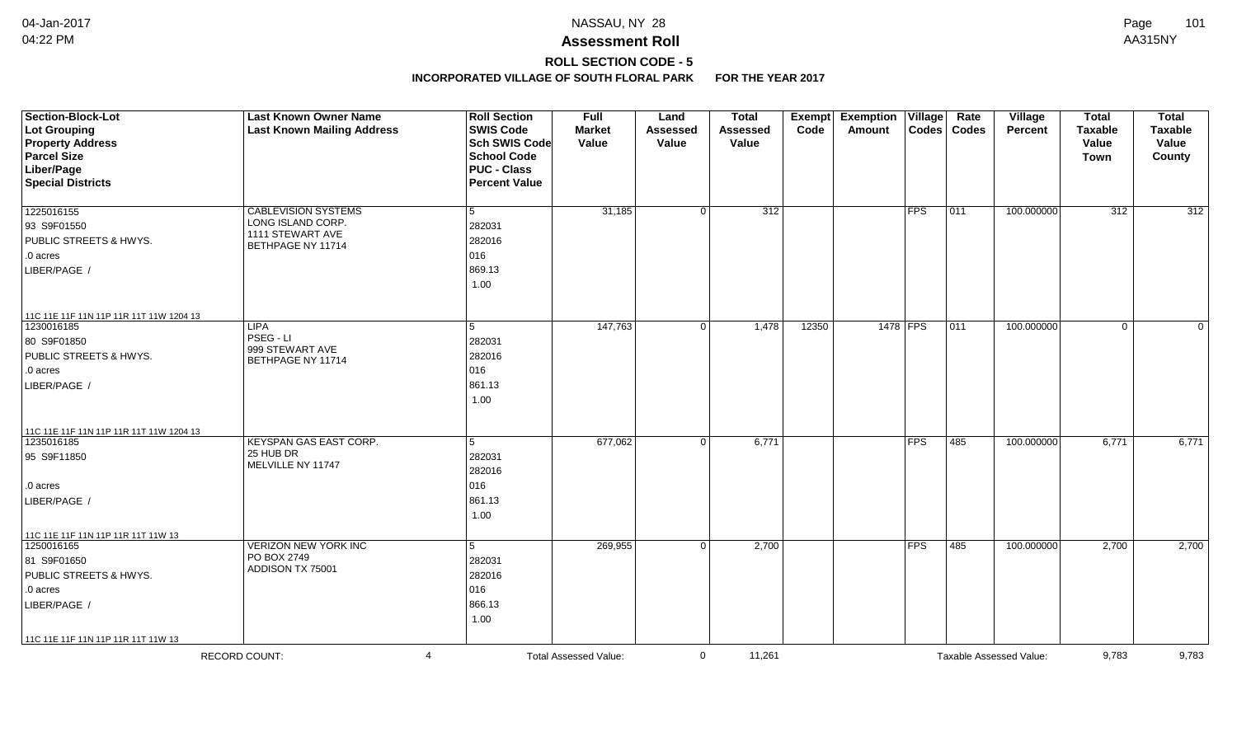# **ROLL SECTION CODE - 5**

| Section-Block-Lot<br>Lot Grouping<br><b>Property Address</b><br><b>Parcel Size</b><br>Liber/Page<br><b>Special Districts</b> | <b>Last Known Owner Name</b><br><b>Last Known Mailing Address</b>                        | <b>Roll Section</b><br><b>SWIS Code</b><br><b>Sch SWIS Code</b><br><b>School Code</b><br><b>PUC - Class</b><br><b>Percent Value</b> | <b>Full</b><br><b>Market</b><br>Value | Land<br><b>Assessed</b><br>Value | <b>Total</b><br><b>Assessed</b><br>Value | <b>Exempt</b><br>Code | <b>Exemption Village</b><br><b>Amount</b> |                         | Rate<br>Codes   Codes | Village<br><b>Percent</b> | <b>Total</b><br><b>Taxable</b><br>Value<br><b>Town</b> | <b>Total</b><br><b>Taxable</b><br>Value<br>County |
|------------------------------------------------------------------------------------------------------------------------------|------------------------------------------------------------------------------------------|-------------------------------------------------------------------------------------------------------------------------------------|---------------------------------------|----------------------------------|------------------------------------------|-----------------------|-------------------------------------------|-------------------------|-----------------------|---------------------------|--------------------------------------------------------|---------------------------------------------------|
| 1225016155<br>93 S9F01550<br><b>PUBLIC STREETS &amp; HWYS.</b><br>.0 acres<br>LIBER/PAGE /                                   | <b>CABLEVISION SYSTEMS</b><br>LONG ISLAND CORP.<br>1111 STEWART AVE<br>BETHPAGE NY 11714 | $5\phantom{.0}$<br>282031<br>282016<br>016<br>869.13<br>1.00                                                                        | 31,185                                | $\Omega$                         | $\overline{312}$                         |                       |                                           | FPS                     | 011                   | 100.000000                | $\overline{312}$                                       | $\overline{312}$                                  |
| 11C 11E 11F 11N 11P 11R 11T 11W 1204 13<br>1230016185<br>80 S9F01850<br>PUBLIC STREETS & HWYS.<br>.0 acres<br>LIBER/PAGE /   | <b>LIPA</b><br>PSEG - LI<br>999 STEWART AVE<br>BETHPAGE NY 11714                         | 5<br>282031<br>282016<br>016<br>861.13<br>1.00                                                                                      | 147,763                               | $\mathbf 0$                      | 1,478                                    | 12350                 | 1478 FPS                                  |                         | 011                   | 100.000000                | $\mathbf 0$                                            | $\mathbf{0}$                                      |
| 11C 11E 11F 11N 11P 11R 11T 11W 1204 13<br>1235016185<br>95 S9F11850<br>.0 acres<br>LIBER/PAGE /                             | <b>KEYSPAN GAS EAST CORP.</b><br>25 HUB DR<br>MELVILLE NY 11747                          | $\overline{5}$<br>282031<br>282016<br>016<br>861.13<br>1.00                                                                         | 677,062                               | $\Omega$                         | 6,771                                    |                       |                                           | <b>FPS</b>              | 485                   | 100.000000                | 6,771                                                  | 6,771                                             |
| 11C 11E 11F 11N 11P 11R 11T 11W 13<br>1250016165<br>81 S9F01650<br>PUBLIC STREETS & HWYS.<br>.0 acres<br>LIBER/PAGE /        | <b>VERIZON NEW YORK INC</b><br>PO BOX 2749<br>ADDISON TX 75001                           | 5<br>282031<br>282016<br>016<br>866.13<br>1.00                                                                                      | 269,955                               | $\Omega$                         | 2,700                                    |                       |                                           | $\overline{\text{FFS}}$ | 485                   | 100.000000                | 2,700                                                  | 2,700                                             |
| 11C 11E 11F 11N 11P 11R 11T 11W 13                                                                                           | <b>RECORD COUNT:</b><br>$\overline{4}$                                                   |                                                                                                                                     | <b>Total Assessed Value:</b>          | $\mathbf{0}$                     | 11,261                                   |                       |                                           |                         |                       | Taxable Assessed Value:   | 9,783                                                  | 9,783                                             |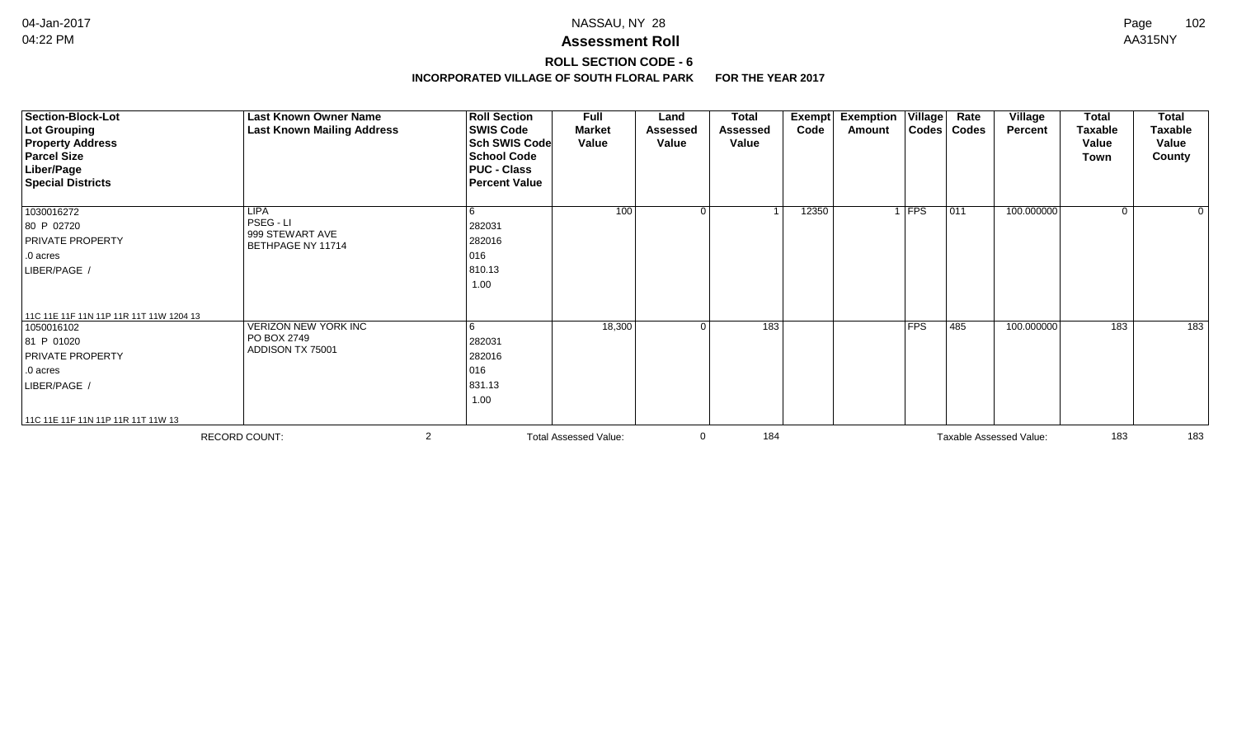# **ROLL SECTION CODE - 6**

| <b>Section-Block-Lot</b><br><b>Lot Grouping</b><br><b>Property Address</b><br><b>Parcel Size</b><br>Liber/Page<br><b>Special Districts</b>                | <b>Last Known Owner Name</b><br><b>Last Known Mailing Address</b> | <b>Roll Section</b><br><b>SWIS Code</b><br><b>Sch SWIS Code</b><br><b>School Code</b><br><b>PUC - Class</b><br><b>Percent Value</b> | <b>Full</b><br><b>Market</b><br>Value | Land<br>Assessed<br>Value | <b>Total</b><br><b>Assessed</b><br>Value | Exempt<br>Code | <b>Exemption Village</b><br>Amount |            | Rate<br>Codes   Codes | Village<br><b>Percent</b> | <b>Total</b><br><b>Taxable</b><br>Value<br>Town | <b>Total</b><br><b>Taxable</b><br>Value<br>County |
|-----------------------------------------------------------------------------------------------------------------------------------------------------------|-------------------------------------------------------------------|-------------------------------------------------------------------------------------------------------------------------------------|---------------------------------------|---------------------------|------------------------------------------|----------------|------------------------------------|------------|-----------------------|---------------------------|-------------------------------------------------|---------------------------------------------------|
| 1030016272<br>80 P 02720<br>PRIVATE PROPERTY<br>.0 acres<br>LIBER/PAGE /                                                                                  | <b>LIPA</b><br>PSEG - LI<br>999 STEWART AVE<br>BETHPAGE NY 11714  | 6<br>282031<br>282016<br>016<br>810.13<br>1.00                                                                                      | 100                                   | 0                         | $\overline{\mathbf{A}}$                  | 12350          |                                    | $1$ FPS    | 011                   | 100.000000                | $\overline{0}$                                  | $\Omega$                                          |
| 11C 11E 11F 11N 11P 11R 11T 11W 1204 13<br>1050016102<br>81 P 01020<br>PRIVATE PROPERTY<br>.0 acres<br>LIBER/PAGE /<br>11C 11E 11F 11N 11P 11R 11T 11W 13 | <b>VERIZON NEW YORK INC</b><br>PO BOX 2749<br>ADDISON TX 75001    | 6<br>282031<br>282016<br>016<br>831.13<br>1.00                                                                                      | 18,300                                | $\Omega$                  | 183                                      |                |                                    | <b>FPS</b> | 485                   | 100.000000                | 183                                             | 183                                               |
|                                                                                                                                                           | <b>RECORD COUNT:</b>                                              | 2                                                                                                                                   | <b>Total Assessed Value:</b>          |                           | 184                                      |                |                                    |            |                       | Taxable Assessed Value:   | 183                                             | 183                                               |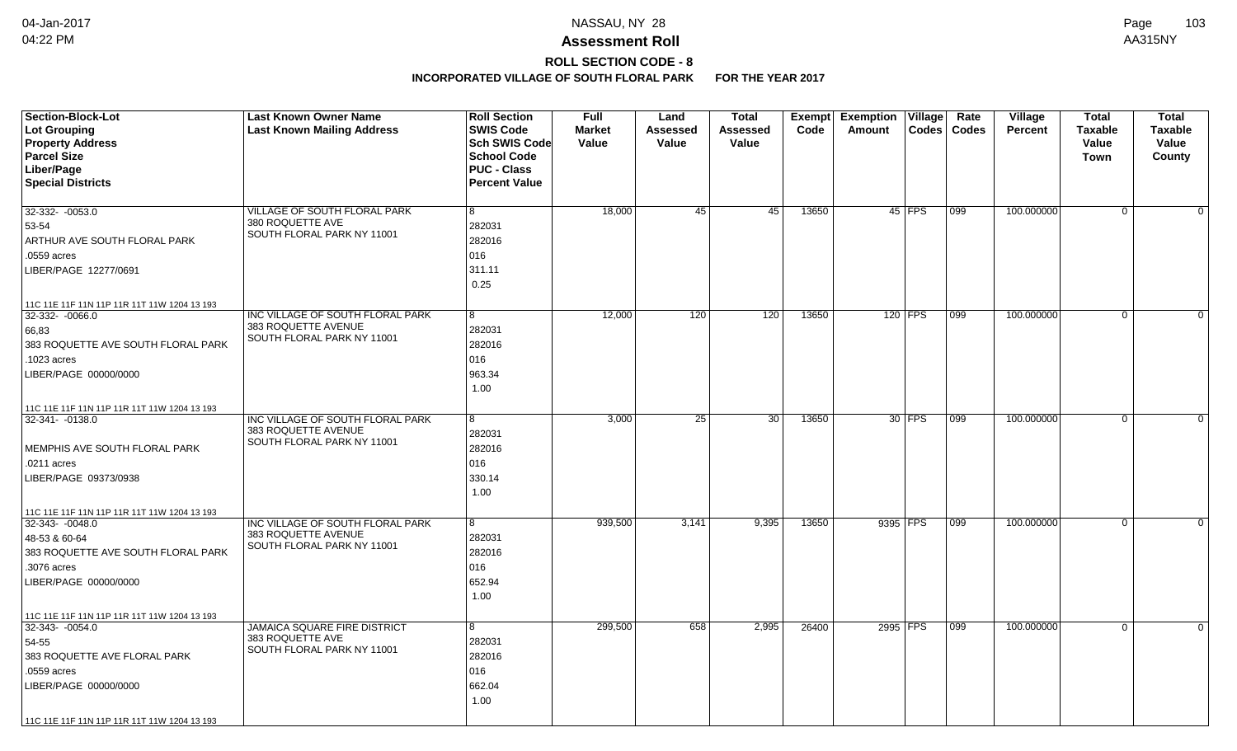# **ROLL SECTION CODE - 8**

| <b>Section-Block-Lot</b><br>Lot Grouping<br><b>Property Address</b><br><b>Parcel Size</b><br>Liber/Page<br><b>Special Districts</b>                           | <b>Last Known Owner Name</b><br><b>Last Known Mailing Address</b>                     | <b>Roll Section</b><br><b>SWIS Code</b><br>Sch SWIS Code<br><b>School Code</b><br><b>PUC - Class</b><br><b>Percent Value</b> | Full<br><b>Market</b><br>Value | Land<br>Assessed<br>Value | <b>Total</b><br>Assessed<br>Value | Exempt<br>Code | <b>Exemption</b><br>Amount | Village       | Rate<br>Codes   Codes | Village<br>Percent | <b>Total</b><br><b>Taxable</b><br>Value<br>Town | <b>Total</b><br><b>Taxable</b><br>Value<br>County |
|---------------------------------------------------------------------------------------------------------------------------------------------------------------|---------------------------------------------------------------------------------------|------------------------------------------------------------------------------------------------------------------------------|--------------------------------|---------------------------|-----------------------------------|----------------|----------------------------|---------------|-----------------------|--------------------|-------------------------------------------------|---------------------------------------------------|
| $32-332 - 0053.0$<br>53-54<br>ARTHUR AVE SOUTH FLORAL PARK<br>.0559 acres<br>LIBER/PAGE 12277/0691<br>11C 11E 11F 11N 11P 11R 11T 11W 1204 13 193             | <b>VILLAGE OF SOUTH FLORAL PARK</b><br>380 ROQUETTE AVE<br>SOUTH FLORAL PARK NY 11001 | 8<br>282031<br>282016<br>016<br>311.11<br>0.25                                                                               | 18,000                         | 45                        | $\overline{45}$                   | 13650          |                            | 45 FPS        | 099                   | 100.000000         | $\mathbf 0$                                     | $\Omega$                                          |
| 32-332-0066.0<br>66,83<br>383 ROQUETTE AVE SOUTH FLORAL PARK<br>.1023 acres<br>LIBER/PAGE 00000/0000<br>11C 11E 11F 11N 11P 11R 11T 11W 1204 13 193           | INC VILLAGE OF SOUTH FLORAL PARK<br>383 ROQUETTE AVENUE<br>SOUTH FLORAL PARK NY 11001 | 8<br>282031<br>282016<br>016<br>963.34<br>1.00                                                                               | 12,000                         | 120                       | 120                               | 13650          |                            | 120 FPS       | 099                   | 100.000000         | $\mathbf 0$                                     | $\mathbf{0}$                                      |
| 32-341-0138.0<br>MEMPHIS AVE SOUTH FLORAL PARK<br>.0211 acres<br>LIBER/PAGE 09373/0938<br>11C 11E 11F 11N 11P 11R 11T 11W 1204 13 193                         | INC VILLAGE OF SOUTH FLORAL PARK<br>383 ROQUETTE AVENUE<br>SOUTH FLORAL PARK NY 11001 | 8<br>282031<br>282016<br>016<br>330.14<br>1.00                                                                               | 3,000                          | $\overline{25}$           | $\overline{30}$                   | 13650          |                            | 30 <b>FPS</b> | 099                   | 100.000000         | $\mathbf 0$                                     | $\Omega$                                          |
| 32-343- -0048.0<br>48-53 & 60-64<br>383 ROQUETTE AVE SOUTH FLORAL PARK<br>.3076 acres<br>LIBER/PAGE 00000/0000<br>11C 11E 11F 11N 11P 11R 11T 11W 1204 13 193 | INC VILLAGE OF SOUTH FLORAL PARK<br>383 ROQUETTE AVENUE<br>SOUTH FLORAL PARK NY 11001 | 8<br>282031<br>282016<br>016<br>652.94<br>1.00                                                                               | 939,500                        | 3,141                     | 9,395                             | 13650          |                            | 9395 FPS      | 099                   | 100.000000         | $\mathbf 0$                                     | $\Omega$                                          |
| 32-343-0054.0<br>54-55<br>383 ROQUETTE AVE FLORAL PARK<br>.0559 acres<br>LIBER/PAGE 00000/0000<br>11C 11E 11F 11N 11P 11R 11T 11W 1204 13 193                 | <b>JAMAICA SQUARE FIRE DISTRICT</b><br>383 ROQUETTE AVE<br>SOUTH FLORAL PARK NY 11001 | 8<br>282031<br>282016<br>016<br>662.04<br>1.00                                                                               | 299,500                        | 658                       | 2,995                             | 26400          |                            | 2995 FPS      | 099                   | 100.000000         | $\mathbf 0$                                     | $\Omega$                                          |